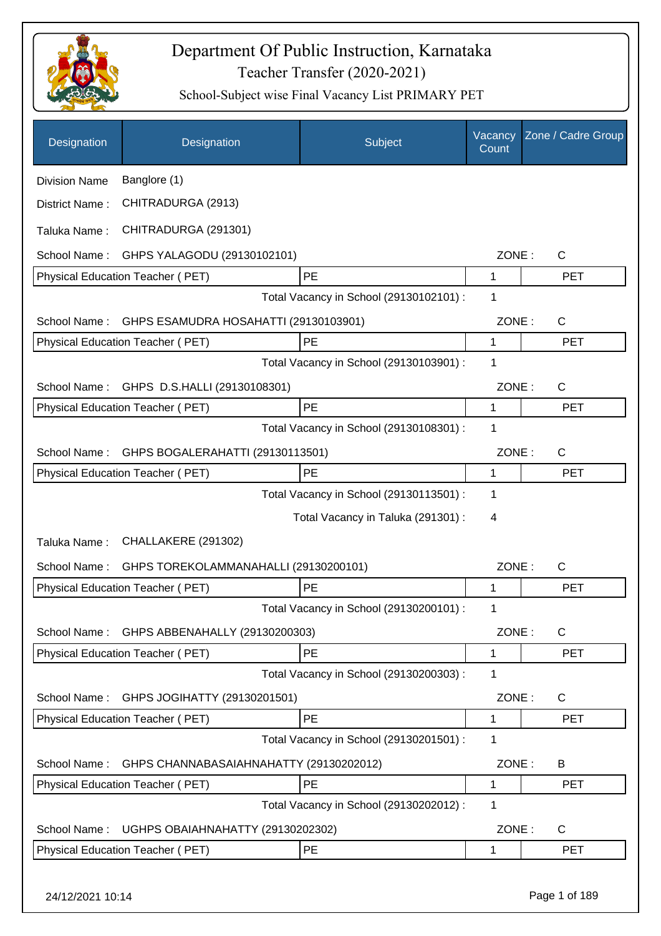

| Designation          | Designation                                 | Subject                                 | Vacancy<br>Count | Zone / Cadre Group |
|----------------------|---------------------------------------------|-----------------------------------------|------------------|--------------------|
| <b>Division Name</b> | Banglore (1)                                |                                         |                  |                    |
| District Name:       | CHITRADURGA (2913)                          |                                         |                  |                    |
| Taluka Name:         | CHITRADURGA (291301)                        |                                         |                  |                    |
| School Name:         | GHPS YALAGODU (29130102101)                 |                                         | ZONE:            | C                  |
|                      | Physical Education Teacher (PET)            | PE                                      | $\mathbf{1}$     | <b>PET</b>         |
|                      |                                             | Total Vacancy in School (29130102101) : | 1                |                    |
| School Name:         | GHPS ESAMUDRA HOSAHATTI (29130103901)       |                                         | ZONE:            | $\mathsf C$        |
|                      | Physical Education Teacher (PET)            | PE                                      | 1                | <b>PET</b>         |
|                      |                                             | Total Vacancy in School (29130103901) : | 1                |                    |
| School Name:         | GHPS D.S.HALLI (29130108301)                |                                         | ZONE:            | C                  |
|                      | Physical Education Teacher (PET)            | PE                                      | 1                | <b>PET</b>         |
|                      |                                             | Total Vacancy in School (29130108301) : | $\mathbf 1$      |                    |
| School Name:         | GHPS BOGALERAHATTI (29130113501)            |                                         | ZONE:            | C                  |
|                      | Physical Education Teacher (PET)            | PE                                      | 1                | <b>PET</b>         |
|                      |                                             | Total Vacancy in School (29130113501) : | 1                |                    |
|                      |                                             | Total Vacancy in Taluka (291301) :      | 4                |                    |
| Taluka Name:         | CHALLAKERE (291302)                         |                                         |                  |                    |
| School Name:         | GHPS TOREKOLAMMANAHALLI (29130200101)       |                                         | ZONE:            | C                  |
|                      | <b>Physical Education Teacher (PET)</b>     | PE                                      | 1                | <b>PET</b>         |
|                      |                                             | Total Vacancy in School (29130200101) : | 1                |                    |
|                      | School Name: GHPS ABBENAHALLY (29130200303) |                                         | ZONE:            | C                  |
|                      | Physical Education Teacher (PET)            | PE                                      | 1                | <b>PET</b>         |
|                      |                                             | Total Vacancy in School (29130200303) : | 1                |                    |
| School Name:         | GHPS JOGIHATTY (29130201501)                |                                         | ZONE:            | C                  |
|                      | Physical Education Teacher (PET)            | PE                                      | 1                | <b>PET</b>         |
|                      |                                             | Total Vacancy in School (29130201501) : | 1                |                    |
| School Name:         | GHPS CHANNABASAIAHNAHATTY (29130202012)     |                                         | ZONE:            | B                  |
|                      | Physical Education Teacher (PET)            | PE                                      | 1                | <b>PET</b>         |
|                      |                                             | Total Vacancy in School (29130202012) : | 1                |                    |
| School Name:         | UGHPS OBAIAHNAHATTY (29130202302)           |                                         | ZONE:            | $\mathsf{C}$       |
|                      | Physical Education Teacher (PET)            | PE                                      | 1                | <b>PET</b>         |
| 24/12/2021 10:14     |                                             |                                         |                  | Page 1 of 189      |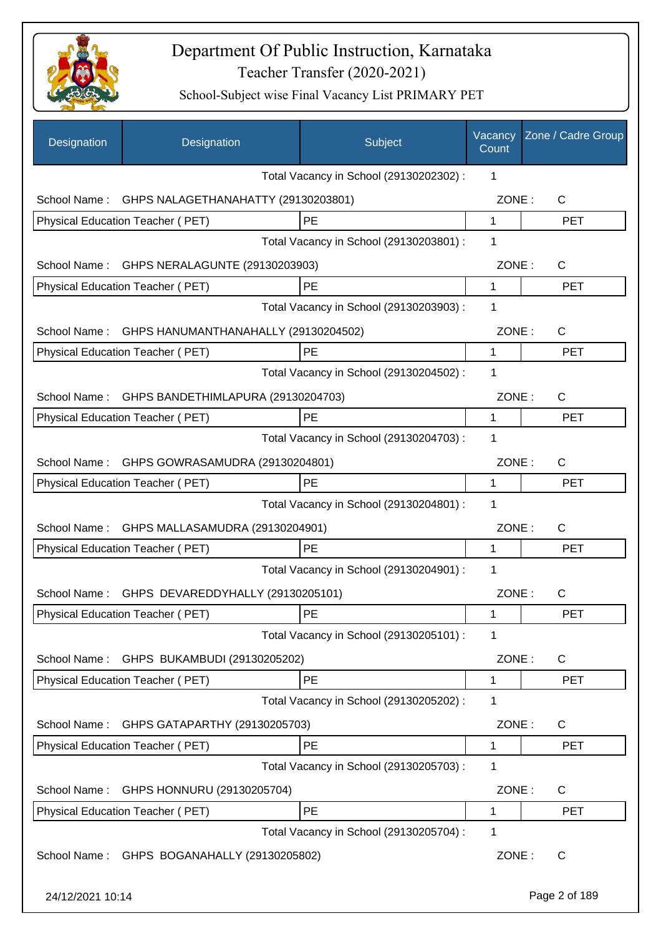

| Designation      | Designation                                    | Subject                                 | Vacancy<br>Count | Zone / Cadre Group |
|------------------|------------------------------------------------|-----------------------------------------|------------------|--------------------|
|                  |                                                | Total Vacancy in School (29130202302) : | 1                |                    |
| School Name:     | GHPS NALAGETHANAHATTY (29130203801)            |                                         | ZONE:            | $\mathsf{C}$       |
|                  | Physical Education Teacher (PET)               | PE                                      | $\mathbf{1}$     | <b>PET</b>         |
|                  |                                                | Total Vacancy in School (29130203801) : | 1                |                    |
| School Name:     | GHPS NERALAGUNTE (29130203903)                 |                                         | ZONE:            | C                  |
|                  | Physical Education Teacher (PET)               | PE                                      | $\mathbf{1}$     | <b>PET</b>         |
|                  |                                                | Total Vacancy in School (29130203903) : | 1                |                    |
| School Name:     | GHPS HANUMANTHANAHALLY (29130204502)           |                                         | ZONE:            | $\mathsf{C}$       |
|                  | <b>Physical Education Teacher (PET)</b>        | <b>PE</b>                               | 1                | <b>PET</b>         |
|                  |                                                | Total Vacancy in School (29130204502) : | 1                |                    |
| School Name:     | GHPS BANDETHIMLAPURA (29130204703)             |                                         | ZONE:            | C                  |
|                  | Physical Education Teacher (PET)               | PE                                      | 1                | <b>PET</b>         |
|                  |                                                | Total Vacancy in School (29130204703) : | 1                |                    |
| School Name:     | GHPS GOWRASAMUDRA (29130204801)                |                                         | ZONE:            | C                  |
|                  | Physical Education Teacher (PET)               | PE                                      | 1                | <b>PET</b>         |
|                  |                                                | Total Vacancy in School (29130204801) : | 1                |                    |
| School Name:     | GHPS MALLASAMUDRA (29130204901)                |                                         | ZONE:            | $\mathsf{C}$       |
|                  | <b>Physical Education Teacher (PET)</b>        | PE                                      | 1                | <b>PET</b>         |
|                  |                                                | Total Vacancy in School (29130204901) : | 1                |                    |
|                  | School Name: GHPS DEVAREDDYHALLY (29130205101) |                                         | ZONE:            | C                  |
|                  | Physical Education Teacher (PET)               | PE                                      | 1                | <b>PET</b>         |
|                  |                                                | Total Vacancy in School (29130205101) : | 1                |                    |
| School Name:     | GHPS BUKAMBUDI (29130205202)                   |                                         | ZONE:            | C                  |
|                  | <b>Physical Education Teacher (PET)</b>        | PE                                      | 1                | PET                |
|                  |                                                | Total Vacancy in School (29130205202) : | 1                |                    |
| School Name:     | GHPS GATAPARTHY (29130205703)                  |                                         | ZONE:            | C                  |
|                  | <b>Physical Education Teacher (PET)</b>        | PE                                      | 1                | <b>PET</b>         |
|                  |                                                | Total Vacancy in School (29130205703) : | 1                |                    |
| School Name:     | GHPS HONNURU (29130205704)                     |                                         | ZONE:            | C                  |
|                  | Physical Education Teacher (PET)               | PE                                      | 1                | <b>PET</b>         |
|                  |                                                | Total Vacancy in School (29130205704) : | 1                |                    |
| School Name:     | GHPS BOGANAHALLY (29130205802)                 |                                         | ZONE:            | C                  |
| 24/12/2021 10:14 |                                                |                                         |                  | Page 2 of 189      |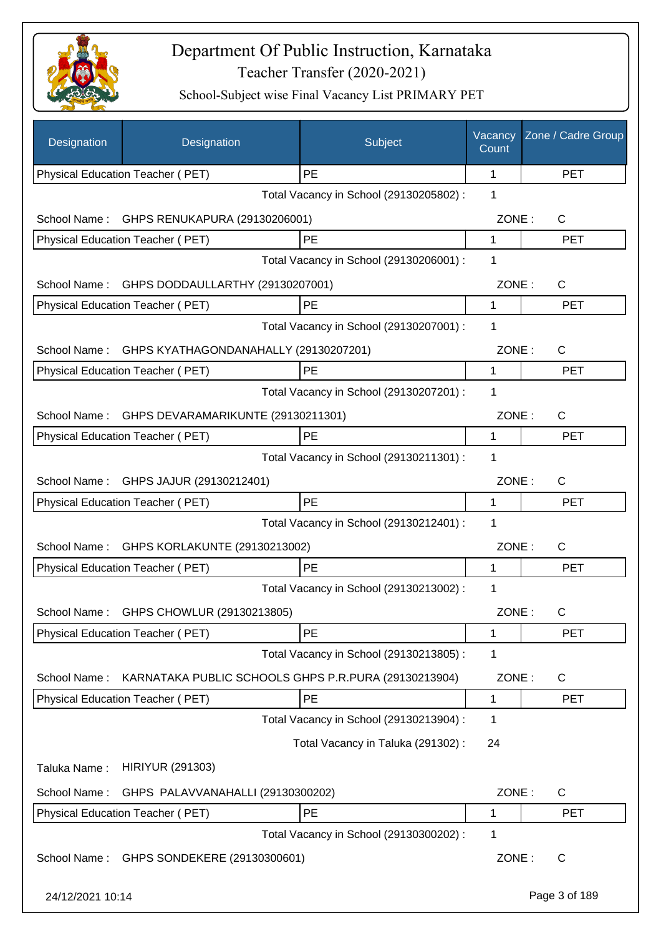

| Designation      | Designation                                          | Subject                                 | Vacancy<br>Count | Zone / Cadre Group |
|------------------|------------------------------------------------------|-----------------------------------------|------------------|--------------------|
|                  | Physical Education Teacher (PET)                     | PE                                      | 1                | <b>PET</b>         |
|                  |                                                      | Total Vacancy in School (29130205802) : | 1                |                    |
| School Name:     | GHPS RENUKAPURA (29130206001)                        |                                         | ZONE:            | C                  |
|                  | Physical Education Teacher (PET)                     | PE                                      | 1                | <b>PET</b>         |
|                  |                                                      | Total Vacancy in School (29130206001) : | 1                |                    |
| School Name:     | GHPS DODDAULLARTHY (29130207001)                     |                                         | ZONE:            | C                  |
|                  | Physical Education Teacher (PET)                     | PE                                      | 1                | <b>PET</b>         |
|                  |                                                      | Total Vacancy in School (29130207001) : | 1                |                    |
|                  | School Name: GHPS KYATHAGONDANAHALLY (29130207201)   |                                         | ZONE:            | $\mathsf{C}$       |
|                  | Physical Education Teacher (PET)                     | PE                                      | 1                | <b>PET</b>         |
|                  |                                                      | Total Vacancy in School (29130207201) : | 1                |                    |
|                  | School Name: GHPS DEVARAMARIKUNTE (29130211301)      |                                         | ZONE:            | $\mathsf{C}$       |
|                  | Physical Education Teacher (PET)                     | PE                                      | 1                | <b>PET</b>         |
|                  |                                                      | Total Vacancy in School (29130211301) : | 1                |                    |
|                  | School Name: GHPS JAJUR (29130212401)                |                                         | ZONE:            | $\mathsf{C}$       |
|                  | Physical Education Teacher (PET)                     | PE                                      | 1                | <b>PET</b>         |
|                  |                                                      | Total Vacancy in School (29130212401) : | 1                |                    |
| School Name:     | GHPS KORLAKUNTE (29130213002)                        |                                         | ZONE:            | $\mathsf{C}$       |
|                  | Physical Education Teacher (PET)                     | PE                                      | 1                | <b>PET</b>         |
|                  |                                                      | Total Vacancy in School (29130213002) : | 1                |                    |
| School Name:     | GHPS CHOWLUR (29130213805)                           |                                         | ZONE:            | С                  |
|                  | Physical Education Teacher (PET)                     | PE                                      | 1                | <b>PET</b>         |
|                  |                                                      | Total Vacancy in School (29130213805) : | 1                |                    |
| School Name:     | KARNATAKA PUBLIC SCHOOLS GHPS P.R.PURA (29130213904) |                                         | ZONE:            | C                  |
|                  | Physical Education Teacher (PET)                     | PE                                      | 1                | <b>PET</b>         |
|                  |                                                      | Total Vacancy in School (29130213904) : | 1                |                    |
|                  |                                                      | Total Vacancy in Taluka (291302):       | 24               |                    |
| Taluka Name:     | <b>HIRIYUR (291303)</b>                              |                                         |                  |                    |
| School Name:     | GHPS PALAVVANAHALLI (29130300202)                    |                                         | ZONE:            | $\mathsf{C}$       |
|                  | Physical Education Teacher (PET)                     | PE                                      | 1                | <b>PET</b>         |
|                  |                                                      | Total Vacancy in School (29130300202) : | 1                |                    |
| School Name:     | GHPS SONDEKERE (29130300601)                         |                                         | ZONE:            | C                  |
| 24/12/2021 10:14 |                                                      |                                         |                  | Page 3 of 189      |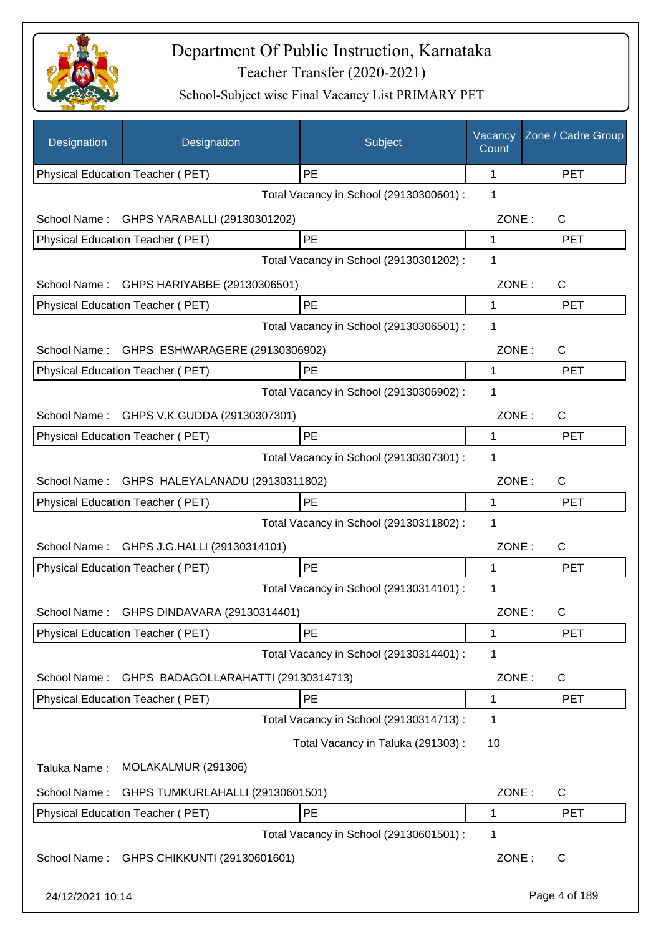

| Designation      | Designation                         | Subject                                 | Vacancy<br>Count | Zone / Cadre Group |
|------------------|-------------------------------------|-----------------------------------------|------------------|--------------------|
|                  | Physical Education Teacher (PET)    | PE                                      | 1                | <b>PET</b>         |
|                  |                                     | Total Vacancy in School (29130300601) : | 1                |                    |
| School Name:     | GHPS YARABALLI (29130301202)        |                                         | ZONE:            | C                  |
|                  | Physical Education Teacher (PET)    | PE                                      | 1                | <b>PET</b>         |
|                  |                                     | Total Vacancy in School (29130301202) : | 1                |                    |
| School Name:     | GHPS HARIYABBE (29130306501)        |                                         | ZONE:            | $\mathsf{C}$       |
|                  | Physical Education Teacher (PET)    | PE                                      | 1                | <b>PET</b>         |
|                  |                                     | Total Vacancy in School (29130306501) : | 1                |                    |
| School Name:     | GHPS ESHWARAGERE (29130306902)      |                                         | ZONE:            | $\mathsf{C}$       |
|                  | Physical Education Teacher (PET)    | PE                                      | 1                | <b>PET</b>         |
|                  |                                     | Total Vacancy in School (29130306902) : | 1                |                    |
| School Name:     | GHPS V.K.GUDDA (29130307301)        |                                         | ZONE:            | $\mathsf{C}$       |
|                  | Physical Education Teacher (PET)    | PE                                      | 1                | <b>PET</b>         |
|                  |                                     | Total Vacancy in School (29130307301) : | 1                |                    |
| School Name:     | GHPS HALEYALANADU (29130311802)     |                                         | ZONE:            | $\mathsf{C}$       |
|                  | Physical Education Teacher (PET)    | PE                                      | 1                | <b>PET</b>         |
|                  |                                     | Total Vacancy in School (29130311802) : | 1                |                    |
| School Name:     | GHPS J.G.HALLI (29130314101)        |                                         | ZONE:            | $\mathsf{C}$       |
|                  | Physical Education Teacher (PET)    | PE                                      | 1                | <b>PET</b>         |
|                  |                                     | Total Vacancy in School (29130314101) : | 1                |                    |
| School Name:     | GHPS DINDAVARA (29130314401)        |                                         | ZONE:            | C                  |
|                  | Physical Education Teacher (PET)    | <b>PE</b>                               | 1                | <b>PET</b>         |
|                  |                                     | Total Vacancy in School (29130314401) : | 1                |                    |
| School Name:     | GHPS BADAGOLLARAHATTI (29130314713) |                                         | ZONE:            | C                  |
|                  | Physical Education Teacher (PET)    | PE                                      | 1                | <b>PET</b>         |
|                  |                                     | Total Vacancy in School (29130314713) : | 1                |                    |
|                  |                                     | Total Vacancy in Taluka (291303):       | 10               |                    |
| Taluka Name:     | MOLAKALMUR (291306)                 |                                         |                  |                    |
| School Name:     | GHPS TUMKURLAHALLI (29130601501)    |                                         | ZONE:            | $\mathsf{C}$       |
|                  | Physical Education Teacher (PET)    | PE                                      | 1                | <b>PET</b>         |
|                  |                                     | Total Vacancy in School (29130601501) : | 1                |                    |
| School Name:     | GHPS CHIKKUNTI (29130601601)        |                                         | ZONE:            | $\mathsf{C}$       |
| 24/12/2021 10:14 |                                     |                                         |                  | Page 4 of 189      |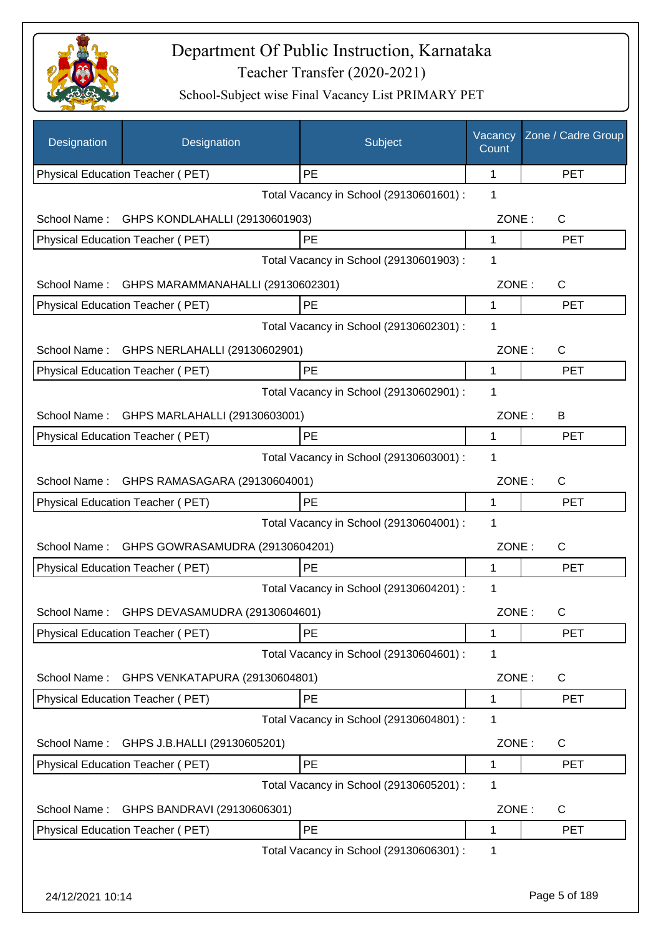

| Designation      | Designation                             | Subject                                 | Vacancy<br>Count | Zone / Cadre Group |
|------------------|-----------------------------------------|-----------------------------------------|------------------|--------------------|
|                  | Physical Education Teacher (PET)        | PE                                      | 1                | <b>PET</b>         |
|                  |                                         | Total Vacancy in School (29130601601) : | 1                |                    |
| School Name:     | GHPS KONDLAHALLI (29130601903)          |                                         | ZONE:            | C                  |
|                  | Physical Education Teacher (PET)        | PE                                      | 1                | <b>PET</b>         |
|                  |                                         | Total Vacancy in School (29130601903) : | 1                |                    |
| School Name:     | GHPS MARAMMANAHALLI (29130602301)       |                                         | ZONE:            | C                  |
|                  | Physical Education Teacher (PET)        | PE                                      | 1                | <b>PET</b>         |
|                  |                                         | Total Vacancy in School (29130602301) : | 1                |                    |
| School Name:     | GHPS NERLAHALLI (29130602901)           |                                         | ZONE:            | $\mathsf{C}$       |
|                  | Physical Education Teacher (PET)        | PE                                      | 1                | <b>PET</b>         |
|                  |                                         | Total Vacancy in School (29130602901) : | 1                |                    |
| School Name:     | GHPS MARLAHALLI (29130603001)           |                                         | ZONE:            | B                  |
|                  | Physical Education Teacher (PET)        | PE                                      | 1                | <b>PET</b>         |
|                  |                                         | Total Vacancy in School (29130603001) : | 1                |                    |
| School Name:     | GHPS RAMASAGARA (29130604001)           |                                         | ZONE:            | C                  |
|                  | Physical Education Teacher (PET)        | PE                                      | 1                | <b>PET</b>         |
|                  |                                         | Total Vacancy in School (29130604001) : | 1                |                    |
| School Name:     | GHPS GOWRASAMUDRA (29130604201)         |                                         | ZONE:            | C                  |
|                  | <b>Physical Education Teacher (PET)</b> | PE                                      | 1                | <b>PET</b>         |
|                  |                                         | Total Vacancy in School (29130604201) : | 1                |                    |
| School Name:     | GHPS DEVASAMUDRA (29130604601)          |                                         | ZONE:            | C                  |
|                  | Physical Education Teacher (PET)        | PE                                      | 1                | <b>PET</b>         |
|                  |                                         | Total Vacancy in School (29130604601) : | 1                |                    |
| School Name:     | GHPS VENKATAPURA (29130604801)          |                                         | ZONE:            | C                  |
|                  | Physical Education Teacher (PET)        | PE                                      | 1                | <b>PET</b>         |
|                  |                                         | Total Vacancy in School (29130604801) : | 1                |                    |
| School Name:     | GHPS J.B.HALLI (29130605201)            |                                         | ZONE:            | C                  |
|                  | Physical Education Teacher (PET)        | PE                                      | 1                | <b>PET</b>         |
|                  |                                         | Total Vacancy in School (29130605201) : | 1                |                    |
| School Name:     | GHPS BANDRAVI (29130606301)             |                                         | ZONE:            | C                  |
|                  | Physical Education Teacher (PET)        | PE                                      | 1                | <b>PET</b>         |
|                  |                                         | Total Vacancy in School (29130606301) : | 1                |                    |
|                  |                                         |                                         |                  |                    |
| 24/12/2021 10:14 |                                         |                                         |                  | Page 5 of 189      |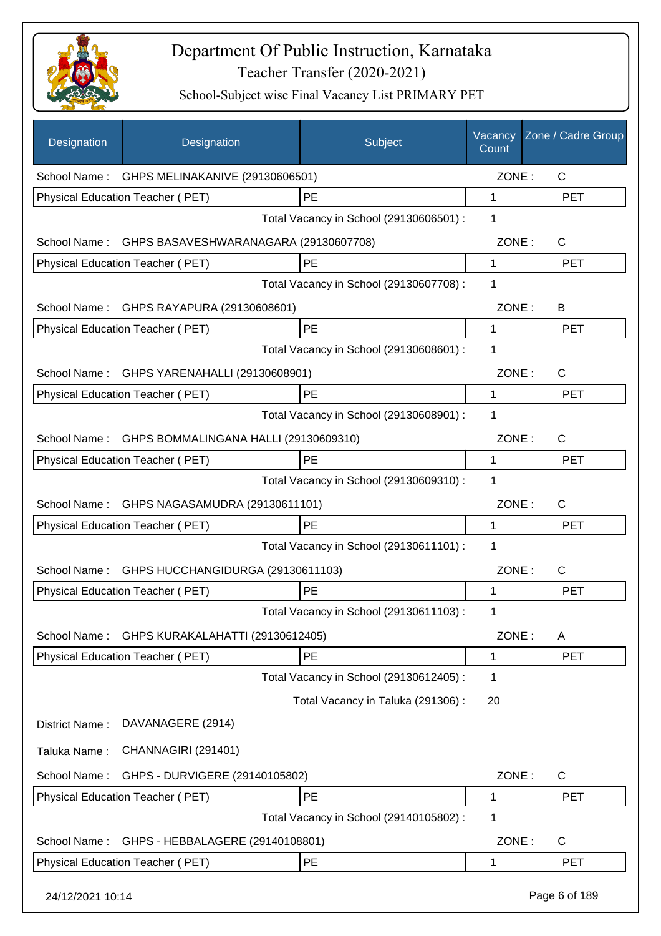

| Designation      | Designation                                        | Subject                                 | Vacancy<br>Count | Zone / Cadre Group |
|------------------|----------------------------------------------------|-----------------------------------------|------------------|--------------------|
|                  | School Name: GHPS MELINAKANIVE (29130606501)       |                                         | ZONE:            | $\mathsf{C}$       |
|                  | Physical Education Teacher (PET)                   | PE                                      | 1                | <b>PET</b>         |
|                  |                                                    | Total Vacancy in School (29130606501) : | 1                |                    |
|                  | School Name: GHPS BASAVESHWARANAGARA (29130607708) |                                         | ZONE:            | C                  |
|                  | Physical Education Teacher (PET)                   | PE                                      | 1                | <b>PET</b>         |
|                  |                                                    | Total Vacancy in School (29130607708) : | 1                |                    |
|                  | School Name: GHPS RAYAPURA (29130608601)           |                                         | ZONE:            | B                  |
|                  | Physical Education Teacher (PET)                   | PE                                      | 1                | <b>PET</b>         |
|                  |                                                    | Total Vacancy in School (29130608601) : | 1                |                    |
| School Name:     | GHPS YARENAHALLI (29130608901)                     |                                         | ZONE:            | $\mathsf{C}$       |
|                  | <b>Physical Education Teacher (PET)</b>            | PE                                      | 1                | <b>PET</b>         |
|                  |                                                    | Total Vacancy in School (29130608901) : | 1                |                    |
| School Name:     | GHPS BOMMALINGANA HALLI (29130609310)              |                                         | ZONE:            | $\mathsf{C}$       |
|                  | Physical Education Teacher (PET)                   | PE                                      | 1                | <b>PET</b>         |
|                  |                                                    | Total Vacancy in School (29130609310) : | 1                |                    |
| School Name:     | GHPS NAGASAMUDRA (29130611101)                     |                                         | ZONE:            | C                  |
|                  | Physical Education Teacher (PET)                   | PE                                      | 1                | <b>PET</b>         |
|                  |                                                    | Total Vacancy in School (29130611101) : | 1                |                    |
| School Name:     | GHPS HUCCHANGIDURGA (29130611103)                  |                                         | ZONE:            | $\mathsf{C}$       |
|                  | Physical Education Teacher (PET)                   | PE                                      | 1                | <b>PET</b>         |
|                  |                                                    | Total Vacancy in School (29130611103) : | 1                |                    |
| School Name:     | GHPS KURAKALAHATTI (29130612405)                   |                                         | ZONE:            | Α                  |
|                  | Physical Education Teacher (PET)                   | PE                                      | 1                | <b>PET</b>         |
|                  |                                                    | Total Vacancy in School (29130612405) : | 1                |                    |
|                  |                                                    | Total Vacancy in Taluka (291306):       | 20               |                    |
| District Name:   | DAVANAGERE (2914)                                  |                                         |                  |                    |
| Taluka Name:     | CHANNAGIRI (291401)                                |                                         |                  |                    |
| School Name:     | GHPS - DURVIGERE (29140105802)                     |                                         | ZONE:            | C                  |
|                  | <b>Physical Education Teacher (PET)</b>            | PE                                      | 1                | <b>PET</b>         |
|                  |                                                    | Total Vacancy in School (29140105802) : | 1                |                    |
| School Name:     | GHPS - HEBBALAGERE (29140108801)                   |                                         | ZONE:            | C                  |
|                  | Physical Education Teacher (PET)                   | PE                                      | 1                | <b>PET</b>         |
| 24/12/2021 10:14 |                                                    |                                         |                  | Page 6 of 189      |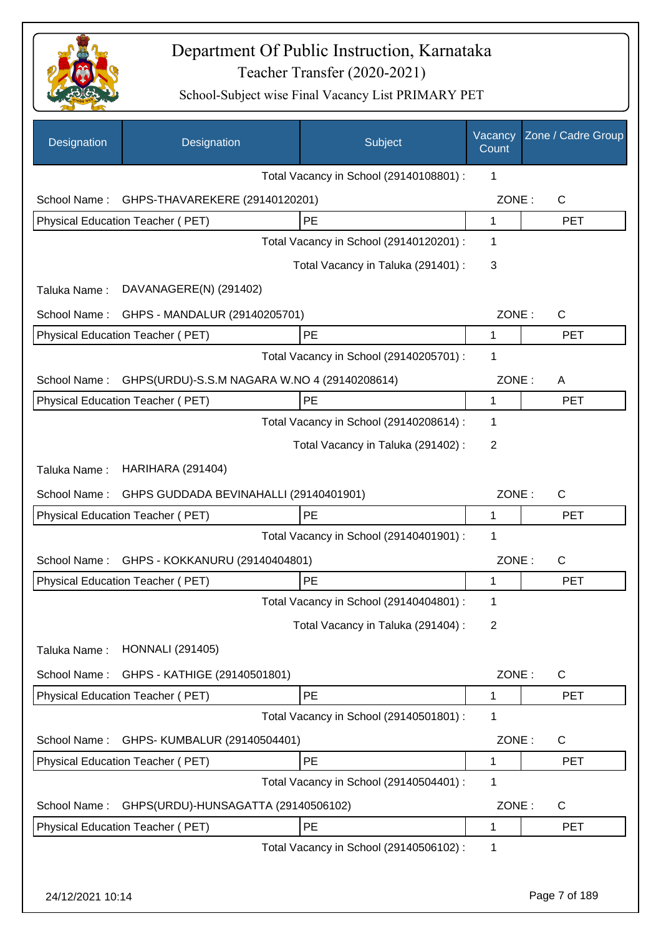

| Designation      | Designation                                  | Subject                                 | Vacancy<br>Count | Zone / Cadre Group |
|------------------|----------------------------------------------|-----------------------------------------|------------------|--------------------|
|                  |                                              | Total Vacancy in School (29140108801) : | 1                |                    |
| School Name:     | GHPS-THAVAREKERE (29140120201)               |                                         | ZONE:            | $\mathsf{C}$       |
|                  | Physical Education Teacher (PET)             | PE                                      | $\mathbf{1}$     | <b>PET</b>         |
|                  |                                              | Total Vacancy in School (29140120201) : | 1                |                    |
|                  |                                              | Total Vacancy in Taluka (291401) :      | 3                |                    |
| Taluka Name:     | DAVANAGERE(N) (291402)                       |                                         |                  |                    |
| School Name:     | GHPS - MANDALUR (29140205701)                |                                         | ZONE:            | $\mathsf{C}$       |
|                  | Physical Education Teacher (PET)             | <b>PE</b>                               | 1                | <b>PET</b>         |
|                  |                                              | Total Vacancy in School (29140205701) : | 1                |                    |
| School Name:     | GHPS(URDU)-S.S.M NAGARA W.NO 4 (29140208614) |                                         | ZONE:            | A                  |
|                  | Physical Education Teacher (PET)             | PE                                      | 1                | <b>PET</b>         |
|                  |                                              | Total Vacancy in School (29140208614) : | 1                |                    |
|                  |                                              | Total Vacancy in Taluka (291402):       | 2                |                    |
| Taluka Name:     | <b>HARIHARA (291404)</b>                     |                                         |                  |                    |
| School Name:     | GHPS GUDDADA BEVINAHALLI (29140401901)       |                                         | ZONE:            | $\mathsf{C}$       |
|                  | Physical Education Teacher (PET)             | PE                                      | 1                | <b>PET</b>         |
|                  |                                              | Total Vacancy in School (29140401901) : | 1                |                    |
| School Name:     | GHPS - KOKKANURU (29140404801)               |                                         | ZONE:            | $\mathsf{C}$       |
|                  | <b>Physical Education Teacher (PET)</b>      | PE                                      | $\mathbf{1}$     | <b>PET</b>         |
|                  |                                              | Total Vacancy in School (29140404801) : | 1                |                    |
|                  |                                              | Total Vacancy in Taluka (291404) :      | 2                |                    |
| Taluka Name:     | <b>HONNALI</b> (291405)                      |                                         |                  |                    |
| School Name:     | GHPS - KATHIGE (29140501801)                 |                                         | ZONE:            | C                  |
|                  | Physical Education Teacher (PET)             | <b>PE</b>                               | 1                | <b>PET</b>         |
|                  |                                              | Total Vacancy in School (29140501801) : | 1                |                    |
| School Name:     | GHPS- KUMBALUR (29140504401)                 |                                         | ZONE:            | $\mathsf{C}$       |
|                  | Physical Education Teacher (PET)             | PE                                      | $\mathbf{1}$     | <b>PET</b>         |
|                  |                                              | Total Vacancy in School (29140504401) : | 1                |                    |
| School Name:     | GHPS(URDU)-HUNSAGATTA (29140506102)          |                                         | ZONE:            | C                  |
|                  | Physical Education Teacher (PET)             | PE                                      | 1                | <b>PET</b>         |
|                  |                                              | Total Vacancy in School (29140506102) : | 1                |                    |
|                  |                                              |                                         |                  |                    |
| 24/12/2021 10:14 |                                              |                                         |                  | Page 7 of 189      |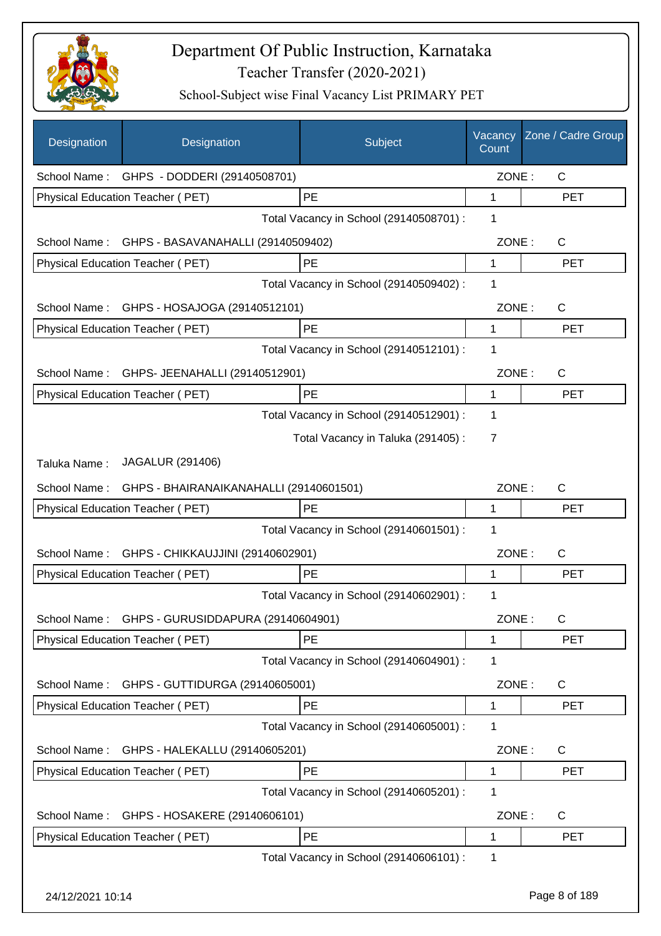

| Designation  | Designation                                     | Subject                                 | Vacancy<br>Count | Zone / Cadre Group |
|--------------|-------------------------------------------------|-----------------------------------------|------------------|--------------------|
|              | School Name: GHPS - DODDERI (29140508701)       |                                         | ZONE:            | $\mathsf{C}$       |
|              | Physical Education Teacher (PET)                | PE                                      | 1                | <b>PET</b>         |
|              |                                                 | Total Vacancy in School (29140508701) : | 1                |                    |
|              | School Name: GHPS - BASAVANAHALLI (29140509402) |                                         | ZONE:            | $\mathsf{C}$       |
|              | Physical Education Teacher (PET)                | PE                                      | 1                | <b>PET</b>         |
|              |                                                 | Total Vacancy in School (29140509402) : | 1                |                    |
| School Name: | GHPS - HOSAJOGA (29140512101)                   |                                         | ZONE:            | $\mathsf{C}$       |
|              | Physical Education Teacher (PET)                | PE                                      | 1                | <b>PET</b>         |
|              |                                                 | Total Vacancy in School (29140512101) : | 1                |                    |
| School Name: | GHPS- JEENAHALLI (29140512901)                  |                                         | ZONE:            | C                  |
|              | Physical Education Teacher (PET)                | PE                                      | 1                | <b>PET</b>         |
|              |                                                 | Total Vacancy in School (29140512901) : | 1                |                    |
|              |                                                 | Total Vacancy in Taluka (291405):       | 7                |                    |
| Taluka Name: | JAGALUR (291406)                                |                                         |                  |                    |
| School Name: | GHPS - BHAIRANAIKANAHALLI (29140601501)         |                                         | ZONE:            | C                  |
|              | Physical Education Teacher (PET)                | <b>PE</b>                               | 1                | <b>PET</b>         |
|              |                                                 | Total Vacancy in School (29140601501) : | 1                |                    |
| School Name: | GHPS - CHIKKAUJJINI (29140602901)               |                                         | ZONE:            | $\mathsf{C}$       |
|              | Physical Education Teacher (PET)                | PE                                      | 1                | <b>PET</b>         |
|              |                                                 | Total Vacancy in School (29140602901) : | 1                |                    |
| School Name: | GHPS - GURUSIDDAPURA (29140604901)              |                                         | ZONE:            | $\mathsf C$        |
|              | <b>Physical Education Teacher (PET)</b>         | PE                                      | 1                | PET                |
|              |                                                 | Total Vacancy in School (29140604901) : | 1                |                    |
| School Name: | GHPS - GUTTIDURGA (29140605001)                 |                                         | ZONE:            | C                  |
|              | Physical Education Teacher (PET)                | <b>PE</b>                               | 1                | <b>PET</b>         |
|              |                                                 | Total Vacancy in School (29140605001) : | 1                |                    |
| School Name: | GHPS - HALEKALLU (29140605201)                  |                                         | ZONE:            | C                  |
|              | Physical Education Teacher (PET)                | PE                                      | 1                | <b>PET</b>         |
|              |                                                 | Total Vacancy in School (29140605201) : | 1                |                    |
| School Name: | GHPS - HOSAKERE (29140606101)                   |                                         | ZONE:            | $\mathsf{C}$       |
|              | Physical Education Teacher (PET)                | PE                                      | 1                | <b>PET</b>         |
|              |                                                 | Total Vacancy in School (29140606101) : | 1                |                    |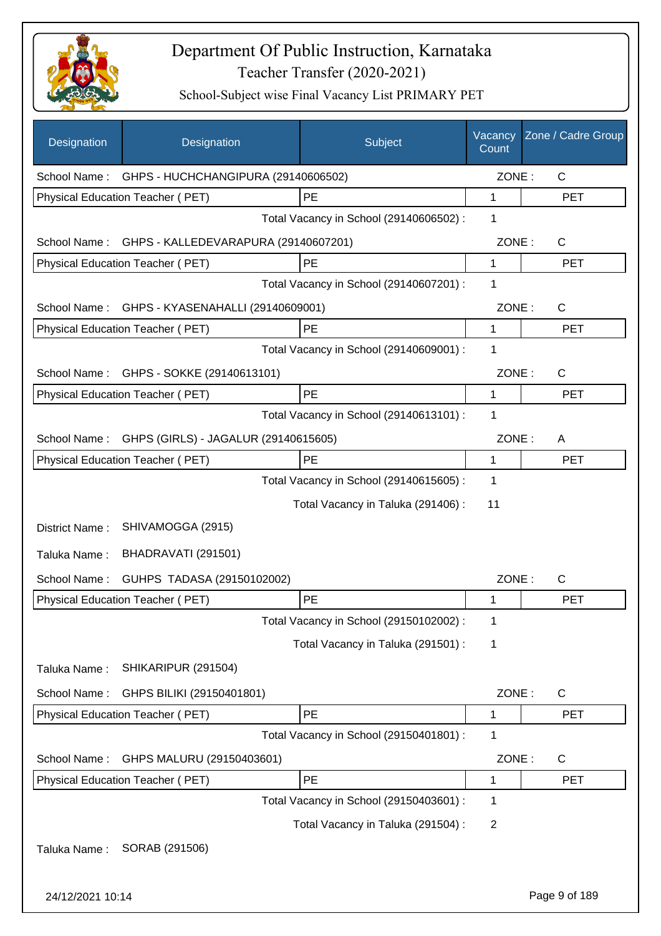

| Designation      | Designation                                       | Subject                                 | Vacancy<br>Count | Zone / Cadre Group |
|------------------|---------------------------------------------------|-----------------------------------------|------------------|--------------------|
|                  | School Name: GHPS - HUCHCHANGIPURA (29140606502)  |                                         | ZONE:            | $\mathsf{C}$       |
|                  | Physical Education Teacher (PET)                  | PE                                      | 1                | <b>PET</b>         |
|                  |                                                   | Total Vacancy in School (29140606502) : | 1                |                    |
|                  | School Name: GHPS - KALLEDEVARAPURA (29140607201) |                                         | ZONE:            | $\mathsf{C}$       |
|                  | Physical Education Teacher (PET)                  | PE                                      | 1                | <b>PET</b>         |
|                  |                                                   | Total Vacancy in School (29140607201) : | 1                |                    |
|                  | School Name: GHPS - KYASENAHALLI (29140609001)    |                                         | ZONE:            | $\mathsf{C}$       |
|                  | Physical Education Teacher (PET)                  | PE                                      | 1                | <b>PET</b>         |
|                  |                                                   | Total Vacancy in School (29140609001) : | 1                |                    |
| School Name:     | GHPS - SOKKE (29140613101)                        |                                         | ZONE:            | $\mathsf{C}$       |
|                  | <b>Physical Education Teacher (PET)</b>           | <b>PE</b>                               | 1                | <b>PET</b>         |
|                  |                                                   | Total Vacancy in School (29140613101) : | 1                |                    |
| School Name:     | GHPS (GIRLS) - JAGALUR (29140615605)              |                                         | ZONE:            | A                  |
|                  | <b>Physical Education Teacher (PET)</b>           | PE                                      | 1                | <b>PET</b>         |
|                  |                                                   | Total Vacancy in School (29140615605) : | 1                |                    |
|                  |                                                   | Total Vacancy in Taluka (291406) :      | 11               |                    |
| District Name:   | SHIVAMOGGA (2915)                                 |                                         |                  |                    |
| Taluka Name:     | BHADRAVATI (291501)                               |                                         |                  |                    |
| School Name:     | GUHPS TADASA (29150102002)                        |                                         | ZONE:            | $\mathsf{C}$       |
|                  | <b>Physical Education Teacher (PET)</b>           | PE                                      | 1                | <b>PET</b>         |
|                  |                                                   | Total Vacancy in School (29150102002) : | 1                |                    |
|                  |                                                   | Total Vacancy in Taluka (291501) :      | 1                |                    |
| Taluka Name:     | SHIKARIPUR (291504)                               |                                         |                  |                    |
|                  |                                                   |                                         |                  |                    |
| School Name:     | GHPS BILIKI (29150401801)                         | PE                                      | ZONE:            | C                  |
|                  | Physical Education Teacher (PET)                  |                                         | 1                | <b>PET</b>         |
|                  |                                                   | Total Vacancy in School (29150401801) : | 1                |                    |
| School Name:     | GHPS MALURU (29150403601)                         |                                         | ZONE:            | C                  |
|                  | Physical Education Teacher (PET)                  | PE                                      | 1                | <b>PET</b>         |
|                  |                                                   | Total Vacancy in School (29150403601) : | 1                |                    |
|                  |                                                   | Total Vacancy in Taluka (291504) :      | $\overline{2}$   |                    |
| Taluka Name:     | SORAB (291506)                                    |                                         |                  |                    |
|                  |                                                   |                                         |                  |                    |
| 24/12/2021 10:14 |                                                   |                                         |                  | Page 9 of 189      |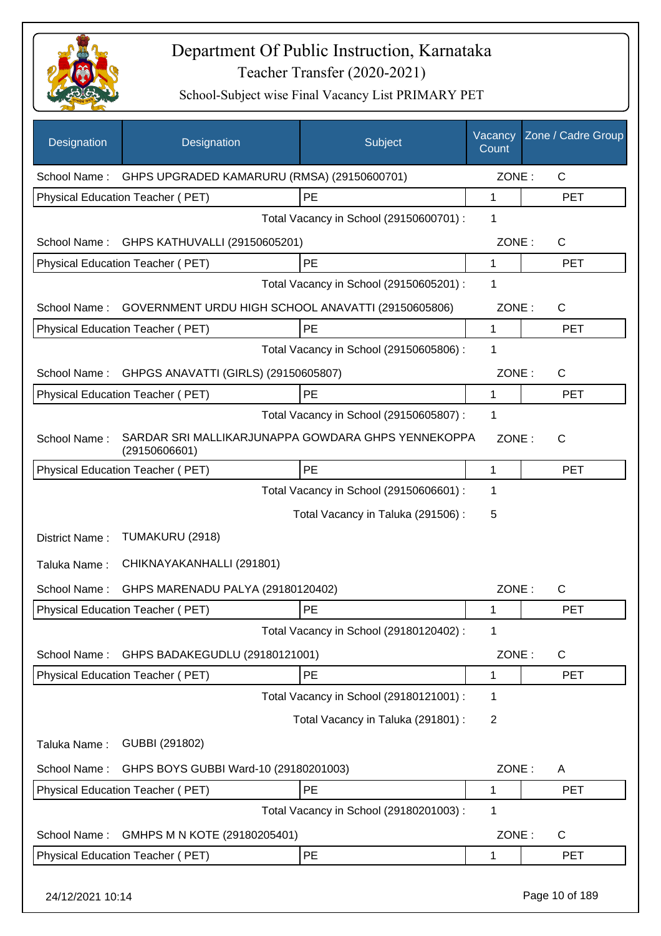

| Designation      | Designation                                                         | Subject                                 | Vacancy<br>Count | Zone / Cadre Group |
|------------------|---------------------------------------------------------------------|-----------------------------------------|------------------|--------------------|
| School Name:     | GHPS UPGRADED KAMARURU (RMSA) (29150600701)                         |                                         | ZONE:            | $\mathsf{C}$       |
|                  | Physical Education Teacher (PET)                                    | PE                                      | $\mathbf{1}$     | <b>PET</b>         |
|                  |                                                                     | Total Vacancy in School (29150600701) : | 1                |                    |
| School Name:     | GHPS KATHUVALLI (29150605201)                                       |                                         | ZONE:            | $\mathsf{C}$       |
|                  | Physical Education Teacher (PET)                                    | PE                                      | 1                | <b>PET</b>         |
|                  |                                                                     | Total Vacancy in School (29150605201) : | 1                |                    |
| School Name:     | GOVERNMENT URDU HIGH SCHOOL ANAVATTI (29150605806)                  |                                         | ZONE:            | C                  |
|                  | Physical Education Teacher (PET)                                    | PE                                      | $\mathbf{1}$     | <b>PET</b>         |
|                  |                                                                     | Total Vacancy in School (29150605806) : | 1                |                    |
| School Name:     | GHPGS ANAVATTI (GIRLS) (29150605807)                                |                                         | ZONE:            | $\mathsf{C}$       |
|                  | <b>Physical Education Teacher (PET)</b>                             | PE                                      | 1                | <b>PET</b>         |
|                  |                                                                     | Total Vacancy in School (29150605807) : | 1                |                    |
| School Name:     | SARDAR SRI MALLIKARJUNAPPA GOWDARA GHPS YENNEKOPPA<br>(29150606601) |                                         | ZONE:            | $\mathsf{C}$       |
|                  | Physical Education Teacher (PET)                                    | PE                                      | 1                | <b>PET</b>         |
|                  |                                                                     | Total Vacancy in School (29150606601) : | 1                |                    |
|                  |                                                                     | Total Vacancy in Taluka (291506) :      | 5                |                    |
| District Name:   | TUMAKURU (2918)                                                     |                                         |                  |                    |
| Taluka Name:     | CHIKNAYAKANHALLI (291801)                                           |                                         |                  |                    |
| School Name:     | GHPS MARENADU PALYA (29180120402)                                   |                                         | ZONE:            | $\mathsf{C}$       |
|                  | Physical Education Teacher (PET)                                    | PE                                      | 1                | <b>PET</b>         |
|                  |                                                                     | Total Vacancy in School (29180120402) : | 1                |                    |
| School Name:     | GHPS BADAKEGUDLU (29180121001)                                      |                                         | ZONE:            | C                  |
|                  | Physical Education Teacher (PET)                                    | PE                                      | 1                | <b>PET</b>         |
|                  |                                                                     | Total Vacancy in School (29180121001) : | 1                |                    |
|                  |                                                                     | Total Vacancy in Taluka (291801) :      | $\overline{2}$   |                    |
| Taluka Name:     | GUBBI (291802)                                                      |                                         |                  |                    |
| School Name:     | GHPS BOYS GUBBI Ward-10 (29180201003)                               |                                         | ZONE:            | A                  |
|                  | Physical Education Teacher (PET)                                    | PE                                      | $\mathbf 1$      | <b>PET</b>         |
|                  |                                                                     | Total Vacancy in School (29180201003) : | 1                |                    |
| School Name:     | GMHPS M N KOTE (29180205401)                                        |                                         | ZONE:            | $\mathsf{C}$       |
|                  | Physical Education Teacher (PET)                                    | PE                                      | $\mathbf 1$      | <b>PET</b>         |
| 24/12/2021 10:14 |                                                                     |                                         |                  | Page 10 of 189     |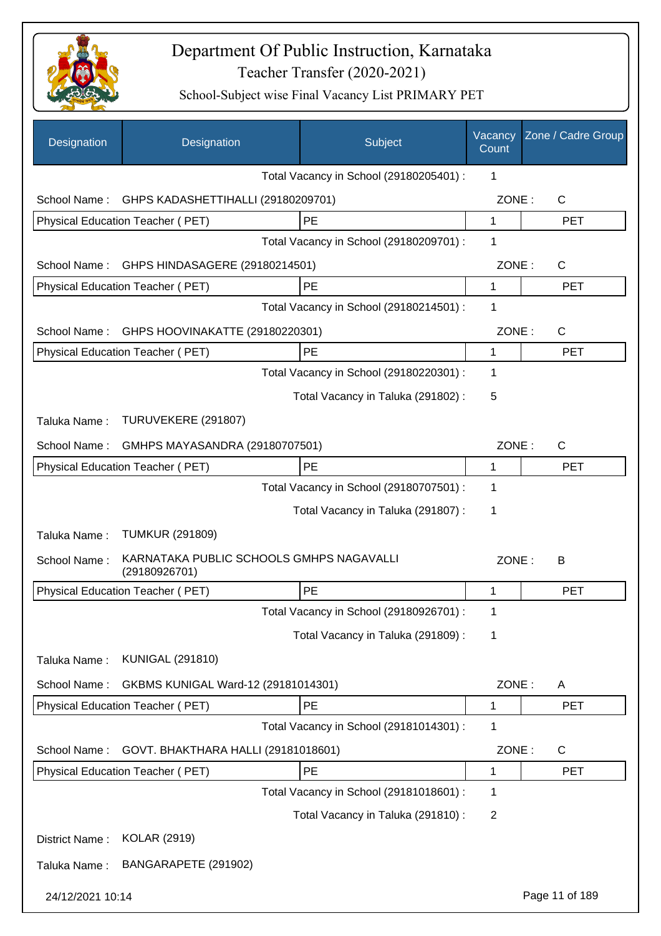

| Designation      | Designation                                               |  | Subject                                 | Vacancy<br>Count | Zone / Cadre Group    |
|------------------|-----------------------------------------------------------|--|-----------------------------------------|------------------|-----------------------|
|                  |                                                           |  | Total Vacancy in School (29180205401) : | 1                |                       |
| School Name:     | GHPS KADASHETTIHALLI (29180209701)                        |  |                                         | ZONE:            | $\mathsf{C}$          |
|                  | Physical Education Teacher (PET)                          |  | PE                                      | 1                | <b>PET</b>            |
|                  |                                                           |  | Total Vacancy in School (29180209701) : | 1                |                       |
| School Name:     | GHPS HINDASAGERE (29180214501)                            |  |                                         | ZONE:            | $\mathsf{C}$          |
|                  | Physical Education Teacher (PET)                          |  | PE                                      | $\mathbf{1}$     | <b>PET</b>            |
|                  |                                                           |  | Total Vacancy in School (29180214501) : | 1                |                       |
| School Name:     | GHPS HOOVINAKATTE (29180220301)                           |  |                                         | ZONE:            | $\mathsf{C}$          |
|                  | Physical Education Teacher (PET)                          |  | PE                                      | $\mathbf 1$      | <b>PET</b>            |
|                  |                                                           |  | Total Vacancy in School (29180220301) : | 1                |                       |
|                  |                                                           |  | Total Vacancy in Taluka (291802):       | 5                |                       |
| Taluka Name:     | TURUVEKERE (291807)                                       |  |                                         |                  |                       |
| School Name:     | GMHPS MAYASANDRA (29180707501)                            |  |                                         |                  | ZONE:<br>$\mathsf{C}$ |
|                  | <b>Physical Education Teacher (PET)</b>                   |  | PE                                      | 1                | <b>PET</b>            |
|                  |                                                           |  | Total Vacancy in School (29180707501) : | 1                |                       |
|                  |                                                           |  | Total Vacancy in Taluka (291807) :      | 1                |                       |
| Taluka Name:     | <b>TUMKUR (291809)</b>                                    |  |                                         |                  |                       |
| School Name:     | KARNATAKA PUBLIC SCHOOLS GMHPS NAGAVALLI<br>(29180926701) |  |                                         | ZONE:            | B                     |
|                  | <b>Physical Education Teacher (PET)</b>                   |  | PE                                      | 1                | <b>PET</b>            |
|                  |                                                           |  | Total Vacancy in School (29180926701) : | 1                |                       |
|                  |                                                           |  | Total Vacancy in Taluka (291809):       | 1                |                       |
| Taluka Name:     | <b>KUNIGAL (291810)</b>                                   |  |                                         |                  |                       |
| School Name:     | GKBMS KUNIGAL Ward-12 (29181014301)                       |  |                                         | ZONE:            | A                     |
|                  | <b>Physical Education Teacher (PET)</b>                   |  | PE                                      | 1                | <b>PET</b>            |
|                  |                                                           |  | Total Vacancy in School (29181014301) : | 1                |                       |
| School Name:     | GOVT. BHAKTHARA HALLI (29181018601)                       |  |                                         | ZONE:            | $\mathsf{C}$          |
|                  | <b>Physical Education Teacher (PET)</b>                   |  | PE                                      | 1                | <b>PET</b>            |
|                  |                                                           |  | Total Vacancy in School (29181018601) : | 1                |                       |
|                  |                                                           |  | Total Vacancy in Taluka (291810) :      | $\overline{2}$   |                       |
| District Name:   | <b>KOLAR (2919)</b>                                       |  |                                         |                  |                       |
| Taluka Name:     | BANGARAPETE (291902)                                      |  |                                         |                  |                       |
| 24/12/2021 10:14 |                                                           |  |                                         |                  | Page 11 of 189        |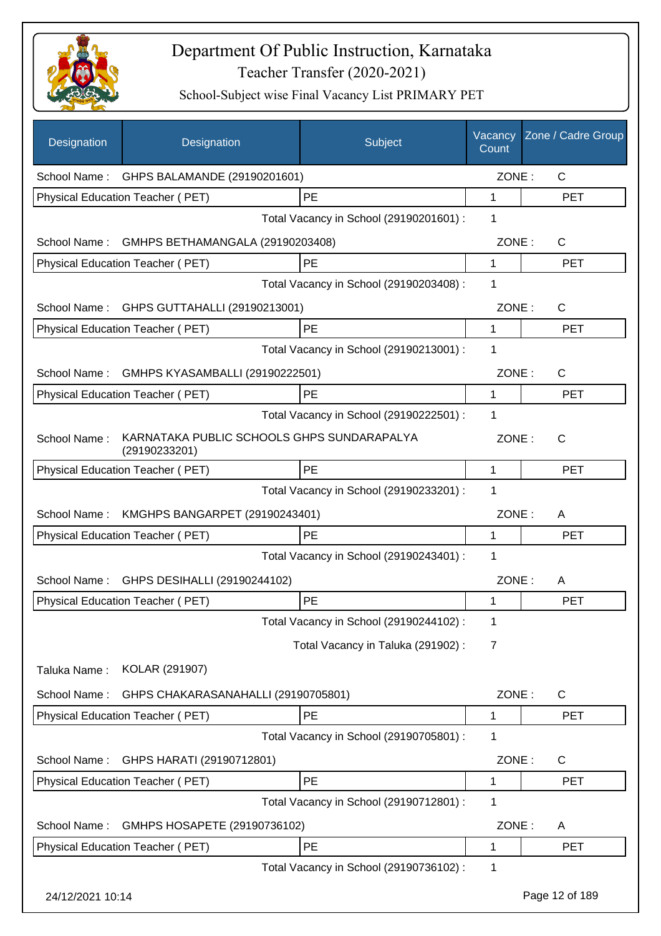

| Designation      | Designation                                                 | Subject                                 | Vacancy<br>Count | Zone / Cadre Group |
|------------------|-------------------------------------------------------------|-----------------------------------------|------------------|--------------------|
| School Name:     | GHPS BALAMANDE (29190201601)                                |                                         | ZONE:            | $\mathsf{C}$       |
|                  | Physical Education Teacher (PET)                            | PE                                      | 1                | <b>PET</b>         |
|                  |                                                             | Total Vacancy in School (29190201601) : | 1                |                    |
| School Name:     | GMHPS BETHAMANGALA (29190203408)                            |                                         | ZONE:            | C                  |
|                  | Physical Education Teacher (PET)                            | <b>PE</b>                               | 1                | <b>PET</b>         |
|                  |                                                             | Total Vacancy in School (29190203408) : | 1                |                    |
| School Name:     | GHPS GUTTAHALLI (29190213001)                               |                                         | ZONE:            | C                  |
|                  | Physical Education Teacher (PET)                            | PE                                      | 1                | <b>PET</b>         |
|                  |                                                             | Total Vacancy in School (29190213001) : | 1                |                    |
| School Name:     | GMHPS KYASAMBALLI (29190222501)                             |                                         | ZONE:            | $\mathsf{C}$       |
|                  | <b>Physical Education Teacher (PET)</b>                     | PE                                      | 1                | <b>PET</b>         |
|                  |                                                             | Total Vacancy in School (29190222501) : | 1                |                    |
| School Name:     | KARNATAKA PUBLIC SCHOOLS GHPS SUNDARAPALYA<br>(29190233201) |                                         | ZONE:            | $\mathsf{C}$       |
|                  | Physical Education Teacher (PET)                            | <b>PE</b>                               | 1                | <b>PET</b>         |
|                  |                                                             | Total Vacancy in School (29190233201) : | 1                |                    |
| School Name:     | KMGHPS BANGARPET (29190243401)                              |                                         | ZONE:            | A                  |
|                  | Physical Education Teacher (PET)                            | <b>PE</b>                               | 1                | <b>PET</b>         |
|                  |                                                             | Total Vacancy in School (29190243401) : | 1                |                    |
| School Name:     | GHPS DESIHALLI (29190244102)                                |                                         | ZONE:            | A                  |
|                  | Physical Education Teacher (PET)                            | <b>PE</b>                               | 1                | <b>PET</b>         |
|                  |                                                             | Total Vacancy in School (29190244102) : | 1                |                    |
|                  |                                                             | Total Vacancy in Taluka (291902):       | 7                |                    |
| Taluka Name:     | KOLAR (291907)                                              |                                         |                  |                    |
| School Name:     | GHPS CHAKARASANAHALLI (29190705801)                         |                                         | ZONE:            | C                  |
|                  | Physical Education Teacher (PET)                            | PE                                      | 1                | <b>PET</b>         |
|                  |                                                             | Total Vacancy in School (29190705801) : | 1                |                    |
| School Name:     | GHPS HARATI (29190712801)                                   |                                         | ZONE:            | C                  |
|                  | Physical Education Teacher (PET)                            | PE                                      | 1                | <b>PET</b>         |
|                  |                                                             | Total Vacancy in School (29190712801) : | 1                |                    |
| School Name:     | GMHPS HOSAPETE (29190736102)                                |                                         | ZONE:            | A                  |
|                  | Physical Education Teacher (PET)                            | PE                                      | 1                | <b>PET</b>         |
|                  |                                                             | Total Vacancy in School (29190736102) : | 1                |                    |
| 24/12/2021 10:14 |                                                             |                                         |                  | Page 12 of 189     |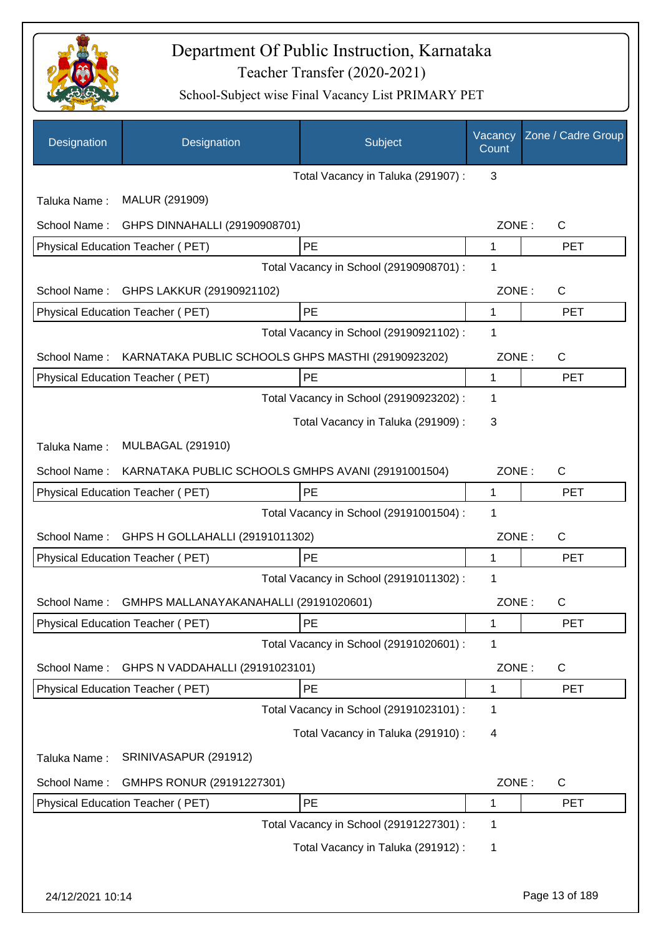

| Designation      | Designation                                        | Subject                                 | Vacancy<br>Count | Zone / Cadre Group |
|------------------|----------------------------------------------------|-----------------------------------------|------------------|--------------------|
|                  |                                                    | Total Vacancy in Taluka (291907) :      | 3                |                    |
| Taluka Name:     | MALUR (291909)                                     |                                         |                  |                    |
| School Name:     | GHPS DINNAHALLI (29190908701)                      |                                         | ZONE:            | $\mathsf{C}$       |
|                  | Physical Education Teacher (PET)                   | PE                                      | 1                | <b>PET</b>         |
|                  |                                                    | Total Vacancy in School (29190908701) : | 1                |                    |
| School Name:     | GHPS LAKKUR (29190921102)                          |                                         | ZONE:            | $\mathsf{C}$       |
|                  | Physical Education Teacher (PET)                   | PE                                      | 1                | <b>PET</b>         |
|                  |                                                    | Total Vacancy in School (29190921102) : | 1                |                    |
| School Name:     | KARNATAKA PUBLIC SCHOOLS GHPS MASTHI (29190923202) |                                         | ZONE:            | $\mathsf{C}$       |
|                  | <b>Physical Education Teacher (PET)</b>            | PE                                      | 1                | <b>PET</b>         |
|                  |                                                    | Total Vacancy in School (29190923202) : | 1                |                    |
|                  |                                                    | Total Vacancy in Taluka (291909):       | 3                |                    |
| Taluka Name:     | <b>MULBAGAL (291910)</b>                           |                                         |                  |                    |
| School Name:     | KARNATAKA PUBLIC SCHOOLS GMHPS AVANI (29191001504) |                                         | ZONE:            | $\mathsf{C}$       |
|                  | Physical Education Teacher (PET)                   | PE                                      | 1                | <b>PET</b>         |
|                  |                                                    | Total Vacancy in School (29191001504) : | 1                |                    |
| School Name:     | GHPS H GOLLAHALLI (29191011302)                    |                                         | ZONE:            | $\mathsf{C}$       |
|                  | Physical Education Teacher (PET)                   | PE                                      | 1                | <b>PET</b>         |
|                  |                                                    | Total Vacancy in School (29191011302) : | 1                |                    |
| School Name:     | GMHPS MALLANAYAKANAHALLI (29191020601)             |                                         | ZONE:            | C                  |
|                  | <b>Physical Education Teacher (PET)</b>            | PE                                      | 1                | <b>PET</b>         |
|                  |                                                    | Total Vacancy in School (29191020601) : | 1                |                    |
| School Name:     | GHPS N VADDAHALLI (29191023101)                    |                                         | ZONE:            | C                  |
|                  | Physical Education Teacher (PET)                   | PE                                      | 1                | <b>PET</b>         |
|                  |                                                    | Total Vacancy in School (29191023101) : | 1                |                    |
|                  |                                                    | Total Vacancy in Taluka (291910) :      | 4                |                    |
| Taluka Name:     | SRINIVASAPUR (291912)                              |                                         |                  |                    |
| School Name:     | GMHPS RONUR (29191227301)                          |                                         | ZONE:            | $\mathsf{C}$       |
|                  | Physical Education Teacher (PET)                   | PE                                      | 1                | <b>PET</b>         |
|                  |                                                    | Total Vacancy in School (29191227301) : | 1                |                    |
|                  |                                                    | Total Vacancy in Taluka (291912) :      | 1                |                    |
| 24/12/2021 10:14 |                                                    |                                         |                  | Page 13 of 189     |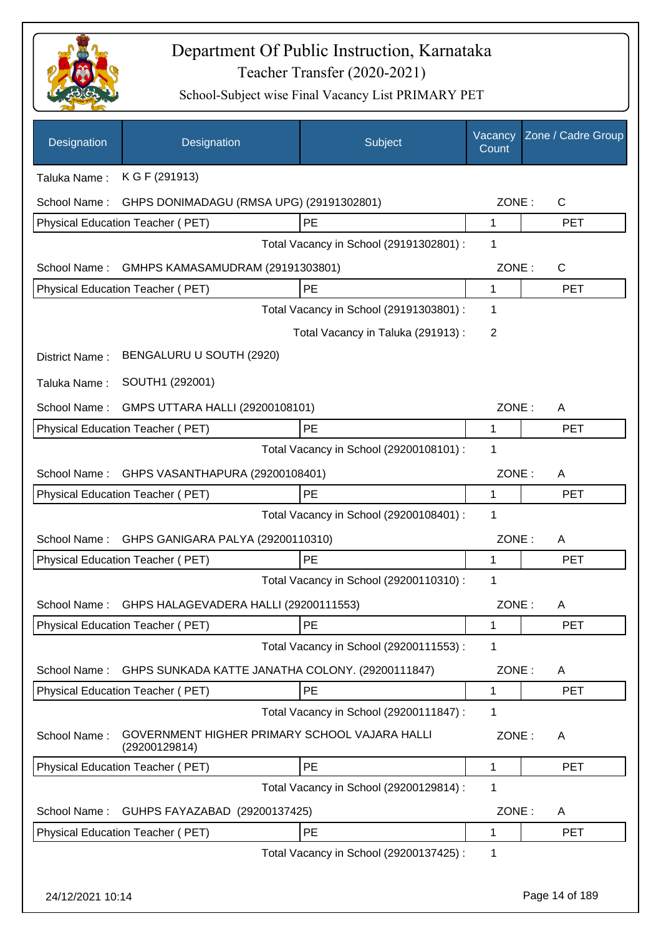

| Designation      | Designation                                                    | Subject                                 | Vacancy<br>Count | Zone / Cadre Group |
|------------------|----------------------------------------------------------------|-----------------------------------------|------------------|--------------------|
| Taluka Name:     | K G F (291913)                                                 |                                         |                  |                    |
| School Name:     | GHPS DONIMADAGU (RMSA UPG) (29191302801)                       |                                         | ZONE:            | $\mathsf{C}$       |
|                  | Physical Education Teacher (PET)                               | PE                                      | 1                | <b>PET</b>         |
|                  |                                                                | Total Vacancy in School (29191302801) : | 1                |                    |
| School Name:     | GMHPS KAMASAMUDRAM (29191303801)                               |                                         | ZONE:            | $\mathsf{C}$       |
|                  | Physical Education Teacher (PET)                               | PE                                      | 1                | <b>PET</b>         |
|                  |                                                                | Total Vacancy in School (29191303801) : | 1                |                    |
|                  |                                                                | Total Vacancy in Taluka (291913):       | $\overline{2}$   |                    |
| District Name:   | BENGALURU U SOUTH (2920)                                       |                                         |                  |                    |
| Taluka Name:     | SOUTH1 (292001)                                                |                                         |                  |                    |
| School Name:     | GMPS UTTARA HALLI (29200108101)                                |                                         | ZONE:            | A                  |
|                  | <b>Physical Education Teacher (PET)</b>                        | PE                                      | 1                | <b>PET</b>         |
|                  |                                                                | Total Vacancy in School (29200108101) : | 1                |                    |
| School Name:     | GHPS VASANTHAPURA (29200108401)                                |                                         | ZONE:            | A                  |
|                  | Physical Education Teacher (PET)                               | PE                                      | 1                | <b>PET</b>         |
|                  |                                                                | Total Vacancy in School (29200108401) : | 1                |                    |
| School Name:     | GHPS GANIGARA PALYA (29200110310)                              |                                         | ZONE:            | A                  |
|                  | Physical Education Teacher (PET)                               | <b>PE</b>                               | 1                | <b>PET</b>         |
|                  |                                                                | Total Vacancy in School (29200110310) : | 1                |                    |
| School Name:     | GHPS HALAGEVADERA HALLI (29200111553)                          |                                         | ZONE:            | A                  |
|                  | <b>Physical Education Teacher (PET)</b>                        | PE                                      | 1                | <b>PET</b>         |
|                  |                                                                | Total Vacancy in School (29200111553) : | 1                |                    |
| School Name:     | GHPS SUNKADA KATTE JANATHA COLONY. (29200111847)               |                                         | ZONE:            | A                  |
|                  | Physical Education Teacher (PET)                               | PE                                      | 1                | <b>PET</b>         |
|                  |                                                                | Total Vacancy in School (29200111847) : | 1                |                    |
| School Name:     | GOVERNMENT HIGHER PRIMARY SCHOOL VAJARA HALLI<br>(29200129814) |                                         | ZONE:            | A                  |
|                  | Physical Education Teacher (PET)                               | <b>PE</b>                               | 1                | <b>PET</b>         |
|                  |                                                                | Total Vacancy in School (29200129814) : | 1                |                    |
| School Name:     | GUHPS FAYAZABAD (29200137425)                                  |                                         | ZONE:            | A                  |
|                  | Physical Education Teacher (PET)                               | PE                                      | 1                | <b>PET</b>         |
|                  |                                                                | Total Vacancy in School (29200137425) : | 1                |                    |
| 24/12/2021 10:14 |                                                                |                                         |                  | Page 14 of 189     |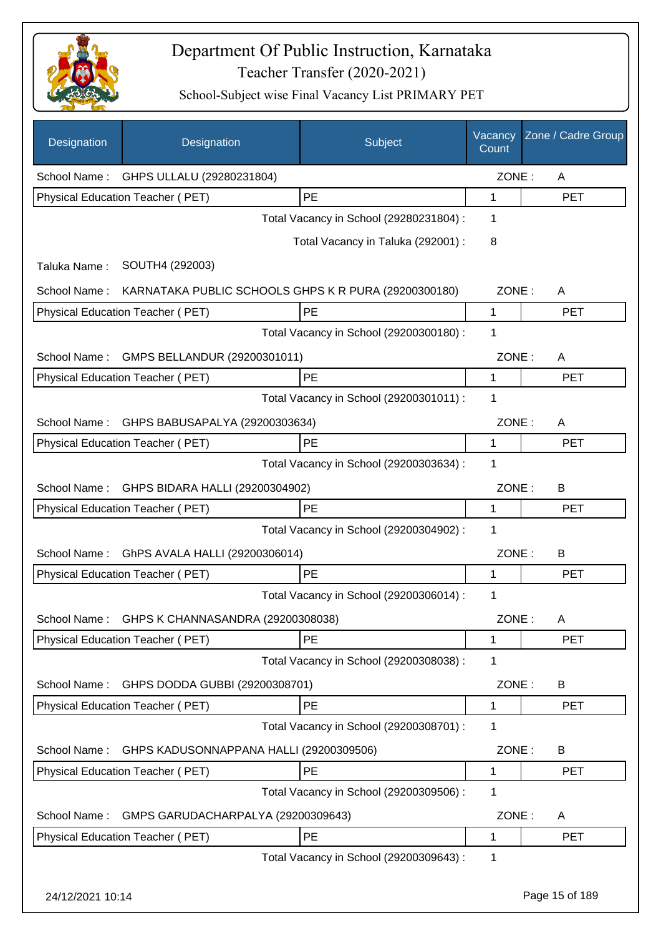

| Designation  | Designation                                          | Subject                                 | Vacancy<br>Count | Zone / Cadre Group |
|--------------|------------------------------------------------------|-----------------------------------------|------------------|--------------------|
|              | School Name: GHPS ULLALU (29280231804)               |                                         | ZONE:            | A                  |
|              | Physical Education Teacher (PET)                     | PE                                      | 1                | <b>PET</b>         |
|              |                                                      | Total Vacancy in School (29280231804) : | 1                |                    |
|              |                                                      | Total Vacancy in Taluka (292001) :      | 8                |                    |
| Taluka Name: | SOUTH4 (292003)                                      |                                         |                  |                    |
| School Name: | KARNATAKA PUBLIC SCHOOLS GHPS K R PURA (29200300180) |                                         | ZONE:            | A                  |
|              | Physical Education Teacher (PET)                     | PE                                      | 1                | <b>PET</b>         |
|              |                                                      | Total Vacancy in School (29200300180) : | 1                |                    |
| School Name: | GMPS BELLANDUR (29200301011)                         |                                         | ZONE:            | A                  |
|              | Physical Education Teacher (PET)                     | PE                                      | 1                | <b>PET</b>         |
|              |                                                      | Total Vacancy in School (29200301011) : | 1                |                    |
| School Name: | GHPS BABUSAPALYA (29200303634)                       |                                         | ZONE:            | A                  |
|              | Physical Education Teacher (PET)                     | PE                                      | 1                | <b>PET</b>         |
|              |                                                      | Total Vacancy in School (29200303634) : | 1                |                    |
| School Name: | GHPS BIDARA HALLI (29200304902)                      |                                         | ZONE:            | В                  |
|              | Physical Education Teacher (PET)                     | PE                                      | 1                | <b>PET</b>         |
|              |                                                      | Total Vacancy in School (29200304902) : | 1                |                    |
| School Name: | GhPS AVALA HALLI (29200306014)                       |                                         | ZONE:            | B                  |
|              | Physical Education Teacher (PET)                     | PE                                      | 1                | <b>PET</b>         |
|              |                                                      | Total Vacancy in School (29200306014) : | 1                |                    |
| School Name: | GHPS K CHANNASANDRA (29200308038)                    |                                         | ZONE:            | Α                  |
|              | <b>Physical Education Teacher (PET)</b>              | PE                                      | 1                | <b>PET</b>         |
|              |                                                      | Total Vacancy in School (29200308038) : | 1                |                    |
| School Name: | GHPS DODDA GUBBI (29200308701)                       |                                         | ZONE:            | B                  |
|              | Physical Education Teacher (PET)                     | PE                                      | 1                | <b>PET</b>         |
|              |                                                      | Total Vacancy in School (29200308701) : | 1                |                    |
| School Name: | GHPS KADUSONNAPPANA HALLI (29200309506)              |                                         | ZONE:            | B                  |
|              | Physical Education Teacher (PET)                     | PE                                      | 1                | <b>PET</b>         |
|              |                                                      | Total Vacancy in School (29200309506) : | 1                |                    |
| School Name: | GMPS GARUDACHARPALYA (29200309643)                   |                                         | ZONE:            | A                  |
|              | Physical Education Teacher (PET)                     | PE                                      | 1                | <b>PET</b>         |
|              |                                                      | Total Vacancy in School (29200309643) : | 1                |                    |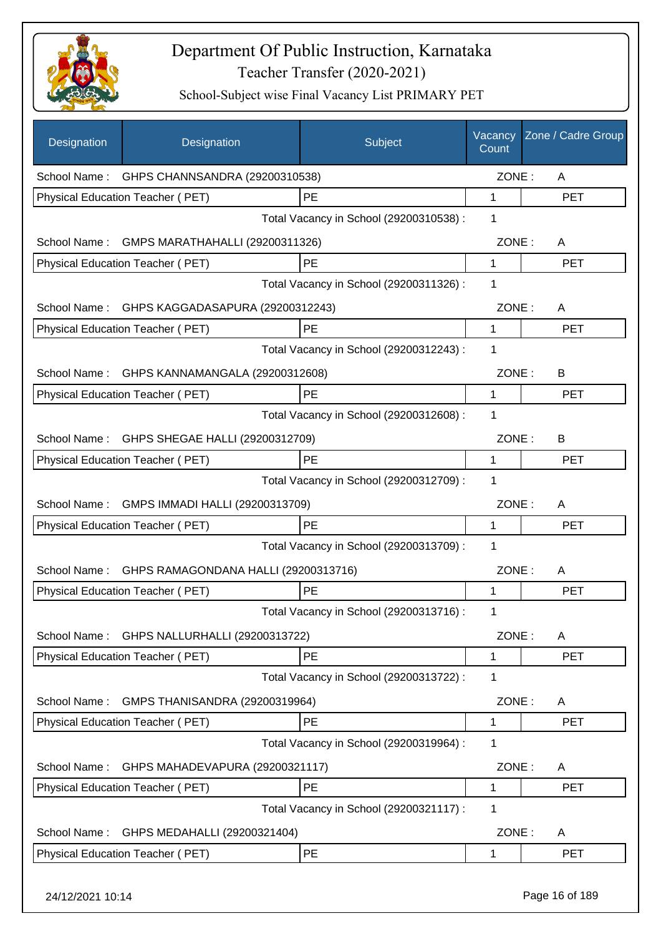

| Designation      | Designation                                 | Subject                                 | Vacancy<br>Count | Zone / Cadre Group |
|------------------|---------------------------------------------|-----------------------------------------|------------------|--------------------|
|                  | School Name: GHPS CHANNSANDRA (29200310538) |                                         | ZONE:            | A                  |
|                  | Physical Education Teacher (PET)            | PE                                      | 1                | <b>PET</b>         |
|                  |                                             | Total Vacancy in School (29200310538) : | 1                |                    |
| School Name:     | GMPS MARATHAHALLI (29200311326)             |                                         | ZONE:            | A                  |
|                  | Physical Education Teacher (PET)            | PE                                      | $\mathbf{1}$     | <b>PET</b>         |
|                  |                                             | Total Vacancy in School (29200311326) : | 1                |                    |
| School Name:     | GHPS KAGGADASAPURA (29200312243)            |                                         | ZONE:            | A                  |
|                  | Physical Education Teacher (PET)            | PE                                      | 1                | <b>PET</b>         |
|                  |                                             | Total Vacancy in School (29200312243) : | $\mathbf 1$      |                    |
| School Name:     | GHPS KANNAMANGALA (29200312608)             |                                         | ZONE:            | B                  |
|                  | Physical Education Teacher (PET)            | <b>PE</b>                               | 1                | PET                |
|                  |                                             | Total Vacancy in School (29200312608) : | 1                |                    |
| School Name:     | GHPS SHEGAE HALLI (29200312709)             |                                         | ZONE:            | B                  |
|                  | Physical Education Teacher (PET)            | PE                                      | 1                | <b>PET</b>         |
|                  |                                             | Total Vacancy in School (29200312709) : | 1                |                    |
| School Name:     | GMPS IMMADI HALLI (29200313709)             |                                         | ZONE:            | A                  |
|                  | Physical Education Teacher (PET)            | PE                                      | 1                | <b>PET</b>         |
|                  |                                             | Total Vacancy in School (29200313709) : | 1                |                    |
| School Name:     | GHPS RAMAGONDANA HALLI (29200313716)        |                                         | ZONE:            | A                  |
|                  | Physical Education Teacher (PET)            | PE                                      | 1                | <b>PET</b>         |
|                  |                                             | Total Vacancy in School (29200313716) : | 1                |                    |
| School Name:     | GHPS NALLURHALLI (29200313722)              |                                         | ZONE:            | A                  |
|                  | Physical Education Teacher (PET)            | PE                                      | 1                | <b>PET</b>         |
|                  |                                             | Total Vacancy in School (29200313722) : | 1                |                    |
| School Name:     | GMPS THANISANDRA (29200319964)              |                                         | ZONE:            | A                  |
|                  | Physical Education Teacher (PET)            | PE                                      | 1                | <b>PET</b>         |
|                  |                                             | Total Vacancy in School (29200319964) : | 1                |                    |
| School Name:     | GHPS MAHADEVAPURA (29200321117)             |                                         | ZONE:            | A                  |
|                  | Physical Education Teacher (PET)            | PE                                      | 1                | PET                |
|                  |                                             | Total Vacancy in School (29200321117) : | 1                |                    |
| School Name:     | GHPS MEDAHALLI (29200321404)                |                                         | ZONE:            | A                  |
|                  | Physical Education Teacher (PET)            | PE                                      | 1                | <b>PET</b>         |
| 24/12/2021 10:14 |                                             |                                         |                  | Page 16 of 189     |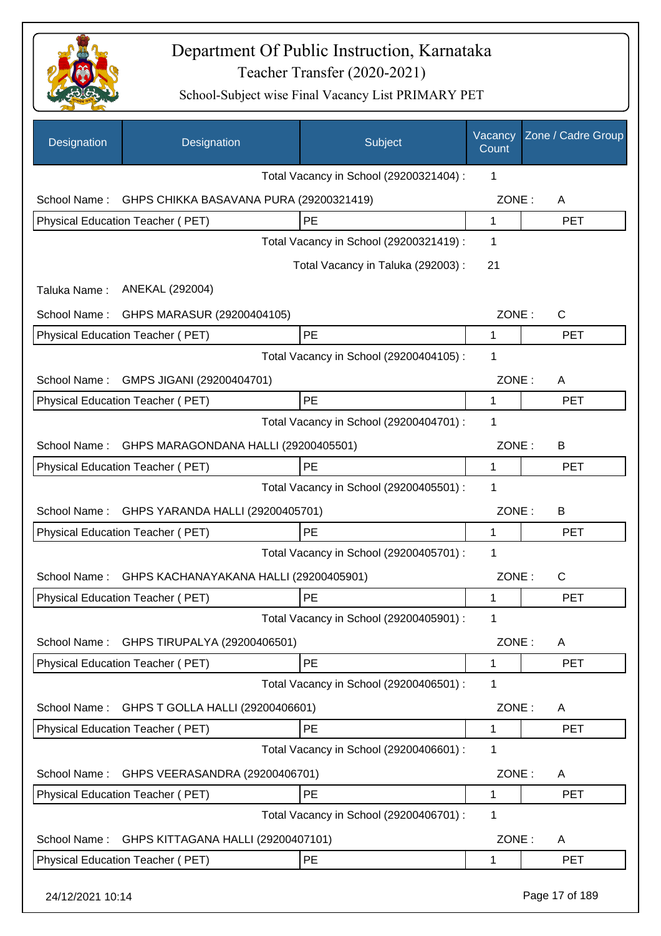

| Designation      | Designation                             | Subject                                 | Vacancy<br>Count | Zone / Cadre Group |
|------------------|-----------------------------------------|-----------------------------------------|------------------|--------------------|
|                  |                                         | Total Vacancy in School (29200321404) : | 1                |                    |
| School Name:     | GHPS CHIKKA BASAVANA PURA (29200321419) |                                         | ZONE:            | A                  |
|                  | Physical Education Teacher (PET)        | PE                                      | 1                | <b>PET</b>         |
|                  |                                         | Total Vacancy in School (29200321419) : | 1                |                    |
|                  |                                         | Total Vacancy in Taluka (292003):       | 21               |                    |
| Taluka Name:     | ANEKAL (292004)                         |                                         |                  |                    |
| School Name:     | GHPS MARASUR (29200404105)              |                                         | ZONE:            | $\mathsf{C}$       |
|                  | <b>Physical Education Teacher (PET)</b> | PE                                      | 1                | <b>PET</b>         |
|                  |                                         | Total Vacancy in School (29200404105) : | 1                |                    |
| School Name:     | GMPS JIGANI (29200404701)               |                                         | ZONE:            | A                  |
|                  | <b>Physical Education Teacher (PET)</b> | PE                                      | 1                | <b>PET</b>         |
|                  |                                         | Total Vacancy in School (29200404701) : | 1                |                    |
| School Name:     | GHPS MARAGONDANA HALLI (29200405501)    |                                         | ZONE:            | B                  |
|                  | Physical Education Teacher (PET)        | <b>PE</b>                               | 1                | <b>PET</b>         |
|                  |                                         | Total Vacancy in School (29200405501) : | 1                |                    |
| School Name:     | GHPS YARANDA HALLI (29200405701)        |                                         | ZONE:            | B                  |
|                  | Physical Education Teacher (PET)        | PE                                      | 1                | <b>PET</b>         |
|                  |                                         | Total Vacancy in School (29200405701) : | 1                |                    |
| School Name:     | GHPS KACHANAYAKANA HALLI (29200405901)  |                                         | ZONE:            | C                  |
|                  | Physical Education Teacher (PET)        | <b>PE</b>                               | 1                | <b>PET</b>         |
|                  |                                         | Total Vacancy in School (29200405901) : | 1                |                    |
| School Name:     | GHPS TIRUPALYA (29200406501)            |                                         | ZONE:            | A                  |
|                  | Physical Education Teacher (PET)        | PE                                      | 1                | <b>PET</b>         |
|                  |                                         | Total Vacancy in School (29200406501) : | 1                |                    |
| School Name:     | GHPS T GOLLA HALLI (29200406601)        |                                         | ZONE:            | A                  |
|                  | Physical Education Teacher (PET)        | PE                                      | 1                | <b>PET</b>         |
|                  |                                         | Total Vacancy in School (29200406601) : | 1                |                    |
| School Name:     | GHPS VEERASANDRA (29200406701)          |                                         | ZONE:            | A                  |
|                  | Physical Education Teacher (PET)        | PE                                      | 1                | <b>PET</b>         |
|                  |                                         | Total Vacancy in School (29200406701) : | 1                |                    |
| School Name:     | GHPS KITTAGANA HALLI (29200407101)      |                                         | ZONE:            | A                  |
|                  | Physical Education Teacher (PET)        | PE                                      | 1                | <b>PET</b>         |
| 24/12/2021 10:14 |                                         |                                         |                  | Page 17 of 189     |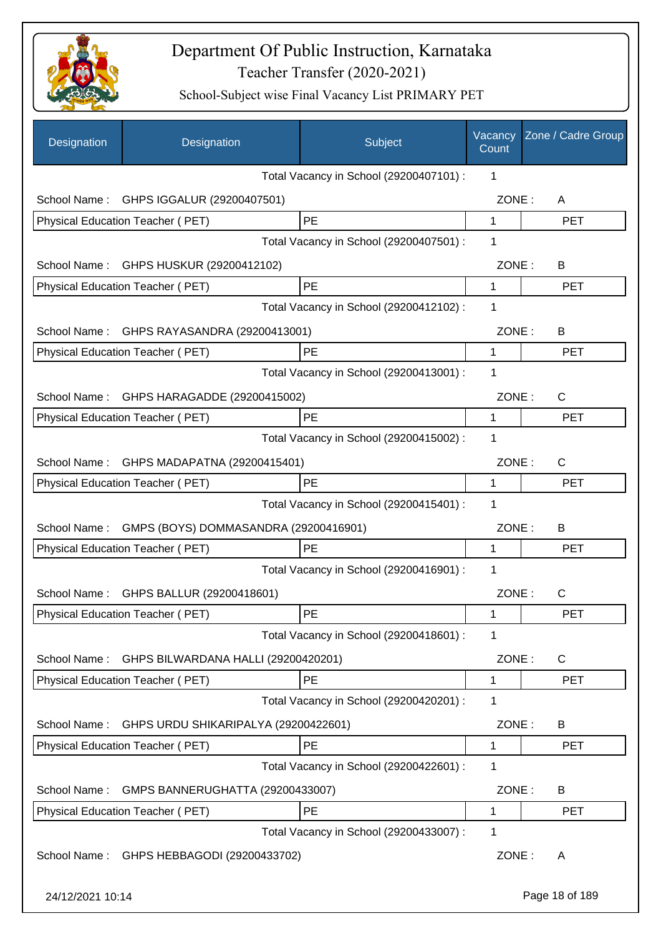

| Designation      | Designation                                | Subject                                 | Vacancy<br>Count | Zone / Cadre Group |
|------------------|--------------------------------------------|-----------------------------------------|------------------|--------------------|
|                  |                                            | Total Vacancy in School (29200407101) : | 1                |                    |
| School Name:     | GHPS IGGALUR (29200407501)                 |                                         | ZONE:            | A                  |
|                  | Physical Education Teacher (PET)           | PE                                      | 1                | <b>PET</b>         |
|                  |                                            | Total Vacancy in School (29200407501) : | 1                |                    |
|                  | School Name: GHPS HUSKUR (29200412102)     |                                         | ZONE:            | B                  |
|                  | Physical Education Teacher (PET)           | PE                                      | $\mathbf 1$      | <b>PET</b>         |
|                  |                                            | Total Vacancy in School (29200412102) : | 1                |                    |
|                  | School Name: GHPS RAYASANDRA (29200413001) |                                         | ZONE:            | B                  |
|                  | Physical Education Teacher (PET)           | PE                                      | 1                | <b>PET</b>         |
|                  |                                            | Total Vacancy in School (29200413001) : | 1                |                    |
| School Name:     | GHPS HARAGADDE (29200415002)               |                                         | ZONE:            | C                  |
|                  | Physical Education Teacher (PET)           | PE                                      | 1                | <b>PET</b>         |
|                  |                                            | Total Vacancy in School (29200415002) : | 1                |                    |
| School Name:     | GHPS MADAPATNA (29200415401)               |                                         | ZONE:            | C                  |
|                  | Physical Education Teacher (PET)           | PE                                      | 1                | <b>PET</b>         |
|                  |                                            | Total Vacancy in School (29200415401) : | 1                |                    |
| School Name:     | GMPS (BOYS) DOMMASANDRA (29200416901)      |                                         | ZONE:            | B                  |
|                  | <b>Physical Education Teacher (PET)</b>    | PE                                      | 1                | <b>PET</b>         |
|                  |                                            | Total Vacancy in School (29200416901) : | 1                |                    |
|                  | School Name: GHPS BALLUR (29200418601)     |                                         | ZONE:            | $\mathsf{C}$       |
|                  | Physical Education Teacher (PET)           | PE                                      | 1                | PET                |
|                  |                                            | Total Vacancy in School (29200418601) : | 1                |                    |
| School Name:     | GHPS BILWARDANA HALLI (29200420201)        |                                         | ZONE:            | C                  |
|                  | Physical Education Teacher (PET)           | PE                                      | $\mathbf 1$      | <b>PET</b>         |
|                  |                                            | Total Vacancy in School (29200420201) : | 1                |                    |
| School Name:     | GHPS URDU SHIKARIPALYA (29200422601)       |                                         | ZONE:            | B                  |
|                  | Physical Education Teacher (PET)           | PE                                      | 1                | <b>PET</b>         |
|                  |                                            | Total Vacancy in School (29200422601) : | 1                |                    |
| School Name:     | GMPS BANNERUGHATTA (29200433007)           |                                         | ZONE:            | B                  |
|                  | Physical Education Teacher (PET)           | PE                                      | 1                | <b>PET</b>         |
|                  |                                            | Total Vacancy in School (29200433007) : | 1                |                    |
| School Name:     | GHPS HEBBAGODI (29200433702)               |                                         | ZONE:            | A                  |
| 24/12/2021 10:14 |                                            |                                         |                  | Page 18 of 189     |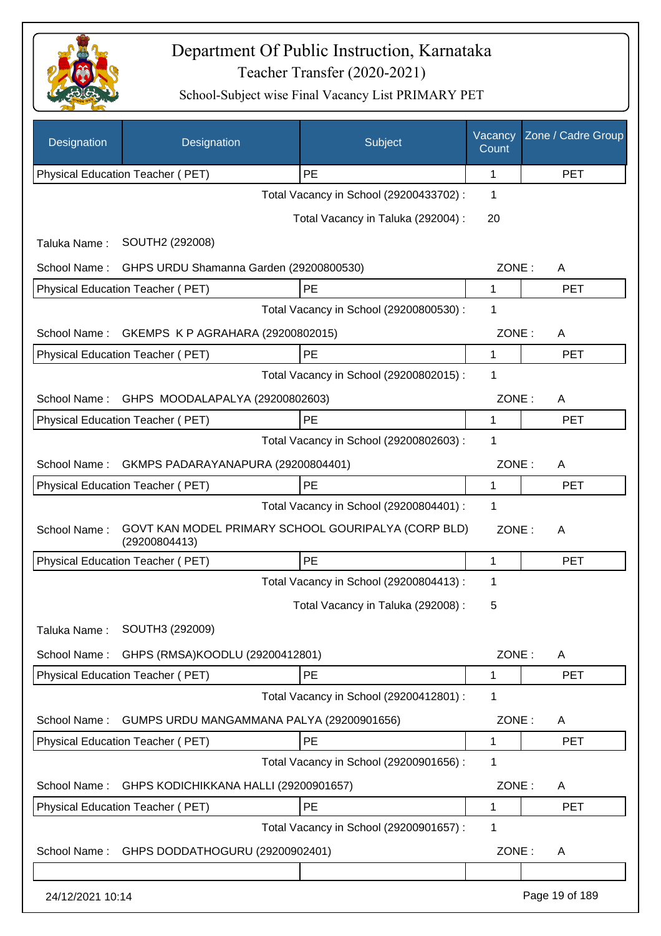

| Designation                                  | Designation                                                          | Subject                                 | Vacancy<br>Count | Zone / Cadre Group |
|----------------------------------------------|----------------------------------------------------------------------|-----------------------------------------|------------------|--------------------|
|                                              | Physical Education Teacher (PET)                                     | PE                                      | $\mathbf{1}$     | <b>PET</b>         |
|                                              |                                                                      | Total Vacancy in School (29200433702) : | 1                |                    |
|                                              |                                                                      | Total Vacancy in Taluka (292004) :      | 20               |                    |
| Taluka Name:                                 | SOUTH2 (292008)                                                      |                                         |                  |                    |
| School Name:                                 | GHPS URDU Shamanna Garden (29200800530)                              |                                         | ZONE:            | A                  |
|                                              | Physical Education Teacher (PET)                                     | PE                                      | 1                | <b>PET</b>         |
|                                              |                                                                      | Total Vacancy in School (29200800530) : | 1                |                    |
| School Name:                                 | GKEMPS K P AGRAHARA (29200802015)                                    |                                         | ZONE:            | A                  |
|                                              | Physical Education Teacher (PET)                                     | PE                                      | 1                | <b>PET</b>         |
|                                              |                                                                      | Total Vacancy in School (29200802015) : | 1                |                    |
|                                              | School Name: GHPS MOODALAPALYA (29200802603)                         |                                         | ZONE:            | A                  |
|                                              | <b>Physical Education Teacher (PET)</b>                              | PE                                      | 1                | <b>PET</b>         |
|                                              |                                                                      | Total Vacancy in School (29200802603) : | 1                |                    |
| School Name:                                 | GKMPS PADARAYANAPURA (29200804401)                                   |                                         | ZONE:            | A                  |
|                                              | Physical Education Teacher (PET)                                     | PE                                      | 1                | <b>PET</b>         |
| Total Vacancy in School (29200804401) :<br>1 |                                                                      |                                         |                  |                    |
| School Name:                                 | GOVT KAN MODEL PRIMARY SCHOOL GOURIPALYA (CORP BLD)<br>(29200804413) |                                         | ZONE:            | A                  |
|                                              | Physical Education Teacher (PET)                                     | PE                                      | 1                | <b>PET</b>         |
|                                              |                                                                      | Total Vacancy in School (29200804413) : | 1                |                    |
|                                              |                                                                      | Total Vacancy in Taluka (292008) :      | 5                |                    |
| Taluka Name:                                 | SOUTH3 (292009)                                                      |                                         |                  |                    |
| School Name:                                 | GHPS (RMSA)KOODLU (29200412801)                                      |                                         | ZONE:            | A                  |
|                                              | Physical Education Teacher (PET)                                     | PE                                      | 1                | <b>PET</b>         |
|                                              |                                                                      | Total Vacancy in School (29200412801) : | 1                |                    |
| School Name:                                 | GUMPS URDU MANGAMMANA PALYA (29200901656)                            |                                         | ZONE:            | A                  |
|                                              | Physical Education Teacher (PET)                                     | PE                                      | 1                | <b>PET</b>         |
|                                              |                                                                      | Total Vacancy in School (29200901656) : | 1                |                    |
| School Name:                                 | GHPS KODICHIKKANA HALLI (29200901657)                                |                                         | ZONE:            | A                  |
|                                              | Physical Education Teacher (PET)                                     | PE                                      | 1                | <b>PET</b>         |
|                                              |                                                                      | Total Vacancy in School (29200901657) : | 1                |                    |
| School Name:                                 | GHPS DODDATHOGURU (29200902401)                                      |                                         | ZONE:            | A                  |
|                                              |                                                                      |                                         |                  |                    |
| 24/12/2021 10:14                             |                                                                      |                                         |                  | Page 19 of 189     |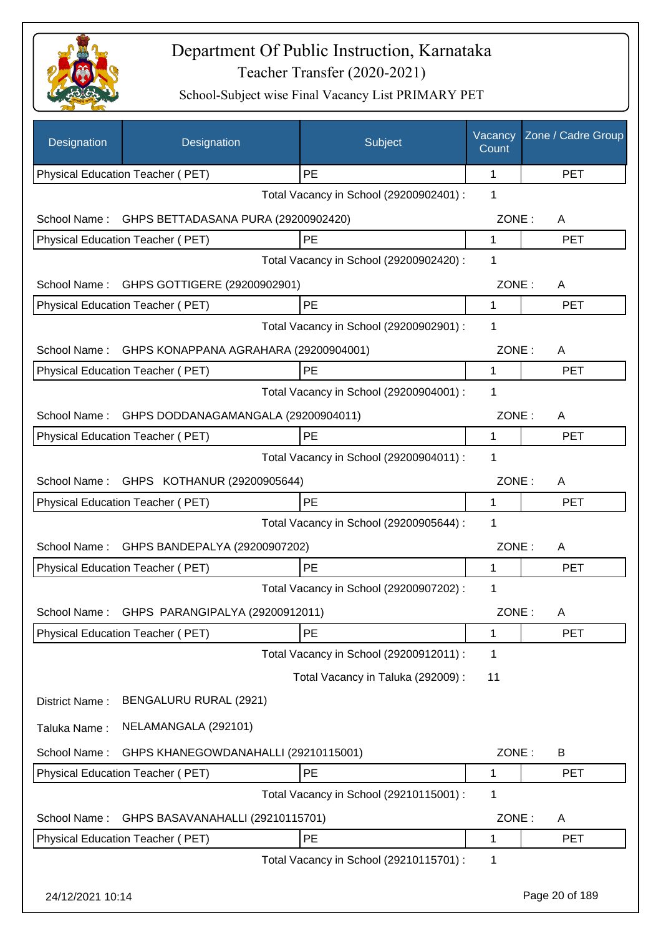

| Designation      | Designation                              | Subject                                 | Vacancy<br>Count | Zone / Cadre Group |
|------------------|------------------------------------------|-----------------------------------------|------------------|--------------------|
|                  | Physical Education Teacher (PET)         | PE                                      | 1                | <b>PET</b>         |
|                  |                                          | Total Vacancy in School (29200902401) : | 1                |                    |
| School Name:     | GHPS BETTADASANA PURA (29200902420)      |                                         | ZONE:            | A                  |
|                  | Physical Education Teacher (PET)         | PE                                      | 1                | <b>PET</b>         |
|                  |                                          | Total Vacancy in School (29200902420) : | 1                |                    |
| School Name:     | GHPS GOTTIGERE (29200902901)             |                                         | ZONE:            | A                  |
|                  | Physical Education Teacher (PET)         | PE                                      | 1                | <b>PET</b>         |
|                  |                                          | Total Vacancy in School (29200902901) : | 1                |                    |
| School Name:     | GHPS KONAPPANA AGRAHARA (29200904001)    |                                         | ZONE:            | A                  |
|                  | Physical Education Teacher (PET)         | PE                                      | 1                | <b>PET</b>         |
|                  |                                          | Total Vacancy in School (29200904001) : | 1                |                    |
| School Name:     | GHPS DODDANAGAMANGALA (29200904011)      |                                         | ZONE:            | A                  |
|                  | Physical Education Teacher (PET)         | PE                                      | 1                | <b>PET</b>         |
|                  |                                          | Total Vacancy in School (29200904011) : | 1                |                    |
|                  | School Name: GHPS KOTHANUR (29200905644) |                                         | ZONE:            | A                  |
|                  | Physical Education Teacher (PET)         | PE                                      | 1                | <b>PET</b>         |
|                  |                                          | Total Vacancy in School (29200905644) : | 1                |                    |
| School Name:     | GHPS BANDEPALYA (29200907202)            |                                         | ZONE:            | A                  |
|                  | Physical Education Teacher (PET)         | PE                                      | 1                | <b>PET</b>         |
|                  |                                          | Total Vacancy in School (29200907202) : | 1                |                    |
| School Name :    | GHPS PARANGIPALYA (29200912011)          |                                         | ZONE:            | A                  |
|                  | Physical Education Teacher (PET)         | PE                                      | 1                | <b>PET</b>         |
|                  |                                          | Total Vacancy in School (29200912011) : | 1                |                    |
|                  |                                          | Total Vacancy in Taluka (292009) :      | 11               |                    |
| District Name:   | BENGALURU RURAL (2921)                   |                                         |                  |                    |
| Taluka Name:     | NELAMANGALA (292101)                     |                                         |                  |                    |
| School Name:     | GHPS KHANEGOWDANAHALLI (29210115001)     |                                         | ZONE:            | B                  |
|                  | Physical Education Teacher (PET)         | PE                                      | 1                | <b>PET</b>         |
|                  |                                          | Total Vacancy in School (29210115001) : | 1                |                    |
| School Name:     | GHPS BASAVANAHALLI (29210115701)         |                                         | ZONE:            | A                  |
|                  | Physical Education Teacher (PET)         | PE                                      | 1                | <b>PET</b>         |
|                  |                                          | Total Vacancy in School (29210115701) : | 1                |                    |
| 24/12/2021 10:14 |                                          |                                         |                  | Page 20 of 189     |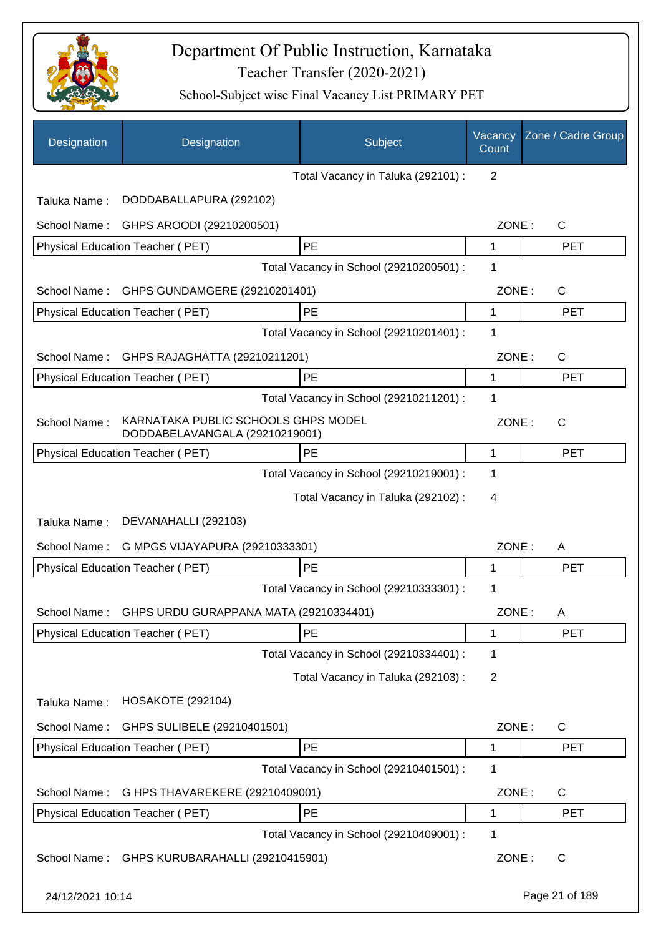

| Designation      | Designation                                                           | Subject                                 | Vacancy<br>Count | Zone / Cadre Group |
|------------------|-----------------------------------------------------------------------|-----------------------------------------|------------------|--------------------|
|                  |                                                                       | Total Vacancy in Taluka (292101) :      | 2                |                    |
| Taluka Name:     | DODDABALLAPURA (292102)                                               |                                         |                  |                    |
| School Name:     | GHPS AROODI (29210200501)                                             |                                         | ZONE:            | $\mathsf{C}$       |
|                  | Physical Education Teacher (PET)                                      | PE                                      | 1                | <b>PET</b>         |
|                  |                                                                       | Total Vacancy in School (29210200501) : | 1                |                    |
| School Name:     | GHPS GUNDAMGERE (29210201401)                                         |                                         | ZONE:            | $\mathsf{C}$       |
|                  | Physical Education Teacher (PET)                                      | PE                                      | 1                | <b>PET</b>         |
|                  |                                                                       | Total Vacancy in School (29210201401) : | 1                |                    |
| School Name:     | GHPS RAJAGHATTA (29210211201)                                         |                                         | ZONE:            | C                  |
|                  | Physical Education Teacher (PET)                                      | PE                                      | 1                | <b>PET</b>         |
|                  |                                                                       | Total Vacancy in School (29210211201) : | 1                |                    |
| School Name:     | KARNATAKA PUBLIC SCHOOLS GHPS MODEL<br>DODDABELAVANGALA (29210219001) |                                         | ZONE:            | $\mathsf{C}$       |
|                  | Physical Education Teacher (PET)                                      | PE                                      | 1                | <b>PET</b>         |
|                  |                                                                       | Total Vacancy in School (29210219001) : | 1                |                    |
|                  |                                                                       | Total Vacancy in Taluka (292102) :      | 4                |                    |
| Taluka Name:     | DEVANAHALLI (292103)                                                  |                                         |                  |                    |
| School Name:     | G MPGS VIJAYAPURA (29210333301)                                       |                                         | ZONE:            | A                  |
|                  | Physical Education Teacher (PET)                                      | PE                                      | 1                | <b>PET</b>         |
|                  |                                                                       | Total Vacancy in School (29210333301) : | 1                |                    |
|                  | School Name: GHPS URDU GURAPPANA MATA (29210334401)                   |                                         |                  | ZONE :<br>- A      |
|                  | Physical Education Teacher (PET)                                      | <b>PE</b>                               | 1                | <b>PET</b>         |
|                  |                                                                       | Total Vacancy in School (29210334401) : | 1                |                    |
|                  |                                                                       | Total Vacancy in Taluka (292103) :      | $\overline{2}$   |                    |
| Taluka Name:     | <b>HOSAKOTE (292104)</b>                                              |                                         |                  |                    |
| School Name:     | GHPS SULIBELE (29210401501)                                           |                                         | ZONE:            | $\mathsf{C}$       |
|                  | Physical Education Teacher (PET)                                      | PE                                      | 1                | <b>PET</b>         |
|                  |                                                                       | Total Vacancy in School (29210401501) : | 1                |                    |
| School Name:     | G HPS THAVAREKERE (29210409001)                                       |                                         | ZONE:            | $\mathsf{C}$       |
|                  | Physical Education Teacher (PET)                                      | PE                                      | 1                | <b>PET</b>         |
|                  |                                                                       | Total Vacancy in School (29210409001) : | 1                |                    |
| School Name:     | GHPS KURUBARAHALLI (29210415901)                                      |                                         | ZONE:            | $\mathsf{C}$       |
| 24/12/2021 10:14 |                                                                       |                                         |                  | Page 21 of 189     |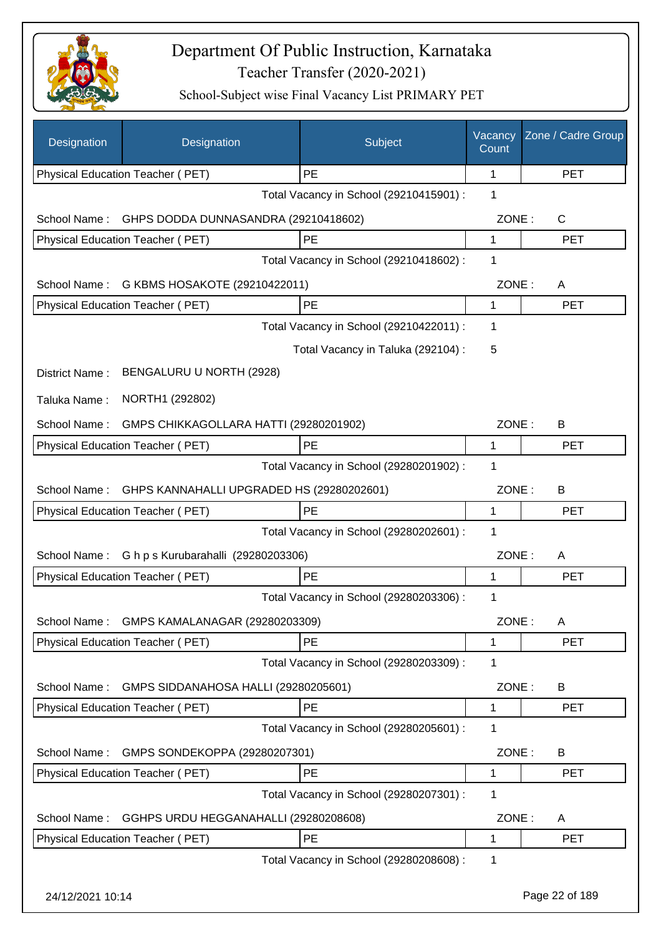

| Designation      | Designation                               | Subject                                 | Vacancy<br>Count | Zone / Cadre Group |
|------------------|-------------------------------------------|-----------------------------------------|------------------|--------------------|
|                  | Physical Education Teacher (PET)          | PE                                      | 1                | <b>PET</b>         |
|                  |                                           | Total Vacancy in School (29210415901) : | 1                |                    |
| School Name:     | GHPS DODDA DUNNASANDRA (29210418602)      |                                         | ZONE:            | C                  |
|                  | Physical Education Teacher (PET)          | PE                                      | 1                | <b>PET</b>         |
|                  |                                           | Total Vacancy in School (29210418602) : | 1                |                    |
| School Name:     | G KBMS HOSAKOTE (29210422011)             |                                         | ZONE:            | A                  |
|                  | Physical Education Teacher (PET)          | PE                                      | 1                | <b>PET</b>         |
|                  |                                           | Total Vacancy in School (29210422011) : | 1                |                    |
|                  |                                           | Total Vacancy in Taluka (292104) :      | 5                |                    |
| District Name:   | BENGALURU U NORTH (2928)                  |                                         |                  |                    |
| Taluka Name:     | NORTH1 (292802)                           |                                         |                  |                    |
| School Name:     | GMPS CHIKKAGOLLARA HATTI (29280201902)    |                                         | ZONE:            | B                  |
|                  | Physical Education Teacher (PET)          | <b>PE</b>                               | 1                | <b>PET</b>         |
|                  |                                           | Total Vacancy in School (29280201902) : | 1                |                    |
| School Name:     | GHPS KANNAHALLI UPGRADED HS (29280202601) |                                         | ZONE:            | B                  |
|                  | Physical Education Teacher (PET)          | PE                                      | 1                | <b>PET</b>         |
|                  |                                           | Total Vacancy in School (29280202601) : | 1                |                    |
| School Name:     | G h p s Kurubarahalli (29280203306)       |                                         | ZONE:            | A                  |
|                  | Physical Education Teacher (PET)          | <b>PE</b>                               | 1                | <b>PET</b>         |
|                  |                                           | Total Vacancy in School (29280203306) : | 1                |                    |
| School Name:     | GMPS KAMALANAGAR (29280203309)            |                                         | ZONE:            | A                  |
|                  | Physical Education Teacher (PET)          | PE                                      | 1                | <b>PET</b>         |
|                  |                                           | Total Vacancy in School (29280203309) : | 1                |                    |
| School Name:     | GMPS SIDDANAHOSA HALLI (29280205601)      |                                         | ZONE:            | B                  |
|                  | Physical Education Teacher (PET)          | PE                                      | 1                | <b>PET</b>         |
|                  |                                           | Total Vacancy in School (29280205601) : | 1                |                    |
| School Name:     | GMPS SONDEKOPPA (29280207301)             |                                         | ZONE:            | B                  |
|                  | Physical Education Teacher (PET)          | PE                                      | 1                | <b>PET</b>         |
|                  |                                           | Total Vacancy in School (29280207301) : | 1                |                    |
| School Name:     | GGHPS URDU HEGGANAHALLI (29280208608)     |                                         | ZONE:            | A                  |
|                  | Physical Education Teacher (PET)          | PE                                      | 1                | <b>PET</b>         |
|                  |                                           | Total Vacancy in School (29280208608) : | 1                |                    |
| 24/12/2021 10:14 |                                           |                                         |                  | Page 22 of 189     |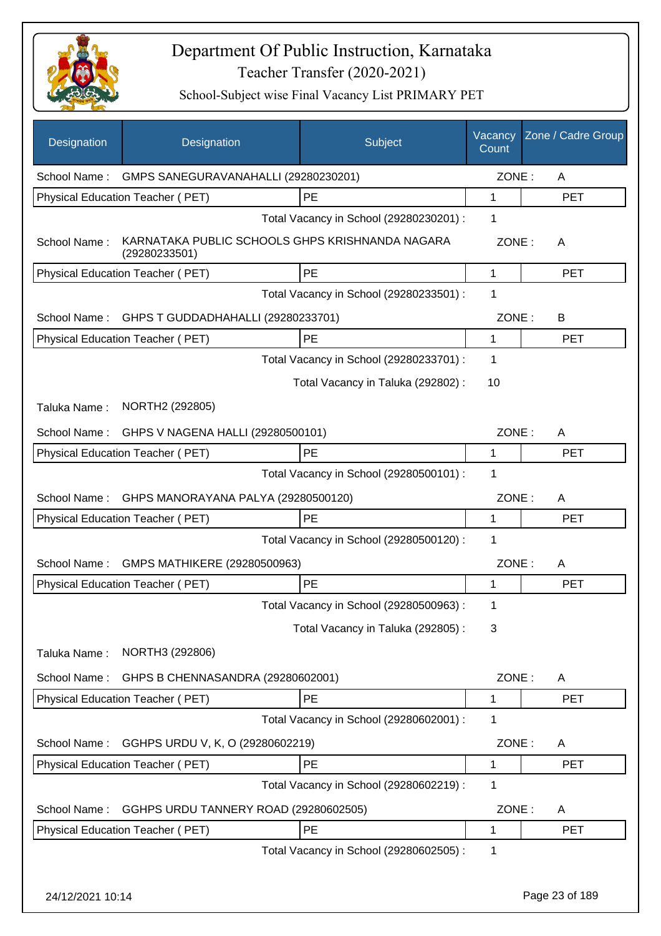

| Designation      | Designation                                                      | Subject                                       | Vacancy<br>Count | Zone / Cadre Group |
|------------------|------------------------------------------------------------------|-----------------------------------------------|------------------|--------------------|
|                  | School Name: GMPS SANEGURAVANAHALLI (29280230201)                |                                               | ZONE:            | A                  |
|                  | Physical Education Teacher (PET)                                 | PE                                            | 1                | <b>PET</b>         |
|                  |                                                                  | Total Vacancy in School (29280230201) :       | 1                |                    |
| School Name:     | KARNATAKA PUBLIC SCHOOLS GHPS KRISHNANDA NAGARA<br>(29280233501) |                                               | ZONE:            | A                  |
|                  | Physical Education Teacher (PET)                                 | PE                                            | 1                | <b>PET</b>         |
|                  |                                                                  | Total Vacancy in School (29280233501) :       | 1                |                    |
| School Name:     | GHPS T GUDDADHAHALLI (29280233701)                               |                                               | ZONE:            | B                  |
|                  | Physical Education Teacher (PET)                                 | PE                                            | 1                | <b>PET</b>         |
|                  |                                                                  | Total Vacancy in School (29280233701) :       | 1                |                    |
|                  |                                                                  | Total Vacancy in Taluka (292802) :            | 10               |                    |
| Taluka Name:     | NORTH2 (292805)                                                  |                                               |                  |                    |
| School Name:     | GHPS V NAGENA HALLI (29280500101)                                |                                               | ZONE:            | A                  |
|                  | Physical Education Teacher (PET)                                 | PE                                            | 1                | <b>PET</b>         |
|                  |                                                                  | Total Vacancy in School (29280500101) :       | 1                |                    |
| School Name:     | GHPS MANORAYANA PALYA (29280500120)                              |                                               | ZONE:            | A                  |
|                  | Physical Education Teacher (PET)                                 | <b>PE</b>                                     | 1                | <b>PET</b>         |
|                  |                                                                  | Total Vacancy in School (29280500120) :       | 1                |                    |
| School Name:     | GMPS MATHIKERE (29280500963)                                     |                                               | ZONE:            | A                  |
|                  | Physical Education Teacher (PET)                                 | PE                                            | 1                | <b>PET</b>         |
|                  |                                                                  | Total Vacancy in School (29280500963) :       | 1                |                    |
|                  |                                                                  | Total Vacancy in Taluka (292805):             | 3                |                    |
| Taluka Name:     | NORTH3 (292806)                                                  |                                               |                  |                    |
|                  |                                                                  |                                               |                  |                    |
| School Name:     | GHPS B CHENNASANDRA (29280602001)                                |                                               | ZONE:            | A                  |
|                  | Physical Education Teacher (PET)                                 | PE<br>Total Vacancy in School (29280602001) : | 1<br>1           | <b>PET</b>         |
|                  |                                                                  |                                               |                  |                    |
| School Name:     | GGHPS URDU V, K, O (29280602219)                                 |                                               | ZONE:            | A                  |
|                  | Physical Education Teacher (PET)                                 | PE                                            | 1                | <b>PET</b>         |
|                  |                                                                  | Total Vacancy in School (29280602219) :       | 1                |                    |
| School Name:     | GGHPS URDU TANNERY ROAD (29280602505)                            |                                               | ZONE:            | A                  |
|                  | Physical Education Teacher (PET)                                 | PE                                            | 1                | <b>PET</b>         |
|                  |                                                                  | Total Vacancy in School (29280602505) :       | 1                |                    |
| 24/12/2021 10:14 |                                                                  |                                               |                  | Page 23 of 189     |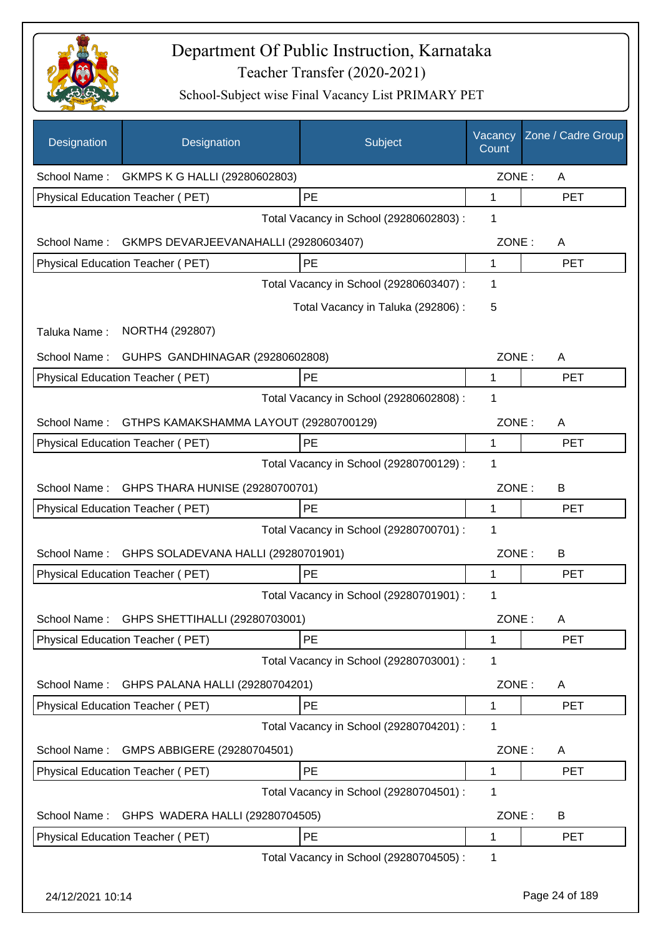

| Designation      | Designation                                | Subject                                 | Vacancy<br>Count | Zone / Cadre Group |
|------------------|--------------------------------------------|-----------------------------------------|------------------|--------------------|
|                  | School Name: GKMPS K G HALLI (29280602803) |                                         | ZONE:            | A                  |
|                  | Physical Education Teacher (PET)           | PE                                      | 1                | <b>PET</b>         |
|                  |                                            | Total Vacancy in School (29280602803) : | 1                |                    |
| School Name:     | GKMPS DEVARJEEVANAHALLI (29280603407)      |                                         | ZONE:            | A                  |
|                  | Physical Education Teacher (PET)           | PE                                      | 1                | <b>PET</b>         |
|                  |                                            | Total Vacancy in School (29280603407) : | 1                |                    |
|                  |                                            | Total Vacancy in Taluka (292806) :      | 5                |                    |
| Taluka Name:     | NORTH4 (292807)                            |                                         |                  |                    |
| School Name:     | GUHPS GANDHINAGAR (29280602808)            |                                         | ZONE:            | A                  |
|                  | Physical Education Teacher (PET)           | PE                                      | 1                | <b>PET</b>         |
|                  |                                            | Total Vacancy in School (29280602808) : | 1                |                    |
| School Name:     | GTHPS KAMAKSHAMMA LAYOUT (29280700129)     |                                         | ZONE:            | A                  |
|                  | Physical Education Teacher (PET)           | PE                                      | 1                | <b>PET</b>         |
|                  |                                            | Total Vacancy in School (29280700129) : | 1                |                    |
| School Name:     | GHPS THARA HUNISE (29280700701)            |                                         | ZONE:            | B                  |
|                  | Physical Education Teacher (PET)           | PE                                      | 1                | <b>PET</b>         |
|                  |                                            | Total Vacancy in School (29280700701) : | 1                |                    |
| School Name:     | GHPS SOLADEVANA HALLI (29280701901)        |                                         | ZONE:            | B                  |
|                  | Physical Education Teacher (PET)           | <b>PE</b>                               | 1                | <b>PET</b>         |
|                  |                                            | Total Vacancy in School (29280701901) : | 1                |                    |
| School Name:     | GHPS SHETTIHALLI (29280703001)             |                                         | ZONE:            | A                  |
|                  | Physical Education Teacher (PET)           | PE                                      | 1                | PET                |
|                  |                                            | Total Vacancy in School (29280703001) : | 1                |                    |
| School Name:     | GHPS PALANA HALLI (29280704201)            |                                         | ZONE:            | A                  |
|                  | Physical Education Teacher (PET)           | PE                                      | 1                | <b>PET</b>         |
|                  |                                            | Total Vacancy in School (29280704201) : | 1                |                    |
| School Name:     | GMPS ABBIGERE (29280704501)                |                                         | ZONE:            | A                  |
|                  | Physical Education Teacher (PET)           | PE                                      | 1                | <b>PET</b>         |
|                  |                                            | Total Vacancy in School (29280704501) : | 1                |                    |
| School Name:     | GHPS WADERA HALLI (29280704505)            |                                         | ZONE:            | B                  |
|                  | Physical Education Teacher (PET)           | PE                                      | 1                | <b>PET</b>         |
|                  |                                            | Total Vacancy in School (29280704505) : | 1                |                    |
| 24/12/2021 10:14 |                                            |                                         |                  | Page 24 of 189     |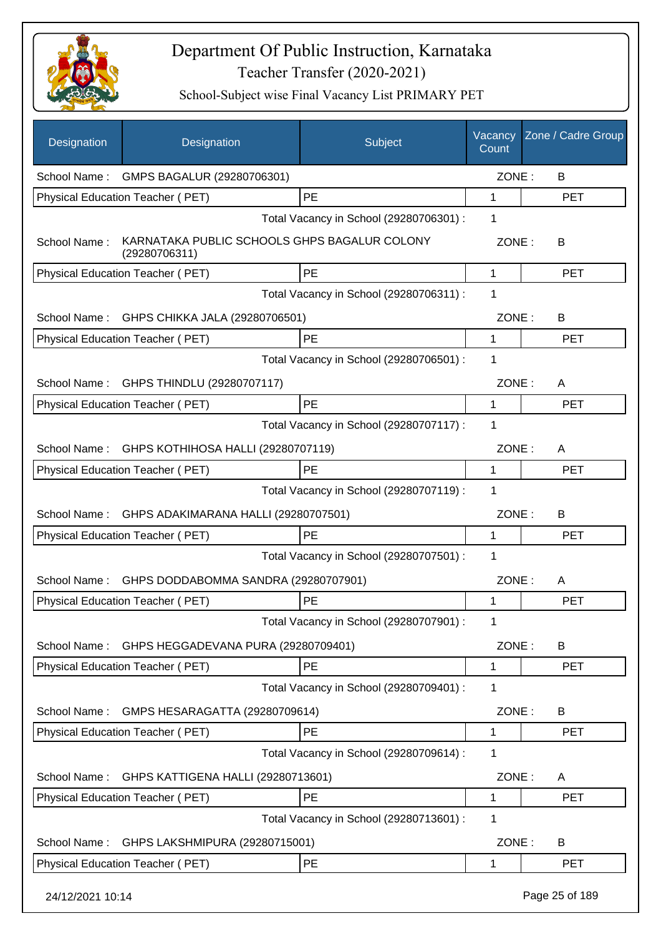

| <b>Designation</b> | Designation                                                   | Subject                                 | Vacancy<br>Count | Zone / Cadre Group |
|--------------------|---------------------------------------------------------------|-----------------------------------------|------------------|--------------------|
| School Name:       | GMPS BAGALUR (29280706301)                                    |                                         | ZONE:            | B                  |
|                    | Physical Education Teacher (PET)                              | PE                                      | 1                | <b>PET</b>         |
|                    |                                                               | Total Vacancy in School (29280706301) : | 1                |                    |
| School Name:       | KARNATAKA PUBLIC SCHOOLS GHPS BAGALUR COLONY<br>(29280706311) |                                         | ZONE:            | B                  |
|                    | Physical Education Teacher (PET)                              | PE                                      | 1                | <b>PET</b>         |
|                    |                                                               | Total Vacancy in School (29280706311) : | 1                |                    |
| School Name:       | GHPS CHIKKA JALA (29280706501)                                |                                         | ZONE:            | B                  |
|                    | Physical Education Teacher (PET)                              | PE                                      | 1                | <b>PET</b>         |
|                    |                                                               | Total Vacancy in School (29280706501) : | 1                |                    |
| School Name:       | GHPS THINDLU (29280707117)                                    |                                         | ZONE:            | A                  |
|                    | Physical Education Teacher (PET)                              | PE                                      | 1                | <b>PET</b>         |
|                    |                                                               | Total Vacancy in School (29280707117) : | 1                |                    |
| School Name:       | GHPS KOTHIHOSA HALLI (29280707119)                            |                                         | ZONE:            | A                  |
|                    | Physical Education Teacher (PET)                              | PE                                      | 1                | <b>PET</b>         |
|                    |                                                               | Total Vacancy in School (29280707119) : | 1                |                    |
| School Name:       | GHPS ADAKIMARANA HALLI (29280707501)                          |                                         | ZONE:            | B                  |
|                    | Physical Education Teacher (PET)                              | <b>PE</b>                               | 1                | <b>PET</b>         |
|                    |                                                               | Total Vacancy in School (29280707501) : | 1                |                    |
| School Name:       | GHPS DODDABOMMA SANDRA (29280707901)                          |                                         | ZONE:            | A                  |
|                    | Physical Education Teacher (PET)                              | PE                                      | 1                | <b>PET</b>         |
|                    |                                                               | Total Vacancy in School (29280707901) : | 1                |                    |
| School Name:       | GHPS HEGGADEVANA PURA (29280709401)                           |                                         | ZONE:            | B                  |
|                    | Physical Education Teacher (PET)                              | PE                                      | 1                | <b>PET</b>         |
|                    |                                                               | Total Vacancy in School (29280709401) : | 1                |                    |
| School Name:       | GMPS HESARAGATTA (29280709614)                                |                                         | ZONE:            | B                  |
|                    | Physical Education Teacher (PET)                              | PE                                      | 1                | <b>PET</b>         |
|                    |                                                               | Total Vacancy in School (29280709614) : | 1                |                    |
| School Name:       | GHPS KATTIGENA HALLI (29280713601)                            |                                         | ZONE:            | A                  |
|                    | Physical Education Teacher (PET)                              | PE                                      | 1                | <b>PET</b>         |
|                    |                                                               | Total Vacancy in School (29280713601) : | 1                |                    |
| School Name:       | GHPS LAKSHMIPURA (29280715001)                                |                                         | ZONE:            | B                  |
|                    | Physical Education Teacher (PET)                              | PE                                      | 1                | <b>PET</b>         |
| 24/12/2021 10:14   |                                                               |                                         |                  | Page 25 of 189     |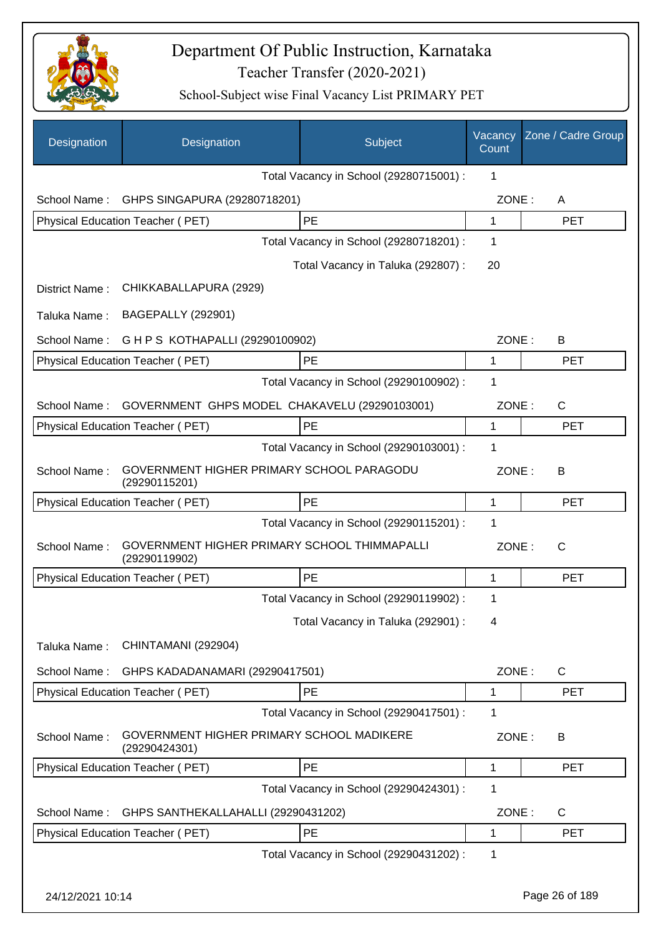

| Designation      | Designation                                                   | Subject                                 | Vacancy<br>Count | Zone / Cadre Group |
|------------------|---------------------------------------------------------------|-----------------------------------------|------------------|--------------------|
|                  |                                                               | Total Vacancy in School (29280715001) : | 1                |                    |
| School Name:     | GHPS SINGAPURA (29280718201)                                  |                                         | ZONE:            | A                  |
|                  | Physical Education Teacher (PET)                              | PE                                      | 1                | <b>PET</b>         |
|                  |                                                               | Total Vacancy in School (29280718201) : | 1                |                    |
|                  |                                                               | Total Vacancy in Taluka (292807):       | 20               |                    |
| District Name:   | CHIKKABALLAPURA (2929)                                        |                                         |                  |                    |
| Taluka Name:     | <b>BAGEPALLY (292901)</b>                                     |                                         |                  |                    |
| School Name:     | G H P S KOTHAPALLI (29290100902)                              |                                         | ZONE:            | B                  |
|                  | Physical Education Teacher (PET)                              | PE                                      | 1                | <b>PET</b>         |
|                  |                                                               | Total Vacancy in School (29290100902) : | 1                |                    |
| School Name:     | GOVERNMENT GHPS MODEL CHAKAVELU (29290103001)                 |                                         | ZONE:            | $\mathsf{C}$       |
|                  | Physical Education Teacher (PET)                              | PE                                      | 1                | <b>PET</b>         |
|                  |                                                               | Total Vacancy in School (29290103001) : | 1                |                    |
| School Name:     | GOVERNMENT HIGHER PRIMARY SCHOOL PARAGODU<br>(29290115201)    |                                         | ZONE:            | В                  |
|                  | Physical Education Teacher (PET)                              | PE                                      | 1                | <b>PET</b>         |
|                  |                                                               | Total Vacancy in School (29290115201) : | 1                |                    |
| School Name:     | GOVERNMENT HIGHER PRIMARY SCHOOL THIMMAPALLI<br>(29290119902) |                                         | ZONE:            | C                  |
|                  | Physical Education Teacher (PET)                              | <b>PE</b>                               | 1                | <b>PET</b>         |
|                  |                                                               | Total Vacancy in School (29290119902) : | 1                |                    |
|                  |                                                               | Total Vacancy in Taluka (292901) :      | 4                |                    |
| Taluka Name:     | CHINTAMANI (292904)                                           |                                         |                  |                    |
| School Name:     | GHPS KADADANAMARI (29290417501)                               |                                         | ZONE:            | $\mathsf{C}$       |
|                  | Physical Education Teacher (PET)                              | PE                                      | 1                | <b>PET</b>         |
|                  |                                                               | Total Vacancy in School (29290417501) : | 1                |                    |
| School Name:     | GOVERNMENT HIGHER PRIMARY SCHOOL MADIKERE<br>(29290424301)    |                                         | ZONE:            | B                  |
|                  | Physical Education Teacher (PET)                              | PE                                      | 1                | <b>PET</b>         |
|                  |                                                               | Total Vacancy in School (29290424301) : | 1                |                    |
| School Name:     | GHPS SANTHEKALLAHALLI (29290431202)                           |                                         | ZONE:            | C                  |
|                  | Physical Education Teacher (PET)                              | PE                                      | 1                | <b>PET</b>         |
|                  |                                                               | Total Vacancy in School (29290431202) : | 1                |                    |
| 24/12/2021 10:14 |                                                               |                                         |                  | Page 26 of 189     |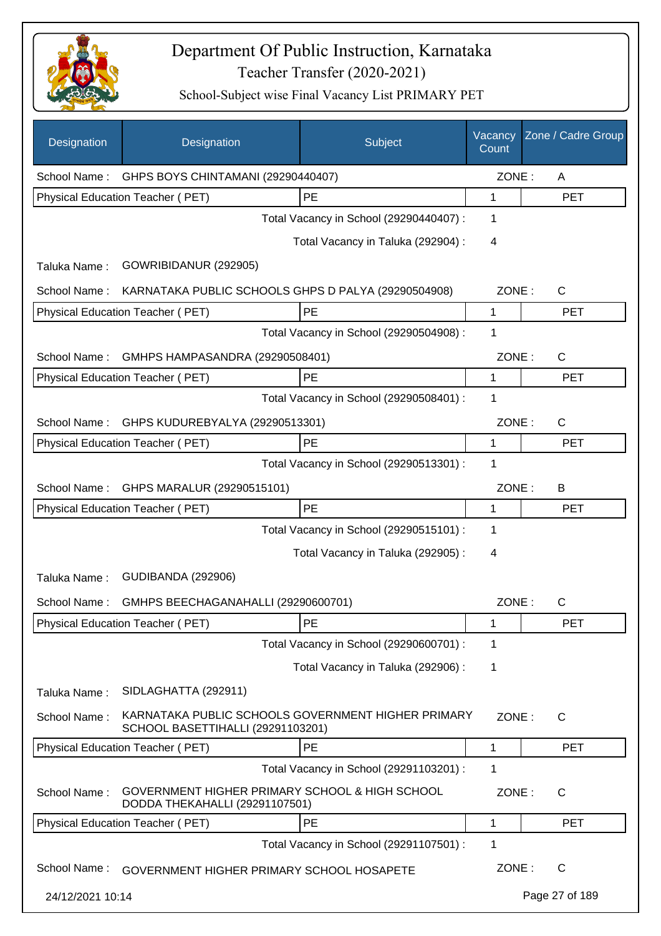

| Designation      | Designation                                                                             | Subject                                 | Vacancy<br>Count | Zone / Cadre Group |
|------------------|-----------------------------------------------------------------------------------------|-----------------------------------------|------------------|--------------------|
| School Name:     | GHPS BOYS CHINTAMANI (29290440407)                                                      |                                         | ZONE:            | Α                  |
|                  | Physical Education Teacher (PET)                                                        | PE                                      | 1                | <b>PET</b>         |
|                  |                                                                                         | Total Vacancy in School (29290440407) : | 1                |                    |
|                  |                                                                                         | Total Vacancy in Taluka (292904) :      | 4                |                    |
| Taluka Name:     | GOWRIBIDANUR (292905)                                                                   |                                         |                  |                    |
| School Name:     | KARNATAKA PUBLIC SCHOOLS GHPS D PALYA (29290504908)                                     |                                         | ZONE:            | C                  |
|                  | Physical Education Teacher (PET)                                                        | PE                                      | 1                | <b>PET</b>         |
|                  |                                                                                         | Total Vacancy in School (29290504908) : | 1                |                    |
| School Name:     | GMHPS HAMPASANDRA (29290508401)                                                         |                                         | ZONE:            | C                  |
|                  | Physical Education Teacher (PET)                                                        | PE                                      | 1                | <b>PET</b>         |
|                  |                                                                                         | Total Vacancy in School (29290508401) : | 1                |                    |
| School Name:     | GHPS KUDUREBYALYA (29290513301)                                                         |                                         | ZONE:            | C                  |
|                  | Physical Education Teacher (PET)                                                        | PE                                      | 1                | <b>PET</b>         |
|                  |                                                                                         | Total Vacancy in School (29290513301) : | 1                |                    |
| School Name:     | GHPS MARALUR (29290515101)                                                              |                                         | ZONE:            | B                  |
|                  | Physical Education Teacher (PET)                                                        | <b>PE</b>                               | 1                | <b>PET</b>         |
|                  |                                                                                         | Total Vacancy in School (29290515101) : | 1                |                    |
|                  |                                                                                         | Total Vacancy in Taluka (292905):       | 4                |                    |
| Taluka Name:     | <b>GUDIBANDA (292906)</b>                                                               |                                         |                  |                    |
| School Name:     | GMHPS BEECHAGANAHALLI (29290600701)                                                     |                                         | ZONE:            | C                  |
|                  | Physical Education Teacher (PET)                                                        | PE                                      | 1                | <b>PET</b>         |
|                  |                                                                                         | Total Vacancy in School (29290600701) : | 1                |                    |
|                  |                                                                                         | Total Vacancy in Taluka (292906) :      | 1                |                    |
| Taluka Name:     | SIDLAGHATTA (292911)                                                                    |                                         |                  |                    |
| School Name:     | KARNATAKA PUBLIC SCHOOLS GOVERNMENT HIGHER PRIMARY<br>SCHOOL BASETTIHALLI (29291103201) |                                         | ZONE:            | $\mathsf{C}$       |
|                  | Physical Education Teacher (PET)                                                        | PE                                      | 1                | <b>PET</b>         |
|                  |                                                                                         | Total Vacancy in School (29291103201) : | 1                |                    |
| School Name:     | GOVERNMENT HIGHER PRIMARY SCHOOL & HIGH SCHOOL<br>DODDA THEKAHALLI (29291107501)        |                                         | ZONE:            | $\mathsf{C}$       |
|                  | Physical Education Teacher (PET)                                                        | PE                                      | 1                | <b>PET</b>         |
|                  |                                                                                         | Total Vacancy in School (29291107501) : | 1                |                    |
| School Name:     | GOVERNMENT HIGHER PRIMARY SCHOOL HOSAPETE                                               |                                         | ZONE:            | C                  |
| 24/12/2021 10:14 |                                                                                         |                                         |                  | Page 27 of 189     |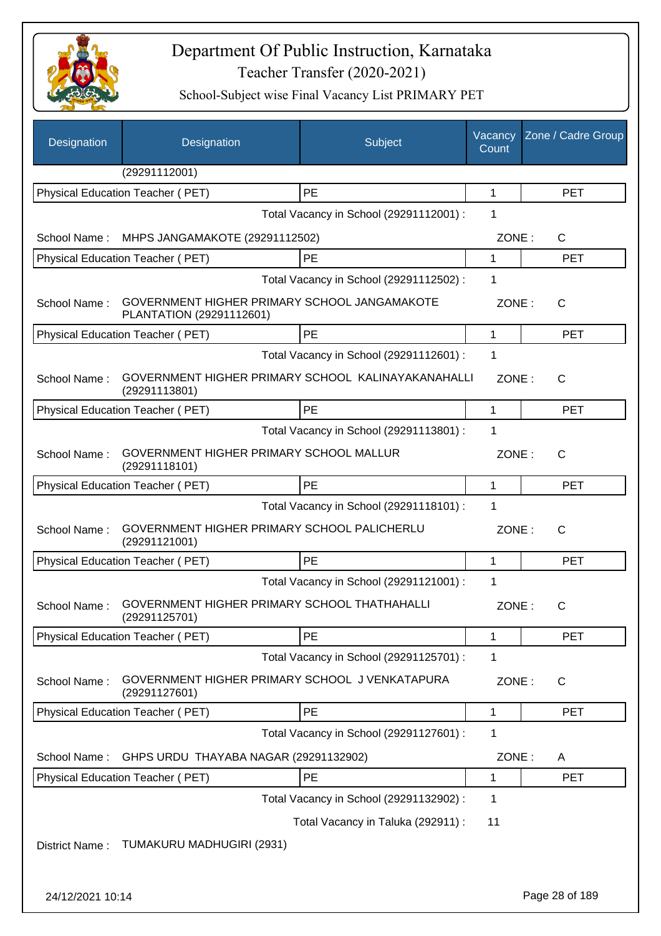

| Designation      | Designation                                                              | Subject                                 | Vacancy<br>Count | Zone / Cadre Group |
|------------------|--------------------------------------------------------------------------|-----------------------------------------|------------------|--------------------|
|                  | (29291112001)                                                            |                                         |                  |                    |
|                  | Physical Education Teacher (PET)                                         | PE                                      | $\mathbf 1$      | <b>PET</b>         |
|                  |                                                                          | Total Vacancy in School (29291112001) : | 1                |                    |
| School Name:     | MHPS JANGAMAKOTE (29291112502)                                           |                                         | ZONE:            | C                  |
|                  | Physical Education Teacher (PET)                                         | PE                                      | 1                | <b>PET</b>         |
|                  |                                                                          | Total Vacancy in School (29291112502) : | 1                |                    |
| School Name:     | GOVERNMENT HIGHER PRIMARY SCHOOL JANGAMAKOTE<br>PLANTATION (29291112601) |                                         | ZONE:            | $\mathsf{C}$       |
|                  | <b>Physical Education Teacher (PET)</b>                                  | PE                                      | 1                | <b>PET</b>         |
|                  |                                                                          | Total Vacancy in School (29291112601) : | 1                |                    |
| School Name:     | GOVERNMENT HIGHER PRIMARY SCHOOL KALINAYAKANAHALLI<br>(29291113801)      |                                         | ZONE:            | C                  |
|                  | Physical Education Teacher (PET)                                         | PE                                      | $\mathbf{1}$     | <b>PET</b>         |
|                  |                                                                          | Total Vacancy in School (29291113801) : | 1                |                    |
| School Name:     | GOVERNMENT HIGHER PRIMARY SCHOOL MALLUR<br>(29291118101)                 |                                         | ZONE:            | $\mathsf{C}$       |
|                  | Physical Education Teacher (PET)                                         | <b>PE</b>                               | 1                | <b>PET</b>         |
|                  |                                                                          | Total Vacancy in School (29291118101) : | 1                |                    |
| School Name:     | GOVERNMENT HIGHER PRIMARY SCHOOL PALICHERLU<br>(29291121001)             |                                         | ZONE:            | $\mathsf{C}$       |
|                  | Physical Education Teacher (PET)                                         | PE                                      | 1                | <b>PET</b>         |
|                  |                                                                          | Total Vacancy in School (29291121001) : | 1                |                    |
| School Name:     | GOVERNMENT HIGHER PRIMARY SCHOOL THATHAHALLI<br>(29291125701)            |                                         | ZONE:            | С                  |
|                  | Physical Education Teacher (PET)                                         | PE                                      | 1                | <b>PET</b>         |
|                  |                                                                          | Total Vacancy in School (29291125701) : | 1                |                    |
| School Name:     | GOVERNMENT HIGHER PRIMARY SCHOOL J VENKATAPURA<br>(29291127601)          |                                         | ZONE:            | $\mathsf{C}$       |
|                  | Physical Education Teacher (PET)                                         | PE                                      | 1                | <b>PET</b>         |
|                  |                                                                          | Total Vacancy in School (29291127601) : | 1                |                    |
| School Name:     | GHPS URDU THAYABA NAGAR (29291132902)                                    |                                         | ZONE:            | A                  |
|                  | Physical Education Teacher (PET)                                         | PE                                      | 1                | <b>PET</b>         |
|                  |                                                                          | Total Vacancy in School (29291132902) : | 1                |                    |
|                  |                                                                          | Total Vacancy in Taluka (292911) :      | 11               |                    |
| District Name:   | TUMAKURU MADHUGIRI (2931)                                                |                                         |                  |                    |
| 24/12/2021 10:14 |                                                                          |                                         |                  | Page 28 of 189     |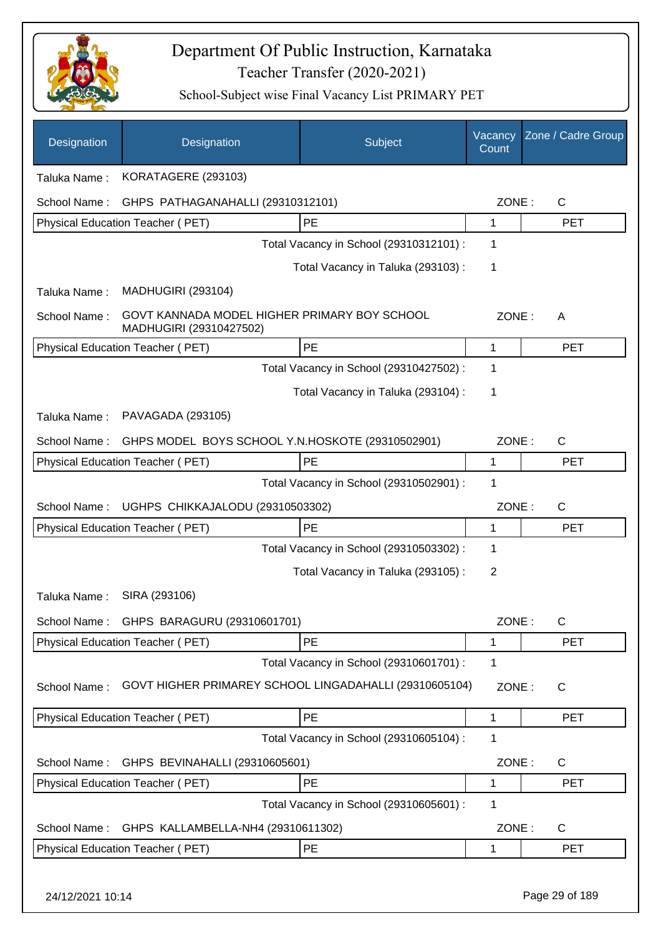

| Designation      | Designation                                                             | Subject                                 | Vacancy<br>Count | Zone / Cadre Group |
|------------------|-------------------------------------------------------------------------|-----------------------------------------|------------------|--------------------|
| Taluka Name:     | KORATAGERE (293103)                                                     |                                         |                  |                    |
| School Name:     | GHPS PATHAGANAHALLI (29310312101)                                       |                                         | ZONE:            | $\mathsf{C}$       |
|                  | Physical Education Teacher (PET)                                        | PE                                      | 1                | <b>PET</b>         |
|                  |                                                                         | Total Vacancy in School (29310312101) : | 1                |                    |
|                  |                                                                         | Total Vacancy in Taluka (293103):       | 1                |                    |
| Taluka Name:     | <b>MADHUGIRI (293104)</b>                                               |                                         |                  |                    |
| School Name:     | GOVT KANNADA MODEL HIGHER PRIMARY BOY SCHOOL<br>MADHUGIRI (29310427502) |                                         | ZONE:            | A                  |
|                  | Physical Education Teacher (PET)                                        | PE                                      | 1                | <b>PET</b>         |
|                  |                                                                         | Total Vacancy in School (29310427502) : | 1                |                    |
|                  |                                                                         | Total Vacancy in Taluka (293104) :      | 1                |                    |
| Taluka Name:     | PAVAGADA (293105)                                                       |                                         |                  |                    |
| School Name:     | GHPS MODEL BOYS SCHOOL Y.N.HOSKOTE (29310502901)                        |                                         | ZONE:            | $\mathsf{C}$       |
|                  | Physical Education Teacher (PET)                                        | PE                                      | 1                | <b>PET</b>         |
|                  |                                                                         | Total Vacancy in School (29310502901) : | 1                |                    |
| School Name:     | UGHPS CHIKKAJALODU (29310503302)                                        |                                         | ZONE:            | $\mathsf{C}$       |
|                  | Physical Education Teacher (PET)                                        | PE                                      | 1                | <b>PET</b>         |
|                  |                                                                         | Total Vacancy in School (29310503302) : | 1                |                    |
|                  |                                                                         | Total Vacancy in Taluka (293105):       | 2                |                    |
| Taluka Name:     | SIRA (293106)                                                           |                                         |                  |                    |
| School Name:     | GHPS BARAGURU (29310601701)                                             |                                         | ZONE:            | C                  |
|                  | Physical Education Teacher (PET)                                        | PE                                      | 1                | <b>PET</b>         |
|                  |                                                                         | Total Vacancy in School (29310601701) : | 1                |                    |
| School Name:     | GOVT HIGHER PRIMAREY SCHOOL LINGADAHALLI (29310605104)                  |                                         | ZONE:            | C                  |
|                  | <b>Physical Education Teacher (PET)</b>                                 | PE                                      | 1                | <b>PET</b>         |
|                  |                                                                         | Total Vacancy in School (29310605104) : | 1                |                    |
| School Name:     | GHPS BEVINAHALLI (29310605601)                                          |                                         | ZONE:            | C                  |
|                  | Physical Education Teacher (PET)                                        | PE                                      | 1                | <b>PET</b>         |
|                  |                                                                         | Total Vacancy in School (29310605601) : | 1                |                    |
| School Name:     | GHPS KALLAMBELLA-NH4 (29310611302)                                      |                                         | ZONE:            | C                  |
|                  | Physical Education Teacher (PET)                                        | PE                                      | 1                | <b>PET</b>         |
| 24/12/2021 10:14 |                                                                         |                                         |                  | Page 29 of 189     |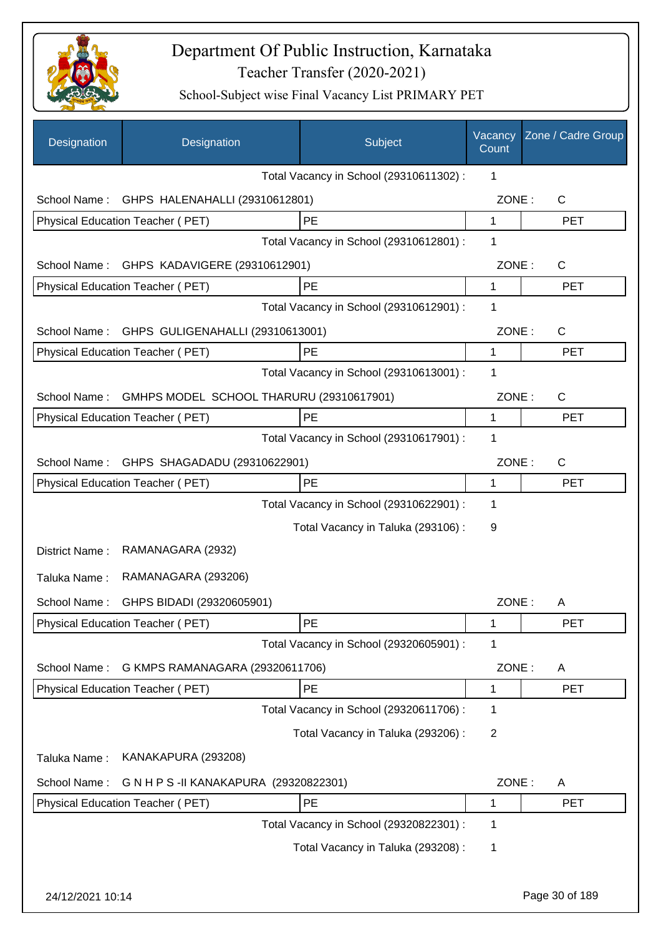

| Designation      | Designation                              | Subject                                 | Vacancy<br>Count | Zone / Cadre Group |
|------------------|------------------------------------------|-----------------------------------------|------------------|--------------------|
|                  |                                          | Total Vacancy in School (29310611302) : | 1                |                    |
| School Name:     | GHPS HALENAHALLI (29310612801)           |                                         | ZONE:            | C                  |
|                  | Physical Education Teacher (PET)         | PE                                      | 1                | <b>PET</b>         |
|                  |                                          | Total Vacancy in School (29310612801) : | 1                |                    |
| School Name:     | GHPS KADAVIGERE (29310612901)            |                                         | ZONE:            | $\mathsf{C}$       |
|                  | Physical Education Teacher (PET)         | PE                                      | 1                | <b>PET</b>         |
|                  |                                          | Total Vacancy in School (29310612901) : | 1                |                    |
| School Name:     | GHPS GULIGENAHALLI (29310613001)         |                                         | ZONE:            | $\mathsf{C}$       |
|                  | Physical Education Teacher (PET)         | PE                                      | 1                | <b>PET</b>         |
|                  |                                          | Total Vacancy in School (29310613001) : | 1                |                    |
| School Name:     | GMHPS MODEL SCHOOL THARURU (29310617901) |                                         | ZONE:            | $\mathsf{C}$       |
|                  | Physical Education Teacher (PET)         | <b>PE</b>                               | 1                | <b>PET</b>         |
|                  |                                          | Total Vacancy in School (29310617901) : | 1                |                    |
| School Name:     | GHPS SHAGADADU (29310622901)             |                                         | ZONE:            | $\mathsf{C}$       |
|                  | Physical Education Teacher (PET)         | PE                                      | 1                | <b>PET</b>         |
|                  |                                          | Total Vacancy in School (29310622901) : | 1                |                    |
|                  |                                          | Total Vacancy in Taluka (293106):       | 9                |                    |
| District Name:   | RAMANAGARA (2932)                        |                                         |                  |                    |
| Taluka Name:     | RAMANAGARA (293206)                      |                                         |                  |                    |
| School Name:     | GHPS BIDADI (29320605901)                |                                         | ZONE:            | A                  |
|                  | Physical Education Teacher (PET)         | PE                                      | 1                | <b>PET</b>         |
|                  |                                          | Total Vacancy in School (29320605901) : | 1                |                    |
| School Name:     | G KMPS RAMANAGARA (29320611706)          |                                         | ZONE:            | Α                  |
|                  | Physical Education Teacher (PET)         | PE                                      | 1                | <b>PET</b>         |
|                  |                                          | Total Vacancy in School (29320611706) : | 1                |                    |
|                  |                                          | Total Vacancy in Taluka (293206) :      | 2                |                    |
| Taluka Name:     | KANAKAPURA (293208)                      |                                         |                  |                    |
| School Name:     | G N H P S - II KANAKAPURA (29320822301)  |                                         | ZONE:            | A                  |
|                  | Physical Education Teacher (PET)         | PE                                      | 1                | <b>PET</b>         |
|                  |                                          | Total Vacancy in School (29320822301) : | 1                |                    |
|                  |                                          | Total Vacancy in Taluka (293208) :      | 1                |                    |
|                  |                                          |                                         |                  |                    |
| 24/12/2021 10:14 |                                          |                                         |                  | Page 30 of 189     |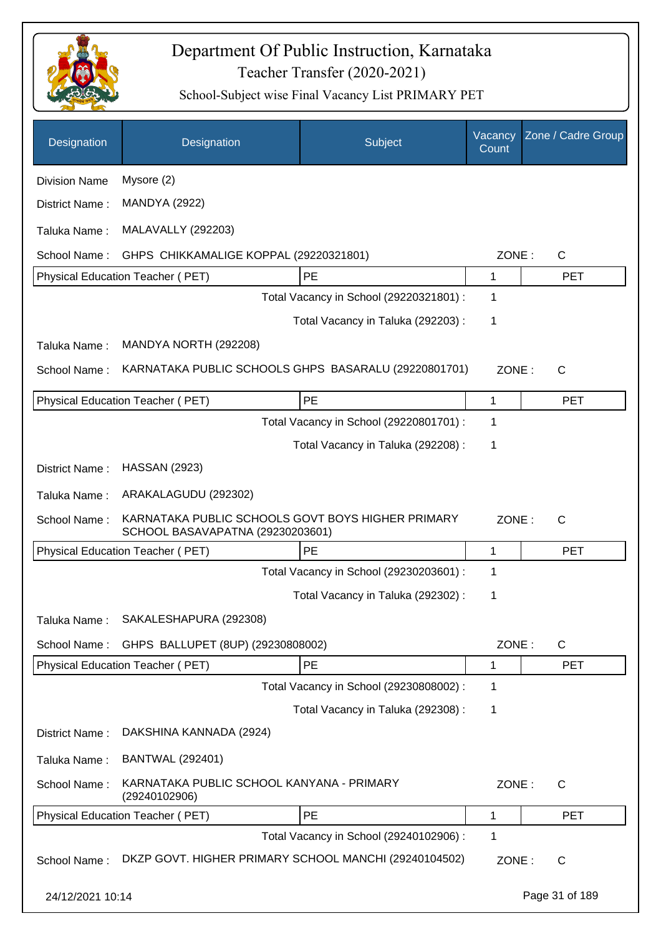

| Designation          | Designation                                                                           | Subject                                 | Vacancy<br>Count | Zone / Cadre Group |
|----------------------|---------------------------------------------------------------------------------------|-----------------------------------------|------------------|--------------------|
| <b>Division Name</b> | Mysore (2)                                                                            |                                         |                  |                    |
| District Name:       | <b>MANDYA (2922)</b>                                                                  |                                         |                  |                    |
| Taluka Name:         | <b>MALAVALLY (292203)</b>                                                             |                                         |                  |                    |
| School Name:         | GHPS CHIKKAMALIGE KOPPAL (29220321801)                                                |                                         | ZONE:            | C                  |
|                      | Physical Education Teacher (PET)                                                      | PE                                      | 1                | <b>PET</b>         |
|                      |                                                                                       | Total Vacancy in School (29220321801) : | 1                |                    |
|                      |                                                                                       | Total Vacancy in Taluka (292203) :      | 1                |                    |
| Taluka Name:         | MANDYA NORTH (292208)                                                                 |                                         |                  |                    |
| School Name:         | KARNATAKA PUBLIC SCHOOLS GHPS BASARALU (29220801701)                                  |                                         | ZONE:            | $\mathsf{C}$       |
|                      | Physical Education Teacher (PET)                                                      | PE                                      | $\mathbf{1}$     | <b>PET</b>         |
|                      |                                                                                       | Total Vacancy in School (29220801701) : | 1                |                    |
|                      |                                                                                       | Total Vacancy in Taluka (292208):       | 1                |                    |
| District Name:       | <b>HASSAN (2923)</b>                                                                  |                                         |                  |                    |
| Taluka Name:         | ARAKALAGUDU (292302)                                                                  |                                         |                  |                    |
| School Name:         | KARNATAKA PUBLIC SCHOOLS GOVT BOYS HIGHER PRIMARY<br>SCHOOL BASAVAPATNA (29230203601) |                                         | ZONE:            | C                  |
|                      | Physical Education Teacher (PET)                                                      | PE                                      | 1                | <b>PET</b>         |
|                      |                                                                                       | Total Vacancy in School (29230203601) : | 1                |                    |
|                      |                                                                                       | Total Vacancy in Taluka (292302):       | 1                |                    |
| Taluka Name:         | SAKALESHAPURA (292308)                                                                |                                         |                  |                    |
| School Name:         | GHPS BALLUPET (8UP) (29230808002)                                                     |                                         | ZONE:            | $\mathsf{C}$       |
|                      | Physical Education Teacher (PET)                                                      | PE                                      | 1                | <b>PET</b>         |
|                      |                                                                                       | Total Vacancy in School (29230808002) : | 1                |                    |
|                      |                                                                                       | Total Vacancy in Taluka (292308) :      | 1                |                    |
| District Name:       | DAKSHINA KANNADA (2924)                                                               |                                         |                  |                    |
| Taluka Name:         | <b>BANTWAL (292401)</b>                                                               |                                         |                  |                    |
| School Name:         | KARNATAKA PUBLIC SCHOOL KANYANA - PRIMARY<br>(29240102906)                            |                                         | ZONE:            | $\mathsf{C}$       |
|                      | Physical Education Teacher (PET)                                                      | PE                                      | $\mathbf 1$      | <b>PET</b>         |
|                      |                                                                                       | Total Vacancy in School (29240102906) : | 1                |                    |
| School Name:         | DKZP GOVT. HIGHER PRIMARY SCHOOL MANCHI (29240104502)                                 |                                         | ZONE:            | C                  |
| 24/12/2021 10:14     |                                                                                       |                                         |                  | Page 31 of 189     |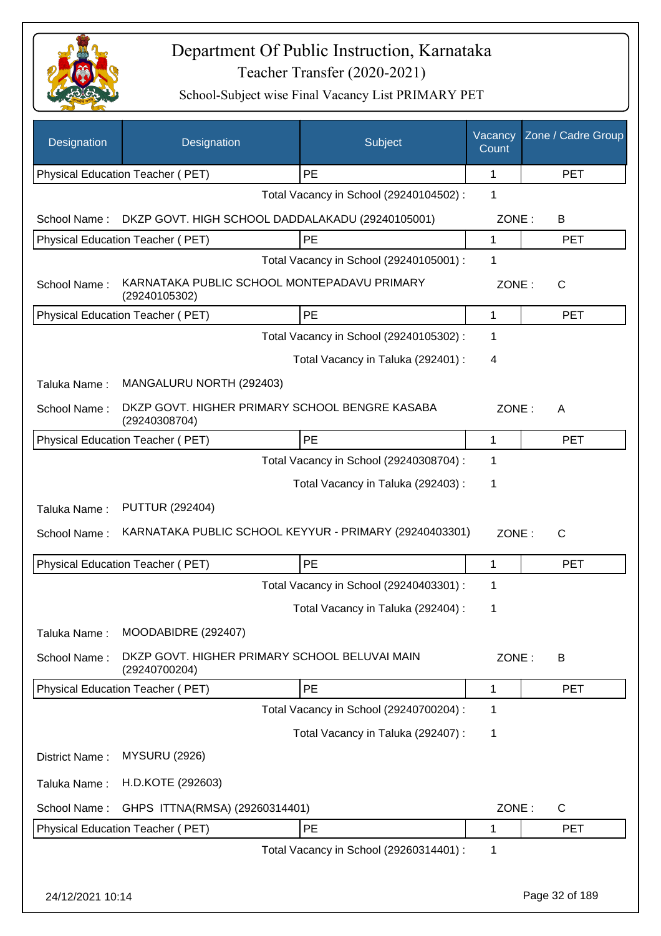

| Designation      | Designation                                                     | Subject                                 | Vacancy<br>Count | Zone / Cadre Group |
|------------------|-----------------------------------------------------------------|-----------------------------------------|------------------|--------------------|
|                  | Physical Education Teacher (PET)                                | PE                                      | 1                | <b>PET</b>         |
|                  |                                                                 | Total Vacancy in School (29240104502) : | 1                |                    |
| School Name:     | DKZP GOVT. HIGH SCHOOL DADDALAKADU (29240105001)                |                                         | ZONE:            | B                  |
|                  | Physical Education Teacher (PET)                                | PE                                      | 1                | <b>PET</b>         |
|                  |                                                                 | Total Vacancy in School (29240105001) : | 1                |                    |
| School Name:     | KARNATAKA PUBLIC SCHOOL MONTEPADAVU PRIMARY<br>(29240105302)    |                                         | ZONE:            | С                  |
|                  | Physical Education Teacher (PET)                                | PE                                      | 1                | <b>PET</b>         |
|                  |                                                                 | Total Vacancy in School (29240105302) : | 1                |                    |
|                  |                                                                 | Total Vacancy in Taluka (292401) :      | 4                |                    |
| Taluka Name:     | MANGALURU NORTH (292403)                                        |                                         |                  |                    |
| School Name:     | DKZP GOVT. HIGHER PRIMARY SCHOOL BENGRE KASABA<br>(29240308704) |                                         | ZONE:            | A                  |
|                  | Physical Education Teacher (PET)                                | PE                                      | 1                | <b>PET</b>         |
|                  |                                                                 | Total Vacancy in School (29240308704) : | 1                |                    |
|                  |                                                                 | Total Vacancy in Taluka (292403) :      | 1                |                    |
| Taluka Name:     | <b>PUTTUR (292404)</b>                                          |                                         |                  |                    |
| School Name:     | KARNATAKA PUBLIC SCHOOL KEYYUR - PRIMARY (29240403301)          |                                         | ZONE:            | $\mathsf{C}$       |
|                  | Physical Education Teacher (PET)                                | PE                                      | 1                | <b>PET</b>         |
|                  |                                                                 | Total Vacancy in School (29240403301) : | 1                |                    |
|                  |                                                                 | Total Vacancy in Taluka (292404) :      | 1                |                    |
| Taluka Name:     | MOODABIDRE (292407)                                             |                                         |                  |                    |
| School Name:     | DKZP GOVT. HIGHER PRIMARY SCHOOL BELUVAI MAIN<br>(29240700204)  |                                         | ZONE:            | В                  |
|                  | Physical Education Teacher (PET)                                | <b>PE</b>                               | 1                | <b>PET</b>         |
|                  |                                                                 | Total Vacancy in School (29240700204) : | 1                |                    |
|                  |                                                                 | Total Vacancy in Taluka (292407) :      | 1                |                    |
| District Name:   | <b>MYSURU (2926)</b>                                            |                                         |                  |                    |
| Taluka Name:     | H.D.KOTE (292603)                                               |                                         |                  |                    |
| School Name:     | GHPS ITTNA(RMSA) (29260314401)                                  |                                         | ZONE:            | C                  |
|                  | Physical Education Teacher (PET)                                | PE                                      | 1                | <b>PET</b>         |
|                  |                                                                 | Total Vacancy in School (29260314401) : | 1                |                    |
| 24/12/2021 10:14 |                                                                 |                                         |                  | Page 32 of 189     |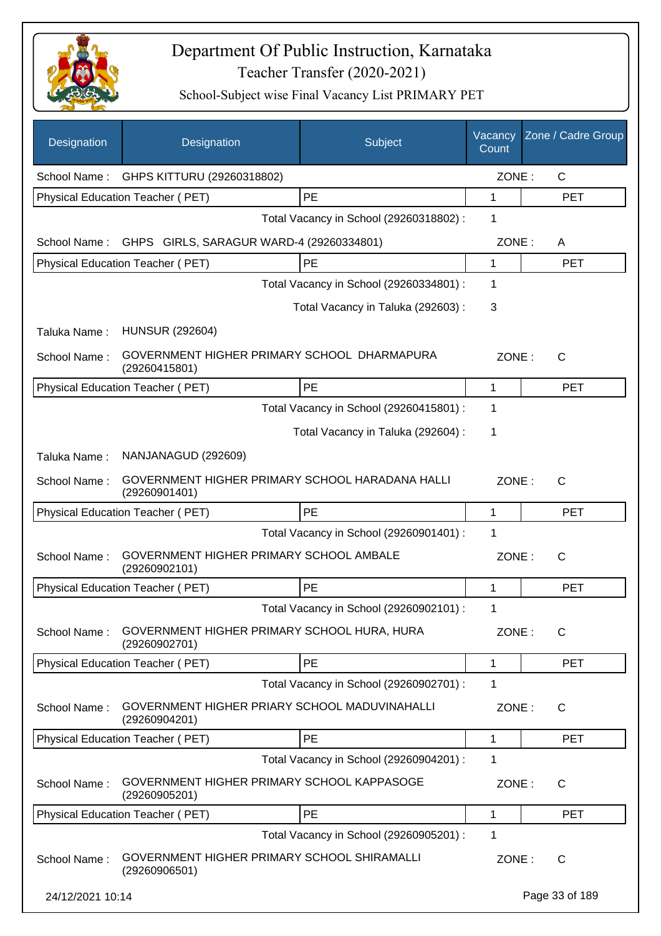

| Designation      | Designation                                                      | <b>Subject</b>                          | Vacancy<br>Count | Zone / Cadre Group |
|------------------|------------------------------------------------------------------|-----------------------------------------|------------------|--------------------|
| School Name:     | GHPS KITTURU (29260318802)                                       |                                         | ZONE:            | $\mathsf{C}$       |
|                  | Physical Education Teacher (PET)                                 | PE                                      | 1                | <b>PET</b>         |
|                  |                                                                  | Total Vacancy in School (29260318802) : | 1                |                    |
| School Name:     | GHPS GIRLS, SARAGUR WARD-4 (29260334801)                         |                                         | ZONE:            | A                  |
|                  | Physical Education Teacher (PET)                                 | PE                                      | 1                | <b>PET</b>         |
|                  |                                                                  | Total Vacancy in School (29260334801) : | 1                |                    |
|                  |                                                                  | Total Vacancy in Taluka (292603) :      | 3                |                    |
| Taluka Name:     | <b>HUNSUR (292604)</b>                                           |                                         |                  |                    |
| School Name:     | GOVERNMENT HIGHER PRIMARY SCHOOL DHARMAPURA<br>(29260415801)     |                                         | ZONE:            | $\mathsf{C}$       |
|                  | Physical Education Teacher (PET)                                 | PE                                      | 1                | <b>PET</b>         |
|                  |                                                                  | Total Vacancy in School (29260415801) : | 1                |                    |
|                  |                                                                  | Total Vacancy in Taluka (292604) :      | 1                |                    |
| Taluka Name:     | NANJANAGUD (292609)                                              |                                         |                  |                    |
| School Name:     | GOVERNMENT HIGHER PRIMARY SCHOOL HARADANA HALLI<br>(29260901401) |                                         | ZONE:            | C                  |
|                  | Physical Education Teacher (PET)                                 | PE                                      | 1                | <b>PET</b>         |
|                  |                                                                  | Total Vacancy in School (29260901401) : | 1                |                    |
| School Name:     | GOVERNMENT HIGHER PRIMARY SCHOOL AMBALE<br>(29260902101)         |                                         | ZONE:            | $\mathsf{C}$       |
|                  | Physical Education Teacher (PET)                                 | PE                                      | 1                | <b>PET</b>         |
|                  |                                                                  | Total Vacancy in School (29260902101) : | 1                |                    |
| School Name:     | GOVERNMENT HIGHER PRIMARY SCHOOL HURA, HURA<br>(29260902701)     |                                         | ZONE:            | $\mathsf{C}$       |
|                  | Physical Education Teacher (PET)                                 | PE                                      | 1                | <b>PET</b>         |
|                  |                                                                  | Total Vacancy in School (29260902701) : | 1                |                    |
| School Name:     | GOVERNMENT HIGHER PRIARY SCHOOL MADUVINAHALLI<br>(29260904201)   |                                         | ZONE:            | C                  |
|                  | Physical Education Teacher (PET)                                 | PE                                      | 1                | <b>PET</b>         |
|                  |                                                                  | Total Vacancy in School (29260904201) : | 1                |                    |
| School Name:     | GOVERNMENT HIGHER PRIMARY SCHOOL KAPPASOGE<br>(29260905201)      |                                         | ZONE:            | C                  |
|                  | Physical Education Teacher (PET)                                 | PE                                      | 1                | <b>PET</b>         |
|                  |                                                                  | Total Vacancy in School (29260905201) : | 1                |                    |
| School Name:     | GOVERNMENT HIGHER PRIMARY SCHOOL SHIRAMALLI<br>(29260906501)     |                                         | ZONE:            | $\mathsf{C}$       |
| 24/12/2021 10:14 |                                                                  |                                         |                  | Page 33 of 189     |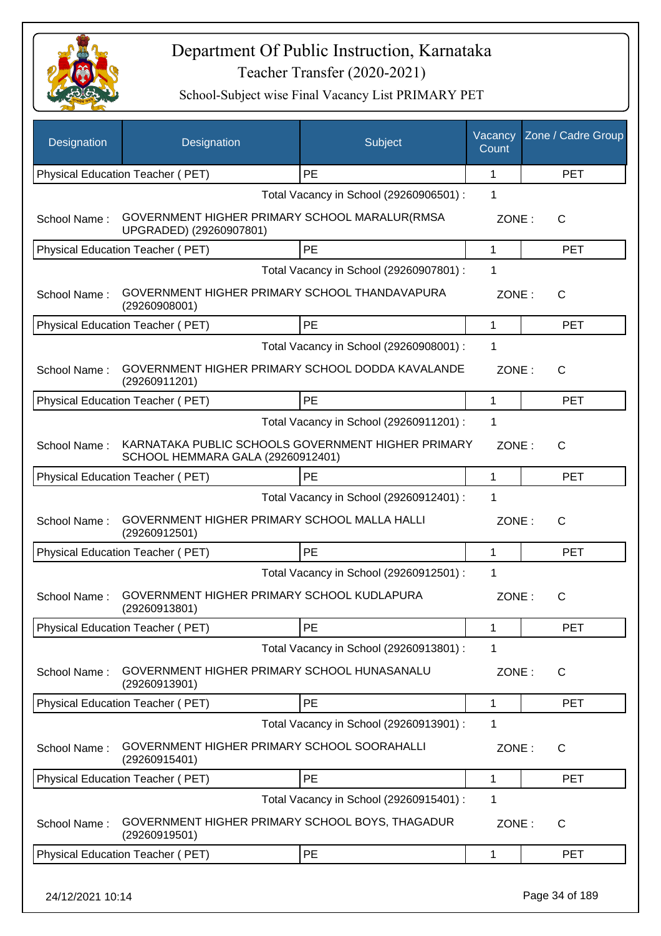

| Designation  | Designation                                                                             | Subject                                 | Vacancy<br>Count | Zone / Cadre Group |
|--------------|-----------------------------------------------------------------------------------------|-----------------------------------------|------------------|--------------------|
|              | Physical Education Teacher (PET)                                                        | PE                                      | 1                | <b>PET</b>         |
|              |                                                                                         | Total Vacancy in School (29260906501) : | 1                |                    |
| School Name: | GOVERNMENT HIGHER PRIMARY SCHOOL MARALUR(RMSA<br>UPGRADED) (29260907801)                |                                         | ZONE:            | C                  |
|              | <b>Physical Education Teacher (PET)</b>                                                 | PE                                      | 1                | <b>PET</b>         |
|              |                                                                                         | Total Vacancy in School (29260907801) : | 1                |                    |
| School Name: | GOVERNMENT HIGHER PRIMARY SCHOOL THANDAVAPURA<br>(29260908001)                          |                                         | ZONE:            | $\mathsf{C}$       |
|              | Physical Education Teacher (PET)                                                        | PE                                      | 1                | <b>PET</b>         |
|              |                                                                                         | Total Vacancy in School (29260908001) : | 1                |                    |
| School Name: | GOVERNMENT HIGHER PRIMARY SCHOOL DODDA KAVALANDE<br>(29260911201)                       |                                         | ZONE:            | $\mathsf{C}$       |
|              | Physical Education Teacher (PET)                                                        | PE                                      | 1                | <b>PET</b>         |
|              |                                                                                         | Total Vacancy in School (29260911201) : | $\mathbf{1}$     |                    |
| School Name: | KARNATAKA PUBLIC SCHOOLS GOVERNMENT HIGHER PRIMARY<br>SCHOOL HEMMARA GALA (29260912401) |                                         | ZONE:            | $\mathsf{C}$       |
|              | Physical Education Teacher (PET)                                                        | PE                                      | 1                | <b>PET</b>         |
|              |                                                                                         | Total Vacancy in School (29260912401) : | 1                |                    |
| School Name: | GOVERNMENT HIGHER PRIMARY SCHOOL MALLA HALLI<br>(29260912501)                           |                                         | ZONE:            | $\mathsf{C}$       |
|              | Physical Education Teacher (PET)                                                        | <b>PE</b>                               | 1                | <b>PET</b>         |
|              |                                                                                         | Total Vacancy in School (29260912501) : | 1                |                    |
| School Name: | GOVERNMENT HIGHER PRIMARY SCHOOL KUDLAPURA<br>(29260913801)                             |                                         | ZONE:            | $\mathsf{C}$       |
|              | Physical Education Teacher (PET)                                                        | <b>PE</b>                               | 1                | <b>PET</b>         |
|              |                                                                                         | Total Vacancy in School (29260913801) : | 1                |                    |
| School Name: | GOVERNMENT HIGHER PRIMARY SCHOOL HUNASANALU<br>(29260913901)                            |                                         | ZONE:            | C                  |
|              | Physical Education Teacher (PET)                                                        | PE                                      | 1                | <b>PET</b>         |
|              |                                                                                         | Total Vacancy in School (29260913901) : | 1                |                    |
| School Name: | GOVERNMENT HIGHER PRIMARY SCHOOL SOORAHALLI<br>(29260915401)                            |                                         | ZONE:            | $\mathsf{C}$       |
|              | Physical Education Teacher (PET)                                                        | PE                                      | 1                | <b>PET</b>         |
|              |                                                                                         | Total Vacancy in School (29260915401) : | 1                |                    |
| School Name: | GOVERNMENT HIGHER PRIMARY SCHOOL BOYS, THAGADUR<br>(29260919501)                        |                                         | ZONE:            | C                  |
|              | Physical Education Teacher (PET)                                                        | PE                                      | 1                | <b>PET</b>         |
|              |                                                                                         |                                         |                  |                    |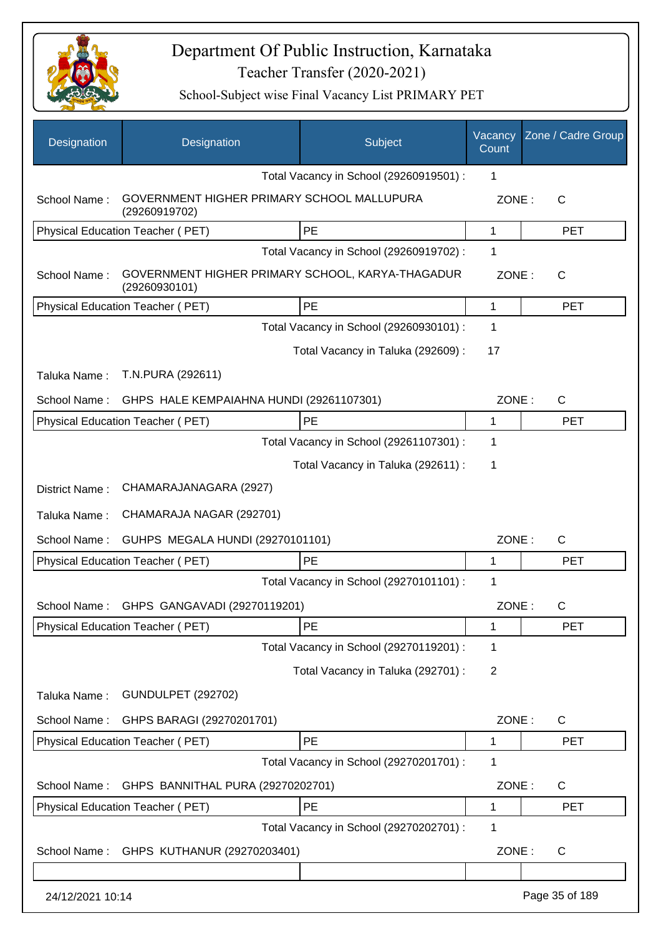

| Designation      | Designation                                                       | Subject                                 | Vacancy<br>Count | Zone / Cadre Group |
|------------------|-------------------------------------------------------------------|-----------------------------------------|------------------|--------------------|
|                  |                                                                   | Total Vacancy in School (29260919501) : | 1                |                    |
| School Name:     | GOVERNMENT HIGHER PRIMARY SCHOOL MALLUPURA<br>(29260919702)       |                                         | ZONE:            | $\mathsf{C}$       |
|                  | Physical Education Teacher (PET)                                  | <b>PE</b>                               | 1                | <b>PET</b>         |
|                  |                                                                   | Total Vacancy in School (29260919702) : | 1                |                    |
| School Name:     | GOVERNMENT HIGHER PRIMARY SCHOOL, KARYA-THAGADUR<br>(29260930101) |                                         | ZONE:            | C                  |
|                  | Physical Education Teacher (PET)                                  | PE                                      | 1                | <b>PET</b>         |
|                  |                                                                   | Total Vacancy in School (29260930101) : | 1                |                    |
|                  |                                                                   | Total Vacancy in Taluka (292609) :      | 17               |                    |
| Taluka Name:     | T.N.PURA (292611)                                                 |                                         |                  |                    |
| School Name:     | GHPS HALE KEMPAIAHNA HUNDI (29261107301)                          |                                         | ZONE:            | $\mathsf{C}$       |
|                  | Physical Education Teacher (PET)                                  | PE                                      | 1                | <b>PET</b>         |
|                  |                                                                   | Total Vacancy in School (29261107301) : | 1                |                    |
|                  |                                                                   | Total Vacancy in Taluka (292611) :      | 1                |                    |
| District Name:   | CHAMARAJANAGARA (2927)                                            |                                         |                  |                    |
| Taluka Name:     | CHAMARAJA NAGAR (292701)                                          |                                         |                  |                    |
| School Name:     | GUHPS MEGALA HUNDI (29270101101)                                  |                                         | ZONE:            | $\mathsf{C}$       |
|                  | <b>Physical Education Teacher (PET)</b>                           | PE                                      | 1                | <b>PET</b>         |
|                  |                                                                   | Total Vacancy in School (29270101101) : | 1                |                    |
| School Name:     | GHPS GANGAVADI (29270119201)                                      |                                         | ZONE:            | C                  |
|                  | Physical Education Teacher (PET)                                  | PE                                      | 1                | <b>PET</b>         |
|                  |                                                                   | Total Vacancy in School (29270119201) : | 1                |                    |
|                  |                                                                   | Total Vacancy in Taluka (292701) :      | $\overline{2}$   |                    |
| Taluka Name:     | <b>GUNDULPET (292702)</b>                                         |                                         |                  |                    |
| School Name:     | GHPS BARAGI (29270201701)                                         |                                         | ZONE:            | $\mathsf{C}$       |
|                  | Physical Education Teacher (PET)                                  | PE                                      | 1                | <b>PET</b>         |
|                  |                                                                   | Total Vacancy in School (29270201701) : | 1                |                    |
| School Name:     | GHPS BANNITHAL PURA (29270202701)                                 |                                         | ZONE:            | C                  |
|                  | Physical Education Teacher (PET)                                  | PE                                      | 1                | <b>PET</b>         |
|                  |                                                                   | Total Vacancy in School (29270202701) : | 1                |                    |
| School Name:     | GHPS KUTHANUR (29270203401)                                       |                                         | ZONE:            | C                  |
|                  |                                                                   |                                         |                  |                    |
| 24/12/2021 10:14 |                                                                   |                                         |                  | Page 35 of 189     |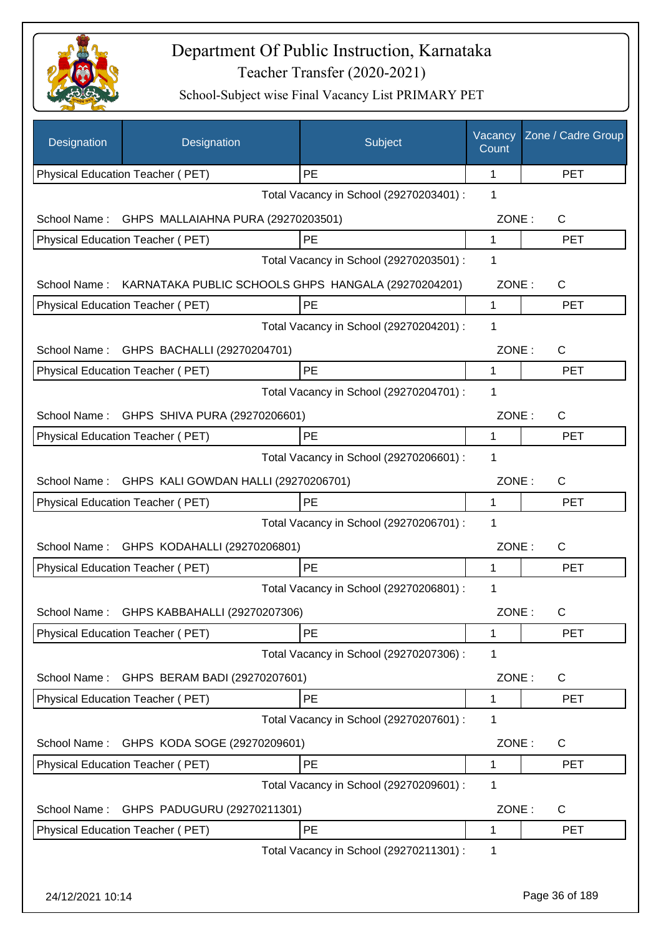

| Designation      | Designation                                         | Subject                                 | Vacancy<br>Count | Zone / Cadre Group |
|------------------|-----------------------------------------------------|-----------------------------------------|------------------|--------------------|
|                  | Physical Education Teacher (PET)                    | PE                                      | 1                | <b>PET</b>         |
|                  |                                                     | Total Vacancy in School (29270203401) : | 1                |                    |
| School Name:     | GHPS MALLAIAHNA PURA (29270203501)                  |                                         | ZONE:            | C                  |
|                  | Physical Education Teacher (PET)                    | PE                                      | 1                | <b>PET</b>         |
|                  |                                                     | Total Vacancy in School (29270203501) : | 1                |                    |
| School Name:     | KARNATAKA PUBLIC SCHOOLS GHPS HANGALA (29270204201) |                                         | ZONE:            | C                  |
|                  | Physical Education Teacher (PET)                    | PE                                      | 1                | <b>PET</b>         |
|                  |                                                     | Total Vacancy in School (29270204201) : | 1                |                    |
| School Name:     | GHPS BACHALLI (29270204701)                         |                                         | ZONE:            | $\mathsf{C}$       |
|                  | Physical Education Teacher (PET)                    | PE                                      | 1                | <b>PET</b>         |
|                  |                                                     | Total Vacancy in School (29270204701) : | 1                |                    |
|                  | School Name: GHPS SHIVA PURA (29270206601)          |                                         | ZONE:            | $\mathsf{C}$       |
|                  | Physical Education Teacher (PET)                    | PE                                      | 1                | <b>PET</b>         |
|                  |                                                     | Total Vacancy in School (29270206601) : | 1                |                    |
| School Name:     | GHPS KALI GOWDAN HALLI (29270206701)                |                                         | ZONE:            | C                  |
|                  | Physical Education Teacher (PET)                    | <b>PE</b>                               | 1                | <b>PET</b>         |
|                  |                                                     | Total Vacancy in School (29270206701) : | 1                |                    |
| School Name:     | GHPS KODAHALLI (29270206801)                        |                                         | ZONE:            | $\mathsf{C}$       |
|                  | Physical Education Teacher (PET)                    | PE                                      | 1                | <b>PET</b>         |
|                  |                                                     | Total Vacancy in School (29270206801) : | 1                |                    |
| School Name:     | GHPS KABBAHALLI (29270207306)                       |                                         | ZONE:            | С                  |
|                  | Physical Education Teacher (PET)                    | PE                                      | 1                | <b>PET</b>         |
|                  |                                                     | Total Vacancy in School (29270207306) : | 1                |                    |
| School Name:     | GHPS BERAM BADI (29270207601)                       |                                         | ZONE:            | C                  |
|                  | Physical Education Teacher (PET)                    | PE                                      | 1                | <b>PET</b>         |
|                  |                                                     | Total Vacancy in School (29270207601) : | 1                |                    |
|                  | School Name: GHPS KODA SOGE (29270209601)           |                                         | ZONE:            | C                  |
|                  | Physical Education Teacher (PET)                    | PE                                      | 1                | <b>PET</b>         |
|                  |                                                     | Total Vacancy in School (29270209601) : | 1                |                    |
| School Name:     | GHPS PADUGURU (29270211301)                         |                                         | ZONE:            | C                  |
|                  | Physical Education Teacher (PET)                    | PE                                      | 1                | <b>PET</b>         |
|                  |                                                     | Total Vacancy in School (29270211301) : | 1                |                    |
|                  |                                                     |                                         |                  |                    |
| 24/12/2021 10:14 |                                                     |                                         |                  | Page 36 of 189     |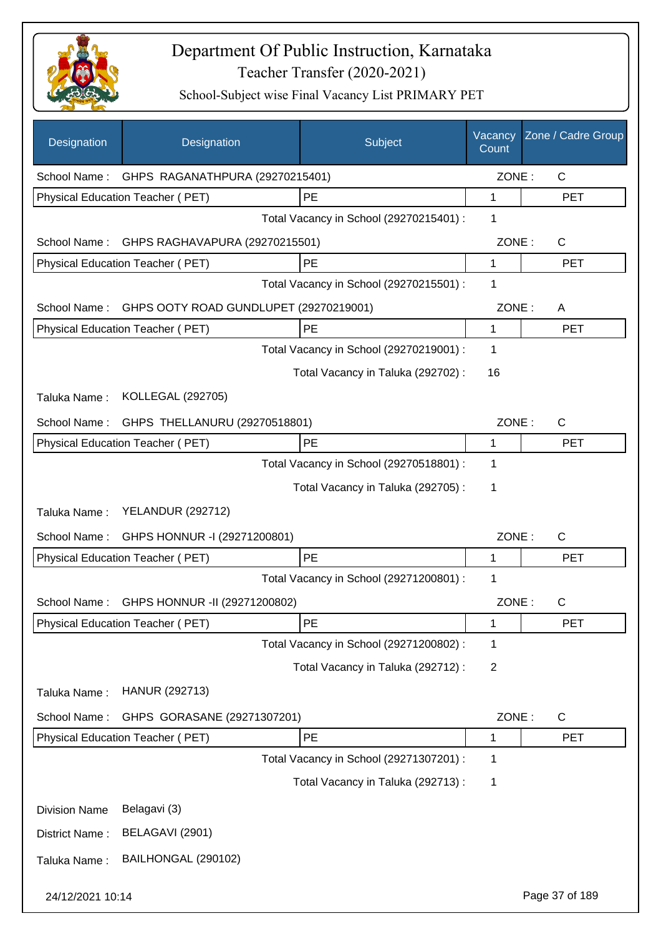

| Designation          | Designation                             | Subject                                 | Vacancy<br>Count | Zone / Cadre Group |
|----------------------|-----------------------------------------|-----------------------------------------|------------------|--------------------|
| School Name:         | GHPS RAGANATHPURA (29270215401)         |                                         | ZONE:            | $\mathsf{C}$       |
|                      | Physical Education Teacher (PET)        | PE                                      | 1                | <b>PET</b>         |
|                      |                                         | Total Vacancy in School (29270215401) : | 1                |                    |
| School Name:         | GHPS RAGHAVAPURA (29270215501)          |                                         | ZONE:            | $\mathsf{C}$       |
|                      | Physical Education Teacher (PET)        | PE                                      | 1                | <b>PET</b>         |
|                      |                                         | Total Vacancy in School (29270215501) : | 1                |                    |
| School Name:         | GHPS OOTY ROAD GUNDLUPET (29270219001)  |                                         | ZONE:            | A                  |
|                      | Physical Education Teacher (PET)        | PE                                      | 1                | <b>PET</b>         |
|                      |                                         | Total Vacancy in School (29270219001) : | 1                |                    |
|                      |                                         | Total Vacancy in Taluka (292702) :      | 16               |                    |
| Taluka Name:         | <b>KOLLEGAL (292705)</b>                |                                         |                  |                    |
| School Name:         | GHPS THELLANURU (29270518801)           |                                         | ZONE:            | $\mathsf{C}$       |
|                      | Physical Education Teacher (PET)        | PE                                      | 1                | <b>PET</b>         |
|                      |                                         | Total Vacancy in School (29270518801) : | 1                |                    |
|                      |                                         | Total Vacancy in Taluka (292705):       | 1                |                    |
| Taluka Name:         | <b>YELANDUR (292712)</b>                |                                         |                  |                    |
| School Name:         | GHPS HONNUR -I (29271200801)            |                                         | ZONE:            | $\mathsf{C}$       |
|                      | <b>Physical Education Teacher (PET)</b> | PE                                      | 1                | <b>PET</b>         |
|                      |                                         | Total Vacancy in School (29271200801) : | 1                |                    |
| School Name:         | GHPS HONNUR -II (29271200802)           |                                         | ZONE:            | C                  |
|                      | Physical Education Teacher (PET)        | PE                                      | 1                | <b>PET</b>         |
|                      |                                         | Total Vacancy in School (29271200802) : | 1                |                    |
|                      |                                         | Total Vacancy in Taluka (292712) :      | $\overline{2}$   |                    |
| Taluka Name:         | HANUR (292713)                          |                                         |                  |                    |
| School Name:         | GHPS GORASANE (29271307201)             |                                         | ZONE:            | C                  |
|                      | Physical Education Teacher (PET)        | PE                                      | 1                | <b>PET</b>         |
|                      |                                         | Total Vacancy in School (29271307201) : | 1                |                    |
|                      |                                         | Total Vacancy in Taluka (292713) :      | 1                |                    |
| <b>Division Name</b> | Belagavi (3)                            |                                         |                  |                    |
| District Name:       | BELAGAVI (2901)                         |                                         |                  |                    |
| Taluka Name:         | BAILHONGAL (290102)                     |                                         |                  |                    |
| 24/12/2021 10:14     |                                         |                                         |                  | Page 37 of 189     |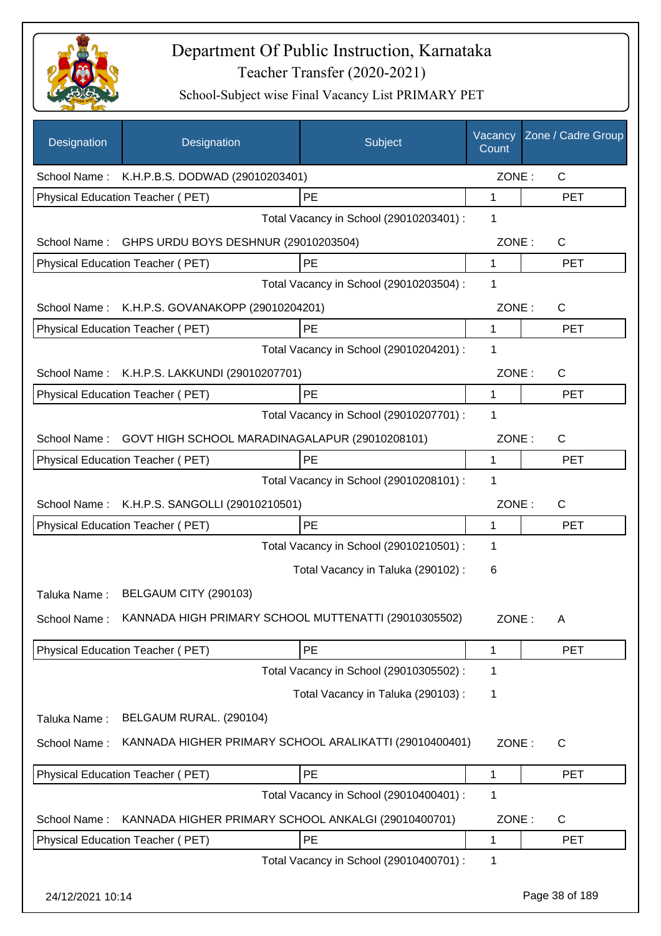

| Designation      | Designation                                            | Subject                                 | Vacancy<br>Count | Zone / Cadre Group |
|------------------|--------------------------------------------------------|-----------------------------------------|------------------|--------------------|
|                  | School Name: K.H.P.B.S. DODWAD (29010203401)           |                                         | ZONE:            | $\mathsf{C}$       |
|                  | Physical Education Teacher (PET)                       | PE                                      | 1                | <b>PET</b>         |
|                  |                                                        | Total Vacancy in School (29010203401) : | 1                |                    |
|                  | School Name: GHPS URDU BOYS DESHNUR (29010203504)      |                                         | ZONE:            | C                  |
|                  | Physical Education Teacher (PET)                       | PE                                      | 1                | <b>PET</b>         |
|                  |                                                        | Total Vacancy in School (29010203504) : | 1                |                    |
|                  | School Name: K.H.P.S. GOVANAKOPP (29010204201)         |                                         | ZONE:            | C                  |
|                  | Physical Education Teacher (PET)                       | PE                                      | 1                | <b>PET</b>         |
|                  |                                                        | Total Vacancy in School (29010204201) : | 1                |                    |
| School Name:     | K.H.P.S. LAKKUNDI (29010207701)                        |                                         | ZONE:            | C                  |
|                  | Physical Education Teacher (PET)                       | PE                                      | 1                | <b>PET</b>         |
|                  |                                                        | Total Vacancy in School (29010207701) : | 1                |                    |
| School Name:     | GOVT HIGH SCHOOL MARADINAGALAPUR (29010208101)         |                                         | ZONE:            | C                  |
|                  | Physical Education Teacher (PET)                       | PE                                      | 1                | <b>PET</b>         |
|                  |                                                        | Total Vacancy in School (29010208101) : | 1                |                    |
| School Name:     | K.H.P.S. SANGOLLI (29010210501)                        |                                         | ZONE:            | $\mathsf{C}$       |
|                  | Physical Education Teacher (PET)                       | <b>PE</b>                               | 1                | <b>PET</b>         |
|                  |                                                        | Total Vacancy in School (29010210501) : | 1                |                    |
|                  |                                                        | Total Vacancy in Taluka (290102):       | 6                |                    |
| Taluka Name:     | BELGAUM CITY (290103)                                  |                                         |                  |                    |
| School Name:     | KANNADA HIGH PRIMARY SCHOOL MUTTENATTI (29010305502)   |                                         | ZONE:            | A                  |
|                  | Physical Education Teacher (PET)                       | PE                                      | 1                | <b>PET</b>         |
|                  |                                                        | Total Vacancy in School (29010305502) : | 1                |                    |
|                  |                                                        | Total Vacancy in Taluka (290103):       | 1                |                    |
| Taluka Name:     | BELGAUM RURAL. (290104)                                |                                         |                  |                    |
| School Name:     | KANNADA HIGHER PRIMARY SCHOOL ARALIKATTI (29010400401) |                                         | ZONE:            | $\mathsf{C}$       |
|                  | Physical Education Teacher (PET)                       | PE                                      | 1                | PET                |
|                  |                                                        | Total Vacancy in School (29010400401) : | 1                |                    |
| School Name:     | KANNADA HIGHER PRIMARY SCHOOL ANKALGI (29010400701)    |                                         | ZONE:            | C                  |
|                  | Physical Education Teacher (PET)                       | PE                                      | 1                | <b>PET</b>         |
|                  |                                                        | Total Vacancy in School (29010400701) : | 1                |                    |
| 24/12/2021 10:14 |                                                        |                                         |                  | Page 38 of 189     |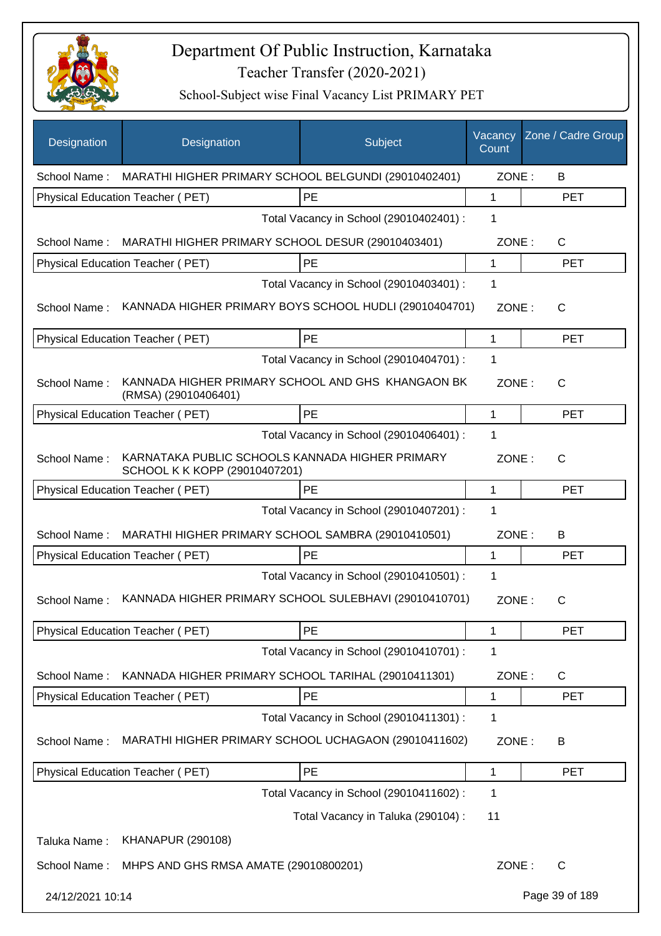

| Designation      | Designation                                                                      | Subject                                 | Vacancy<br>Count | Zone / Cadre Group |
|------------------|----------------------------------------------------------------------------------|-----------------------------------------|------------------|--------------------|
|                  | School Name: MARATHI HIGHER PRIMARY SCHOOL BELGUNDI (29010402401)                |                                         | ZONE:            | B                  |
|                  | Physical Education Teacher (PET)                                                 | <b>PE</b>                               | $\mathbf{1}$     | <b>PET</b>         |
|                  |                                                                                  | Total Vacancy in School (29010402401) : | 1                |                    |
|                  | School Name: MARATHI HIGHER PRIMARY SCHOOL DESUR (29010403401)                   |                                         | ZONE:            | C                  |
|                  | Physical Education Teacher (PET)                                                 | PE                                      | $\mathbf 1$      | <b>PET</b>         |
|                  |                                                                                  | Total Vacancy in School (29010403401) : | 1                |                    |
| School Name:     | KANNADA HIGHER PRIMARY BOYS SCHOOL HUDLI (29010404701)                           |                                         | ZONE:            | C                  |
|                  | Physical Education Teacher (PET)                                                 | PE                                      | 1                | <b>PET</b>         |
|                  |                                                                                  | Total Vacancy in School (29010404701) : | 1                |                    |
| School Name:     | KANNADA HIGHER PRIMARY SCHOOL AND GHS KHANGAON BK<br>(RMSA) (29010406401)        |                                         | ZONE:            | C                  |
|                  | Physical Education Teacher (PET)                                                 | PE                                      | 1                | <b>PET</b>         |
|                  |                                                                                  | Total Vacancy in School (29010406401) : | 1                |                    |
| School Name:     | KARNATAKA PUBLIC SCHOOLS KANNADA HIGHER PRIMARY<br>SCHOOL K K KOPP (29010407201) |                                         | ZONE:            | C                  |
|                  | Physical Education Teacher (PET)                                                 | PE                                      | 1                | <b>PET</b>         |
|                  |                                                                                  | Total Vacancy in School (29010407201) : | 1                |                    |
|                  | School Name: MARATHI HIGHER PRIMARY SCHOOL SAMBRA (29010410501)                  |                                         | ZONE:            | B                  |
|                  | Physical Education Teacher (PET)                                                 | PE                                      | $\mathbf 1$      | <b>PET</b>         |
|                  |                                                                                  | Total Vacancy in School (29010410501) : | 1                |                    |
| School Name:     | KANNADA HIGHER PRIMARY SCHOOL SULEBHAVI (29010410701)                            |                                         | ZONE:            | C                  |
|                  | Physical Education Teacher (PET)                                                 | PE                                      | 1                | <b>PET</b>         |
|                  |                                                                                  | Total Vacancy in School (29010410701) : | 1                |                    |
| School Name:     | KANNADA HIGHER PRIMARY SCHOOL TARIHAL (29010411301)                              |                                         | ZONE:            | C                  |
|                  | Physical Education Teacher (PET)                                                 | PE                                      | 1                | <b>PET</b>         |
|                  |                                                                                  | Total Vacancy in School (29010411301) : | 1                |                    |
| School Name:     | MARATHI HIGHER PRIMARY SCHOOL UCHAGAON (29010411602)                             |                                         | ZONE:            | B                  |
|                  | Physical Education Teacher (PET)                                                 | PE                                      | 1                | <b>PET</b>         |
|                  |                                                                                  | Total Vacancy in School (29010411602) : | 1                |                    |
|                  |                                                                                  | Total Vacancy in Taluka (290104) :      | 11               |                    |
| Taluka Name:     | <b>KHANAPUR (290108)</b>                                                         |                                         |                  |                    |
| School Name:     | MHPS AND GHS RMSA AMATE (29010800201)                                            |                                         | ZONE:            | C                  |
| 24/12/2021 10:14 |                                                                                  |                                         |                  | Page 39 of 189     |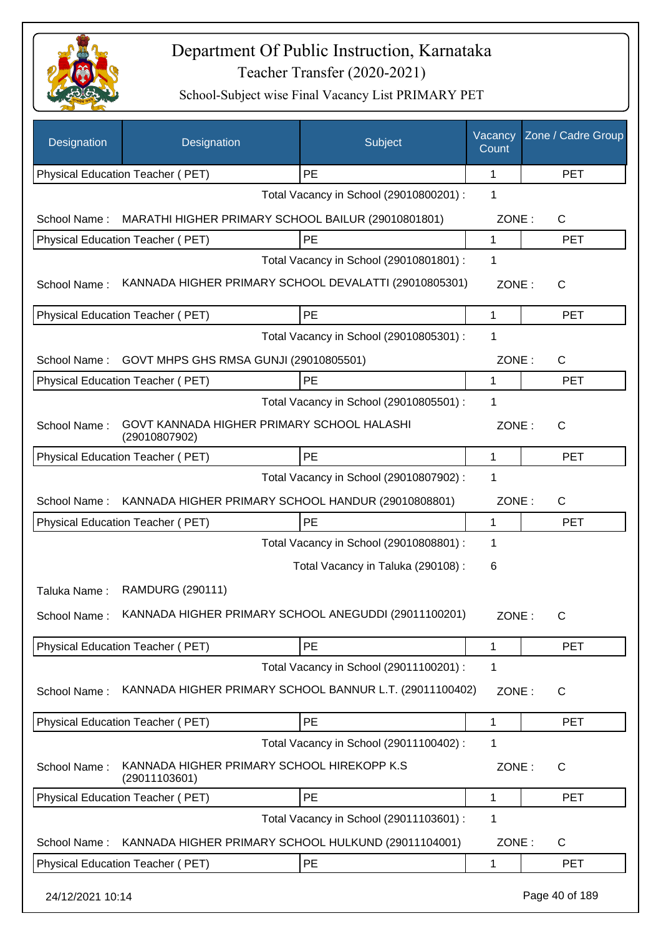

| Designation      | Designation                                                 | Subject                                 | Vacancy<br>Count | Zone / Cadre Group |
|------------------|-------------------------------------------------------------|-----------------------------------------|------------------|--------------------|
|                  | Physical Education Teacher (PET)                            | PE                                      | 1                | <b>PET</b>         |
|                  |                                                             | Total Vacancy in School (29010800201) : | 1                |                    |
| School Name:     | MARATHI HIGHER PRIMARY SCHOOL BAILUR (29010801801)          |                                         | ZONE:            | C                  |
|                  | Physical Education Teacher (PET)                            | PE                                      | 1                | <b>PET</b>         |
|                  |                                                             | Total Vacancy in School (29010801801) : | 1                |                    |
| School Name:     | KANNADA HIGHER PRIMARY SCHOOL DEVALATTI (29010805301)       |                                         | ZONE:            | C                  |
|                  | Physical Education Teacher (PET)                            | PE                                      | 1                | <b>PET</b>         |
|                  |                                                             | Total Vacancy in School (29010805301) : | $\mathbf 1$      |                    |
| School Name:     | GOVT MHPS GHS RMSA GUNJI (29010805501)                      |                                         | ZONE:            | C                  |
|                  | Physical Education Teacher (PET)                            | PE                                      | 1                | <b>PET</b>         |
|                  |                                                             | Total Vacancy in School (29010805501) : | 1                |                    |
| School Name:     | GOVT KANNADA HIGHER PRIMARY SCHOOL HALASHI<br>(29010807902) |                                         | ZONE:            | $\mathsf{C}$       |
|                  | Physical Education Teacher (PET)                            | PE                                      | 1                | <b>PET</b>         |
|                  |                                                             | Total Vacancy in School (29010807902) : | 1                |                    |
| School Name:     | KANNADA HIGHER PRIMARY SCHOOL HANDUR (29010808801)          |                                         | ZONE:            | C                  |
|                  | Physical Education Teacher (PET)                            | PE                                      | 1                | <b>PET</b>         |
|                  |                                                             | Total Vacancy in School (29010808801) : | 1                |                    |
|                  |                                                             | Total Vacancy in Taluka (290108) :      | 6                |                    |
| Taluka Name:     | RAMDURG (290111)                                            |                                         |                  |                    |
| School Name:     | KANNADA HIGHER PRIMARY SCHOOL ANEGUDDI (29011100201)        |                                         | ZONE:            |                    |
|                  | Physical Education Teacher (PET)                            | PE                                      | 1                | PET                |
|                  |                                                             | Total Vacancy in School (29011100201) : | 1                |                    |
| School Name:     | KANNADA HIGHER PRIMARY SCHOOL BANNUR L.T. (29011100402)     |                                         | ZONE:            | C                  |
|                  | Physical Education Teacher (PET)                            | PE                                      | 1                | <b>PET</b>         |
|                  |                                                             | Total Vacancy in School (29011100402) : | 1                |                    |
| School Name:     | KANNADA HIGHER PRIMARY SCHOOL HIREKOPP K.S<br>(29011103601) |                                         | ZONE:            | C                  |
|                  | Physical Education Teacher (PET)                            | PE                                      | 1                | <b>PET</b>         |
|                  |                                                             | Total Vacancy in School (29011103601) : | 1                |                    |
| School Name:     | KANNADA HIGHER PRIMARY SCHOOL HULKUND (29011104001)         |                                         | ZONE:            | C                  |
|                  | Physical Education Teacher (PET)                            | PE                                      | 1                | <b>PET</b>         |
| 24/12/2021 10:14 |                                                             |                                         |                  | Page 40 of 189     |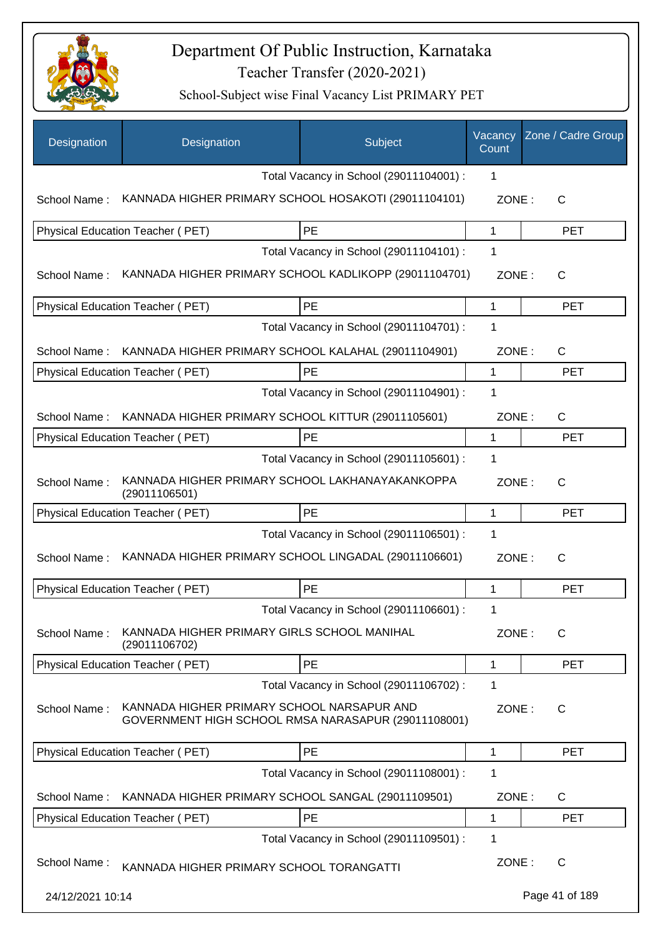

| Designation      | Designation                                                                                       | Subject                                 | Vacancy<br>Count | Zone / Cadre Group |
|------------------|---------------------------------------------------------------------------------------------------|-----------------------------------------|------------------|--------------------|
|                  |                                                                                                   | Total Vacancy in School (29011104001) : | 1                |                    |
| School Name:     | KANNADA HIGHER PRIMARY SCHOOL HOSAKOTI (29011104101)                                              |                                         | ZONE:            | $\mathsf{C}$       |
|                  | Physical Education Teacher (PET)                                                                  | PE                                      | 1                | <b>PET</b>         |
|                  |                                                                                                   | Total Vacancy in School (29011104101) : | 1                |                    |
| School Name:     | KANNADA HIGHER PRIMARY SCHOOL KADLIKOPP (29011104701)                                             |                                         | ZONE:            | C                  |
|                  | Physical Education Teacher (PET)                                                                  | PE                                      | 1                | <b>PET</b>         |
|                  |                                                                                                   | Total Vacancy in School (29011104701) : | 1                |                    |
| School Name:     | KANNADA HIGHER PRIMARY SCHOOL KALAHAL (29011104901)                                               |                                         | ZONE:            | C                  |
|                  | Physical Education Teacher (PET)                                                                  | PE                                      | 1                | <b>PET</b>         |
|                  |                                                                                                   | Total Vacancy in School (29011104901) : | 1                |                    |
| School Name:     | KANNADA HIGHER PRIMARY SCHOOL KITTUR (29011105601)                                                |                                         | ZONE:            | C                  |
|                  | Physical Education Teacher (PET)                                                                  | PE                                      | 1                | <b>PET</b>         |
|                  |                                                                                                   | Total Vacancy in School (29011105601) : | 1                |                    |
| School Name:     | KANNADA HIGHER PRIMARY SCHOOL LAKHANAYAKANKOPPA<br>(29011106501)                                  |                                         | ZONE:            | C                  |
|                  | Physical Education Teacher (PET)                                                                  | <b>PE</b>                               | 1                | <b>PET</b>         |
|                  |                                                                                                   | Total Vacancy in School (29011106501) : | 1                |                    |
| School Name:     | KANNADA HIGHER PRIMARY SCHOOL LINGADAL (29011106601)                                              |                                         | ZONE:            | $\mathsf{C}$       |
|                  | Physical Education Teacher (PET)                                                                  | PE                                      | 1                | <b>PET</b>         |
|                  |                                                                                                   | Total Vacancy in School (29011106601) : | 1                |                    |
| School Name:     | KANNADA HIGHER PRIMARY GIRLS SCHOOL MANIHAL<br>(29011106702)                                      |                                         | ZONE:            | $\mathsf{C}$       |
|                  | Physical Education Teacher (PET)                                                                  | PE                                      | 1                | <b>PET</b>         |
|                  |                                                                                                   | Total Vacancy in School (29011106702) : | 1                |                    |
| School Name:     | KANNADA HIGHER PRIMARY SCHOOL NARSAPUR AND<br>GOVERNMENT HIGH SCHOOL RMSA NARASAPUR (29011108001) |                                         | ZONE:            | C                  |
|                  | Physical Education Teacher (PET)                                                                  | PE                                      | 1                | <b>PET</b>         |
|                  |                                                                                                   | Total Vacancy in School (29011108001) : | 1                |                    |
| School Name:     | KANNADA HIGHER PRIMARY SCHOOL SANGAL (29011109501)                                                |                                         | ZONE:            | C                  |
|                  | Physical Education Teacher (PET)                                                                  | PE                                      | 1                | <b>PET</b>         |
|                  |                                                                                                   | Total Vacancy in School (29011109501) : | 1                |                    |
| School Name:     | KANNADA HIGHER PRIMARY SCHOOL TORANGATTI                                                          |                                         | ZONE:            | C                  |
| 24/12/2021 10:14 |                                                                                                   |                                         |                  | Page 41 of 189     |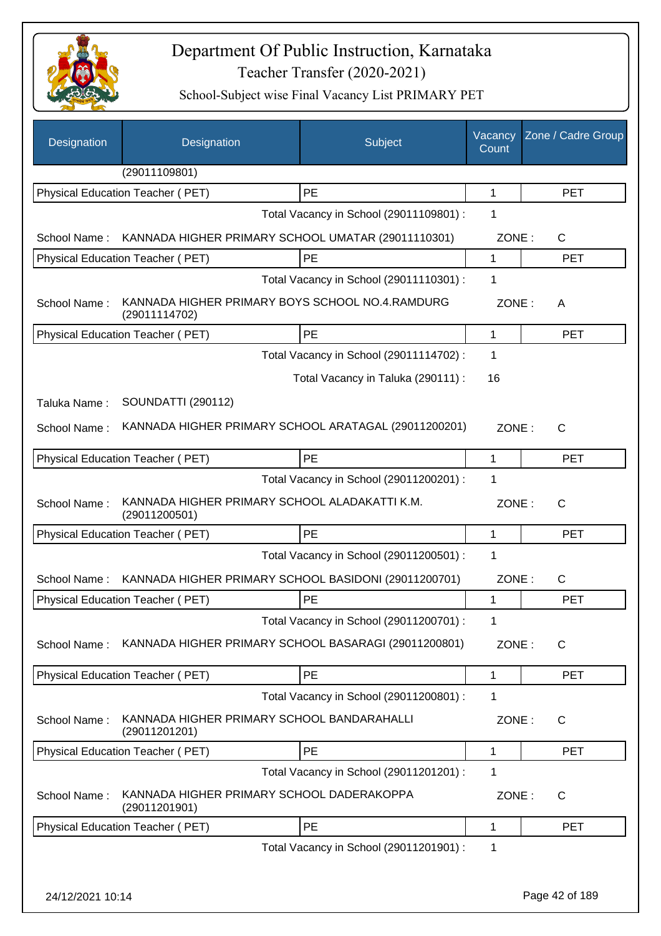

| Designation      | Designation                                                      | Subject                                 | Vacancy<br>Count | Zone / Cadre Group |
|------------------|------------------------------------------------------------------|-----------------------------------------|------------------|--------------------|
|                  | (29011109801)                                                    |                                         |                  |                    |
|                  | Physical Education Teacher (PET)                                 | PE                                      | 1                | <b>PET</b>         |
|                  |                                                                  | Total Vacancy in School (29011109801) : | 1                |                    |
|                  | School Name: KANNADA HIGHER PRIMARY SCHOOL UMATAR (29011110301)  |                                         | ZONE:            | C                  |
|                  | Physical Education Teacher (PET)                                 | PE                                      | 1                | <b>PET</b>         |
|                  |                                                                  | Total Vacancy in School (29011110301) : | 1                |                    |
| School Name:     | KANNADA HIGHER PRIMARY BOYS SCHOOL NO.4.RAMDURG<br>(29011114702) |                                         | ZONE:            | A                  |
|                  | Physical Education Teacher (PET)                                 | PE                                      | 1                | <b>PET</b>         |
|                  |                                                                  | Total Vacancy in School (29011114702) : | 1                |                    |
|                  |                                                                  | Total Vacancy in Taluka (290111) :      | 16               |                    |
| Taluka Name:     | <b>SOUNDATTI (290112)</b>                                        |                                         |                  |                    |
| School Name:     | KANNADA HIGHER PRIMARY SCHOOL ARATAGAL (29011200201)             |                                         | ZONE:            | C                  |
|                  | <b>Physical Education Teacher (PET)</b>                          | PE                                      | 1                | <b>PET</b>         |
|                  |                                                                  | Total Vacancy in School (29011200201) : | 1                |                    |
| School Name:     | KANNADA HIGHER PRIMARY SCHOOL ALADAKATTI K.M.<br>(29011200501)   |                                         | ZONE:            | $\mathsf{C}$       |
|                  | Physical Education Teacher (PET)                                 | PE                                      | 1                | <b>PET</b>         |
|                  |                                                                  | Total Vacancy in School (29011200501) : | 1                |                    |
| School Name:     | KANNADA HIGHER PRIMARY SCHOOL BASIDONI (29011200701)             |                                         | ZONE:            | C                  |
|                  | Physical Education Teacher (PET)                                 | PE                                      | 1                | <b>PET</b>         |
|                  |                                                                  | Total Vacancy in School (29011200701) : | 1                |                    |
| School Name:     | KANNADA HIGHER PRIMARY SCHOOL BASARAGI (29011200801)             |                                         | ZONE:            | $\mathsf{C}$       |
|                  | <b>Physical Education Teacher (PET)</b>                          | PE                                      | $\mathbf{1}$     | <b>PET</b>         |
|                  |                                                                  | Total Vacancy in School (29011200801) : | 1                |                    |
| School Name:     | KANNADA HIGHER PRIMARY SCHOOL BANDARAHALLI<br>(29011201201)      |                                         | ZONE:            | C                  |
|                  | Physical Education Teacher (PET)                                 | PE                                      | 1                | <b>PET</b>         |
|                  |                                                                  | Total Vacancy in School (29011201201) : | 1                |                    |
| School Name:     | KANNADA HIGHER PRIMARY SCHOOL DADERAKOPPA<br>(29011201901)       |                                         | ZONE:            | $\mathsf{C}$       |
|                  | Physical Education Teacher (PET)                                 | PE                                      | 1                | <b>PET</b>         |
|                  |                                                                  | Total Vacancy in School (29011201901) : | 1                |                    |
|                  |                                                                  |                                         |                  |                    |
| 24/12/2021 10:14 |                                                                  |                                         |                  | Page 42 of 189     |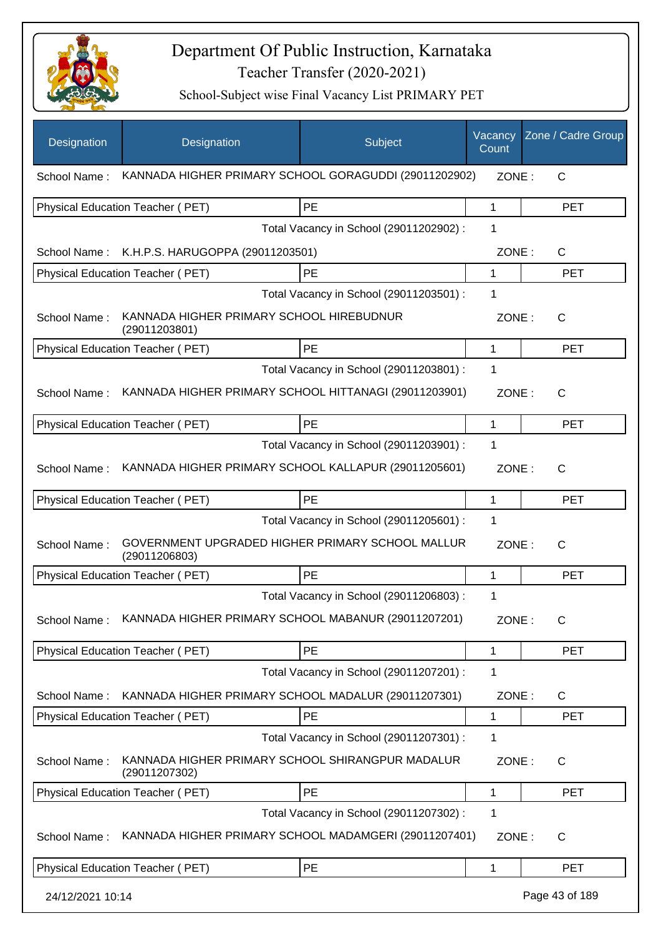

| Designation      | Designation                                                       | Subject                                 | Vacancy<br>Count | Zone / Cadre Group |
|------------------|-------------------------------------------------------------------|-----------------------------------------|------------------|--------------------|
| School Name:     | KANNADA HIGHER PRIMARY SCHOOL GORAGUDDI (29011202902)             |                                         | ZONE:            | C                  |
|                  | Physical Education Teacher (PET)                                  | <b>PE</b>                               | 1                | <b>PET</b>         |
|                  |                                                                   | Total Vacancy in School (29011202902) : | 1                |                    |
|                  | School Name: K.H.P.S. HARUGOPPA (29011203501)                     |                                         | ZONE:            | C                  |
|                  | Physical Education Teacher (PET)                                  | PE                                      | 1                | <b>PET</b>         |
|                  |                                                                   | Total Vacancy in School (29011203501) : | 1                |                    |
| School Name:     | KANNADA HIGHER PRIMARY SCHOOL HIREBUDNUR<br>(29011203801)         |                                         | ZONE:            | $\mathsf{C}$       |
|                  | Physical Education Teacher (PET)                                  | PE                                      | 1                | <b>PET</b>         |
|                  |                                                                   | Total Vacancy in School (29011203801) : | 1                |                    |
| School Name:     | KANNADA HIGHER PRIMARY SCHOOL HITTANAGI (29011203901)             |                                         | ZONE:            | $\mathsf{C}$       |
|                  | <b>Physical Education Teacher (PET)</b>                           | PE                                      | 1                | <b>PET</b>         |
|                  |                                                                   | Total Vacancy in School (29011203901) : | 1                |                    |
| School Name:     | KANNADA HIGHER PRIMARY SCHOOL KALLAPUR (29011205601)              |                                         | ZONE:            | C                  |
|                  | <b>Physical Education Teacher (PET)</b>                           | PE                                      | 1                | <b>PET</b>         |
|                  |                                                                   | Total Vacancy in School (29011205601) : | 1                |                    |
| School Name:     | GOVERNMENT UPGRADED HIGHER PRIMARY SCHOOL MALLUR<br>(29011206803) |                                         | ZONE:            | $\mathsf{C}$       |
|                  | <b>Physical Education Teacher (PET)</b>                           | <b>PE</b>                               | 1                | <b>PET</b>         |
|                  |                                                                   | Total Vacancy in School (29011206803) : | 1                |                    |
| School Name:     | KANNADA HIGHER PRIMARY SCHOOL MABANUR (29011207201)               |                                         | ZONE:            | C                  |
|                  | Physical Education Teacher (PET)                                  | PE                                      | 1                | <b>PET</b>         |
|                  |                                                                   | Total Vacancy in School (29011207201) : | 1                |                    |
| School Name:     | KANNADA HIGHER PRIMARY SCHOOL MADALUR (29011207301)               |                                         | ZONE:            | C                  |
|                  | Physical Education Teacher (PET)                                  | PE                                      | 1                | <b>PET</b>         |
|                  |                                                                   | Total Vacancy in School (29011207301) : | 1                |                    |
| School Name:     | KANNADA HIGHER PRIMARY SCHOOL SHIRANGPUR MADALUR<br>(29011207302) |                                         | ZONE:            | C                  |
|                  | Physical Education Teacher (PET)                                  | PE                                      | 1                | <b>PET</b>         |
|                  |                                                                   | Total Vacancy in School (29011207302) : | 1                |                    |
| School Name:     | KANNADA HIGHER PRIMARY SCHOOL MADAMGERI (29011207401)             |                                         | ZONE:            | C                  |
|                  | Physical Education Teacher (PET)                                  | PE                                      | 1                | <b>PET</b>         |
| 24/12/2021 10:14 |                                                                   |                                         |                  | Page 43 of 189     |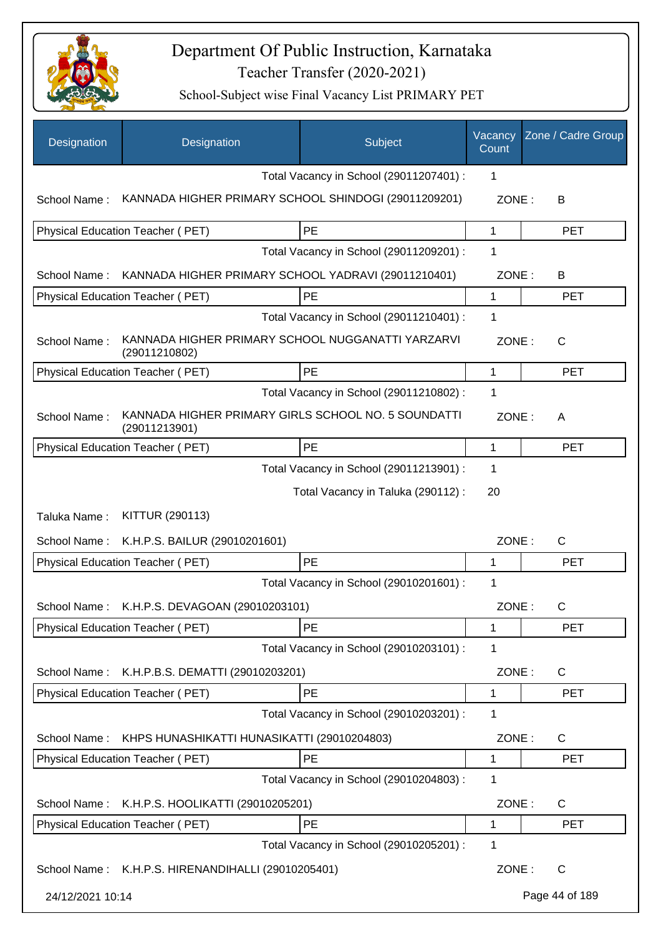

| Designation      | Designation                                                          | Subject                                 | Vacancy<br>Count | Zone / Cadre Group |
|------------------|----------------------------------------------------------------------|-----------------------------------------|------------------|--------------------|
|                  |                                                                      | Total Vacancy in School (29011207401) : | 1                |                    |
| School Name:     | KANNADA HIGHER PRIMARY SCHOOL SHINDOGI (29011209201)                 |                                         | ZONE:            | В                  |
|                  | Physical Education Teacher (PET)                                     | PE                                      | 1                | <b>PET</b>         |
|                  |                                                                      | Total Vacancy in School (29011209201) : | 1                |                    |
| School Name:     | KANNADA HIGHER PRIMARY SCHOOL YADRAVI (29011210401)                  |                                         | ZONE:            | B                  |
|                  | Physical Education Teacher (PET)                                     | PE                                      | 1                | <b>PET</b>         |
|                  |                                                                      | Total Vacancy in School (29011210401) : | 1                |                    |
| School Name:     | KANNADA HIGHER PRIMARY SCHOOL NUGGANATTI YARZARVI<br>(29011210802)   |                                         | ZONE:            | C                  |
|                  | Physical Education Teacher (PET)                                     | PE                                      | 1                | <b>PET</b>         |
|                  |                                                                      | Total Vacancy in School (29011210802) : | 1                |                    |
| School Name:     | KANNADA HIGHER PRIMARY GIRLS SCHOOL NO. 5 SOUNDATTI<br>(29011213901) |                                         | ZONE:            | A                  |
|                  | Physical Education Teacher (PET)                                     | <b>PE</b>                               | 1                | <b>PET</b>         |
|                  |                                                                      | Total Vacancy in School (29011213901) : | 1                |                    |
|                  |                                                                      | Total Vacancy in Taluka (290112) :      | 20               |                    |
| Taluka Name:     | KITTUR (290113)                                                      |                                         |                  |                    |
| School Name:     | K.H.P.S. BAILUR (29010201601)                                        |                                         | ZONE:            | C                  |
|                  | Physical Education Teacher (PET)                                     | PE                                      | 1                | <b>PET</b>         |
|                  |                                                                      | Total Vacancy in School (29010201601) : | 1                |                    |
| School Name:     | K.H.P.S. DEVAGOAN (29010203101)                                      |                                         | ZONE:            | C                  |
|                  | Physical Education Teacher (PET)                                     | PE                                      | 1                | <b>PET</b>         |
|                  |                                                                      | Total Vacancy in School (29010203101) : | 1                |                    |
| School Name:     | K.H.P.B.S. DEMATTI (29010203201)                                     |                                         | ZONE:            | C                  |
|                  | Physical Education Teacher (PET)                                     | PE                                      | 1                | <b>PET</b>         |
|                  |                                                                      | Total Vacancy in School (29010203201) : | 1                |                    |
| School Name:     | KHPS HUNASHIKATTI HUNASIKATTI (29010204803)                          |                                         | ZONE:            | C                  |
|                  | Physical Education Teacher (PET)                                     | PE                                      | 1                | <b>PET</b>         |
|                  |                                                                      | Total Vacancy in School (29010204803) : | 1                |                    |
| School Name:     | K.H.P.S. HOOLIKATTI (29010205201)                                    |                                         | ZONE:            | C                  |
|                  | Physical Education Teacher (PET)                                     | PE                                      | 1                | <b>PET</b>         |
|                  |                                                                      | Total Vacancy in School (29010205201) : | 1                |                    |
|                  | School Name: K.H.P.S. HIRENANDIHALLI (29010205401)                   |                                         | ZONE:            | $\mathsf{C}$       |
| 24/12/2021 10:14 |                                                                      |                                         |                  | Page 44 of 189     |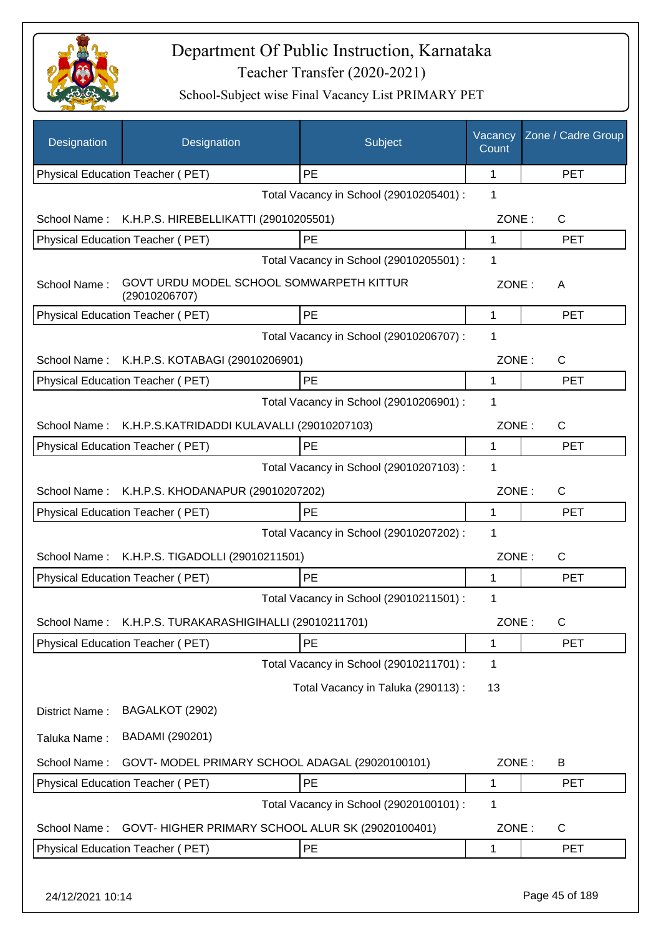

| Designation      | Designation                                               | Subject                                 | Vacancy<br>Count | Zone / Cadre Group |
|------------------|-----------------------------------------------------------|-----------------------------------------|------------------|--------------------|
|                  | Physical Education Teacher (PET)                          | <b>PE</b>                               | 1                | <b>PET</b>         |
|                  |                                                           | Total Vacancy in School (29010205401) : | 1                |                    |
|                  | School Name: K.H.P.S. HIREBELLIKATTI (29010205501)        |                                         | ZONE:            | $\mathsf{C}$       |
|                  | Physical Education Teacher (PET)                          | PE                                      | 1                | <b>PET</b>         |
|                  |                                                           | Total Vacancy in School (29010205501) : | 1                |                    |
| School Name:     | GOVT URDU MODEL SCHOOL SOMWARPETH KITTUR<br>(29010206707) |                                         | ZONE:            | A                  |
|                  | Physical Education Teacher (PET)                          | PE                                      | 1                | <b>PET</b>         |
|                  |                                                           | Total Vacancy in School (29010206707) : | 1                |                    |
|                  | School Name: K.H.P.S. KOTABAGI (29010206901)              |                                         | ZONE:            | $\mathsf{C}$       |
|                  | Physical Education Teacher (PET)                          | <b>PE</b>                               | 1                | <b>PET</b>         |
|                  |                                                           | Total Vacancy in School (29010206901) : | 1                |                    |
|                  | School Name: K.H.P.S.KATRIDADDI KULAVALLI (29010207103)   |                                         | ZONE:            | $\mathsf{C}$       |
|                  | Physical Education Teacher (PET)                          | PE                                      | 1                | <b>PET</b>         |
|                  |                                                           | Total Vacancy in School (29010207103) : | 1                |                    |
|                  | School Name: K.H.P.S. KHODANAPUR (29010207202)            |                                         | ZONE:            | $\mathsf{C}$       |
|                  | Physical Education Teacher (PET)                          | <b>PE</b>                               | 1                | <b>PET</b>         |
|                  |                                                           | Total Vacancy in School (29010207202) : | 1                |                    |
| School Name:     | K.H.P.S. TIGADOLLI (29010211501)                          |                                         | ZONE:            | $\mathsf{C}$       |
|                  | Physical Education Teacher (PET)                          | PE                                      | 1                | <b>PET</b>         |
|                  |                                                           | Total Vacancy in School (29010211501) : | 1                |                    |
|                  | School Name: K.H.P.S. TURAKARASHIGIHALLI (29010211701)    |                                         | ZONE:            | C                  |
|                  | <b>Physical Education Teacher (PET)</b>                   | PE                                      | 1                | <b>PET</b>         |
|                  |                                                           | Total Vacancy in School (29010211701) : | 1                |                    |
|                  |                                                           | Total Vacancy in Taluka (290113):       | 13               |                    |
| District Name:   | BAGALKOT (2902)                                           |                                         |                  |                    |
| Taluka Name:     | BADAMI (290201)                                           |                                         |                  |                    |
| School Name:     | GOVT- MODEL PRIMARY SCHOOL ADAGAL (29020100101)           |                                         | ZONE:            | B                  |
|                  | Physical Education Teacher (PET)                          | PE                                      | 1                | <b>PET</b>         |
|                  |                                                           | Total Vacancy in School (29020100101) : | 1                |                    |
| School Name:     | GOVT- HIGHER PRIMARY SCHOOL ALUR SK (29020100401)         |                                         | ZONE:            | C                  |
|                  | Physical Education Teacher (PET)                          | PE                                      | 1                | <b>PET</b>         |
| 24/12/2021 10:14 |                                                           |                                         |                  | Page 45 of 189     |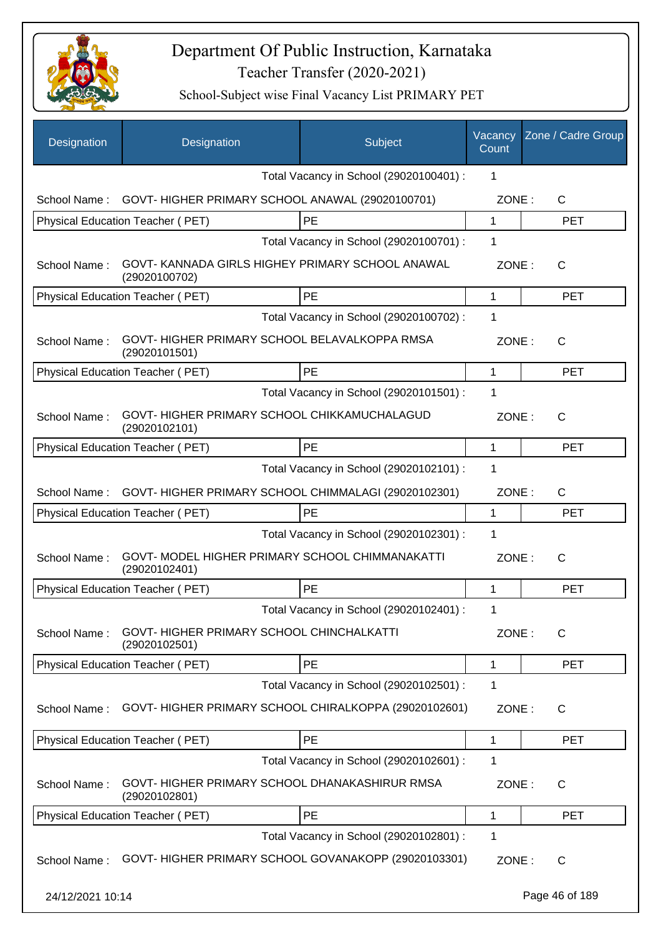

| Designation      | Designation                                                   | Subject                                              | Vacancy<br>Count | Zone / Cadre Group |
|------------------|---------------------------------------------------------------|------------------------------------------------------|------------------|--------------------|
|                  |                                                               | Total Vacancy in School (29020100401) :              | 1                |                    |
| School Name:     | GOVT-HIGHER PRIMARY SCHOOL ANAWAL (29020100701)               |                                                      | ZONE:            | C                  |
|                  | Physical Education Teacher (PET)                              | PE                                                   | 1                | <b>PET</b>         |
|                  |                                                               | Total Vacancy in School (29020100701) :              | 1                |                    |
| School Name:     | (29020100702)                                                 | GOVT-KANNADA GIRLS HIGHEY PRIMARY SCHOOL ANAWAL      | ZONE:            | $\mathsf{C}$       |
|                  | Physical Education Teacher (PET)                              | PE                                                   | 1                | <b>PET</b>         |
|                  |                                                               | Total Vacancy in School (29020100702) :              | 1                |                    |
| School Name:     | GOVT-HIGHER PRIMARY SCHOOL BELAVALKOPPA RMSA<br>(29020101501) |                                                      | ZONE:            | C                  |
|                  | <b>Physical Education Teacher (PET)</b>                       | PE                                                   | 1                | <b>PET</b>         |
|                  |                                                               | Total Vacancy in School (29020101501) :              | 1                |                    |
| School Name:     | GOVT-HIGHER PRIMARY SCHOOL CHIKKAMUCHALAGUD<br>(29020102101)  |                                                      | ZONE:            | $\mathsf{C}$       |
|                  | Physical Education Teacher (PET)                              | PE                                                   | 1                | <b>PET</b>         |
|                  |                                                               | Total Vacancy in School (29020102101) :              | 1                |                    |
| School Name:     |                                                               | GOVT-HIGHER PRIMARY SCHOOL CHIMMALAGI (29020102301)  | ZONE:            | $\mathsf{C}$       |
|                  | Physical Education Teacher (PET)                              | PE                                                   | 1                | <b>PET</b>         |
|                  |                                                               | Total Vacancy in School (29020102301) :              | 1                |                    |
| School Name:     | (29020102401)                                                 | GOVT- MODEL HIGHER PRIMARY SCHOOL CHIMMANAKATTI      | ZONE:            | $\mathsf{C}$       |
|                  | Physical Education Teacher (PET)                              | PE                                                   | 1                | <b>PET</b>         |
|                  |                                                               | Total Vacancy in School (29020102401) :              | 1                |                    |
| School Name:     | GOVT-HIGHER PRIMARY SCHOOL CHINCHALKATTI<br>(29020102501)     |                                                      | ZONE:            | C                  |
|                  | Physical Education Teacher (PET)                              | PE                                                   | 1                | <b>PET</b>         |
|                  |                                                               | Total Vacancy in School (29020102501) :              | 1                |                    |
| School Name:     |                                                               | GOVT-HIGHER PRIMARY SCHOOL CHIRALKOPPA (29020102601) | ZONE:            | C                  |
|                  | Physical Education Teacher (PET)                              | PE                                                   | 1                | <b>PET</b>         |
|                  |                                                               | Total Vacancy in School (29020102601) :              | 1                |                    |
| School Name:     | (29020102801)                                                 | GOVT-HIGHER PRIMARY SCHOOL DHANAKASHIRUR RMSA        | ZONE:            | C                  |
|                  | Physical Education Teacher (PET)                              | <b>PE</b>                                            | 1                | <b>PET</b>         |
|                  |                                                               | Total Vacancy in School (29020102801) :              | 1                |                    |
| School Name:     |                                                               | GOVT-HIGHER PRIMARY SCHOOL GOVANAKOPP (29020103301)  | ZONE:            | C                  |
| 24/12/2021 10:14 |                                                               |                                                      |                  | Page 46 of 189     |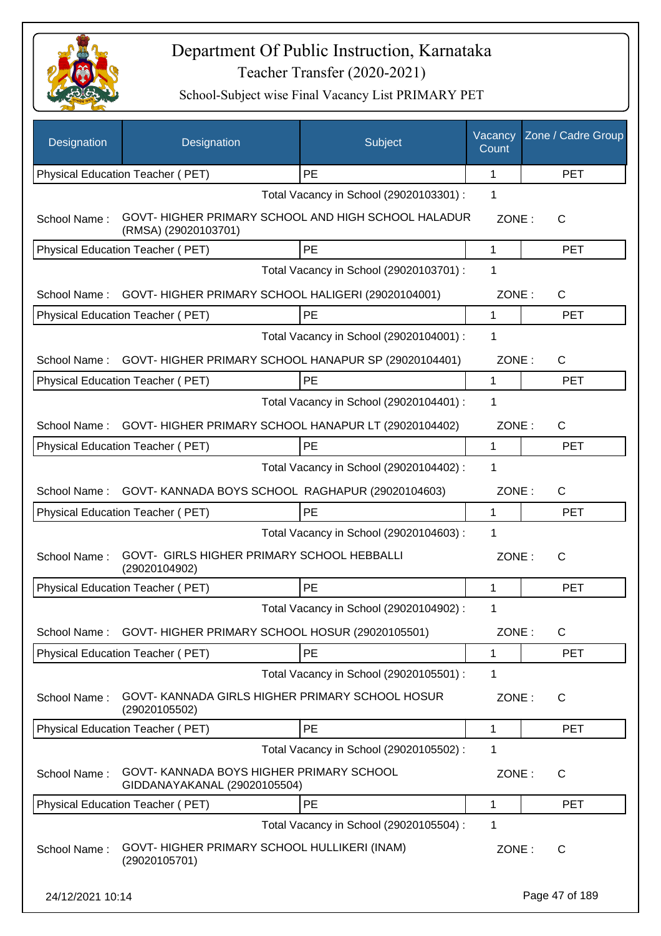

| Designation      | Designation                                                                 | Subject                                 | Vacancy<br>Count | Zone / Cadre Group |
|------------------|-----------------------------------------------------------------------------|-----------------------------------------|------------------|--------------------|
|                  | Physical Education Teacher (PET)                                            | <b>PE</b>                               | 1                | <b>PET</b>         |
|                  |                                                                             | Total Vacancy in School (29020103301) : | 1                |                    |
| School Name:     | GOVT- HIGHER PRIMARY SCHOOL AND HIGH SCHOOL HALADUR<br>(RMSA) (29020103701) |                                         | ZONE:            | C                  |
|                  | Physical Education Teacher (PET)                                            | PE                                      | 1                | <b>PET</b>         |
|                  |                                                                             | Total Vacancy in School (29020103701) : | 1                |                    |
|                  | School Name: GOVT-HIGHER PRIMARY SCHOOL HALIGERI (29020104001)              |                                         | ZONE:            | C                  |
|                  | Physical Education Teacher (PET)                                            | PE                                      | 1                | <b>PET</b>         |
|                  |                                                                             | Total Vacancy in School (29020104001) : | 1                |                    |
| School Name:     | GOVT-HIGHER PRIMARY SCHOOL HANAPUR SP (29020104401)                         |                                         | ZONE:            | C                  |
|                  | Physical Education Teacher (PET)                                            | <b>PE</b>                               | 1                | <b>PET</b>         |
|                  |                                                                             | Total Vacancy in School (29020104401) : | 1                |                    |
| School Name:     | GOVT-HIGHER PRIMARY SCHOOL HANAPUR LT (29020104402)                         |                                         | ZONE:            | $\mathsf{C}$       |
|                  | Physical Education Teacher (PET)                                            | PE                                      | 1                | <b>PET</b>         |
|                  |                                                                             | Total Vacancy in School (29020104402) : | 1                |                    |
| School Name:     | GOVT-KANNADA BOYS SCHOOL RAGHAPUR (29020104603)                             |                                         | ZONE:            | $\mathsf{C}$       |
|                  | Physical Education Teacher (PET)                                            | <b>PE</b>                               | 1                | <b>PET</b>         |
|                  |                                                                             | Total Vacancy in School (29020104603) : | 1                |                    |
| School Name:     | GOVT- GIRLS HIGHER PRIMARY SCHOOL HEBBALLI<br>(29020104902)                 |                                         | ZONE:            | $\mathsf{C}$       |
|                  | Physical Education Teacher (PET)                                            | <b>PE</b>                               | 1                | <b>PET</b>         |
|                  |                                                                             | Total Vacancy in School (29020104902) : | 1                |                    |
| School Name:     | GOVT-HIGHER PRIMARY SCHOOL HOSUR (29020105501)                              |                                         | ZONE:            | C                  |
|                  | <b>Physical Education Teacher (PET)</b>                                     | PE                                      | 1                | <b>PET</b>         |
|                  |                                                                             | Total Vacancy in School (29020105501) : | 1                |                    |
| School Name:     | GOVT- KANNADA GIRLS HIGHER PRIMARY SCHOOL HOSUR<br>(29020105502)            |                                         | ZONE:            | C                  |
|                  | Physical Education Teacher (PET)                                            | PE                                      | 1                | <b>PET</b>         |
|                  |                                                                             | Total Vacancy in School (29020105502) : | 1                |                    |
| School Name:     | GOVT- KANNADA BOYS HIGHER PRIMARY SCHOOL<br>GIDDANAYAKANAL (29020105504)    |                                         | ZONE:            | C                  |
|                  | Physical Education Teacher (PET)                                            | PE                                      | 1                | <b>PET</b>         |
|                  |                                                                             | Total Vacancy in School (29020105504) : | 1                |                    |
| School Name:     | GOVT-HIGHER PRIMARY SCHOOL HULLIKERI (INAM)<br>(29020105701)                |                                         | ZONE:            | C                  |
| 24/12/2021 10:14 |                                                                             |                                         |                  | Page 47 of 189     |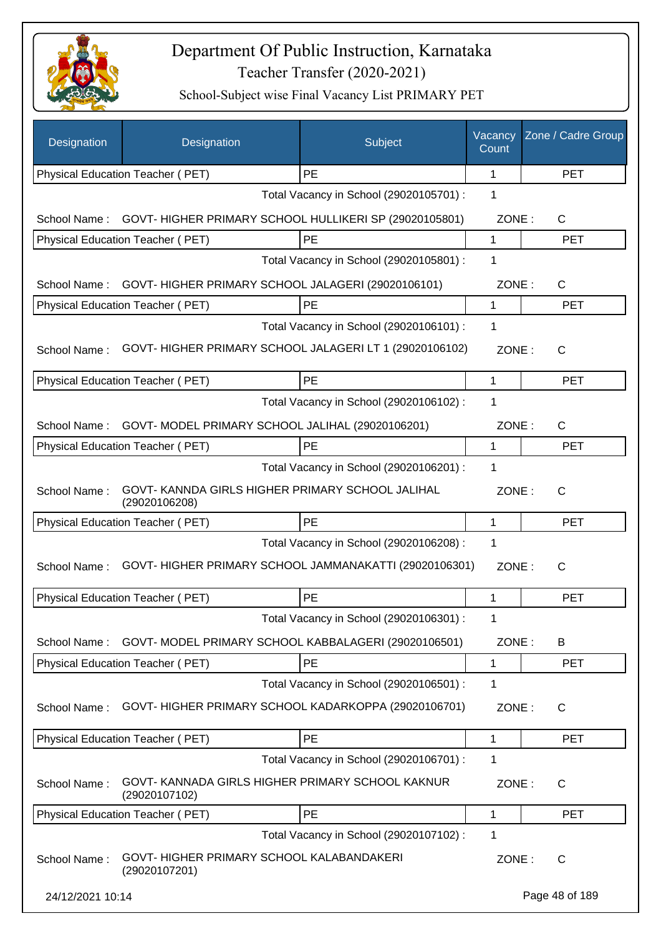

| Designation      | Designation                                                       | Subject                                 | Vacancy<br>Count | Zone / Cadre Group |
|------------------|-------------------------------------------------------------------|-----------------------------------------|------------------|--------------------|
|                  | Physical Education Teacher (PET)                                  | PE                                      | 1                | <b>PET</b>         |
|                  |                                                                   | Total Vacancy in School (29020105701) : | 1                |                    |
| School Name:     | GOVT-HIGHER PRIMARY SCHOOL HULLIKERI SP (29020105801)             |                                         | ZONE:            | C                  |
|                  | Physical Education Teacher (PET)                                  | PE                                      | 1                | <b>PET</b>         |
|                  |                                                                   | Total Vacancy in School (29020105801) : | 1                |                    |
| School Name:     | GOVT-HIGHER PRIMARY SCHOOL JALAGERI (29020106101)                 |                                         | ZONE:            | C                  |
|                  | Physical Education Teacher (PET)                                  | PE                                      | 1                | <b>PET</b>         |
|                  |                                                                   | Total Vacancy in School (29020106101) : | 1                |                    |
| School Name:     | GOVT-HIGHER PRIMARY SCHOOL JALAGERI LT 1 (29020106102)            |                                         | ZONE:            | C                  |
|                  | Physical Education Teacher (PET)                                  | PE                                      | 1                | <b>PET</b>         |
|                  |                                                                   | Total Vacancy in School (29020106102) : | 1                |                    |
| School Name:     | GOVT-MODEL PRIMARY SCHOOL JALIHAL (29020106201)                   |                                         | ZONE:            | C                  |
|                  | Physical Education Teacher (PET)                                  | <b>PE</b>                               | 1                | <b>PET</b>         |
|                  |                                                                   | Total Vacancy in School (29020106201) : | $\mathbf 1$      |                    |
| School Name:     | GOVT- KANNDA GIRLS HIGHER PRIMARY SCHOOL JALIHAL<br>(29020106208) |                                         | ZONE:            | C                  |
|                  | Physical Education Teacher (PET)                                  | <b>PE</b>                               | 1                | <b>PET</b>         |
|                  |                                                                   | Total Vacancy in School (29020106208) : | 1                |                    |
| School Name:     | GOVT-HIGHER PRIMARY SCHOOL JAMMANAKATTI (29020106301)             |                                         | ZONE:            | C                  |
|                  | Physical Education Teacher (PET)                                  | PE                                      | 1                | <b>PET</b>         |
|                  |                                                                   | Total Vacancy in School (29020106301) : | 1                |                    |
| School Name:     | GOVT- MODEL PRIMARY SCHOOL KABBALAGERI (29020106501)              |                                         | ZONE:            | B                  |
|                  | Physical Education Teacher (PET)                                  | PE                                      | 1                | <b>PET</b>         |
|                  |                                                                   | Total Vacancy in School (29020106501) : | 1                |                    |
| School Name:     | GOVT- HIGHER PRIMARY SCHOOL KADARKOPPA (29020106701)              |                                         | ZONE:            | C                  |
|                  | Physical Education Teacher (PET)                                  | PE                                      | 1                | <b>PET</b>         |
|                  |                                                                   | Total Vacancy in School (29020106701) : | 1                |                    |
| School Name:     | GOVT- KANNADA GIRLS HIGHER PRIMARY SCHOOL KAKNUR<br>(29020107102) |                                         | ZONE:            | $\mathsf{C}$       |
|                  | Physical Education Teacher (PET)                                  | PE                                      | 1                | <b>PET</b>         |
|                  |                                                                   | Total Vacancy in School (29020107102) : | 1                |                    |
| School Name:     | GOVT-HIGHER PRIMARY SCHOOL KALABANDAKERI<br>(29020107201)         |                                         | ZONE:            | C                  |
| 24/12/2021 10:14 |                                                                   |                                         |                  | Page 48 of 189     |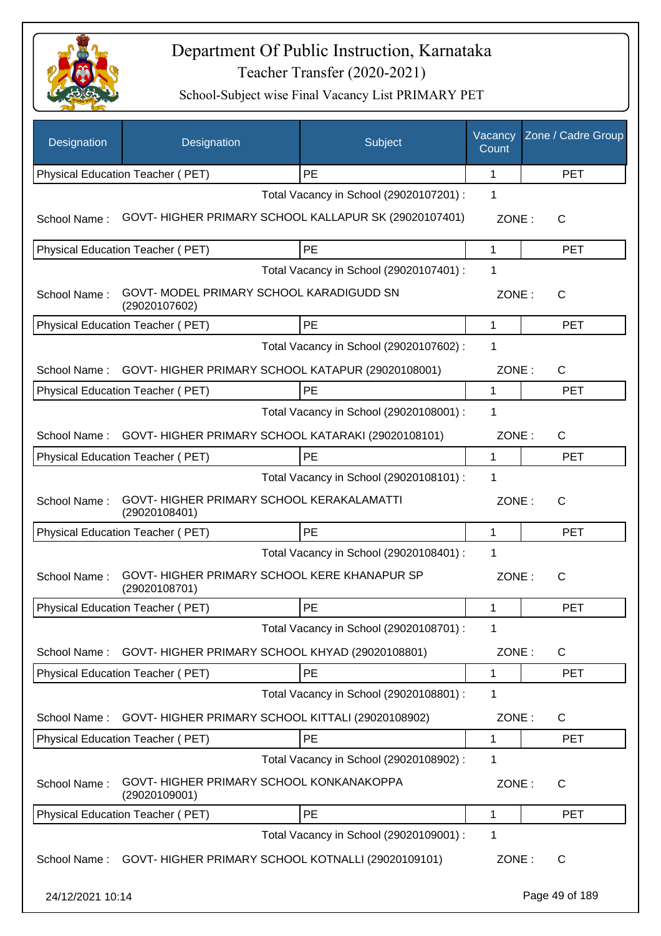

| Designation      | Designation                                                  | Subject                                              | Vacancy<br>Count | Zone / Cadre Group |
|------------------|--------------------------------------------------------------|------------------------------------------------------|------------------|--------------------|
|                  | Physical Education Teacher (PET)                             | PE                                                   | 1                | <b>PET</b>         |
|                  |                                                              | Total Vacancy in School (29020107201) :              | 1                |                    |
| School Name:     |                                                              | GOVT-HIGHER PRIMARY SCHOOL KALLAPUR SK (29020107401) | ZONE:            | C                  |
|                  | Physical Education Teacher (PET)                             | PE                                                   | 1                | <b>PET</b>         |
|                  |                                                              | Total Vacancy in School (29020107401) :              | 1                |                    |
| School Name:     | GOVT- MODEL PRIMARY SCHOOL KARADIGUDD SN<br>(29020107602)    |                                                      | ZONE:            | $\mathsf{C}$       |
|                  | Physical Education Teacher (PET)                             | PE                                                   | 1                | <b>PET</b>         |
|                  |                                                              | Total Vacancy in School (29020107602) :              | 1                |                    |
| School Name:     | GOVT- HIGHER PRIMARY SCHOOL KATAPUR (29020108001)            |                                                      | ZONE:            | $\mathsf{C}$       |
|                  | Physical Education Teacher (PET)                             | PE                                                   | 1                | <b>PET</b>         |
|                  |                                                              | Total Vacancy in School (29020108001) :              | 1                |                    |
| School Name:     | GOVT-HIGHER PRIMARY SCHOOL KATARAKI (29020108101)            |                                                      | ZONE:            | $\mathsf{C}$       |
|                  | Physical Education Teacher (PET)                             | PE                                                   | 1                | <b>PET</b>         |
|                  |                                                              | Total Vacancy in School (29020108101) :              | 1                |                    |
| School Name:     | GOVT-HIGHER PRIMARY SCHOOL KERAKALAMATTI<br>(29020108401)    |                                                      | ZONE:            | C                  |
|                  | Physical Education Teacher (PET)                             | PE                                                   | 1                | <b>PET</b>         |
|                  |                                                              | Total Vacancy in School (29020108401) :              | 1                |                    |
| School Name:     | GOVT-HIGHER PRIMARY SCHOOL KERE KHANAPUR SP<br>(29020108701) |                                                      | ZONE:            | $\mathsf{C}$       |
|                  | Physical Education Teacher (PET)                             | PE                                                   | 1                | <b>PET</b>         |
|                  |                                                              | Total Vacancy in School (29020108701) :              | 1                |                    |
| School Name:     | GOVT-HIGHER PRIMARY SCHOOL KHYAD (29020108801)               |                                                      | ZONE:            | C                  |
|                  | <b>Physical Education Teacher (PET)</b>                      | PE                                                   | 1                | <b>PET</b>         |
|                  |                                                              | Total Vacancy in School (29020108801) :              | 1                |                    |
| School Name:     | GOVT-HIGHER PRIMARY SCHOOL KITTALI (29020108902)             |                                                      | ZONE:            | C                  |
|                  | Physical Education Teacher (PET)                             | PE                                                   | 1                | <b>PET</b>         |
|                  |                                                              | Total Vacancy in School (29020108902) :              | 1                |                    |
| School Name:     | GOVT-HIGHER PRIMARY SCHOOL KONKANAKOPPA<br>(29020109001)     |                                                      | ZONE:            | $\mathsf{C}$       |
|                  | Physical Education Teacher (PET)                             | PE                                                   | 1                | <b>PET</b>         |
|                  |                                                              | Total Vacancy in School (29020109001) :              | 1                |                    |
| School Name:     | GOVT-HIGHER PRIMARY SCHOOL KOTNALLI (29020109101)            |                                                      | ZONE:            | C                  |
| 24/12/2021 10:14 |                                                              |                                                      |                  | Page 49 of 189     |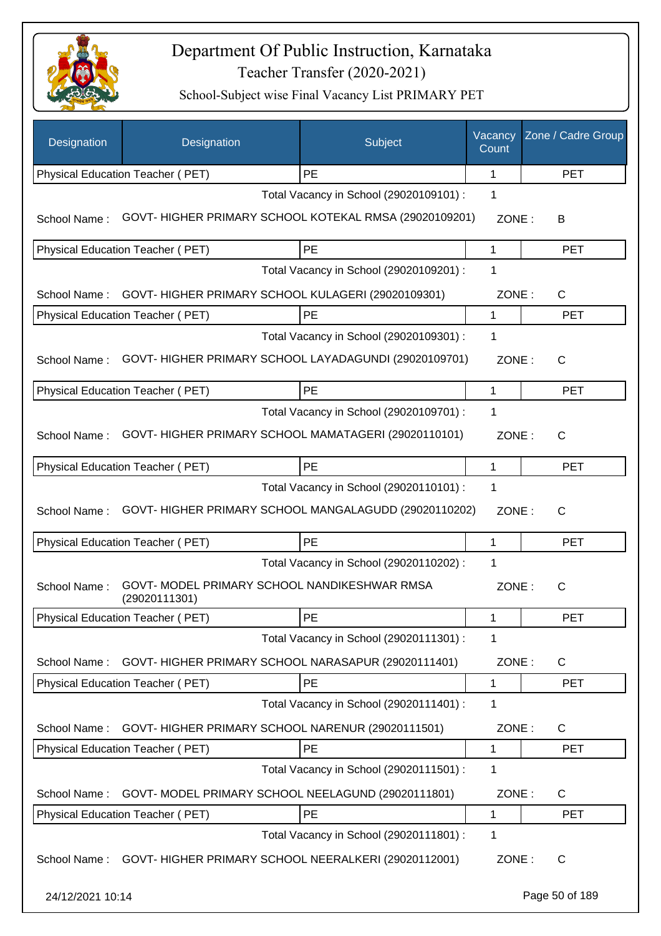

| Designation      | Designation                                                   | Subject                                 | Vacancy<br>Count | Zone / Cadre Group |
|------------------|---------------------------------------------------------------|-----------------------------------------|------------------|--------------------|
|                  | Physical Education Teacher (PET)                              | <b>PE</b>                               | $\mathbf{1}$     | <b>PET</b>         |
|                  |                                                               | Total Vacancy in School (29020109101) : | 1                |                    |
| School Name:     | GOVT-HIGHER PRIMARY SCHOOL KOTEKAL RMSA (29020109201)         |                                         | ZONE:            | B                  |
|                  | Physical Education Teacher (PET)                              | PE                                      | 1                | <b>PET</b>         |
|                  |                                                               | Total Vacancy in School (29020109201) : | 1                |                    |
| School Name:     | GOVT- HIGHER PRIMARY SCHOOL KULAGERI (29020109301)            |                                         | ZONE:            | C                  |
|                  | Physical Education Teacher (PET)                              | PE                                      | 1                | <b>PET</b>         |
|                  |                                                               | Total Vacancy in School (29020109301) : | 1                |                    |
| School Name:     | GOVT-HIGHER PRIMARY SCHOOL LAYADAGUNDI (29020109701)          |                                         | ZONE:            | C                  |
|                  | Physical Education Teacher (PET)                              | <b>PE</b>                               | 1                | <b>PET</b>         |
|                  |                                                               | Total Vacancy in School (29020109701) : | 1                |                    |
| School Name:     | GOVT-HIGHER PRIMARY SCHOOL MAMATAGERI (29020110101)           |                                         | ZONE:            | $\mathsf{C}$       |
|                  | Physical Education Teacher (PET)                              | PE                                      | 1                | <b>PET</b>         |
|                  |                                                               | Total Vacancy in School (29020110101) : | 1                |                    |
| School Name:     | GOVT- HIGHER PRIMARY SCHOOL MANGALAGUDD (29020110202)         |                                         | ZONE:            | C                  |
|                  | Physical Education Teacher (PET)                              | PE                                      | 1                | <b>PET</b>         |
|                  |                                                               | Total Vacancy in School (29020110202) : | 1                |                    |
| School Name:     | GOVT- MODEL PRIMARY SCHOOL NANDIKESHWAR RMSA<br>(29020111301) |                                         | ZONE:            | C                  |
|                  | Physical Education Teacher (PET)                              | PE                                      | 1                | PET                |
|                  |                                                               | Total Vacancy in School (29020111301) : | 1                |                    |
| School Name:     | GOVT- HIGHER PRIMARY SCHOOL NARASAPUR (29020111401)           |                                         | ZONE:            | $\mathsf{C}$       |
|                  | Physical Education Teacher (PET)                              | PE                                      | 1                | <b>PET</b>         |
|                  |                                                               | Total Vacancy in School (29020111401) : | 1                |                    |
| School Name:     | GOVT- HIGHER PRIMARY SCHOOL NARENUR (29020111501)             |                                         | ZONE:            | C                  |
|                  | Physical Education Teacher (PET)                              | PE                                      | 1                | <b>PET</b>         |
|                  |                                                               | Total Vacancy in School (29020111501) : | 1                |                    |
| School Name:     | GOVT- MODEL PRIMARY SCHOOL NEELAGUND (29020111801)            |                                         | ZONE:            | C                  |
|                  | Physical Education Teacher (PET)                              | <b>PE</b>                               | 1                | <b>PET</b>         |
|                  |                                                               | Total Vacancy in School (29020111801) : | 1                |                    |
| School Name:     | GOVT- HIGHER PRIMARY SCHOOL NEERALKERI (29020112001)          |                                         | ZONE:            | C                  |
| 24/12/2021 10:14 |                                                               |                                         |                  | Page 50 of 189     |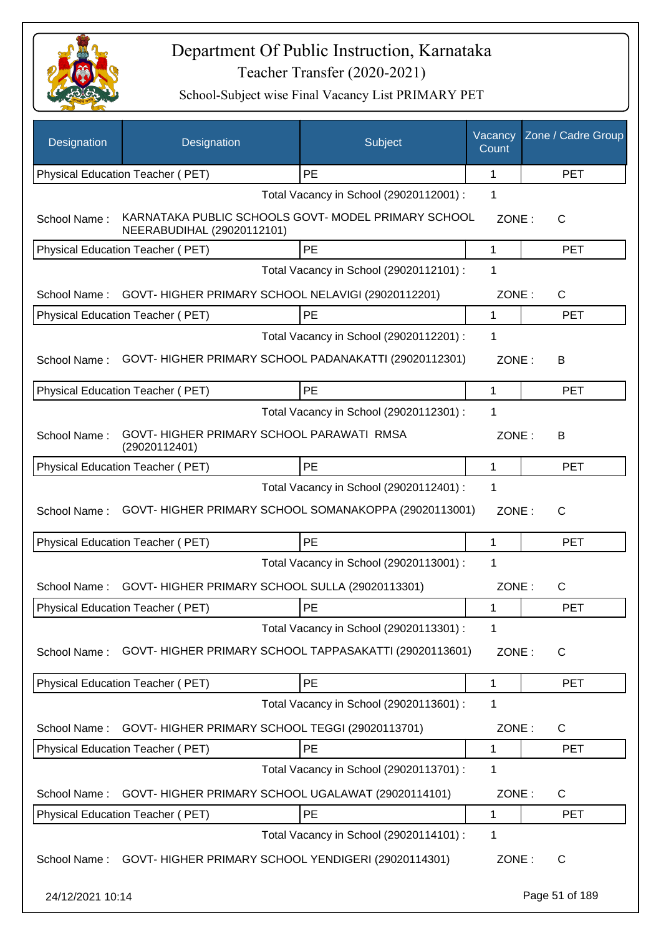

| Designation      | Designation                                                                       | Subject                                 | Vacancy<br>Count | Zone / Cadre Group |
|------------------|-----------------------------------------------------------------------------------|-----------------------------------------|------------------|--------------------|
|                  | Physical Education Teacher (PET)                                                  | PE                                      | 1                | <b>PET</b>         |
|                  |                                                                                   | Total Vacancy in School (29020112001) : | 1                |                    |
| School Name:     | KARNATAKA PUBLIC SCHOOLS GOVT- MODEL PRIMARY SCHOOL<br>NEERABUDIHAL (29020112101) |                                         | ZONE:            | C                  |
|                  | Physical Education Teacher (PET)                                                  | PE                                      | 1                | <b>PET</b>         |
|                  |                                                                                   | Total Vacancy in School (29020112101) : | 1                |                    |
| School Name:     | GOVT-HIGHER PRIMARY SCHOOL NELAVIGI (29020112201)                                 |                                         | ZONE:            | C                  |
|                  | Physical Education Teacher (PET)                                                  | PE                                      | 1                | <b>PET</b>         |
|                  |                                                                                   | Total Vacancy in School (29020112201) : | 1                |                    |
| School Name:     | GOVT-HIGHER PRIMARY SCHOOL PADANAKATTI (29020112301)                              |                                         | ZONE:            | В                  |
|                  | Physical Education Teacher (PET)                                                  | PE                                      | 1                | <b>PET</b>         |
|                  |                                                                                   | Total Vacancy in School (29020112301) : | 1                |                    |
| School Name:     | GOVT- HIGHER PRIMARY SCHOOL PARAWATI RMSA<br>(29020112401)                        |                                         | ZONE:            | B                  |
|                  | Physical Education Teacher (PET)                                                  | PE                                      | 1                | <b>PET</b>         |
|                  |                                                                                   | Total Vacancy in School (29020112401) : | 1                |                    |
| School Name:     | GOVT-HIGHER PRIMARY SCHOOL SOMANAKOPPA (29020113001)                              |                                         | ZONE:            | C                  |
|                  | Physical Education Teacher (PET)                                                  | PE                                      | 1                | <b>PET</b>         |
|                  |                                                                                   | Total Vacancy in School (29020113001) : | 1                |                    |
| School Name:     | GOVT-HIGHER PRIMARY SCHOOL SULLA (29020113301)                                    |                                         | ZONE:            | C                  |
|                  | Physical Education Teacher (PET)                                                  | PE                                      | 1                | <b>PET</b>         |
|                  |                                                                                   | Total Vacancy in School (29020113301) : | 1                |                    |
| School Name:     | GOVT-HIGHER PRIMARY SCHOOL TAPPASAKATTI (29020113601)                             |                                         | ZONE:            | C                  |
|                  | Physical Education Teacher (PET)                                                  | PE                                      | 1                | <b>PET</b>         |
|                  |                                                                                   | Total Vacancy in School (29020113601) : | 1                |                    |
| School Name:     | GOVT-HIGHER PRIMARY SCHOOL TEGGI (29020113701)                                    |                                         | ZONE:            | C                  |
|                  | Physical Education Teacher (PET)                                                  | PE                                      | 1                | <b>PET</b>         |
|                  |                                                                                   | Total Vacancy in School (29020113701) : | 1                |                    |
| School Name:     | GOVT-HIGHER PRIMARY SCHOOL UGALAWAT (29020114101)                                 |                                         | ZONE:            | C                  |
|                  | Physical Education Teacher (PET)                                                  | PE                                      | 1                | <b>PET</b>         |
|                  |                                                                                   | Total Vacancy in School (29020114101) : | 1                |                    |
| School Name:     | GOVT-HIGHER PRIMARY SCHOOL YENDIGERI (29020114301)                                |                                         | ZONE:            | С                  |
| 24/12/2021 10:14 |                                                                                   |                                         |                  | Page 51 of 189     |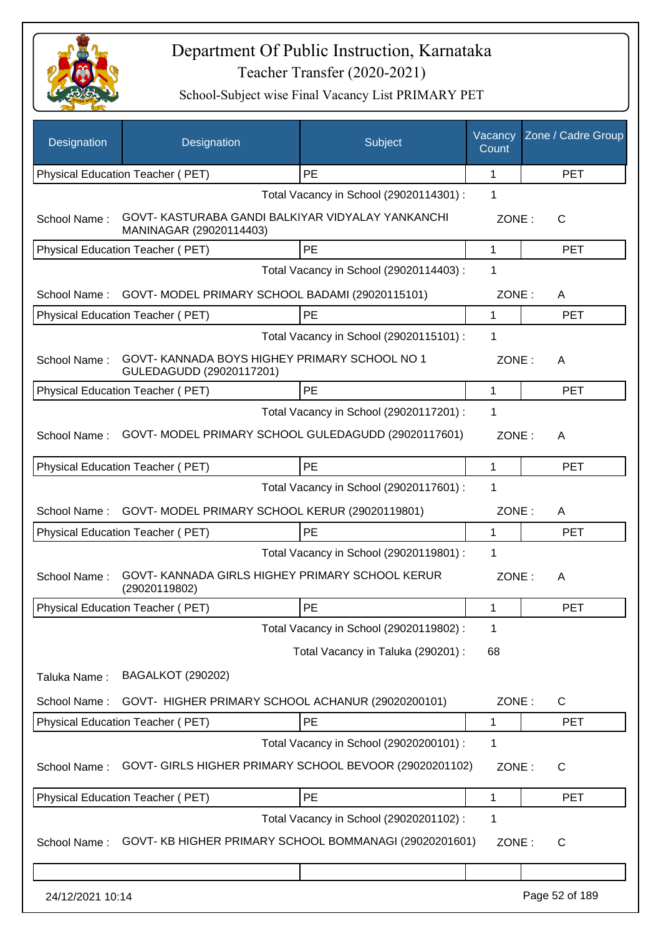

| Designation      | Designation                                                                 | Subject                                 | Vacancy<br>Count | Zone / Cadre Group |
|------------------|-----------------------------------------------------------------------------|-----------------------------------------|------------------|--------------------|
|                  | Physical Education Teacher (PET)                                            | <b>PE</b>                               | 1                | <b>PET</b>         |
|                  |                                                                             | Total Vacancy in School (29020114301) : | 1                |                    |
| School Name:     | GOVT-KASTURABA GANDI BALKIYAR VIDYALAY YANKANCHI<br>MANINAGAR (29020114403) |                                         | ZONE:            | C                  |
|                  | Physical Education Teacher (PET)                                            | PE                                      | 1                | <b>PET</b>         |
|                  |                                                                             | Total Vacancy in School (29020114403) : | 1                |                    |
| School Name:     | GOVT-MODEL PRIMARY SCHOOL BADAMI (29020115101)                              |                                         | ZONE:            | A                  |
|                  | Physical Education Teacher (PET)                                            | PE                                      | 1                | <b>PET</b>         |
|                  |                                                                             | Total Vacancy in School (29020115101) : | 1                |                    |
| School Name:     | GOVT-KANNADA BOYS HIGHEY PRIMARY SCHOOL NO 1<br>GULEDAGUDD (29020117201)    |                                         | ZONE:            | A                  |
|                  | <b>Physical Education Teacher (PET)</b>                                     | PE                                      | 1                | <b>PET</b>         |
|                  |                                                                             | Total Vacancy in School (29020117201) : | 1                |                    |
| School Name:     | GOVT- MODEL PRIMARY SCHOOL GULEDAGUDD (29020117601)                         |                                         | ZONE:            | A                  |
|                  | Physical Education Teacher (PET)                                            | PE                                      | 1                | <b>PET</b>         |
|                  |                                                                             | Total Vacancy in School (29020117601) : | 1                |                    |
| School Name:     | GOVT- MODEL PRIMARY SCHOOL KERUR (29020119801)                              |                                         | ZONE:            | A                  |
|                  | Physical Education Teacher (PET)                                            | PE                                      | 1                | <b>PET</b>         |
|                  |                                                                             | Total Vacancy in School (29020119801) : | 1                |                    |
| School Name:     | GOVT-KANNADA GIRLS HIGHEY PRIMARY SCHOOL KERUR<br>(29020119802)             |                                         | ZONE:            | A                  |
|                  | Physical Education Teacher (PET)                                            | PE                                      | 1                | <b>PET</b>         |
|                  |                                                                             | Total Vacancy in School (29020119802) : | 1                |                    |
|                  |                                                                             | Total Vacancy in Taluka (290201) :      | 68               |                    |
| Taluka Name:     | <b>BAGALKOT (290202)</b>                                                    |                                         |                  |                    |
| School Name:     | GOVT- HIGHER PRIMARY SCHOOL ACHANUR (29020200101)                           |                                         | ZONE:            | C                  |
|                  | Physical Education Teacher (PET)                                            | PE                                      | 1                | <b>PET</b>         |
|                  |                                                                             | Total Vacancy in School (29020200101) : | 1                |                    |
| School Name:     | GOVT- GIRLS HIGHER PRIMARY SCHOOL BEVOOR (29020201102)                      |                                         | ZONE:            | C                  |
|                  | Physical Education Teacher (PET)                                            | PE                                      | 1                | <b>PET</b>         |
|                  |                                                                             | Total Vacancy in School (29020201102) : | 1                |                    |
| School Name:     | GOVT- KB HIGHER PRIMARY SCHOOL BOMMANAGI (29020201601)                      |                                         | ZONE:            | C                  |
|                  |                                                                             |                                         |                  |                    |
| 24/12/2021 10:14 |                                                                             |                                         |                  | Page 52 of 189     |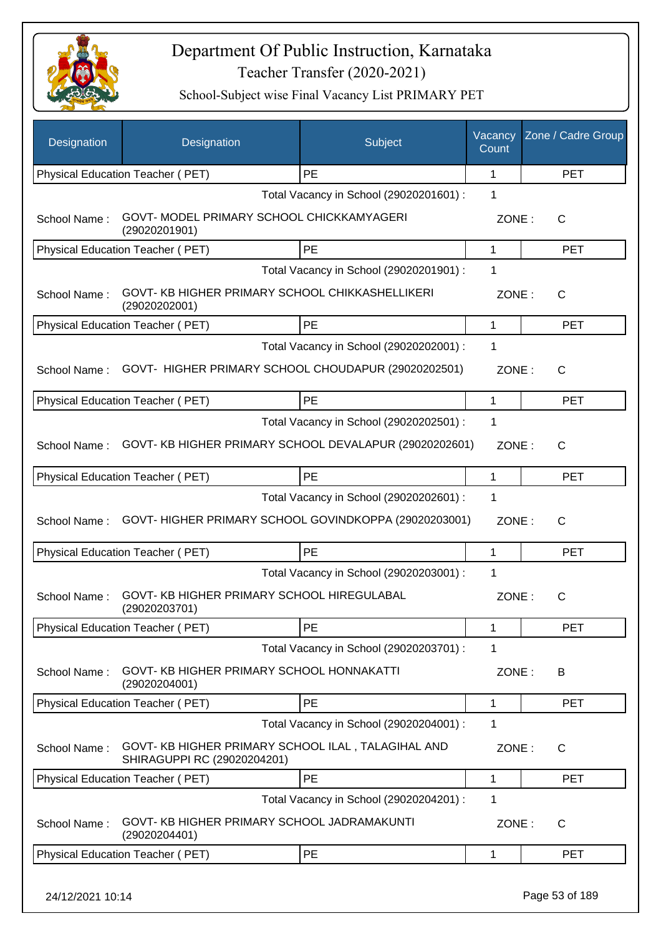

School-Subject wise Final Vacancy List PRIMARY PET

| PE<br>Physical Education Teacher (PET)<br>1<br><b>PET</b><br>1<br>Total Vacancy in School (29020201601) :<br>GOVT- MODEL PRIMARY SCHOOL CHICKKAMYAGERI<br>School Name:<br>ZONE:<br>C<br>(29020201901)<br>PE<br>Physical Education Teacher (PET)<br>1<br><b>PET</b><br>Total Vacancy in School (29020201901) :<br>1<br>GOVT- KB HIGHER PRIMARY SCHOOL CHIKKASHELLIKERI<br>School Name:<br>ZONE:<br>$\mathsf{C}$<br>(29020202001)<br>PE<br>Physical Education Teacher (PET)<br><b>PET</b><br>1<br>Total Vacancy in School (29020202001) :<br>1<br>GOVT- HIGHER PRIMARY SCHOOL CHOUDAPUR (29020202501)<br>School Name:<br>ZONE:<br>$\mathsf{C}$<br>PE<br>Physical Education Teacher (PET)<br><b>PET</b><br>1<br>1<br>Total Vacancy in School (29020202501) :<br>GOVT- KB HIGHER PRIMARY SCHOOL DEVALAPUR (29020202601)<br>School Name:<br>ZONE:<br>C<br>PE<br>Physical Education Teacher (PET)<br>1<br><b>PET</b><br>Total Vacancy in School (29020202601) :<br>1<br>GOVT-HIGHER PRIMARY SCHOOL GOVINDKOPPA (29020203001)<br>School Name:<br>ZONE:<br>$\mathsf{C}$<br><b>PE</b><br>Physical Education Teacher (PET)<br>1<br><b>PET</b><br>1<br>Total Vacancy in School (29020203001) :<br>GOVT- KB HIGHER PRIMARY SCHOOL HIREGULABAL<br>School Name:<br>ZONE:<br>$\mathsf{C}$<br>(29020203701)<br><b>PE</b><br>Physical Education Teacher (PET)<br>1<br><b>PET</b><br>1<br>Total Vacancy in School (29020203701) :<br>GOVT- KB HIGHER PRIMARY SCHOOL HONNAKATTI<br>School Name:<br>ZONE:<br>B<br>(29020204001)<br>Physical Education Teacher (PET)<br>PE<br>1<br><b>PET</b><br>Total Vacancy in School (29020204001) :<br>1<br>GOVT- KB HIGHER PRIMARY SCHOOL ILAL, TALAGIHAL AND<br>School Name:<br>ZONE:<br>$\mathsf{C}$<br>SHIRAGUPPI RC (29020204201)<br>PE<br>Physical Education Teacher (PET)<br><b>PET</b><br>1<br>Total Vacancy in School (29020204201) :<br>1<br>GOVT- KB HIGHER PRIMARY SCHOOL JADRAMAKUNTI<br>School Name:<br>ZONE:<br>C<br>(29020204401)<br>PE<br>Physical Education Teacher (PET)<br>1<br><b>PET</b> | Designation | Designation | Subject | Vacancy<br>Count | Zone / Cadre Group |
|--------------------------------------------------------------------------------------------------------------------------------------------------------------------------------------------------------------------------------------------------------------------------------------------------------------------------------------------------------------------------------------------------------------------------------------------------------------------------------------------------------------------------------------------------------------------------------------------------------------------------------------------------------------------------------------------------------------------------------------------------------------------------------------------------------------------------------------------------------------------------------------------------------------------------------------------------------------------------------------------------------------------------------------------------------------------------------------------------------------------------------------------------------------------------------------------------------------------------------------------------------------------------------------------------------------------------------------------------------------------------------------------------------------------------------------------------------------------------------------------------------------------------------------------------------------------------------------------------------------------------------------------------------------------------------------------------------------------------------------------------------------------------------------------------------------------------------------------------------------------------------------------------------------------------------------------------------------------------------------------------------------------------------|-------------|-------------|---------|------------------|--------------------|
|                                                                                                                                                                                                                                                                                                                                                                                                                                                                                                                                                                                                                                                                                                                                                                                                                                                                                                                                                                                                                                                                                                                                                                                                                                                                                                                                                                                                                                                                                                                                                                                                                                                                                                                                                                                                                                                                                                                                                                                                                                |             |             |         |                  |                    |
|                                                                                                                                                                                                                                                                                                                                                                                                                                                                                                                                                                                                                                                                                                                                                                                                                                                                                                                                                                                                                                                                                                                                                                                                                                                                                                                                                                                                                                                                                                                                                                                                                                                                                                                                                                                                                                                                                                                                                                                                                                |             |             |         |                  |                    |
|                                                                                                                                                                                                                                                                                                                                                                                                                                                                                                                                                                                                                                                                                                                                                                                                                                                                                                                                                                                                                                                                                                                                                                                                                                                                                                                                                                                                                                                                                                                                                                                                                                                                                                                                                                                                                                                                                                                                                                                                                                |             |             |         |                  |                    |
|                                                                                                                                                                                                                                                                                                                                                                                                                                                                                                                                                                                                                                                                                                                                                                                                                                                                                                                                                                                                                                                                                                                                                                                                                                                                                                                                                                                                                                                                                                                                                                                                                                                                                                                                                                                                                                                                                                                                                                                                                                |             |             |         |                  |                    |
|                                                                                                                                                                                                                                                                                                                                                                                                                                                                                                                                                                                                                                                                                                                                                                                                                                                                                                                                                                                                                                                                                                                                                                                                                                                                                                                                                                                                                                                                                                                                                                                                                                                                                                                                                                                                                                                                                                                                                                                                                                |             |             |         |                  |                    |
|                                                                                                                                                                                                                                                                                                                                                                                                                                                                                                                                                                                                                                                                                                                                                                                                                                                                                                                                                                                                                                                                                                                                                                                                                                                                                                                                                                                                                                                                                                                                                                                                                                                                                                                                                                                                                                                                                                                                                                                                                                |             |             |         |                  |                    |
|                                                                                                                                                                                                                                                                                                                                                                                                                                                                                                                                                                                                                                                                                                                                                                                                                                                                                                                                                                                                                                                                                                                                                                                                                                                                                                                                                                                                                                                                                                                                                                                                                                                                                                                                                                                                                                                                                                                                                                                                                                |             |             |         |                  |                    |
|                                                                                                                                                                                                                                                                                                                                                                                                                                                                                                                                                                                                                                                                                                                                                                                                                                                                                                                                                                                                                                                                                                                                                                                                                                                                                                                                                                                                                                                                                                                                                                                                                                                                                                                                                                                                                                                                                                                                                                                                                                |             |             |         |                  |                    |
|                                                                                                                                                                                                                                                                                                                                                                                                                                                                                                                                                                                                                                                                                                                                                                                                                                                                                                                                                                                                                                                                                                                                                                                                                                                                                                                                                                                                                                                                                                                                                                                                                                                                                                                                                                                                                                                                                                                                                                                                                                |             |             |         |                  |                    |
|                                                                                                                                                                                                                                                                                                                                                                                                                                                                                                                                                                                                                                                                                                                                                                                                                                                                                                                                                                                                                                                                                                                                                                                                                                                                                                                                                                                                                                                                                                                                                                                                                                                                                                                                                                                                                                                                                                                                                                                                                                |             |             |         |                  |                    |
|                                                                                                                                                                                                                                                                                                                                                                                                                                                                                                                                                                                                                                                                                                                                                                                                                                                                                                                                                                                                                                                                                                                                                                                                                                                                                                                                                                                                                                                                                                                                                                                                                                                                                                                                                                                                                                                                                                                                                                                                                                |             |             |         |                  |                    |
|                                                                                                                                                                                                                                                                                                                                                                                                                                                                                                                                                                                                                                                                                                                                                                                                                                                                                                                                                                                                                                                                                                                                                                                                                                                                                                                                                                                                                                                                                                                                                                                                                                                                                                                                                                                                                                                                                                                                                                                                                                |             |             |         |                  |                    |
|                                                                                                                                                                                                                                                                                                                                                                                                                                                                                                                                                                                                                                                                                                                                                                                                                                                                                                                                                                                                                                                                                                                                                                                                                                                                                                                                                                                                                                                                                                                                                                                                                                                                                                                                                                                                                                                                                                                                                                                                                                |             |             |         |                  |                    |
|                                                                                                                                                                                                                                                                                                                                                                                                                                                                                                                                                                                                                                                                                                                                                                                                                                                                                                                                                                                                                                                                                                                                                                                                                                                                                                                                                                                                                                                                                                                                                                                                                                                                                                                                                                                                                                                                                                                                                                                                                                |             |             |         |                  |                    |
|                                                                                                                                                                                                                                                                                                                                                                                                                                                                                                                                                                                                                                                                                                                                                                                                                                                                                                                                                                                                                                                                                                                                                                                                                                                                                                                                                                                                                                                                                                                                                                                                                                                                                                                                                                                                                                                                                                                                                                                                                                |             |             |         |                  |                    |
|                                                                                                                                                                                                                                                                                                                                                                                                                                                                                                                                                                                                                                                                                                                                                                                                                                                                                                                                                                                                                                                                                                                                                                                                                                                                                                                                                                                                                                                                                                                                                                                                                                                                                                                                                                                                                                                                                                                                                                                                                                |             |             |         |                  |                    |
|                                                                                                                                                                                                                                                                                                                                                                                                                                                                                                                                                                                                                                                                                                                                                                                                                                                                                                                                                                                                                                                                                                                                                                                                                                                                                                                                                                                                                                                                                                                                                                                                                                                                                                                                                                                                                                                                                                                                                                                                                                |             |             |         |                  |                    |
|                                                                                                                                                                                                                                                                                                                                                                                                                                                                                                                                                                                                                                                                                                                                                                                                                                                                                                                                                                                                                                                                                                                                                                                                                                                                                                                                                                                                                                                                                                                                                                                                                                                                                                                                                                                                                                                                                                                                                                                                                                |             |             |         |                  |                    |
|                                                                                                                                                                                                                                                                                                                                                                                                                                                                                                                                                                                                                                                                                                                                                                                                                                                                                                                                                                                                                                                                                                                                                                                                                                                                                                                                                                                                                                                                                                                                                                                                                                                                                                                                                                                                                                                                                                                                                                                                                                |             |             |         |                  |                    |
|                                                                                                                                                                                                                                                                                                                                                                                                                                                                                                                                                                                                                                                                                                                                                                                                                                                                                                                                                                                                                                                                                                                                                                                                                                                                                                                                                                                                                                                                                                                                                                                                                                                                                                                                                                                                                                                                                                                                                                                                                                |             |             |         |                  |                    |
|                                                                                                                                                                                                                                                                                                                                                                                                                                                                                                                                                                                                                                                                                                                                                                                                                                                                                                                                                                                                                                                                                                                                                                                                                                                                                                                                                                                                                                                                                                                                                                                                                                                                                                                                                                                                                                                                                                                                                                                                                                |             |             |         |                  |                    |
|                                                                                                                                                                                                                                                                                                                                                                                                                                                                                                                                                                                                                                                                                                                                                                                                                                                                                                                                                                                                                                                                                                                                                                                                                                                                                                                                                                                                                                                                                                                                                                                                                                                                                                                                                                                                                                                                                                                                                                                                                                |             |             |         |                  |                    |
|                                                                                                                                                                                                                                                                                                                                                                                                                                                                                                                                                                                                                                                                                                                                                                                                                                                                                                                                                                                                                                                                                                                                                                                                                                                                                                                                                                                                                                                                                                                                                                                                                                                                                                                                                                                                                                                                                                                                                                                                                                |             |             |         |                  |                    |
|                                                                                                                                                                                                                                                                                                                                                                                                                                                                                                                                                                                                                                                                                                                                                                                                                                                                                                                                                                                                                                                                                                                                                                                                                                                                                                                                                                                                                                                                                                                                                                                                                                                                                                                                                                                                                                                                                                                                                                                                                                |             |             |         |                  |                    |
|                                                                                                                                                                                                                                                                                                                                                                                                                                                                                                                                                                                                                                                                                                                                                                                                                                                                                                                                                                                                                                                                                                                                                                                                                                                                                                                                                                                                                                                                                                                                                                                                                                                                                                                                                                                                                                                                                                                                                                                                                                |             |             |         |                  |                    |
|                                                                                                                                                                                                                                                                                                                                                                                                                                                                                                                                                                                                                                                                                                                                                                                                                                                                                                                                                                                                                                                                                                                                                                                                                                                                                                                                                                                                                                                                                                                                                                                                                                                                                                                                                                                                                                                                                                                                                                                                                                |             |             |         |                  |                    |
|                                                                                                                                                                                                                                                                                                                                                                                                                                                                                                                                                                                                                                                                                                                                                                                                                                                                                                                                                                                                                                                                                                                                                                                                                                                                                                                                                                                                                                                                                                                                                                                                                                                                                                                                                                                                                                                                                                                                                                                                                                |             |             |         |                  |                    |
|                                                                                                                                                                                                                                                                                                                                                                                                                                                                                                                                                                                                                                                                                                                                                                                                                                                                                                                                                                                                                                                                                                                                                                                                                                                                                                                                                                                                                                                                                                                                                                                                                                                                                                                                                                                                                                                                                                                                                                                                                                |             |             |         |                  |                    |

24/12/2021 10:14 Page 53 of 189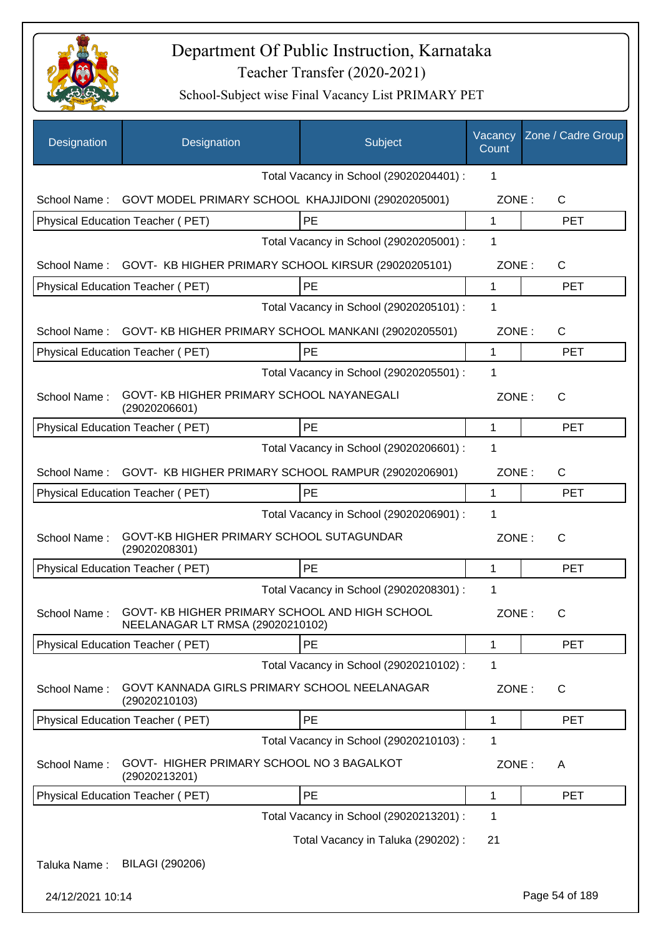

| Designation      | Designation                                                                                    | Subject                                 | Vacancy<br>Count | Zone / Cadre Group |
|------------------|------------------------------------------------------------------------------------------------|-----------------------------------------|------------------|--------------------|
|                  |                                                                                                | Total Vacancy in School (29020204401) : | 1                |                    |
| School Name:     | GOVT MODEL PRIMARY SCHOOL KHAJJIDONI (29020205001)                                             |                                         | ZONE:            | C                  |
|                  | Physical Education Teacher (PET)                                                               | PE                                      | 1                | <b>PET</b>         |
|                  |                                                                                                | Total Vacancy in School (29020205001) : | 1                |                    |
| School Name:     | GOVT- KB HIGHER PRIMARY SCHOOL KIRSUR (29020205101)                                            |                                         | ZONE:            | $\mathsf{C}$       |
|                  | Physical Education Teacher (PET)                                                               | PE                                      | 1                | <b>PET</b>         |
|                  |                                                                                                | Total Vacancy in School (29020205101) : | 1                |                    |
| School Name:     | GOVT- KB HIGHER PRIMARY SCHOOL MANKANI (29020205501)                                           |                                         | ZONE:            | C                  |
|                  | Physical Education Teacher (PET)                                                               | PE                                      | $\mathbf 1$      | <b>PET</b>         |
|                  |                                                                                                | Total Vacancy in School (29020205501) : | 1                |                    |
| School Name:     | GOVT- KB HIGHER PRIMARY SCHOOL NAYANEGALI<br>(29020206601)                                     |                                         | ZONE:            | $\mathsf{C}$       |
|                  | <b>Physical Education Teacher (PET)</b>                                                        | PE                                      | 1                | <b>PET</b>         |
|                  |                                                                                                | Total Vacancy in School (29020206601) : | 1                |                    |
| School Name:     | GOVT- KB HIGHER PRIMARY SCHOOL RAMPUR (29020206901)                                            |                                         | ZONE:            | $\mathsf{C}$       |
|                  | Physical Education Teacher (PET)                                                               | PE                                      | 1                | <b>PET</b>         |
|                  |                                                                                                | Total Vacancy in School (29020206901) : | 1                |                    |
| School Name:     | GOVT-KB HIGHER PRIMARY SCHOOL SUTAGUNDAR<br>(29020208301)                                      |                                         | ZONE:            | C                  |
|                  | Physical Education Teacher (PET)                                                               | PE                                      | $\mathbf{1}$     | <b>PET</b>         |
|                  |                                                                                                | Total Vacancy in School (29020208301) : | 1                |                    |
|                  | School Name: GOVT-KB HIGHER PRIMARY SCHOOL AND HIGH SCHOOL<br>NEELANAGAR LT RMSA (29020210102) |                                         | ZONE:            | C                  |
|                  | Physical Education Teacher (PET)                                                               | PE                                      | 1                | <b>PET</b>         |
|                  |                                                                                                | Total Vacancy in School (29020210102) : | 1                |                    |
| School Name:     | GOVT KANNADA GIRLS PRIMARY SCHOOL NEELANAGAR<br>(29020210103)                                  |                                         | ZONE:            | $\mathsf{C}$       |
|                  | <b>Physical Education Teacher (PET)</b>                                                        | PE                                      | 1                | <b>PET</b>         |
|                  |                                                                                                | Total Vacancy in School (29020210103) : | 1                |                    |
| School Name:     | GOVT- HIGHER PRIMARY SCHOOL NO 3 BAGALKOT<br>(29020213201)                                     |                                         | ZONE:            | Α                  |
|                  | Physical Education Teacher (PET)                                                               | PE                                      | $\mathbf{1}$     | <b>PET</b>         |
|                  |                                                                                                | Total Vacancy in School (29020213201) : | 1                |                    |
|                  |                                                                                                | Total Vacancy in Taluka (290202) :      | 21               |                    |
| Taluka Name:     | BILAGI (290206)                                                                                |                                         |                  |                    |
| 24/12/2021 10:14 |                                                                                                |                                         |                  | Page 54 of 189     |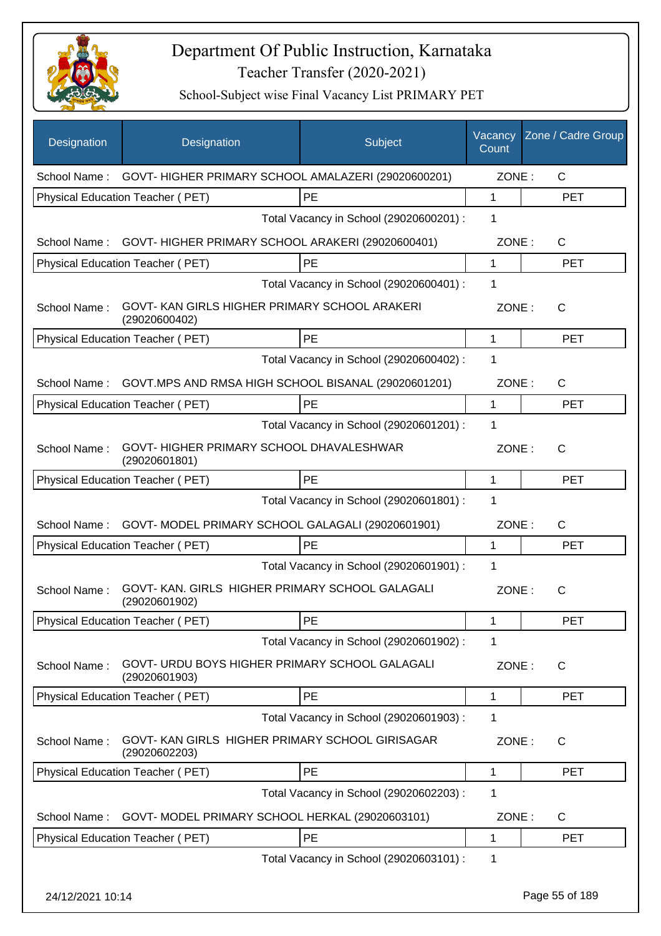

| Designation      | Designation                                                      | Subject                                 | Vacancy<br>Count | Zone / Cadre Group |
|------------------|------------------------------------------------------------------|-----------------------------------------|------------------|--------------------|
|                  | School Name: GOVT-HIGHER PRIMARY SCHOOL AMALAZERI (29020600201)  |                                         | ZONE:            | $\mathsf{C}$       |
|                  | Physical Education Teacher (PET)                                 | PE                                      | $\mathbf{1}$     | <b>PET</b>         |
|                  |                                                                  | Total Vacancy in School (29020600201) : | 1                |                    |
| School Name:     | GOVT-HIGHER PRIMARY SCHOOL ARAKERI (29020600401)                 |                                         | ZONE:            | C                  |
|                  | Physical Education Teacher (PET)                                 | PE                                      | $\mathbf 1$      | <b>PET</b>         |
|                  |                                                                  | Total Vacancy in School (29020600401) : | 1                |                    |
| School Name:     | GOVT-KAN GIRLS HIGHER PRIMARY SCHOOL ARAKERI<br>(29020600402)    |                                         | ZONE:            | C                  |
|                  | Physical Education Teacher (PET)                                 | PE                                      | 1                | <b>PET</b>         |
|                  |                                                                  | Total Vacancy in School (29020600402) : | 1                |                    |
| School Name :    | GOVT.MPS AND RMSA HIGH SCHOOL BISANAL (29020601201)              |                                         | ZONE:            | C                  |
|                  | Physical Education Teacher (PET)                                 | PE                                      | $\mathbf 1$      | <b>PET</b>         |
|                  |                                                                  | Total Vacancy in School (29020601201) : | 1                |                    |
| School Name:     | GOVT-HIGHER PRIMARY SCHOOL DHAVALESHWAR<br>(29020601801)         |                                         | ZONE:            | C                  |
|                  | Physical Education Teacher (PET)                                 | PE                                      | 1                | <b>PET</b>         |
|                  |                                                                  | Total Vacancy in School (29020601801) : | 1                |                    |
|                  | School Name: GOVT-MODEL PRIMARY SCHOOL GALAGALI (29020601901)    |                                         | ZONE:            | C                  |
|                  | Physical Education Teacher (PET)                                 | PE                                      | $\mathbf{1}$     | <b>PET</b>         |
|                  |                                                                  | Total Vacancy in School (29020601901) : | 1                |                    |
| School Name:     | GOVT-KAN. GIRLS HIGHER PRIMARY SCHOOL GALAGALI<br>(29020601902)  |                                         | ZONE:            | C                  |
|                  | Physical Education Teacher (PET)                                 | PE                                      | 1                | <b>PET</b>         |
|                  |                                                                  | Total Vacancy in School (29020601902) : | 1                |                    |
| School Name:     | GOVT- URDU BOYS HIGHER PRIMARY SCHOOL GALAGALI<br>(29020601903)  |                                         | ZONE:            | C                  |
|                  | Physical Education Teacher (PET)                                 | PE                                      | 1                | <b>PET</b>         |
|                  |                                                                  | Total Vacancy in School (29020601903) : | 1                |                    |
| School Name:     | GOVT- KAN GIRLS HIGHER PRIMARY SCHOOL GIRISAGAR<br>(29020602203) |                                         | ZONE:            | C                  |
|                  | <b>Physical Education Teacher (PET)</b>                          | PE                                      | 1                | <b>PET</b>         |
|                  |                                                                  | Total Vacancy in School (29020602203) : | 1                |                    |
| School Name:     | GOVT- MODEL PRIMARY SCHOOL HERKAL (29020603101)                  |                                         | ZONE:            | C                  |
|                  | Physical Education Teacher (PET)                                 | PE                                      | 1                | <b>PET</b>         |
|                  |                                                                  | Total Vacancy in School (29020603101) : | 1                |                    |
| 24/12/2021 10:14 |                                                                  |                                         |                  | Page 55 of 189     |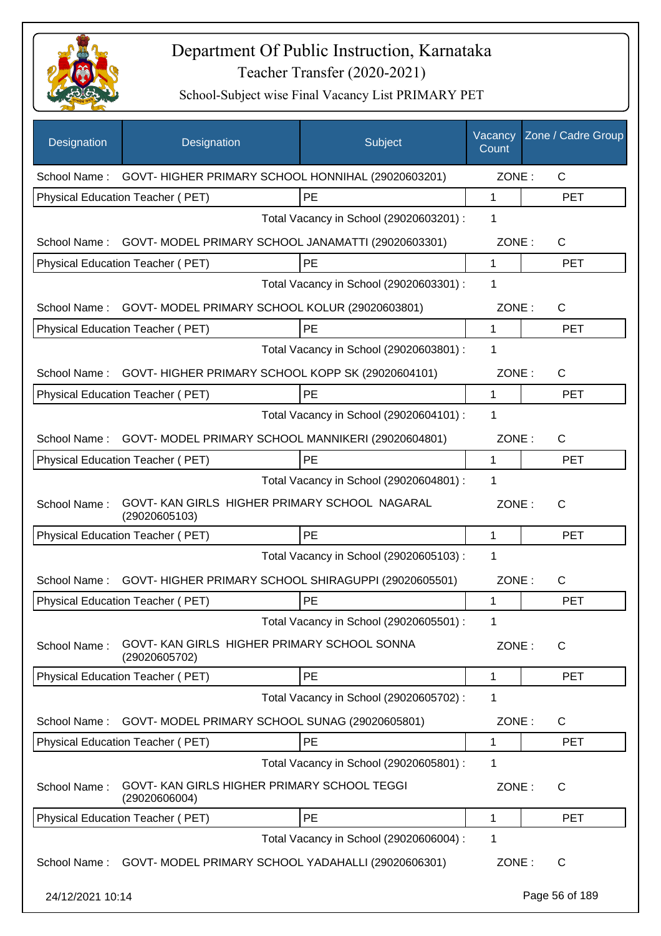

| Designation      | Designation                                                     | Subject                                 | Vacancy<br>Count | Zone / Cadre Group |
|------------------|-----------------------------------------------------------------|-----------------------------------------|------------------|--------------------|
|                  | School Name: GOVT- HIGHER PRIMARY SCHOOL HONNIHAL (29020603201) |                                         | ZONE:            | C                  |
|                  | Physical Education Teacher (PET)                                | PE                                      | 1                | <b>PET</b>         |
|                  |                                                                 | Total Vacancy in School (29020603201) : | 1                |                    |
|                  | School Name: GOVT- MODEL PRIMARY SCHOOL JANAMATTI (29020603301) |                                         | ZONE:            | $\mathsf{C}$       |
|                  | Physical Education Teacher (PET)                                | PE                                      | $\mathbf{1}$     | <b>PET</b>         |
|                  |                                                                 | Total Vacancy in School (29020603301) : | 1                |                    |
|                  | School Name: GOVT-MODEL PRIMARY SCHOOL KOLUR (29020603801)      |                                         | ZONE:            | C                  |
|                  | Physical Education Teacher (PET)                                | PE                                      | $\mathbf{1}$     | <b>PET</b>         |
|                  |                                                                 | Total Vacancy in School (29020603801) : | 1                |                    |
|                  | School Name: GOVT-HIGHER PRIMARY SCHOOL KOPP SK (29020604101)   |                                         | ZONE:            | C                  |
|                  | <b>Physical Education Teacher (PET)</b>                         | PE                                      | 1                | <b>PET</b>         |
|                  |                                                                 | Total Vacancy in School (29020604101) : | 1                |                    |
|                  | School Name: GOVT- MODEL PRIMARY SCHOOL MANNIKERI (29020604801) |                                         | ZONE:            | C                  |
|                  | Physical Education Teacher (PET)                                | <b>PE</b>                               | $\mathbf 1$      | <b>PET</b>         |
|                  |                                                                 | Total Vacancy in School (29020604801) : | 1                |                    |
| School Name:     | GOVT-KAN GIRLS HIGHER PRIMARY SCHOOL NAGARAL<br>(29020605103)   |                                         | ZONE:            | $\mathsf{C}$       |
|                  | Physical Education Teacher (PET)                                | PE                                      | 1                | <b>PET</b>         |
|                  |                                                                 | Total Vacancy in School (29020605103) : | 1                |                    |
| School Name:     | GOVT- HIGHER PRIMARY SCHOOL SHIRAGUPPI (29020605501)            |                                         | ZONE:            | C                  |
|                  | Physical Education Teacher (PET)                                | PE                                      | 1                | <b>PET</b>         |
|                  |                                                                 | Total Vacancy in School (29020605501) : | 1                |                    |
| School Name:     | GOVT-KAN GIRLS HIGHER PRIMARY SCHOOL SONNA<br>(29020605702)     |                                         | ZONE:            | $\mathsf{C}$       |
|                  | Physical Education Teacher (PET)                                | PE                                      | $\mathbf{1}$     | <b>PET</b>         |
|                  |                                                                 | Total Vacancy in School (29020605702) : | 1                |                    |
| School Name:     | GOVT- MODEL PRIMARY SCHOOL SUNAG (29020605801)                  |                                         | ZONE:            | C                  |
|                  | Physical Education Teacher (PET)                                | PE                                      | $\mathbf{1}$     | <b>PET</b>         |
|                  |                                                                 | Total Vacancy in School (29020605801) : | 1                |                    |
| School Name:     | GOVT-KAN GIRLS HIGHER PRIMARY SCHOOL TEGGI<br>(29020606004)     |                                         | ZONE:            | C                  |
|                  | Physical Education Teacher (PET)                                | PE                                      | 1                | <b>PET</b>         |
|                  |                                                                 | Total Vacancy in School (29020606004) : | 1                |                    |
| School Name:     | GOVT- MODEL PRIMARY SCHOOL YADAHALLI (29020606301)              |                                         | ZONE:            | C                  |
| 24/12/2021 10:14 |                                                                 |                                         |                  | Page 56 of 189     |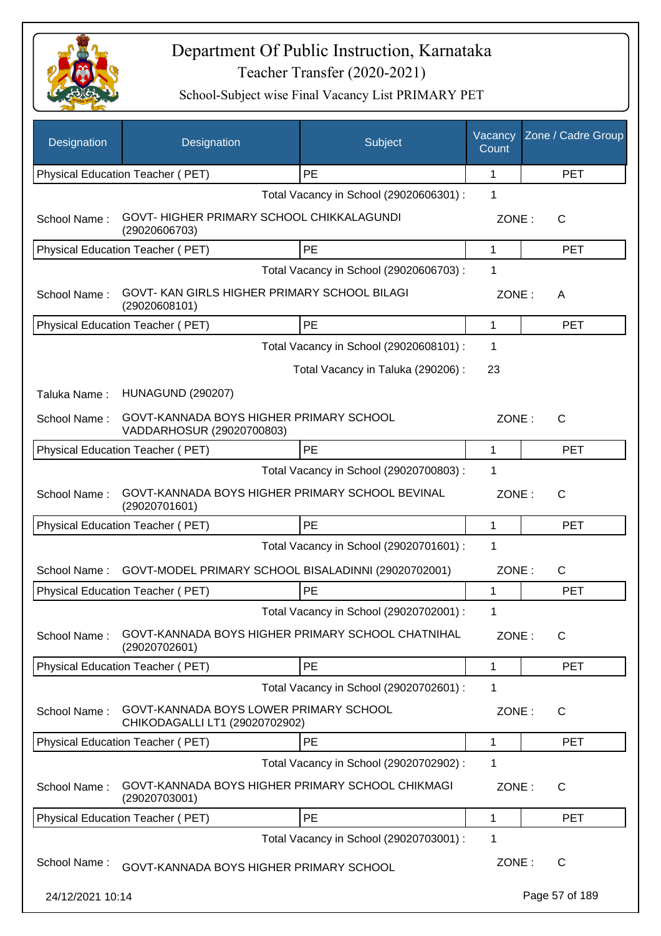

| Designation      | Designation                                                              | Subject                                 | Vacancy<br>Count | Zone / Cadre Group |
|------------------|--------------------------------------------------------------------------|-----------------------------------------|------------------|--------------------|
|                  | Physical Education Teacher (PET)                                         | PE                                      | 1                | <b>PET</b>         |
|                  |                                                                          | Total Vacancy in School (29020606301) : | 1                |                    |
| School Name:     | GOVT-HIGHER PRIMARY SCHOOL CHIKKALAGUNDI<br>(29020606703)                |                                         | ZONE:            | C                  |
|                  | Physical Education Teacher (PET)                                         | PE                                      | 1                | <b>PET</b>         |
|                  |                                                                          | Total Vacancy in School (29020606703) : | 1                |                    |
| School Name:     | GOVT- KAN GIRLS HIGHER PRIMARY SCHOOL BILAGI<br>(29020608101)            |                                         | ZONE:            | A                  |
|                  | Physical Education Teacher (PET)                                         | PE                                      | 1                | <b>PET</b>         |
|                  |                                                                          | Total Vacancy in School (29020608101) : | 1                |                    |
|                  |                                                                          | Total Vacancy in Taluka (290206):       | 23               |                    |
| Taluka Name:     | <b>HUNAGUND (290207)</b>                                                 |                                         |                  |                    |
| School Name:     | GOVT-KANNADA BOYS HIGHER PRIMARY SCHOOL<br>VADDARHOSUR (29020700803)     |                                         | ZONE:            | C                  |
|                  | Physical Education Teacher (PET)                                         | PE                                      | 1                | <b>PET</b>         |
|                  |                                                                          | Total Vacancy in School (29020700803) : | 1                |                    |
| School Name:     | GOVT-KANNADA BOYS HIGHER PRIMARY SCHOOL BEVINAL<br>(29020701601)         |                                         | ZONE:            | $\mathsf{C}$       |
|                  | Physical Education Teacher (PET)                                         | PE                                      | 1                | <b>PET</b>         |
|                  |                                                                          | Total Vacancy in School (29020701601) : | 1                |                    |
| School Name:     | GOVT-MODEL PRIMARY SCHOOL BISALADINNI (29020702001)                      |                                         | ZONE:            | C                  |
|                  | Physical Education Teacher (PET)                                         | PE                                      | 1                | <b>PET</b>         |
|                  |                                                                          | Total Vacancy in School (29020702001) : | 1                |                    |
| School Name:     | GOVT-KANNADA BOYS HIGHER PRIMARY SCHOOL CHATNIHAL<br>(29020702601)       |                                         | ZONE:            | $\mathsf{C}$       |
|                  | Physical Education Teacher (PET)                                         | PE                                      | 1                | <b>PET</b>         |
|                  |                                                                          | Total Vacancy in School (29020702601) : | 1                |                    |
| School Name:     | GOVT-KANNADA BOYS LOWER PRIMARY SCHOOL<br>CHIKODAGALLI LT1 (29020702902) |                                         | ZONE:            | C                  |
|                  | <b>Physical Education Teacher (PET)</b>                                  | PE                                      | $\mathbf{1}$     | <b>PET</b>         |
|                  |                                                                          | Total Vacancy in School (29020702902) : | 1                |                    |
| School Name:     | GOVT-KANNADA BOYS HIGHER PRIMARY SCHOOL CHIKMAGI<br>(29020703001)        |                                         | ZONE:            | C                  |
|                  | Physical Education Teacher (PET)                                         | PE                                      | 1                | <b>PET</b>         |
|                  |                                                                          | Total Vacancy in School (29020703001) : | 1                |                    |
| School Name:     | GOVT-KANNADA BOYS HIGHER PRIMARY SCHOOL                                  |                                         | ZONE:            | C                  |
| 24/12/2021 10:14 |                                                                          |                                         |                  | Page 57 of 189     |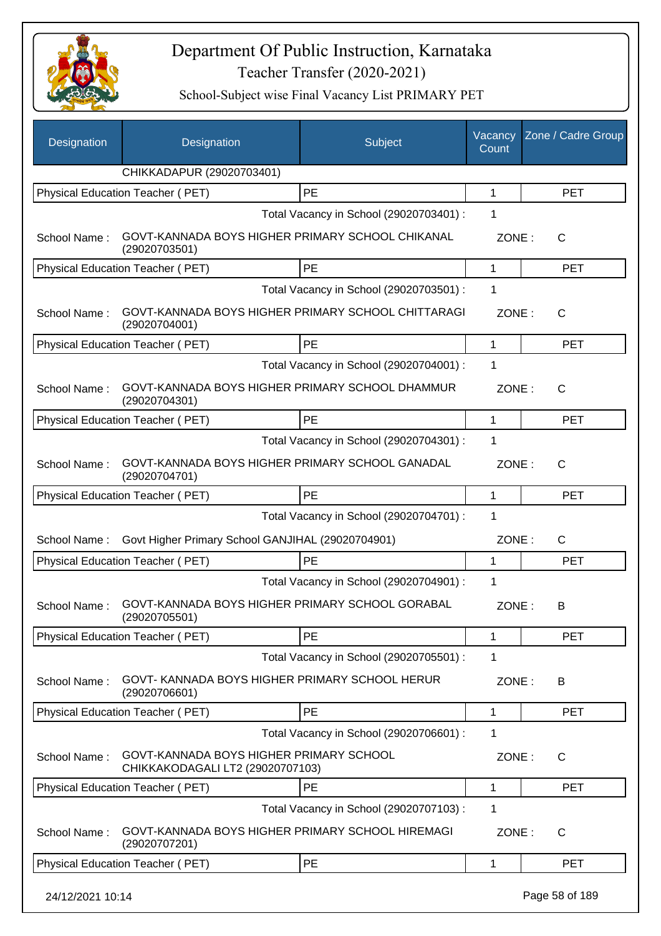

| <b>Designation</b> | Designation                                                                 | Subject                                 | Vacancy<br>Count | Zone / Cadre Group |  |
|--------------------|-----------------------------------------------------------------------------|-----------------------------------------|------------------|--------------------|--|
|                    | CHIKKADAPUR (29020703401)                                                   |                                         |                  |                    |  |
|                    | Physical Education Teacher (PET)                                            | PE                                      | 1                | <b>PET</b>         |  |
|                    |                                                                             | Total Vacancy in School (29020703401) : | 1                |                    |  |
| School Name:       | GOVT-KANNADA BOYS HIGHER PRIMARY SCHOOL CHIKANAL<br>(29020703501)           |                                         | ZONE:            | $\mathsf{C}$       |  |
|                    | Physical Education Teacher (PET)                                            | PE                                      | 1                | <b>PET</b>         |  |
|                    | Total Vacancy in School (29020703501) :                                     |                                         |                  |                    |  |
| School Name:       | GOVT-KANNADA BOYS HIGHER PRIMARY SCHOOL CHITTARAGI<br>(29020704001)         |                                         | ZONE:            | C                  |  |
|                    | Physical Education Teacher (PET)                                            | PE                                      | 1                | <b>PET</b>         |  |
|                    |                                                                             | Total Vacancy in School (29020704001) : | 1                |                    |  |
| School Name:       | GOVT-KANNADA BOYS HIGHER PRIMARY SCHOOL DHAMMUR<br>(29020704301)            |                                         | ZONE:            | C                  |  |
|                    | Physical Education Teacher (PET)                                            | PE                                      | 1                | <b>PET</b>         |  |
|                    |                                                                             | Total Vacancy in School (29020704301) : | 1                |                    |  |
| School Name:       | GOVT-KANNADA BOYS HIGHER PRIMARY SCHOOL GANADAL<br>(29020704701)            |                                         | ZONE:            | $\mathsf{C}$       |  |
|                    | Physical Education Teacher (PET)                                            | PE                                      | 1                | <b>PET</b>         |  |
|                    |                                                                             | Total Vacancy in School (29020704701) : | 1                |                    |  |
| School Name:       | Govt Higher Primary School GANJIHAL (29020704901)                           |                                         | ZONE:            | C                  |  |
|                    | Physical Education Teacher (PET)                                            | PE                                      | $\mathbf 1$      | <b>PET</b>         |  |
|                    |                                                                             | Total Vacancy in School (29020704901) : | 1                |                    |  |
| School Name:       | GOVT-KANNADA BOYS HIGHER PRIMARY SCHOOL GORABAL<br>(29020705501)            |                                         | ZONE:            | B                  |  |
|                    | <b>Physical Education Teacher (PET)</b>                                     | PE                                      | 1                | <b>PET</b>         |  |
|                    |                                                                             | Total Vacancy in School (29020705501) : | 1                |                    |  |
| School Name:       | GOVT- KANNADA BOYS HIGHER PRIMARY SCHOOL HERUR<br>(29020706601)             |                                         | ZONE:            | B                  |  |
|                    | Physical Education Teacher (PET)                                            | PE                                      | 1                | <b>PET</b>         |  |
|                    |                                                                             | Total Vacancy in School (29020706601) : | 1                |                    |  |
| School Name:       | GOVT-KANNADA BOYS HIGHER PRIMARY SCHOOL<br>CHIKKAKODAGALI LT2 (29020707103) |                                         | ZONE:            | C                  |  |
|                    | Physical Education Teacher (PET)                                            | PE                                      | 1                | <b>PET</b>         |  |
|                    |                                                                             | Total Vacancy in School (29020707103) : | 1                |                    |  |
| School Name:       | GOVT-KANNADA BOYS HIGHER PRIMARY SCHOOL HIREMAGI<br>(29020707201)           |                                         | ZONE:            | $\mathsf{C}$       |  |
|                    | Physical Education Teacher (PET)                                            | PE                                      | 1                | <b>PET</b>         |  |
| 24/12/2021 10:14   |                                                                             |                                         |                  | Page 58 of 189     |  |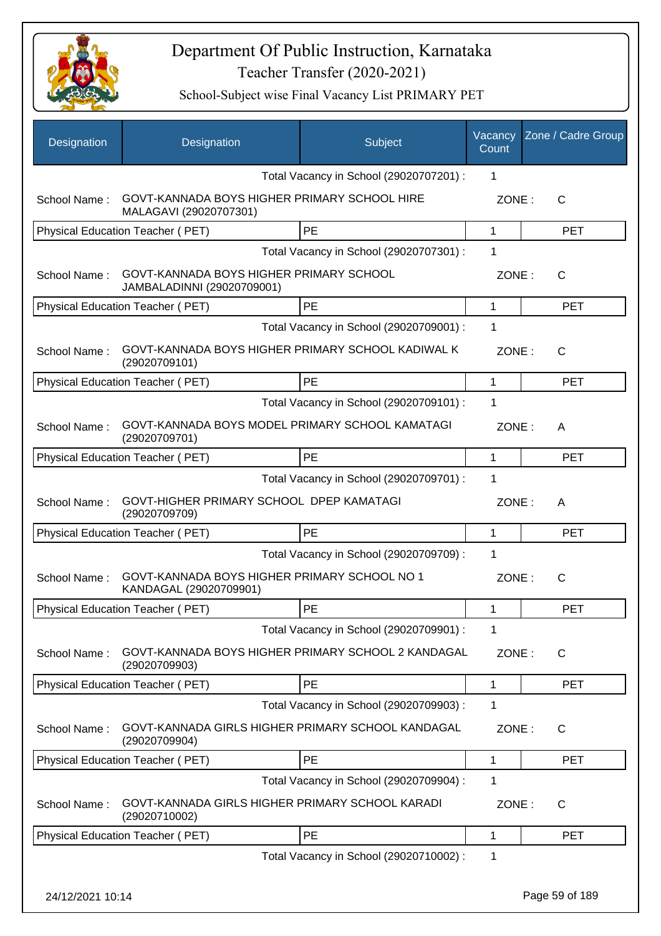

| Designation      | Designation                                                            | Subject                                 | Vacancy<br>Count | Zone / Cadre Group |
|------------------|------------------------------------------------------------------------|-----------------------------------------|------------------|--------------------|
|                  |                                                                        | Total Vacancy in School (29020707201) : | 1                |                    |
| School Name:     | GOVT-KANNADA BOYS HIGHER PRIMARY SCHOOL HIRE<br>MALAGAVI (29020707301) |                                         | ZONE:            | $\mathsf{C}$       |
|                  | Physical Education Teacher (PET)                                       | <b>PE</b>                               | 1                | <b>PET</b>         |
|                  |                                                                        | Total Vacancy in School (29020707301) : | 1                |                    |
| School Name:     | GOVT-KANNADA BOYS HIGHER PRIMARY SCHOOL<br>JAMBALADINNI (29020709001)  |                                         | ZONE:            | C                  |
|                  | Physical Education Teacher (PET)                                       | <b>PE</b>                               | 1                | <b>PET</b>         |
|                  |                                                                        | Total Vacancy in School (29020709001) : | 1                |                    |
| School Name:     | GOVT-KANNADA BOYS HIGHER PRIMARY SCHOOL KADIWAL K<br>(29020709101)     |                                         | ZONE:            | C                  |
|                  | Physical Education Teacher (PET)                                       | PE                                      | 1                | <b>PET</b>         |
|                  |                                                                        | Total Vacancy in School (29020709101) : | 1                |                    |
| School Name:     | GOVT-KANNADA BOYS MODEL PRIMARY SCHOOL KAMATAGI<br>(29020709701)       |                                         | ZONE:            | A                  |
|                  | Physical Education Teacher (PET)                                       | <b>PE</b>                               | 1                | <b>PET</b>         |
|                  |                                                                        | Total Vacancy in School (29020709701) : | 1                |                    |
| School Name:     | GOVT-HIGHER PRIMARY SCHOOL DPEP KAMATAGI<br>(29020709709)              |                                         | ZONE:            | A                  |
|                  | Physical Education Teacher (PET)                                       | PE                                      | 1                | <b>PET</b>         |
|                  |                                                                        | Total Vacancy in School (29020709709) : | 1                |                    |
| School Name:     | GOVT-KANNADA BOYS HIGHER PRIMARY SCHOOL NO 1<br>KANDAGAL (29020709901) |                                         | ZONE:            | $\mathsf{C}$       |
|                  | Physical Education Teacher (PET)                                       | PE                                      | 1                | <b>PET</b>         |
|                  |                                                                        | Total Vacancy in School (29020709901) : | 1                |                    |
| School Name:     | GOVT-KANNADA BOYS HIGHER PRIMARY SCHOOL 2 KANDAGAL<br>(29020709903)    |                                         | ZONE:            | C                  |
|                  | Physical Education Teacher (PET)                                       | PE                                      | 1                | <b>PET</b>         |
|                  |                                                                        | Total Vacancy in School (29020709903) : | 1                |                    |
| School Name:     | GOVT-KANNADA GIRLS HIGHER PRIMARY SCHOOL KANDAGAL<br>(29020709904)     |                                         | ZONE:            | C                  |
|                  | Physical Education Teacher (PET)                                       | <b>PE</b>                               | 1                | <b>PET</b>         |
|                  |                                                                        | Total Vacancy in School (29020709904) : | 1                |                    |
| School Name:     | GOVT-KANNADA GIRLS HIGHER PRIMARY SCHOOL KARADI<br>(29020710002)       |                                         | ZONE:            | C                  |
|                  | Physical Education Teacher (PET)                                       | PE                                      | 1                | <b>PET</b>         |
|                  |                                                                        | Total Vacancy in School (29020710002) : | 1                |                    |
| 24/12/2021 10:14 |                                                                        |                                         |                  | Page 59 of 189     |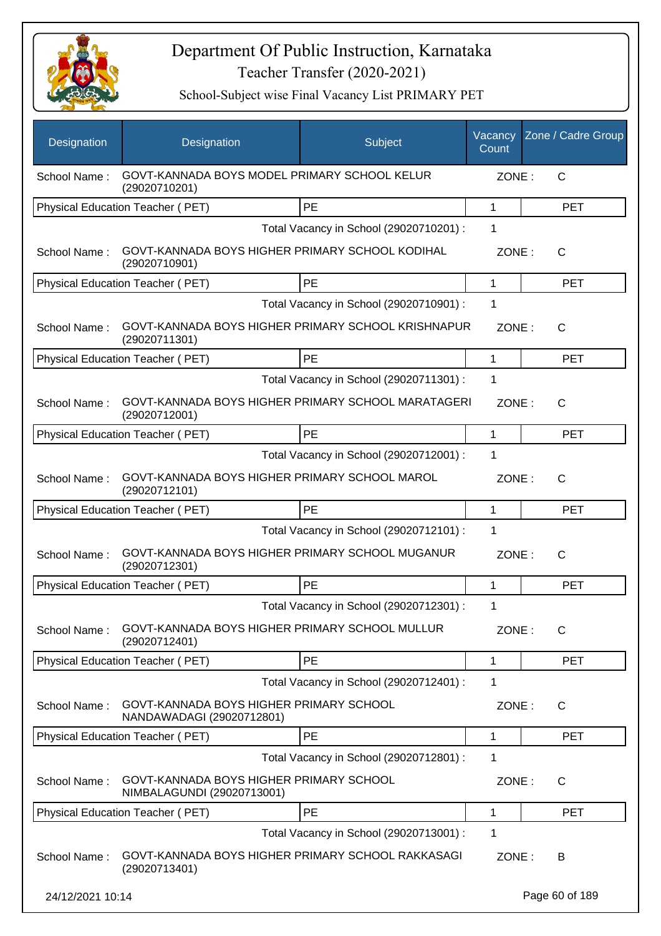

| Designation      | Designation                                                           | Subject                                 | Vacancy<br>Count | Zone / Cadre Group |
|------------------|-----------------------------------------------------------------------|-----------------------------------------|------------------|--------------------|
| School Name:     | GOVT-KANNADA BOYS MODEL PRIMARY SCHOOL KELUR<br>(29020710201)         |                                         | ZONE:            | $\mathsf{C}$       |
|                  | Physical Education Teacher (PET)                                      | PE                                      | 1                | <b>PET</b>         |
|                  |                                                                       | Total Vacancy in School (29020710201) : | 1                |                    |
| School Name:     | GOVT-KANNADA BOYS HIGHER PRIMARY SCHOOL KODIHAL<br>(29020710901)      |                                         | ZONE:            | $\mathsf{C}$       |
|                  | Physical Education Teacher (PET)                                      | PE                                      | 1                | <b>PET</b>         |
|                  |                                                                       | Total Vacancy in School (29020710901) : | 1                |                    |
| School Name:     | GOVT-KANNADA BOYS HIGHER PRIMARY SCHOOL KRISHNAPUR<br>(29020711301)   |                                         | ZONE:            | $\mathsf{C}$       |
|                  | <b>Physical Education Teacher (PET)</b>                               | PE                                      | 1                | <b>PET</b>         |
|                  |                                                                       | Total Vacancy in School (29020711301) : | 1                |                    |
| School Name:     | GOVT-KANNADA BOYS HIGHER PRIMARY SCHOOL MARATAGERI<br>(29020712001)   |                                         | ZONE:            | C                  |
|                  | Physical Education Teacher (PET)                                      | PE                                      | 1                | <b>PET</b>         |
|                  |                                                                       | Total Vacancy in School (29020712001) : | 1                |                    |
| School Name:     | GOVT-KANNADA BOYS HIGHER PRIMARY SCHOOL MAROL<br>(29020712101)        |                                         | ZONE:            | $\mathsf{C}$       |
|                  | Physical Education Teacher (PET)                                      | PE                                      | 1                | <b>PET</b>         |
|                  |                                                                       | Total Vacancy in School (29020712101) : | 1                |                    |
| School Name:     | GOVT-KANNADA BOYS HIGHER PRIMARY SCHOOL MUGANUR<br>(29020712301)      |                                         | ZONE:            | $\mathsf{C}$       |
|                  | Physical Education Teacher (PET)                                      | PE                                      | 1                | <b>PET</b>         |
|                  |                                                                       | Total Vacancy in School (29020712301) : | 1                |                    |
| School Name:     | GOVT-KANNADA BOYS HIGHER PRIMARY SCHOOL MULLUR<br>(29020712401)       |                                         | ZONE:            | $\mathsf{C}$       |
|                  | Physical Education Teacher (PET)                                      | PE                                      | 1                | <b>PET</b>         |
|                  |                                                                       | Total Vacancy in School (29020712401) : | 1                |                    |
| School Name:     | GOVT-KANNADA BOYS HIGHER PRIMARY SCHOOL<br>NANDAWADAGI (29020712801)  |                                         | ZONE:            | C                  |
|                  | Physical Education Teacher (PET)                                      | PE                                      | 1                | <b>PET</b>         |
|                  |                                                                       | Total Vacancy in School (29020712801) : | 1                |                    |
| School Name:     | GOVT-KANNADA BOYS HIGHER PRIMARY SCHOOL<br>NIMBALAGUNDI (29020713001) |                                         | ZONE:            | $\mathsf{C}$       |
|                  | Physical Education Teacher (PET)                                      | PE                                      | 1                | <b>PET</b>         |
|                  |                                                                       | Total Vacancy in School (29020713001) : | 1                |                    |
| School Name:     | GOVT-KANNADA BOYS HIGHER PRIMARY SCHOOL RAKKASAGI<br>(29020713401)    |                                         | ZONE:            | B                  |
| 24/12/2021 10:14 |                                                                       |                                         |                  | Page 60 of 189     |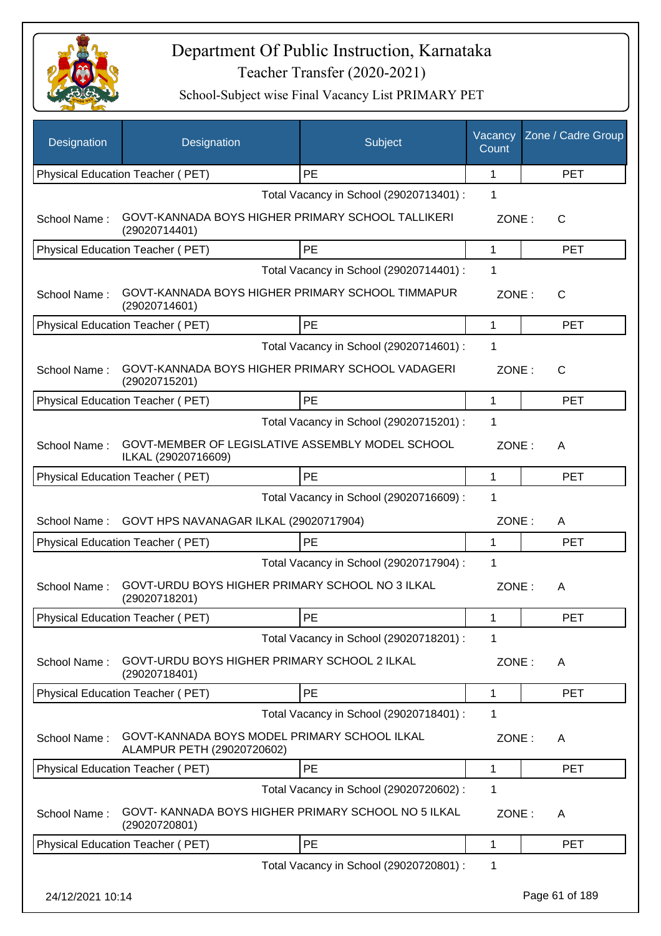

| Designation      | Designation                                                                | Subject                                 | Vacancy<br>Count | Zone / Cadre Group |
|------------------|----------------------------------------------------------------------------|-----------------------------------------|------------------|--------------------|
|                  | Physical Education Teacher (PET)                                           | <b>PE</b>                               | 1                | <b>PET</b>         |
|                  |                                                                            | Total Vacancy in School (29020713401) : | 1                |                    |
| School Name:     | GOVT-KANNADA BOYS HIGHER PRIMARY SCHOOL TALLIKERI<br>(29020714401)         |                                         | ZONE:            | C                  |
|                  | Physical Education Teacher (PET)                                           | PE                                      | $\mathbf{1}$     | <b>PET</b>         |
|                  |                                                                            | Total Vacancy in School (29020714401) : | 1                |                    |
| School Name:     | GOVT-KANNADA BOYS HIGHER PRIMARY SCHOOL TIMMAPUR<br>(29020714601)          |                                         | ZONE:            | $\mathsf{C}$       |
|                  | Physical Education Teacher (PET)                                           | PE                                      | 1                | <b>PET</b>         |
|                  |                                                                            | Total Vacancy in School (29020714601) : | 1                |                    |
| School Name:     | GOVT-KANNADA BOYS HIGHER PRIMARY SCHOOL VADAGERI<br>(29020715201)          |                                         | ZONE:            | $\mathsf{C}$       |
|                  | Physical Education Teacher (PET)                                           | <b>PE</b>                               | 1                | <b>PET</b>         |
|                  |                                                                            | Total Vacancy in School (29020715201) : | 1                |                    |
| School Name:     | GOVT-MEMBER OF LEGISLATIVE ASSEMBLY MODEL SCHOOL<br>ILKAL (29020716609)    |                                         | ZONE:            | A                  |
|                  | Physical Education Teacher (PET)                                           | PE                                      | $\mathbf{1}$     | <b>PET</b>         |
|                  |                                                                            | Total Vacancy in School (29020716609) : | 1                |                    |
| School Name:     | GOVT HPS NAVANAGAR ILKAL (29020717904)                                     |                                         | ZONE:            | A                  |
|                  | Physical Education Teacher (PET)                                           | PE                                      | 1                | <b>PET</b>         |
|                  |                                                                            | Total Vacancy in School (29020717904) : | 1                |                    |
| School Name:     | GOVT-URDU BOYS HIGHER PRIMARY SCHOOL NO 3 ILKAL<br>(29020718201)           |                                         | ZONE:            | A                  |
|                  | Physical Education Teacher (PET)                                           | PE                                      | 1                | PE I               |
|                  |                                                                            | Total Vacancy in School (29020718201) : | 1                |                    |
| School Name:     | GOVT-URDU BOYS HIGHER PRIMARY SCHOOL 2 ILKAL<br>(29020718401)              |                                         | ZONE:            | A                  |
|                  | Physical Education Teacher (PET)                                           | PE                                      | 1                | <b>PET</b>         |
|                  |                                                                            | Total Vacancy in School (29020718401) : | 1                |                    |
| School Name:     | GOVT-KANNADA BOYS MODEL PRIMARY SCHOOL ILKAL<br>ALAMPUR PETH (29020720602) |                                         | ZONE:            | A                  |
|                  | Physical Education Teacher (PET)                                           | PE                                      | 1                | <b>PET</b>         |
|                  |                                                                            | Total Vacancy in School (29020720602) : | 1                |                    |
| School Name:     | GOVT- KANNADA BOYS HIGHER PRIMARY SCHOOL NO 5 ILKAL<br>(29020720801)       |                                         | ZONE:            | A                  |
|                  | Physical Education Teacher (PET)                                           | PE                                      | 1                | <b>PET</b>         |
|                  |                                                                            | Total Vacancy in School (29020720801) : | 1                |                    |
| 24/12/2021 10:14 |                                                                            |                                         |                  | Page 61 of 189     |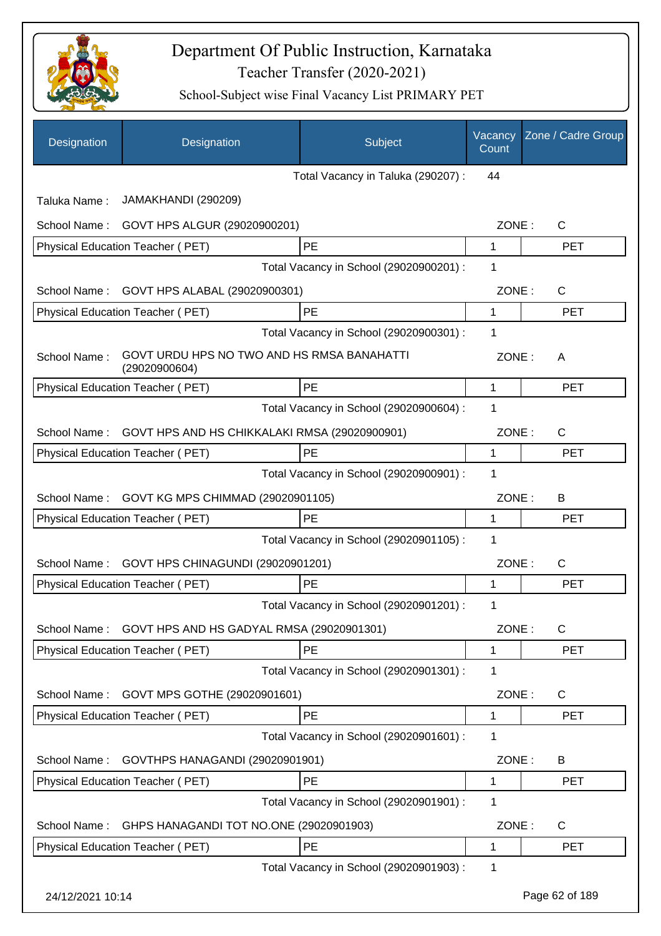

| Designation      | Designation                                                 | Subject                                 | Vacancy<br>Count | Zone / Cadre Group |
|------------------|-------------------------------------------------------------|-----------------------------------------|------------------|--------------------|
|                  |                                                             | Total Vacancy in Taluka (290207) :      | 44               |                    |
| Taluka Name:     | JAMAKHANDI (290209)                                         |                                         |                  |                    |
| School Name:     | GOVT HPS ALGUR (29020900201)                                |                                         | ZONE:            | C                  |
|                  | Physical Education Teacher (PET)                            | PE                                      | 1                | <b>PET</b>         |
|                  |                                                             | Total Vacancy in School (29020900201) : | 1                |                    |
| School Name:     | GOVT HPS ALABAL (29020900301)                               |                                         | ZONE:            | $\mathsf{C}$       |
|                  | Physical Education Teacher (PET)                            | PE                                      | 1                | <b>PET</b>         |
|                  |                                                             | Total Vacancy in School (29020900301) : | 1                |                    |
| School Name:     | GOVT URDU HPS NO TWO AND HS RMSA BANAHATTI<br>(29020900604) |                                         | ZONE:            | A                  |
|                  | Physical Education Teacher (PET)                            | PE                                      | 1                | <b>PET</b>         |
|                  |                                                             | Total Vacancy in School (29020900604) : | 1                |                    |
| School Name:     | GOVT HPS AND HS CHIKKALAKI RMSA (29020900901)               |                                         | ZONE:            | С                  |
|                  | Physical Education Teacher (PET)                            | PE                                      | 1                | <b>PET</b>         |
|                  |                                                             | Total Vacancy in School (29020900901) : | 1                |                    |
| School Name:     | GOVT KG MPS CHIMMAD (29020901105)                           |                                         | ZONE:            | В                  |
|                  | Physical Education Teacher (PET)                            | PE                                      | 1                | <b>PET</b>         |
|                  |                                                             | Total Vacancy in School (29020901105) : | 1                |                    |
| School Name:     | GOVT HPS CHINAGUNDI (29020901201)                           |                                         | ZONE:            | $\mathsf{C}$       |
|                  | Physical Education Teacher (PET)                            | PE                                      | 1                | <b>PET</b>         |
|                  |                                                             | Total Vacancy in School (29020901201) : | 1                |                    |
| School Name:     | GOVT HPS AND HS GADYAL RMSA (29020901301)                   |                                         | ZONE:            | С                  |
|                  | <b>Physical Education Teacher (PET)</b>                     | PE                                      | 1                | <b>PET</b>         |
|                  |                                                             | Total Vacancy in School (29020901301) : | 1                |                    |
| School Name:     | GOVT MPS GOTHE (29020901601)                                |                                         | ZONE:            | C                  |
|                  | Physical Education Teacher (PET)                            | PE                                      | 1                | <b>PET</b>         |
|                  |                                                             | Total Vacancy in School (29020901601) : | 1                |                    |
| School Name:     | GOVTHPS HANAGANDI (29020901901)                             |                                         | ZONE:            | B                  |
|                  | Physical Education Teacher (PET)                            | PE                                      | 1                | <b>PET</b>         |
|                  |                                                             | Total Vacancy in School (29020901901) : | 1                |                    |
| School Name:     | GHPS HANAGANDI TOT NO.ONE (29020901903)                     |                                         | ZONE:            | C                  |
|                  | Physical Education Teacher (PET)                            | PE                                      | 1                | <b>PET</b>         |
|                  |                                                             | Total Vacancy in School (29020901903) : | 1                |                    |
| 24/12/2021 10:14 |                                                             |                                         |                  | Page 62 of 189     |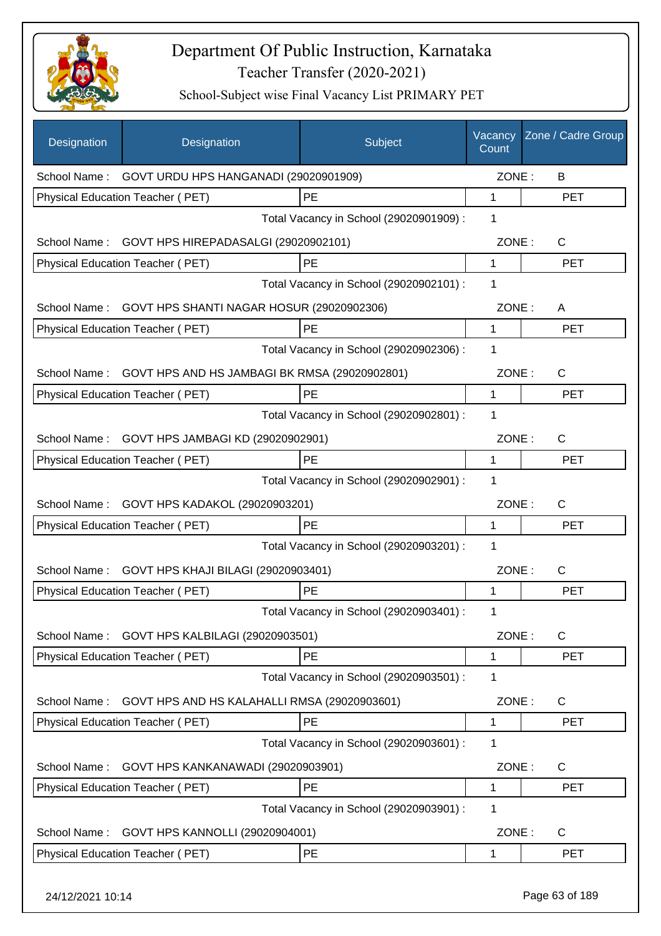

| Designation      | Designation                                            | Subject                                 | Vacancy<br>Count | Zone / Cadre Group |
|------------------|--------------------------------------------------------|-----------------------------------------|------------------|--------------------|
|                  | School Name: GOVT URDU HPS HANGANADI (29020901909)     |                                         | ZONE:            | B                  |
|                  | Physical Education Teacher (PET)                       | PE                                      | 1                | <b>PET</b>         |
|                  |                                                        | Total Vacancy in School (29020901909) : | 1                |                    |
|                  | School Name: GOVT HPS HIREPADASALGI (29020902101)      |                                         | ZONE:            | $\mathsf{C}$       |
|                  | Physical Education Teacher (PET)                       | PE                                      | 1                | <b>PET</b>         |
|                  |                                                        | Total Vacancy in School (29020902101) : | 1                |                    |
|                  | School Name: GOVT HPS SHANTI NAGAR HOSUR (29020902306) |                                         | ZONE:            | A                  |
|                  | Physical Education Teacher (PET)                       | PE                                      | 1                | <b>PET</b>         |
|                  |                                                        | Total Vacancy in School (29020902306) : | 1                |                    |
| School Name:     | GOVT HPS AND HS JAMBAGI BK RMSA (29020902801)          |                                         | ZONE:            | C                  |
|                  | Physical Education Teacher (PET)                       | PE                                      | 1                | <b>PET</b>         |
|                  |                                                        | Total Vacancy in School (29020902801) : | 1                |                    |
| School Name:     | GOVT HPS JAMBAGI KD (29020902901)                      |                                         | ZONE:            | C                  |
|                  | Physical Education Teacher (PET)                       | PE                                      | 1                | <b>PET</b>         |
|                  |                                                        | Total Vacancy in School (29020902901) : | 1                |                    |
| School Name:     | GOVT HPS KADAKOL (29020903201)                         |                                         | ZONE:            | C                  |
|                  | Physical Education Teacher (PET)                       | PE                                      | 1                | <b>PET</b>         |
|                  |                                                        | Total Vacancy in School (29020903201) : | $\mathbf 1$      |                    |
| School Name:     | GOVT HPS KHAJI BILAGI (29020903401)                    |                                         | ZONE:            | C                  |
|                  | Physical Education Teacher (PET)                       | PE                                      | 1                | <b>PET</b>         |
|                  |                                                        | Total Vacancy in School (29020903401) : | 1                |                    |
|                  | School Name: GOVT HPS KALBILAGI (29020903501)          |                                         | ZONE:            | $\mathsf{C}$       |
|                  | Physical Education Teacher (PET)                       | PE                                      | 1                | <b>PET</b>         |
|                  |                                                        | Total Vacancy in School (29020903501) : | 1                |                    |
| School Name:     | GOVT HPS AND HS KALAHALLI RMSA (29020903601)           |                                         | ZONE:            | C                  |
|                  | Physical Education Teacher (PET)                       | PE                                      | 1                | <b>PET</b>         |
|                  |                                                        | Total Vacancy in School (29020903601) : | 1                |                    |
| School Name:     | GOVT HPS KANKANAWADI (29020903901)                     |                                         | ZONE:            | C                  |
|                  | Physical Education Teacher (PET)                       | PE                                      | 1                | <b>PET</b>         |
|                  |                                                        | Total Vacancy in School (29020903901) : | 1                |                    |
| School Name:     | GOVT HPS KANNOLLI (29020904001)                        |                                         | ZONE:            | C                  |
|                  | Physical Education Teacher (PET)                       | <b>PE</b>                               | 1                | <b>PET</b>         |
| 24/12/2021 10:14 |                                                        |                                         |                  | Page 63 of 189     |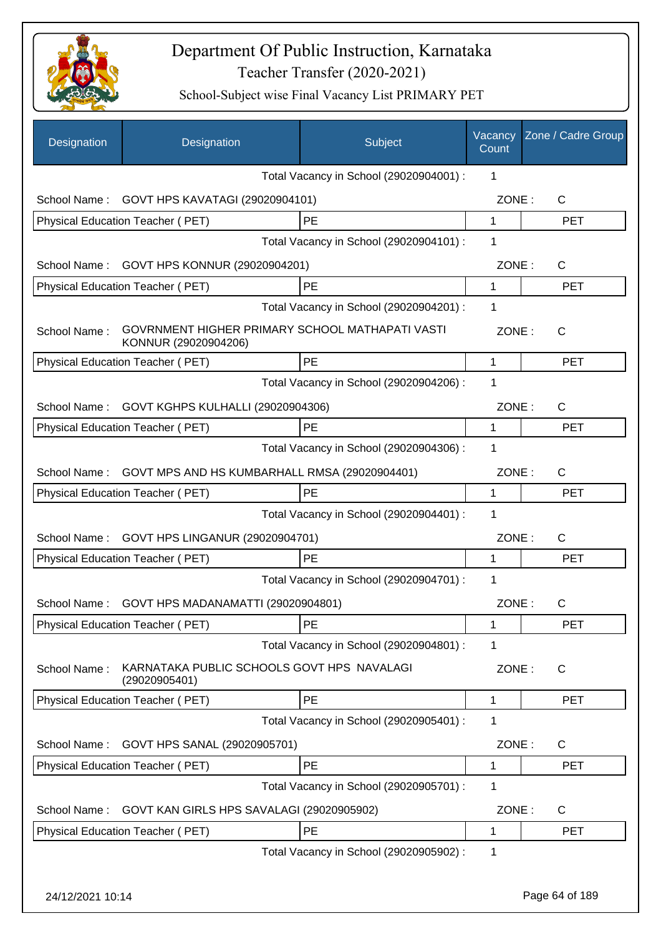

| Designation      | Designation                                                             | Subject                                 | Vacancy<br>Count | Zone / Cadre Group |
|------------------|-------------------------------------------------------------------------|-----------------------------------------|------------------|--------------------|
|                  |                                                                         | Total Vacancy in School (29020904001) : | 1                |                    |
| School Name:     | GOVT HPS KAVATAGI (29020904101)                                         |                                         | ZONE:            | C                  |
|                  | Physical Education Teacher (PET)                                        | <b>PE</b>                               | $\mathbf{1}$     | <b>PET</b>         |
|                  |                                                                         | Total Vacancy in School (29020904101) : | 1                |                    |
| School Name:     | GOVT HPS KONNUR (29020904201)                                           |                                         | ZONE:            | C                  |
|                  | Physical Education Teacher (PET)                                        | PE                                      | 1                | <b>PET</b>         |
|                  |                                                                         | Total Vacancy in School (29020904201) : | 1                |                    |
| School Name:     | GOVRNMENT HIGHER PRIMARY SCHOOL MATHAPATI VASTI<br>KONNUR (29020904206) |                                         | ZONE:            | C                  |
|                  | Physical Education Teacher (PET)                                        | PE                                      | 1                | <b>PET</b>         |
|                  |                                                                         | Total Vacancy in School (29020904206) : | 1                |                    |
| School Name:     | GOVT KGHPS KULHALLI (29020904306)                                       |                                         | ZONE:            | C                  |
|                  | Physical Education Teacher (PET)                                        | PE                                      | 1                | <b>PET</b>         |
|                  |                                                                         | Total Vacancy in School (29020904306) : | 1                |                    |
| School Name:     | GOVT MPS AND HS KUMBARHALL RMSA (29020904401)                           |                                         | ZONE:            | C                  |
|                  | Physical Education Teacher (PET)                                        | PE                                      | 1                | <b>PET</b>         |
|                  |                                                                         | Total Vacancy in School (29020904401) : | $\mathbf 1$      |                    |
| School Name:     | GOVT HPS LINGANUR (29020904701)                                         |                                         | ZONE:            | C                  |
|                  | Physical Education Teacher (PET)                                        | <b>PE</b>                               | 1                | <b>PET</b>         |
|                  |                                                                         | Total Vacancy in School (29020904701) : | 1                |                    |
| School Name:     | GOVT HPS MADANAMATTI (29020904801)                                      |                                         | ZONE:            | С                  |
|                  | Physical Education Teacher (PET)                                        | PE                                      | 1                | <b>PET</b>         |
|                  |                                                                         | Total Vacancy in School (29020904801) : | 1                |                    |
| School Name:     | KARNATAKA PUBLIC SCHOOLS GOVT HPS NAVALAGI<br>(29020905401)             |                                         | ZONE:            | C                  |
|                  | Physical Education Teacher (PET)                                        | PE                                      | 1                | <b>PET</b>         |
|                  |                                                                         | Total Vacancy in School (29020905401) : | 1                |                    |
| School Name:     | GOVT HPS SANAL (29020905701)                                            |                                         | ZONE:            | C                  |
|                  | Physical Education Teacher (PET)                                        | PE                                      | 1                | <b>PET</b>         |
|                  |                                                                         | Total Vacancy in School (29020905701) : | 1                |                    |
| School Name:     | GOVT KAN GIRLS HPS SAVALAGI (29020905902)                               |                                         | ZONE:            | C                  |
|                  | Physical Education Teacher (PET)                                        | PE                                      | 1                | <b>PET</b>         |
|                  |                                                                         | Total Vacancy in School (29020905902):  | 1                |                    |
| 24/12/2021 10:14 |                                                                         |                                         |                  | Page 64 of 189     |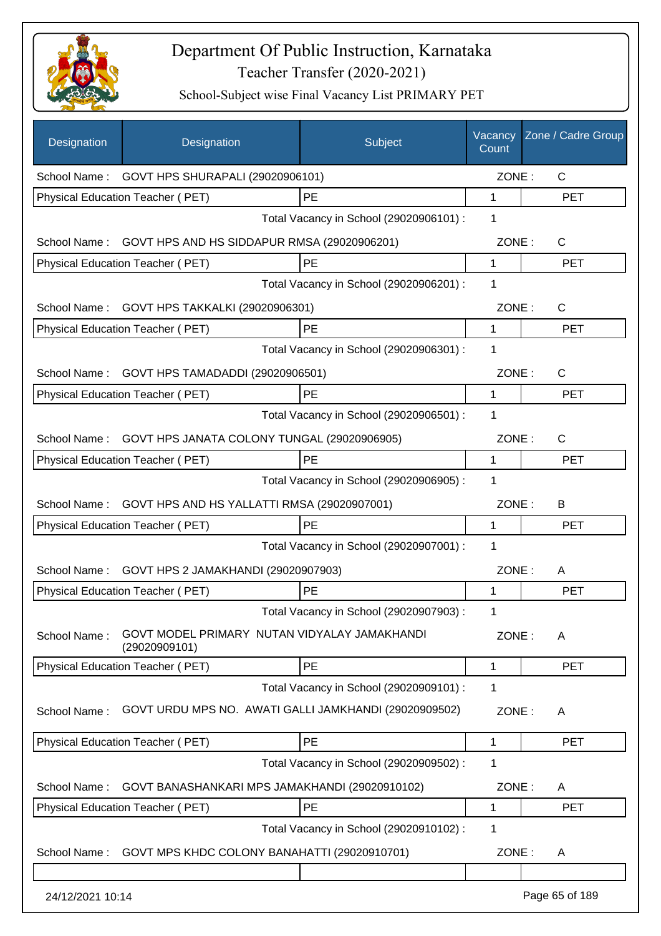

| <b>Designation</b> | Designation                                                   | Subject                                 | Vacancy<br>Count | Zone / Cadre Group |
|--------------------|---------------------------------------------------------------|-----------------------------------------|------------------|--------------------|
|                    | School Name: GOVT HPS SHURAPALI (29020906101)                 |                                         | ZONE:            | $\mathsf{C}$       |
|                    | Physical Education Teacher (PET)                              | PE                                      | $\mathbf{1}$     | <b>PET</b>         |
|                    |                                                               | Total Vacancy in School (29020906101) : | 1                |                    |
|                    | School Name: GOVT HPS AND HS SIDDAPUR RMSA (29020906201)      |                                         | ZONE:            | C                  |
|                    | Physical Education Teacher (PET)                              | PE                                      | 1                | <b>PET</b>         |
|                    |                                                               | Total Vacancy in School (29020906201) : | 1                |                    |
| School Name:       | GOVT HPS TAKKALKI (29020906301)                               |                                         | ZONE:            | C                  |
|                    | Physical Education Teacher (PET)                              | PE                                      | $\mathbf 1$      | <b>PET</b>         |
|                    |                                                               | Total Vacancy in School (29020906301) : | 1                |                    |
| School Name:       | GOVT HPS TAMADADDI (29020906501)                              |                                         | ZONE:            | $\mathsf{C}$       |
|                    | Physical Education Teacher (PET)                              | PE                                      | 1                | <b>PET</b>         |
|                    |                                                               | Total Vacancy in School (29020906501) : | 1                |                    |
| School Name:       | GOVT HPS JANATA COLONY TUNGAL (29020906905)                   |                                         | ZONE:            | $\mathsf{C}$       |
|                    | Physical Education Teacher (PET)                              | PE                                      | 1                | <b>PET</b>         |
|                    |                                                               | Total Vacancy in School (29020906905) : | 1                |                    |
| School Name:       | GOVT HPS AND HS YALLATTI RMSA (29020907001)                   |                                         | ZONE:            | B                  |
|                    | Physical Education Teacher (PET)                              | PE                                      | 1                | <b>PET</b>         |
|                    |                                                               | Total Vacancy in School (29020907001) : | 1                |                    |
| School Name:       | GOVT HPS 2 JAMAKHANDI (29020907903)                           |                                         | ZONE:            | A                  |
|                    | Physical Education Teacher (PET)                              | PE                                      | 1                | <b>PET</b>         |
|                    |                                                               | Total Vacancy in School (29020907903) : | 1                |                    |
| School Name:       | GOVT MODEL PRIMARY NUTAN VIDYALAY JAMAKHANDI<br>(29020909101) |                                         | ZONE:            | A                  |
|                    | <b>Physical Education Teacher (PET)</b>                       | PE                                      | $\mathbf 1$      | <b>PET</b>         |
|                    |                                                               | Total Vacancy in School (29020909101) : | 1                |                    |
| School Name:       | GOVT URDU MPS NO. AWATI GALLI JAMKHANDI (29020909502)         |                                         | ZONE:            | A                  |
|                    | Physical Education Teacher (PET)                              | PE                                      | 1                | <b>PET</b>         |
|                    |                                                               | Total Vacancy in School (29020909502) : | 1                |                    |
| School Name:       | GOVT BANASHANKARI MPS JAMAKHANDI (29020910102)                |                                         | ZONE:            | A                  |
|                    | Physical Education Teacher (PET)                              | PE                                      | 1                | <b>PET</b>         |
|                    |                                                               | Total Vacancy in School (29020910102) : | 1                |                    |
| School Name:       | GOVT MPS KHDC COLONY BANAHATTI (29020910701)                  |                                         | ZONE:            | A                  |
|                    |                                                               |                                         |                  |                    |
| 24/12/2021 10:14   |                                                               |                                         |                  | Page 65 of 189     |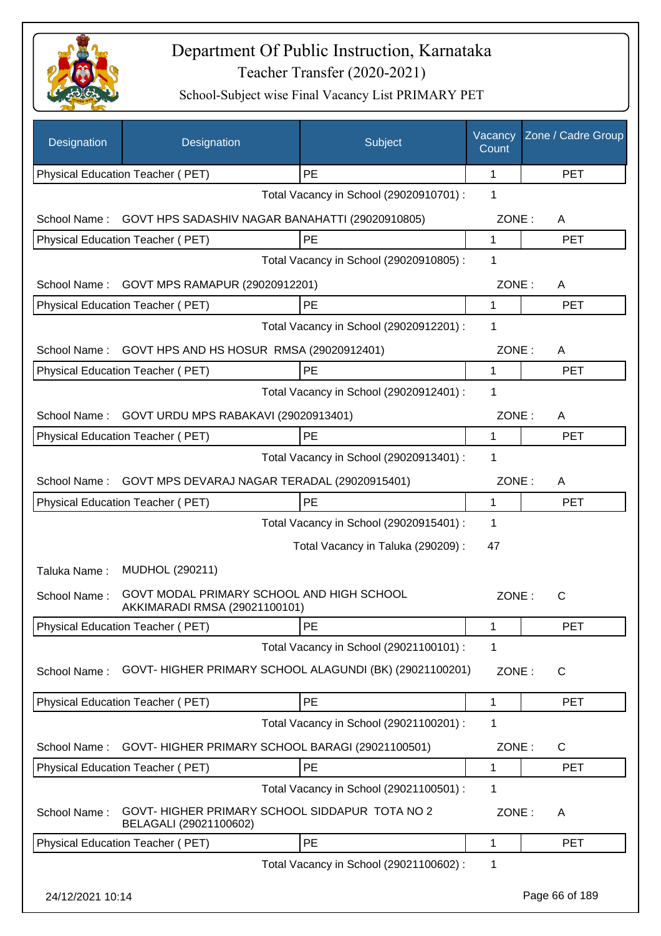

| Designation      | Designation                                                                | Subject                                 | Vacancy<br>Count | Zone / Cadre Group |
|------------------|----------------------------------------------------------------------------|-----------------------------------------|------------------|--------------------|
|                  | Physical Education Teacher (PET)                                           | PE                                      | 1                | <b>PET</b>         |
|                  |                                                                            | Total Vacancy in School (29020910701) : | 1                |                    |
| School Name:     | GOVT HPS SADASHIV NAGAR BANAHATTI (29020910805)                            |                                         | ZONE:            | A                  |
|                  | Physical Education Teacher (PET)                                           | PE                                      | 1                | <b>PET</b>         |
|                  |                                                                            | Total Vacancy in School (29020910805) : | 1                |                    |
| School Name:     | GOVT MPS RAMAPUR (29020912201)                                             |                                         | ZONE:            | A                  |
|                  | Physical Education Teacher (PET)                                           | PE                                      | 1                | <b>PET</b>         |
|                  |                                                                            | Total Vacancy in School (29020912201) : | 1                |                    |
| School Name:     | GOVT HPS AND HS HOSUR RMSA (29020912401)                                   |                                         | ZONE:            | A                  |
|                  | Physical Education Teacher (PET)                                           | PE                                      | 1                | <b>PET</b>         |
|                  |                                                                            | Total Vacancy in School (29020912401) : | 1                |                    |
| School Name:     | GOVT URDU MPS RABAKAVI (29020913401)                                       |                                         | ZONE:            | A                  |
|                  | Physical Education Teacher (PET)                                           | PE                                      | 1                | <b>PET</b>         |
|                  |                                                                            | Total Vacancy in School (29020913401) : | 1                |                    |
| School Name:     | GOVT MPS DEVARAJ NAGAR TERADAL (29020915401)                               |                                         | ZONE:            | A                  |
|                  | Physical Education Teacher (PET)                                           | PE                                      | 1                | <b>PET</b>         |
|                  |                                                                            | Total Vacancy in School (29020915401) : | 1                |                    |
|                  |                                                                            | Total Vacancy in Taluka (290209) :      | 47               |                    |
| Taluka Name:     | MUDHOL (290211)                                                            |                                         |                  |                    |
| School Name:     | GOVT MODAL PRIMARY SCHOOL AND HIGH SCHOOL<br>AKKIMARADI RMSA (29021100101) |                                         | ZONE:            | C                  |
|                  | Physical Education Teacher (PET)                                           | PE                                      | 1                | <b>PET</b>         |
|                  |                                                                            | Total Vacancy in School (29021100101) : | 1                |                    |
| School Name:     | GOVT-HIGHER PRIMARY SCHOOL ALAGUNDI (BK) (29021100201)                     |                                         | ZONE:            | C                  |
|                  | Physical Education Teacher (PET)                                           | PE                                      | 1                | <b>PET</b>         |
|                  |                                                                            | Total Vacancy in School (29021100201) : | 1                |                    |
| School Name:     | GOVT- HIGHER PRIMARY SCHOOL BARAGI (29021100501)                           |                                         | ZONE:            | $\mathsf{C}$       |
|                  | Physical Education Teacher (PET)                                           | PE                                      | 1                | <b>PET</b>         |
|                  |                                                                            | Total Vacancy in School (29021100501) : | 1                |                    |
| School Name:     | GOVT- HIGHER PRIMARY SCHOOL SIDDAPUR TOTA NO 2<br>BELAGALI (29021100602)   |                                         | ZONE:            | A                  |
|                  | Physical Education Teacher (PET)                                           | PE                                      | 1                | <b>PET</b>         |
|                  |                                                                            | Total Vacancy in School (29021100602) : | 1                |                    |
| 24/12/2021 10:14 |                                                                            |                                         |                  | Page 66 of 189     |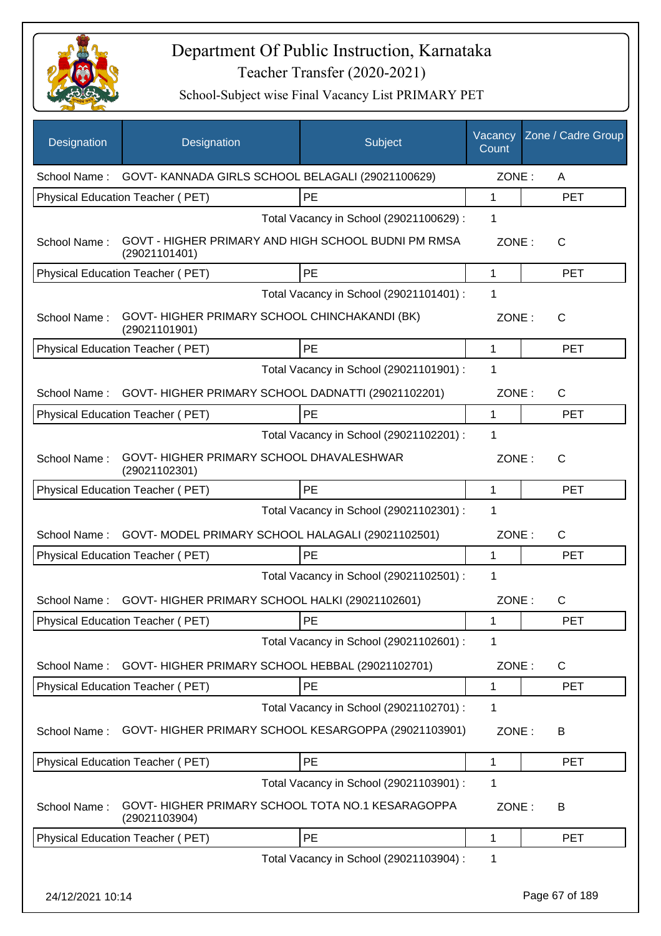

| <b>Designation</b> | Designation                                                    | Subject                                             | Vacancy<br>Count | Zone / Cadre Group |
|--------------------|----------------------------------------------------------------|-----------------------------------------------------|------------------|--------------------|
|                    | School Name: GOVT- KANNADA GIRLS SCHOOL BELAGALI (29021100629) |                                                     | ZONE:            | Α                  |
|                    | Physical Education Teacher (PET)                               | <b>PE</b>                                           | $\mathbf{1}$     | <b>PET</b>         |
|                    |                                                                | Total Vacancy in School (29021100629) :             | 1                |                    |
| School Name:       | (29021101401)                                                  | GOVT - HIGHER PRIMARY AND HIGH SCHOOL BUDNI PM RMSA | ZONE:            | $\mathsf{C}$       |
|                    | Physical Education Teacher (PET)                               | PE                                                  | 1                | <b>PET</b>         |
|                    |                                                                | Total Vacancy in School (29021101401) :             | 1                |                    |
| School Name:       | GOVT-HIGHER PRIMARY SCHOOL CHINCHAKANDI (BK)<br>(29021101901)  |                                                     | ZONE:            | C                  |
|                    | Physical Education Teacher (PET)                               | <b>PE</b>                                           | 1                | <b>PET</b>         |
|                    |                                                                | Total Vacancy in School (29021101901) :             | 1                |                    |
| School Name:       | GOVT-HIGHER PRIMARY SCHOOL DADNATTI (29021102201)              |                                                     | ZONE:            | C                  |
|                    | <b>Physical Education Teacher (PET)</b>                        | PE                                                  | 1                | <b>PET</b>         |
|                    |                                                                | Total Vacancy in School (29021102201) :             | 1                |                    |
| School Name:       | GOVT-HIGHER PRIMARY SCHOOL DHAVALESHWAR<br>(29021102301)       |                                                     | ZONE:            | C                  |
|                    | Physical Education Teacher (PET)                               | <b>PE</b>                                           | 1                | <b>PET</b>         |
|                    |                                                                | Total Vacancy in School (29021102301) :             | 1                |                    |
| School Name:       | GOVT- MODEL PRIMARY SCHOOL HALAGALI (29021102501)              |                                                     | ZONE:            | C                  |
|                    | Physical Education Teacher (PET)                               | PE                                                  | 1                | <b>PET</b>         |
|                    |                                                                | Total Vacancy in School (29021102501) :             | 1                |                    |
| School Name:       | GOVT-HIGHER PRIMARY SCHOOL HALKI (29021102601)                 |                                                     | ZONE:            | $\mathsf{C}$       |
|                    | Physical Education Teacher (PET)                               | PE                                                  | 1                | PET                |
|                    |                                                                | Total Vacancy in School (29021102601) :             | 1                |                    |
| School Name:       | GOVT-HIGHER PRIMARY SCHOOL HEBBAL (29021102701)                |                                                     | ZONE:            | C                  |
|                    | Physical Education Teacher (PET)                               | PE                                                  | 1                | <b>PET</b>         |
|                    |                                                                | Total Vacancy in School (29021102701) :             | 1                |                    |
| School Name:       |                                                                | GOVT-HIGHER PRIMARY SCHOOL KESARGOPPA (29021103901) | ZONE:            | В                  |
|                    | Physical Education Teacher (PET)                               | PE                                                  | 1                | PET                |
|                    |                                                                | Total Vacancy in School (29021103901) :             | 1                |                    |
| School Name:       | (29021103904)                                                  | GOVT- HIGHER PRIMARY SCHOOL TOTA NO.1 KESARAGOPPA   | ZONE:            | B                  |
|                    | Physical Education Teacher (PET)                               | PE                                                  | 1                | <b>PET</b>         |
|                    |                                                                | Total Vacancy in School (29021103904) :             | 1                |                    |
| 24/12/2021 10:14   |                                                                |                                                     |                  | Page 67 of 189     |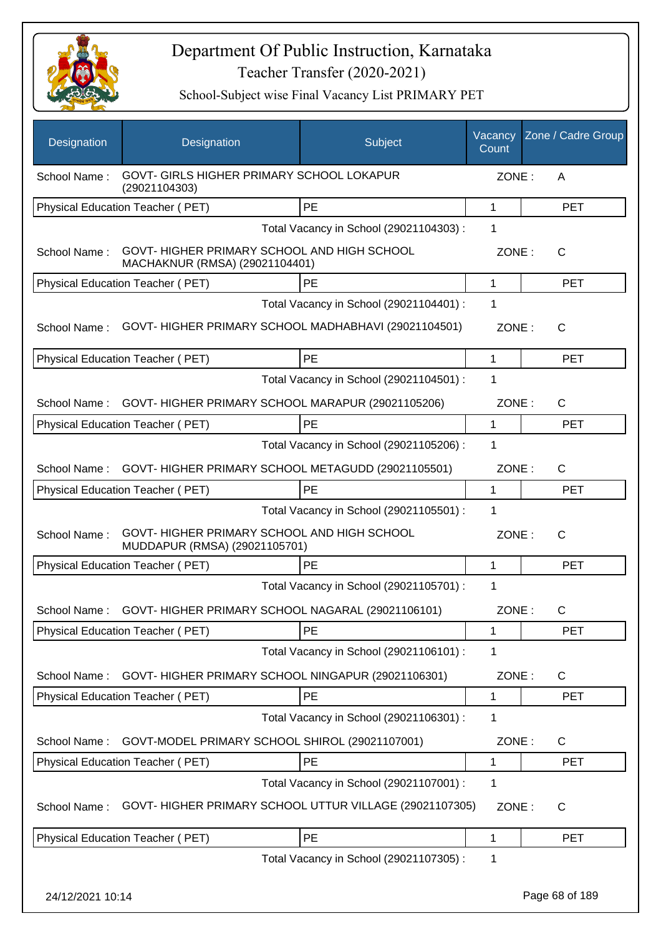

| <b>Designation</b> | Designation                                                                   | Subject                                 | Vacancy<br>Count | Zone / Cadre Group |
|--------------------|-------------------------------------------------------------------------------|-----------------------------------------|------------------|--------------------|
| School Name:       | GOVT- GIRLS HIGHER PRIMARY SCHOOL LOKAPUR<br>(29021104303)                    |                                         | ZONE:            | Α                  |
|                    | Physical Education Teacher (PET)                                              | PE                                      | 1                | <b>PET</b>         |
|                    |                                                                               | Total Vacancy in School (29021104303) : | 1                |                    |
| School Name:       | GOVT- HIGHER PRIMARY SCHOOL AND HIGH SCHOOL<br>MACHAKNUR (RMSA) (29021104401) |                                         | ZONE:            | $\mathsf{C}$       |
|                    | Physical Education Teacher (PET)                                              | PE                                      | 1                | <b>PET</b>         |
|                    |                                                                               | Total Vacancy in School (29021104401) : | 1                |                    |
| School Name:       | GOVT-HIGHER PRIMARY SCHOOL MADHABHAVI (29021104501)                           |                                         | ZONE:            | C                  |
|                    | Physical Education Teacher (PET)                                              | PE                                      | 1                | <b>PET</b>         |
|                    |                                                                               | Total Vacancy in School (29021104501) : | 1                |                    |
| School Name:       | GOVT-HIGHER PRIMARY SCHOOL MARAPUR (29021105206)                              |                                         | ZONE:            | $\mathsf{C}$       |
|                    | Physical Education Teacher (PET)                                              | PE                                      | $\mathbf{1}$     | <b>PET</b>         |
|                    |                                                                               | Total Vacancy in School (29021105206) : | 1                |                    |
| School Name:       | GOVT- HIGHER PRIMARY SCHOOL METAGUDD (29021105501)                            |                                         | ZONE:            | C                  |
|                    | Physical Education Teacher (PET)                                              | PE                                      | 1                | <b>PET</b>         |
|                    |                                                                               | Total Vacancy in School (29021105501) : | 1                |                    |
| School Name:       | GOVT- HIGHER PRIMARY SCHOOL AND HIGH SCHOOL<br>MUDDAPUR (RMSA) (29021105701)  |                                         | ZONE:            | C                  |
|                    | Physical Education Teacher (PET)                                              | PE                                      | 1                | <b>PET</b>         |
|                    |                                                                               | Total Vacancy in School (29021105701) : | 1                |                    |
| School Name:       | GOVT-HIGHER PRIMARY SCHOOL NAGARAL (29021106101)                              |                                         | ZONE:            | $\mathsf{C}$       |
|                    | Physical Education Teacher (PET)                                              | PE                                      | 1                | <b>PET</b>         |
|                    |                                                                               | Total Vacancy in School (29021106101) : | 1                |                    |
| School Name:       | GOVT- HIGHER PRIMARY SCHOOL NINGAPUR (29021106301)                            |                                         | ZONE:            | C                  |
|                    | Physical Education Teacher (PET)                                              | PE                                      | 1                | <b>PET</b>         |
|                    |                                                                               | Total Vacancy in School (29021106301) : | 1                |                    |
| School Name:       | GOVT-MODEL PRIMARY SCHOOL SHIROL (29021107001)                                |                                         | ZONE:            | C                  |
|                    | Physical Education Teacher (PET)                                              | PE                                      | 1                | PET                |
|                    |                                                                               | Total Vacancy in School (29021107001) : | 1                |                    |
| School Name:       | GOVT- HIGHER PRIMARY SCHOOL UTTUR VILLAGE (29021107305)                       |                                         | ZONE:            | C                  |
|                    | Physical Education Teacher (PET)                                              | PE                                      | 1                | <b>PET</b>         |
|                    |                                                                               | Total Vacancy in School (29021107305) : | 1                |                    |
| 24/12/2021 10:14   |                                                                               |                                         |                  | Page 68 of 189     |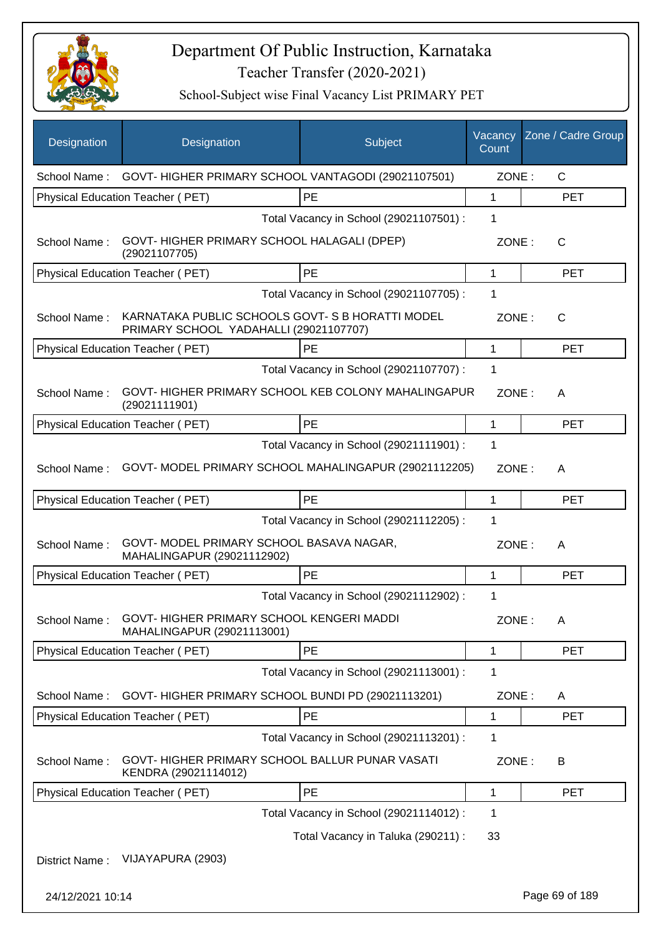

| Designation      | Designation                                                             | Subject                                               | Vacancy<br>Count | Zone / Cadre Group |
|------------------|-------------------------------------------------------------------------|-------------------------------------------------------|------------------|--------------------|
| School Name:     |                                                                         | GOVT- HIGHER PRIMARY SCHOOL VANTAGODI (29021107501)   | ZONE:            | $\mathsf{C}$       |
|                  | Physical Education Teacher (PET)                                        | PE                                                    | 1                | <b>PET</b>         |
|                  |                                                                         | Total Vacancy in School (29021107501) :               | 1                |                    |
| School Name:     | GOVT-HIGHER PRIMARY SCHOOL HALAGALI (DPEP)<br>(29021107705)             |                                                       | ZONE:            | $\mathsf{C}$       |
|                  | Physical Education Teacher (PET)                                        | PE                                                    | 1                | <b>PET</b>         |
|                  |                                                                         | Total Vacancy in School (29021107705) :               | 1                |                    |
| School Name:     | PRIMARY SCHOOL YADAHALLI (29021107707)                                  | KARNATAKA PUBLIC SCHOOLS GOVT- S B HORATTI MODEL      | ZONE:            | C                  |
|                  | Physical Education Teacher (PET)                                        | PE                                                    | 1                | <b>PET</b>         |
|                  |                                                                         | Total Vacancy in School (29021107707) :               | 1                |                    |
| School Name:     | (29021111901)                                                           | GOVT- HIGHER PRIMARY SCHOOL KEB COLONY MAHALINGAPUR   | ZONE:            | A                  |
|                  | Physical Education Teacher (PET)                                        | PE                                                    | $\mathbf 1$      | <b>PET</b>         |
|                  |                                                                         | Total Vacancy in School (29021111901) :               | 1                |                    |
| School Name:     |                                                                         | GOVT- MODEL PRIMARY SCHOOL MAHALINGAPUR (29021112205) | ZONE:            | A                  |
|                  | Physical Education Teacher (PET)                                        | PE                                                    | 1                | <b>PET</b>         |
|                  |                                                                         | Total Vacancy in School (29021112205) :               | 1                |                    |
| School Name:     | GOVT- MODEL PRIMARY SCHOOL BASAVA NAGAR,<br>MAHALINGAPUR (29021112902)  |                                                       | ZONE:            | A                  |
|                  | Physical Education Teacher (PET)                                        | PE                                                    | 1                | <b>PET</b>         |
|                  |                                                                         | Total Vacancy in School (29021112902) :               | 1                |                    |
| School Name:     | GOVT- HIGHER PRIMARY SCHOOL KENGERI MADDI<br>MAHALINGAPUR (29021113001) |                                                       | ZONE:            | A                  |
|                  | Physical Education Teacher (PET)                                        | PE                                                    | 1                | <b>PET</b>         |
|                  |                                                                         | Total Vacancy in School (29021113001) :               | 1                |                    |
| School Name:     | GOVT- HIGHER PRIMARY SCHOOL BUNDI PD (29021113201)                      |                                                       | ZONE:            | A                  |
|                  | Physical Education Teacher (PET)                                        | PE                                                    | 1                | <b>PET</b>         |
|                  |                                                                         | Total Vacancy in School (29021113201) :               | 1                |                    |
| School Name:     | GOVT- HIGHER PRIMARY SCHOOL BALLUR PUNAR VASATI<br>KENDRA (29021114012) |                                                       | ZONE:            | B                  |
|                  | Physical Education Teacher (PET)                                        | PE                                                    | 1                | <b>PET</b>         |
|                  |                                                                         | Total Vacancy in School (29021114012) :               | 1                |                    |
|                  |                                                                         | Total Vacancy in Taluka (290211) :                    | 33               |                    |
| District Name:   | VIJAYAPURA (2903)                                                       |                                                       |                  |                    |
| 24/12/2021 10:14 |                                                                         |                                                       |                  | Page 69 of 189     |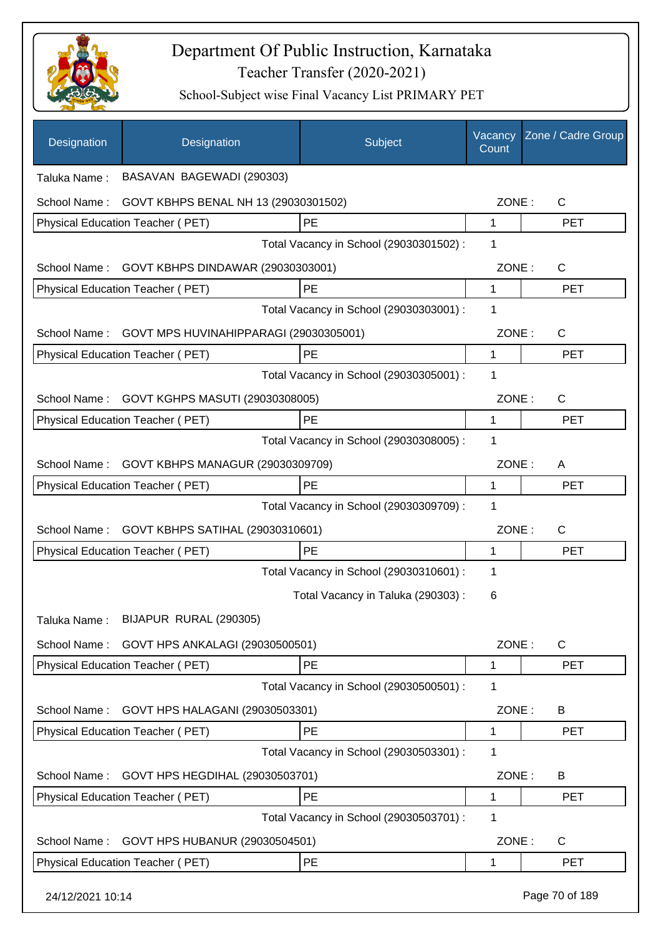

| Designation      | Designation                            | Subject                                 | Vacancy<br>Count | Zone / Cadre Group |
|------------------|----------------------------------------|-----------------------------------------|------------------|--------------------|
| Taluka Name:     | BASAVAN BAGEWADI (290303)              |                                         |                  |                    |
| School Name:     | GOVT KBHPS BENAL NH 13 (29030301502)   |                                         | ZONE:            | C                  |
|                  | Physical Education Teacher (PET)       | PE                                      | 1                | <b>PET</b>         |
|                  |                                        | Total Vacancy in School (29030301502) : | 1                |                    |
| School Name:     | GOVT KBHPS DINDAWAR (29030303001)      |                                         | ZONE:            | $\mathsf{C}$       |
|                  | Physical Education Teacher (PET)       | PE                                      | 1                | <b>PET</b>         |
|                  |                                        | Total Vacancy in School (29030303001) : | 1                |                    |
| School Name:     | GOVT MPS HUVINAHIPPARAGI (29030305001) |                                         | ZONE:            | C                  |
|                  | Physical Education Teacher (PET)       | PE                                      | $\mathbf{1}$     | <b>PET</b>         |
|                  |                                        | Total Vacancy in School (29030305001) : | 1                |                    |
| School Name:     | GOVT KGHPS MASUTI (29030308005)        |                                         | ZONE:            | C                  |
|                  | Physical Education Teacher (PET)       | PE                                      | 1                | <b>PET</b>         |
|                  |                                        | Total Vacancy in School (29030308005) : | $\mathbf 1$      |                    |
| School Name:     | GOVT KBHPS MANAGUR (29030309709)       |                                         | ZONE:            | A                  |
|                  | Physical Education Teacher (PET)       | PE                                      | 1                | <b>PET</b>         |
|                  |                                        | Total Vacancy in School (29030309709) : | 1                |                    |
| School Name:     | GOVT KBHPS SATIHAL (29030310601)       |                                         | ZONE:            | C                  |
|                  | Physical Education Teacher (PET)       | PE                                      | 1                | <b>PET</b>         |
|                  |                                        | Total Vacancy in School (29030310601) : | 1                |                    |
|                  |                                        | Total Vacancy in Taluka (290303):       | 6                |                    |
| Taluka Name:     | BIJAPUR RURAL (290305)                 |                                         |                  |                    |
| School Name:     | GOVT HPS ANKALAGI (29030500501)        |                                         | ZONE:            | C                  |
|                  | Physical Education Teacher (PET)       | <b>PE</b>                               | 1                | <b>PET</b>         |
|                  |                                        | Total Vacancy in School (29030500501) : | 1                |                    |
| School Name:     | GOVT HPS HALAGANI (29030503301)        |                                         | ZONE:            | B                  |
|                  | Physical Education Teacher (PET)       | <b>PE</b>                               | 1                | <b>PET</b>         |
|                  |                                        | Total Vacancy in School (29030503301) : | 1                |                    |
| School Name:     | GOVT HPS HEGDIHAL (29030503701)        |                                         | ZONE:            | B                  |
|                  | Physical Education Teacher (PET)       | PE                                      | 1                | <b>PET</b>         |
|                  |                                        | Total Vacancy in School (29030503701) : | 1                |                    |
| School Name:     | GOVT HPS HUBANUR (29030504501)         |                                         | ZONE:            | $\mathsf{C}$       |
|                  | Physical Education Teacher (PET)       | PE                                      | 1                | <b>PET</b>         |
| 24/12/2021 10:14 |                                        |                                         |                  | Page 70 of 189     |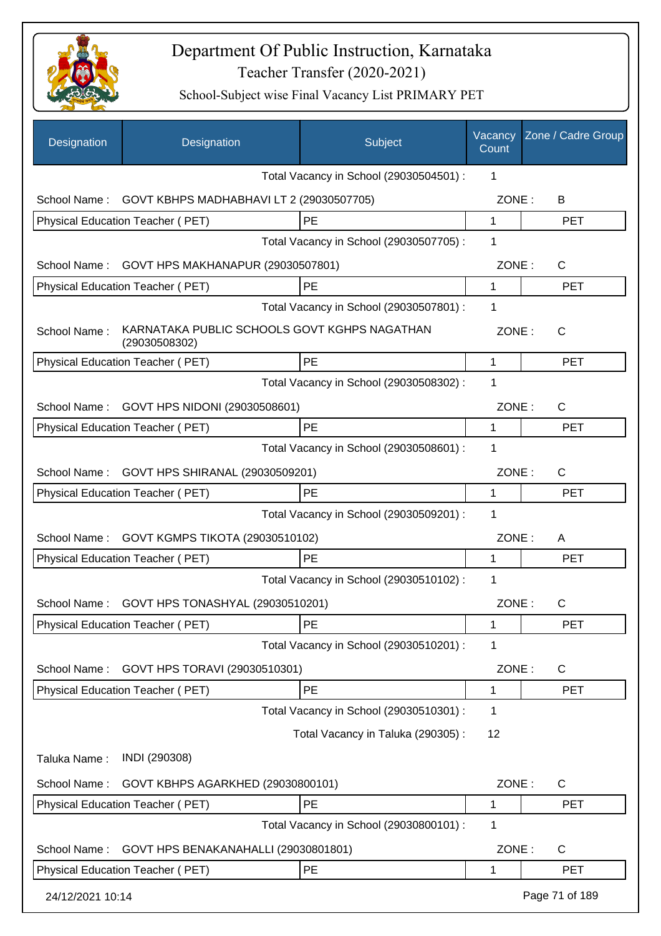

| Designation      | Designation                                                   | Subject                                 | Vacancy<br>Count | Zone / Cadre Group |
|------------------|---------------------------------------------------------------|-----------------------------------------|------------------|--------------------|
|                  |                                                               | Total Vacancy in School (29030504501) : | 1                |                    |
| School Name:     | GOVT KBHPS MADHABHAVI LT 2 (29030507705)                      |                                         | ZONE:            | B                  |
|                  | Physical Education Teacher (PET)                              | PE                                      | 1                | <b>PET</b>         |
|                  |                                                               | Total Vacancy in School (29030507705) : | 1                |                    |
| School Name:     | GOVT HPS MAKHANAPUR (29030507801)                             |                                         | ZONE:            | $\mathsf{C}$       |
|                  | Physical Education Teacher (PET)                              | PE                                      | 1                | <b>PET</b>         |
|                  |                                                               | Total Vacancy in School (29030507801) : | 1                |                    |
| School Name:     | KARNATAKA PUBLIC SCHOOLS GOVT KGHPS NAGATHAN<br>(29030508302) |                                         | ZONE:            | $\mathsf{C}$       |
|                  | Physical Education Teacher (PET)                              | PE                                      | 1                | <b>PET</b>         |
|                  |                                                               | Total Vacancy in School (29030508302) : | 1                |                    |
| School Name:     | GOVT HPS NIDONI (29030508601)                                 |                                         | ZONE:            | $\mathsf{C}$       |
|                  | Physical Education Teacher (PET)                              | PE                                      | 1                | <b>PET</b>         |
|                  |                                                               | Total Vacancy in School (29030508601) : | 1                |                    |
| School Name:     | GOVT HPS SHIRANAL (29030509201)                               |                                         | ZONE:            | $\mathsf{C}$       |
|                  | Physical Education Teacher (PET)                              | PE                                      | 1                | <b>PET</b>         |
|                  |                                                               | Total Vacancy in School (29030509201) : | 1                |                    |
| School Name:     | GOVT KGMPS TIKOTA (29030510102)                               |                                         | ZONE:            | A                  |
|                  | Physical Education Teacher (PET)                              | PE                                      | 1                | <b>PET</b>         |
|                  |                                                               | Total Vacancy in School (29030510102) : | 1                |                    |
| School Name:     | GOVT HPS TONASHYAL (29030510201)                              |                                         | ZONE:            | C                  |
|                  | Physical Education Teacher (PET)                              | PE                                      | 1                | <b>PET</b>         |
|                  |                                                               | Total Vacancy in School (29030510201) : | 1                |                    |
| School Name:     | GOVT HPS TORAVI (29030510301)                                 |                                         | ZONE:            | $\mathsf{C}$       |
|                  | Physical Education Teacher (PET)                              | PE                                      | 1                | <b>PET</b>         |
|                  |                                                               | Total Vacancy in School (29030510301) : | 1                |                    |
|                  |                                                               | Total Vacancy in Taluka (290305):       | 12               |                    |
| Taluka Name:     | INDI (290308)                                                 |                                         |                  |                    |
| School Name:     | GOVT KBHPS AGARKHED (29030800101)                             |                                         | ZONE:            | C                  |
|                  | Physical Education Teacher (PET)                              | PE                                      | 1                | <b>PET</b>         |
|                  |                                                               | Total Vacancy in School (29030800101) : | 1                |                    |
| School Name:     | GOVT HPS BENAKANAHALLI (29030801801)                          |                                         | ZONE:            | C                  |
|                  | Physical Education Teacher (PET)                              | PE                                      | 1                | <b>PET</b>         |
| 24/12/2021 10:14 |                                                               |                                         |                  | Page 71 of 189     |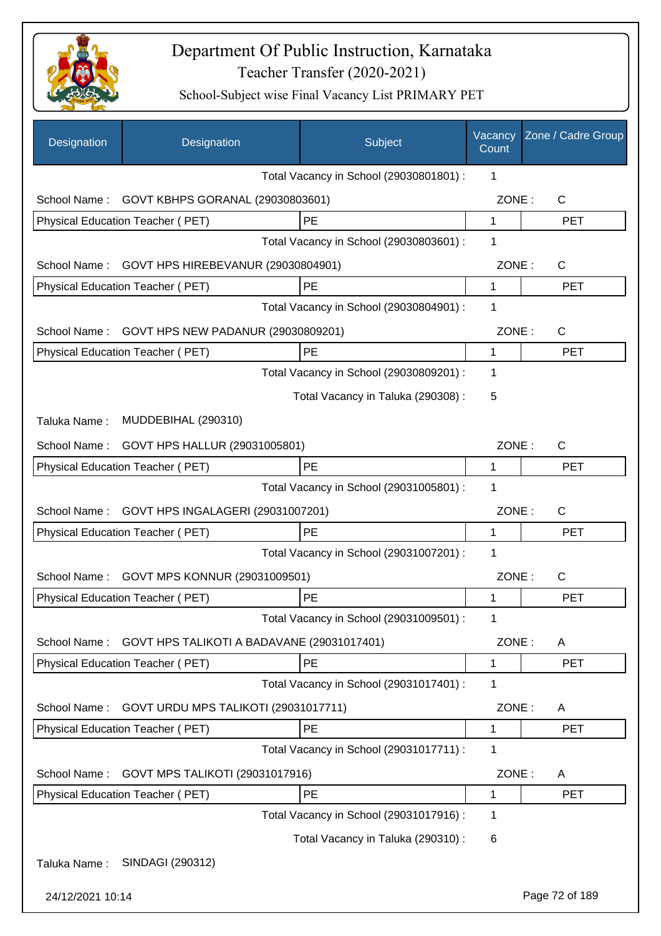

| Designation      | Designation                                | Subject                                 | Vacancy<br>Count | Zone / Cadre Group |
|------------------|--------------------------------------------|-----------------------------------------|------------------|--------------------|
|                  |                                            | Total Vacancy in School (29030801801) : | 1                |                    |
| School Name:     | GOVT KBHPS GORANAL (29030803601)           |                                         | ZONE:            | C                  |
|                  | Physical Education Teacher (PET)           | PE                                      | $\mathbf{1}$     | <b>PET</b>         |
|                  |                                            | Total Vacancy in School (29030803601) : | 1                |                    |
| School Name:     | GOVT HPS HIREBEVANUR (29030804901)         |                                         | ZONE:            | C                  |
|                  | Physical Education Teacher (PET)           | <b>PE</b>                               | 1                | <b>PET</b>         |
|                  |                                            | Total Vacancy in School (29030804901) : | 1                |                    |
| School Name:     | GOVT HPS NEW PADANUR (29030809201)         |                                         | ZONE:            | C                  |
|                  | Physical Education Teacher (PET)           | PE                                      | 1                | <b>PET</b>         |
|                  |                                            | Total Vacancy in School (29030809201) : | 1                |                    |
|                  |                                            | Total Vacancy in Taluka (290308) :      | 5                |                    |
| Taluka Name:     | MUDDEBIHAL (290310)                        |                                         |                  |                    |
| School Name:     | GOVT HPS HALLUR (29031005801)              |                                         | ZONE:            | C                  |
|                  | Physical Education Teacher (PET)           | PE                                      | 1                | <b>PET</b>         |
|                  |                                            | Total Vacancy in School (29031005801) : | 1                |                    |
| School Name:     | GOVT HPS INGALAGERI (29031007201)          |                                         | ZONE:            | C                  |
|                  | Physical Education Teacher (PET)           | PE                                      | 1                | <b>PET</b>         |
|                  |                                            | Total Vacancy in School (29031007201) : | 1                |                    |
| School Name:     | GOVT MPS KONNUR (29031009501)              |                                         | ZONE:            | C                  |
|                  | Physical Education Teacher (PET)           | <b>PE</b>                               | 1                | <b>PET</b>         |
|                  |                                            | Total Vacancy in School (29031009501) : | 1                |                    |
| School Name:     | GOVT HPS TALIKOTI A BADAVANE (29031017401) |                                         | ZONE:            | A                  |
|                  | Physical Education Teacher (PET)           | PE                                      | 1                | <b>PET</b>         |
|                  |                                            | Total Vacancy in School (29031017401) : | 1                |                    |
| School Name:     | GOVT URDU MPS TALIKOTI (29031017711)       |                                         | ZONE:            | A                  |
|                  | Physical Education Teacher (PET)           | PE                                      | 1                | <b>PET</b>         |
|                  |                                            | Total Vacancy in School (29031017711) : | 1                |                    |
| School Name:     | GOVT MPS TALIKOTI (29031017916)            |                                         | ZONE:            | A                  |
|                  | Physical Education Teacher (PET)           | PE                                      | 1                | <b>PET</b>         |
|                  |                                            | Total Vacancy in School (29031017916) : | 1                |                    |
|                  |                                            | Total Vacancy in Taluka (290310) :      | 6                |                    |
| Taluka Name:     | SINDAGI (290312)                           |                                         |                  |                    |
| 24/12/2021 10:14 |                                            |                                         |                  | Page 72 of 189     |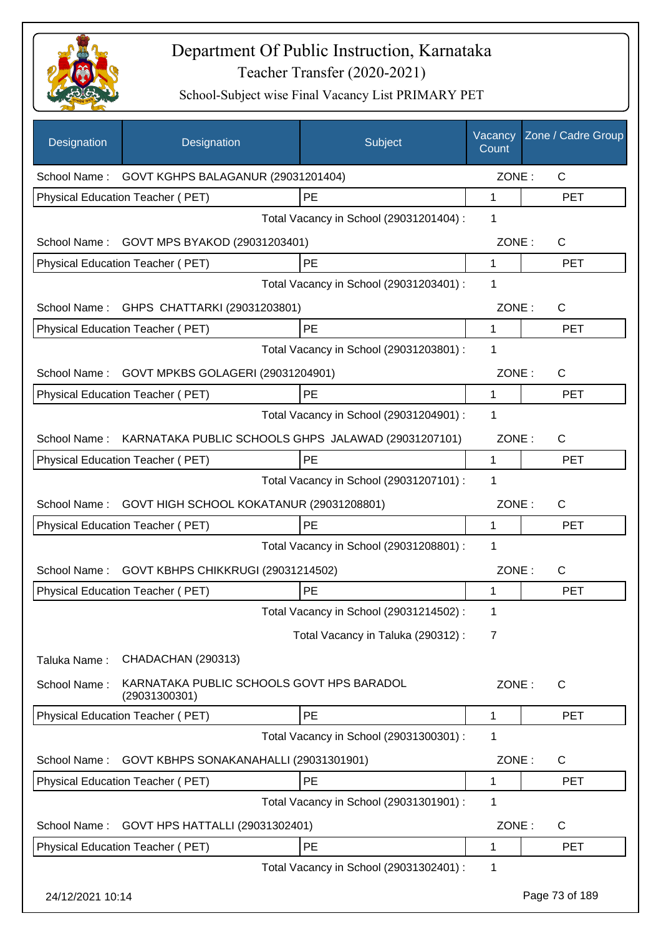

| Designation      | Designation                                                | Subject                                 | Vacancy<br>Count | Zone / Cadre Group |
|------------------|------------------------------------------------------------|-----------------------------------------|------------------|--------------------|
|                  | School Name: GOVT KGHPS BALAGANUR (29031201404)            |                                         | ZONE:            | $\mathsf{C}$       |
|                  | Physical Education Teacher (PET)                           | PE                                      | $\mathbf{1}$     | <b>PET</b>         |
|                  |                                                            | Total Vacancy in School (29031201404) : | 1                |                    |
|                  | School Name: GOVT MPS BYAKOD (29031203401)                 |                                         | ZONE:            | C                  |
|                  | Physical Education Teacher (PET)                           | PE                                      | 1                | <b>PET</b>         |
|                  |                                                            | Total Vacancy in School (29031203401) : | 1                |                    |
|                  | School Name: GHPS CHATTARKI (29031203801)                  |                                         | ZONE:            | C                  |
|                  | Physical Education Teacher (PET)                           | PE                                      | $\mathbf 1$      | <b>PET</b>         |
|                  |                                                            | Total Vacancy in School (29031203801) : | 1                |                    |
| School Name:     | GOVT MPKBS GOLAGERI (29031204901)                          |                                         | ZONE:            | $\mathsf{C}$       |
|                  | Physical Education Teacher (PET)                           | PE                                      | 1                | <b>PET</b>         |
|                  |                                                            | Total Vacancy in School (29031204901) : | 1                |                    |
| School Name:     | KARNATAKA PUBLIC SCHOOLS GHPS JALAWAD (29031207101)        |                                         | ZONE:            | $\mathsf{C}$       |
|                  | Physical Education Teacher (PET)                           | <b>PE</b>                               | 1                | <b>PET</b>         |
|                  |                                                            | Total Vacancy in School (29031207101) : | 1                |                    |
| School Name:     | GOVT HIGH SCHOOL KOKATANUR (29031208801)                   |                                         | ZONE:            | $\mathsf{C}$       |
|                  | Physical Education Teacher (PET)                           | PE                                      | 1                | <b>PET</b>         |
|                  |                                                            | Total Vacancy in School (29031208801) : | 1                |                    |
| School Name:     | GOVT KBHPS CHIKKRUGI (29031214502)                         |                                         | ZONE:            | $\mathsf{C}$       |
|                  | Physical Education Teacher (PET)                           | PE                                      | 1                | <b>PET</b>         |
|                  |                                                            | Total Vacancy in School (29031214502) : | 1                |                    |
|                  |                                                            | Total Vacancy in Taluka (290312) :      | 7                |                    |
| Taluka Name:     | CHADACHAN (290313)                                         |                                         |                  |                    |
| School Name:     | KARNATAKA PUBLIC SCHOOLS GOVT HPS BARADOL<br>(29031300301) |                                         | ZONE:            | C                  |
|                  | Physical Education Teacher (PET)                           | PE                                      | 1                | <b>PET</b>         |
|                  |                                                            | Total Vacancy in School (29031300301) : | 1                |                    |
| School Name:     | GOVT KBHPS SONAKANAHALLI (29031301901)                     |                                         | ZONE:            | C                  |
|                  | Physical Education Teacher (PET)                           | PE                                      | 1                | <b>PET</b>         |
|                  |                                                            | Total Vacancy in School (29031301901) : | 1                |                    |
| School Name:     | GOVT HPS HATTALLI (29031302401)                            |                                         | ZONE:            | C                  |
|                  | Physical Education Teacher (PET)                           | PE                                      | 1                | <b>PET</b>         |
|                  |                                                            | Total Vacancy in School (29031302401) : | 1                |                    |
| 24/12/2021 10:14 |                                                            |                                         |                  | Page 73 of 189     |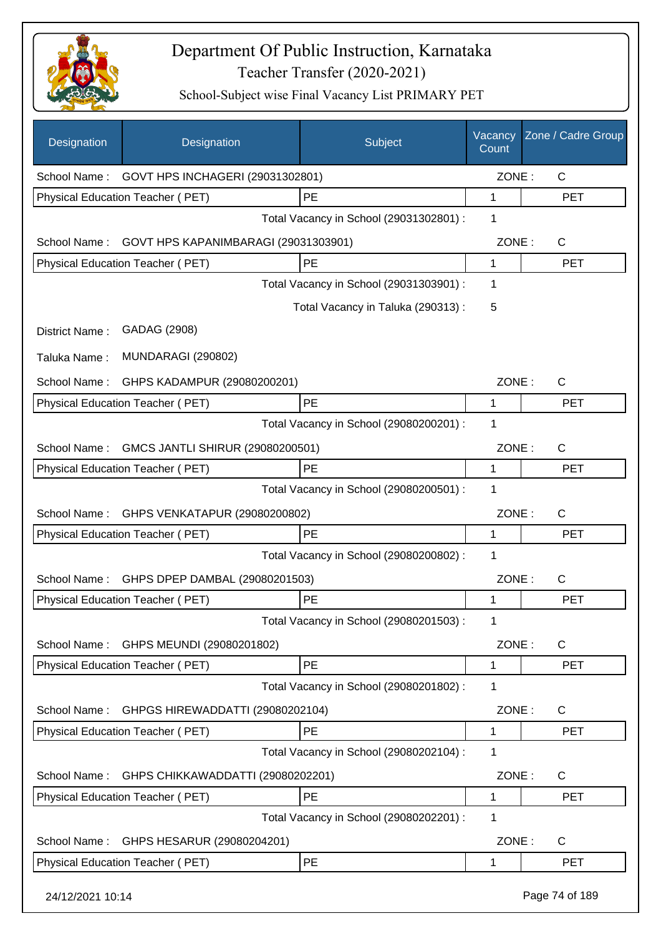

| Designation      | Designation                                   | Subject                                 | Vacancy<br>Count | Zone / Cadre Group |
|------------------|-----------------------------------------------|-----------------------------------------|------------------|--------------------|
|                  | School Name: GOVT HPS INCHAGERI (29031302801) |                                         | ZONE:            | C                  |
|                  | Physical Education Teacher (PET)              | PE                                      | 1                | <b>PET</b>         |
|                  |                                               | Total Vacancy in School (29031302801) : | 1                |                    |
| School Name:     | GOVT HPS KAPANIMBARAGI (29031303901)          |                                         | ZONE:            | C                  |
|                  | Physical Education Teacher (PET)              | PE                                      | 1                | <b>PET</b>         |
|                  |                                               | Total Vacancy in School (29031303901) : | 1                |                    |
|                  |                                               | Total Vacancy in Taluka (290313) :      | 5                |                    |
| District Name:   | GADAG (2908)                                  |                                         |                  |                    |
| Taluka Name:     | <b>MUNDARAGI (290802)</b>                     |                                         |                  |                    |
| School Name:     | GHPS KADAMPUR (29080200201)                   |                                         | ZONE:            | C                  |
|                  | Physical Education Teacher (PET)              | PE                                      | 1                | <b>PET</b>         |
|                  |                                               | Total Vacancy in School (29080200201) : | 1                |                    |
| School Name:     | GMCS JANTLI SHIRUR (29080200501)              |                                         | ZONE:            | $\mathsf{C}$       |
|                  | Physical Education Teacher (PET)              | PE                                      | 1                | <b>PET</b>         |
|                  |                                               | Total Vacancy in School (29080200501) : | 1                |                    |
| School Name:     | GHPS VENKATAPUR (29080200802)                 |                                         | ZONE:            | $\mathsf{C}$       |
|                  | Physical Education Teacher (PET)              | PE                                      | 1                | <b>PET</b>         |
|                  |                                               | Total Vacancy in School (29080200802) : | 1                |                    |
| School Name:     | GHPS DPEP DAMBAL (29080201503)                |                                         | ZONE:            | C                  |
|                  | <b>Physical Education Teacher (PET)</b>       | <b>PE</b>                               | 1                | <b>PET</b>         |
|                  |                                               | Total Vacancy in School (29080201503) : | 1                |                    |
| School Name:     | GHPS MEUNDI (29080201802)                     |                                         | ZONE:            | $\mathsf{C}$       |
|                  | Physical Education Teacher (PET)              | PE                                      | 1                | <b>PET</b>         |
|                  |                                               | Total Vacancy in School (29080201802) : | 1                |                    |
| School Name:     | GHPGS HIREWADDATTI (29080202104)              |                                         | ZONE:            | C                  |
|                  | Physical Education Teacher (PET)              | PE                                      | 1                | <b>PET</b>         |
|                  |                                               | Total Vacancy in School (29080202104) : | 1                |                    |
| School Name:     | GHPS CHIKKAWADDATTI (29080202201)             |                                         | ZONE:            | C                  |
|                  | Physical Education Teacher (PET)              | PE                                      | 1                | <b>PET</b>         |
|                  |                                               | Total Vacancy in School (29080202201) : | 1                |                    |
| School Name:     | GHPS HESARUR (29080204201)                    |                                         | ZONE:            | $\mathsf{C}$       |
|                  | Physical Education Teacher (PET)              | PE                                      | 1                | <b>PET</b>         |
| 24/12/2021 10:14 |                                               |                                         |                  | Page 74 of 189     |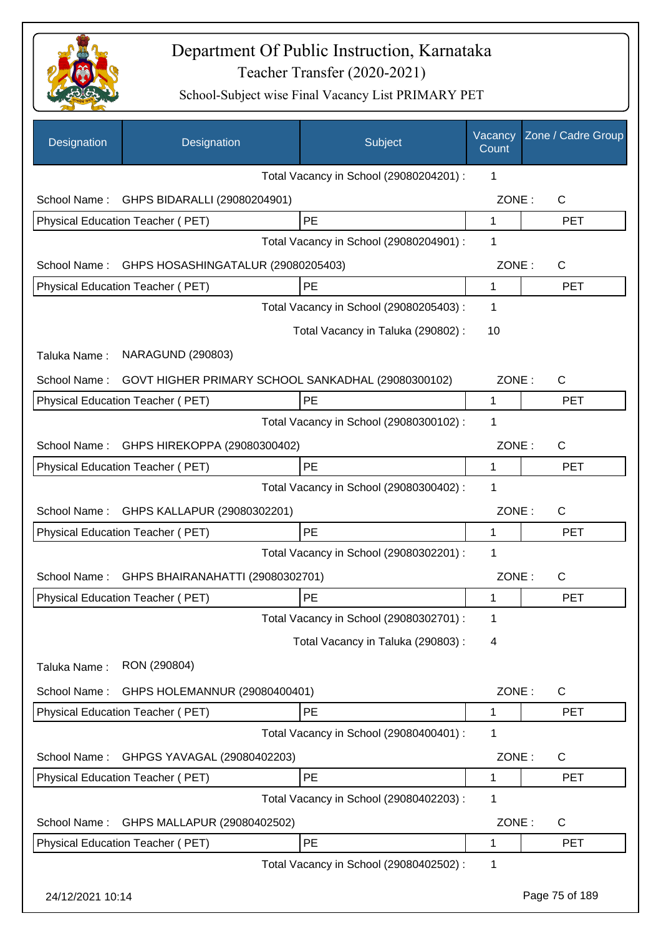

| Designation      | Designation                                        | Subject                                 | Vacancy<br>Count | Zone / Cadre Group |
|------------------|----------------------------------------------------|-----------------------------------------|------------------|--------------------|
|                  |                                                    | Total Vacancy in School (29080204201) : | 1                |                    |
| School Name:     | GHPS BIDARALLI (29080204901)                       |                                         | ZONE:            | C                  |
|                  | Physical Education Teacher (PET)                   | <b>PE</b>                               | 1                | <b>PET</b>         |
|                  |                                                    | Total Vacancy in School (29080204901) : | 1                |                    |
| School Name:     | GHPS HOSASHINGATALUR (29080205403)                 |                                         | ZONE:            | C                  |
|                  | Physical Education Teacher (PET)                   | PE                                      | 1                | <b>PET</b>         |
|                  |                                                    | Total Vacancy in School (29080205403) : | 1                |                    |
|                  |                                                    | Total Vacancy in Taluka (290802) :      | 10               |                    |
| Taluka Name:     | <b>NARAGUND (290803)</b>                           |                                         |                  |                    |
| School Name:     | GOVT HIGHER PRIMARY SCHOOL SANKADHAL (29080300102) |                                         | ZONE:            | C                  |
|                  | <b>Physical Education Teacher (PET)</b>            | <b>PE</b>                               | 1                | <b>PET</b>         |
|                  |                                                    | Total Vacancy in School (29080300102) : | 1                |                    |
| School Name:     | GHPS HIREKOPPA (29080300402)                       |                                         | ZONE:            | C                  |
|                  | Physical Education Teacher (PET)                   | PE                                      | 1                | <b>PET</b>         |
|                  |                                                    | Total Vacancy in School (29080300402) : | 1                |                    |
| School Name:     | GHPS KALLAPUR (29080302201)                        |                                         | ZONE:            | $\mathsf{C}$       |
|                  | Physical Education Teacher (PET)                   | PE                                      | 1                | <b>PET</b>         |
|                  |                                                    | Total Vacancy in School (29080302201) : | 1                |                    |
| School Name:     | GHPS BHAIRANAHATTI (29080302701)                   |                                         | ZONE:            | C                  |
|                  | Physical Education Teacher (PET)                   | PE                                      | 1                | <b>PET</b>         |
|                  |                                                    | Total Vacancy in School (29080302701) : | 1                |                    |
|                  |                                                    | Total Vacancy in Taluka (290803):       | 4                |                    |
| Taluka Name:     | RON (290804)                                       |                                         |                  |                    |
| School Name:     | GHPS HOLEMANNUR (29080400401)                      |                                         | ZONE:            | $\mathsf{C}$       |
|                  | Physical Education Teacher (PET)                   | PE                                      | 1                | <b>PET</b>         |
|                  |                                                    | Total Vacancy in School (29080400401) : | 1                |                    |
| School Name:     | GHPGS YAVAGAL (29080402203)                        |                                         | ZONE:            | C                  |
|                  | Physical Education Teacher (PET)                   | PE                                      | 1                | <b>PET</b>         |
|                  |                                                    | Total Vacancy in School (29080402203) : | 1                |                    |
| School Name:     | GHPS MALLAPUR (29080402502)                        |                                         | ZONE:            | C                  |
|                  | Physical Education Teacher (PET)                   | PE                                      | 1                | <b>PET</b>         |
|                  |                                                    | Total Vacancy in School (29080402502) : | 1                |                    |
| 24/12/2021 10:14 |                                                    |                                         |                  | Page 75 of 189     |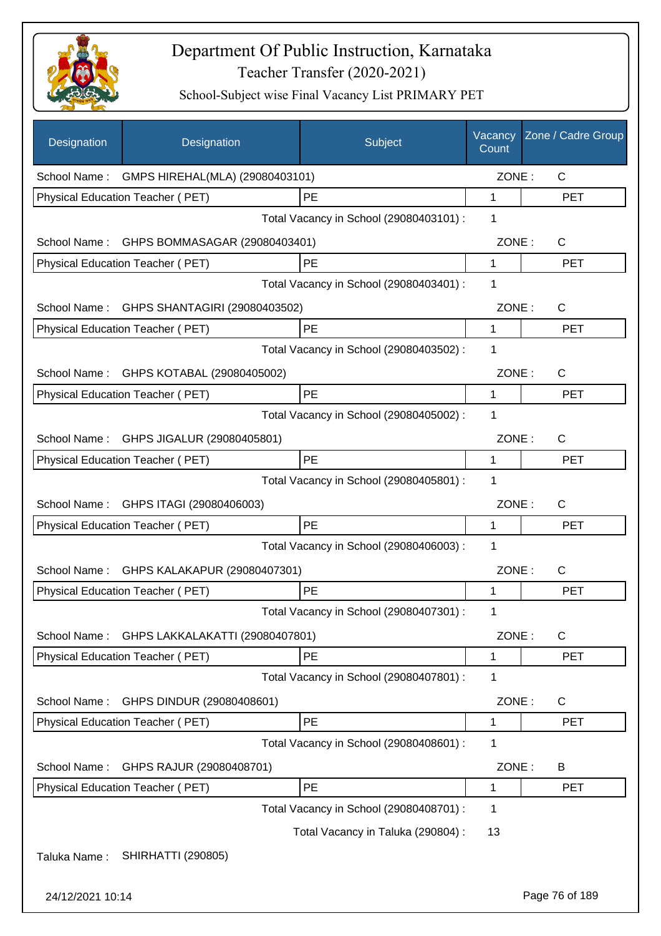

| Designation      | Designation                             | Subject                                 | Vacancy<br>Count | Zone / Cadre Group |
|------------------|-----------------------------------------|-----------------------------------------|------------------|--------------------|
| School Name:     | GMPS HIREHAL(MLA) (29080403101)         |                                         | ZONE:            | C                  |
|                  | Physical Education Teacher (PET)        | PE                                      | 1                | <b>PET</b>         |
|                  |                                         | Total Vacancy in School (29080403101) : | 1                |                    |
| School Name:     | GHPS BOMMASAGAR (29080403401)           |                                         | ZONE:            | C                  |
|                  | Physical Education Teacher (PET)        | PE                                      | $\mathbf{1}$     | <b>PET</b>         |
|                  |                                         | Total Vacancy in School (29080403401) : | 1                |                    |
| School Name:     | GHPS SHANTAGIRI (29080403502)           |                                         | ZONE:            | C                  |
|                  | Physical Education Teacher (PET)        | PE                                      | 1                | <b>PET</b>         |
|                  |                                         | Total Vacancy in School (29080403502) : | 1                |                    |
| School Name:     | GHPS KOTABAL (29080405002)              |                                         | ZONE:            | $\mathsf{C}$       |
|                  | Physical Education Teacher (PET)        | PE                                      | $\mathbf 1$      | <b>PET</b>         |
|                  |                                         | Total Vacancy in School (29080405002) : | 1                |                    |
|                  | School Name: GHPS JIGALUR (29080405801) |                                         | ZONE:            | $\mathsf{C}$       |
|                  | Physical Education Teacher (PET)        | PE                                      | 1                | <b>PET</b>         |
|                  |                                         | Total Vacancy in School (29080405801) : | 1                |                    |
| School Name:     | GHPS ITAGI (29080406003)                |                                         | ZONE:            | $\mathsf{C}$       |
|                  | Physical Education Teacher (PET)        | <b>PE</b>                               | 1                | <b>PET</b>         |
|                  |                                         | Total Vacancy in School (29080406003) : | 1                |                    |
| School Name:     | GHPS KALAKAPUR (29080407301)            |                                         | ZONE:            | $\mathsf{C}$       |
|                  | Physical Education Teacher (PET)        | PE                                      | 1                | <b>PET</b>         |
|                  |                                         | Total Vacancy in School (29080407301) : | 1                |                    |
| School Name:     | GHPS LAKKALAKATTI (29080407801)         |                                         | ZONE:            | $\mathsf{C}$       |
|                  | Physical Education Teacher (PET)        | PE                                      | 1                | <b>PET</b>         |
|                  |                                         | Total Vacancy in School (29080407801) : | 1                |                    |
| School Name:     | GHPS DINDUR (29080408601)               |                                         | ZONE:            | C                  |
|                  | Physical Education Teacher (PET)        | PE                                      | 1                | <b>PET</b>         |
|                  |                                         | Total Vacancy in School (29080408601) : | 1                |                    |
| School Name:     | GHPS RAJUR (29080408701)                |                                         | ZONE:            | B                  |
|                  | Physical Education Teacher (PET)        | PE                                      | 1                | <b>PET</b>         |
|                  |                                         | Total Vacancy in School (29080408701) : | 1                |                    |
|                  |                                         | Total Vacancy in Taluka (290804) :      | 13               |                    |
| Taluka Name:     | <b>SHIRHATTI (290805)</b>               |                                         |                  |                    |
| 24/12/2021 10:14 |                                         |                                         |                  | Page 76 of 189     |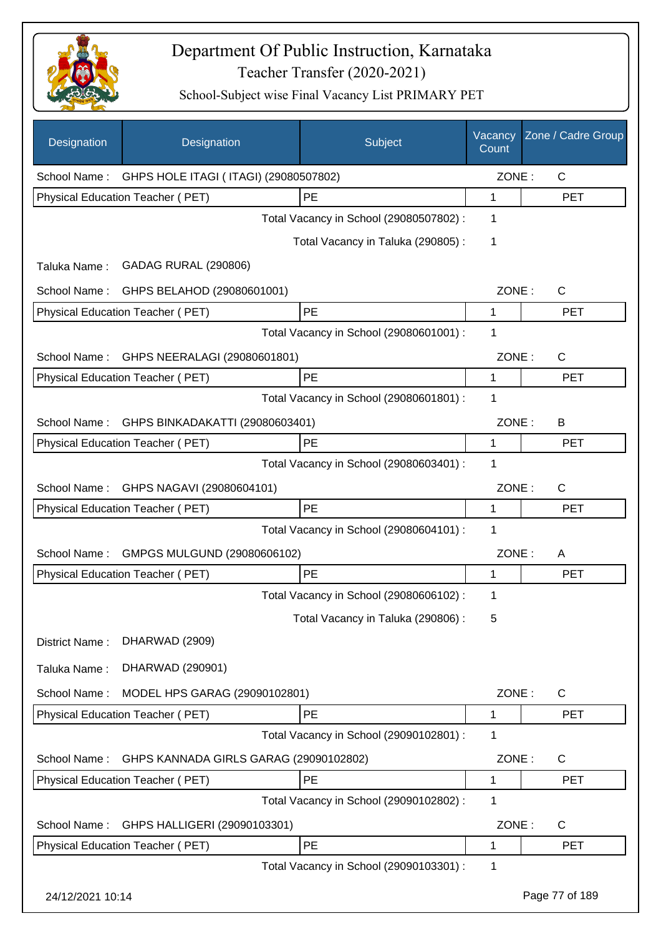

| <b>Designation</b> | Designation                                        | Subject                                 | Vacancy<br>Count | Zone / Cadre Group |
|--------------------|----------------------------------------------------|-----------------------------------------|------------------|--------------------|
|                    | School Name: GHPS HOLE ITAGI (ITAGI) (29080507802) |                                         | ZONE:            | $\mathsf{C}$       |
|                    | Physical Education Teacher (PET)                   | PE                                      | 1                | <b>PET</b>         |
|                    |                                                    | Total Vacancy in School (29080507802) : | 1                |                    |
|                    |                                                    | Total Vacancy in Taluka (290805):       | 1                |                    |
| Taluka Name:       | <b>GADAG RURAL (290806)</b>                        |                                         |                  |                    |
| School Name:       | GHPS BELAHOD (29080601001)                         |                                         | ZONE:            | C                  |
|                    | Physical Education Teacher (PET)                   | PE                                      | 1                | <b>PET</b>         |
|                    |                                                    | Total Vacancy in School (29080601001) : | 1                |                    |
| School Name:       | GHPS NEERALAGI (29080601801)                       |                                         | ZONE:            | $\mathsf{C}$       |
|                    | Physical Education Teacher (PET)                   | PE                                      | 1                | <b>PET</b>         |
|                    |                                                    | Total Vacancy in School (29080601801) : | 1                |                    |
| School Name:       | GHPS BINKADAKATTI (29080603401)                    |                                         | ZONE:            | B                  |
|                    | Physical Education Teacher (PET)                   | PE                                      | 1                | <b>PET</b>         |
|                    |                                                    | Total Vacancy in School (29080603401) : | 1                |                    |
| School Name:       | GHPS NAGAVI (29080604101)                          |                                         | ZONE:            | С                  |
|                    | Physical Education Teacher (PET)                   | PE                                      | 1                | <b>PET</b>         |
|                    |                                                    | Total Vacancy in School (29080604101) : | 1                |                    |
| School Name:       | GMPGS MULGUND (29080606102)                        |                                         | ZONE:            | A                  |
|                    | Physical Education Teacher (PET)                   | PE                                      | 1                | <b>PET</b>         |
|                    |                                                    | Total Vacancy in School (29080606102) : | 1                |                    |
|                    |                                                    | Total Vacancy in Taluka (290806):       | 5                |                    |
| District Name:     | DHARWAD (2909)                                     |                                         |                  |                    |
| Taluka Name:       | DHARWAD (290901)                                   |                                         |                  |                    |
| School Name:       | MODEL HPS GARAG (29090102801)                      |                                         | ZONE:            | C                  |
|                    | Physical Education Teacher (PET)                   | PE                                      | 1                | <b>PET</b>         |
|                    |                                                    | Total Vacancy in School (29090102801) : | 1                |                    |
| School Name:       | GHPS KANNADA GIRLS GARAG (29090102802)             |                                         | ZONE:            | C                  |
|                    | Physical Education Teacher (PET)                   | PE                                      | 1                | <b>PET</b>         |
|                    |                                                    | Total Vacancy in School (29090102802) : | 1                |                    |
| School Name:       | GHPS HALLIGERI (29090103301)                       |                                         | ZONE:            | C                  |
|                    | Physical Education Teacher (PET)                   | PE                                      | 1                | <b>PET</b>         |
|                    |                                                    | Total Vacancy in School (29090103301) : | 1                |                    |
| 24/12/2021 10:14   |                                                    |                                         |                  | Page 77 of 189     |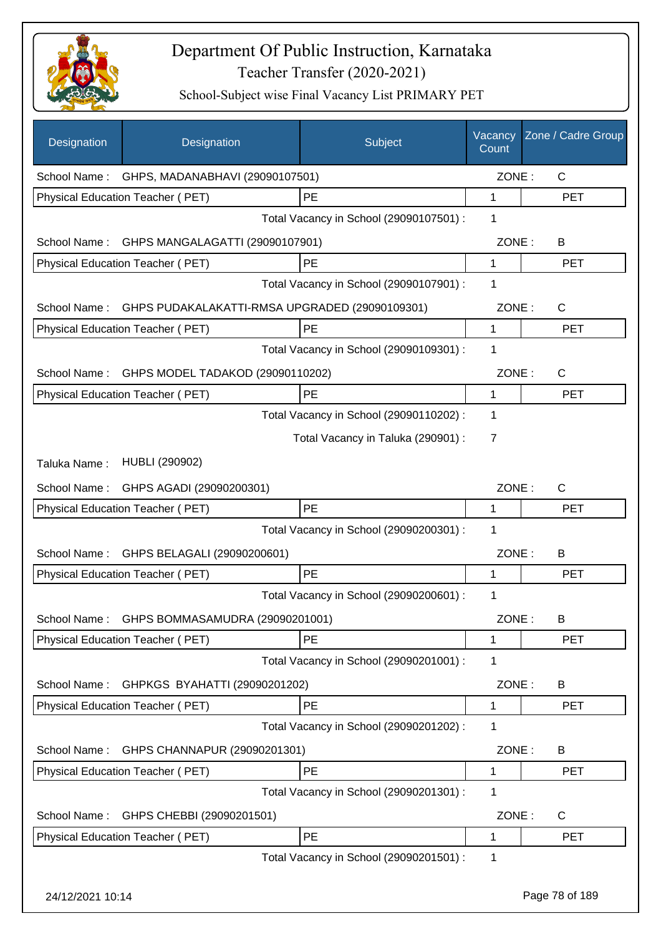

| Designation      | Designation                                                 | Subject                                 | Vacancy<br>Count | Zone / Cadre Group |
|------------------|-------------------------------------------------------------|-----------------------------------------|------------------|--------------------|
|                  | School Name: GHPS, MADANABHAVI (29090107501)                |                                         | ZONE:            | $\mathsf{C}$       |
|                  | Physical Education Teacher (PET)                            | PE                                      | 1                | <b>PET</b>         |
|                  |                                                             | Total Vacancy in School (29090107501) : | 1                |                    |
|                  | School Name: GHPS MANGALAGATTI (29090107901)                |                                         | ZONE:            | B                  |
|                  | Physical Education Teacher (PET)                            | PE                                      | 1                | <b>PET</b>         |
|                  |                                                             | Total Vacancy in School (29090107901) : | 1                |                    |
|                  | School Name: GHPS PUDAKALAKATTI-RMSA UPGRADED (29090109301) |                                         | ZONE:            | $\mathsf{C}$       |
|                  | Physical Education Teacher (PET)                            | PE                                      | 1                | <b>PET</b>         |
|                  |                                                             | Total Vacancy in School (29090109301) : | 1                |                    |
|                  | School Name: GHPS MODEL TADAKOD (29090110202)               |                                         | ZONE:            | C                  |
|                  | Physical Education Teacher (PET)                            | PE                                      | 1                | <b>PET</b>         |
|                  |                                                             | Total Vacancy in School (29090110202) : | 1                |                    |
|                  |                                                             | Total Vacancy in Taluka (290901) :      | 7                |                    |
| Taluka Name:     | <b>HUBLI (290902)</b>                                       |                                         |                  |                    |
| School Name:     | GHPS AGADI (29090200301)                                    |                                         | ZONE:            | C                  |
|                  | Physical Education Teacher (PET)                            | PE                                      | 1                | <b>PET</b>         |
|                  |                                                             | Total Vacancy in School (29090200301) : | 1                |                    |
| School Name:     | GHPS BELAGALI (29090200601)                                 |                                         | ZONE:            | B                  |
|                  | <b>Physical Education Teacher (PET)</b>                     | PE                                      | 1                | <b>PET</b>         |
|                  |                                                             | Total Vacancy in School (29090200601) : | 1                |                    |
|                  | School Name: GHPS BOMMASAMUDRA (29090201001)                |                                         | ZONE:            | B                  |
|                  | Physical Education Teacher (PET)                            | PE                                      | 1                | <b>PET</b>         |
|                  |                                                             | Total Vacancy in School (29090201001) : | 1                |                    |
| School Name:     | GHPKGS BYAHATTI (29090201202)                               |                                         | ZONE:            | B                  |
|                  | Physical Education Teacher (PET)                            | PE                                      | 1                | <b>PET</b>         |
|                  |                                                             | Total Vacancy in School (29090201202) : | 1                |                    |
| School Name:     | GHPS CHANNAPUR (29090201301)                                |                                         | ZONE:            | B                  |
|                  | Physical Education Teacher (PET)                            | PE                                      | 1                | <b>PET</b>         |
|                  |                                                             | Total Vacancy in School (29090201301) : | 1                |                    |
| School Name:     | GHPS CHEBBI (29090201501)                                   |                                         | ZONE:            | $\mathsf C$        |
|                  | Physical Education Teacher (PET)                            | PE                                      | 1                | <b>PET</b>         |
|                  |                                                             | Total Vacancy in School (29090201501) : | 1                |                    |
| 24/12/2021 10:14 |                                                             |                                         |                  | Page 78 of 189     |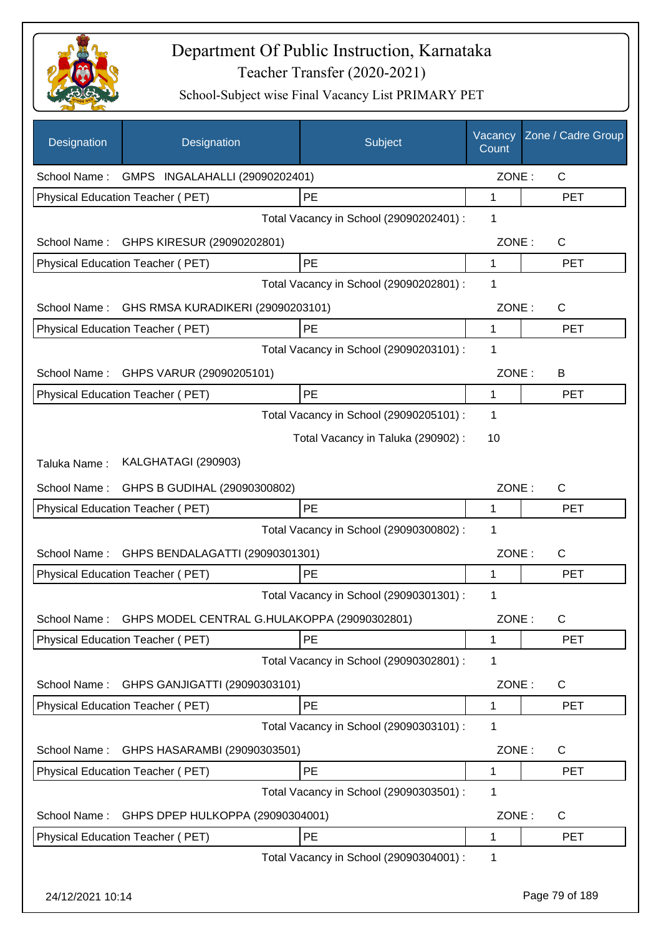

| Designation      | Designation                                               | Subject                                 | Vacancy<br>Count | Zone / Cadre Group |
|------------------|-----------------------------------------------------------|-----------------------------------------|------------------|--------------------|
|                  | School Name: GMPS INGALAHALLI (29090202401)               |                                         | ZONE:            | $\mathsf{C}$       |
|                  | Physical Education Teacher (PET)                          | PE                                      | 1                | <b>PET</b>         |
|                  |                                                           | Total Vacancy in School (29090202401) : | 1                |                    |
|                  | School Name: GHPS KIRESUR (29090202801)                   |                                         | ZONE:            | $\mathsf{C}$       |
|                  | Physical Education Teacher (PET)                          | PE                                      | 1                | <b>PET</b>         |
|                  |                                                           | Total Vacancy in School (29090202801) : | 1                |                    |
| School Name:     | GHS RMSA KURADIKERI (29090203101)                         |                                         | ZONE:            | $\mathsf{C}$       |
|                  | Physical Education Teacher (PET)                          | PE                                      | 1                | <b>PET</b>         |
|                  |                                                           | Total Vacancy in School (29090203101) : | 1                |                    |
| School Name:     | GHPS VARUR (29090205101)                                  |                                         | ZONE:            | B                  |
|                  | <b>Physical Education Teacher (PET)</b>                   | PE                                      | 1                | <b>PET</b>         |
|                  |                                                           | Total Vacancy in School (29090205101) : | 1                |                    |
|                  |                                                           | Total Vacancy in Taluka (290902) :      | 10               |                    |
| Taluka Name:     | KALGHATAGI (290903)                                       |                                         |                  |                    |
| School Name:     | GHPS B GUDIHAL (29090300802)                              |                                         | ZONE:            | C                  |
|                  | Physical Education Teacher (PET)                          | PE                                      | 1                | <b>PET</b>         |
|                  |                                                           | Total Vacancy in School (29090300802) : | 1                |                    |
| School Name:     | GHPS BENDALAGATTI (29090301301)                           |                                         | ZONE:            | C                  |
|                  | <b>Physical Education Teacher (PET)</b>                   | PE                                      | 1                | <b>PET</b>         |
|                  |                                                           | Total Vacancy in School (29090301301) : | 1                |                    |
|                  | School Name: GHPS MODEL CENTRAL G.HULAKOPPA (29090302801) |                                         | ZONE:            | C                  |
|                  | Physical Education Teacher (PET)                          | PE                                      | 1                | PET                |
|                  |                                                           | Total Vacancy in School (29090302801) : | 1                |                    |
| School Name:     | GHPS GANJIGATTI (29090303101)                             |                                         | ZONE:            | C                  |
|                  | Physical Education Teacher (PET)                          | PE                                      | 1                | <b>PET</b>         |
|                  |                                                           | Total Vacancy in School (29090303101) : | 1                |                    |
| School Name:     | GHPS HASARAMBI (29090303501)                              |                                         | ZONE:            | C                  |
|                  | Physical Education Teacher (PET)                          | <b>PE</b>                               | 1                | <b>PET</b>         |
|                  |                                                           | Total Vacancy in School (29090303501) : | 1                |                    |
| School Name:     | GHPS DPEP HULKOPPA (29090304001)                          |                                         | ZONE:            | C                  |
|                  | Physical Education Teacher (PET)                          | PE                                      | 1                | <b>PET</b>         |
|                  |                                                           | Total Vacancy in School (29090304001) : | 1                |                    |
| 24/12/2021 10:14 |                                                           |                                         |                  | Page 79 of 189     |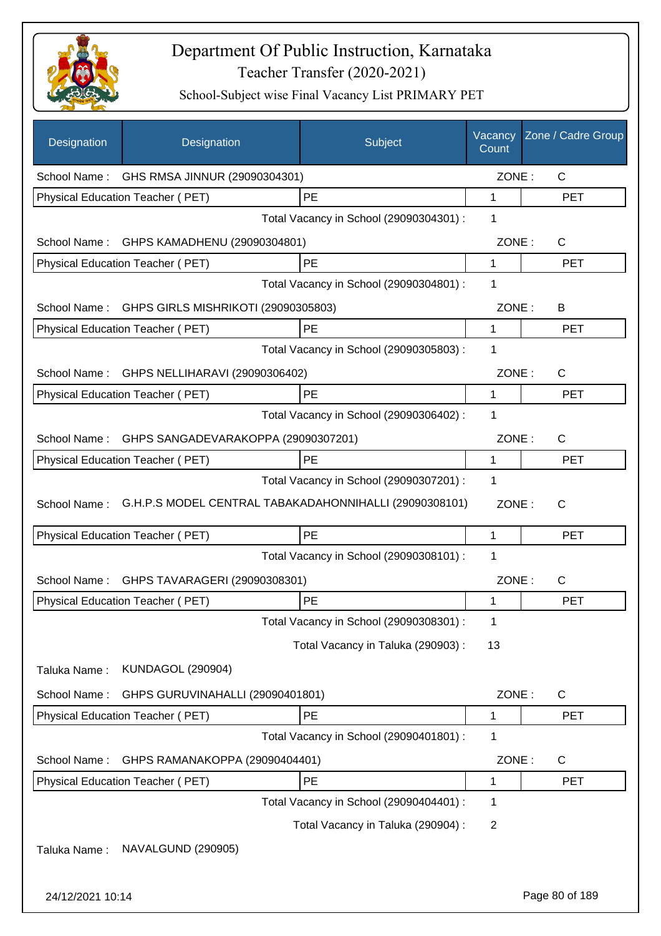

| Designation      | Designation                                      | Subject                                                | Vacancy<br>Count | Zone / Cadre Group |
|------------------|--------------------------------------------------|--------------------------------------------------------|------------------|--------------------|
|                  | School Name: GHS RMSA JINNUR (29090304301)       |                                                        | ZONE:            | $\mathsf{C}$       |
|                  | Physical Education Teacher (PET)                 | PE                                                     | 1                | <b>PET</b>         |
|                  |                                                  | Total Vacancy in School (29090304301) :                | 1                |                    |
|                  | School Name: GHPS KAMADHENU (29090304801)        |                                                        | ZONE:            | $\mathsf{C}$       |
|                  | Physical Education Teacher (PET)                 | PE                                                     | 1                | <b>PET</b>         |
|                  |                                                  | Total Vacancy in School (29090304801) :                | 1                |                    |
|                  | School Name: GHPS GIRLS MISHRIKOTI (29090305803) |                                                        | ZONE:            | B                  |
|                  | Physical Education Teacher (PET)                 | PE                                                     | 1                | <b>PET</b>         |
|                  |                                                  | Total Vacancy in School (29090305803) :                | 1                |                    |
| School Name:     | GHPS NELLIHARAVI (29090306402)                   |                                                        | ZONE:            | C                  |
|                  | Physical Education Teacher (PET)                 | <b>PE</b>                                              | 1                | <b>PET</b>         |
|                  |                                                  | Total Vacancy in School (29090306402) :                | 1                |                    |
| School Name:     | GHPS SANGADEVARAKOPPA (29090307201)              |                                                        | ZONE:            | $\mathsf{C}$       |
|                  | Physical Education Teacher (PET)                 | PE                                                     | 1                | <b>PET</b>         |
|                  |                                                  | Total Vacancy in School (29090307201) :                | 1                |                    |
| School Name:     |                                                  | G.H.P.S MODEL CENTRAL TABAKADAHONNIHALLI (29090308101) | ZONE:            | $\mathsf{C}$       |
|                  | Physical Education Teacher (PET)                 | PE                                                     | 1                | <b>PET</b>         |
|                  |                                                  | Total Vacancy in School (29090308101) :                | 1                |                    |
| School Name:     | GHPS TAVARAGERI (29090308301)                    |                                                        | ZONE:            | C                  |
|                  | Physical Education Teacher (PET)                 | <b>PE</b>                                              | 1                | <b>PET</b>         |
|                  |                                                  | Total Vacancy in School (29090308301) :                | 1                |                    |
|                  |                                                  | Total Vacancy in Taluka (290903) :                     | 13               |                    |
| Taluka Name:     | <b>KUNDAGOL (290904)</b>                         |                                                        |                  |                    |
| School Name:     | GHPS GURUVINAHALLI (29090401801)                 |                                                        | ZONE:            | $\mathsf{C}$       |
|                  | Physical Education Teacher (PET)                 | PE                                                     | 1                | <b>PET</b>         |
|                  |                                                  | Total Vacancy in School (29090401801) :                | 1                |                    |
| School Name:     | GHPS RAMANAKOPPA (29090404401)                   |                                                        | ZONE:            | C                  |
|                  | Physical Education Teacher (PET)                 | PE                                                     | 1                | <b>PET</b>         |
|                  |                                                  | Total Vacancy in School (29090404401) :                | 1                |                    |
|                  |                                                  | Total Vacancy in Taluka (290904) :                     | $\overline{2}$   |                    |
| Taluka Name:     | NAVALGUND (290905)                               |                                                        |                  |                    |
| 24/12/2021 10:14 |                                                  |                                                        |                  | Page 80 of 189     |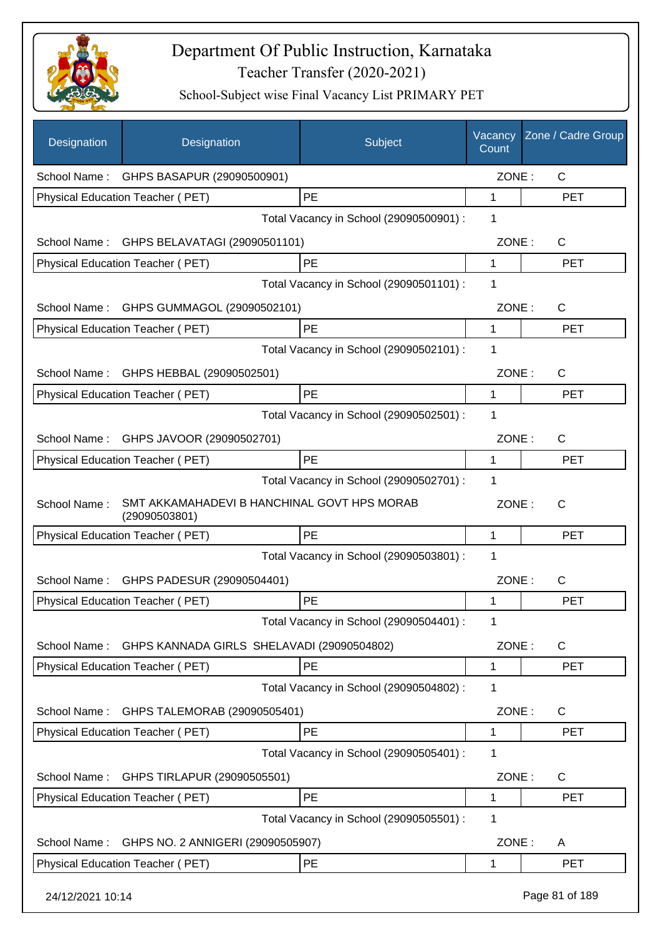

| Designation      | Designation                                                  | Subject                                 | Vacancy<br>Count | Zone / Cadre Group |
|------------------|--------------------------------------------------------------|-----------------------------------------|------------------|--------------------|
|                  | School Name: GHPS BASAPUR (29090500901)                      |                                         | ZONE:            | C                  |
|                  | Physical Education Teacher (PET)                             | PE                                      | $\mathbf{1}$     | <b>PET</b>         |
|                  |                                                              | Total Vacancy in School (29090500901) : | 1                |                    |
|                  | School Name: GHPS BELAVATAGI (29090501101)                   |                                         | ZONE:            | $\mathsf{C}$       |
|                  | Physical Education Teacher (PET)                             | PE                                      | $\mathbf 1$      | <b>PET</b>         |
|                  |                                                              | Total Vacancy in School (29090501101) : | 1                |                    |
|                  | School Name: GHPS GUMMAGOL (29090502101)                     |                                         | ZONE:            | C                  |
|                  | Physical Education Teacher (PET)                             | PE                                      | 1                | <b>PET</b>         |
|                  |                                                              | Total Vacancy in School (29090502101) : | 1                |                    |
|                  | School Name: GHPS HEBBAL (29090502501)                       |                                         | ZONE:            | C                  |
|                  | Physical Education Teacher (PET)                             | <b>PE</b>                               | 1                | <b>PET</b>         |
|                  |                                                              | Total Vacancy in School (29090502501) : | 1                |                    |
|                  | School Name: GHPS JAVOOR (29090502701)                       |                                         | ZONE:            | C                  |
|                  | Physical Education Teacher (PET)                             | PE                                      | 1                | <b>PET</b>         |
|                  |                                                              | Total Vacancy in School (29090502701) : | 1                |                    |
| School Name:     | SMT AKKAMAHADEVI B HANCHINAL GOVT HPS MORAB<br>(29090503801) |                                         | ZONE:            | C                  |
|                  | <b>Physical Education Teacher (PET)</b>                      | PE                                      | 1                | <b>PET</b>         |
|                  |                                                              | Total Vacancy in School (29090503801) : | 1                |                    |
|                  | School Name: GHPS PADESUR (29090504401)                      |                                         | ZONE:            | C                  |
|                  | Physical Education Teacher (PET)                             | PE                                      | 1                | <b>PET</b>         |
|                  |                                                              | Total Vacancy in School (29090504401) : | 1                |                    |
| School Name:     | GHPS KANNADA GIRLS SHELAVADI (29090504802)                   |                                         | ZONE:            | C                  |
|                  | Physical Education Teacher (PET)                             | <b>PE</b>                               | 1                | <b>PET</b>         |
|                  |                                                              | Total Vacancy in School (29090504802) : | 1                |                    |
| School Name:     | GHPS TALEMORAB (29090505401)                                 |                                         | ZONE:            | C                  |
|                  | Physical Education Teacher (PET)                             | PE                                      | 1                | <b>PET</b>         |
|                  |                                                              | Total Vacancy in School (29090505401) : | 1                |                    |
| School Name:     | GHPS TIRLAPUR (29090505501)                                  |                                         | ZONE:            | C                  |
|                  | Physical Education Teacher (PET)                             | PE                                      | 1                | <b>PET</b>         |
|                  |                                                              | Total Vacancy in School (29090505501) : | 1                |                    |
| School Name:     | GHPS NO. 2 ANNIGERI (29090505907)                            |                                         | ZONE:            | A                  |
|                  | Physical Education Teacher (PET)                             | PE                                      | 1                | <b>PET</b>         |
| 24/12/2021 10:14 |                                                              |                                         |                  | Page 81 of 189     |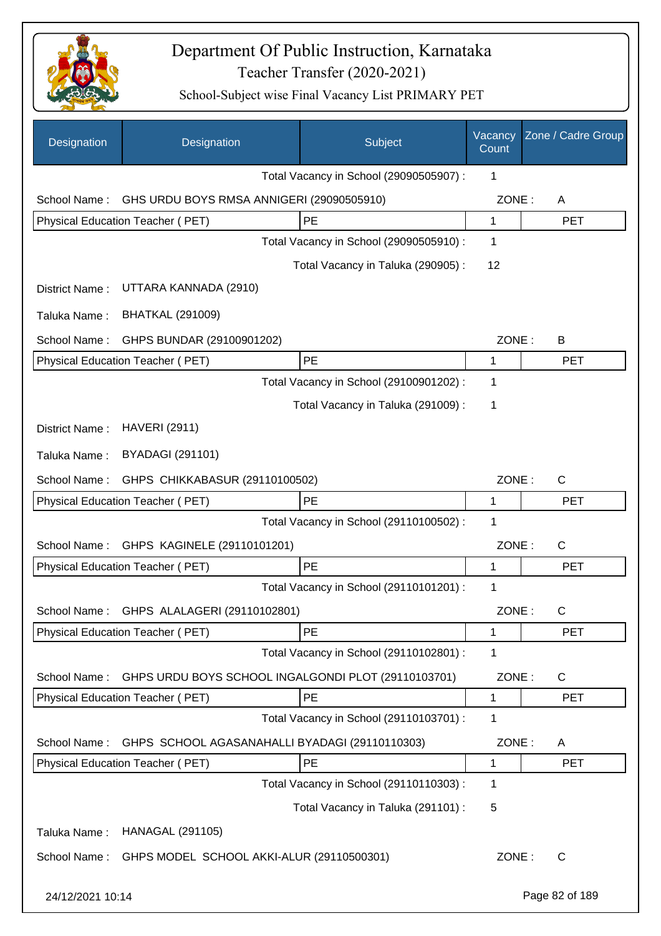

| Designation      | Designation                                         | Subject                                 | Vacancy<br>Count | Zone / Cadre Group |
|------------------|-----------------------------------------------------|-----------------------------------------|------------------|--------------------|
|                  |                                                     | Total Vacancy in School (29090505907) : | 1                |                    |
| School Name:     | GHS URDU BOYS RMSA ANNIGERI (29090505910)           |                                         | ZONE:            | A                  |
|                  | Physical Education Teacher (PET)                    | PE                                      | 1                | <b>PET</b>         |
|                  |                                                     | Total Vacancy in School (29090505910) : | 1                |                    |
|                  |                                                     | Total Vacancy in Taluka (290905):       | 12               |                    |
| District Name:   | UTTARA KANNADA (2910)                               |                                         |                  |                    |
| Taluka Name:     | <b>BHATKAL (291009)</b>                             |                                         |                  |                    |
| School Name:     | GHPS BUNDAR (29100901202)                           |                                         | ZONE:            | B                  |
|                  | Physical Education Teacher (PET)                    | PE                                      | 1                | <b>PET</b>         |
|                  |                                                     | Total Vacancy in School (29100901202) : | 1                |                    |
|                  |                                                     | Total Vacancy in Taluka (291009):       | 1                |                    |
| District Name:   | <b>HAVERI (2911)</b>                                |                                         |                  |                    |
| Taluka Name:     | <b>BYADAGI (291101)</b>                             |                                         |                  |                    |
| School Name:     | GHPS CHIKKABASUR (29110100502)                      |                                         | ZONE:            | C                  |
|                  | Physical Education Teacher (PET)                    | PE                                      | 1                | <b>PET</b>         |
|                  |                                                     | Total Vacancy in School (29110100502) : | 1                |                    |
| School Name:     | GHPS KAGINELE (29110101201)                         |                                         | ZONE:            | C                  |
|                  | Physical Education Teacher (PET)                    | PE                                      | 1                | <b>PET</b>         |
|                  |                                                     | Total Vacancy in School (29110101201) : | 1                |                    |
|                  | School Name: GHPS ALALAGERI (29110102801)           |                                         | ZONE:            | C                  |
|                  | <b>Physical Education Teacher (PET)</b>             | PE                                      | 1                | <b>PET</b>         |
|                  |                                                     | Total Vacancy in School (29110102801) : | 1                |                    |
| School Name:     | GHPS URDU BOYS SCHOOL INGALGONDI PLOT (29110103701) |                                         | ZONE:            | C                  |
|                  | Physical Education Teacher (PET)                    | PE                                      | 1                | <b>PET</b>         |
|                  |                                                     | Total Vacancy in School (29110103701) : | 1                |                    |
| School Name:     | GHPS SCHOOL AGASANAHALLI BYADAGI (29110110303)      |                                         | ZONE:            | Α                  |
|                  | Physical Education Teacher (PET)                    | PE                                      | 1                | <b>PET</b>         |
|                  |                                                     | Total Vacancy in School (29110110303) : | 1                |                    |
|                  |                                                     | Total Vacancy in Taluka (291101) :      | 5                |                    |
| Taluka Name:     | <b>HANAGAL (291105)</b>                             |                                         |                  |                    |
| School Name:     | GHPS MODEL SCHOOL AKKI-ALUR (29110500301)           |                                         | ZONE:            | C                  |
| 24/12/2021 10:14 |                                                     |                                         |                  | Page 82 of 189     |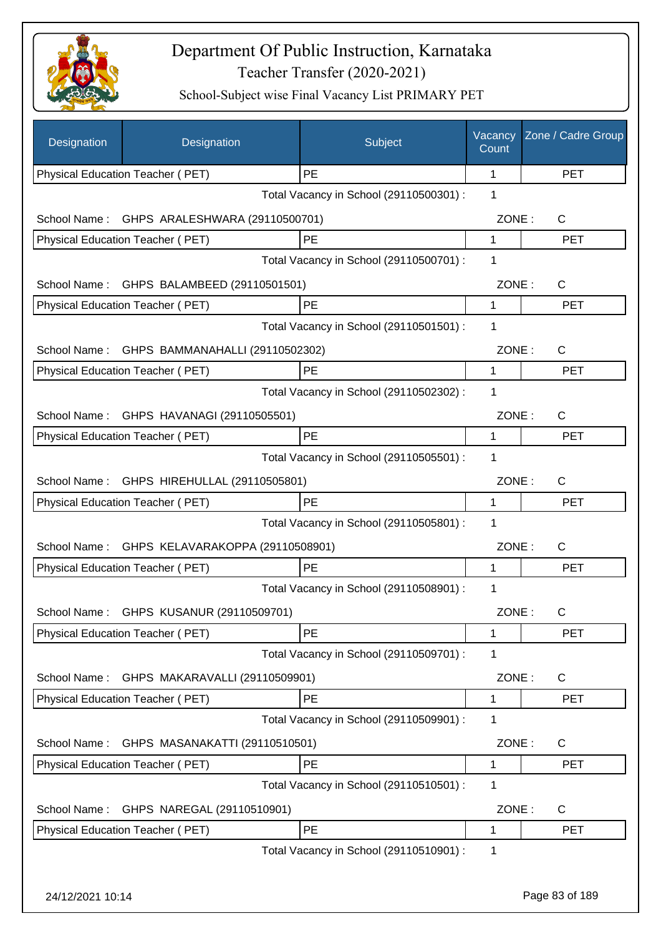

| Designation      | Designation                                  | Subject                                 | Vacancy<br>Count | Zone / Cadre Group |
|------------------|----------------------------------------------|-----------------------------------------|------------------|--------------------|
|                  | Physical Education Teacher (PET)             | <b>PE</b>                               | 1                | <b>PET</b>         |
|                  |                                              | Total Vacancy in School (29110500301) : | 1                |                    |
| School Name:     | GHPS ARALESHWARA (29110500701)               |                                         | ZONE:            | C                  |
|                  | Physical Education Teacher (PET)             | PE                                      | 1                | <b>PET</b>         |
|                  |                                              | Total Vacancy in School (29110500701) : | 1                |                    |
| School Name:     | GHPS BALAMBEED (29110501501)                 |                                         | ZONE:            | $\mathsf C$        |
|                  | Physical Education Teacher (PET)             | PE                                      | 1                | <b>PET</b>         |
|                  |                                              | Total Vacancy in School (29110501501) : | 1                |                    |
|                  | School Name: GHPS BAMMANAHALLI (29110502302) |                                         | ZONE:            | C                  |
|                  | Physical Education Teacher (PET)             | <b>PE</b>                               | 1                | <b>PET</b>         |
|                  |                                              | Total Vacancy in School (29110502302) : | 1                |                    |
| School Name:     | GHPS HAVANAGI (29110505501)                  |                                         | ZONE:            | $\mathsf{C}$       |
|                  | Physical Education Teacher (PET)             | PE                                      | 1                | <b>PET</b>         |
|                  |                                              | Total Vacancy in School (29110505501) : | 1                |                    |
|                  | School Name: GHPS HIREHULLAL (29110505801)   |                                         | ZONE:            | C                  |
|                  | Physical Education Teacher (PET)             | <b>PE</b>                               | 1                | <b>PET</b>         |
|                  |                                              | Total Vacancy in School (29110505801) : | $\mathbf 1$      |                    |
| School Name:     | GHPS KELAVARAKOPPA (29110508901)             |                                         | ZONE:            | C                  |
|                  | Physical Education Teacher (PET)             | PE                                      | 1                | PET                |
|                  |                                              | Total Vacancy in School (29110508901) : | 1                |                    |
|                  |                                              |                                         |                  |                    |
| School Name:     | GHPS KUSANUR (29110509701)                   |                                         | ZONE:            | C.                 |
|                  | Physical Education Teacher (PET)             | PE                                      | 1                | <b>PET</b>         |
|                  |                                              | Total Vacancy in School (29110509701) : | 1                |                    |
| School Name:     | GHPS MAKARAVALLI (29110509901)               |                                         | ZONE:            | C                  |
|                  | Physical Education Teacher (PET)             | PE                                      | 1                | <b>PET</b>         |
|                  |                                              | Total Vacancy in School (29110509901) : | 1                |                    |
| School Name:     | GHPS MASANAKATTI (29110510501)               |                                         | ZONE:            | C                  |
|                  | Physical Education Teacher (PET)             | PE                                      | 1                | <b>PET</b>         |
|                  |                                              | Total Vacancy in School (29110510501) : | 1                |                    |
| School Name:     | GHPS NAREGAL (29110510901)                   |                                         | ZONE:            | $\mathsf{C}$       |
|                  | Physical Education Teacher (PET)             | PE                                      | 1                | <b>PET</b>         |
|                  |                                              | Total Vacancy in School (29110510901) : | 1                |                    |
|                  |                                              |                                         |                  |                    |
| 24/12/2021 10:14 |                                              |                                         |                  | Page 83 of 189     |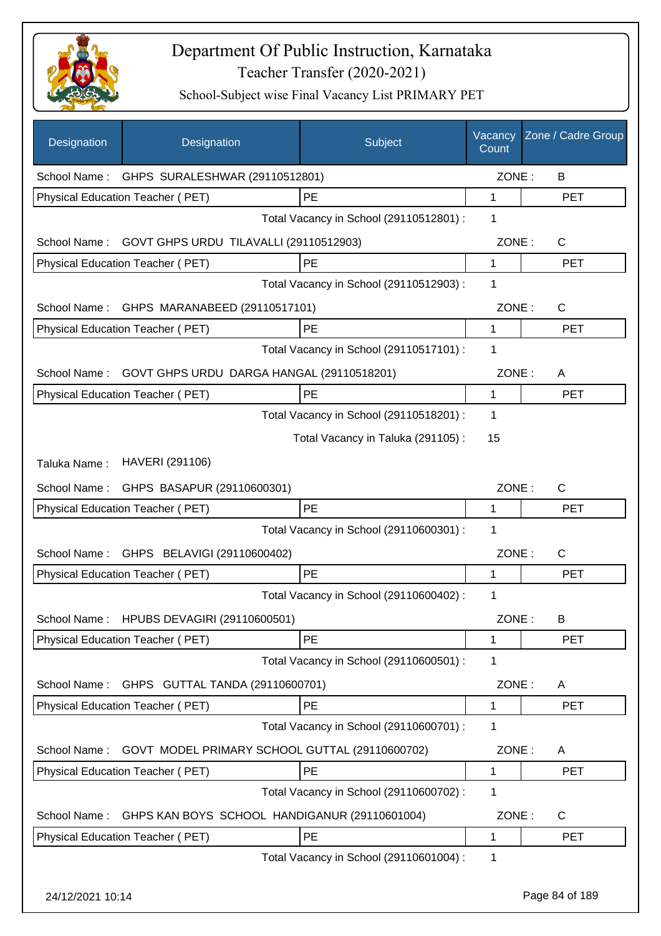

| Designation  | Designation                                         | Subject                                 | Vacancy<br>Count | Zone / Cadre Group |
|--------------|-----------------------------------------------------|-----------------------------------------|------------------|--------------------|
|              | School Name: GHPS SURALESHWAR (29110512801)         |                                         | ZONE:            | B                  |
|              | Physical Education Teacher (PET)                    | PE                                      | 1                | <b>PET</b>         |
|              |                                                     | Total Vacancy in School (29110512801) : | 1                |                    |
|              | School Name: GOVT GHPS URDU TILAVALLI (29110512903) |                                         | ZONE:            | $\mathsf{C}$       |
|              | Physical Education Teacher (PET)                    | PE                                      | $\mathbf{1}$     | <b>PET</b>         |
|              |                                                     | Total Vacancy in School (29110512903) : | 1                |                    |
|              | School Name: GHPS MARANABEED (29110517101)          |                                         | ZONE:            | C                  |
|              | Physical Education Teacher (PET)                    | PE                                      | 1                | <b>PET</b>         |
|              |                                                     | Total Vacancy in School (29110517101) : | 1                |                    |
| School Name: | GOVT GHPS URDU DARGA HANGAL (29110518201)           |                                         | ZONE:            | A                  |
|              | Physical Education Teacher (PET)                    | PE                                      | 1                | <b>PET</b>         |
|              |                                                     | Total Vacancy in School (29110518201) : | 1                |                    |
|              |                                                     | Total Vacancy in Taluka (291105):       | 15               |                    |
| Taluka Name: | HAVERI (291106)                                     |                                         |                  |                    |
|              | School Name: GHPS BASAPUR (29110600301)             |                                         | ZONE:            | C                  |
|              | Physical Education Teacher (PET)                    | PE                                      | 1                | <b>PET</b>         |
|              |                                                     | Total Vacancy in School (29110600301) : | 1                |                    |
| School Name: | GHPS BELAVIGI (29110600402)                         |                                         | ZONE:            | C                  |
|              | Physical Education Teacher (PET)                    | PE                                      | 1                | <b>PET</b>         |
|              |                                                     | Total Vacancy in School (29110600402) : | 1                |                    |
|              | School Name: HPUBS DEVAGIRI (29110600501)           |                                         | ZONE:            | B                  |
|              | Physical Education Teacher (PET)                    | PE                                      | 1                | <b>PET</b>         |
|              |                                                     | Total Vacancy in School (29110600501) : | 1                |                    |
| School Name: | GHPS GUTTAL TANDA (29110600701)                     |                                         | ZONE:            | A                  |
|              | Physical Education Teacher (PET)                    | PE                                      | 1                | <b>PET</b>         |
|              |                                                     | Total Vacancy in School (29110600701) : | 1                |                    |
| School Name: | GOVT MODEL PRIMARY SCHOOL GUTTAL (29110600702)      |                                         | ZONE:            | A                  |
|              | Physical Education Teacher (PET)                    | PE                                      | 1                | <b>PET</b>         |
|              |                                                     | Total Vacancy in School (29110600702) : | 1                |                    |
| School Name: | GHPS KAN BOYS SCHOOL HANDIGANUR (29110601004)       |                                         | ZONE:            | C                  |
|              | Physical Education Teacher (PET)                    | PE                                      | 1                | <b>PET</b>         |
|              |                                                     | Total Vacancy in School (29110601004) : | 1                |                    |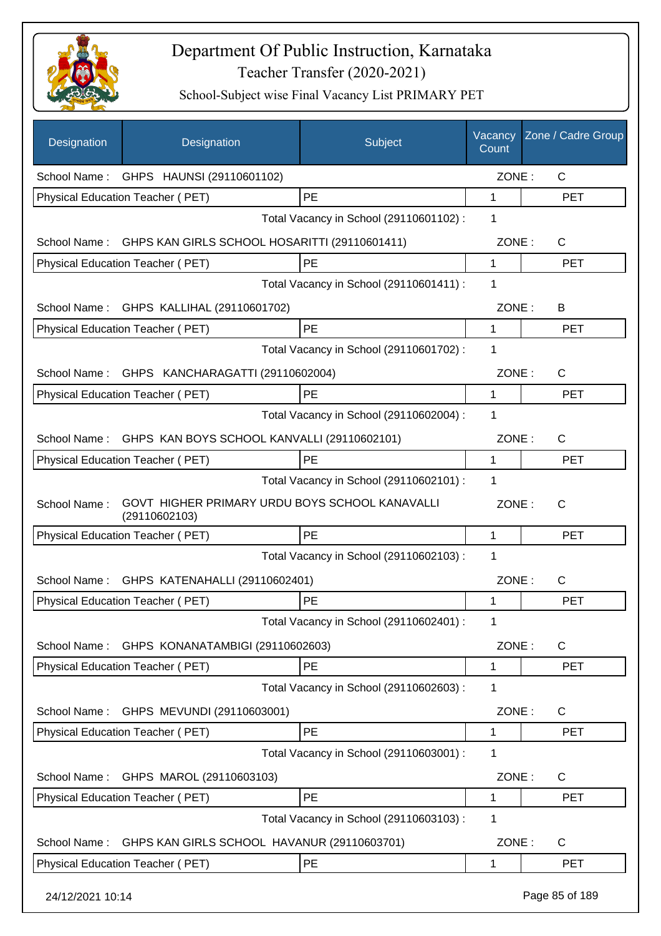

| Designation      | Designation                                                     | Subject                                 | Vacancy<br>Count | Zone / Cadre Group |
|------------------|-----------------------------------------------------------------|-----------------------------------------|------------------|--------------------|
|                  | School Name: GHPS HAUNSI (29110601102)                          |                                         | ZONE:            | C                  |
|                  | Physical Education Teacher (PET)                                | PE                                      | 1                | <b>PET</b>         |
|                  |                                                                 | Total Vacancy in School (29110601102) : | 1                |                    |
|                  | School Name: GHPS KAN GIRLS SCHOOL HOSARITTI (29110601411)      |                                         | ZONE:            | $\mathsf{C}$       |
|                  | Physical Education Teacher (PET)                                | PE                                      | 1                | <b>PET</b>         |
|                  |                                                                 | Total Vacancy in School (29110601411) : | 1                |                    |
|                  | School Name: GHPS KALLIHAL (29110601702)                        |                                         | ZONE:            | B                  |
|                  | Physical Education Teacher (PET)                                | <b>PE</b>                               | $\mathbf 1$      | <b>PET</b>         |
|                  |                                                                 | Total Vacancy in School (29110601702) : | 1                |                    |
|                  | School Name: GHPS KANCHARAGATTI (29110602004)                   |                                         | ZONE:            | $\mathsf{C}$       |
|                  | Physical Education Teacher (PET)                                | <b>PE</b>                               | 1                | <b>PET</b>         |
|                  |                                                                 | Total Vacancy in School (29110602004) : | 1                |                    |
| School Name:     | GHPS KAN BOYS SCHOOL KANVALLI (29110602101)                     |                                         | ZONE:            | $\mathsf{C}$       |
|                  | Physical Education Teacher (PET)                                | PE                                      | 1                | <b>PET</b>         |
|                  |                                                                 | Total Vacancy in School (29110602101) : | 1                |                    |
| School Name:     | GOVT HIGHER PRIMARY URDU BOYS SCHOOL KANAVALLI<br>(29110602103) |                                         | ZONE:            | $\mathsf{C}$       |
|                  | Physical Education Teacher (PET)                                | <b>PE</b>                               | 1                | <b>PET</b>         |
|                  |                                                                 | Total Vacancy in School (29110602103) : | 1                |                    |
| School Name:     | GHPS KATENAHALLI (29110602401)                                  |                                         | ZONE:            | C                  |
|                  | Physical Education Teacher (PET)                                | PE                                      | 1                | <b>PET</b>         |
|                  |                                                                 | Total Vacancy in School (29110602401) : | 1                |                    |
| School Name:     | GHPS KONANATAMBIGI (29110602603)                                |                                         | ZONE:            | $\mathsf{C}$       |
|                  | Physical Education Teacher (PET)                                | PE                                      | 1                | <b>PET</b>         |
|                  |                                                                 | Total Vacancy in School (29110602603) : | 1                |                    |
| School Name:     | GHPS MEVUNDI (29110603001)                                      |                                         | ZONE:            | C                  |
|                  | Physical Education Teacher (PET)                                | PE                                      | 1                | <b>PET</b>         |
|                  |                                                                 | Total Vacancy in School (29110603001) : | 1                |                    |
| School Name:     | GHPS MAROL (29110603103)                                        |                                         | ZONE:            | C                  |
|                  | Physical Education Teacher (PET)                                | PE                                      | 1                | <b>PET</b>         |
|                  |                                                                 | Total Vacancy in School (29110603103) : | 1                |                    |
| School Name:     | GHPS KAN GIRLS SCHOOL HAVANUR (29110603701)                     |                                         | ZONE:            | C                  |
|                  | Physical Education Teacher (PET)                                | PE                                      | 1                | <b>PET</b>         |
| 24/12/2021 10:14 |                                                                 |                                         |                  | Page 85 of 189     |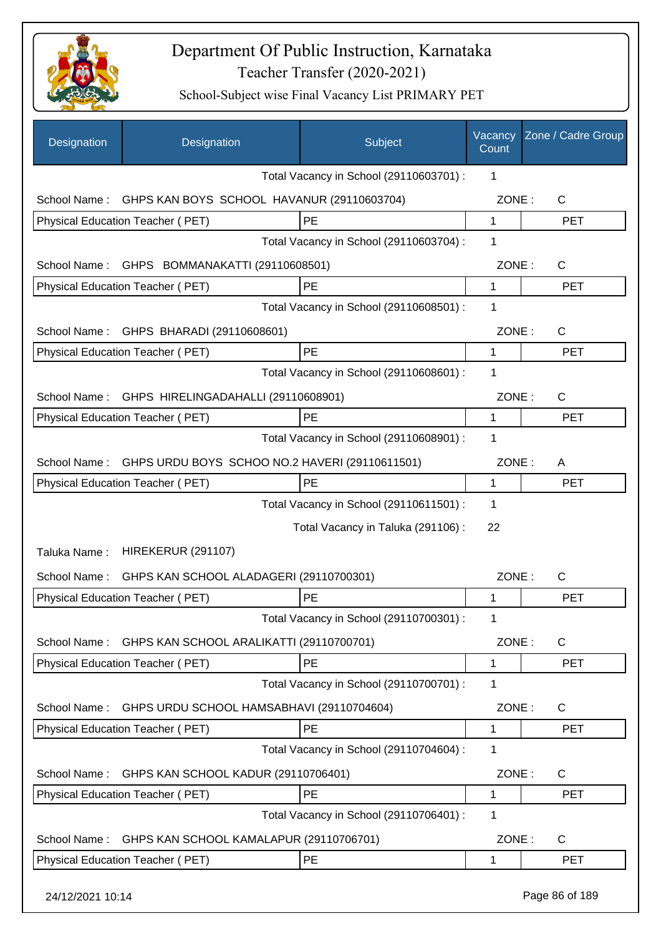

| Designation      | Designation                                    | Subject                                 | Vacancy<br>Count | Zone / Cadre Group |
|------------------|------------------------------------------------|-----------------------------------------|------------------|--------------------|
|                  |                                                | Total Vacancy in School (29110603701) : | 1                |                    |
| School Name:     | GHPS KAN BOYS SCHOOL HAVANUR (29110603704)     |                                         | ZONE:            | C                  |
|                  | Physical Education Teacher (PET)               | <b>PE</b>                               | $\mathbf{1}$     | <b>PET</b>         |
|                  |                                                | Total Vacancy in School (29110603704) : | 1                |                    |
|                  | School Name: GHPS BOMMANAKATTI (29110608501)   |                                         | ZONE:            | C                  |
|                  | Physical Education Teacher (PET)               | <b>PE</b>                               | $\mathbf{1}$     | <b>PET</b>         |
|                  |                                                | Total Vacancy in School (29110608501) : | 1                |                    |
| School Name:     | GHPS BHARADI (29110608601)                     |                                         | ZONE:            | C                  |
|                  | Physical Education Teacher (PET)               | <b>PE</b>                               | 1                | <b>PET</b>         |
|                  |                                                | Total Vacancy in School (29110608601) : | 1                |                    |
| School Name:     | GHPS HIRELINGADAHALLI (29110608901)            |                                         | ZONE:            | $\mathsf{C}$       |
|                  | Physical Education Teacher (PET)               | <b>PE</b>                               | 1                | <b>PET</b>         |
|                  |                                                | Total Vacancy in School (29110608901) : | 1                |                    |
| School Name:     | GHPS URDU BOYS SCHOO NO.2 HAVERI (29110611501) |                                         | ZONE:            | A                  |
|                  | Physical Education Teacher (PET)               | <b>PE</b>                               | 1                | <b>PET</b>         |
|                  |                                                | Total Vacancy in School (29110611501) : | 1                |                    |
|                  |                                                | Total Vacancy in Taluka (291106):       | 22               |                    |
| Taluka Name:     | <b>HIREKERUR (291107)</b>                      |                                         |                  |                    |
| School Name:     | GHPS KAN SCHOOL ALADAGERI (29110700301)        |                                         | ZONE:            | С                  |
|                  | Physical Education Teacher (PET)               | <b>PE</b>                               | 1                | <b>PET</b>         |
|                  |                                                | Total Vacancy in School (29110700301) : | 1                |                    |
| School Name:     | GHPS KAN SCHOOL ARALIKATTI (29110700701)       |                                         | ZONE:            | $\mathsf{C}$       |
|                  | Physical Education Teacher (PET)               | <b>PE</b>                               | 1                | <b>PET</b>         |
|                  |                                                | Total Vacancy in School (29110700701) : | 1                |                    |
| School Name:     | GHPS URDU SCHOOL HAMSABHAVI (29110704604)      |                                         | ZONE:            | $\mathsf{C}$       |
|                  | Physical Education Teacher (PET)               | <b>PE</b>                               | 1                | <b>PET</b>         |
|                  |                                                | Total Vacancy in School (29110704604) : | 1                |                    |
| School Name:     | GHPS KAN SCHOOL KADUR (29110706401)            |                                         | ZONE:            | $\mathsf{C}$       |
|                  | Physical Education Teacher (PET)               | PE                                      | 1                | <b>PET</b>         |
|                  |                                                | Total Vacancy in School (29110706401) : | 1                |                    |
| School Name:     | GHPS KAN SCHOOL KAMALAPUR (29110706701)        |                                         | ZONE:            | C                  |
|                  | Physical Education Teacher (PET)               | <b>PE</b>                               | 1                | <b>PET</b>         |
| 24/12/2021 10:14 |                                                |                                         |                  | Page 86 of 189     |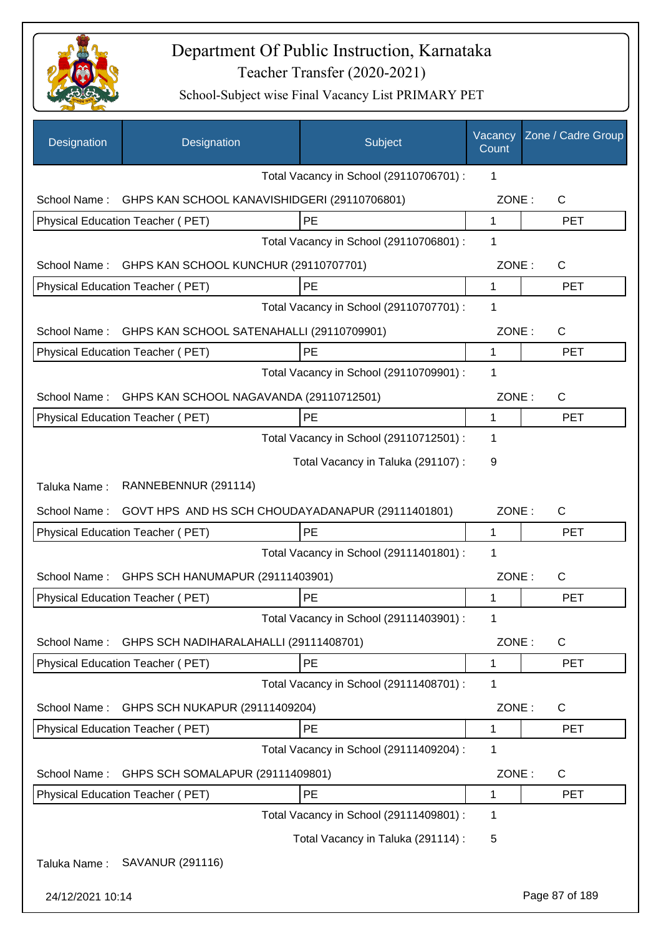

| Designation      | Designation                                       | Subject                                 | Vacancy<br>Count | Zone / Cadre Group |
|------------------|---------------------------------------------------|-----------------------------------------|------------------|--------------------|
|                  |                                                   | Total Vacancy in School (29110706701) : | 1                |                    |
| School Name:     | GHPS KAN SCHOOL KANAVISHIDGERI (29110706801)      |                                         | ZONE:            | $\mathsf{C}$       |
|                  | Physical Education Teacher (PET)                  | PE                                      | $\mathbf 1$      | <b>PET</b>         |
|                  |                                                   | Total Vacancy in School (29110706801) : | 1                |                    |
| School Name:     | GHPS KAN SCHOOL KUNCHUR (29110707701)             |                                         | ZONE:            | C                  |
|                  | Physical Education Teacher (PET)                  | PE                                      | 1                | <b>PET</b>         |
|                  |                                                   | Total Vacancy in School (29110707701) : | 1                |                    |
| School Name:     | GHPS KAN SCHOOL SATENAHALLI (29110709901)         |                                         | ZONE:            | $\mathsf{C}$       |
|                  | Physical Education Teacher (PET)                  | PE                                      | 1                | <b>PET</b>         |
|                  |                                                   | Total Vacancy in School (29110709901) : | 1                |                    |
| School Name:     | GHPS KAN SCHOOL NAGAVANDA (29110712501)           |                                         | ZONE:            | $\mathsf{C}$       |
|                  | Physical Education Teacher (PET)                  | <b>PE</b>                               | 1                | <b>PET</b>         |
|                  |                                                   | Total Vacancy in School (29110712501) : | 1                |                    |
|                  |                                                   | Total Vacancy in Taluka (291107) :      | 9                |                    |
| Taluka Name:     | RANNEBENNUR (291114)                              |                                         |                  |                    |
| School Name:     | GOVT HPS AND HS SCH CHOUDAYADANAPUR (29111401801) |                                         | ZONE:            | $\mathsf{C}$       |
|                  | Physical Education Teacher (PET)                  | PE                                      | 1                | <b>PET</b>         |
|                  |                                                   | Total Vacancy in School (29111401801) : | 1                |                    |
| School Name:     | GHPS SCH HANUMAPUR (29111403901)                  |                                         | ZONE:            | $\mathsf{C}$       |
|                  | Physical Education Teacher (PET)                  | PE                                      | 1                | <b>PET</b>         |
|                  |                                                   | Total Vacancy in School (29111403901) : | 1                |                    |
| School Name:     | GHPS SCH NADIHARALAHALLI (29111408701)            |                                         | ZONE:            | $\mathsf C$        |
|                  | Physical Education Teacher (PET)                  | PE                                      | 1                | <b>PET</b>         |
|                  |                                                   | Total Vacancy in School (29111408701) : | 1                |                    |
| School Name:     | GHPS SCH NUKAPUR (29111409204)                    |                                         | ZONE:            | C                  |
|                  | Physical Education Teacher (PET)                  | PE                                      | 1                | <b>PET</b>         |
|                  |                                                   | Total Vacancy in School (29111409204) : | 1                |                    |
| School Name:     | GHPS SCH SOMALAPUR (29111409801)                  |                                         | ZONE:            | C                  |
|                  | Physical Education Teacher (PET)                  | PE                                      | 1                | <b>PET</b>         |
|                  |                                                   | Total Vacancy in School (29111409801) : | 1                |                    |
|                  |                                                   | Total Vacancy in Taluka (291114) :      | 5                |                    |
| Taluka Name:     | SAVANUR (291116)                                  |                                         |                  |                    |
| 24/12/2021 10:14 |                                                   |                                         |                  | Page 87 of 189     |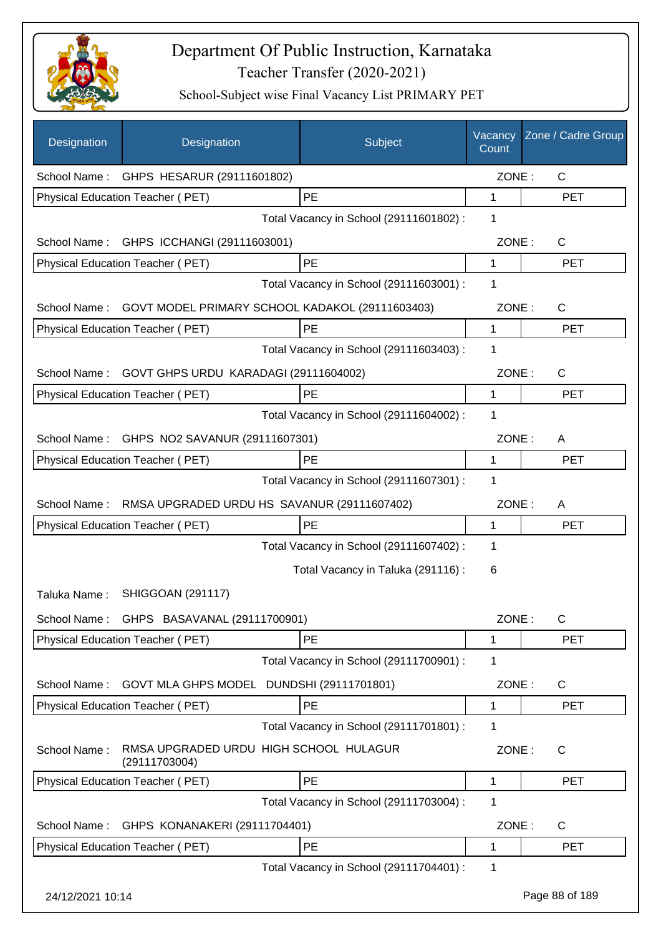

| Designation      | Designation                                             | Subject                                 | Vacancy<br>Count | Zone / Cadre Group |
|------------------|---------------------------------------------------------|-----------------------------------------|------------------|--------------------|
| School Name:     | GHPS HESARUR (29111601802)                              |                                         | ZONE:            | $\mathsf{C}$       |
|                  | Physical Education Teacher (PET)                        | PE                                      | 1                | <b>PET</b>         |
|                  |                                                         | Total Vacancy in School (29111601802):  | 1                |                    |
|                  | School Name: GHPS ICCHANGI (29111603001)                |                                         | ZONE:            | C                  |
|                  | Physical Education Teacher (PET)                        | <b>PE</b>                               | 1                | <b>PET</b>         |
|                  |                                                         | Total Vacancy in School (29111603001) : | 1                |                    |
| School Name:     | GOVT MODEL PRIMARY SCHOOL KADAKOL (29111603403)         |                                         | ZONE:            | C                  |
|                  | Physical Education Teacher (PET)                        | PE                                      | 1                | <b>PET</b>         |
|                  |                                                         | Total Vacancy in School (29111603403) : | 1                |                    |
| School Name:     | GOVT GHPS URDU KARADAGI (29111604002)                   |                                         | ZONE:            | C                  |
|                  | Physical Education Teacher (PET)                        | PE                                      | 1                | <b>PET</b>         |
|                  |                                                         | Total Vacancy in School (29111604002) : | 1                |                    |
|                  | School Name: GHPS NO2 SAVANUR (29111607301)             |                                         | ZONE:            | A                  |
|                  | Physical Education Teacher (PET)                        | PE                                      | 1                | <b>PET</b>         |
|                  |                                                         | Total Vacancy in School (29111607301) : | 1                |                    |
| School Name:     | RMSA UPGRADED URDU HS SAVANUR (29111607402)             |                                         | ZONE:            | A                  |
|                  | Physical Education Teacher (PET)                        | PE                                      | 1                | <b>PET</b>         |
|                  |                                                         | Total Vacancy in School (29111607402) : | 1                |                    |
|                  |                                                         | Total Vacancy in Taluka (291116) :      | 6                |                    |
| Taluka Name:     | <b>SHIGGOAN (291117)</b>                                |                                         |                  |                    |
|                  | School Name: GHPS BASAVANAL (29111700901)               |                                         | ZONE:            | C                  |
|                  | Physical Education Teacher (PET)                        | <b>PE</b>                               | 1                | <b>PET</b>         |
|                  |                                                         | Total Vacancy in School (29111700901) : | 1                |                    |
| School Name:     | GOVT MLA GHPS MODEL DUNDSHI (29111701801)               |                                         | ZONE:            | $\mathsf{C}$       |
|                  | Physical Education Teacher (PET)                        | PE                                      | 1                | <b>PET</b>         |
|                  |                                                         | Total Vacancy in School (29111701801) : | 1                |                    |
| School Name:     | RMSA UPGRADED URDU HIGH SCHOOL HULAGUR<br>(29111703004) |                                         | ZONE:            | $\mathsf{C}$       |
|                  | Physical Education Teacher (PET)                        | PE                                      | 1                | <b>PET</b>         |
|                  |                                                         | Total Vacancy in School (29111703004) : | 1                |                    |
| School Name:     | GHPS KONANAKERI (29111704401)                           |                                         | ZONE:            | C                  |
|                  | Physical Education Teacher (PET)                        | <b>PE</b>                               | 1                | <b>PET</b>         |
|                  |                                                         | Total Vacancy in School (29111704401) : | 1                |                    |
| 24/12/2021 10:14 |                                                         |                                         |                  | Page 88 of 189     |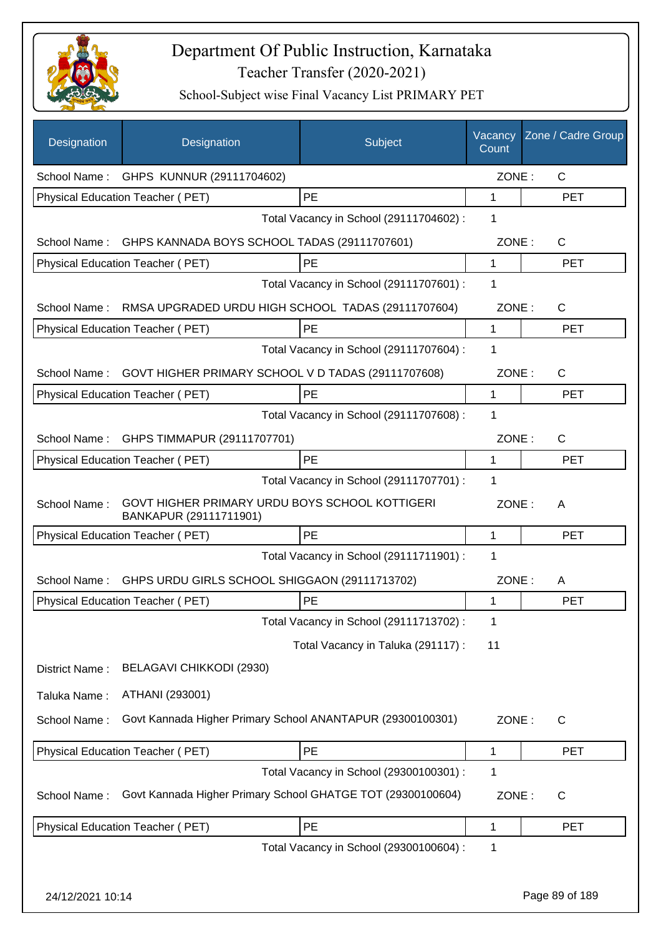

| Designation      | Designation                                                              | Subject                                 | Vacancy<br>Count | Zone / Cadre Group |
|------------------|--------------------------------------------------------------------------|-----------------------------------------|------------------|--------------------|
|                  | School Name: GHPS KUNNUR (29111704602)                                   |                                         | ZONE:            | C                  |
|                  | Physical Education Teacher (PET)                                         | PE                                      | 1                | <b>PET</b>         |
|                  |                                                                          | Total Vacancy in School (29111704602) : | 1                |                    |
|                  | School Name: GHPS KANNADA BOYS SCHOOL TADAS (29111707601)                |                                         | ZONE:            | $\mathsf{C}$       |
|                  | Physical Education Teacher (PET)                                         | PE                                      | $\mathbf 1$      | <b>PET</b>         |
|                  |                                                                          | Total Vacancy in School (29111707601) : | 1                |                    |
| School Name:     | RMSA UPGRADED URDU HIGH SCHOOL TADAS (29111707604)                       |                                         | ZONE:            | C                  |
|                  | Physical Education Teacher (PET)                                         | <b>PE</b>                               | 1                | <b>PET</b>         |
|                  |                                                                          | Total Vacancy in School (29111707604) : | 1                |                    |
| School Name:     | GOVT HIGHER PRIMARY SCHOOL V D TADAS (29111707608)                       |                                         | ZONE:            | C                  |
|                  | <b>Physical Education Teacher (PET)</b>                                  | PE                                      | $\mathbf 1$      | <b>PET</b>         |
|                  |                                                                          | Total Vacancy in School (29111707608) : | 1                |                    |
| School Name:     | GHPS TIMMAPUR (29111707701)                                              |                                         | ZONE:            | C                  |
|                  | Physical Education Teacher (PET)                                         | PE                                      | 1                | <b>PET</b>         |
|                  |                                                                          | Total Vacancy in School (29111707701) : | $\mathbf 1$      |                    |
| School Name:     | GOVT HIGHER PRIMARY URDU BOYS SCHOOL KOTTIGERI<br>BANKAPUR (29111711901) |                                         | ZONE:            | A                  |
|                  | Physical Education Teacher (PET)                                         | PE                                      | 1                | <b>PET</b>         |
|                  |                                                                          | Total Vacancy in School (29111711901) : | 1                |                    |
| School Name:     | GHPS URDU GIRLS SCHOOL SHIGGAON (29111713702)                            |                                         | ZONE:            | A                  |
|                  | Physical Education Teacher (PET)                                         | PE                                      | 1                | <b>PET</b>         |
|                  |                                                                          | Total Vacancy in School (29111713702) : | 1                |                    |
|                  |                                                                          | Total Vacancy in Taluka (291117) :      | 11               |                    |
| District Name:   | BELAGAVI CHIKKODI (2930)                                                 |                                         |                  |                    |
| Taluka Name:     | ATHANI (293001)                                                          |                                         |                  |                    |
| School Name:     | Govt Kannada Higher Primary School ANANTAPUR (29300100301)               |                                         | ZONE:            | C                  |
|                  | Physical Education Teacher (PET)                                         | PE                                      | 1                | <b>PET</b>         |
|                  |                                                                          | Total Vacancy in School (29300100301) : | 1                |                    |
| School Name:     | Govt Kannada Higher Primary School GHATGE TOT (29300100604)              |                                         | ZONE:            | $\mathsf C$        |
|                  | Physical Education Teacher (PET)                                         | PE                                      | 1                | <b>PET</b>         |
|                  |                                                                          | Total Vacancy in School (29300100604) : | 1                |                    |
|                  |                                                                          |                                         |                  |                    |
| 24/12/2021 10:14 |                                                                          |                                         |                  | Page 89 of 189     |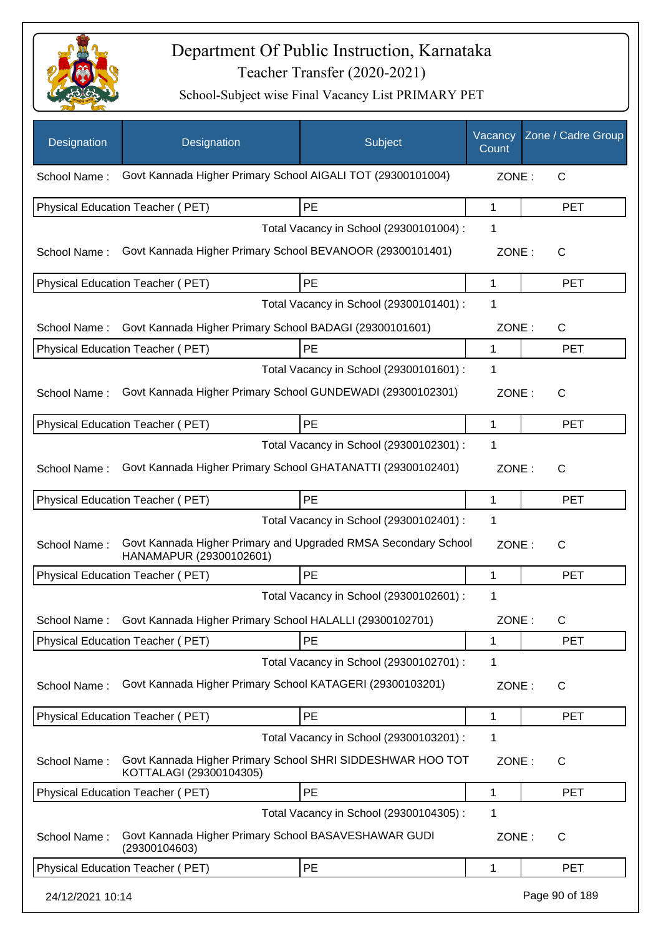

| Designation      | Designation                                                                               | Subject                                 | Vacancy<br>Count | Zone / Cadre Group |
|------------------|-------------------------------------------------------------------------------------------|-----------------------------------------|------------------|--------------------|
| School Name:     | Govt Kannada Higher Primary School AIGALI TOT (29300101004)                               |                                         | ZONE:            | $\mathsf{C}$       |
|                  | <b>Physical Education Teacher (PET)</b>                                                   | <b>PE</b>                               | 1                | <b>PET</b>         |
|                  |                                                                                           | Total Vacancy in School (29300101004) : | 1                |                    |
| School Name:     | Govt Kannada Higher Primary School BEVANOOR (29300101401)                                 |                                         | ZONE:            | $\mathsf{C}$       |
|                  | Physical Education Teacher (PET)                                                          | PE                                      | 1                | <b>PET</b>         |
|                  |                                                                                           | Total Vacancy in School (29300101401) : | 1                |                    |
| School Name:     | Govt Kannada Higher Primary School BADAGI (29300101601)                                   |                                         | ZONE:            | $\mathsf{C}$       |
|                  | Physical Education Teacher (PET)                                                          | PE                                      | 1                | <b>PET</b>         |
|                  |                                                                                           | Total Vacancy in School (29300101601) : | 1                |                    |
| School Name:     | Govt Kannada Higher Primary School GUNDEWADI (29300102301)                                |                                         | ZONE:            | C                  |
|                  | Physical Education Teacher (PET)                                                          | PE                                      | 1                | <b>PET</b>         |
|                  |                                                                                           | Total Vacancy in School (29300102301) : | 1                |                    |
| School Name:     | Govt Kannada Higher Primary School GHATANATTI (29300102401)                               |                                         | ZONE:            | $\mathsf{C}$       |
|                  | Physical Education Teacher (PET)                                                          | PE                                      | 1                | <b>PET</b>         |
|                  |                                                                                           | Total Vacancy in School (29300102401) : | 1                |                    |
| School Name:     | Govt Kannada Higher Primary and Upgraded RMSA Secondary School<br>HANAMAPUR (29300102601) |                                         | ZONE:            | $\mathsf{C}$       |
|                  | <b>Physical Education Teacher (PET)</b>                                                   | PE                                      | $\mathbf 1$      | <b>PET</b>         |
|                  |                                                                                           | Total Vacancy in School (29300102601) : | 1                |                    |
| School Name:     | Govt Kannada Higher Primary School HALALLI (29300102701)                                  |                                         | ZONE:            | $\mathsf C$        |
|                  | Physical Education Teacher (PET)                                                          | PE                                      | 1                | <b>PET</b>         |
|                  |                                                                                           | Total Vacancy in School (29300102701) : | 1                |                    |
| School Name:     | Govt Kannada Higher Primary School KATAGERI (29300103201)                                 |                                         | ZONE:            | C                  |
|                  | Physical Education Teacher (PET)                                                          | PE                                      | 1                | <b>PET</b>         |
|                  |                                                                                           | Total Vacancy in School (29300103201) : | 1                |                    |
| School Name:     | Govt Kannada Higher Primary School SHRI SIDDESHWAR HOO TOT<br>KOTTALAGI (29300104305)     |                                         | ZONE:            | $\mathsf{C}$       |
|                  | Physical Education Teacher (PET)                                                          | PE                                      | 1                | <b>PET</b>         |
|                  |                                                                                           | Total Vacancy in School (29300104305) : | 1                |                    |
| School Name:     | Govt Kannada Higher Primary School BASAVESHAWAR GUDI<br>(29300104603)                     |                                         | ZONE:            | C                  |
|                  | Physical Education Teacher (PET)                                                          | PE                                      | 1                | PET                |
| 24/12/2021 10:14 |                                                                                           |                                         |                  | Page 90 of 189     |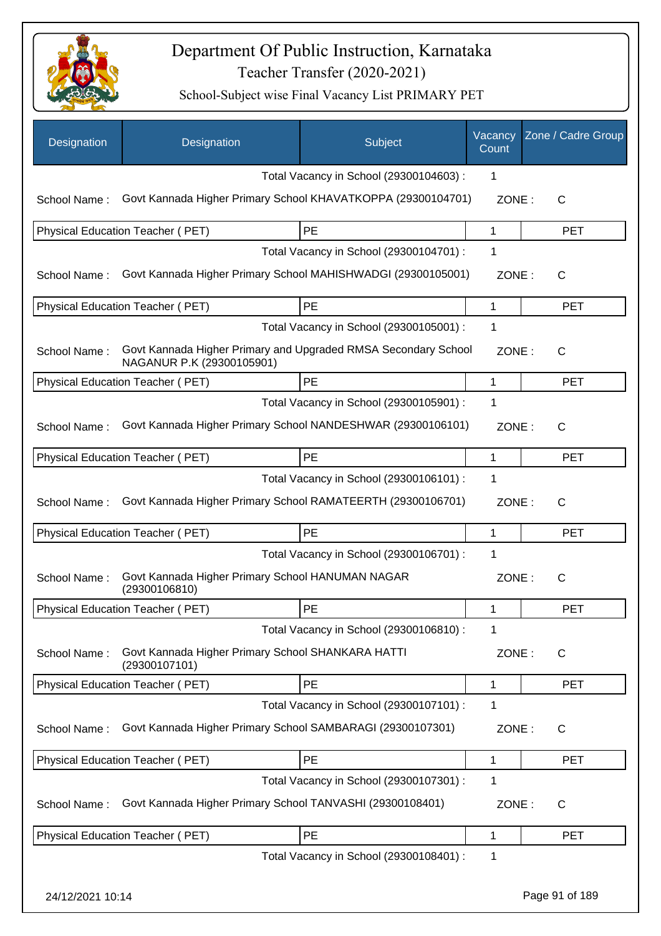

| Designation      | Designation                                                                                 | Subject                                 | Vacancy<br>Count | Zone / Cadre Group |
|------------------|---------------------------------------------------------------------------------------------|-----------------------------------------|------------------|--------------------|
|                  |                                                                                             | Total Vacancy in School (29300104603) : | 1                |                    |
| School Name:     | Govt Kannada Higher Primary School KHAVATKOPPA (29300104701)                                |                                         | ZONE:            | $\mathsf{C}$       |
|                  | <b>Physical Education Teacher (PET)</b>                                                     | PE                                      | 1                | <b>PET</b>         |
|                  |                                                                                             | Total Vacancy in School (29300104701) : | 1                |                    |
| School Name:     | Govt Kannada Higher Primary School MAHISHWADGI (29300105001)                                |                                         | ZONE:            | C                  |
|                  | Physical Education Teacher (PET)                                                            | PE                                      | 1                | <b>PET</b>         |
|                  |                                                                                             | Total Vacancy in School (29300105001) : | 1                |                    |
| School Name:     | Govt Kannada Higher Primary and Upgraded RMSA Secondary School<br>NAGANUR P.K (29300105901) |                                         | ZONE:            | C                  |
|                  | Physical Education Teacher (PET)                                                            | PE                                      | 1                | <b>PET</b>         |
|                  |                                                                                             | Total Vacancy in School (29300105901) : | 1                |                    |
| School Name:     | Govt Kannada Higher Primary School NANDESHWAR (29300106101)                                 |                                         | ZONE:            | $\mathsf{C}$       |
|                  | Physical Education Teacher (PET)                                                            | PE                                      | 1                | <b>PET</b>         |
|                  |                                                                                             | Total Vacancy in School (29300106101) : | 1                |                    |
| School Name:     | Govt Kannada Higher Primary School RAMATEERTH (29300106701)                                 |                                         | ZONE:            | $\mathsf{C}$       |
|                  | Physical Education Teacher (PET)                                                            | PE                                      | 1                | <b>PET</b>         |
|                  |                                                                                             | Total Vacancy in School (29300106701) : | 1                |                    |
| School Name:     | Govt Kannada Higher Primary School HANUMAN NAGAR<br>(29300106810)                           |                                         | ZONE:            | C                  |
|                  | Physical Education Teacher (PET)                                                            | PE                                      | 1                | <b>PET</b>         |
|                  |                                                                                             | Total Vacancy in School (29300106810) : | 1                |                    |
| School Name:     | Govt Kannada Higher Primary School SHANKARA HATTI<br>(29300107101)                          |                                         | ZONE:            | C                  |
|                  | Physical Education Teacher (PET)                                                            | PE                                      | 1                | <b>PET</b>         |
|                  |                                                                                             | Total Vacancy in School (29300107101) : | 1                |                    |
| School Name:     | Govt Kannada Higher Primary School SAMBARAGI (29300107301)                                  |                                         | ZONE:            | C                  |
|                  | Physical Education Teacher (PET)                                                            | PE                                      | 1                | PET                |
|                  |                                                                                             | Total Vacancy in School (29300107301) : | 1                |                    |
| School Name:     | Govt Kannada Higher Primary School TANVASHI (29300108401)                                   |                                         | ZONE:            | C                  |
|                  | Physical Education Teacher (PET)                                                            | PE                                      | 1                | <b>PET</b>         |
|                  |                                                                                             | Total Vacancy in School (29300108401) : | 1                |                    |
| 24/12/2021 10:14 |                                                                                             |                                         |                  | Page 91 of 189     |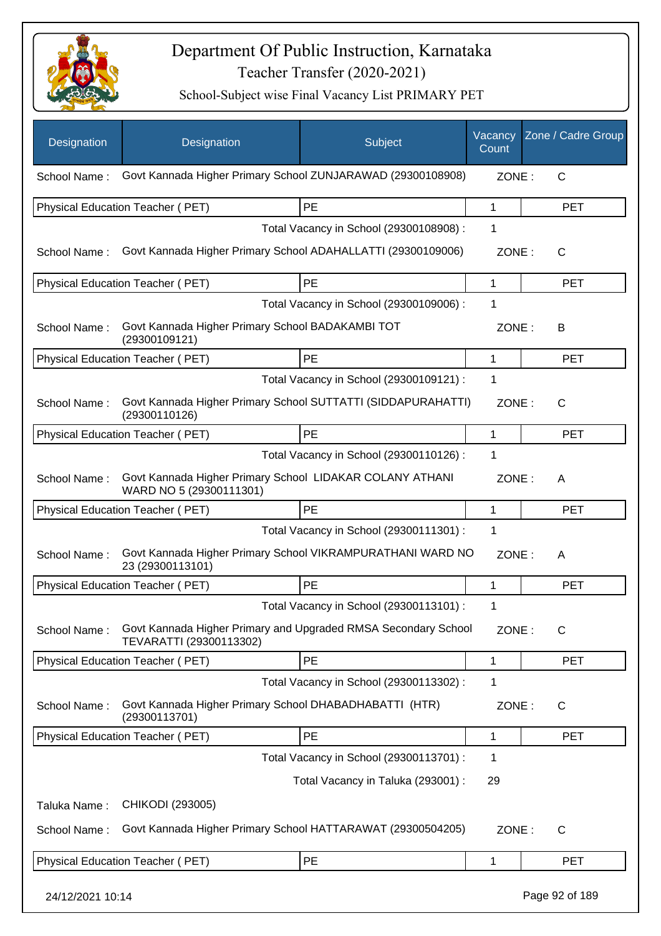

| Designation      | Designation                                                                               | Subject                                 | Vacancy<br>Count | Zone / Cadre Group |
|------------------|-------------------------------------------------------------------------------------------|-----------------------------------------|------------------|--------------------|
| School Name:     | Govt Kannada Higher Primary School ZUNJARAWAD (29300108908)                               |                                         | ZONE:            | C                  |
|                  | Physical Education Teacher (PET)                                                          | PE                                      | 1                | <b>PET</b>         |
|                  |                                                                                           | Total Vacancy in School (29300108908) : | 1                |                    |
| School Name:     | Govt Kannada Higher Primary School ADAHALLATTI (29300109006)                              |                                         | ZONE:            | C                  |
|                  | Physical Education Teacher (PET)                                                          | PE                                      | 1                | <b>PET</b>         |
|                  |                                                                                           | Total Vacancy in School (29300109006) : | 1                |                    |
| School Name:     | Govt Kannada Higher Primary School BADAKAMBI TOT<br>(29300109121)                         |                                         | ZONE:            | B                  |
|                  | Physical Education Teacher (PET)                                                          | PE                                      | 1                | <b>PET</b>         |
|                  |                                                                                           | Total Vacancy in School (29300109121) : | 1                |                    |
| School Name:     | Govt Kannada Higher Primary School SUTTATTI (SIDDAPURAHATTI)<br>(29300110126)             |                                         | ZONE:            | C                  |
|                  | Physical Education Teacher (PET)                                                          | PE                                      | 1                | <b>PET</b>         |
|                  |                                                                                           | Total Vacancy in School (29300110126) : | 1                |                    |
| School Name:     | Govt Kannada Higher Primary School LIDAKAR COLANY ATHANI<br>WARD NO 5 (29300111301)       |                                         | ZONE:            | A                  |
|                  | Physical Education Teacher (PET)                                                          | PE                                      | 1                | <b>PET</b>         |
|                  |                                                                                           | Total Vacancy in School (29300111301) : | 1                |                    |
| School Name:     | Govt Kannada Higher Primary School VIKRAMPURATHANI WARD NO<br>23 (29300113101)            |                                         | ZONE:            | A                  |
|                  | Physical Education Teacher (PET)                                                          | PE                                      | 1                | <b>PET</b>         |
|                  |                                                                                           | Total Vacancy in School (29300113101) : | 1                |                    |
| School Name:     | Govt Kannada Higher Primary and Upgraded RMSA Secondary School<br>TEVARATTI (29300113302) |                                         | ZONE:            | $\mathsf{C}$       |
|                  | Physical Education Teacher (PET)                                                          | PE                                      | 1                | <b>PET</b>         |
|                  |                                                                                           | Total Vacancy in School (29300113302) : | 1                |                    |
| School Name:     | Govt Kannada Higher Primary School DHABADHABATTI (HTR)<br>(29300113701)                   |                                         | ZONE:            | C                  |
|                  | Physical Education Teacher (PET)                                                          | PE                                      | 1                | <b>PET</b>         |
|                  |                                                                                           | Total Vacancy in School (29300113701) : | 1                |                    |
|                  |                                                                                           | Total Vacancy in Taluka (293001) :      | 29               |                    |
| Taluka Name:     | CHIKODI (293005)                                                                          |                                         |                  |                    |
| School Name:     | Govt Kannada Higher Primary School HATTARAWAT (29300504205)                               |                                         | ZONE:            | C                  |
|                  | Physical Education Teacher (PET)                                                          | PE                                      | 1                | <b>PET</b>         |
| 24/12/2021 10:14 |                                                                                           |                                         |                  | Page 92 of 189     |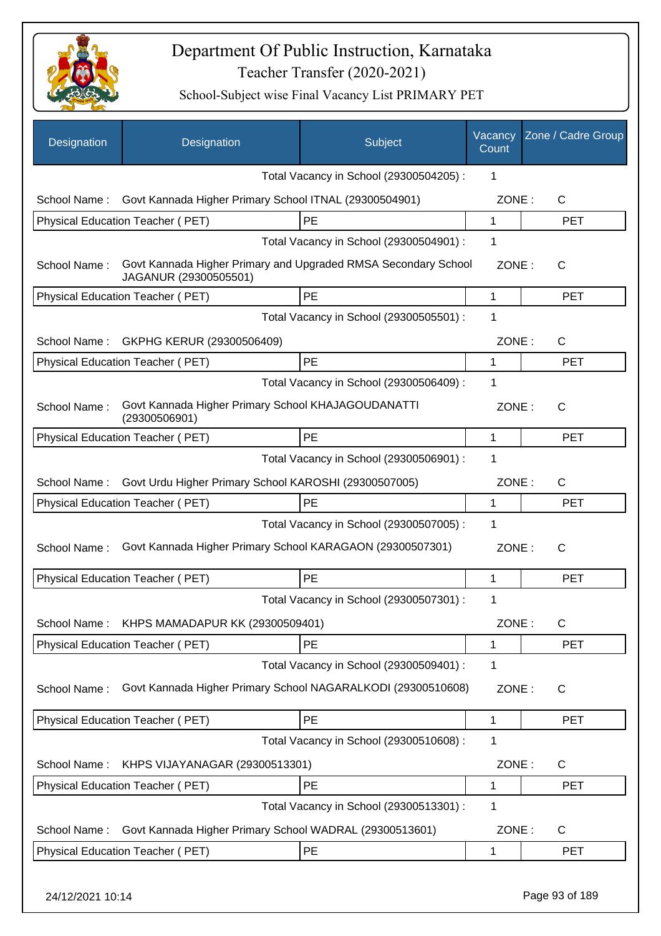

| Designation  | Designation                                                                             | Subject                                 | Vacancy<br>Count | Zone / Cadre Group |
|--------------|-----------------------------------------------------------------------------------------|-----------------------------------------|------------------|--------------------|
|              |                                                                                         | Total Vacancy in School (29300504205) : | 1                |                    |
| School Name: | Govt Kannada Higher Primary School ITNAL (29300504901)                                  |                                         | ZONE:            | C                  |
|              | Physical Education Teacher (PET)                                                        | PE                                      | 1                | <b>PET</b>         |
|              |                                                                                         | Total Vacancy in School (29300504901) : | 1                |                    |
| School Name: | Govt Kannada Higher Primary and Upgraded RMSA Secondary School<br>JAGANUR (29300505501) |                                         | ZONE:            | C                  |
|              | Physical Education Teacher (PET)                                                        | PE                                      | 1                | <b>PET</b>         |
|              |                                                                                         | Total Vacancy in School (29300505501) : | 1                |                    |
| School Name: | GKPHG KERUR (29300506409)                                                               |                                         | ZONE:            | $\mathsf{C}$       |
|              | Physical Education Teacher (PET)                                                        | PE                                      | 1                | <b>PET</b>         |
|              |                                                                                         | Total Vacancy in School (29300506409) : | 1                |                    |
| School Name: | Govt Kannada Higher Primary School KHAJAGOUDANATTI<br>(29300506901)                     |                                         | ZONE:            | $\mathsf{C}$       |
|              | Physical Education Teacher (PET)                                                        | PE                                      | 1                | <b>PET</b>         |
|              |                                                                                         | Total Vacancy in School (29300506901) : | 1                |                    |
| School Name: | Govt Urdu Higher Primary School KAROSHI (29300507005)                                   |                                         | ZONE:            | $\mathsf{C}$       |
|              | Physical Education Teacher (PET)                                                        | PE                                      | 1                | <b>PET</b>         |
|              |                                                                                         | Total Vacancy in School (29300507005) : | 1                |                    |
| School Name: | Govt Kannada Higher Primary School KARAGAON (29300507301)                               |                                         | ZONE:            | $\mathsf{C}$       |
|              | Physical Education Teacher (PET)                                                        | PE                                      | 1                | <b>PET</b>         |
|              |                                                                                         | Total Vacancy in School (29300507301) : | 1                |                    |
| School Name: | KHPS MAMADAPUR KK (29300509401)                                                         |                                         | ZONE:            | $\mathsf C$        |
|              | Physical Education Teacher (PET)                                                        | PE                                      | 1                | <b>PET</b>         |
|              |                                                                                         | Total Vacancy in School (29300509401) : | 1                |                    |
| School Name: | Govt Kannada Higher Primary School NAGARALKODI (29300510608)                            |                                         | ZONE:            | C                  |
|              | Physical Education Teacher (PET)                                                        | PE                                      | 1                | <b>PET</b>         |
|              |                                                                                         | Total Vacancy in School (29300510608) : | 1                |                    |
| School Name: | KHPS VIJAYANAGAR (29300513301)                                                          |                                         | ZONE:            | $\mathsf{C}$       |
|              | Physical Education Teacher (PET)                                                        | PE                                      | 1                | <b>PET</b>         |
|              |                                                                                         | Total Vacancy in School (29300513301) : | 1                |                    |
| School Name: | Govt Kannada Higher Primary School WADRAL (29300513601)                                 |                                         | ZONE:            | $\mathsf{C}$       |
|              | Physical Education Teacher (PET)                                                        | PE                                      | 1                | <b>PET</b>         |
|              |                                                                                         |                                         |                  |                    |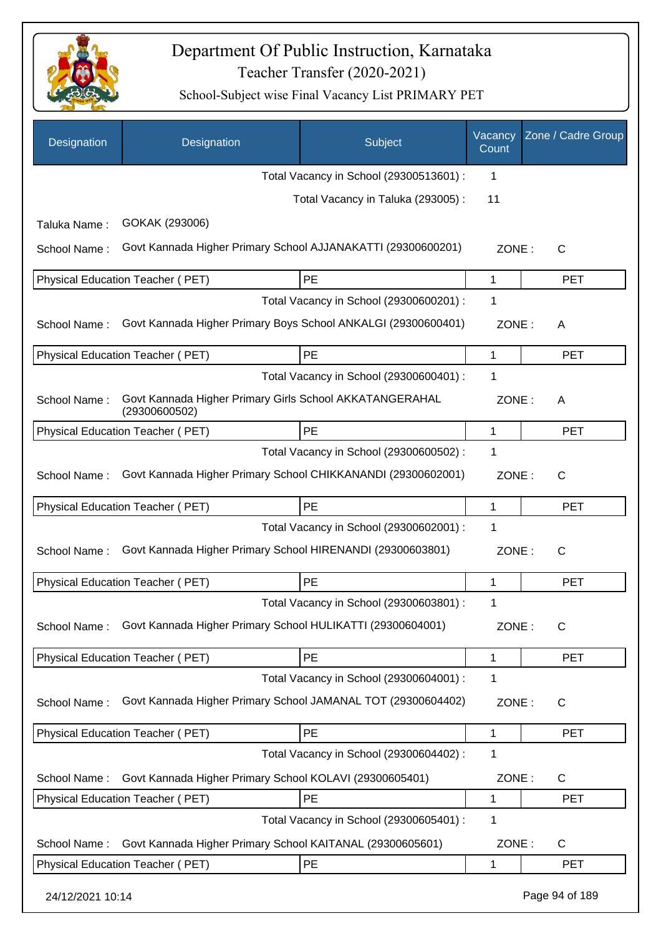

| Designation      | Designation                                                              | Subject                                 | Vacancy<br>Count | Zone / Cadre Group |
|------------------|--------------------------------------------------------------------------|-----------------------------------------|------------------|--------------------|
|                  |                                                                          | Total Vacancy in School (29300513601) : | 1                |                    |
|                  |                                                                          | Total Vacancy in Taluka (293005):       | 11               |                    |
| Taluka Name:     | GOKAK (293006)                                                           |                                         |                  |                    |
| School Name:     | Govt Kannada Higher Primary School AJJANAKATTI (29300600201)             |                                         | ZONE:            | C                  |
|                  | Physical Education Teacher (PET)                                         | PE                                      | 1                | <b>PET</b>         |
|                  |                                                                          | Total Vacancy in School (29300600201) : | 1                |                    |
| School Name:     | Govt Kannada Higher Primary Boys School ANKALGI (29300600401)            |                                         | ZONE:            | A                  |
|                  | Physical Education Teacher (PET)                                         | PE                                      | 1                | <b>PET</b>         |
|                  |                                                                          | Total Vacancy in School (29300600401) : | 1                |                    |
| School Name:     | Govt Kannada Higher Primary Girls School AKKATANGERAHAL<br>(29300600502) |                                         | ZONE:            | A                  |
|                  | Physical Education Teacher (PET)                                         | PE                                      | 1                | <b>PET</b>         |
|                  |                                                                          | Total Vacancy in School (29300600502) : | 1                |                    |
| School Name:     | Govt Kannada Higher Primary School CHIKKANANDI (29300602001)             |                                         | ZONE:            | C                  |
|                  | Physical Education Teacher (PET)                                         | <b>PE</b>                               | 1                | <b>PET</b>         |
|                  |                                                                          | Total Vacancy in School (29300602001) : | 1                |                    |
| School Name:     | Govt Kannada Higher Primary School HIRENANDI (29300603801)               |                                         | ZONE:            | С                  |
|                  | Physical Education Teacher (PET)                                         | PE                                      | 1                | <b>PET</b>         |
|                  |                                                                          | Total Vacancy in School (29300603801) : | 1                |                    |
| School Name:     | Govt Kannada Higher Primary School HULIKATTI (29300604001)               |                                         | ZONE:            | С                  |
|                  | <b>Physical Education Teacher (PET)</b>                                  | PE                                      | 1                | <b>PET</b>         |
|                  |                                                                          | Total Vacancy in School (29300604001) : | 1                |                    |
| School Name:     | Govt Kannada Higher Primary School JAMANAL TOT (29300604402)             |                                         | ZONE:            | C                  |
|                  | Physical Education Teacher (PET)                                         | PE                                      | 1                | PET                |
|                  |                                                                          | Total Vacancy in School (29300604402) : | 1                |                    |
| School Name:     | Govt Kannada Higher Primary School KOLAVI (29300605401)                  |                                         | ZONE:            | C                  |
|                  | Physical Education Teacher (PET)                                         | PE                                      | 1                | <b>PET</b>         |
|                  |                                                                          | Total Vacancy in School (29300605401) : | 1                |                    |
| School Name:     | Govt Kannada Higher Primary School KAITANAL (29300605601)                |                                         | ZONE:            | C                  |
|                  | Physical Education Teacher (PET)                                         | PE                                      | 1                | <b>PET</b>         |
| 24/12/2021 10:14 |                                                                          |                                         |                  | Page 94 of 189     |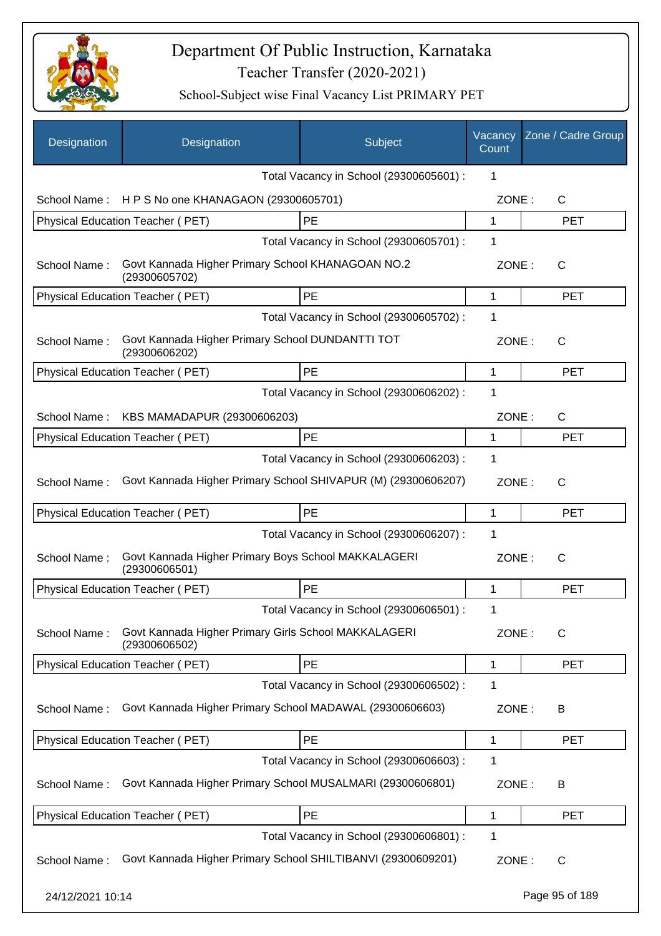

| Designation      | Designation                                                           | Subject                                 | Vacancy<br>Count | Zone / Cadre Group |
|------------------|-----------------------------------------------------------------------|-----------------------------------------|------------------|--------------------|
|                  |                                                                       | Total Vacancy in School (29300605601) : | 1                |                    |
| School Name:     | HPS No one KHANAGAON (29300605701)                                    |                                         | ZONE:            | C                  |
|                  | Physical Education Teacher (PET)                                      | PE                                      | 1                | <b>PET</b>         |
|                  |                                                                       | Total Vacancy in School (29300605701) : | 1                |                    |
| School Name:     | Govt Kannada Higher Primary School KHANAGOAN NO.2<br>(29300605702)    |                                         | ZONE:            | $\mathsf{C}$       |
|                  | Physical Education Teacher (PET)                                      | PE                                      | 1                | <b>PET</b>         |
|                  |                                                                       | Total Vacancy in School (29300605702) : | 1                |                    |
| School Name:     | Govt Kannada Higher Primary School DUNDANTTI TOT<br>(29300606202)     |                                         | ZONE:            | $\mathsf{C}$       |
|                  | Physical Education Teacher (PET)                                      | PE                                      | 1                | <b>PET</b>         |
|                  |                                                                       | Total Vacancy in School (29300606202) : | 1                |                    |
| School Name:     | KBS MAMADAPUR (29300606203)                                           |                                         | ZONE:            | C                  |
|                  | Physical Education Teacher (PET)                                      | PE                                      | 1                | <b>PET</b>         |
|                  |                                                                       | Total Vacancy in School (29300606203) : | 1                |                    |
| School Name:     | Govt Kannada Higher Primary School SHIVAPUR (M) (29300606207)         |                                         | ZONE:            | C                  |
|                  | Physical Education Teacher (PET)                                      | PE                                      | 1                | <b>PET</b>         |
|                  |                                                                       | Total Vacancy in School (29300606207) : | 1                |                    |
| School Name:     | Govt Kannada Higher Primary Boys School MAKKALAGERI<br>(29300606501)  |                                         | ZONE:            | $\mathsf{C}$       |
|                  | Physical Education Teacher (PET)                                      | PE                                      | 1                | <b>PET</b>         |
|                  |                                                                       | Total Vacancy in School (29300606501) : | 1                |                    |
| School Name:     | Govt Kannada Higher Primary Girls School MAKKALAGERI<br>(29300606502) |                                         | ZONE:            | $\mathsf{C}$       |
|                  | Physical Education Teacher (PET)                                      | PE                                      | 1                | <b>PET</b>         |
|                  |                                                                       | Total Vacancy in School (29300606502) : | 1                |                    |
| School Name:     | Govt Kannada Higher Primary School MADAWAL (29300606603)              |                                         | ZONE:            | B                  |
|                  | Physical Education Teacher (PET)                                      | PE                                      | 1                | <b>PET</b>         |
|                  |                                                                       | Total Vacancy in School (29300606603) : | 1                |                    |
| School Name:     | Govt Kannada Higher Primary School MUSALMARI (29300606801)            |                                         | ZONE:            | B                  |
|                  | Physical Education Teacher (PET)                                      | PE                                      | 1                | <b>PET</b>         |
|                  |                                                                       | Total Vacancy in School (29300606801) : | 1                |                    |
| School Name:     | Govt Kannada Higher Primary School SHILTIBANVI (29300609201)          |                                         | ZONE:            | $\mathsf{C}$       |
| 24/12/2021 10:14 |                                                                       |                                         |                  | Page 95 of 189     |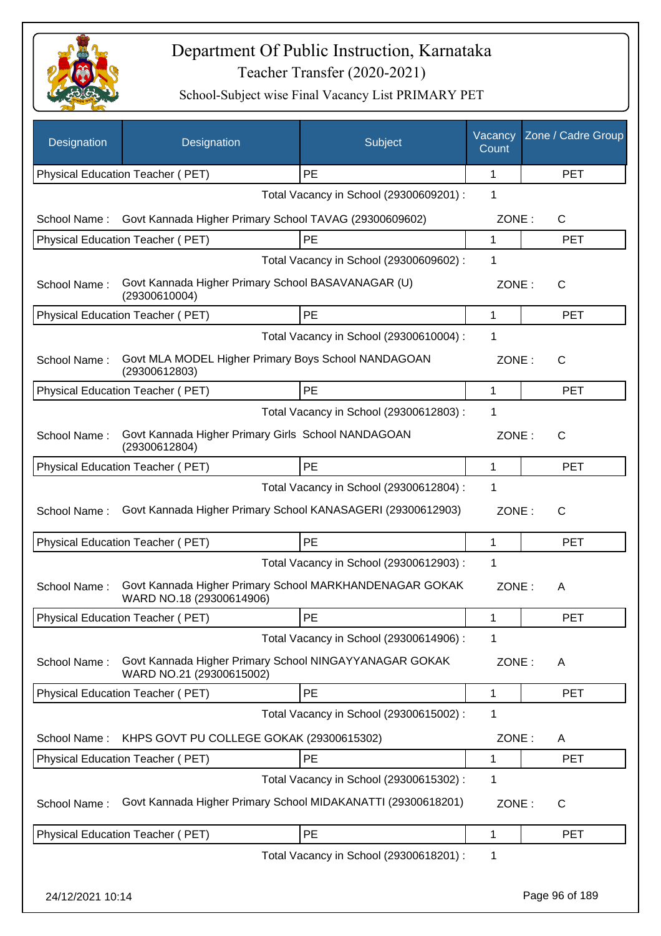

| Designation      | Designation                                                                         | Subject                                 | Vacancy<br>Count | Zone / Cadre Group |
|------------------|-------------------------------------------------------------------------------------|-----------------------------------------|------------------|--------------------|
|                  | Physical Education Teacher (PET)                                                    | <b>PE</b>                               | 1                | <b>PET</b>         |
|                  |                                                                                     | Total Vacancy in School (29300609201) : | 1                |                    |
| School Name:     | Govt Kannada Higher Primary School TAVAG (29300609602)                              |                                         | ZONE:            | C                  |
|                  | Physical Education Teacher (PET)                                                    | PE                                      | 1                | <b>PET</b>         |
|                  |                                                                                     | Total Vacancy in School (29300609602) : | 1                |                    |
| School Name:     | Govt Kannada Higher Primary School BASAVANAGAR (U)<br>(29300610004)                 |                                         | ZONE:            | $\mathsf{C}$       |
|                  | Physical Education Teacher (PET)                                                    | PE                                      | 1                | <b>PET</b>         |
|                  |                                                                                     | Total Vacancy in School (29300610004) : | $\mathbf 1$      |                    |
| School Name:     | Govt MLA MODEL Higher Primary Boys School NANDAGOAN<br>(29300612803)                |                                         | ZONE:            | $\mathsf{C}$       |
|                  | <b>Physical Education Teacher (PET)</b>                                             | PE                                      | 1                | <b>PET</b>         |
|                  |                                                                                     | Total Vacancy in School (29300612803) : | 1                |                    |
| School Name:     | Govt Kannada Higher Primary Girls School NANDAGOAN<br>(29300612804)                 |                                         | ZONE:            | $\mathsf{C}$       |
|                  | Physical Education Teacher (PET)                                                    | PE                                      | 1                | <b>PET</b>         |
|                  |                                                                                     | Total Vacancy in School (29300612804) : | 1                |                    |
| School Name:     | Govt Kannada Higher Primary School KANASAGERI (29300612903)                         |                                         | ZONE:            | $\mathsf{C}$       |
|                  | Physical Education Teacher (PET)                                                    | PE                                      | 1                | <b>PET</b>         |
|                  |                                                                                     | Total Vacancy in School (29300612903) : | $\mathbf 1$      |                    |
| School Name:     | Govt Kannada Higher Primary School MARKHANDENAGAR GOKAK<br>WARD NO.18 (29300614906) |                                         | ZONE:            | Α                  |
|                  | Physical Education Teacher (PET)                                                    | PE                                      | 1                | PE I               |
|                  |                                                                                     | Total Vacancy in School (29300614906) : | 1                |                    |
| School Name:     | Govt Kannada Higher Primary School NINGAYYANAGAR GOKAK<br>WARD NO.21 (29300615002)  |                                         | ZONE:            | A                  |
|                  | Physical Education Teacher (PET)                                                    | PE                                      | 1                | <b>PET</b>         |
|                  |                                                                                     | Total Vacancy in School (29300615002) : | 1                |                    |
| School Name:     | KHPS GOVT PU COLLEGE GOKAK (29300615302)                                            |                                         | ZONE:            | A                  |
|                  | Physical Education Teacher (PET)                                                    | PE                                      | 1                | <b>PET</b>         |
|                  |                                                                                     | Total Vacancy in School (29300615302) : | 1                |                    |
| School Name:     | Govt Kannada Higher Primary School MIDAKANATTI (29300618201)                        |                                         | ZONE:            | C                  |
|                  | Physical Education Teacher (PET)                                                    | PE                                      | 1                | <b>PET</b>         |
|                  |                                                                                     | Total Vacancy in School (29300618201) : | 1                |                    |
| 24/12/2021 10:14 |                                                                                     |                                         |                  | Page 96 of 189     |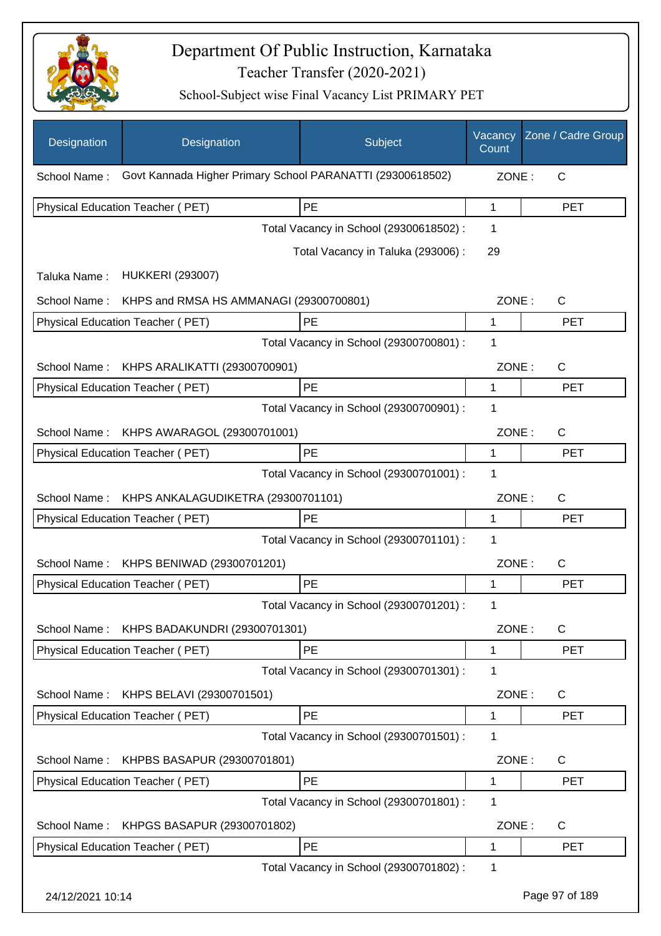

| Designation      | Designation                                                | Subject                                 | Vacancy<br>Count | Zone / Cadre Group |
|------------------|------------------------------------------------------------|-----------------------------------------|------------------|--------------------|
| School Name:     | Govt Kannada Higher Primary School PARANATTI (29300618502) |                                         |                  |                    |
|                  | Physical Education Teacher (PET)                           | PE                                      | 1                | <b>PET</b>         |
|                  |                                                            | Total Vacancy in School (29300618502) : | 1                |                    |
| Taluka Name:     | <b>HUKKERI (293007)</b>                                    | Total Vacancy in Taluka (293006) :      | 29               |                    |
| School Name:     | KHPS and RMSA HS AMMANAGI (29300700801)                    |                                         | ZONE:            | $\mathsf{C}$       |
|                  | Physical Education Teacher (PET)                           | PE                                      | 1                | <b>PET</b>         |
|                  |                                                            | Total Vacancy in School (29300700801) : | 1                |                    |
| School Name:     | KHPS ARALIKATTI (29300700901)                              |                                         | ZONE:            | C                  |
|                  | Physical Education Teacher (PET)                           | PE                                      | 1                | <b>PET</b>         |
|                  |                                                            | Total Vacancy in School (29300700901) : | 1                |                    |
| School Name:     | KHPS AWARAGOL (29300701001)                                |                                         | ZONE:            | C                  |
|                  | Physical Education Teacher (PET)                           | PE                                      | 1                | <b>PET</b>         |
|                  |                                                            | Total Vacancy in School (29300701001) : | 1                |                    |
| School Name:     | KHPS ANKALAGUDIKETRA (29300701101)                         |                                         | ZONE:            | С                  |
|                  | Physical Education Teacher (PET)                           | PE                                      | 1                | <b>PET</b>         |
|                  |                                                            | Total Vacancy in School (29300701101) : | 1                |                    |
| School Name:     | KHPS BENIWAD (29300701201)                                 |                                         | ZONE:            | C                  |
|                  | Physical Education Teacher (PET)                           | PE                                      | 1                | <b>PET</b>         |
|                  |                                                            | Total Vacancy in School (29300701201) : | 1                |                    |
|                  | School Name: KHPS BADAKUNDRI (29300701301)                 |                                         | ZONE:            | $\mathsf{C}$       |
|                  | <b>Physical Education Teacher (PET)</b>                    | PE                                      | 1                | <b>PET</b>         |
|                  |                                                            | Total Vacancy in School (29300701301) : | 1                |                    |
| School Name:     | KHPS BELAVI (29300701501)                                  |                                         | ZONE:            | C                  |
|                  | Physical Education Teacher (PET)                           | PE                                      | 1                | <b>PET</b>         |
|                  |                                                            | Total Vacancy in School (29300701501) : | 1                |                    |
| School Name:     | KHPBS BASAPUR (29300701801)                                |                                         | ZONE:            | C                  |
|                  | Physical Education Teacher (PET)                           | PE                                      | 1                | <b>PET</b>         |
|                  |                                                            | Total Vacancy in School (29300701801) : | 1                |                    |
| School Name:     | KHPGS BASAPUR (29300701802)                                |                                         | ZONE:            | C                  |
|                  | Physical Education Teacher (PET)                           | PE                                      | 1                | <b>PET</b>         |
|                  |                                                            | Total Vacancy in School (29300701802) : | 1                |                    |
| 24/12/2021 10:14 |                                                            |                                         |                  | Page 97 of 189     |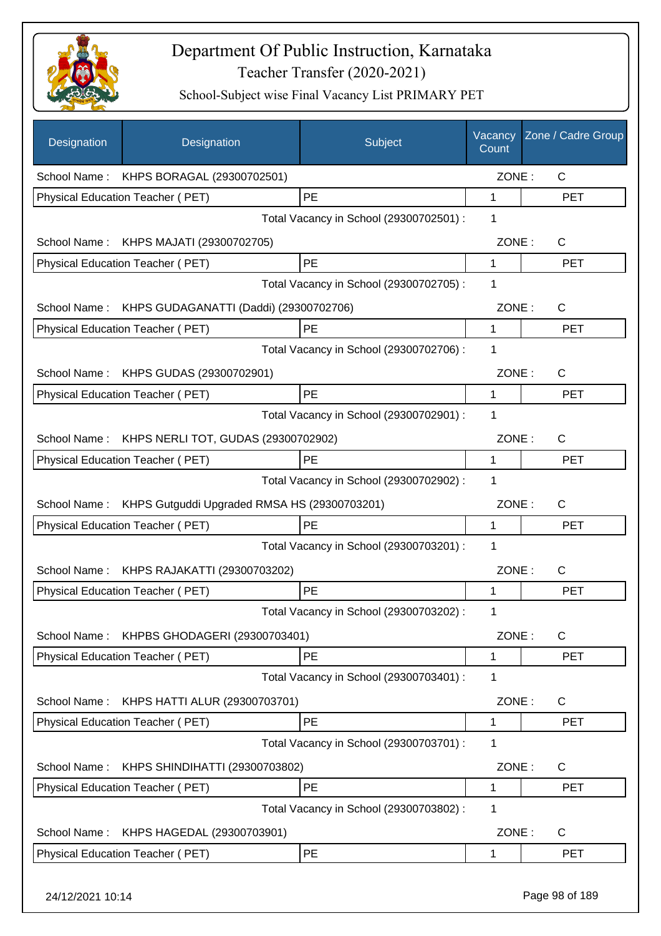

| <b>Designation</b> | Designation                                      | Subject                                 | Vacancy<br>Count | Zone / Cadre Group |
|--------------------|--------------------------------------------------|-----------------------------------------|------------------|--------------------|
|                    | School Name: KHPS BORAGAL (29300702501)          |                                         | ZONE:            | $\mathsf{C}$       |
|                    | Physical Education Teacher (PET)                 | PE                                      | 1                | <b>PET</b>         |
|                    |                                                  | Total Vacancy in School (29300702501) : | 1                |                    |
|                    | School Name: KHPS MAJATI (29300702705)           |                                         | ZONE:            | $\mathsf{C}$       |
|                    | Physical Education Teacher (PET)                 | PE                                      | 1                | <b>PET</b>         |
|                    |                                                  | Total Vacancy in School (29300702705) : | 1                |                    |
| School Name:       | KHPS GUDAGANATTI (Daddi) (29300702706)           |                                         | ZONE:            | C                  |
|                    | Physical Education Teacher (PET)                 | PE                                      | $\mathbf{1}$     | <b>PET</b>         |
|                    |                                                  | Total Vacancy in School (29300702706) : | 1                |                    |
|                    | School Name: KHPS GUDAS (29300702901)            |                                         | ZONE:            | $\mathsf{C}$       |
|                    | <b>Physical Education Teacher (PET)</b>          | <b>PE</b>                               | 1                | <b>PET</b>         |
|                    |                                                  | Total Vacancy in School (29300702901) : | 1                |                    |
|                    | School Name: KHPS NERLI TOT, GUDAS (29300702902) |                                         | ZONE:            | $\mathsf{C}$       |
|                    | Physical Education Teacher (PET)                 | <b>PE</b>                               | 1                | <b>PET</b>         |
|                    |                                                  | Total Vacancy in School (29300702902) : | 1                |                    |
| School Name:       | KHPS Gutguddi Upgraded RMSA HS (29300703201)     |                                         | ZONE:            | C                  |
|                    | Physical Education Teacher (PET)                 | PE                                      | 1                | <b>PET</b>         |
|                    |                                                  | Total Vacancy in School (29300703201) : | 1                |                    |
|                    | School Name: KHPS RAJAKATTI (29300703202)        |                                         | ZONE:            | $\mathsf{C}$       |
|                    | Physical Education Teacher (PET)                 | PE                                      | 1                | <b>PET</b>         |
|                    |                                                  | Total Vacancy in School (29300703202) : | 1                |                    |
| School Name:       | KHPBS GHODAGERI (29300703401)                    |                                         | ZONE:            | C                  |
|                    | Physical Education Teacher (PET)                 | PE                                      | 1                | <b>PET</b>         |
|                    |                                                  | Total Vacancy in School (29300703401) : | 1                |                    |
| School Name:       | KHPS HATTI ALUR (29300703701)                    |                                         | ZONE:            | C                  |
|                    | Physical Education Teacher (PET)                 | PE                                      | 1                | <b>PET</b>         |
|                    |                                                  | Total Vacancy in School (29300703701) : | 1                |                    |
| School Name:       | KHPS SHINDIHATTI (29300703802)                   |                                         | ZONE:            | C                  |
|                    | <b>Physical Education Teacher (PET)</b>          | PE                                      | 1                | <b>PET</b>         |
|                    |                                                  | Total Vacancy in School (29300703802) : | 1                |                    |
| School Name:       | KHPS HAGEDAL (29300703901)                       |                                         | ZONE:            | C                  |
|                    | Physical Education Teacher (PET)                 | <b>PE</b>                               | 1                | <b>PET</b>         |
| 24/12/2021 10:14   |                                                  |                                         |                  | Page 98 of 189     |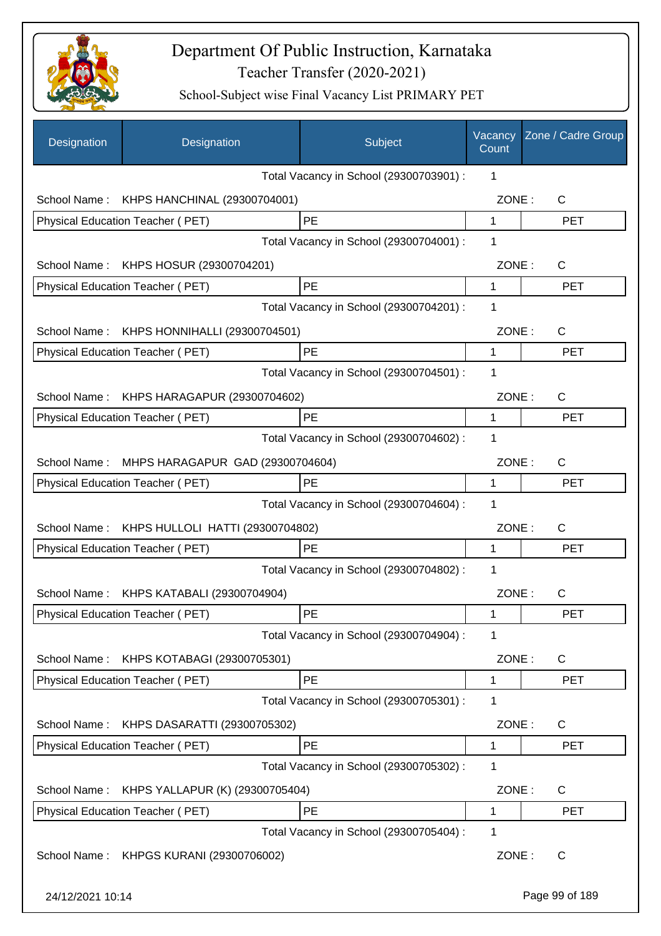

| Designation      | Designation                             | Subject                                 | Vacancy<br>Count | Zone / Cadre Group |
|------------------|-----------------------------------------|-----------------------------------------|------------------|--------------------|
|                  |                                         | Total Vacancy in School (29300703901) : | 1                |                    |
| School Name:     | KHPS HANCHINAL (29300704001)            |                                         | ZONE:            | C                  |
|                  | Physical Education Teacher (PET)        | PE                                      | 1                | <b>PET</b>         |
|                  |                                         | Total Vacancy in School (29300704001) : | 1                |                    |
| School Name:     | KHPS HOSUR (29300704201)                |                                         | ZONE:            | $\mathsf{C}$       |
|                  | Physical Education Teacher (PET)        | PE                                      | 1                | <b>PET</b>         |
|                  |                                         | Total Vacancy in School (29300704201) : | 1                |                    |
| School Name:     | KHPS HONNIHALLI (29300704501)           |                                         | ZONE:            | $\mathsf{C}$       |
|                  | Physical Education Teacher (PET)        | PE                                      | 1                | <b>PET</b>         |
|                  |                                         | Total Vacancy in School (29300704501) : | 1                |                    |
| School Name:     | KHPS HARAGAPUR (29300704602)            |                                         | ZONE:            | $\mathsf{C}$       |
|                  | <b>Physical Education Teacher (PET)</b> | <b>PE</b>                               | 1                | <b>PET</b>         |
|                  |                                         | Total Vacancy in School (29300704602) : | 1                |                    |
| School Name:     | MHPS HARAGAPUR GAD (29300704604)        |                                         | ZONE:            | $\mathsf{C}$       |
|                  | Physical Education Teacher (PET)        | <b>PE</b>                               | 1                | <b>PET</b>         |
|                  |                                         | Total Vacancy in School (29300704604) : | 1                |                    |
| School Name:     | KHPS HULLOLI HATTI (29300704802)        |                                         | ZONE:            | C                  |
|                  | Physical Education Teacher (PET)        | PE                                      | 1                | <b>PET</b>         |
|                  |                                         | Total Vacancy in School (29300704802) : | 1                |                    |
| School Name:     | KHPS KATABALI (29300704904)             |                                         | ZONE:            | С                  |
|                  | Physical Education Teacher (PET)        | PE                                      | 1                | <b>PET</b>         |
|                  |                                         | Total Vacancy in School (29300704904) : | 1                |                    |
| School Name:     | KHPS KOTABAGI (29300705301)             |                                         | ZONE:            | C                  |
|                  | <b>Physical Education Teacher (PET)</b> | PE                                      | 1                | <b>PET</b>         |
|                  |                                         | Total Vacancy in School (29300705301) : | 1                |                    |
| School Name:     | KHPS DASARATTI (29300705302)            |                                         | ZONE:            | $\mathsf{C}$       |
|                  | Physical Education Teacher (PET)        | PE                                      | 1                | <b>PET</b>         |
|                  |                                         | Total Vacancy in School (29300705302) : | 1                |                    |
| School Name:     | KHPS YALLAPUR (K) (29300705404)         |                                         | ZONE:            | C                  |
|                  | Physical Education Teacher (PET)        | PE                                      | 1                | <b>PET</b>         |
|                  |                                         | Total Vacancy in School (29300705404) : | 1                |                    |
| School Name:     | KHPGS KURANI (29300706002)              |                                         | ZONE:            | C                  |
| 24/12/2021 10:14 |                                         |                                         |                  | Page 99 of 189     |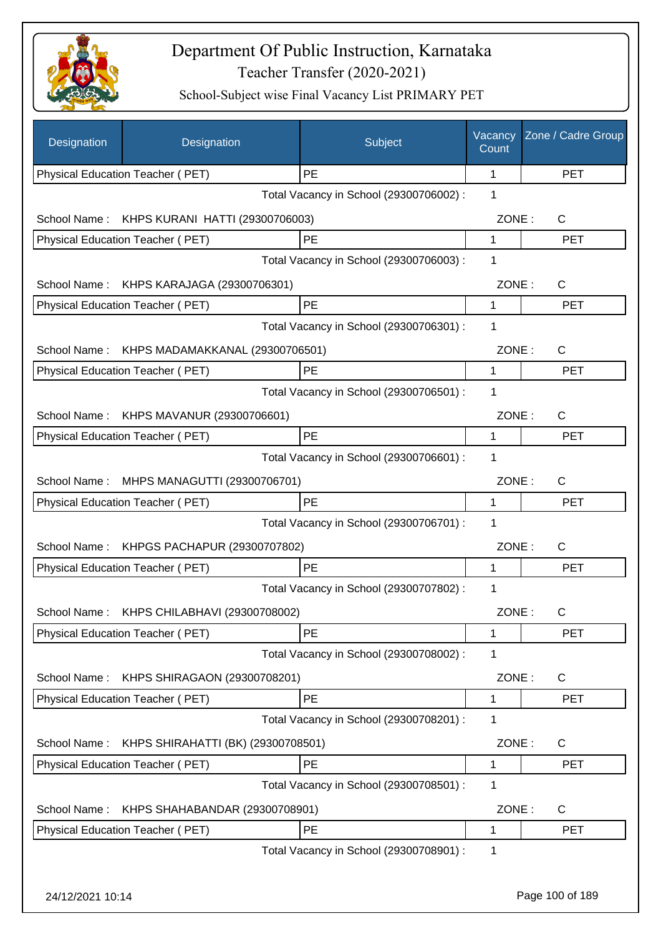

| Designation      | Designation                        | Subject                                 | Vacancy<br>Count | Zone / Cadre Group |
|------------------|------------------------------------|-----------------------------------------|------------------|--------------------|
|                  | Physical Education Teacher (PET)   | <b>PE</b>                               | 1                | <b>PET</b>         |
|                  |                                    | Total Vacancy in School (29300706002) : | 1                |                    |
| School Name:     | KHPS KURANI HATTI (29300706003)    |                                         | ZONE:            | C                  |
|                  | Physical Education Teacher (PET)   | PE                                      | 1                | <b>PET</b>         |
|                  |                                    | Total Vacancy in School (29300706003) : | 1                |                    |
| School Name:     | KHPS KARAJAGA (29300706301)        |                                         | ZONE:            | $\mathsf C$        |
|                  | Physical Education Teacher (PET)   | PE                                      | 1                | <b>PET</b>         |
|                  |                                    | Total Vacancy in School (29300706301) : | 1                |                    |
| School Name:     | KHPS MADAMAKKANAL (29300706501)    |                                         | ZONE:            | C                  |
|                  | Physical Education Teacher (PET)   | PE                                      | 1                | <b>PET</b>         |
|                  |                                    | Total Vacancy in School (29300706501) : | 1                |                    |
| School Name:     | KHPS MAVANUR (29300706601)         |                                         | ZONE:            | C                  |
|                  | Physical Education Teacher (PET)   | PE                                      | 1                | <b>PET</b>         |
|                  |                                    | Total Vacancy in School (29300706601) : | 1                |                    |
| School Name:     | MHPS MANAGUTTI (29300706701)       |                                         | ZONE:            | $\mathsf C$        |
|                  | Physical Education Teacher (PET)   | <b>PE</b>                               | 1                | <b>PET</b>         |
|                  |                                    | Total Vacancy in School (29300706701) : | $\mathbf 1$      |                    |
|                  |                                    |                                         |                  |                    |
| School Name:     | KHPGS PACHAPUR (29300707802)       |                                         | ZONE:            | C                  |
|                  | Physical Education Teacher (PET)   | PE                                      | 1                | PET                |
|                  |                                    | Total Vacancy in School (29300707802) : | 1                |                    |
| School Name:     | KHPS CHILABHAVI (29300708002)      |                                         | ZONE:            | C.                 |
|                  | Physical Education Teacher (PET)   | <b>PE</b>                               | 1                | <b>PET</b>         |
|                  |                                    | Total Vacancy in School (29300708002) : | 1                |                    |
| School Name:     | KHPS SHIRAGAON (29300708201)       |                                         | ZONE:            | C                  |
|                  | Physical Education Teacher (PET)   | PE                                      | 1                | <b>PET</b>         |
|                  |                                    | Total Vacancy in School (29300708201) : | 1                |                    |
| School Name:     | KHPS SHIRAHATTI (BK) (29300708501) |                                         | ZONE:            | C                  |
|                  | Physical Education Teacher (PET)   | PE                                      | 1                | <b>PET</b>         |
|                  |                                    | Total Vacancy in School (29300708501) : | 1                |                    |
| School Name:     | KHPS SHAHABANDAR (29300708901)     |                                         | ZONE:            | $\mathsf{C}$       |
|                  | Physical Education Teacher (PET)   | PE                                      | 1                | PET                |
|                  |                                    | Total Vacancy in School (29300708901) : | 1                |                    |
|                  |                                    |                                         |                  |                    |
| 24/12/2021 10:14 |                                    |                                         |                  | Page 100 of 189    |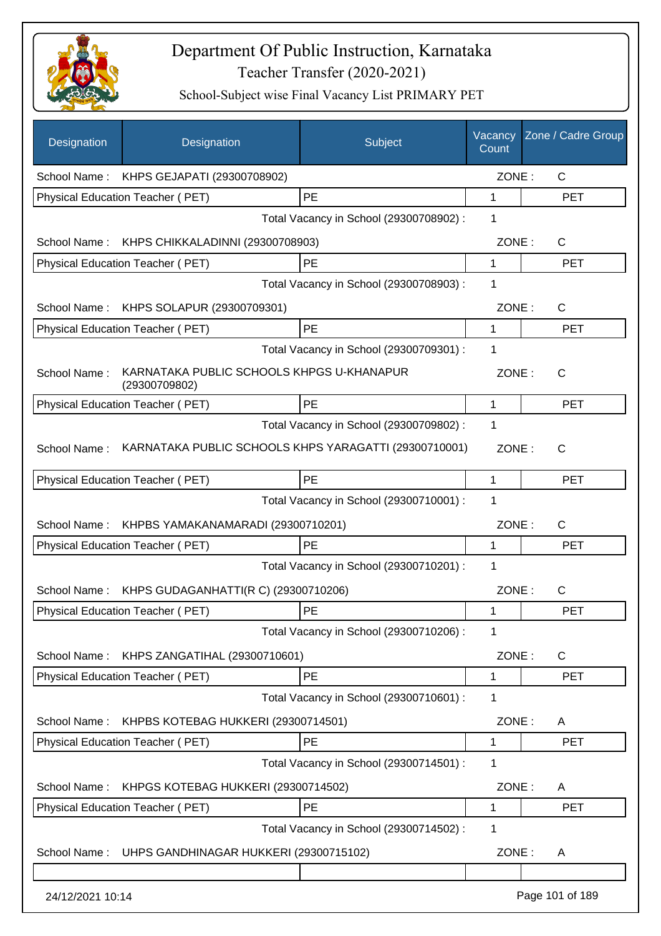

| Designation      | Designation                                                | Subject                                 | Vacancy<br>Count | Zone / Cadre Group |
|------------------|------------------------------------------------------------|-----------------------------------------|------------------|--------------------|
| School Name:     | KHPS GEJAPATI (29300708902)                                |                                         | ZONE:            | C                  |
|                  | Physical Education Teacher (PET)                           | PE                                      | $\mathbf{1}$     | <b>PET</b>         |
|                  |                                                            | Total Vacancy in School (29300708902) : | 1                |                    |
| School Name:     | KHPS CHIKKALADINNI (29300708903)                           |                                         | ZONE:            | $\mathsf{C}$       |
|                  | Physical Education Teacher (PET)                           | PE                                      | $\mathbf 1$      | <b>PET</b>         |
|                  |                                                            | Total Vacancy in School (29300708903) : | 1                |                    |
| School Name:     | KHPS SOLAPUR (29300709301)                                 |                                         | ZONE:            | C                  |
|                  | Physical Education Teacher (PET)                           | PE                                      | 1                | <b>PET</b>         |
|                  |                                                            | Total Vacancy in School (29300709301) : | 1                |                    |
| School Name:     | KARNATAKA PUBLIC SCHOOLS KHPGS U-KHANAPUR<br>(29300709802) |                                         | ZONE:            | $\mathsf{C}$       |
|                  | Physical Education Teacher (PET)                           | PE                                      | 1                | <b>PET</b>         |
|                  |                                                            | Total Vacancy in School (29300709802) : | 1                |                    |
| School Name:     | KARNATAKA PUBLIC SCHOOLS KHPS YARAGATTI (29300710001)      |                                         | ZONE:            | $\mathsf{C}$       |
|                  | Physical Education Teacher (PET)                           | PE                                      | 1                | <b>PET</b>         |
|                  |                                                            | Total Vacancy in School (29300710001) : | 1                |                    |
| School Name:     | KHPBS YAMAKANAMARADI (29300710201)                         |                                         | ZONE:            | C                  |
|                  | Physical Education Teacher (PET)                           | PE                                      | 1                | <b>PET</b>         |
|                  |                                                            | Total Vacancy in School (29300710201) : | 1                |                    |
| School Name:     | KHPS GUDAGANHATTI(R C) (29300710206)                       |                                         | ZONE:            | $\mathsf{C}$       |
|                  | Physical Education Teacher (PET)                           | PE                                      | 1                | <b>PET</b>         |
|                  |                                                            | Total Vacancy in School (29300710206) : | 1                |                    |
| School Name:     | KHPS ZANGATIHAL (29300710601)                              |                                         | ZONE:            | $\mathsf{C}$       |
|                  | Physical Education Teacher (PET)                           | PE                                      | 1                | <b>PET</b>         |
|                  |                                                            | Total Vacancy in School (29300710601) : | 1                |                    |
| School Name:     | KHPBS KOTEBAG HUKKERI (29300714501)                        |                                         | ZONE:            | Α                  |
|                  | Physical Education Teacher (PET)                           | PE                                      | 1                | <b>PET</b>         |
|                  |                                                            | Total Vacancy in School (29300714501) : | 1                |                    |
| School Name:     | KHPGS KOTEBAG HUKKERI (29300714502)                        |                                         | ZONE:            | A                  |
|                  | Physical Education Teacher (PET)                           | PE                                      | 1                | <b>PET</b>         |
|                  |                                                            | Total Vacancy in School (29300714502) : | 1                |                    |
| School Name:     | UHPS GANDHINAGAR HUKKERI (29300715102)                     |                                         | ZONE:            | Α                  |
|                  |                                                            |                                         |                  |                    |
| 24/12/2021 10:14 |                                                            |                                         |                  | Page 101 of 189    |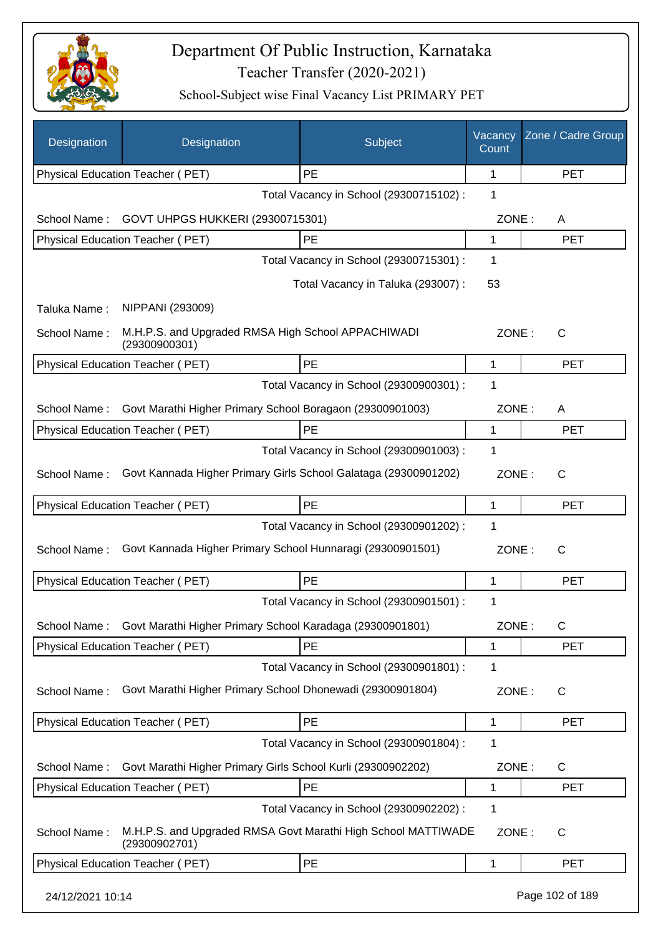

| Designation      | Designation                                                                    | Subject                                 | Vacancy<br>Count | Zone / Cadre Group |
|------------------|--------------------------------------------------------------------------------|-----------------------------------------|------------------|--------------------|
|                  | Physical Education Teacher (PET)                                               | PE                                      | $\mathbf 1$      | <b>PET</b>         |
|                  |                                                                                | Total Vacancy in School (29300715102) : | 1                |                    |
| School Name:     | GOVT UHPGS HUKKERI (29300715301)                                               |                                         | ZONE:            | A                  |
|                  | Physical Education Teacher (PET)                                               | PE                                      | 1                | <b>PET</b>         |
|                  |                                                                                | Total Vacancy in School (29300715301) : | 1                |                    |
|                  |                                                                                | Total Vacancy in Taluka (293007):       | 53               |                    |
| Taluka Name:     | NIPPANI (293009)                                                               |                                         |                  |                    |
| School Name:     | M.H.P.S. and Upgraded RMSA High School APPACHIWADI<br>(29300900301)            |                                         | ZONE:            | $\mathsf{C}$       |
|                  | Physical Education Teacher (PET)                                               | PE                                      | 1                | <b>PET</b>         |
|                  |                                                                                | Total Vacancy in School (29300900301) : | 1                |                    |
| School Name:     | Govt Marathi Higher Primary School Boragaon (29300901003)                      |                                         | ZONE:            | A                  |
|                  | Physical Education Teacher (PET)                                               | PE                                      | 1                | <b>PET</b>         |
|                  |                                                                                | Total Vacancy in School (29300901003) : | 1                |                    |
| School Name:     | Govt Kannada Higher Primary Girls School Galataga (29300901202)                |                                         | ZONE:            | C                  |
|                  | Physical Education Teacher (PET)                                               | PE                                      | 1                | <b>PET</b>         |
|                  |                                                                                | Total Vacancy in School (29300901202) : | 1                |                    |
| School Name:     | Govt Kannada Higher Primary School Hunnaragi (29300901501)                     |                                         | ZONE:            | $\mathsf{C}$       |
|                  | Physical Education Teacher (PET)                                               | PE                                      | 1                | <b>PET</b>         |
|                  |                                                                                | Total Vacancy in School (29300901501) : | 1                |                    |
| School Name:     | Govt Marathi Higher Primary School Karadaga (29300901801)                      |                                         | ZONE:            | C                  |
|                  | Physical Education Teacher (PET)                                               | PE                                      | 1                | <b>PET</b>         |
|                  |                                                                                | Total Vacancy in School (29300901801) : | 1                |                    |
| School Name:     | Govt Marathi Higher Primary School Dhonewadi (29300901804)                     |                                         | ZONE:            | C                  |
|                  | <b>Physical Education Teacher (PET)</b>                                        | PE                                      | 1                | <b>PET</b>         |
|                  |                                                                                | Total Vacancy in School (29300901804) : | 1                |                    |
| School Name:     | Govt Marathi Higher Primary Girls School Kurli (29300902202)                   |                                         | ZONE:            | C                  |
|                  | Physical Education Teacher (PET)                                               | PE                                      | 1                | <b>PET</b>         |
|                  |                                                                                | Total Vacancy in School (29300902202) : | 1                |                    |
| School Name:     | M.H.P.S. and Upgraded RMSA Govt Marathi High School MATTIWADE<br>(29300902701) |                                         | ZONE:            | C                  |
|                  | Physical Education Teacher (PET)                                               | PE                                      | 1                | <b>PET</b>         |
| 24/12/2021 10:14 |                                                                                |                                         |                  | Page 102 of 189    |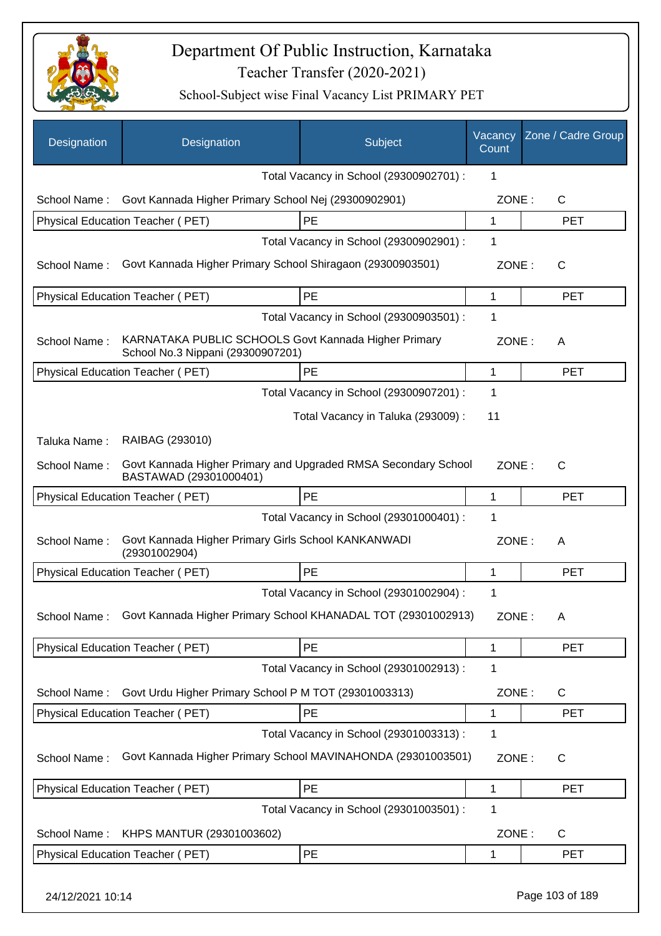

| Designation      | Designation                                                                               | Subject                                 | Vacancy<br>Count | Zone / Cadre Group |
|------------------|-------------------------------------------------------------------------------------------|-----------------------------------------|------------------|--------------------|
|                  |                                                                                           | Total Vacancy in School (29300902701) : | 1                |                    |
| School Name:     | Govt Kannada Higher Primary School Nej (29300902901)                                      |                                         | ZONE:            | C                  |
|                  | Physical Education Teacher (PET)                                                          | PE                                      | 1                | <b>PET</b>         |
|                  |                                                                                           | Total Vacancy in School (29300902901) : | 1                |                    |
| School Name:     | Govt Kannada Higher Primary School Shiragaon (29300903501)                                |                                         | ZONE:            | $\mathsf{C}$       |
|                  | Physical Education Teacher (PET)                                                          | PE                                      | 1                | <b>PET</b>         |
|                  |                                                                                           | Total Vacancy in School (29300903501) : | 1                |                    |
| School Name:     | KARNATAKA PUBLIC SCHOOLS Govt Kannada Higher Primary<br>School No.3 Nippani (29300907201) |                                         | ZONE:            | A                  |
|                  | Physical Education Teacher (PET)                                                          | PE                                      | 1                | <b>PET</b>         |
|                  |                                                                                           | Total Vacancy in School (29300907201) : | 1                |                    |
|                  |                                                                                           | Total Vacancy in Taluka (293009):       | 11               |                    |
| Taluka Name:     | RAIBAG (293010)                                                                           |                                         |                  |                    |
| School Name:     | Govt Kannada Higher Primary and Upgraded RMSA Secondary School<br>BASTAWAD (29301000401)  |                                         | ZONE:            | $\mathsf{C}$       |
|                  | Physical Education Teacher (PET)                                                          | PE                                      | 1                | <b>PET</b>         |
|                  |                                                                                           | Total Vacancy in School (29301000401) : | 1                |                    |
| School Name:     | Govt Kannada Higher Primary Girls School KANKANWADI<br>(29301002904)                      |                                         | ZONE:            | A                  |
|                  | Physical Education Teacher (PET)                                                          | PE                                      | 1                | <b>PET</b>         |
|                  |                                                                                           | Total Vacancy in School (29301002904) : | 1                |                    |
|                  | School Name: Govt Kannada Higher Primary School KHANADAL TOT (29301002913)                |                                         | ZONE:            | A                  |
|                  | Physical Education Teacher (PET)                                                          | PE                                      | 1                | <b>PET</b>         |
|                  |                                                                                           | Total Vacancy in School (29301002913) : | 1                |                    |
| School Name:     | Govt Urdu Higher Primary School P M TOT (29301003313)                                     |                                         | ZONE:            | C                  |
|                  | <b>Physical Education Teacher (PET)</b>                                                   | PE                                      | 1                | <b>PET</b>         |
|                  |                                                                                           | Total Vacancy in School (29301003313) : | 1                |                    |
| School Name:     | Govt Kannada Higher Primary School MAVINAHONDA (29301003501)                              |                                         | ZONE:            | C                  |
|                  | Physical Education Teacher (PET)                                                          | PE                                      | 1                | PET                |
|                  |                                                                                           | Total Vacancy in School (29301003501) : | 1                |                    |
| School Name:     | KHPS MANTUR (29301003602)                                                                 |                                         | ZONE:            | C                  |
|                  | Physical Education Teacher (PET)                                                          | PE                                      | 1                | <b>PET</b>         |
| 24/12/2021 10:14 |                                                                                           |                                         |                  | Page 103 of 189    |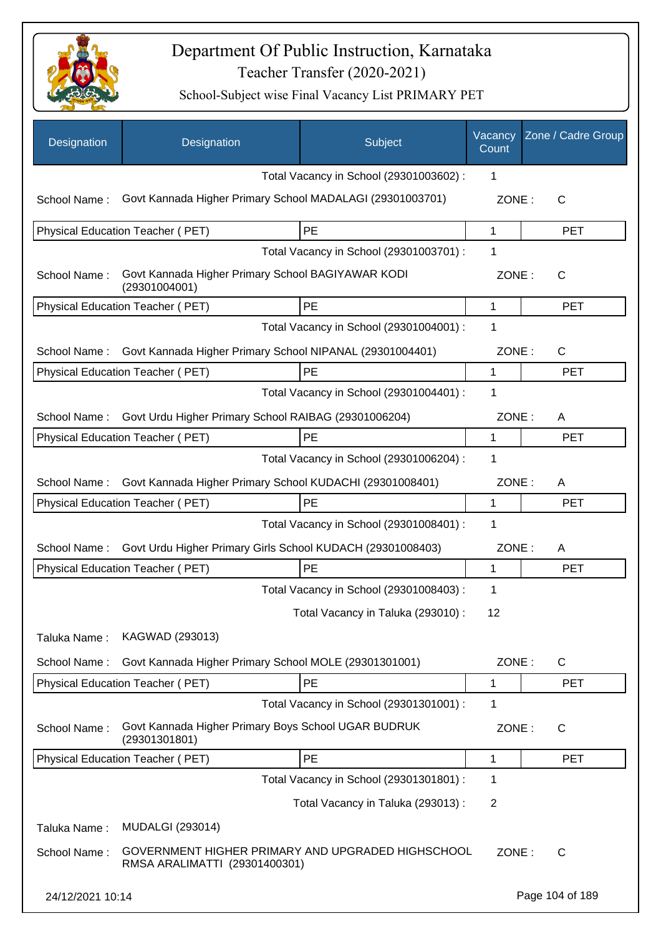

| Designation      | Designation                                                                        | Subject                                 | Vacancy<br>Count | Zone / Cadre Group |
|------------------|------------------------------------------------------------------------------------|-----------------------------------------|------------------|--------------------|
|                  |                                                                                    | Total Vacancy in School (29301003602) : | 1                |                    |
| School Name:     | Govt Kannada Higher Primary School MADALAGI (29301003701)                          |                                         | ZONE:            | С                  |
|                  | Physical Education Teacher (PET)                                                   | PE                                      | 1                | <b>PET</b>         |
|                  |                                                                                    | Total Vacancy in School (29301003701) : | 1                |                    |
| School Name:     | Govt Kannada Higher Primary School BAGIYAWAR KODI<br>(29301004001)                 |                                         | ZONE:            | $\mathsf{C}$       |
|                  | Physical Education Teacher (PET)                                                   | PE                                      | 1                | <b>PET</b>         |
|                  |                                                                                    | Total Vacancy in School (29301004001) : | 1                |                    |
| School Name:     | Govt Kannada Higher Primary School NIPANAL (29301004401)                           |                                         | ZONE:            | C                  |
|                  | Physical Education Teacher (PET)                                                   | PE                                      | 1                | <b>PET</b>         |
|                  |                                                                                    | Total Vacancy in School (29301004401) : | 1                |                    |
| School Name:     | Govt Urdu Higher Primary School RAIBAG (29301006204)                               |                                         | ZONE:            | A                  |
|                  | Physical Education Teacher (PET)                                                   | PE                                      | 1                | <b>PET</b>         |
|                  |                                                                                    | Total Vacancy in School (29301006204) : | 1                |                    |
| School Name:     | Govt Kannada Higher Primary School KUDACHI (29301008401)                           |                                         | ZONE:            | A                  |
|                  | Physical Education Teacher (PET)                                                   | PE                                      | 1                | <b>PET</b>         |
|                  |                                                                                    | Total Vacancy in School (29301008401) : | 1                |                    |
| School Name:     | Govt Urdu Higher Primary Girls School KUDACH (29301008403)                         |                                         | ZONE:            | A                  |
|                  | Physical Education Teacher (PET)                                                   | PE                                      | 1                | <b>PET</b>         |
|                  |                                                                                    | Total Vacancy in School (29301008403) : | 1                |                    |
|                  |                                                                                    | Total Vacancy in Taluka (293010) :      | 12               |                    |
|                  |                                                                                    |                                         |                  |                    |
| Taluka Name:     | KAGWAD (293013)                                                                    |                                         |                  |                    |
| School Name:     | Govt Kannada Higher Primary School MOLE (29301301001)                              |                                         | ZONE:            | C                  |
|                  | Physical Education Teacher (PET)                                                   | PE                                      | 1                | <b>PET</b>         |
|                  |                                                                                    | Total Vacancy in School (29301301001) : | 1                |                    |
| School Name:     | Govt Kannada Higher Primary Boys School UGAR BUDRUK<br>(29301301801)               |                                         | ZONE:            | C                  |
|                  | Physical Education Teacher (PET)                                                   | PE                                      | 1                | <b>PET</b>         |
|                  |                                                                                    | Total Vacancy in School (29301301801) : | 1                |                    |
|                  |                                                                                    | Total Vacancy in Taluka (293013) :      | $\overline{2}$   |                    |
| Taluka Name:     | <b>MUDALGI (293014)</b>                                                            |                                         |                  |                    |
| School Name:     | GOVERNMENT HIGHER PRIMARY AND UPGRADED HIGHSCHOOL<br>RMSA ARALIMATTI (29301400301) |                                         | ZONE:            | С                  |
| 24/12/2021 10:14 |                                                                                    |                                         |                  | Page 104 of 189    |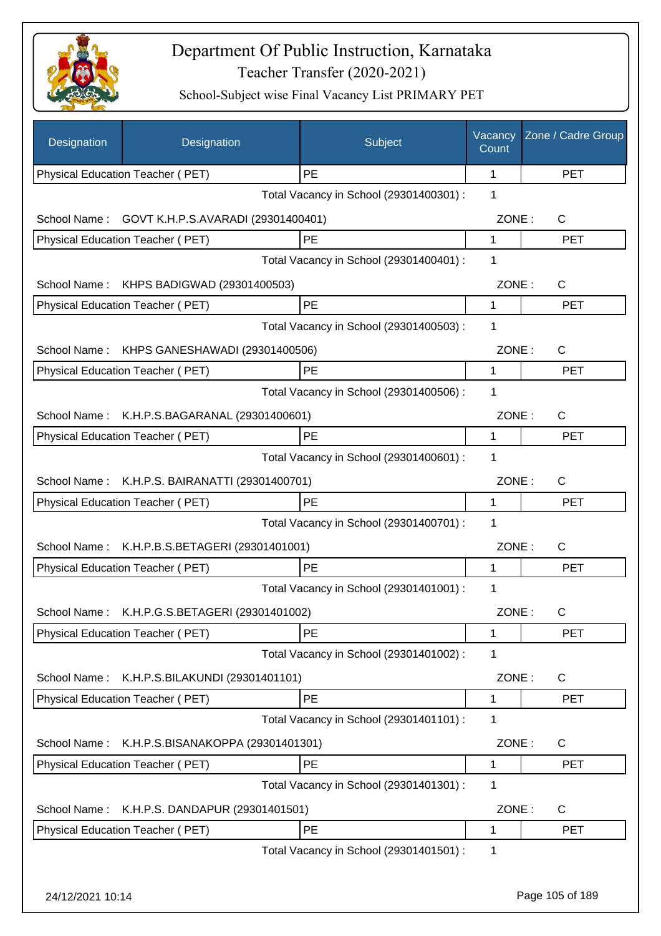

| Designation      | Designation                                    | Subject                                 | Vacancy<br>Count | Zone / Cadre Group |
|------------------|------------------------------------------------|-----------------------------------------|------------------|--------------------|
|                  | Physical Education Teacher (PET)               | PE                                      | 1                | <b>PET</b>         |
|                  |                                                | Total Vacancy in School (29301400301) : | 1                |                    |
| School Name:     | GOVT K.H.P.S.AVARADI (29301400401)             |                                         | ZONE:            | C                  |
|                  | Physical Education Teacher (PET)               | PE                                      | 1                | <b>PET</b>         |
|                  |                                                | Total Vacancy in School (29301400401) : | 1                |                    |
| School Name:     | KHPS BADIGWAD (29301400503)                    |                                         | ZONE:            | C                  |
|                  | Physical Education Teacher (PET)               | <b>PE</b>                               | 1                | <b>PET</b>         |
|                  |                                                | Total Vacancy in School (29301400503) : | 1                |                    |
| School Name:     | KHPS GANESHAWADI (29301400506)                 |                                         | ZONE:            | $\mathsf{C}$       |
|                  | Physical Education Teacher (PET)               | PE                                      | 1                | <b>PET</b>         |
|                  |                                                | Total Vacancy in School (29301400506) : | 1                |                    |
| School Name:     | K.H.P.S.BAGARANAL (29301400601)                |                                         | ZONE:            | C                  |
|                  | Physical Education Teacher (PET)               | PE                                      | $\mathbf{1}$     | <b>PET</b>         |
|                  |                                                | Total Vacancy in School (29301400601) : | 1                |                    |
|                  | School Name: K.H.P.S. BAIRANATTI (29301400701) |                                         | ZONE:            | C                  |
|                  | Physical Education Teacher (PET)               | <b>PE</b>                               | 1                | <b>PET</b>         |
|                  |                                                | Total Vacancy in School (29301400701) : | 1                |                    |
|                  | School Name: K.H.P.B.S.BETAGERI (29301401001)  |                                         | ZONE:            | C                  |
|                  | Physical Education Teacher (PET)               | PE                                      | 1                | <b>PET</b>         |
|                  |                                                | Total Vacancy in School (29301401001) : | 1                |                    |
|                  | School Name: K.H.P.G.S.BETAGERI (29301401002)  |                                         | ZONE:            | C.                 |
|                  | <b>Physical Education Teacher (PET)</b>        | PE                                      | 1                | <b>PET</b>         |
|                  |                                                | Total Vacancy in School (29301401002) : | 1                |                    |
| School Name:     | K.H.P.S.BILAKUNDI (29301401101)                |                                         | ZONE:            | C                  |
|                  | Physical Education Teacher (PET)               | PE                                      | 1                | <b>PET</b>         |
|                  |                                                | Total Vacancy in School (29301401101) : | 1                |                    |
| School Name:     | K.H.P.S.BISANAKOPPA (29301401301)              |                                         | ZONE:            | C                  |
|                  | Physical Education Teacher (PET)               | PE                                      | 1                | <b>PET</b>         |
|                  |                                                | Total Vacancy in School (29301401301) : | 1                |                    |
| School Name:     | K.H.P.S. DANDAPUR (29301401501)                |                                         | ZONE:            | C                  |
|                  | Physical Education Teacher (PET)               | PE                                      | 1                | <b>PET</b>         |
|                  |                                                | Total Vacancy in School (29301401501) : | 1                |                    |
|                  |                                                |                                         |                  |                    |
| 24/12/2021 10:14 |                                                |                                         |                  | Page 105 of 189    |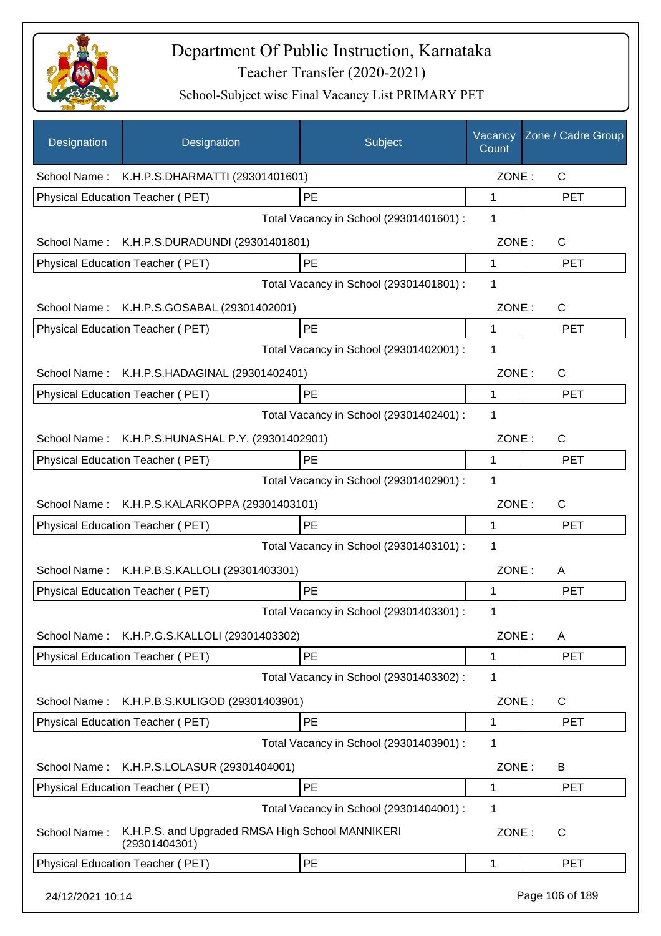

| Designation      | Designation                                                       | Subject                                 | Vacancy<br>Count | Zone / Cadre Group |
|------------------|-------------------------------------------------------------------|-----------------------------------------|------------------|--------------------|
|                  | School Name: K.H.P.S.DHARMATTI (29301401601)                      |                                         | ZONE:            | $\mathsf{C}$       |
|                  | Physical Education Teacher (PET)                                  | PE                                      | $\mathbf{1}$     | <b>PET</b>         |
|                  |                                                                   | Total Vacancy in School (29301401601) : | 1                |                    |
|                  | School Name: K.H.P.S.DURADUNDI (29301401801)                      |                                         | ZONE:            | $\mathsf{C}$       |
|                  | Physical Education Teacher (PET)                                  | PE                                      | $\mathbf 1$      | <b>PET</b>         |
|                  |                                                                   | Total Vacancy in School (29301401801) : | 1                |                    |
|                  | School Name: K.H.P.S.GOSABAL (29301402001)                        |                                         | ZONE:            | C                  |
|                  | Physical Education Teacher (PET)                                  | PE                                      | 1                | <b>PET</b>         |
|                  |                                                                   | Total Vacancy in School (29301402001) : | 1                |                    |
| School Name:     | K.H.P.S.HADAGINAL (29301402401)                                   |                                         | ZONE:            | $\mathsf{C}$       |
|                  | <b>Physical Education Teacher (PET)</b>                           | PE                                      | 1                | <b>PET</b>         |
|                  |                                                                   | Total Vacancy in School (29301402401) : | 1                |                    |
|                  | School Name: K.H.P.S.HUNASHAL P.Y. (29301402901)                  |                                         | ZONE:            | $\mathsf{C}$       |
|                  | Physical Education Teacher (PET)                                  | PE                                      | 1                | <b>PET</b>         |
|                  |                                                                   | Total Vacancy in School (29301402901) : | 1                |                    |
|                  | School Name: K.H.P.S.KALARKOPPA (29301403101)                     |                                         | ZONE:            | $\mathsf{C}$       |
|                  | Physical Education Teacher (PET)                                  | PE                                      | 1                | <b>PET</b>         |
|                  |                                                                   | Total Vacancy in School (29301403101) : | 1                |                    |
| School Name:     | K.H.P.B.S.KALLOLI (29301403301)                                   |                                         | ZONE:            | A                  |
|                  | <b>Physical Education Teacher (PET)</b>                           | PE                                      | 1                | <b>PET</b>         |
|                  |                                                                   | Total Vacancy in School (29301403301) : | 1                |                    |
|                  | School Name: K.H.P.G.S.KALLOLI (29301403302)                      |                                         | ZONE:            | A                  |
|                  | Physical Education Teacher (PET)                                  | PE                                      | $\mathbf 1$      | <b>PET</b>         |
|                  |                                                                   | Total Vacancy in School (29301403302) : | 1                |                    |
| School Name:     | K.H.P.B.S.KULIGOD (29301403901)                                   |                                         | ZONE:            | C                  |
|                  | Physical Education Teacher (PET)                                  | PE                                      | 1                | <b>PET</b>         |
|                  |                                                                   | Total Vacancy in School (29301403901) : | 1                |                    |
| School Name:     | K.H.P.S.LOLASUR (29301404001)                                     |                                         | ZONE:            | B                  |
|                  | Physical Education Teacher (PET)                                  | PE                                      | 1                | <b>PET</b>         |
|                  |                                                                   | Total Vacancy in School (29301404001) : | 1                |                    |
| School Name:     | K.H.P.S. and Upgraded RMSA High School MANNIKERI<br>(29301404301) |                                         | ZONE:            | C                  |
|                  | Physical Education Teacher (PET)                                  | PE                                      | 1                | <b>PET</b>         |
| 24/12/2021 10:14 |                                                                   |                                         |                  | Page 106 of 189    |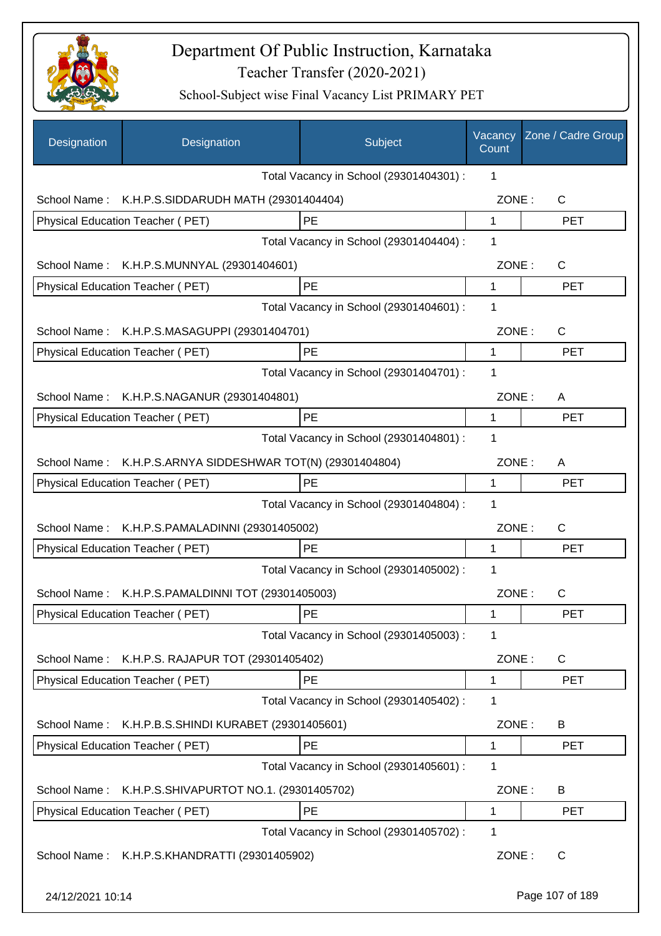

| Designation      | Designation                                   | Subject                                 | Vacancy<br>Count | Zone / Cadre Group |
|------------------|-----------------------------------------------|-----------------------------------------|------------------|--------------------|
|                  |                                               | Total Vacancy in School (29301404301) : | 1                |                    |
| School Name:     | K.H.P.S.SIDDARUDH MATH (29301404404)          |                                         | ZONE:            | C                  |
|                  | Physical Education Teacher (PET)              | <b>PE</b>                               | 1                | <b>PET</b>         |
|                  |                                               | Total Vacancy in School (29301404404) : | 1                |                    |
| School Name:     | K.H.P.S.MUNNYAL (29301404601)                 |                                         | ZONE:            | $\mathsf{C}$       |
|                  | Physical Education Teacher (PET)              | PE                                      | 1                | <b>PET</b>         |
|                  |                                               | Total Vacancy in School (29301404601) : | 1                |                    |
| School Name:     | K.H.P.S.MASAGUPPI (29301404701)               |                                         | ZONE:            | $\mathsf{C}$       |
|                  | Physical Education Teacher (PET)              | PE                                      | 1                | <b>PET</b>         |
|                  |                                               | Total Vacancy in School (29301404701) : | 1                |                    |
| School Name:     | K.H.P.S.NAGANUR (29301404801)                 |                                         | ZONE:            | A                  |
|                  | Physical Education Teacher (PET)              | PE                                      | 1                | <b>PET</b>         |
|                  |                                               | Total Vacancy in School (29301404801) : | 1                |                    |
| School Name:     | K.H.P.S.ARNYA SIDDESHWAR TOT(N) (29301404804) |                                         | ZONE:            | A                  |
|                  | Physical Education Teacher (PET)              | PE                                      | 1                | <b>PET</b>         |
|                  |                                               | Total Vacancy in School (29301404804) : | 1                |                    |
| School Name:     | K.H.P.S.PAMALADINNI (29301405002)             |                                         | ZONE:            | $\mathsf C$        |
|                  | Physical Education Teacher (PET)              | PE                                      | 1                | <b>PET</b>         |
|                  |                                               | Total Vacancy in School (29301405002) : | 1                |                    |
| School Name:     | K.H.P.S.PAMALDINNI TOT (29301405003)          |                                         | ZONE:            | C                  |
|                  | Physical Education Teacher (PET)              | PE                                      | 1                | PET                |
|                  |                                               | Total Vacancy in School (29301405003) : | 1                |                    |
| School Name:     | K.H.P.S. RAJAPUR TOT (29301405402)            |                                         | ZONE:            | C                  |
|                  | Physical Education Teacher (PET)              | <b>PE</b>                               | 1                | <b>PET</b>         |
|                  |                                               | Total Vacancy in School (29301405402) : | 1                |                    |
| School Name:     | K.H.P.B.S.SHINDI KURABET (29301405601)        |                                         | ZONE:            | B                  |
|                  | Physical Education Teacher (PET)              | PE                                      | 1                | <b>PET</b>         |
|                  |                                               | Total Vacancy in School (29301405601) : | 1                |                    |
| School Name:     | K.H.P.S.SHIVAPURTOT NO.1. (29301405702)       |                                         | ZONE:            | B                  |
|                  | Physical Education Teacher (PET)              | PE                                      | 1                | <b>PET</b>         |
|                  |                                               | Total Vacancy in School (29301405702) : | 1                |                    |
| School Name:     | K.H.P.S.KHANDRATTI (29301405902)              |                                         | ZONE:            | $\mathsf{C}$       |
| 24/12/2021 10:14 |                                               |                                         |                  | Page 107 of 189    |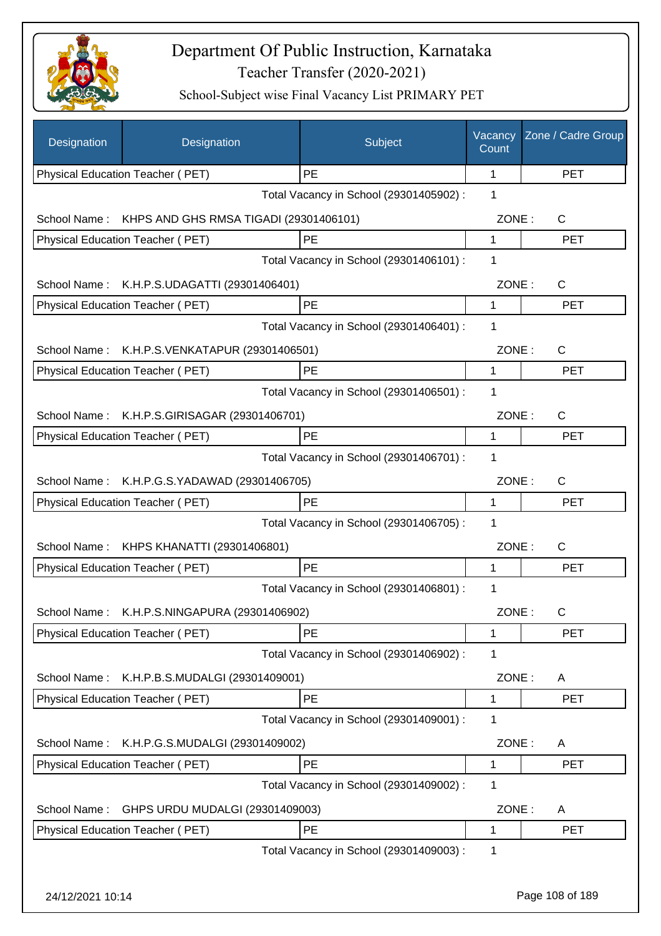

| Designation      | Designation                                  | Subject                                 | Vacancy<br>Count | Zone / Cadre Group |
|------------------|----------------------------------------------|-----------------------------------------|------------------|--------------------|
|                  | Physical Education Teacher (PET)             | PE                                      | 1                | <b>PET</b>         |
|                  |                                              | Total Vacancy in School (29301405902) : | 1                |                    |
| School Name:     | KHPS AND GHS RMSA TIGADI (29301406101)       |                                         | ZONE:            | C                  |
|                  | Physical Education Teacher (PET)             | PE                                      | 1                | <b>PET</b>         |
|                  |                                              | Total Vacancy in School (29301406101) : | 1                |                    |
| School Name:     | K.H.P.S.UDAGATTI (29301406401)               |                                         | ZONE:            | C                  |
|                  | Physical Education Teacher (PET)             | PE                                      | 1                | <b>PET</b>         |
|                  |                                              | Total Vacancy in School (29301406401) : | 1                |                    |
| School Name:     | K.H.P.S.VENKATAPUR (29301406501)             |                                         | ZONE:            | C                  |
|                  | Physical Education Teacher (PET)             | PE                                      | 1                | <b>PET</b>         |
|                  |                                              | Total Vacancy in School (29301406501) : | 1                |                    |
| School Name:     | K.H.P.S.GIRISAGAR (29301406701)              |                                         | ZONE:            | $\mathsf{C}$       |
|                  | <b>Physical Education Teacher (PET)</b>      | PE                                      | 1                | <b>PET</b>         |
|                  |                                              | Total Vacancy in School (29301406701) : | 1                |                    |
|                  | School Name: K.H.P.G.S.YADAWAD (29301406705) |                                         | ZONE:            | C                  |
|                  | Physical Education Teacher (PET)             | PE                                      | 1                | <b>PET</b>         |
|                  |                                              | Total Vacancy in School (29301406705) : | 1                |                    |
|                  | School Name: KHPS KHANATTI (29301406801)     |                                         | ZONE:            | C                  |
|                  | Physical Education Teacher (PET)             | PE                                      | 1                | <b>PET</b>         |
|                  |                                              | Total Vacancy in School (29301406801) : | 1                |                    |
| School Name:     | K.H.P.S.NINGAPURA (29301406902)              |                                         | ZONE:            | C.                 |
|                  | Physical Education Teacher (PET)             | PE                                      | 1                | <b>PET</b>         |
|                  |                                              | Total Vacancy in School (29301406902) : | 1                |                    |
| School Name:     | K.H.P.B.S.MUDALGI (29301409001)              |                                         | ZONE:            | A                  |
|                  | Physical Education Teacher (PET)             | PE                                      | 1                | <b>PET</b>         |
|                  |                                              | Total Vacancy in School (29301409001) : | 1                |                    |
|                  |                                              |                                         |                  |                    |
| School Name:     | K.H.P.G.S.MUDALGI (29301409002)              | PE                                      | ZONE:<br>1       | A<br><b>PET</b>    |
|                  | Physical Education Teacher (PET)             | Total Vacancy in School (29301409002) : | 1                |                    |
|                  |                                              |                                         |                  |                    |
| School Name:     | GHPS URDU MUDALGI (29301409003)              |                                         | ZONE:            | A                  |
|                  | Physical Education Teacher (PET)             | PE                                      | 1                | <b>PET</b>         |
|                  |                                              | Total Vacancy in School (29301409003) : | 1                |                    |
| 24/12/2021 10:14 |                                              |                                         |                  | Page 108 of 189    |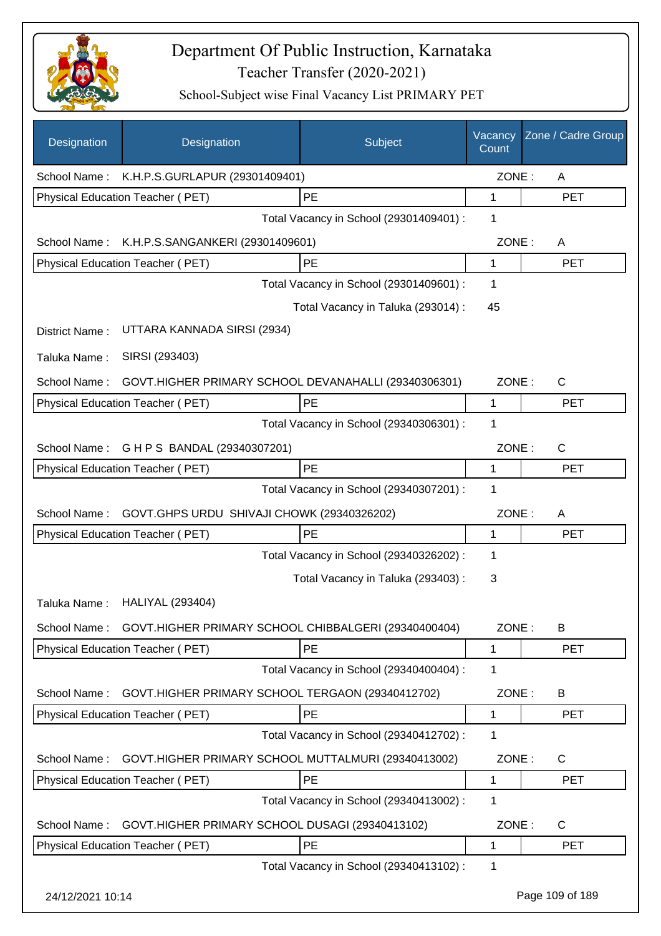

| Designation      | Designation                                          | Subject                                 | Vacancy<br>Count | Zone / Cadre Group |
|------------------|------------------------------------------------------|-----------------------------------------|------------------|--------------------|
| School Name:     | K.H.P.S.GURLAPUR (29301409401)                       |                                         | ZONE:            | A                  |
|                  | <b>Physical Education Teacher (PET)</b>              | PE                                      | 1                | <b>PET</b>         |
|                  |                                                      | Total Vacancy in School (29301409401) : | 1                |                    |
| School Name:     | K.H.P.S.SANGANKERI (29301409601)                     |                                         | ZONE:            | A                  |
|                  | Physical Education Teacher (PET)                     | PE                                      | 1                | <b>PET</b>         |
|                  |                                                      | Total Vacancy in School (29301409601) : | 1                |                    |
|                  |                                                      | Total Vacancy in Taluka (293014) :      | 45               |                    |
| District Name:   | UTTARA KANNADA SIRSI (2934)                          |                                         |                  |                    |
| Taluka Name:     | SIRSI (293403)                                       |                                         |                  |                    |
| School Name:     | GOVT.HIGHER PRIMARY SCHOOL DEVANAHALLI (29340306301) |                                         | ZONE:            | C                  |
|                  | Physical Education Teacher (PET)                     | PE                                      | 1                | <b>PET</b>         |
|                  |                                                      | Total Vacancy in School (29340306301) : | 1                |                    |
| School Name:     | G H P S BANDAL (29340307201)                         |                                         | ZONE:            | $\mathsf{C}$       |
|                  | Physical Education Teacher (PET)                     | PE                                      | 1                | <b>PET</b>         |
|                  |                                                      | Total Vacancy in School (29340307201) : | 1                |                    |
| School Name:     | GOVT.GHPS URDU SHIVAJI CHOWK (29340326202)           |                                         | ZONE:            | A                  |
|                  | Physical Education Teacher (PET)                     | PE                                      | 1                | <b>PET</b>         |
|                  |                                                      | Total Vacancy in School (29340326202) : | 1                |                    |
|                  |                                                      | Total Vacancy in Taluka (293403) :      | 3                |                    |
| Taluka Name:     | <b>HALIYAL (293404)</b>                              |                                         |                  |                    |
| School Name:     | GOVT.HIGHER PRIMARY SCHOOL CHIBBALGERI (29340400404) |                                         | ZONE:            | B                  |
|                  | <b>Physical Education Teacher (PET)</b>              | PE                                      | 1                | <b>PET</b>         |
|                  |                                                      | Total Vacancy in School (29340400404) : | 1                |                    |
| School Name:     | GOVT.HIGHER PRIMARY SCHOOL TERGAON (29340412702)     |                                         | ZONE:            | B                  |
|                  | Physical Education Teacher (PET)                     | PE                                      | 1                | <b>PET</b>         |
|                  |                                                      | Total Vacancy in School (29340412702) : | 1                |                    |
| School Name:     | GOVT.HIGHER PRIMARY SCHOOL MUTTALMURI (29340413002)  |                                         | ZONE:            | C                  |
|                  | Physical Education Teacher (PET)                     | PE                                      | 1                | <b>PET</b>         |
|                  |                                                      | Total Vacancy in School (29340413002) : | 1                |                    |
| School Name:     | GOVT.HIGHER PRIMARY SCHOOL DUSAGI (29340413102)      |                                         | ZONE:            | C                  |
|                  | Physical Education Teacher (PET)                     | PE                                      | 1                | <b>PET</b>         |
|                  |                                                      | Total Vacancy in School (29340413102) : | 1                |                    |
| 24/12/2021 10:14 |                                                      |                                         |                  | Page 109 of 189    |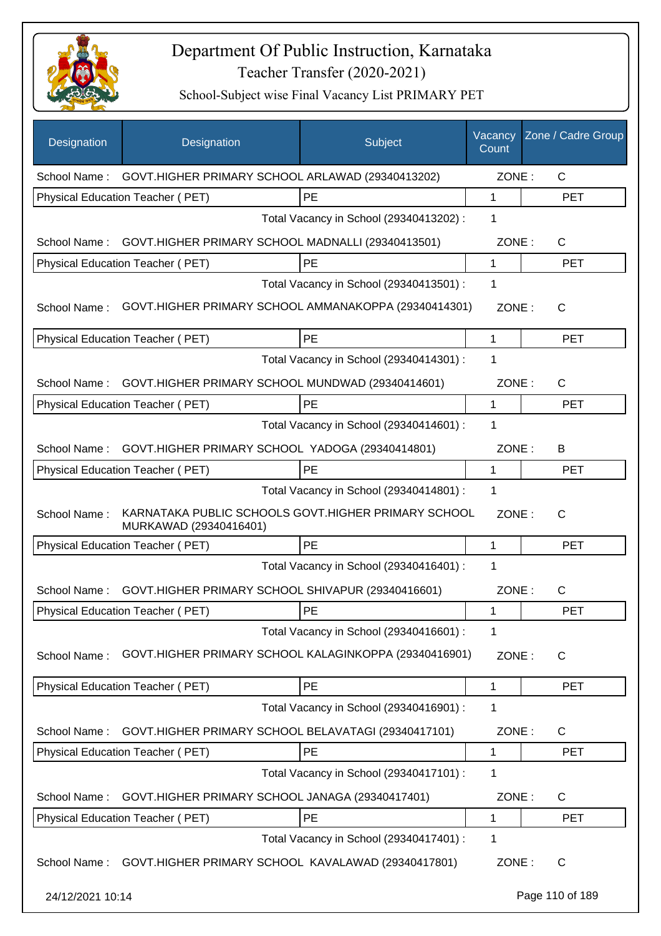

| Designation      | Designation                                                                   | Subject                                 | Vacancy<br>Count | Zone / Cadre Group |
|------------------|-------------------------------------------------------------------------------|-----------------------------------------|------------------|--------------------|
| School Name:     | GOVT.HIGHER PRIMARY SCHOOL ARLAWAD (29340413202)                              |                                         | ZONE:            | $\mathsf{C}$       |
|                  | Physical Education Teacher (PET)                                              | PE                                      | 1                | <b>PET</b>         |
|                  |                                                                               | Total Vacancy in School (29340413202) : | 1                |                    |
| School Name:     | GOVT.HIGHER PRIMARY SCHOOL MADNALLI (29340413501)                             |                                         | ZONE:            | $\mathsf{C}$       |
|                  | Physical Education Teacher (PET)                                              | PE                                      | $\mathbf{1}$     | <b>PET</b>         |
|                  |                                                                               | Total Vacancy in School (29340413501) : | 1                |                    |
| School Name:     | GOVT.HIGHER PRIMARY SCHOOL AMMANAKOPPA (29340414301)                          |                                         | ZONE:            | $\mathsf{C}$       |
|                  | Physical Education Teacher (PET)                                              | PE                                      | 1                | <b>PET</b>         |
|                  |                                                                               | Total Vacancy in School (29340414301) : | 1                |                    |
| School Name:     | GOVT.HIGHER PRIMARY SCHOOL MUNDWAD (29340414601)                              |                                         | ZONE:            | C                  |
|                  | <b>Physical Education Teacher (PET)</b>                                       | <b>PE</b>                               | 1                | <b>PET</b>         |
|                  |                                                                               | Total Vacancy in School (29340414601) : | 1                |                    |
| School Name:     | GOVT.HIGHER PRIMARY SCHOOL YADOGA (29340414801)                               |                                         | ZONE:            | B                  |
|                  | Physical Education Teacher (PET)                                              | PE                                      | 1                | <b>PET</b>         |
|                  |                                                                               | Total Vacancy in School (29340414801) : | 1                |                    |
| School Name:     | KARNATAKA PUBLIC SCHOOLS GOVT.HIGHER PRIMARY SCHOOL<br>MURKAWAD (29340416401) |                                         | ZONE:            | $\mathsf{C}$       |
|                  | Physical Education Teacher (PET)                                              | PE                                      | 1                | <b>PET</b>         |
|                  |                                                                               | Total Vacancy in School (29340416401) : | 1                |                    |
| School Name:     | GOVT.HIGHER PRIMARY SCHOOL SHIVAPUR (29340416601)                             |                                         | ZONE:            | C                  |
|                  | Physical Education Teacher (PET)                                              | PE                                      | 1                | PET                |
|                  |                                                                               | Total Vacancy in School (29340416601) : | 1                |                    |
| School Name:     | GOVT.HIGHER PRIMARY SCHOOL KALAGINKOPPA (29340416901)                         |                                         | ZONE:            | $\mathsf{C}$       |
|                  | Physical Education Teacher (PET)                                              | PE                                      | 1                | <b>PET</b>         |
|                  |                                                                               | Total Vacancy in School (29340416901) : | 1                |                    |
| School Name:     | GOVT.HIGHER PRIMARY SCHOOL BELAVATAGI (29340417101)                           |                                         | ZONE:            | C                  |
|                  | Physical Education Teacher (PET)                                              | PE                                      | 1                | <b>PET</b>         |
|                  |                                                                               | Total Vacancy in School (29340417101) : | 1                |                    |
| School Name:     | GOVT.HIGHER PRIMARY SCHOOL JANAGA (29340417401)                               |                                         | ZONE:            | C                  |
|                  | Physical Education Teacher (PET)                                              | PE                                      | 1                | <b>PET</b>         |
|                  |                                                                               | Total Vacancy in School (29340417401) : | 1                |                    |
| School Name:     | GOVT.HIGHER PRIMARY SCHOOL KAVALAWAD (29340417801)                            |                                         | ZONE:            | $\mathsf{C}$       |
| 24/12/2021 10:14 |                                                                               |                                         |                  | Page 110 of 189    |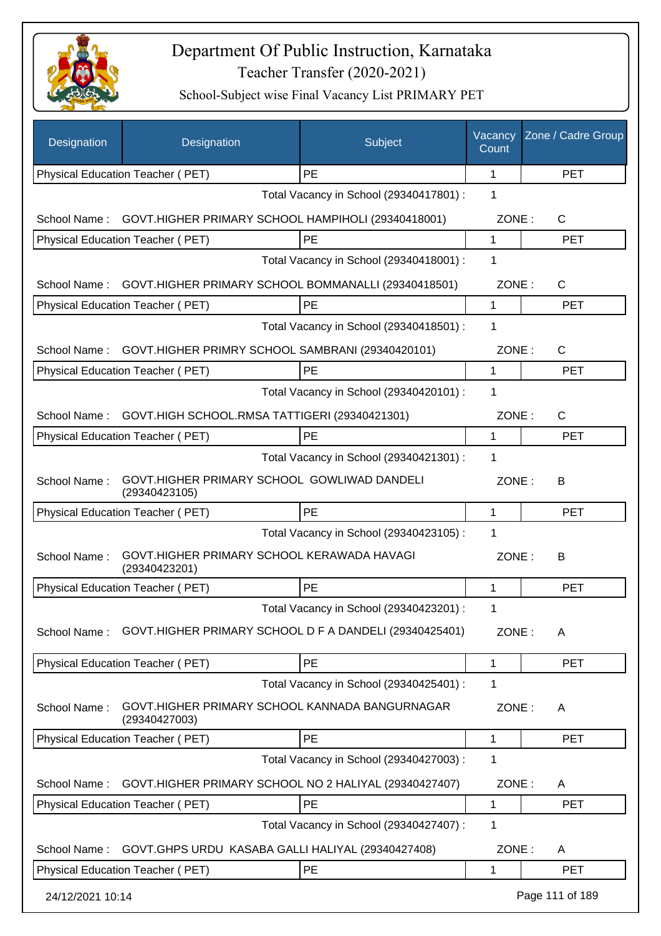

| Designation      | Designation                                                     | Subject                                 | Vacancy<br>Count | Zone / Cadre Group |
|------------------|-----------------------------------------------------------------|-----------------------------------------|------------------|--------------------|
|                  | Physical Education Teacher (PET)                                | <b>PE</b>                               | 1                | <b>PET</b>         |
|                  |                                                                 | Total Vacancy in School (29340417801) : | 1                |                    |
| School Name:     | GOVT.HIGHER PRIMARY SCHOOL HAMPIHOLI (29340418001)              |                                         | ZONE:            | $\mathsf{C}$       |
|                  | Physical Education Teacher (PET)                                | PE                                      | 1                | <b>PET</b>         |
|                  |                                                                 | Total Vacancy in School (29340418001) : | 1                |                    |
| School Name:     | GOVT.HIGHER PRIMARY SCHOOL BOMMANALLI (29340418501)             |                                         | ZONE:            | C                  |
|                  | Physical Education Teacher (PET)                                | PE                                      | $\mathbf{1}$     | <b>PET</b>         |
|                  |                                                                 | Total Vacancy in School (29340418501) : | 1                |                    |
|                  | School Name: GOVT.HIGHER PRIMRY SCHOOL SAMBRANI (29340420101)   |                                         | ZONE:            | $\mathsf{C}$       |
|                  | Physical Education Teacher (PET)                                | PE                                      | 1                | <b>PET</b>         |
|                  |                                                                 | Total Vacancy in School (29340420101) : | 1                |                    |
| School Name:     | GOVT.HIGH SCHOOL.RMSA TATTIGERI (29340421301)                   |                                         | ZONE:            | $\mathsf{C}$       |
|                  | Physical Education Teacher (PET)                                | PE                                      | $\mathbf 1$      | <b>PET</b>         |
|                  |                                                                 | Total Vacancy in School (29340421301) : | 1                |                    |
| School Name:     | GOVT.HIGHER PRIMARY SCHOOL GOWLIWAD DANDELI<br>(29340423105)    |                                         | ZONE:            | B                  |
|                  | Physical Education Teacher (PET)                                | PE                                      | 1                | <b>PET</b>         |
|                  |                                                                 | Total Vacancy in School (29340423105) : | 1                |                    |
| School Name:     | GOVT.HIGHER PRIMARY SCHOOL KERAWADA HAVAGI<br>(29340423201)     |                                         | ZONE:            | B                  |
|                  | Physical Education Teacher (PET)                                | PE                                      | 1                | <b>PET</b>         |
|                  |                                                                 | Total Vacancy in School (29340423201) : | 1                |                    |
| School Name:     | GOVT.HIGHER PRIMARY SCHOOL D F A DANDELI (29340425401)          |                                         | ZONE:            | A                  |
|                  | Physical Education Teacher (PET)                                | PE                                      | 1                | <b>PET</b>         |
|                  |                                                                 | Total Vacancy in School (29340425401) : | 1                |                    |
| School Name:     | GOVT.HIGHER PRIMARY SCHOOL KANNADA BANGURNAGAR<br>(29340427003) |                                         | ZONE:            | A                  |
|                  | Physical Education Teacher (PET)                                | PE                                      | 1                | <b>PET</b>         |
|                  |                                                                 | Total Vacancy in School (29340427003) : | 1                |                    |
| School Name:     | GOVT.HIGHER PRIMARY SCHOOL NO 2 HALIYAL (29340427407)           |                                         | ZONE:            | A                  |
|                  | Physical Education Teacher (PET)                                | PE                                      | 1                | <b>PET</b>         |
|                  |                                                                 | Total Vacancy in School (29340427407) : | 1                |                    |
| School Name:     | GOVT.GHPS URDU KASABA GALLI HALIYAL (29340427408)               |                                         | ZONE:            | A                  |
|                  | Physical Education Teacher (PET)                                | PE                                      | 1                | <b>PET</b>         |
| 24/12/2021 10:14 |                                                                 |                                         |                  | Page 111 of 189    |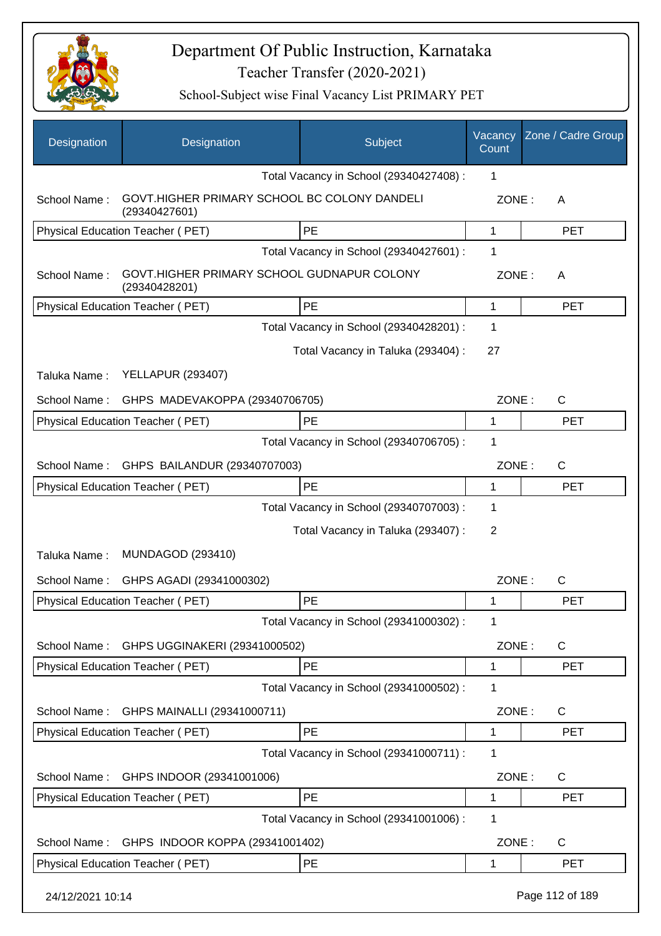

| Designation      | Designation                                                   | Subject                                 | Vacancy<br>Count | Zone / Cadre Group |
|------------------|---------------------------------------------------------------|-----------------------------------------|------------------|--------------------|
|                  |                                                               | Total Vacancy in School (29340427408) : | 1                |                    |
| School Name:     | GOVT.HIGHER PRIMARY SCHOOL BC COLONY DANDELI<br>(29340427601) |                                         | ZONE:            | Α                  |
|                  | Physical Education Teacher (PET)                              | PE                                      | 1                | <b>PET</b>         |
|                  |                                                               | Total Vacancy in School (29340427601) : | 1                |                    |
| School Name:     | GOVT.HIGHER PRIMARY SCHOOL GUDNAPUR COLONY<br>(29340428201)   |                                         | ZONE:            | A                  |
|                  | Physical Education Teacher (PET)                              | <b>PE</b>                               | 1                | <b>PET</b>         |
|                  |                                                               | Total Vacancy in School (29340428201) : | 1                |                    |
|                  |                                                               | Total Vacancy in Taluka (293404) :      | 27               |                    |
| Taluka Name:     | <b>YELLAPUR (293407)</b>                                      |                                         |                  |                    |
| School Name:     | GHPS MADEVAKOPPA (29340706705)                                |                                         | ZONE:            | $\mathsf{C}$       |
|                  | Physical Education Teacher (PET)                              | PE                                      | 1                | <b>PET</b>         |
|                  |                                                               | Total Vacancy in School (29340706705) : | 1                |                    |
| School Name:     | GHPS BAILANDUR (29340707003)                                  |                                         | ZONE:            | $\mathsf{C}$       |
|                  | Physical Education Teacher (PET)                              | <b>PE</b>                               | 1                | <b>PET</b>         |
|                  |                                                               | Total Vacancy in School (29340707003) : | 1                |                    |
|                  |                                                               | Total Vacancy in Taluka (293407) :      | $\overline{2}$   |                    |
| Taluka Name:     | <b>MUNDAGOD (293410)</b>                                      |                                         |                  |                    |
| School Name:     | GHPS AGADI (29341000302)                                      |                                         | ZONE:            | $\mathsf{C}$       |
|                  | Physical Education Teacher (PET)                              | PE                                      | 1                | <b>PET</b>         |
|                  |                                                               | Total Vacancy in School (29341000302) : | 1                |                    |
| School Name:     | GHPS UGGINAKERI (29341000502)                                 |                                         | ZONE:            | C                  |
|                  | Physical Education Teacher (PET)                              | PE                                      | 1                | <b>PET</b>         |
|                  |                                                               | Total Vacancy in School (29341000502) : | 1                |                    |
| School Name:     | GHPS MAINALLI (29341000711)                                   |                                         | ZONE:            | C                  |
|                  | Physical Education Teacher (PET)                              | PE                                      | 1                | <b>PET</b>         |
|                  |                                                               | Total Vacancy in School (29341000711) : | 1                |                    |
| School Name:     | GHPS INDOOR (29341001006)                                     |                                         | ZONE:            | C                  |
|                  | Physical Education Teacher (PET)                              | PE                                      | 1                | <b>PET</b>         |
|                  |                                                               | Total Vacancy in School (29341001006) : | 1                |                    |
| School Name:     | GHPS INDOOR KOPPA (29341001402)                               |                                         | ZONE:            | C                  |
|                  | Physical Education Teacher (PET)                              | PE                                      | 1                | <b>PET</b>         |
| 24/12/2021 10:14 |                                                               |                                         |                  | Page 112 of 189    |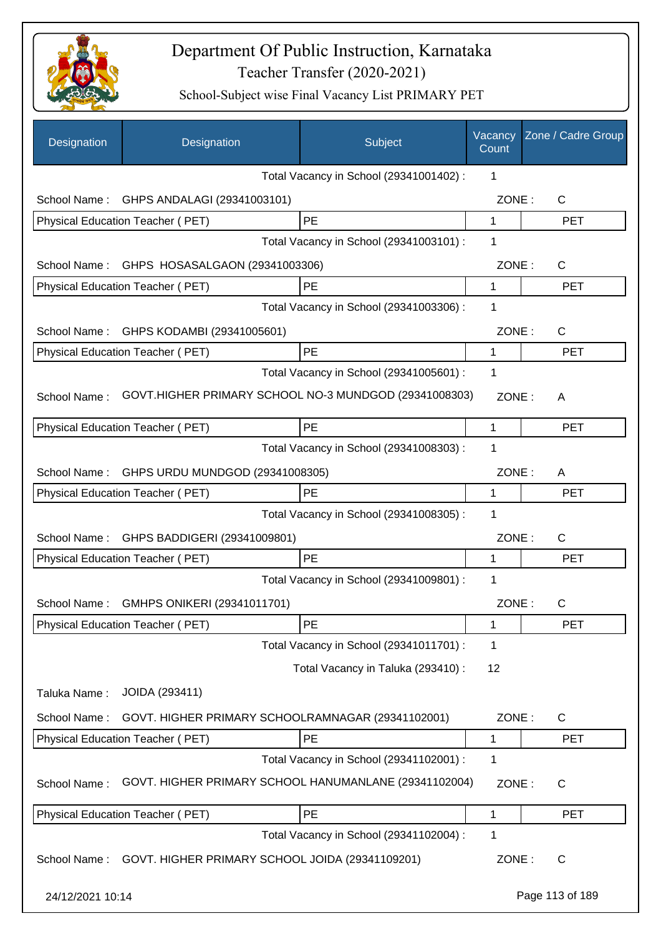

| Designation      | Designation                                           | Subject                                 | Vacancy<br>Count | Zone / Cadre Group |
|------------------|-------------------------------------------------------|-----------------------------------------|------------------|--------------------|
|                  |                                                       | Total Vacancy in School (29341001402) : | 1                |                    |
| School Name:     | GHPS ANDALAGI (29341003101)                           |                                         | ZONE:            | $\mathsf{C}$       |
|                  | Physical Education Teacher (PET)                      | PE                                      | 1                | <b>PET</b>         |
|                  |                                                       | Total Vacancy in School (29341003101) : | 1                |                    |
| School Name:     | GHPS HOSASALGAON (29341003306)                        |                                         | ZONE:            | $\mathsf{C}$       |
|                  | Physical Education Teacher (PET)                      | PE                                      | $\mathbf{1}$     | <b>PET</b>         |
|                  |                                                       | Total Vacancy in School (29341003306) : | 1                |                    |
| School Name:     | GHPS KODAMBI (29341005601)                            |                                         | ZONE:            | C                  |
|                  | <b>Physical Education Teacher (PET)</b>               | PE                                      | 1                | <b>PET</b>         |
|                  |                                                       | Total Vacancy in School (29341005601) : | 1                |                    |
| School Name:     | GOVT.HIGHER PRIMARY SCHOOL NO-3 MUNDGOD (29341008303) |                                         | ZONE:            | A                  |
|                  | Physical Education Teacher (PET)                      | PE                                      | 1                | <b>PET</b>         |
|                  |                                                       | Total Vacancy in School (29341008303) : | 1                |                    |
| School Name:     | GHPS URDU MUNDGOD (29341008305)                       |                                         | ZONE:            | A                  |
|                  | Physical Education Teacher (PET)                      | PE                                      | 1                | <b>PET</b>         |
|                  |                                                       | Total Vacancy in School (29341008305) : | 1                |                    |
| School Name:     | GHPS BADDIGERI (29341009801)                          |                                         | ZONE:            | C                  |
|                  | Physical Education Teacher (PET)                      | PE                                      | 1                | <b>PET</b>         |
|                  |                                                       | Total Vacancy in School (29341009801) : | 1                |                    |
| School Name :    | GMHPS ONIKERI (29341011701)                           |                                         | ZONE:            | С                  |
|                  | <b>Physical Education Teacher (PET)</b>               | PE                                      | 1                | <b>PET</b>         |
|                  |                                                       | Total Vacancy in School (29341011701) : | 1                |                    |
|                  |                                                       | Total Vacancy in Taluka (293410) :      | 12               |                    |
| Taluka Name:     | JOIDA (293411)                                        |                                         |                  |                    |
| School Name:     | GOVT. HIGHER PRIMARY SCHOOLRAMNAGAR (29341102001)     |                                         | ZONE:            | C                  |
|                  | Physical Education Teacher (PET)                      | PE                                      | $\mathbf{1}$     | <b>PET</b>         |
|                  |                                                       | Total Vacancy in School (29341102001) : | 1                |                    |
| School Name:     | GOVT. HIGHER PRIMARY SCHOOL HANUMANLANE (29341102004) |                                         | ZONE:            | C                  |
|                  | Physical Education Teacher (PET)                      | PE                                      | 1                | <b>PET</b>         |
|                  |                                                       | Total Vacancy in School (29341102004) : | 1                |                    |
| School Name:     | GOVT. HIGHER PRIMARY SCHOOL JOIDA (29341109201)       |                                         | ZONE:            | $\mathsf{C}$       |
| 24/12/2021 10:14 |                                                       |                                         |                  | Page 113 of 189    |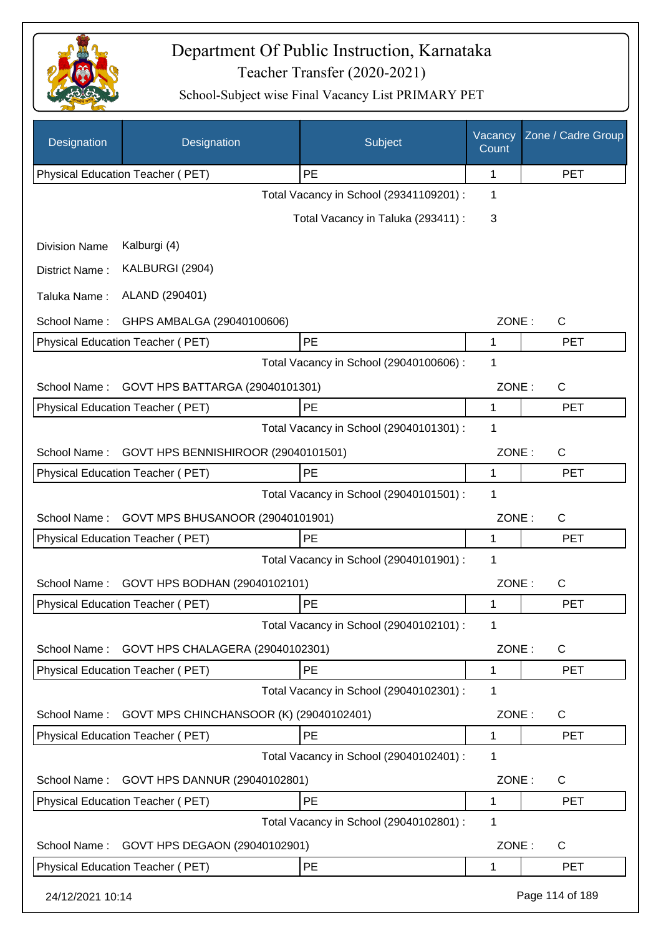

| Designation          | Designation                             | Subject                                 | Vacancy<br>Count | Zone / Cadre Group |
|----------------------|-----------------------------------------|-----------------------------------------|------------------|--------------------|
|                      | Physical Education Teacher (PET)        | <b>PE</b>                               | 1                | <b>PET</b>         |
|                      |                                         | Total Vacancy in School (29341109201) : | 1                |                    |
|                      |                                         | Total Vacancy in Taluka (293411) :      | 3                |                    |
| <b>Division Name</b> | Kalburgi (4)                            |                                         |                  |                    |
| District Name:       | KALBURGI (2904)                         |                                         |                  |                    |
| Taluka Name:         | ALAND (290401)                          |                                         |                  |                    |
| School Name:         | GHPS AMBALGA (29040100606)              |                                         | ZONE:            | C                  |
|                      | Physical Education Teacher (PET)        | PE                                      | 1                | <b>PET</b>         |
|                      |                                         | Total Vacancy in School (29040100606) : | $\mathbf 1$      |                    |
| School Name:         | GOVT HPS BATTARGA (29040101301)         |                                         | ZONE:            | C                  |
|                      | Physical Education Teacher (PET)        | <b>PE</b>                               | 1                | PET                |
|                      |                                         | Total Vacancy in School (29040101301) : | 1                |                    |
| School Name:         | GOVT HPS BENNISHIROOR (29040101501)     |                                         | ZONE:            | C                  |
|                      | Physical Education Teacher (PET)        | PE                                      | 1                | <b>PET</b>         |
|                      |                                         | Total Vacancy in School (29040101501) : | 1                |                    |
| School Name:         | GOVT MPS BHUSANOOR (29040101901)        |                                         | ZONE:            | C                  |
|                      | Physical Education Teacher (PET)        | PE                                      | 1                | <b>PET</b>         |
|                      |                                         | Total Vacancy in School (29040101901) : | 1                |                    |
| School Name:         | GOVT HPS BODHAN (29040102101)           |                                         | ZONE:            | C                  |
|                      | Physical Education Teacher (PET)        | PE                                      | 1                | <b>PET</b>         |
|                      |                                         | Total Vacancy in School (29040102101) : | 1                |                    |
| School Name:         | GOVT HPS CHALAGERA (29040102301)        |                                         | ZONE:            | $\mathsf{C}$       |
|                      | Physical Education Teacher (PET)        | PE                                      | 1                | <b>PET</b>         |
|                      |                                         | Total Vacancy in School (29040102301) : | 1                |                    |
| School Name:         | GOVT MPS CHINCHANSOOR (K) (29040102401) |                                         | ZONE:            | C                  |
|                      | Physical Education Teacher (PET)        | PE                                      | 1                | <b>PET</b>         |
|                      |                                         | Total Vacancy in School (29040102401) : | 1                |                    |
| School Name:         | GOVT HPS DANNUR (29040102801)           |                                         | ZONE:            | C                  |
|                      | Physical Education Teacher (PET)        | PE                                      | 1                | PET                |
|                      |                                         | Total Vacancy in School (29040102801) : | 1                |                    |
| School Name:         | GOVT HPS DEGAON (29040102901)           |                                         | ZONE:            | C                  |
|                      | Physical Education Teacher (PET)        | PE                                      | 1                | <b>PET</b>         |
| 24/12/2021 10:14     |                                         |                                         |                  | Page 114 of 189    |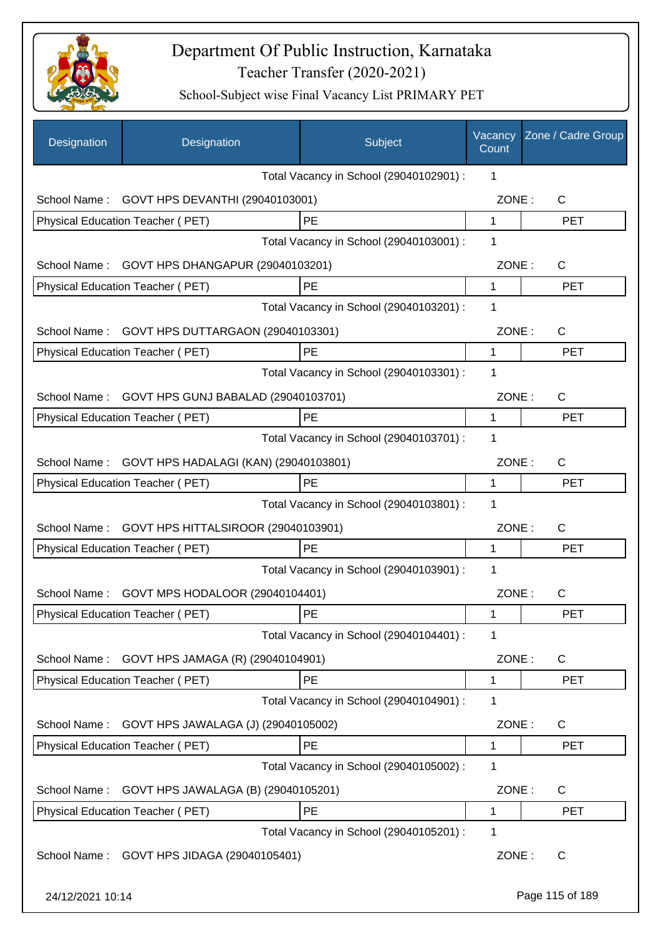

| Designation      | Designation                                | Subject                                 | Vacancy<br>Count | Zone / Cadre Group |
|------------------|--------------------------------------------|-----------------------------------------|------------------|--------------------|
|                  |                                            | Total Vacancy in School (29040102901) : | 1                |                    |
| School Name:     | GOVT HPS DEVANTHI (29040103001)            |                                         | ZONE:            | C                  |
|                  | Physical Education Teacher (PET)           | <b>PE</b>                               | 1                | <b>PET</b>         |
|                  |                                            | Total Vacancy in School (29040103001) : | 1                |                    |
| School Name:     | GOVT HPS DHANGAPUR (29040103201)           |                                         | ZONE:            | $\mathsf{C}$       |
|                  | Physical Education Teacher (PET)           | PE                                      | 1                | <b>PET</b>         |
|                  |                                            | Total Vacancy in School (29040103201) : | 1                |                    |
| School Name:     | GOVT HPS DUTTARGAON (29040103301)          |                                         | ZONE:            | $\mathsf{C}$       |
|                  | Physical Education Teacher (PET)           | PE                                      | 1                | <b>PET</b>         |
|                  |                                            | Total Vacancy in School (29040103301) : | 1                |                    |
| School Name:     | GOVT HPS GUNJ BABALAD (29040103701)        |                                         | ZONE:            | $\mathsf{C}$       |
|                  | Physical Education Teacher (PET)           | PE                                      | 1                | <b>PET</b>         |
|                  |                                            | Total Vacancy in School (29040103701) : | 1                |                    |
| School Name:     | GOVT HPS HADALAGI (KAN) (29040103801)      |                                         | ZONE:            | $\mathsf{C}$       |
|                  | Physical Education Teacher (PET)           | PE                                      | 1                | <b>PET</b>         |
|                  |                                            | Total Vacancy in School (29040103801) : | 1                |                    |
| School Name:     | GOVT HPS HITTALSIROOR (29040103901)        |                                         | ZONE:            | $\mathsf C$        |
|                  | Physical Education Teacher (PET)           | PE                                      | 1                | <b>PET</b>         |
|                  |                                            | Total Vacancy in School (29040103901) : | 1                |                    |
| School Name:     | GOVT MPS HODALOOR (29040104401)            |                                         | ZONE:            | C                  |
|                  | Physical Education Teacher (PET)           | PE                                      | 1                | PET                |
|                  |                                            | Total Vacancy in School (29040104401) : | 1                |                    |
| School Name:     | GOVT HPS JAMAGA (R) (29040104901)          |                                         | ZONE:            | C                  |
|                  | Physical Education Teacher (PET)           | <b>PE</b>                               | 1                | <b>PET</b>         |
|                  |                                            | Total Vacancy in School (29040104901) : | 1                |                    |
| School Name:     | GOVT HPS JAWALAGA (J) (29040105002)        |                                         | ZONE:            | C                  |
|                  | Physical Education Teacher (PET)           | PE                                      | 1                | PET                |
|                  |                                            | Total Vacancy in School (29040105002) : | 1                |                    |
| School Name:     | GOVT HPS JAWALAGA (B) (29040105201)        |                                         | ZONE:            | C                  |
|                  | Physical Education Teacher (PET)           | PE                                      | 1                | <b>PET</b>         |
|                  |                                            | Total Vacancy in School (29040105201) : | 1                |                    |
|                  | School Name: GOVT HPS JIDAGA (29040105401) |                                         | ZONE:            | $\mathsf{C}$       |
| 24/12/2021 10:14 |                                            |                                         |                  | Page 115 of 189    |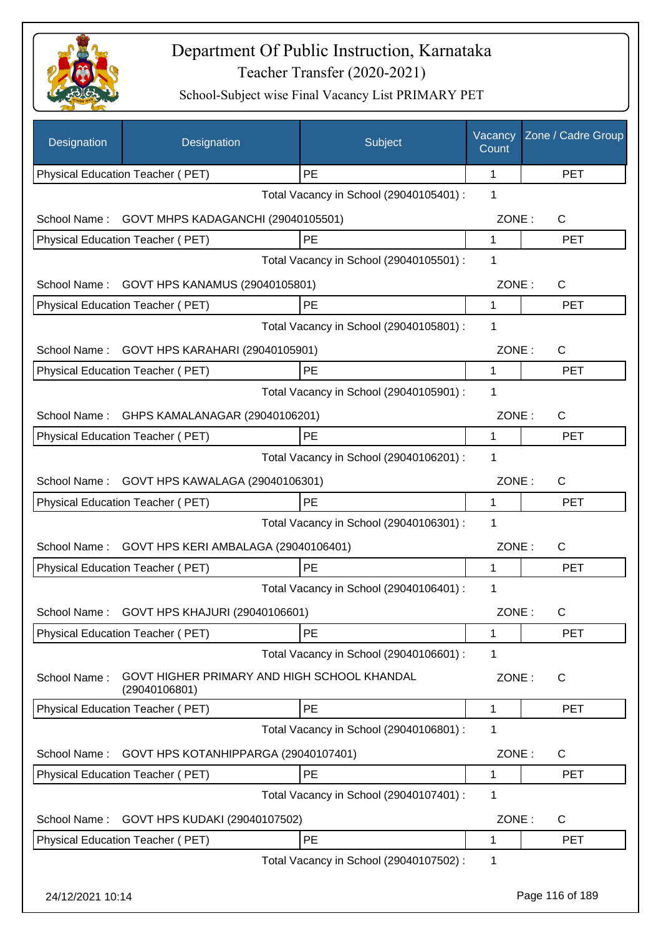

| Designation      | Designation                                                  | Subject                                 | Vacancy<br>Count | Zone / Cadre Group |
|------------------|--------------------------------------------------------------|-----------------------------------------|------------------|--------------------|
|                  | Physical Education Teacher (PET)                             | PE                                      | 1                | <b>PET</b>         |
|                  |                                                              | Total Vacancy in School (29040105401) : | 1                |                    |
| School Name:     | GOVT MHPS KADAGANCHI (29040105501)                           |                                         | ZONE:            | C                  |
|                  | Physical Education Teacher (PET)                             | PE                                      | 1                | <b>PET</b>         |
|                  |                                                              | Total Vacancy in School (29040105501) : | 1                |                    |
| School Name:     | GOVT HPS KANAMUS (29040105801)                               |                                         | ZONE:            | C                  |
|                  | Physical Education Teacher (PET)                             | PE                                      | 1                | <b>PET</b>         |
|                  |                                                              | Total Vacancy in School (29040105801) : | 1                |                    |
| School Name:     | GOVT HPS KARAHARI (29040105901)                              |                                         | ZONE:            | $\mathsf{C}$       |
|                  | Physical Education Teacher (PET)                             | PE                                      | 1                | <b>PET</b>         |
|                  |                                                              | Total Vacancy in School (29040105901) : | 1                |                    |
| School Name:     | GHPS KAMALANAGAR (29040106201)                               |                                         | ZONE:            | C                  |
|                  | Physical Education Teacher (PET)                             | PE                                      | 1                | <b>PET</b>         |
|                  |                                                              | Total Vacancy in School (29040106201) : | 1                |                    |
| School Name:     | GOVT HPS KAWALAGA (29040106301)                              |                                         | ZONE:            | C                  |
|                  | Physical Education Teacher (PET)                             | PE                                      | 1                | <b>PET</b>         |
|                  |                                                              | Total Vacancy in School (29040106301) : | 1                |                    |
| School Name:     | GOVT HPS KERI AMBALAGA (29040106401)                         |                                         | ZONE:            | $\mathsf{C}$       |
|                  | <b>Physical Education Teacher (PET)</b>                      | PE                                      | 1                | <b>PET</b>         |
|                  |                                                              | Total Vacancy in School (29040106401) : | 1                |                    |
|                  |                                                              |                                         |                  |                    |
|                  | School Name: GOVT HPS KHAJURI (29040106601)                  |                                         | ZONE:            | C.                 |
|                  | Physical Education Teacher (PET)                             | <b>PE</b>                               | 1                | <b>PET</b>         |
|                  |                                                              | Total Vacancy in School (29040106601) : | 1                |                    |
| School Name:     | GOVT HIGHER PRIMARY AND HIGH SCHOOL KHANDAL<br>(29040106801) |                                         | ZONE:            | C                  |
|                  | Physical Education Teacher (PET)                             | PE                                      | 1                | <b>PET</b>         |
|                  |                                                              | Total Vacancy in School (29040106801) : | 1                |                    |
| School Name:     | GOVT HPS KOTANHIPPARGA (29040107401)                         |                                         | ZONE:            | C                  |
|                  | Physical Education Teacher (PET)                             | PE                                      | 1                | <b>PET</b>         |
|                  |                                                              | Total Vacancy in School (29040107401) : | 1                |                    |
| School Name:     | GOVT HPS KUDAKI (29040107502)                                |                                         | ZONE:            | C                  |
|                  | Physical Education Teacher (PET)                             | PE                                      | 1                | <b>PET</b>         |
|                  |                                                              | Total Vacancy in School (29040107502) : | 1                |                    |
|                  |                                                              |                                         |                  |                    |
| 24/12/2021 10:14 |                                                              |                                         |                  | Page 116 of 189    |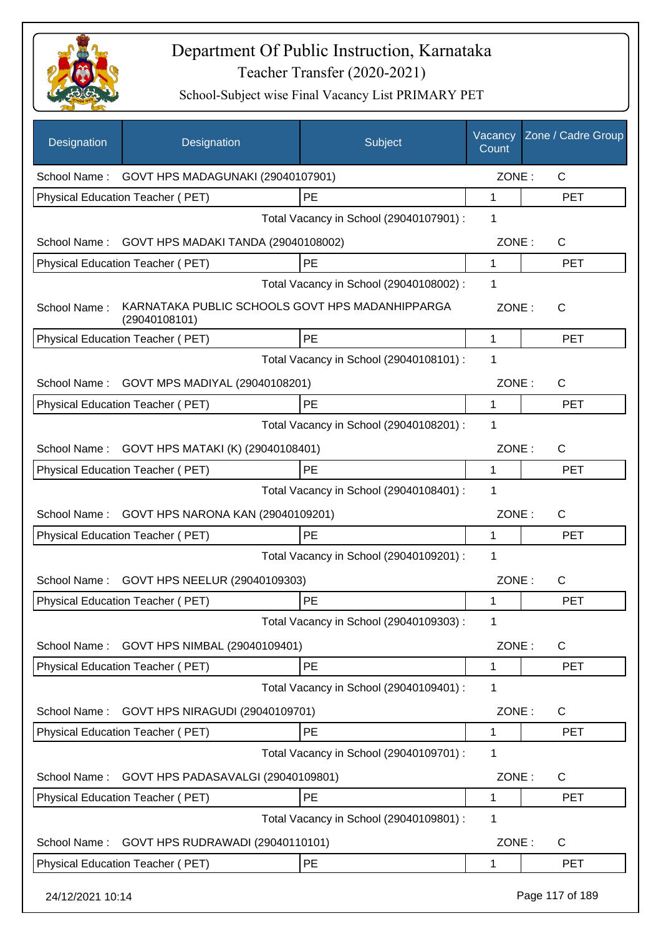

| Designation      | Designation                                                      | Subject                                 | Vacancy<br>Count | Zone / Cadre Group |
|------------------|------------------------------------------------------------------|-----------------------------------------|------------------|--------------------|
|                  | School Name: GOVT HPS MADAGUNAKI (29040107901)                   |                                         | ZONE:            | $\mathsf{C}$       |
|                  | Physical Education Teacher (PET)                                 | PE                                      | $\mathbf 1$      | <b>PET</b>         |
|                  |                                                                  | Total Vacancy in School (29040107901) : | 1                |                    |
| School Name:     | GOVT HPS MADAKI TANDA (29040108002)                              |                                         | ZONE:            | C                  |
|                  | Physical Education Teacher (PET)                                 | PE                                      | 1                | <b>PET</b>         |
|                  |                                                                  | Total Vacancy in School (29040108002) : | 1                |                    |
| School Name:     | KARNATAKA PUBLIC SCHOOLS GOVT HPS MADANHIPPARGA<br>(29040108101) |                                         | ZONE:            | C                  |
|                  | Physical Education Teacher (PET)                                 | PE                                      | 1                | <b>PET</b>         |
|                  |                                                                  | Total Vacancy in School (29040108101) : | 1                |                    |
| School Name :    | GOVT MPS MADIYAL (29040108201)                                   |                                         | ZONE:            | $\mathsf{C}$       |
|                  | Physical Education Teacher (PET)                                 | PE                                      | 1                | <b>PET</b>         |
|                  |                                                                  | Total Vacancy in School (29040108201) : | 1                |                    |
| School Name:     | GOVT HPS MATAKI (K) (29040108401)                                |                                         | ZONE:            | C                  |
|                  | Physical Education Teacher (PET)                                 | <b>PE</b>                               | 1                | <b>PET</b>         |
|                  |                                                                  | Total Vacancy in School (29040108401) : | 1                |                    |
| School Name :    | GOVT HPS NARONA KAN (29040109201)                                |                                         | ZONE:            | C                  |
|                  | Physical Education Teacher (PET)                                 | PE                                      | 1                | <b>PET</b>         |
|                  |                                                                  | Total Vacancy in School (29040109201) : | 1                |                    |
| School Name:     | GOVT HPS NEELUR (29040109303)                                    |                                         | ZONE:            | C                  |
|                  | Physical Education Teacher (PET)                                 | <b>PE</b>                               | 1                | <b>PET</b>         |
|                  |                                                                  | Total Vacancy in School (29040109303) : | 1                |                    |
| School Name:     | GOVT HPS NIMBAL (29040109401)                                    |                                         | ZONE:            | C                  |
|                  | Physical Education Teacher (PET)                                 | PE                                      | 1                | <b>PET</b>         |
|                  |                                                                  | Total Vacancy in School (29040109401) : | 1                |                    |
| School Name:     | GOVT HPS NIRAGUDI (29040109701)                                  |                                         | ZONE:            | $\mathsf{C}$       |
|                  | <b>Physical Education Teacher (PET)</b>                          | PE                                      | 1                | <b>PET</b>         |
|                  |                                                                  | Total Vacancy in School (29040109701) : | 1                |                    |
| School Name:     | GOVT HPS PADASAVALGI (29040109801)                               |                                         | ZONE:            | C                  |
|                  | Physical Education Teacher (PET)                                 | PE                                      | 1                | <b>PET</b>         |
|                  |                                                                  | Total Vacancy in School (29040109801) : | 1                |                    |
| School Name:     | GOVT HPS RUDRAWADI (29040110101)                                 |                                         | ZONE:            | C                  |
|                  | Physical Education Teacher (PET)                                 | PE                                      | 1                | <b>PET</b>         |
| 24/12/2021 10:14 |                                                                  |                                         |                  | Page 117 of 189    |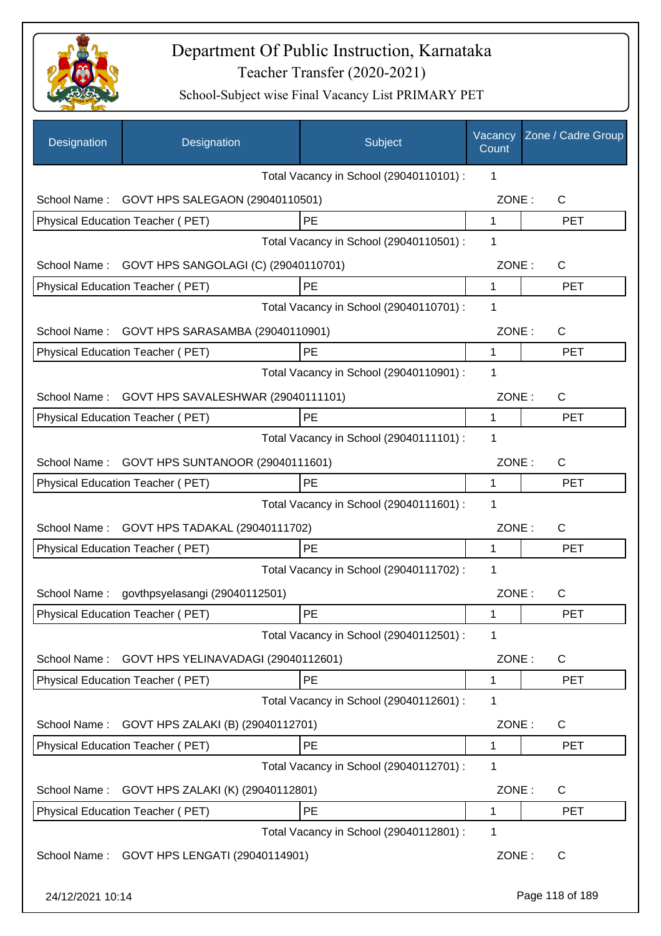

| Designation      | Designation                          | Subject                                 | Vacancy<br>Count | Zone / Cadre Group |
|------------------|--------------------------------------|-----------------------------------------|------------------|--------------------|
|                  |                                      | Total Vacancy in School (29040110101) : | 1                |                    |
| School Name:     | GOVT HPS SALEGAON (29040110501)      |                                         | ZONE:            | C                  |
|                  | Physical Education Teacher (PET)     | PE                                      | 1                | <b>PET</b>         |
|                  |                                      | Total Vacancy in School (29040110501) : | 1                |                    |
| School Name:     | GOVT HPS SANGOLAGI (C) (29040110701) |                                         | ZONE:            | $\mathsf{C}$       |
|                  | Physical Education Teacher (PET)     | PE                                      | 1                | <b>PET</b>         |
|                  |                                      | Total Vacancy in School (29040110701) : | 1                |                    |
| School Name:     | GOVT HPS SARASAMBA (29040110901)     |                                         | ZONE:            | $\mathsf{C}$       |
|                  | Physical Education Teacher (PET)     | PE                                      | 1                | <b>PET</b>         |
|                  |                                      | Total Vacancy in School (29040110901) : | 1                |                    |
| School Name:     | GOVT HPS SAVALESHWAR (29040111101)   |                                         | ZONE:            | $\mathsf{C}$       |
|                  | Physical Education Teacher (PET)     | PE                                      | 1                | <b>PET</b>         |
|                  |                                      | Total Vacancy in School (29040111101) : | 1                |                    |
| School Name:     | GOVT HPS SUNTANOOR (29040111601)     |                                         | ZONE:            | $\mathsf{C}$       |
|                  | Physical Education Teacher (PET)     | PE                                      | $\mathbf{1}$     | <b>PET</b>         |
|                  |                                      | Total Vacancy in School (29040111601) : | 1                |                    |
| School Name:     | GOVT HPS TADAKAL (29040111702)       |                                         | ZONE:            | $\mathsf{C}$       |
|                  | Physical Education Teacher (PET)     | <b>PE</b>                               | 1                | <b>PET</b>         |
|                  |                                      | Total Vacancy in School (29040111702) : | 1                |                    |
| School Name:     | govthpsyelasangi (29040112501)       |                                         | ZONE:            | C                  |
|                  | Physical Education Teacher (PET)     | PE                                      | 1                | PET                |
|                  |                                      | Total Vacancy in School (29040112501) : | 1                |                    |
| School Name:     | GOVT HPS YELINAVADAGI (29040112601)  |                                         | ZONE:            | $\mathsf{C}$       |
|                  | Physical Education Teacher (PET)     | PE                                      | 1                | <b>PET</b>         |
|                  |                                      | Total Vacancy in School (29040112601) : | 1                |                    |
| School Name:     | GOVT HPS ZALAKI (B) (29040112701)    |                                         | ZONE:            | $\mathsf{C}$       |
|                  | Physical Education Teacher (PET)     | PE                                      | 1                | <b>PET</b>         |
|                  |                                      | Total Vacancy in School (29040112701) : | 1                |                    |
| School Name:     | GOVT HPS ZALAKI (K) (29040112801)    |                                         | ZONE:            | $\mathsf{C}$       |
|                  | Physical Education Teacher (PET)     | PE                                      | 1                | <b>PET</b>         |
|                  |                                      | Total Vacancy in School (29040112801) : | 1                |                    |
| School Name:     | GOVT HPS LENGATI (29040114901)       |                                         | ZONE:            | $\mathsf{C}$       |
| 24/12/2021 10:14 |                                      |                                         |                  | Page 118 of 189    |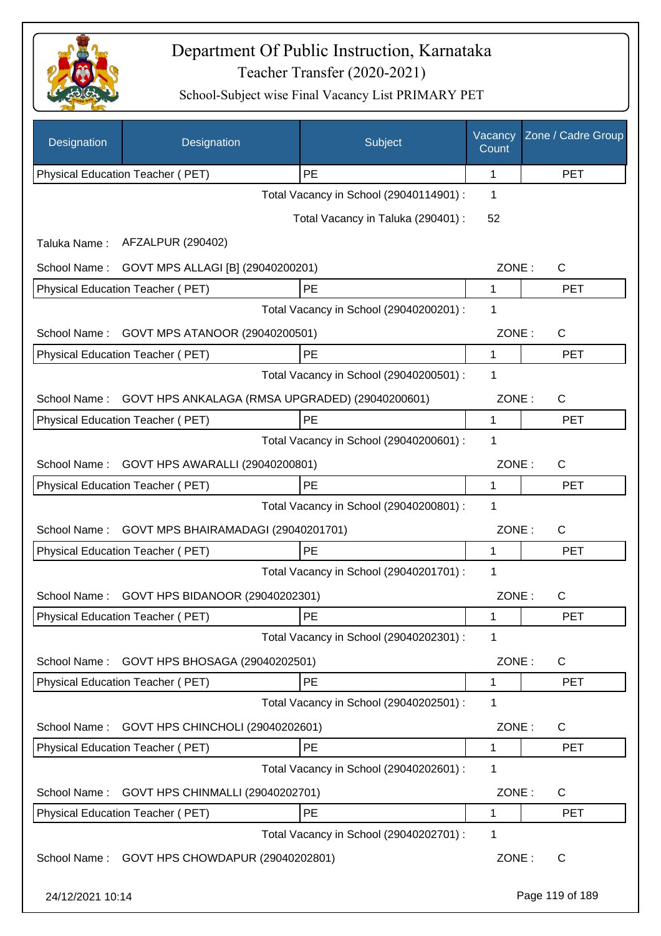

| Designation      | Designation                                     | Subject                                 | Vacancy<br>Count | Zone / Cadre Group |
|------------------|-------------------------------------------------|-----------------------------------------|------------------|--------------------|
|                  | Physical Education Teacher (PET)                | PE                                      | 1                | <b>PET</b>         |
|                  |                                                 | Total Vacancy in School (29040114901) : | 1                |                    |
|                  |                                                 | Total Vacancy in Taluka (290401) :      | 52               |                    |
| Taluka Name:     | AFZALPUR (290402)                               |                                         |                  |                    |
| School Name:     | GOVT MPS ALLAGI [B] (29040200201)               |                                         | ZONE:            | C                  |
|                  | Physical Education Teacher (PET)                | PE                                      | 1                | <b>PET</b>         |
|                  |                                                 | Total Vacancy in School (29040200201) : | 1                |                    |
| School Name:     | GOVT MPS ATANOOR (29040200501)                  |                                         | ZONE:            | C                  |
|                  | Physical Education Teacher (PET)                | PE                                      | 1                | <b>PET</b>         |
|                  |                                                 | Total Vacancy in School (29040200501) : | 1                |                    |
| School Name:     | GOVT HPS ANKALAGA (RMSA UPGRADED) (29040200601) |                                         | ZONE:            | C                  |
|                  | Physical Education Teacher (PET)                | PE                                      | 1                | <b>PET</b>         |
|                  |                                                 | Total Vacancy in School (29040200601) : | 1                |                    |
| School Name:     | GOVT HPS AWARALLI (29040200801)                 |                                         | ZONE:            | $\mathsf C$        |
|                  | Physical Education Teacher (PET)                | PE                                      | 1                | <b>PET</b>         |
|                  |                                                 | Total Vacancy in School (29040200801) : | 1                |                    |
| School Name:     | GOVT MPS BHAIRAMADAGI (29040201701)             |                                         | ZONE:            | $\mathsf C$        |
|                  | Physical Education Teacher (PET)                | PE                                      | 1                | <b>PET</b>         |
|                  |                                                 | Total Vacancy in School (29040201701) : | 1                |                    |
| School Name:     | GOVT HPS BIDANOOR (29040202301)                 |                                         | ZONE:            | $\mathsf C$        |
|                  | Physical Education Teacher (PET)                | PE                                      | 1                | PET                |
|                  |                                                 | Total Vacancy in School (29040202301) : | 1                |                    |
| School Name:     | GOVT HPS BHOSAGA (29040202501)                  |                                         | ZONE:            | C                  |
|                  | Physical Education Teacher (PET)                | PE                                      | 1                | <b>PET</b>         |
|                  |                                                 | Total Vacancy in School (29040202501) : | 1                |                    |
| School Name:     | GOVT HPS CHINCHOLI (29040202601)                |                                         | ZONE:            | C                  |
|                  | Physical Education Teacher (PET)                | PE                                      | 1                | <b>PET</b>         |
|                  |                                                 | Total Vacancy in School (29040202601) : | 1                |                    |
| School Name:     | GOVT HPS CHINMALLI (29040202701)                |                                         | ZONE:            | C                  |
|                  | Physical Education Teacher (PET)                | PE                                      | 1                | <b>PET</b>         |
|                  |                                                 | Total Vacancy in School (29040202701) : | 1                |                    |
| School Name:     | GOVT HPS CHOWDAPUR (29040202801)                |                                         | ZONE:            | $\mathsf{C}$       |
| 24/12/2021 10:14 |                                                 |                                         |                  | Page 119 of 189    |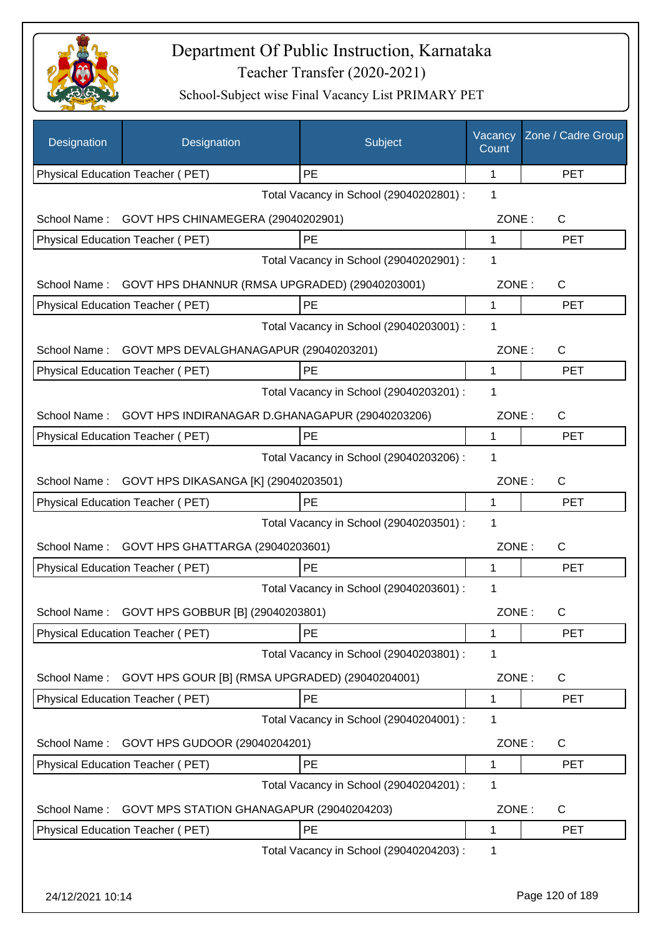

| Designation      | Designation                                                       | Subject                                 | Vacancy<br>Count | Zone / Cadre Group |
|------------------|-------------------------------------------------------------------|-----------------------------------------|------------------|--------------------|
|                  | Physical Education Teacher (PET)                                  | PE                                      | 1                | <b>PET</b>         |
|                  |                                                                   | Total Vacancy in School (29040202801) : | 1                |                    |
| School Name:     | GOVT HPS CHINAMEGERA (29040202901)                                |                                         | ZONE:            | C                  |
|                  | Physical Education Teacher (PET)                                  | PE                                      | 1                | <b>PET</b>         |
|                  |                                                                   | Total Vacancy in School (29040202901) : | 1                |                    |
| School Name:     | GOVT HPS DHANNUR (RMSA UPGRADED) (29040203001)                    |                                         | ZONE:            | $\mathsf{C}$       |
|                  | Physical Education Teacher (PET)                                  | PE                                      | 1                | <b>PET</b>         |
|                  |                                                                   | Total Vacancy in School (29040203001) : | 1                |                    |
| School Name:     | GOVT MPS DEVALGHANAGAPUR (29040203201)                            |                                         | ZONE:            | $\mathsf{C}$       |
|                  | Physical Education Teacher (PET)                                  | PE                                      | 1                | <b>PET</b>         |
|                  |                                                                   | Total Vacancy in School (29040203201) : | 1                |                    |
| School Name:     | GOVT HPS INDIRANAGAR D.GHANAGAPUR (29040203206)                   |                                         | ZONE:            | $\mathsf{C}$       |
|                  | Physical Education Teacher (PET)                                  | PE                                      | 1                | <b>PET</b>         |
|                  |                                                                   | Total Vacancy in School (29040203206) : | 1                |                    |
| School Name:     | GOVT HPS DIKASANGA [K] (29040203501)                              |                                         | ZONE:            | C                  |
|                  | Physical Education Teacher (PET)                                  | PE                                      | 1                | <b>PET</b>         |
|                  |                                                                   | Total Vacancy in School (29040203501) : | 1                |                    |
| School Name:     | GOVT HPS GHATTARGA (29040203601)                                  |                                         | ZONE:            | $\mathsf{C}$       |
|                  | Physical Education Teacher (PET)                                  | PE                                      | 1                | <b>PET</b>         |
|                  |                                                                   | Total Vacancy in School (29040203601) : | 1                |                    |
| School Name:     | GOVT HPS GOBBUR [B] (29040203801)                                 |                                         | ZONE:            | C.                 |
|                  | Physical Education Teacher (PET)                                  | PE                                      | 1                | <b>PET</b>         |
|                  |                                                                   | Total Vacancy in School (29040203801) : | 1                |                    |
| School Name:     | GOVT HPS GOUR [B] (RMSA UPGRADED) (29040204001)                   |                                         | ZONE:            | C                  |
|                  | Physical Education Teacher (PET)                                  | PE                                      | 1                | <b>PET</b>         |
|                  |                                                                   | Total Vacancy in School (29040204001) : | 1                |                    |
|                  |                                                                   |                                         |                  |                    |
| School Name:     | GOVT HPS GUDOOR (29040204201)<br>Physical Education Teacher (PET) | PE                                      | ZONE:<br>1       | C<br><b>PET</b>    |
|                  |                                                                   | Total Vacancy in School (29040204201) : | 1                |                    |
|                  |                                                                   |                                         |                  |                    |
| School Name:     | GOVT MPS STATION GHANAGAPUR (29040204203)                         |                                         | ZONE:            | C                  |
|                  | Physical Education Teacher (PET)                                  | PE                                      | 1                | PET                |
|                  |                                                                   | Total Vacancy in School (29040204203) : | 1                |                    |
| 24/12/2021 10:14 |                                                                   |                                         |                  | Page 120 of 189    |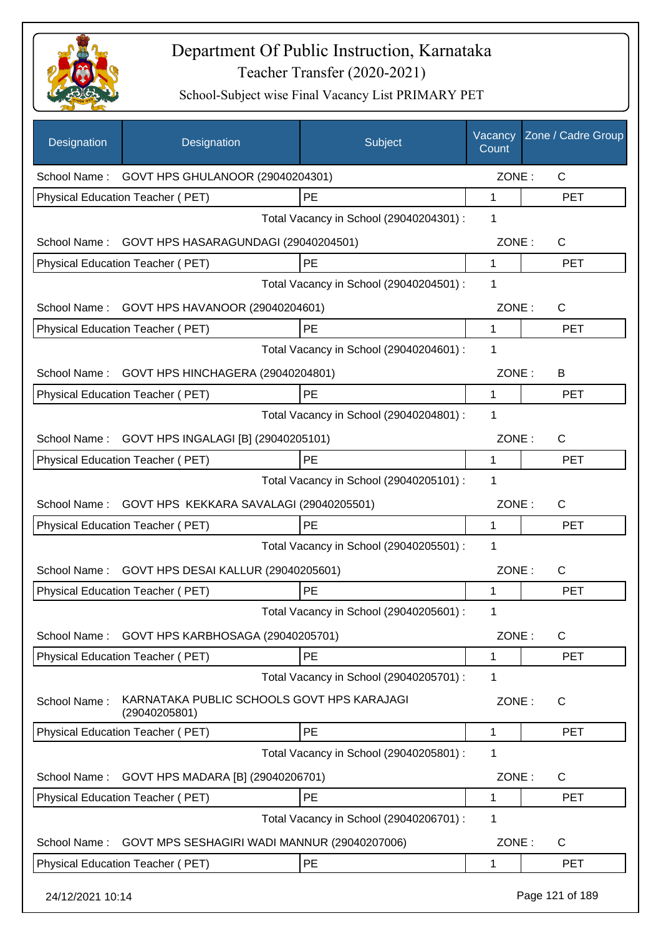

| Designation      | Designation                                                 | Subject                                 | Vacancy<br>Count | Zone / Cadre Group |
|------------------|-------------------------------------------------------------|-----------------------------------------|------------------|--------------------|
|                  | School Name: GOVT HPS GHULANOOR (29040204301)               |                                         | ZONE:            | $\mathsf{C}$       |
|                  | Physical Education Teacher (PET)                            | PE                                      | 1                | <b>PET</b>         |
|                  |                                                             | Total Vacancy in School (29040204301) : | 1                |                    |
| School Name:     | GOVT HPS HASARAGUNDAGI (29040204501)                        |                                         | ZONE:            | C                  |
|                  | Physical Education Teacher (PET)                            | PE                                      | $\mathbf{1}$     | <b>PET</b>         |
|                  |                                                             | Total Vacancy in School (29040204501) : | 1                |                    |
|                  | School Name: GOVT HPS HAVANOOR (29040204601)                |                                         | ZONE:            | C                  |
|                  | Physical Education Teacher (PET)                            | PE                                      | 1                | <b>PET</b>         |
|                  |                                                             | Total Vacancy in School (29040204601) : | 1                |                    |
| School Name:     | GOVT HPS HINCHAGERA (29040204801)                           |                                         | ZONE:            | B                  |
|                  | <b>Physical Education Teacher (PET)</b>                     | PE                                      | 1                | <b>PET</b>         |
|                  |                                                             | Total Vacancy in School (29040204801) : | 1                |                    |
| School Name:     | GOVT HPS INGALAGI [B] (29040205101)                         |                                         | ZONE:            | $\mathsf{C}$       |
|                  | Physical Education Teacher (PET)                            | PE                                      | 1                | <b>PET</b>         |
|                  |                                                             | Total Vacancy in School (29040205101) : | 1                |                    |
| School Name:     | GOVT HPS KEKKARA SAVALAGI (29040205501)                     |                                         | ZONE:            | $\mathsf{C}$       |
|                  | Physical Education Teacher (PET)                            | PE                                      | 1                | <b>PET</b>         |
|                  |                                                             | Total Vacancy in School (29040205501) : | 1                |                    |
|                  | School Name: GOVT HPS DESAI KALLUR (29040205601)            |                                         | ZONE:            | $\mathsf{C}$       |
|                  | <b>Physical Education Teacher (PET)</b>                     | PE                                      | 1                | <b>PET</b>         |
|                  |                                                             | Total Vacancy in School (29040205601) : | 1                |                    |
| School Name:     | GOVT HPS KARBHOSAGA (29040205701)                           |                                         | ZONE:            | $\mathsf{C}$       |
|                  | Physical Education Teacher (PET)                            | PE                                      | 1                | <b>PET</b>         |
|                  |                                                             | Total Vacancy in School (29040205701) : | 1                |                    |
| School Name:     | KARNATAKA PUBLIC SCHOOLS GOVT HPS KARAJAGI<br>(29040205801) |                                         | ZONE:            | C                  |
|                  | Physical Education Teacher (PET)                            | PE                                      | 1                | <b>PET</b>         |
|                  |                                                             | Total Vacancy in School (29040205801) : | 1                |                    |
| School Name:     | GOVT HPS MADARA [B] (29040206701)                           |                                         | ZONE:            | $\mathsf{C}$       |
|                  | Physical Education Teacher (PET)                            | PE                                      | 1                | <b>PET</b>         |
|                  |                                                             | Total Vacancy in School (29040206701) : | 1                |                    |
| School Name:     | GOVT MPS SESHAGIRI WADI MANNUR (29040207006)                |                                         | ZONE:            | $\mathsf{C}$       |
|                  | Physical Education Teacher (PET)                            | PE                                      | 1                | <b>PET</b>         |
| 24/12/2021 10:14 |                                                             |                                         |                  | Page 121 of 189    |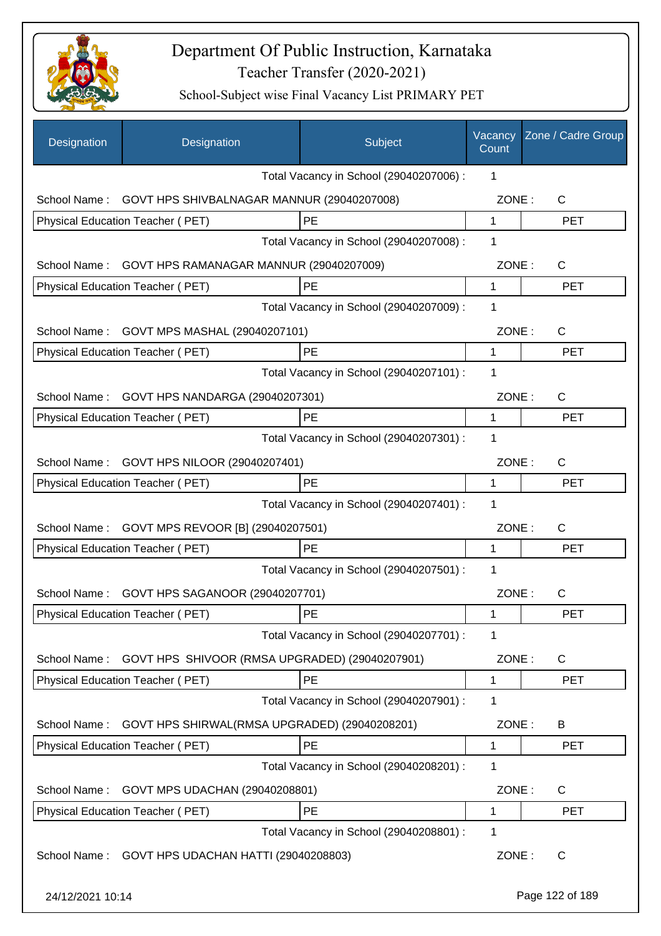

| <b>Designation</b> | Designation                                       | Subject                                 | Vacancy<br>Count | Zone / Cadre Group |
|--------------------|---------------------------------------------------|-----------------------------------------|------------------|--------------------|
|                    |                                                   | Total Vacancy in School (29040207006) : | 1                |                    |
| School Name:       | GOVT HPS SHIVBALNAGAR MANNUR (29040207008)        |                                         | ZONE:            | $\mathsf{C}$       |
|                    | Physical Education Teacher (PET)                  | PE                                      | 1                | <b>PET</b>         |
|                    |                                                   | Total Vacancy in School (29040207008) : | 1                |                    |
| School Name:       | GOVT HPS RAMANAGAR MANNUR (29040207009)           |                                         | ZONE:            | $\mathsf{C}$       |
|                    | Physical Education Teacher (PET)                  | PE                                      | 1                | <b>PET</b>         |
|                    |                                                   | Total Vacancy in School (29040207009) : | 1                |                    |
| School Name:       | GOVT MPS MASHAL (29040207101)                     |                                         | ZONE:            | $\mathsf{C}$       |
|                    | Physical Education Teacher (PET)                  | <b>PE</b>                               | 1                | <b>PET</b>         |
|                    |                                                   | Total Vacancy in School (29040207101) : | 1                |                    |
| School Name:       | GOVT HPS NANDARGA (29040207301)                   |                                         | ZONE:            | C                  |
|                    | Physical Education Teacher (PET)                  | PE                                      | 1                | <b>PET</b>         |
|                    |                                                   | Total Vacancy in School (29040207301) : | 1                |                    |
| School Name:       | GOVT HPS NILOOR (29040207401)                     |                                         | ZONE:            | $\mathsf{C}$       |
|                    | Physical Education Teacher (PET)                  | <b>PE</b>                               | 1                | <b>PET</b>         |
|                    |                                                   | Total Vacancy in School (29040207401) : | 1                |                    |
| School Name:       | GOVT MPS REVOOR [B] (29040207501)                 |                                         | ZONE:            | С                  |
|                    | Physical Education Teacher (PET)                  | PE                                      | 1                | <b>PET</b>         |
|                    |                                                   | Total Vacancy in School (29040207501) : | 1                |                    |
| School Name:       | GOVT HPS SAGANOOR (29040207701)                   |                                         | ZONE:            | С                  |
|                    | Physical Education Teacher (PET)                  | PE                                      | 1                | <b>PET</b>         |
|                    |                                                   | Total Vacancy in School (29040207701) : | 1                |                    |
| School Name:       | GOVT HPS SHIVOOR (RMSA UPGRADED) (29040207901)    |                                         | ZONE:            | C                  |
|                    | Physical Education Teacher (PET)                  | <b>PE</b>                               | $\mathbf 1$      | <b>PET</b>         |
|                    |                                                   | Total Vacancy in School (29040207901) : | 1                |                    |
| School Name:       | GOVT HPS SHIRWAL(RMSA UPGRADED) (29040208201)     |                                         | ZONE:            | B                  |
|                    | Physical Education Teacher (PET)                  | PE                                      | 1                | <b>PET</b>         |
|                    |                                                   | Total Vacancy in School (29040208201) : | 1                |                    |
| School Name:       | GOVT MPS UDACHAN (29040208801)                    |                                         | ZONE:            | C                  |
|                    | Physical Education Teacher (PET)                  | PE                                      | 1                | <b>PET</b>         |
|                    |                                                   | Total Vacancy in School (29040208801) : | 1                |                    |
|                    | School Name: GOVT HPS UDACHAN HATTI (29040208803) |                                         | ZONE:            | $\mathsf{C}$       |
| 24/12/2021 10:14   |                                                   |                                         |                  | Page 122 of 189    |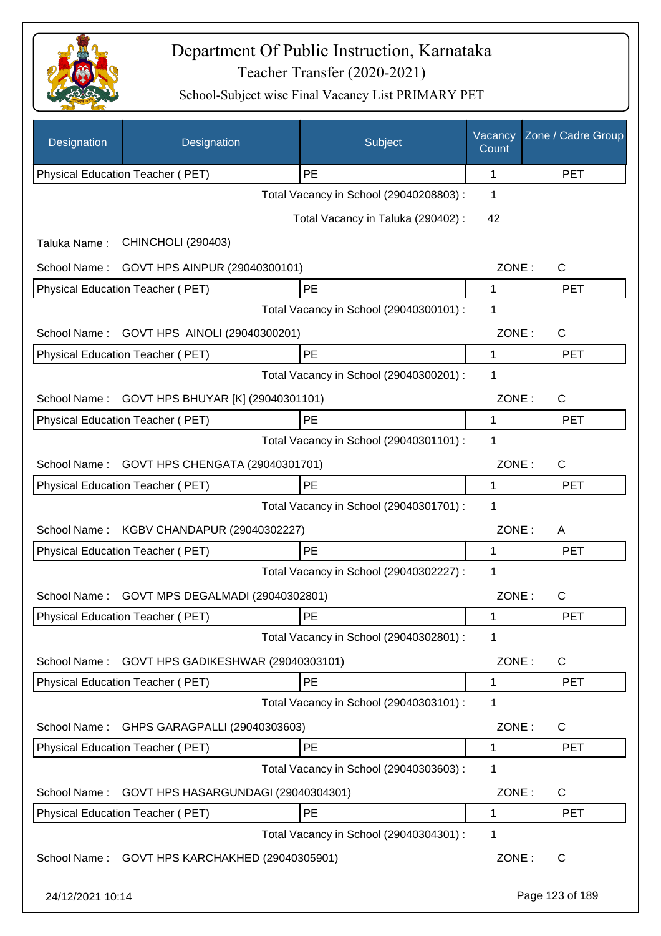

| Designation      | Designation                         | Subject                                 | Vacancy<br>Count | Zone / Cadre Group |
|------------------|-------------------------------------|-----------------------------------------|------------------|--------------------|
|                  | Physical Education Teacher (PET)    | PE                                      | 1                | <b>PET</b>         |
|                  |                                     | Total Vacancy in School (29040208803) : | 1                |                    |
|                  |                                     | Total Vacancy in Taluka (290402) :      | 42               |                    |
| Taluka Name:     | <b>CHINCHOLI (290403)</b>           |                                         |                  |                    |
| School Name:     | GOVT HPS AINPUR (29040300101)       |                                         | ZONE:            | C                  |
|                  | Physical Education Teacher (PET)    | PE                                      | 1                | <b>PET</b>         |
|                  |                                     | Total Vacancy in School (29040300101) : | 1                |                    |
| School Name:     | GOVT HPS AINOLI (29040300201)       |                                         | ZONE:            | C                  |
|                  | Physical Education Teacher (PET)    | PE                                      | 1                | <b>PET</b>         |
|                  |                                     | Total Vacancy in School (29040300201) : | 1                |                    |
| School Name:     | GOVT HPS BHUYAR [K] (29040301101)   |                                         | ZONE:            | $\mathsf C$        |
|                  | Physical Education Teacher (PET)    | PE                                      | 1                | <b>PET</b>         |
|                  |                                     | Total Vacancy in School (29040301101) : | 1                |                    |
| School Name:     | GOVT HPS CHENGATA (29040301701)     |                                         | ZONE:            | C                  |
|                  | Physical Education Teacher (PET)    | PE                                      | 1                | <b>PET</b>         |
|                  |                                     | Total Vacancy in School (29040301701) : | 1                |                    |
| School Name:     | KGBV CHANDAPUR (29040302227)        |                                         | ZONE:            | A                  |
|                  | Physical Education Teacher (PET)    | PE                                      | 1                | <b>PET</b>         |
|                  |                                     | Total Vacancy in School (29040302227) : | 1                |                    |
| School Name:     | GOVT MPS DEGALMADI (29040302801)    |                                         | ZONE:            | $\mathsf C$        |
|                  | Physical Education Teacher (PET)    | PE                                      | 1                | <b>PET</b>         |
|                  |                                     | Total Vacancy in School (29040302801) : | 1                |                    |
| School Name:     | GOVT HPS GADIKESHWAR (29040303101)  |                                         | ZONE:            | C                  |
|                  | Physical Education Teacher (PET)    | PE                                      | 1                | <b>PET</b>         |
|                  |                                     | Total Vacancy in School (29040303101) : | 1                |                    |
| School Name:     | GHPS GARAGPALLI (29040303603)       |                                         | ZONE:            | C                  |
|                  | Physical Education Teacher (PET)    | PE                                      | 1                | <b>PET</b>         |
|                  |                                     | Total Vacancy in School (29040303603) : | 1                |                    |
| School Name:     | GOVT HPS HASARGUNDAGI (29040304301) |                                         | ZONE:            | C                  |
|                  | Physical Education Teacher (PET)    | PE                                      | 1                | <b>PET</b>         |
|                  |                                     | Total Vacancy in School (29040304301) : | 1                |                    |
| School Name:     | GOVT HPS KARCHAKHED (29040305901)   |                                         | ZONE:            | C                  |
| 24/12/2021 10:14 |                                     |                                         |                  | Page 123 of 189    |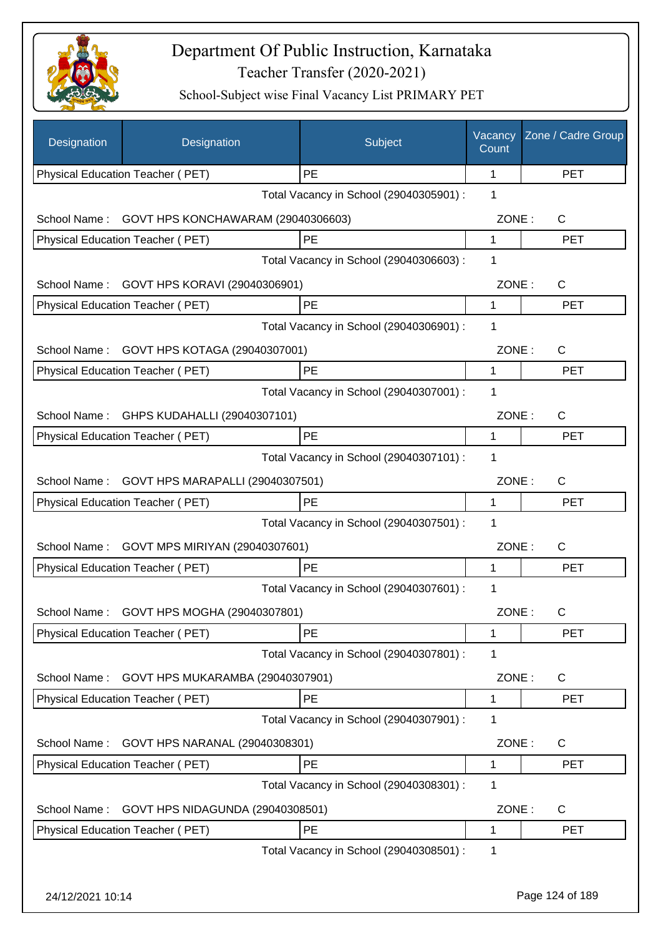

| Designation      | Designation                               | Subject                                 | Vacancy<br>Count | Zone / Cadre Group |
|------------------|-------------------------------------------|-----------------------------------------|------------------|--------------------|
|                  | Physical Education Teacher (PET)          | PE                                      | 1                | <b>PET</b>         |
|                  |                                           | Total Vacancy in School (29040305901) : | 1                |                    |
| School Name:     | GOVT HPS KONCHAWARAM (29040306603)        |                                         | ZONE:            | C                  |
|                  | Physical Education Teacher (PET)          | PE                                      | 1                | <b>PET</b>         |
|                  |                                           | Total Vacancy in School (29040306603) : | 1                |                    |
| School Name:     | GOVT HPS KORAVI (29040306901)             |                                         | ZONE:            | C                  |
|                  | Physical Education Teacher (PET)          | PE                                      | 1                | <b>PET</b>         |
|                  |                                           | Total Vacancy in School (29040306901) : | 1                |                    |
| School Name:     | GOVT HPS KOTAGA (29040307001)             |                                         | ZONE:            | $\mathsf{C}$       |
|                  | Physical Education Teacher (PET)          | PE                                      | 1                | <b>PET</b>         |
|                  |                                           | Total Vacancy in School (29040307001) : | 1                |                    |
|                  | School Name: GHPS KUDAHALLI (29040307101) |                                         | ZONE:            | C                  |
|                  | <b>Physical Education Teacher (PET)</b>   | PE                                      | 1                | <b>PET</b>         |
|                  |                                           | Total Vacancy in School (29040307101) : | 1                |                    |
| School Name:     | GOVT HPS MARAPALLI (29040307501)          |                                         | ZONE:            | $\mathsf{C}$       |
|                  | Physical Education Teacher (PET)          | <b>PE</b>                               | 1                | <b>PET</b>         |
|                  |                                           | Total Vacancy in School (29040307501) : | 1                |                    |
| School Name:     | GOVT MPS MIRIYAN (29040307601)            |                                         | ZONE:            | C                  |
|                  | Physical Education Teacher (PET)          | PE                                      | 1                | <b>PET</b>         |
|                  |                                           | Total Vacancy in School (29040307601) : | 1                |                    |
| School Name:     | GOVT HPS MOGHA (29040307801)              |                                         | ZONE:            | C                  |
|                  | Physical Education Teacher (PET)          | PE                                      | 1                | <b>PET</b>         |
|                  |                                           | Total Vacancy in School (29040307801) : | 1                |                    |
| School Name:     | GOVT HPS MUKARAMBA (29040307901)          |                                         | ZONE:            | C                  |
|                  | Physical Education Teacher (PET)          | PE                                      | 1                | <b>PET</b>         |
|                  |                                           | Total Vacancy in School (29040307901) : | 1                |                    |
| School Name:     | GOVT HPS NARANAL (29040308301)            |                                         | ZONE:            | C                  |
|                  | Physical Education Teacher (PET)          | PE                                      | 1                | <b>PET</b>         |
|                  |                                           | Total Vacancy in School (29040308301) : | 1                |                    |
| School Name:     | GOVT HPS NIDAGUNDA (29040308501)          |                                         | ZONE:            | $\mathsf{C}$       |
|                  | Physical Education Teacher (PET)          | PE                                      | 1                | <b>PET</b>         |
|                  |                                           | Total Vacancy in School (29040308501) : | 1                |                    |
|                  |                                           |                                         |                  |                    |
| 24/12/2021 10:14 |                                           |                                         |                  | Page 124 of 189    |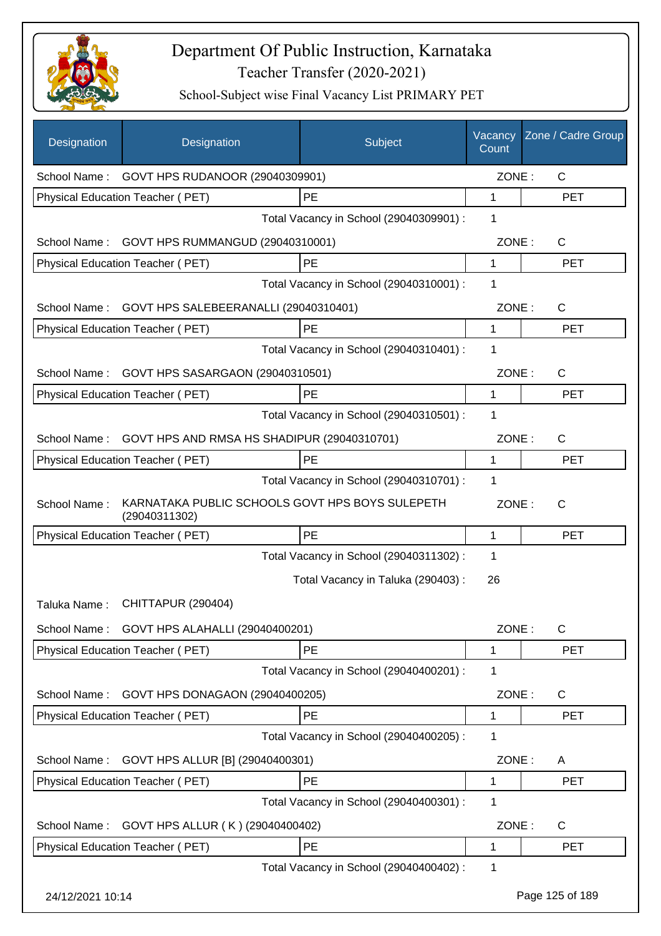

| Designation      | Designation                                                      | Subject                                 | Vacancy<br>Count | Zone / Cadre Group |
|------------------|------------------------------------------------------------------|-----------------------------------------|------------------|--------------------|
|                  | School Name: GOVT HPS RUDANOOR (29040309901)                     |                                         | ZONE:            | $\mathsf{C}$       |
|                  | Physical Education Teacher (PET)                                 | PE                                      | 1                | <b>PET</b>         |
|                  |                                                                  | Total Vacancy in School (29040309901) : | 1                |                    |
|                  | School Name: GOVT HPS RUMMANGUD (29040310001)                    |                                         | ZONE:            | $\mathsf{C}$       |
|                  | Physical Education Teacher (PET)                                 | PE                                      | $\mathbf 1$      | <b>PET</b>         |
|                  |                                                                  | Total Vacancy in School (29040310001) : | 1                |                    |
| School Name:     | GOVT HPS SALEBEERANALLI (29040310401)                            |                                         | ZONE:            | C                  |
|                  | Physical Education Teacher (PET)                                 | PE                                      | $\mathbf{1}$     | <b>PET</b>         |
|                  |                                                                  | Total Vacancy in School (29040310401) : | 1                |                    |
| School Name:     | GOVT HPS SASARGAON (29040310501)                                 |                                         | ZONE:            | $\mathsf{C}$       |
|                  | Physical Education Teacher (PET)                                 | PE                                      | 1                | <b>PET</b>         |
|                  |                                                                  | Total Vacancy in School (29040310501) : | 1                |                    |
| School Name:     | GOVT HPS AND RMSA HS SHADIPUR (29040310701)                      |                                         | ZONE:            | $\mathsf{C}$       |
|                  | Physical Education Teacher (PET)                                 | PE                                      | 1                | <b>PET</b>         |
|                  |                                                                  | Total Vacancy in School (29040310701) : | 1                |                    |
| School Name:     | KARNATAKA PUBLIC SCHOOLS GOVT HPS BOYS SULEPETH<br>(29040311302) |                                         | ZONE:            | $\mathsf{C}$       |
|                  | Physical Education Teacher (PET)                                 | PE                                      | 1                | <b>PET</b>         |
|                  |                                                                  | Total Vacancy in School (29040311302) : | 1                |                    |
|                  |                                                                  | Total Vacancy in Taluka (290403) :      | 26               |                    |
| Taluka Name:     | CHITTAPUR (290404)                                               |                                         |                  |                    |
| School Name:     | GOVT HPS ALAHALLI (29040400201)                                  |                                         | ZONE:            | $\mathsf{C}$       |
|                  | Physical Education Teacher (PET)                                 | PE                                      | 1                | <b>PET</b>         |
|                  |                                                                  | Total Vacancy in School (29040400201) : | 1                |                    |
| School Name:     | GOVT HPS DONAGAON (29040400205)                                  |                                         | ZONE:            | C                  |
|                  | Physical Education Teacher (PET)                                 | PE                                      | 1                | <b>PET</b>         |
|                  |                                                                  | Total Vacancy in School (29040400205) : | 1                |                    |
| School Name:     | GOVT HPS ALLUR [B] (29040400301)                                 |                                         | ZONE:            | A                  |
|                  | Physical Education Teacher (PET)                                 | PE                                      | 1                | <b>PET</b>         |
|                  |                                                                  | Total Vacancy in School (29040400301) : | 1                |                    |
| School Name:     | GOVT HPS ALLUR (K) (29040400402)                                 |                                         | ZONE:            | C                  |
|                  | Physical Education Teacher (PET)                                 | PE                                      | 1                | <b>PET</b>         |
|                  |                                                                  | Total Vacancy in School (29040400402) : | 1                |                    |
| 24/12/2021 10:14 |                                                                  |                                         |                  | Page 125 of 189    |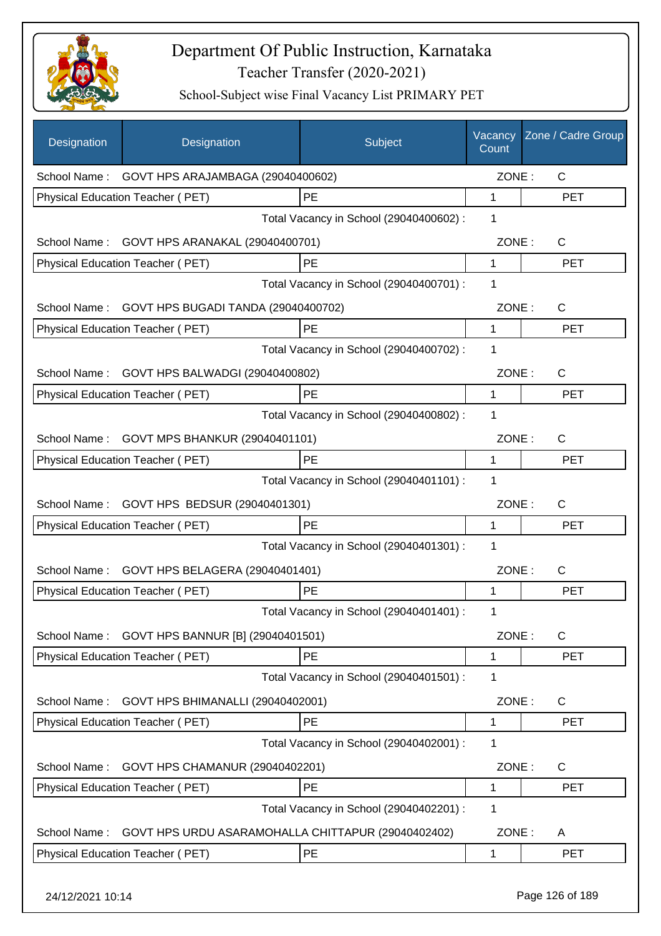

| Designation  | Designation                                        | Subject                                 | Vacancy<br>Count | Zone / Cadre Group |
|--------------|----------------------------------------------------|-----------------------------------------|------------------|--------------------|
| School Name: | GOVT HPS ARAJAMBAGA (29040400602)                  |                                         | ZONE:            | C                  |
|              | Physical Education Teacher (PET)                   | PE                                      | 1                | <b>PET</b>         |
|              |                                                    | Total Vacancy in School (29040400602) : | 1                |                    |
| School Name: | GOVT HPS ARANAKAL (29040400701)                    |                                         | ZONE:            | C                  |
|              | Physical Education Teacher (PET)                   | PE                                      | $\mathbf{1}$     | <b>PET</b>         |
|              |                                                    | Total Vacancy in School (29040400701) : | 1                |                    |
| School Name: | GOVT HPS BUGADI TANDA (29040400702)                |                                         | ZONE:            | C                  |
|              | Physical Education Teacher (PET)                   | PE                                      | 1                | <b>PET</b>         |
|              |                                                    | Total Vacancy in School (29040400702) : | 1                |                    |
| School Name: | GOVT HPS BALWADGI (29040400802)                    |                                         | ZONE:            | C                  |
|              | Physical Education Teacher (PET)                   | PE                                      | 1                | <b>PET</b>         |
|              |                                                    | Total Vacancy in School (29040400802) : | $\mathbf 1$      |                    |
| School Name: | GOVT MPS BHANKUR (29040401101)                     |                                         | ZONE:            | C                  |
|              | Physical Education Teacher (PET)                   | PE                                      | 1                | <b>PET</b>         |
|              |                                                    | Total Vacancy in School (29040401101) : | 1                |                    |
| School Name: | GOVT HPS BEDSUR (29040401301)                      |                                         | ZONE:            | C                  |
|              | Physical Education Teacher (PET)                   | PE                                      | 1                | <b>PET</b>         |
|              |                                                    | Total Vacancy in School (29040401301) : | 1                |                    |
| School Name: | GOVT HPS BELAGERA (29040401401)                    |                                         | ZONE:            | C                  |
|              | Physical Education Teacher (PET)                   | PE                                      | 1                | <b>PET</b>         |
|              |                                                    | Total Vacancy in School (29040401401) : | 1                |                    |
| School Name: | GOVT HPS BANNUR [B] (29040401501)                  |                                         | ZONE:            | $\mathsf{C}$       |
|              | Physical Education Teacher (PET)                   | PE                                      | 1                | <b>PET</b>         |
|              |                                                    | Total Vacancy in School (29040401501) : | 1                |                    |
| School Name: | GOVT HPS BHIMANALLI (29040402001)                  |                                         | ZONE:            | $\mathsf{C}$       |
|              | Physical Education Teacher (PET)                   | PE                                      | 1                | <b>PET</b>         |
|              |                                                    | Total Vacancy in School (29040402001) : | 1                |                    |
| School Name: | GOVT HPS CHAMANUR (29040402201)                    |                                         | ZONE:            | C                  |
|              | Physical Education Teacher (PET)                   | PE                                      | 1                | <b>PET</b>         |
|              |                                                    | Total Vacancy in School (29040402201) : | 1                |                    |
| School Name: | GOVT HPS URDU ASARAMOHALLA CHITTAPUR (29040402402) |                                         | ZONE:            | A                  |
|              | Physical Education Teacher (PET)                   | PE                                      | 1                | <b>PET</b>         |
|              |                                                    |                                         |                  |                    |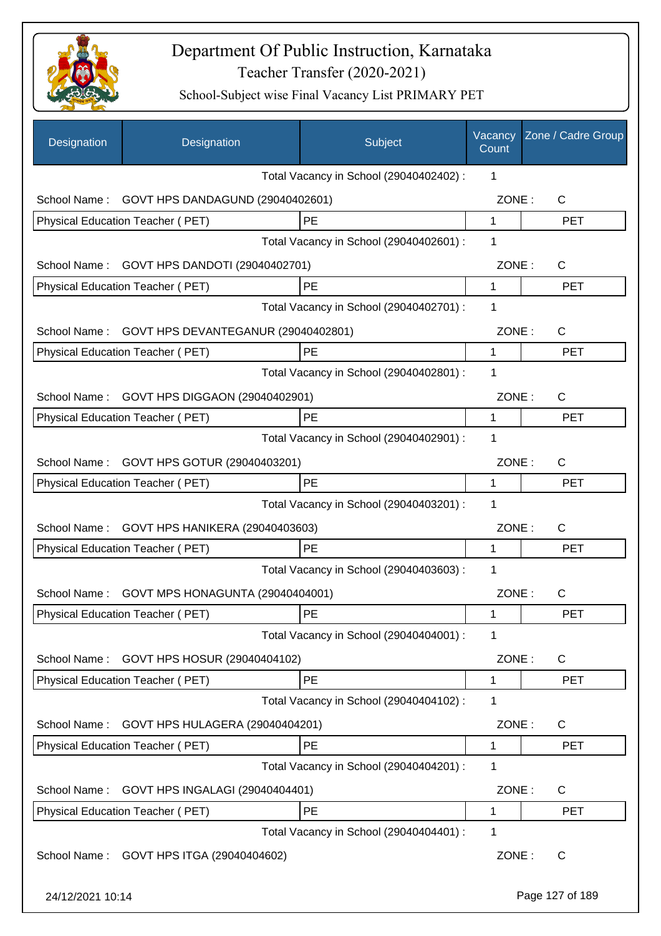

| Designation      | Designation                             | Subject                                 | Vacancy<br>Count | Zone / Cadre Group |
|------------------|-----------------------------------------|-----------------------------------------|------------------|--------------------|
|                  |                                         | Total Vacancy in School (29040402402) : | 1                |                    |
| School Name:     | GOVT HPS DANDAGUND (29040402601)        |                                         | ZONE:            | C                  |
|                  | Physical Education Teacher (PET)        | PE                                      | 1                | <b>PET</b>         |
|                  |                                         | Total Vacancy in School (29040402601) : | 1                |                    |
| School Name:     | GOVT HPS DANDOTI (29040402701)          |                                         | ZONE:            | C                  |
|                  | Physical Education Teacher (PET)        | PE                                      | 1                | <b>PET</b>         |
|                  |                                         | Total Vacancy in School (29040402701) : | 1                |                    |
| School Name:     | GOVT HPS DEVANTEGANUR (29040402801)     |                                         | ZONE:            | $\mathsf{C}$       |
|                  | Physical Education Teacher (PET)        | PE                                      | 1                | <b>PET</b>         |
|                  |                                         | Total Vacancy in School (29040402801) : | 1                |                    |
| School Name:     | GOVT HPS DIGGAON (29040402901)          |                                         | ZONE:            | C                  |
|                  | Physical Education Teacher (PET)        | PE                                      | 1                | <b>PET</b>         |
|                  |                                         | Total Vacancy in School (29040402901) : | 1                |                    |
| School Name:     | GOVT HPS GOTUR (29040403201)            |                                         | ZONE:            | C                  |
|                  | Physical Education Teacher (PET)        | PE                                      | 1                | <b>PET</b>         |
|                  |                                         | Total Vacancy in School (29040403201) : | 1                |                    |
| School Name:     | GOVT HPS HANIKERA (29040403603)         |                                         | ZONE:            | $\mathsf{C}$       |
|                  | Physical Education Teacher (PET)        | PE                                      | 1                | <b>PET</b>         |
|                  |                                         | Total Vacancy in School (29040403603) : | 1                |                    |
| School Name:     | GOVT MPS HONAGUNTA (29040404001)        |                                         | ZONE:            | $\mathsf{C}$       |
|                  | <b>Physical Education Teacher (PET)</b> | PE                                      | 1                | PET                |
|                  |                                         | Total Vacancy in School (29040404001) : | 1                |                    |
| School Name:     | GOVT HPS HOSUR (29040404102)            |                                         | ZONE:            | C                  |
|                  | Physical Education Teacher (PET)        | PE                                      | 1                | <b>PET</b>         |
|                  |                                         | Total Vacancy in School (29040404102) : | 1                |                    |
| School Name:     | GOVT HPS HULAGERA (29040404201)         |                                         | ZONE:            | C                  |
|                  | Physical Education Teacher (PET)        | PE                                      | 1                | <b>PET</b>         |
|                  |                                         | Total Vacancy in School (29040404201) : | 1                |                    |
| School Name:     | GOVT HPS INGALAGI (29040404401)         |                                         | ZONE:            | C                  |
|                  | Physical Education Teacher (PET)        | PE                                      | 1                | <b>PET</b>         |
|                  |                                         | Total Vacancy in School (29040404401) : | 1                |                    |
| School Name:     | GOVT HPS ITGA (29040404602)             |                                         | ZONE:            | C                  |
| 24/12/2021 10:14 |                                         |                                         |                  | Page 127 of 189    |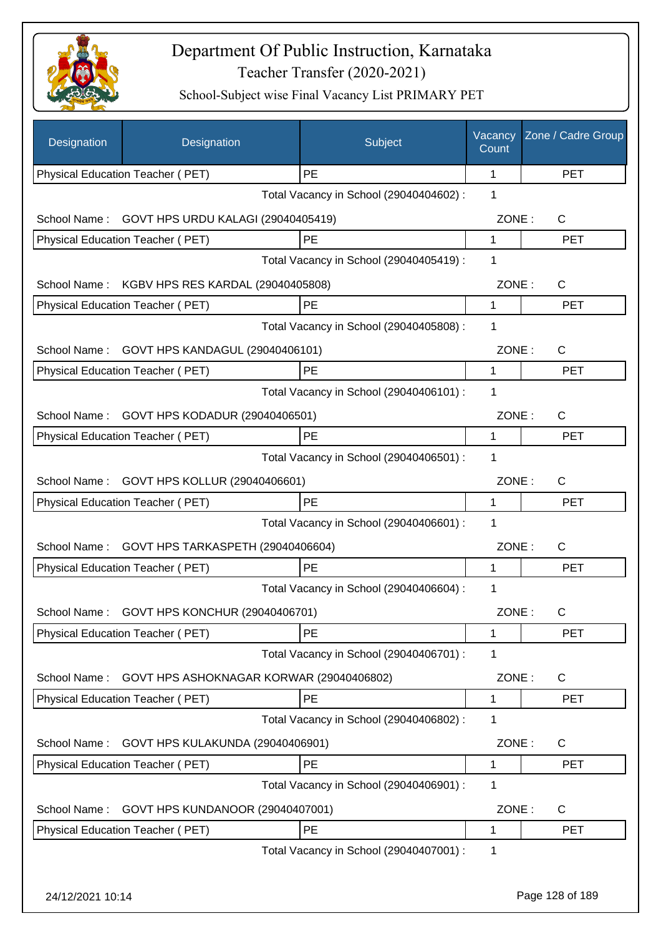

| Designation      | Designation                              | Subject                                 | Vacancy<br>Count | Zone / Cadre Group |
|------------------|------------------------------------------|-----------------------------------------|------------------|--------------------|
|                  | Physical Education Teacher (PET)         | PE                                      | 1                | <b>PET</b>         |
|                  |                                          | Total Vacancy in School (29040404602) : | 1                |                    |
| School Name:     | GOVT HPS URDU KALAGI (29040405419)       |                                         | ZONE:            | C                  |
|                  | Physical Education Teacher (PET)         | PE                                      | 1                | <b>PET</b>         |
|                  |                                          | Total Vacancy in School (29040405419) : | 1                |                    |
| School Name:     | KGBV HPS RES KARDAL (29040405808)        |                                         | ZONE:            | C                  |
|                  | Physical Education Teacher (PET)         | PE                                      | 1                | <b>PET</b>         |
|                  |                                          | Total Vacancy in School (29040405808) : | 1                |                    |
| School Name:     | GOVT HPS KANDAGUL (29040406101)          |                                         | ZONE:            | $\mathsf{C}$       |
|                  | Physical Education Teacher (PET)         | PE                                      | 1                | <b>PET</b>         |
|                  |                                          | Total Vacancy in School (29040406101) : | 1                |                    |
| School Name:     | GOVT HPS KODADUR (29040406501)           |                                         | ZONE:            | C                  |
|                  | Physical Education Teacher (PET)         | <b>PE</b>                               | 1                | <b>PET</b>         |
|                  |                                          | Total Vacancy in School (29040406501) : | 1                |                    |
| School Name:     | GOVT HPS KOLLUR (29040406601)            |                                         | ZONE:            | C                  |
|                  | Physical Education Teacher (PET)         | <b>PE</b>                               | 1                | <b>PET</b>         |
|                  |                                          | Total Vacancy in School (29040406601) : | 1                |                    |
| School Name:     | GOVT HPS TARKASPETH (29040406604)        |                                         | ZONE:            | $\mathsf{C}$       |
|                  | Physical Education Teacher (PET)         | PE                                      | 1                | <b>PET</b>         |
|                  |                                          | Total Vacancy in School (29040406604) : | 1                |                    |
| School Name:     | GOVT HPS KONCHUR (29040406701)           |                                         | ZONE:            | C.                 |
|                  | Physical Education Teacher (PET)         | PE                                      | 1                | <b>PET</b>         |
|                  |                                          | Total Vacancy in School (29040406701) : | 1                |                    |
| School Name:     | GOVT HPS ASHOKNAGAR KORWAR (29040406802) |                                         | ZONE:            | C                  |
|                  | Physical Education Teacher (PET)         | PE                                      | 1                | <b>PET</b>         |
|                  |                                          | Total Vacancy in School (29040406802) : | 1                |                    |
| School Name:     | GOVT HPS KULAKUNDA (29040406901)         |                                         | ZONE:            | C                  |
|                  | Physical Education Teacher (PET)         | PE                                      | 1                | <b>PET</b>         |
|                  |                                          | Total Vacancy in School (29040406901) : | 1                |                    |
|                  |                                          |                                         | ZONE:            | C                  |
| School Name:     | GOVT HPS KUNDANOOR (29040407001)         | PE                                      | 1                | PET                |
|                  | Physical Education Teacher (PET)         | Total Vacancy in School (29040407001) : | 1                |                    |
|                  |                                          |                                         |                  |                    |
| 24/12/2021 10:14 |                                          |                                         |                  | Page 128 of 189    |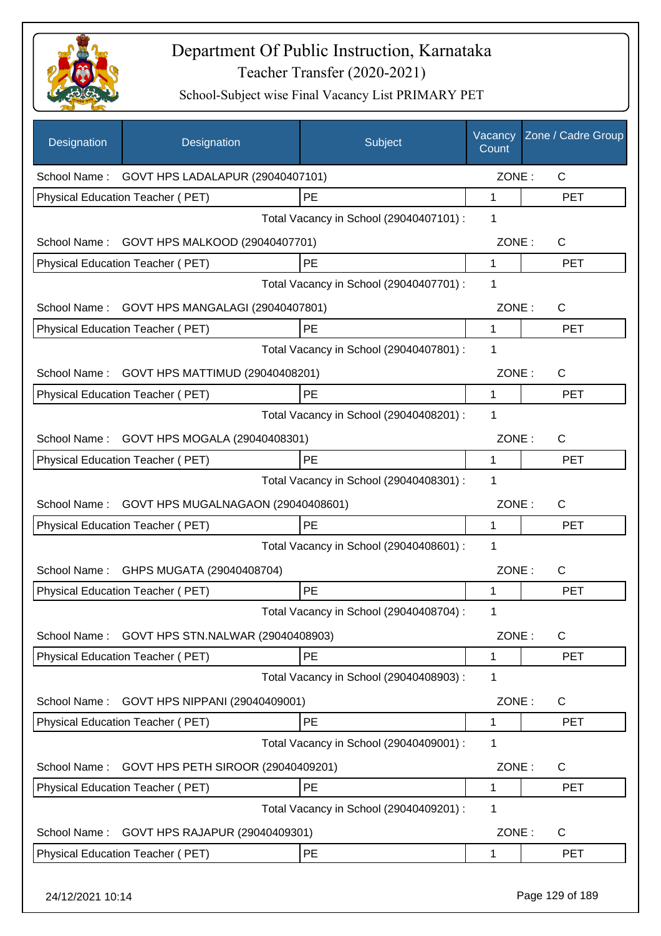

| Designation      | Designation                             | Subject                                 | Vacancy<br>Count | Zone / Cadre Group |
|------------------|-----------------------------------------|-----------------------------------------|------------------|--------------------|
| School Name:     | GOVT HPS LADALAPUR (29040407101)        |                                         | ZONE:            | $\mathsf{C}$       |
|                  | Physical Education Teacher (PET)        | PE                                      | 1                | <b>PET</b>         |
|                  |                                         | Total Vacancy in School (29040407101) : | 1                |                    |
| School Name:     | GOVT HPS MALKOOD (29040407701)          |                                         | ZONE:            | C                  |
|                  | Physical Education Teacher (PET)        | PE                                      | 1                | <b>PET</b>         |
|                  |                                         | Total Vacancy in School (29040407701) : | 1                |                    |
| School Name:     | GOVT HPS MANGALAGI (29040407801)        |                                         | ZONE:            | $\mathsf{C}$       |
|                  | Physical Education Teacher (PET)        | PE                                      | 1                | <b>PET</b>         |
|                  |                                         | Total Vacancy in School (29040407801) : | 1                |                    |
| School Name:     | GOVT HPS MATTIMUD (29040408201)         |                                         | ZONE:            | C                  |
|                  | Physical Education Teacher (PET)        | PE                                      | $\mathbf 1$      | <b>PET</b>         |
|                  |                                         | Total Vacancy in School (29040408201) : | 1                |                    |
| School Name:     | GOVT HPS MOGALA (29040408301)           |                                         | ZONE:            | C                  |
|                  | Physical Education Teacher (PET)        | <b>PE</b>                               | 1                | <b>PET</b>         |
|                  |                                         | Total Vacancy in School (29040408301) : | 1                |                    |
| School Name:     | GOVT HPS MUGALNAGAON (29040408601)      |                                         | ZONE:            | C                  |
|                  | Physical Education Teacher (PET)        | PE                                      | 1                | <b>PET</b>         |
|                  |                                         | Total Vacancy in School (29040408601) : | 1                |                    |
| School Name:     | GHPS MUGATA (29040408704)               |                                         | ZONE:            | C                  |
|                  | Physical Education Teacher (PET)        | PE                                      | 1                | <b>PET</b>         |
|                  |                                         | Total Vacancy in School (29040408704) : | 1                |                    |
| School Name:     | GOVT HPS STN.NALWAR (29040408903)       |                                         | ZONE:            | $\mathsf C$        |
|                  | <b>Physical Education Teacher (PET)</b> | PE                                      | 1                | <b>PET</b>         |
|                  |                                         | Total Vacancy in School (29040408903) : | 1                |                    |
| School Name:     | GOVT HPS NIPPANI (29040409001)          |                                         | ZONE:            | $\mathsf{C}$       |
|                  | Physical Education Teacher (PET)        | PE                                      | 1                | <b>PET</b>         |
|                  |                                         | Total Vacancy in School (29040409001) : | 1                |                    |
| School Name:     | GOVT HPS PETH SIROOR (29040409201)      |                                         | ZONE:            | C                  |
|                  | Physical Education Teacher (PET)        | PE                                      | 1                | <b>PET</b>         |
|                  |                                         | Total Vacancy in School (29040409201) : | 1                |                    |
| School Name:     | GOVT HPS RAJAPUR (29040409301)          |                                         | ZONE:            | C                  |
|                  | Physical Education Teacher (PET)        | <b>PE</b>                               | 1                | PET                |
| 24/12/2021 10:14 |                                         |                                         |                  | Page 129 of 189    |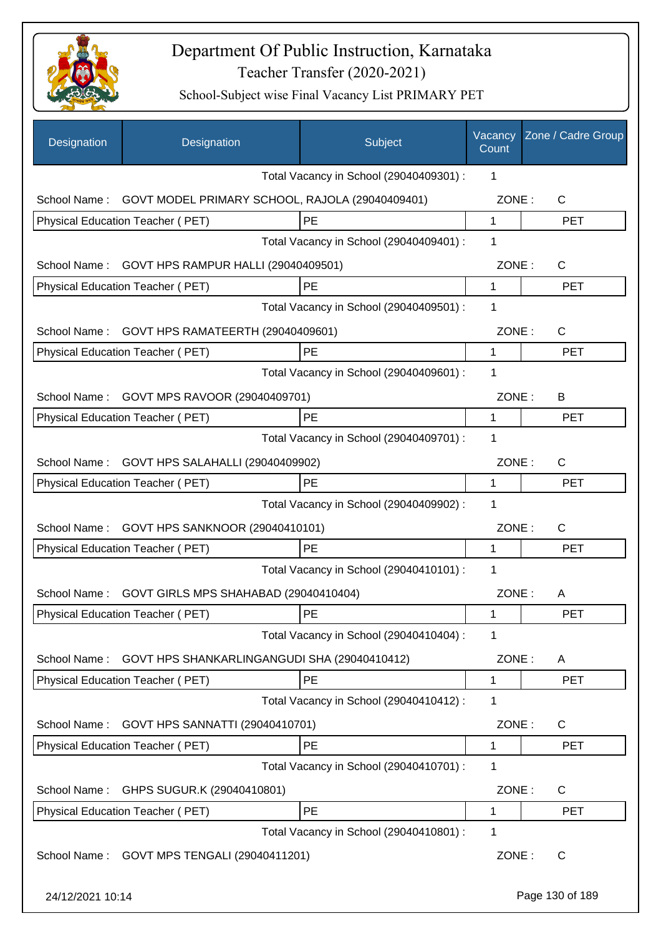

| Designation      | Designation                                     | Subject                                 | Vacancy<br>Count | Zone / Cadre Group |
|------------------|-------------------------------------------------|-----------------------------------------|------------------|--------------------|
|                  |                                                 | Total Vacancy in School (29040409301) : | 1                |                    |
| School Name:     | GOVT MODEL PRIMARY SCHOOL, RAJOLA (29040409401) |                                         | ZONE:            | $\mathsf{C}$       |
|                  | Physical Education Teacher (PET)                | PE                                      | $\mathbf{1}$     | <b>PET</b>         |
|                  |                                                 | Total Vacancy in School (29040409401) : | 1                |                    |
| School Name:     | GOVT HPS RAMPUR HALLI (29040409501)             |                                         | ZONE:            | C                  |
|                  | Physical Education Teacher (PET)                | PE                                      | 1                | <b>PET</b>         |
|                  |                                                 | Total Vacancy in School (29040409501) : | 1                |                    |
| School Name:     | GOVT HPS RAMATEERTH (29040409601)               |                                         | ZONE:            | $\mathsf{C}$       |
|                  | Physical Education Teacher (PET)                | PE                                      | 1                | <b>PET</b>         |
|                  |                                                 | Total Vacancy in School (29040409601) : | 1                |                    |
| School Name:     | GOVT MPS RAVOOR (29040409701)                   |                                         | ZONE:            | B                  |
|                  | Physical Education Teacher (PET)                | PE                                      | 1                | <b>PET</b>         |
|                  |                                                 | Total Vacancy in School (29040409701) : | 1                |                    |
| School Name:     | GOVT HPS SALAHALLI (29040409902)                |                                         | ZONE:            | $\mathsf{C}$       |
|                  | Physical Education Teacher (PET)                | PE                                      | 1                | <b>PET</b>         |
|                  |                                                 | Total Vacancy in School (29040409902) : | 1                |                    |
| School Name:     | GOVT HPS SANKNOOR (29040410101)                 |                                         | ZONE:            | $\mathsf{C}$       |
|                  | Physical Education Teacher (PET)                | PE                                      | 1                | <b>PET</b>         |
|                  |                                                 | Total Vacancy in School (29040410101) : | 1                |                    |
| School Name:     | GOVT GIRLS MPS SHAHABAD (29040410404)           |                                         | ZONE:            | A                  |
|                  | Physical Education Teacher (PET)                | PE                                      | 1                | <b>PET</b>         |
|                  |                                                 | Total Vacancy in School (29040410404) : | 1                |                    |
| School Name:     | GOVT HPS SHANKARLINGANGUDI SHA (29040410412)    |                                         | ZONE:            | A                  |
|                  | Physical Education Teacher (PET)                | PE                                      | 1                | PET                |
|                  |                                                 | Total Vacancy in School (29040410412) : | 1                |                    |
| School Name:     | GOVT HPS SANNATTI (29040410701)                 |                                         | ZONE:            | C                  |
|                  | Physical Education Teacher (PET)                | PE                                      | 1                | <b>PET</b>         |
|                  |                                                 | Total Vacancy in School (29040410701) : | 1                |                    |
| School Name:     | GHPS SUGUR.K (29040410801)                      |                                         | ZONE:            | C                  |
|                  | Physical Education Teacher (PET)                | PE                                      | 1                | <b>PET</b>         |
|                  |                                                 | Total Vacancy in School (29040410801) : | 1                |                    |
| School Name:     | GOVT MPS TENGALI (29040411201)                  |                                         | ZONE:            | C                  |
| 24/12/2021 10:14 |                                                 |                                         |                  | Page 130 of 189    |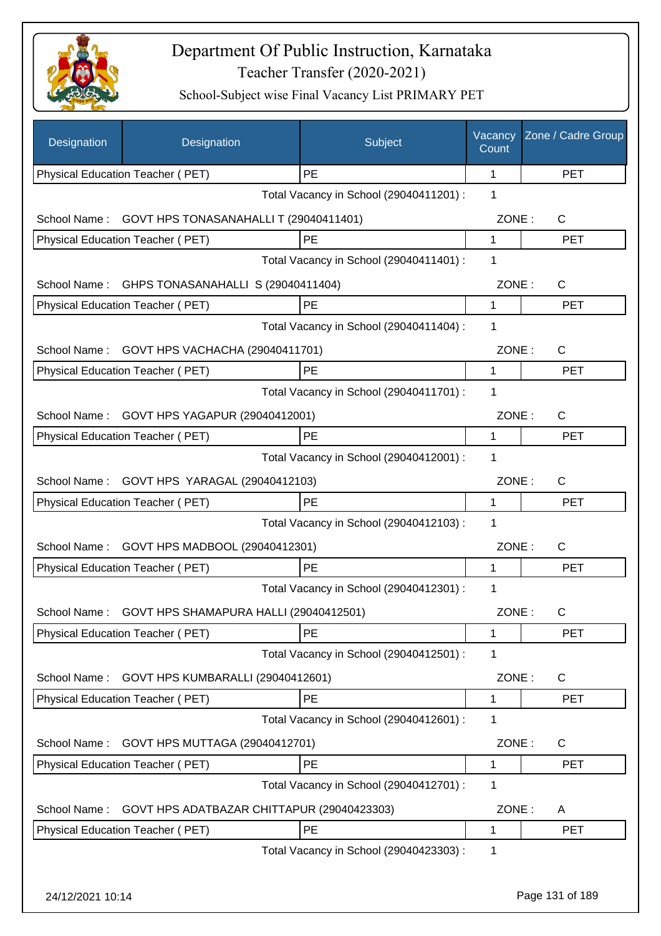

| Designation      | Designation                                 | Subject                                 | Vacancy<br>Count | Zone / Cadre Group |
|------------------|---------------------------------------------|-----------------------------------------|------------------|--------------------|
|                  | Physical Education Teacher (PET)            | <b>PE</b>                               | 1                | <b>PET</b>         |
|                  |                                             | Total Vacancy in School (29040411201) : | 1                |                    |
| School Name:     | GOVT HPS TONASANAHALLI T (29040411401)      |                                         | ZONE:            | $\mathsf{C}$       |
|                  | Physical Education Teacher (PET)            | PE                                      | 1                | <b>PET</b>         |
|                  |                                             | Total Vacancy in School (29040411401) : | 1                |                    |
| School Name:     | GHPS TONASANAHALLI S (29040411404)          |                                         | ZONE:            | $\mathsf{C}$       |
|                  | Physical Education Teacher (PET)            | PE                                      | 1                | <b>PET</b>         |
|                  |                                             | Total Vacancy in School (29040411404) : | 1                |                    |
| School Name:     | GOVT HPS VACHACHA (29040411701)             |                                         | ZONE:            | C                  |
|                  | Physical Education Teacher (PET)            | PE                                      | 1                | <b>PET</b>         |
|                  |                                             | Total Vacancy in School (29040411701) : | 1                |                    |
| School Name:     | GOVT HPS YAGAPUR (29040412001)              |                                         | ZONE:            | $\mathsf{C}$       |
|                  | Physical Education Teacher (PET)            | PE                                      | $\mathbf{1}$     | <b>PET</b>         |
|                  |                                             | Total Vacancy in School (29040412001) : | 1                |                    |
|                  | School Name: GOVT HPS YARAGAL (29040412103) |                                         | ZONE:            | C                  |
|                  | Physical Education Teacher (PET)            | PE                                      | 1                | <b>PET</b>         |
|                  |                                             | Total Vacancy in School (29040412103) : | 1                |                    |
|                  |                                             |                                         | ZONE:            | $\mathsf{C}$       |
| School Name:     | GOVT HPS MADBOOL (29040412301)              | <b>PE</b>                               | 1                | <b>PET</b>         |
|                  | Physical Education Teacher (PET)            | Total Vacancy in School (29040412301) : | 1                |                    |
|                  |                                             |                                         |                  |                    |
| School Name:     | GOVT HPS SHAMAPURA HALLI (29040412501)      |                                         | ZONE:            | C.                 |
|                  | Physical Education Teacher (PET)            | PE                                      | 1                | <b>PET</b>         |
|                  |                                             | Total Vacancy in School (29040412501) : | 1                |                    |
| School Name:     | GOVT HPS KUMBARALLI (29040412601)           |                                         | ZONE:            | C                  |
|                  | Physical Education Teacher (PET)            | PE                                      | 1                | <b>PET</b>         |
|                  |                                             | Total Vacancy in School (29040412601) : | 1                |                    |
| School Name:     | GOVT HPS MUTTAGA (29040412701)              |                                         | ZONE:            | C                  |
|                  | Physical Education Teacher (PET)            | PE                                      | 1                | <b>PET</b>         |
|                  |                                             | Total Vacancy in School (29040412701) : | 1                |                    |
| School Name:     | GOVT HPS ADATBAZAR CHITTAPUR (29040423303)  |                                         | ZONE:            | A                  |
|                  | Physical Education Teacher (PET)            | PE                                      | 1                | <b>PET</b>         |
|                  |                                             | Total Vacancy in School (29040423303) : | 1                |                    |
|                  |                                             |                                         |                  |                    |
| 24/12/2021 10:14 |                                             |                                         |                  | Page 131 of 189    |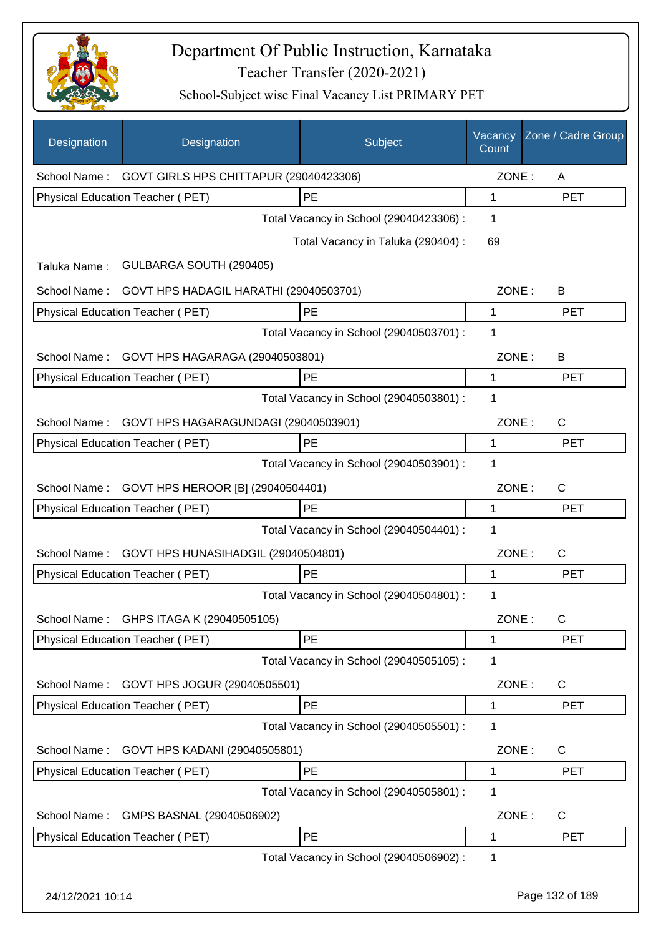

| Designation  | Designation                                         | Subject                                 | Vacancy<br>Count | Zone / Cadre Group |
|--------------|-----------------------------------------------------|-----------------------------------------|------------------|--------------------|
|              | School Name: GOVT GIRLS HPS CHITTAPUR (29040423306) |                                         | ZONE:            | A                  |
|              | Physical Education Teacher (PET)                    | PE                                      | 1                | <b>PET</b>         |
|              |                                                     | Total Vacancy in School (29040423306) : | 1                |                    |
|              |                                                     | Total Vacancy in Taluka (290404) :      | 69               |                    |
| Taluka Name: | GULBARGA SOUTH (290405)                             |                                         |                  |                    |
| School Name: | GOVT HPS HADAGIL HARATHI (29040503701)              |                                         | ZONE:            | B                  |
|              | Physical Education Teacher (PET)                    | <b>PE</b>                               | 1                | <b>PET</b>         |
|              |                                                     | Total Vacancy in School (29040503701) : | 1                |                    |
| School Name: | GOVT HPS HAGARAGA (29040503801)                     |                                         | ZONE:            | B                  |
|              | Physical Education Teacher (PET)                    | <b>PE</b>                               | 1                | <b>PET</b>         |
|              |                                                     | Total Vacancy in School (29040503801) : | 1                |                    |
| School Name: | GOVT HPS HAGARAGUNDAGI (29040503901)                |                                         | ZONE:            | $\mathsf{C}$       |
|              | Physical Education Teacher (PET)                    | PE                                      | 1                | <b>PET</b>         |
|              |                                                     | Total Vacancy in School (29040503901) : | 1                |                    |
| School Name: | GOVT HPS HEROOR [B] (29040504401)                   |                                         | ZONE:            | C                  |
|              | Physical Education Teacher (PET)                    | PE                                      | 1                | <b>PET</b>         |
|              |                                                     | Total Vacancy in School (29040504401) : | 1                |                    |
| School Name: | GOVT HPS HUNASIHADGIL (29040504801)                 |                                         | ZONE:            | C                  |
|              | <b>Physical Education Teacher (PET)</b>             | PE                                      | 1                | <b>PET</b>         |
|              |                                                     | Total Vacancy in School (29040504801) : | 1                |                    |
| School Name: | GHPS ITAGA K (29040505105)                          |                                         | ZONE:            | $\mathsf C$        |
|              | Physical Education Teacher (PET)                    | PE                                      | 1                | PET                |
|              |                                                     | Total Vacancy in School (29040505105) : | 1                |                    |
| School Name: | GOVT HPS JOGUR (29040505501)                        |                                         | ZONE:            | C                  |
|              | Physical Education Teacher (PET)                    | PE                                      | 1                | <b>PET</b>         |
|              |                                                     | Total Vacancy in School (29040505501) : | 1                |                    |
| School Name: | GOVT HPS KADANI (29040505801)                       |                                         | ZONE:            | C                  |
|              | Physical Education Teacher (PET)                    | PE                                      | 1                | <b>PET</b>         |
|              |                                                     | Total Vacancy in School (29040505801) : | 1                |                    |
| School Name: | GMPS BASNAL (29040506902)                           |                                         | ZONE:            | C                  |
|              | Physical Education Teacher (PET)                    | PE                                      | 1                | <b>PET</b>         |
|              |                                                     | Total Vacancy in School (29040506902) : | 1                |                    |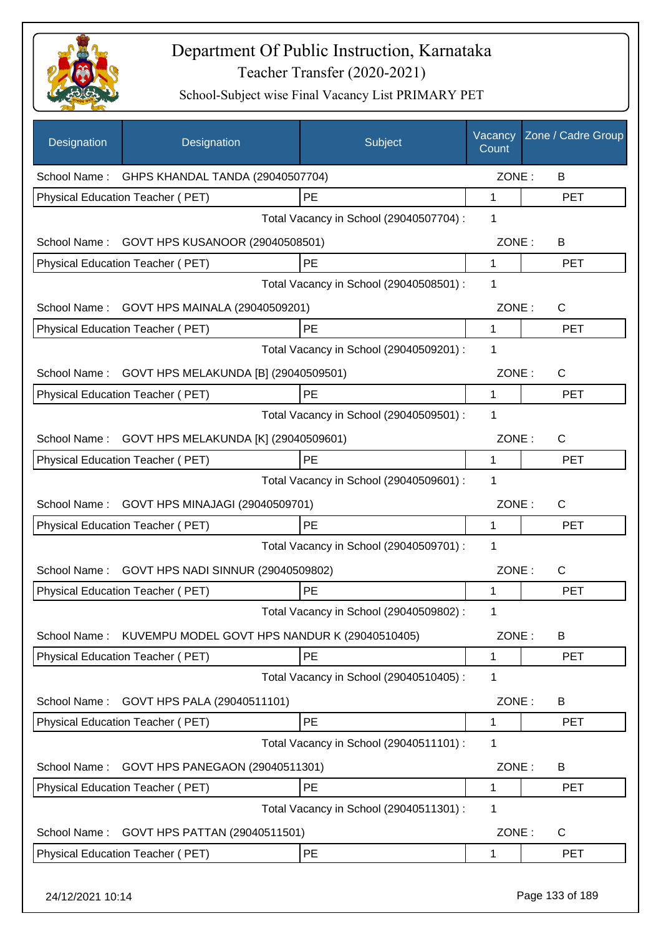

| Designation      | Designation                                   | Subject                                 | Vacancy<br>Count | Zone / Cadre Group |
|------------------|-----------------------------------------------|-----------------------------------------|------------------|--------------------|
|                  | School Name: GHPS KHANDAL TANDA (29040507704) |                                         | ZONE:            | B                  |
|                  | Physical Education Teacher (PET)              | PE                                      | 1                | <b>PET</b>         |
|                  |                                               | Total Vacancy in School (29040507704) : | 1                |                    |
|                  | School Name: GOVT HPS KUSANOOR (29040508501)  |                                         | ZONE:            | B                  |
|                  | Physical Education Teacher (PET)              | PE                                      | 1                | <b>PET</b>         |
|                  |                                               | Total Vacancy in School (29040508501) : | 1                |                    |
|                  | School Name: GOVT HPS MAINALA (29040509201)   |                                         | ZONE:            | C                  |
|                  | Physical Education Teacher (PET)              | PE                                      | 1                | <b>PET</b>         |
|                  |                                               | Total Vacancy in School (29040509201) : | 1                |                    |
| School Name:     | GOVT HPS MELAKUNDA [B] (29040509501)          |                                         | ZONE:            | C                  |
|                  | Physical Education Teacher (PET)              | PE                                      | 1                | <b>PET</b>         |
|                  |                                               | Total Vacancy in School (29040509501) : | 1                |                    |
| School Name:     | GOVT HPS MELAKUNDA [K] (29040509601)          |                                         | ZONE:            | C                  |
|                  | Physical Education Teacher (PET)              | PE                                      | 1                | <b>PET</b>         |
|                  |                                               | Total Vacancy in School (29040509601) : | 1                |                    |
| School Name:     | GOVT HPS MINAJAGI (29040509701)               |                                         | ZONE:            | C                  |
|                  | Physical Education Teacher (PET)              | PE                                      | 1                | <b>PET</b>         |
|                  |                                               | Total Vacancy in School (29040509701) : | 1                |                    |
| School Name:     | GOVT HPS NADI SINNUR (29040509802)            |                                         | ZONE:            | C                  |
|                  | Physical Education Teacher (PET)              | PE                                      | 1                | <b>PET</b>         |
|                  |                                               | Total Vacancy in School (29040509802) : | 1                |                    |
| School Name:     | KUVEMPU MODEL GOVT HPS NANDUR K (29040510405) |                                         | ZONE:            | B                  |
|                  | <b>Physical Education Teacher (PET)</b>       | PE                                      | 1                | <b>PET</b>         |
|                  |                                               | Total Vacancy in School (29040510405) : | 1                |                    |
| School Name:     | GOVT HPS PALA (29040511101)                   |                                         | ZONE:            | B                  |
|                  | Physical Education Teacher (PET)              | PE                                      | 1                | <b>PET</b>         |
|                  |                                               | Total Vacancy in School (29040511101) : | 1                |                    |
| School Name:     | GOVT HPS PANEGAON (29040511301)               |                                         | ZONE:            | B                  |
|                  | Physical Education Teacher (PET)              | <b>PE</b>                               | 1                | <b>PET</b>         |
|                  |                                               | Total Vacancy in School (29040511301) : | 1                |                    |
| School Name:     | GOVT HPS PATTAN (29040511501)                 |                                         | ZONE:            | C                  |
|                  | Physical Education Teacher (PET)              | PE                                      | 1                | <b>PET</b>         |
| 24/12/2021 10:14 |                                               |                                         |                  | Page 133 of 189    |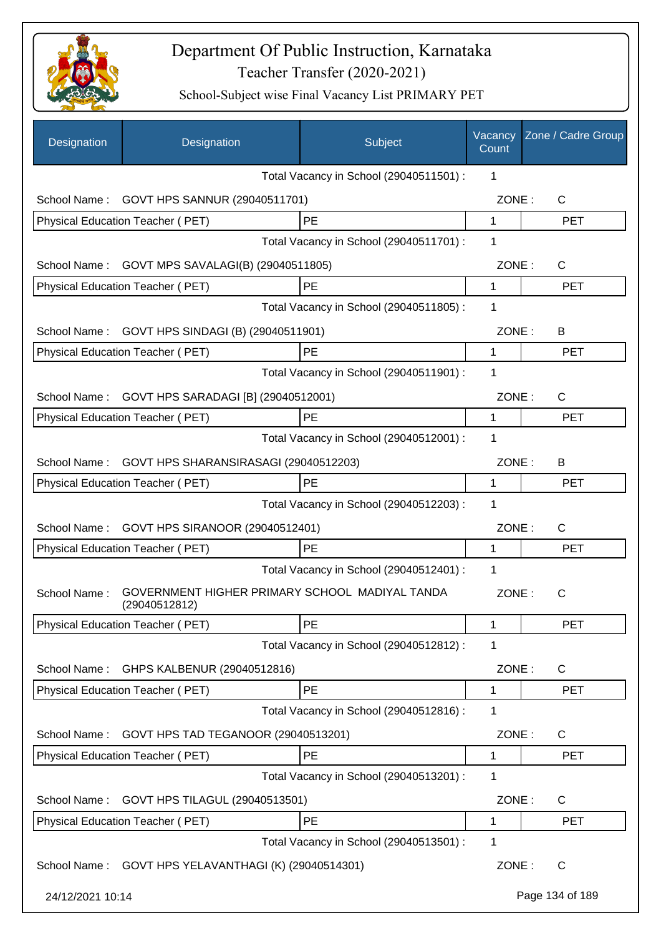

| Designation      | Designation                                                     | Subject                                 | Vacancy<br>Count | Zone / Cadre Group |
|------------------|-----------------------------------------------------------------|-----------------------------------------|------------------|--------------------|
|                  |                                                                 | Total Vacancy in School (29040511501) : | 1                |                    |
| School Name:     | GOVT HPS SANNUR (29040511701)                                   |                                         | ZONE:            | $\mathsf{C}$       |
|                  | Physical Education Teacher (PET)                                | PE                                      | 1                | <b>PET</b>         |
|                  |                                                                 | Total Vacancy in School (29040511701) : | 1                |                    |
| School Name:     | GOVT MPS SAVALAGI(B) (29040511805)                              |                                         | ZONE:            | C                  |
|                  | Physical Education Teacher (PET)                                | PE                                      | $\mathbf 1$      | <b>PET</b>         |
|                  |                                                                 | Total Vacancy in School (29040511805) : | 1                |                    |
| School Name:     | GOVT HPS SINDAGI (B) (29040511901)                              |                                         | ZONE:            | B                  |
|                  | Physical Education Teacher (PET)                                | PE                                      | 1                | <b>PET</b>         |
|                  |                                                                 | Total Vacancy in School (29040511901) : | 1                |                    |
| School Name:     | GOVT HPS SARADAGI [B] (29040512001)                             |                                         | ZONE:            | C                  |
|                  | Physical Education Teacher (PET)                                | PE                                      | 1                | <b>PET</b>         |
|                  |                                                                 | Total Vacancy in School (29040512001) : | 1                |                    |
| School Name:     | GOVT HPS SHARANSIRASAGI (29040512203)                           |                                         | ZONE:            | B                  |
|                  | Physical Education Teacher (PET)                                | PE                                      | 1                | <b>PET</b>         |
|                  |                                                                 | Total Vacancy in School (29040512203) : | $\mathbf 1$      |                    |
| School Name:     | GOVT HPS SIRANOOR (29040512401)                                 |                                         | ZONE:            | C                  |
|                  | Physical Education Teacher (PET)                                | PE                                      | 1                | <b>PET</b>         |
|                  |                                                                 | Total Vacancy in School (29040512401) : | 1                |                    |
| School Name:     | GOVERNMENT HIGHER PRIMARY SCHOOL MADIYAL TANDA<br>(29040512812) |                                         | ZONE:            | С                  |
|                  | <b>Physical Education Teacher (PET)</b>                         | PE                                      | 1                | <b>PET</b>         |
|                  |                                                                 | Total Vacancy in School (29040512812) : | 1                |                    |
| School Name:     | GHPS KALBENUR (29040512816)                                     |                                         | ZONE:            | C                  |
|                  | Physical Education Teacher (PET)                                | PE                                      | 1                | <b>PET</b>         |
|                  |                                                                 | Total Vacancy in School (29040512816) : | 1                |                    |
| School Name:     | GOVT HPS TAD TEGANOOR (29040513201)                             |                                         | ZONE:            | C                  |
|                  | Physical Education Teacher (PET)                                | PE                                      | 1                | <b>PET</b>         |
|                  |                                                                 | Total Vacancy in School (29040513201) : | 1                |                    |
| School Name:     | GOVT HPS TILAGUL (29040513501)                                  |                                         | ZONE:            | $\mathsf{C}$       |
|                  | Physical Education Teacher (PET)                                | PE                                      | 1                | <b>PET</b>         |
|                  |                                                                 | Total Vacancy in School (29040513501) : | 1                |                    |
|                  | School Name: GOVT HPS YELAVANTHAGI (K) (29040514301)            |                                         | ZONE:            | $\mathsf{C}$       |
| 24/12/2021 10:14 |                                                                 |                                         |                  | Page 134 of 189    |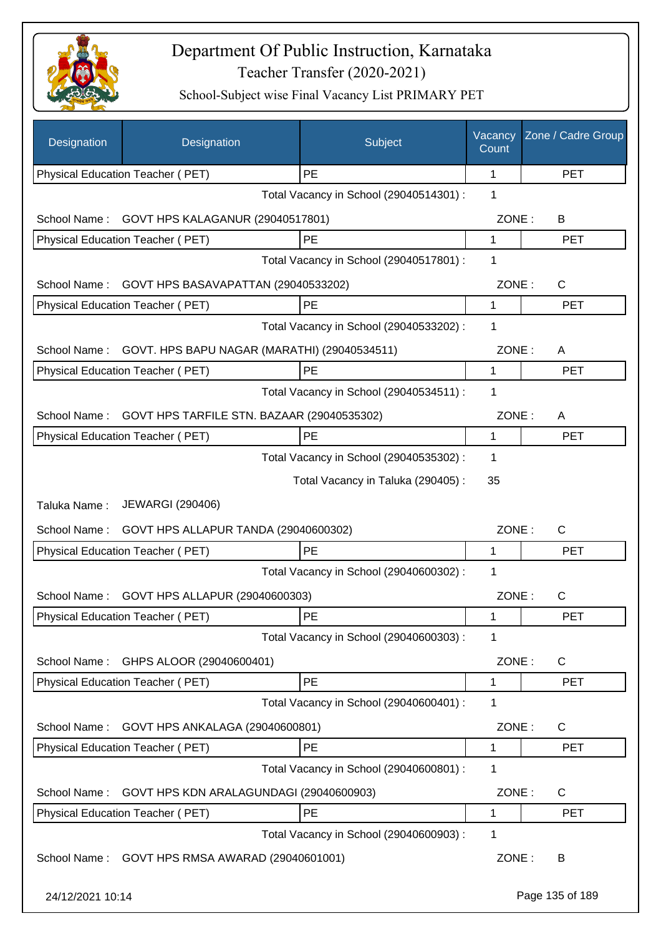

| Designation      | Designation                                  | Subject                                 | Vacancy<br>Count | Zone / Cadre Group |
|------------------|----------------------------------------------|-----------------------------------------|------------------|--------------------|
|                  | Physical Education Teacher (PET)             | PE                                      | 1                | <b>PET</b>         |
|                  |                                              | Total Vacancy in School (29040514301) : | 1                |                    |
| School Name:     | GOVT HPS KALAGANUR (29040517801)             |                                         | ZONE:            | B                  |
|                  | Physical Education Teacher (PET)             | PE                                      | 1                | <b>PET</b>         |
|                  |                                              | Total Vacancy in School (29040517801) : | 1                |                    |
| School Name:     | GOVT HPS BASAVAPATTAN (29040533202)          |                                         | ZONE:            | $\mathsf{C}$       |
|                  | Physical Education Teacher (PET)             | PE                                      | 1                | <b>PET</b>         |
|                  |                                              | Total Vacancy in School (29040533202) : | 1                |                    |
| School Name:     | GOVT. HPS BAPU NAGAR (MARATHI) (29040534511) |                                         | ZONE:            | A                  |
|                  | Physical Education Teacher (PET)             | PE                                      | $\mathbf{1}$     | <b>PET</b>         |
|                  |                                              | Total Vacancy in School (29040534511) : | 1                |                    |
| School Name:     | GOVT HPS TARFILE STN. BAZAAR (29040535302)   |                                         | ZONE:            | A                  |
|                  | Physical Education Teacher (PET)             | PE                                      | 1                | <b>PET</b>         |
|                  |                                              | Total Vacancy in School (29040535302) : | 1                |                    |
|                  |                                              | Total Vacancy in Taluka (290405):       | 35               |                    |
|                  | <b>JEWARGI (290406)</b>                      |                                         |                  |                    |
| Taluka Name:     |                                              |                                         |                  |                    |
| School Name:     | GOVT HPS ALLAPUR TANDA (29040600302)         |                                         | ZONE:            | $\mathsf{C}$       |
|                  | <b>Physical Education Teacher (PET)</b>      | PE                                      | 1                | <b>PET</b>         |
|                  |                                              | Total Vacancy in School (29040600302) : | 1                |                    |
| School Name:     | GOVT HPS ALLAPUR (29040600303)               |                                         | ZONE:            | $\mathsf{C}$       |
|                  | Physical Education Teacher (PET)             | PE                                      | 1                | PET                |
|                  |                                              | Total Vacancy in School (29040600303) : | 1                |                    |
| School Name:     | GHPS ALOOR (29040600401)                     |                                         | ZONE:            | C                  |
|                  | Physical Education Teacher (PET)             | PE                                      | $\mathbf 1$      | <b>PET</b>         |
|                  |                                              | Total Vacancy in School (29040600401) : | 1                |                    |
| School Name:     | GOVT HPS ANKALAGA (29040600801)              |                                         | ZONE:            | C                  |
|                  | <b>Physical Education Teacher (PET)</b>      | PE                                      | 1                | <b>PET</b>         |
|                  |                                              | Total Vacancy in School (29040600801) : | 1                |                    |
| School Name:     | GOVT HPS KDN ARALAGUNDAGI (29040600903)      |                                         | ZONE:            | C                  |
|                  | Physical Education Teacher (PET)             | PE                                      | 1                | PET                |
|                  |                                              | Total Vacancy in School (29040600903) : | 1                |                    |
| School Name:     | GOVT HPS RMSA AWARAD (29040601001)           |                                         | ZONE:            | B                  |
| 24/12/2021 10:14 |                                              |                                         |                  | Page 135 of 189    |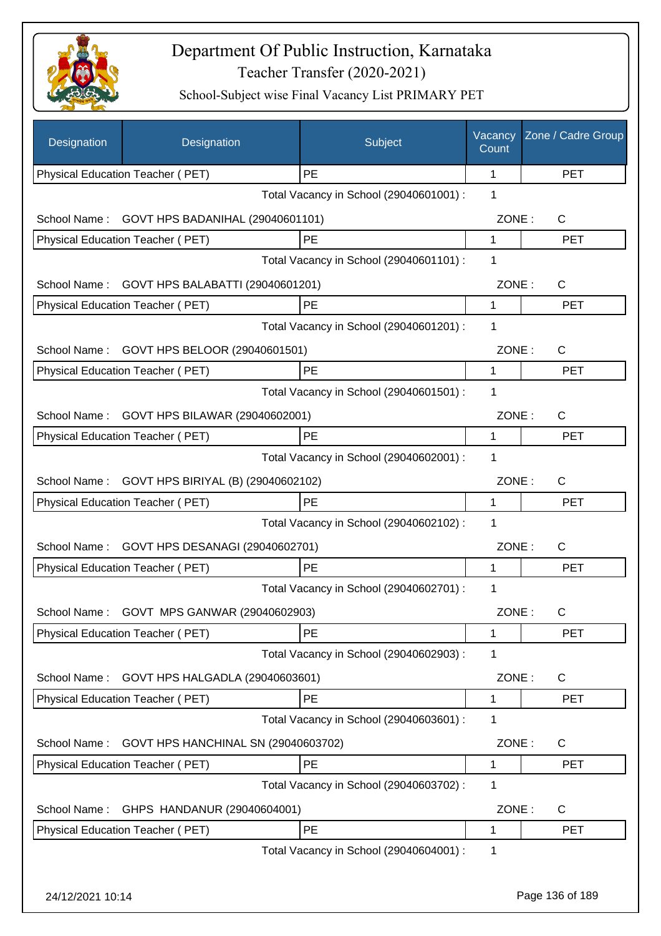

| Designation      | Designation                                                       | Subject                                 | Vacancy<br>Count | Zone / Cadre Group |
|------------------|-------------------------------------------------------------------|-----------------------------------------|------------------|--------------------|
|                  | Physical Education Teacher (PET)                                  | PE                                      | 1                | <b>PET</b>         |
|                  |                                                                   | Total Vacancy in School (29040601001) : | 1                |                    |
| School Name:     | GOVT HPS BADANIHAL (29040601101)                                  |                                         | ZONE:            | C                  |
|                  | Physical Education Teacher (PET)                                  | PE                                      | 1                | <b>PET</b>         |
|                  |                                                                   | Total Vacancy in School (29040601101) : | 1                |                    |
| School Name:     | GOVT HPS BALABATTI (29040601201)                                  |                                         | ZONE:            | C                  |
|                  | Physical Education Teacher (PET)                                  | PE                                      | 1                | <b>PET</b>         |
|                  |                                                                   | Total Vacancy in School (29040601201) : | 1                |                    |
| School Name:     | GOVT HPS BELOOR (29040601501)                                     |                                         | ZONE:            | $\mathsf{C}$       |
|                  | Physical Education Teacher (PET)                                  | PE                                      | 1                | <b>PET</b>         |
|                  |                                                                   | Total Vacancy in School (29040601501) : | 1                |                    |
|                  | School Name: GOVT HPS BILAWAR (29040602001)                       |                                         | ZONE:            | C                  |
|                  | Physical Education Teacher (PET)                                  | PE                                      | 1                | <b>PET</b>         |
|                  |                                                                   | Total Vacancy in School (29040602001) : | 1                |                    |
| School Name:     | GOVT HPS BIRIYAL (B) (29040602102)                                |                                         | ZONE:            | C                  |
|                  | Physical Education Teacher (PET)                                  | PE                                      | 1                | <b>PET</b>         |
|                  |                                                                   | Total Vacancy in School (29040602102) : | 1                |                    |
| School Name:     | GOVT HPS DESANAGI (29040602701)                                   |                                         | ZONE:            | C                  |
|                  | Physical Education Teacher (PET)                                  | PE                                      | 1                | <b>PET</b>         |
|                  |                                                                   | Total Vacancy in School (29040602701) : | 1                |                    |
| School Name:     |                                                                   |                                         | ZONE:            | C                  |
|                  | GOVT MPS GANWAR (29040602903)<br>Physical Education Teacher (PET) | PE                                      | 1                | <b>PET</b>         |
|                  |                                                                   | Total Vacancy in School (29040602903) : | 1                |                    |
|                  |                                                                   |                                         |                  |                    |
| School Name:     | GOVT HPS HALGADLA (29040603601)                                   |                                         | ZONE:            | C                  |
|                  | Physical Education Teacher (PET)                                  | PE                                      | 1<br>1           | <b>PET</b>         |
|                  |                                                                   | Total Vacancy in School (29040603601) : |                  |                    |
| School Name:     | GOVT HPS HANCHINAL SN (29040603702)                               |                                         | ZONE:            | C                  |
|                  | Physical Education Teacher (PET)                                  | PE                                      | 1                | <b>PET</b>         |
|                  |                                                                   | Total Vacancy in School (29040603702) : | 1                |                    |
| School Name:     | GHPS HANDANUR (29040604001)                                       |                                         | ZONE:            | C                  |
|                  | Physical Education Teacher (PET)                                  | PE                                      | 1                | <b>PET</b>         |
|                  |                                                                   | Total Vacancy in School (29040604001) : | 1                |                    |
| 24/12/2021 10:14 |                                                                   |                                         |                  | Page 136 of 189    |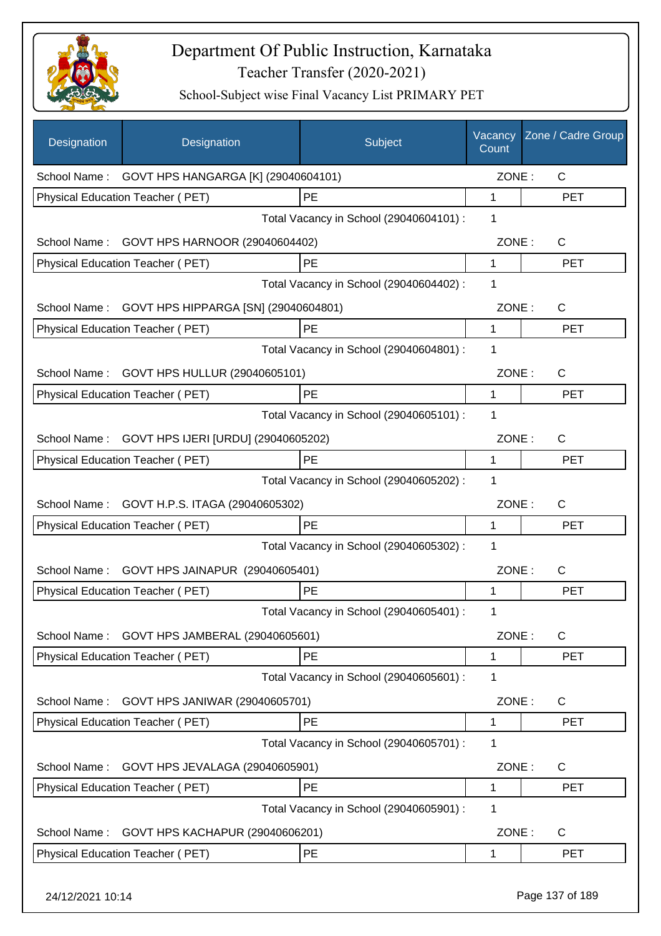

| Designation      | Designation                                       | Subject                                 | Vacancy<br>Count | Zone / Cadre Group |
|------------------|---------------------------------------------------|-----------------------------------------|------------------|--------------------|
|                  | School Name: GOVT HPS HANGARGA [K] (29040604101)  |                                         | ZONE:            | $\mathsf{C}$       |
|                  | Physical Education Teacher (PET)                  | PE                                      | 1                | <b>PET</b>         |
|                  |                                                   | Total Vacancy in School (29040604101) : | 1                |                    |
|                  | School Name: GOVT HPS HARNOOR (29040604402)       |                                         | ZONE:            | $\mathsf{C}$       |
|                  | Physical Education Teacher (PET)                  | PE                                      | 1                | <b>PET</b>         |
|                  |                                                   | Total Vacancy in School (29040604402) : | 1                |                    |
|                  | School Name: GOVT HPS HIPPARGA [SN] (29040604801) |                                         | ZONE:            | C                  |
|                  | Physical Education Teacher (PET)                  | PE                                      | 1                | <b>PET</b>         |
|                  |                                                   | Total Vacancy in School (29040604801) : | 1                |                    |
| School Name:     | GOVT HPS HULLUR (29040605101)                     |                                         | ZONE:            | C                  |
|                  | Physical Education Teacher (PET)                  | PE                                      | 1                | <b>PET</b>         |
|                  |                                                   | Total Vacancy in School (29040605101) : | 1                |                    |
|                  | School Name: GOVT HPS IJERI [URDU] (29040605202)  |                                         | ZONE:            | C                  |
|                  | Physical Education Teacher (PET)                  | PE                                      | 1                | <b>PET</b>         |
|                  |                                                   | Total Vacancy in School (29040605202) : | 1                |                    |
| School Name:     | GOVT H.P.S. ITAGA (29040605302)                   |                                         | ZONE:            | C                  |
|                  | Physical Education Teacher (PET)                  | PE                                      | 1                | <b>PET</b>         |
|                  |                                                   | Total Vacancy in School (29040605302) : | 1                |                    |
| School Name:     | GOVT HPS JAINAPUR (29040605401)                   |                                         | ZONE:            | C                  |
|                  | <b>Physical Education Teacher (PET)</b>           | PE                                      | 1                | <b>PET</b>         |
|                  |                                                   | Total Vacancy in School (29040605401) : | 1                |                    |
| School Name:     | GOVT HPS JAMBERAL (29040605601)                   |                                         | ZONE:            | $\mathsf{C}$       |
|                  | Physical Education Teacher (PET)                  | PE                                      | $\mathbf 1$      | <b>PET</b>         |
|                  |                                                   | Total Vacancy in School (29040605601) : | 1                |                    |
| School Name:     | GOVT HPS JANIWAR (29040605701)                    |                                         | ZONE:            | C                  |
|                  | Physical Education Teacher (PET)                  | PE                                      | 1                | <b>PET</b>         |
|                  |                                                   | Total Vacancy in School (29040605701) : | 1                |                    |
| School Name:     | GOVT HPS JEVALAGA (29040605901)                   |                                         | ZONE:            | C                  |
|                  | Physical Education Teacher (PET)                  | PE                                      | 1                | <b>PET</b>         |
|                  |                                                   | Total Vacancy in School (29040605901) : | 1                |                    |
| School Name:     | GOVT HPS KACHAPUR (29040606201)                   |                                         | ZONE:            | C                  |
|                  | Physical Education Teacher (PET)                  | PE                                      | 1                | <b>PET</b>         |
| 24/12/2021 10:14 |                                                   |                                         |                  | Page 137 of 189    |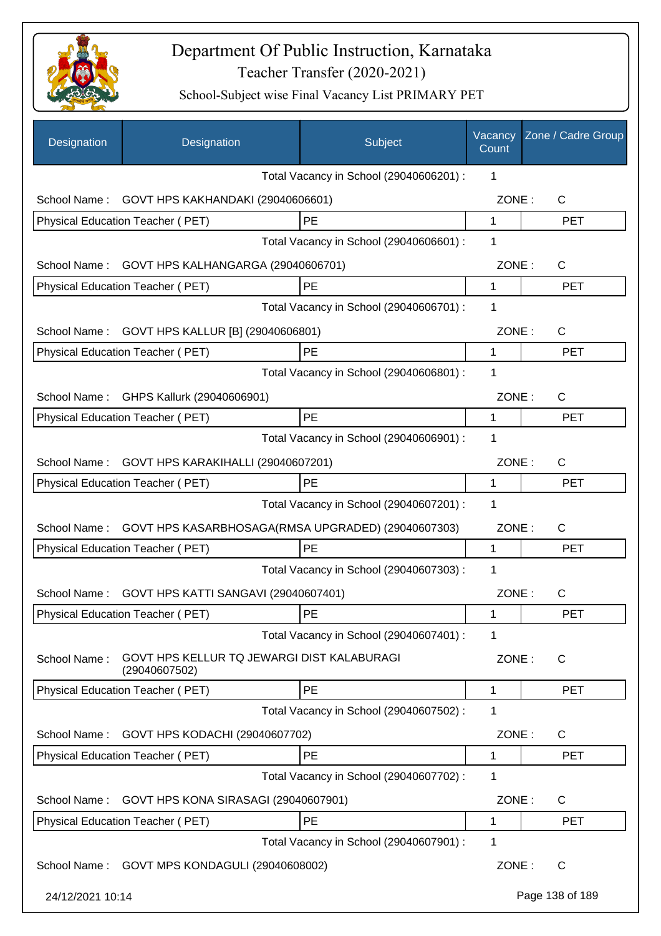

| Designation      | Designation                                                 | Subject                                 | Vacancy<br>Count | Zone / Cadre Group |
|------------------|-------------------------------------------------------------|-----------------------------------------|------------------|--------------------|
|                  |                                                             | Total Vacancy in School (29040606201) : | 1                |                    |
| School Name:     | GOVT HPS KAKHANDAKI (29040606601)                           |                                         | ZONE:            | $\mathsf{C}$       |
|                  | Physical Education Teacher (PET)                            | PE                                      | 1                | <b>PET</b>         |
|                  |                                                             | Total Vacancy in School (29040606601) : | 1                |                    |
| School Name:     | GOVT HPS KALHANGARGA (29040606701)                          |                                         | ZONE:            | C                  |
|                  | Physical Education Teacher (PET)                            | PE                                      | $\mathbf{1}$     | <b>PET</b>         |
|                  |                                                             | Total Vacancy in School (29040606701) : | 1                |                    |
| School Name:     | GOVT HPS KALLUR [B] (29040606801)                           |                                         | ZONE:            | C                  |
|                  | Physical Education Teacher (PET)                            | <b>PE</b>                               | 1                | <b>PET</b>         |
|                  |                                                             | Total Vacancy in School (29040606801) : | 1                |                    |
| School Name:     | GHPS Kallurk (29040606901)                                  |                                         | ZONE:            | C                  |
|                  | Physical Education Teacher (PET)                            | PE                                      | 1                | <b>PET</b>         |
|                  |                                                             | Total Vacancy in School (29040606901) : | 1                |                    |
| School Name:     | GOVT HPS KARAKIHALLI (29040607201)                          |                                         | ZONE:            | C                  |
|                  | Physical Education Teacher (PET)                            | PE                                      | 1                | <b>PET</b>         |
|                  |                                                             | Total Vacancy in School (29040607201) : | 1                |                    |
| School Name:     | GOVT HPS KASARBHOSAGA(RMSA UPGRADED) (29040607303)          |                                         | ZONE:            | C                  |
|                  | <b>Physical Education Teacher (PET)</b>                     | PE                                      | 1                | <b>PET</b>         |
|                  |                                                             | Total Vacancy in School (29040607303) : | 1                |                    |
| School Name:     | GOVT HPS KATTI SANGAVI (29040607401)                        |                                         | ZONE:            | $\mathsf C$        |
|                  | Physical Education Teacher (PET)                            | PE                                      | 1                | PET                |
|                  |                                                             | Total Vacancy in School (29040607401) : | 1                |                    |
| School Name:     | GOVT HPS KELLUR TQ JEWARGI DIST KALABURAGI<br>(29040607502) |                                         | ZONE:            | $\mathsf{C}$       |
|                  | Physical Education Teacher (PET)                            | PE                                      | 1                | <b>PET</b>         |
|                  |                                                             | Total Vacancy in School (29040607502) : | 1                |                    |
| School Name:     | GOVT HPS KODACHI (29040607702)                              |                                         | ZONE:            | C                  |
|                  | Physical Education Teacher (PET)                            | PE                                      | 1                | <b>PET</b>         |
|                  |                                                             | Total Vacancy in School (29040607702) : | 1                |                    |
| School Name:     | GOVT HPS KONA SIRASAGI (29040607901)                        |                                         | ZONE:            | $\mathsf{C}$       |
|                  | <b>Physical Education Teacher (PET)</b>                     | PE                                      | 1                | <b>PET</b>         |
|                  |                                                             | Total Vacancy in School (29040607901) : | 1                |                    |
|                  | School Name: GOVT MPS KONDAGULI (29040608002)               |                                         | ZONE:            | $\mathsf{C}$       |
| 24/12/2021 10:14 |                                                             |                                         |                  | Page 138 of 189    |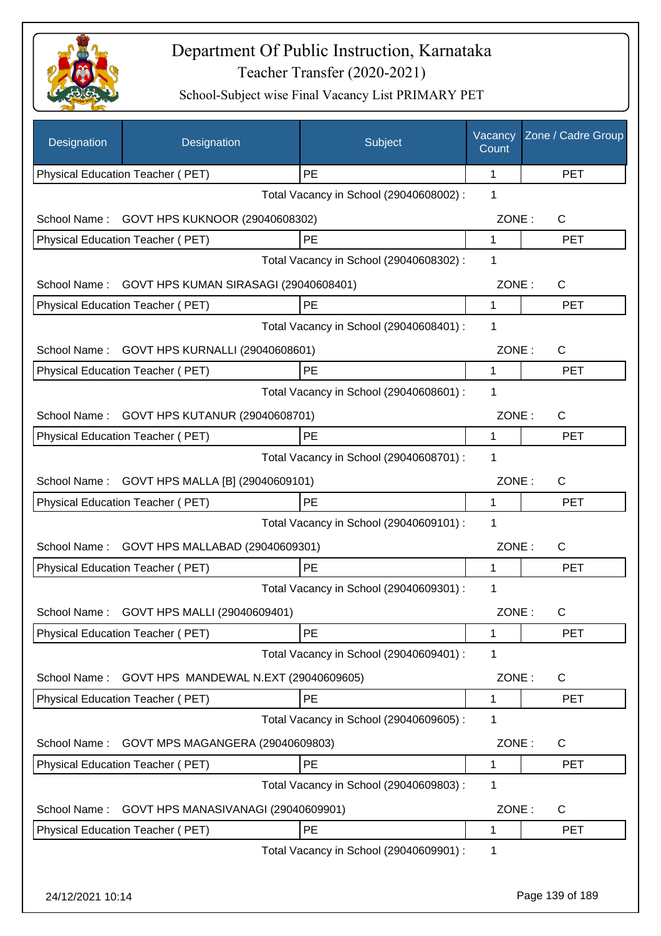

| Designation      | Designation                           | Subject                                 | Vacancy<br>Count | Zone / Cadre Group |
|------------------|---------------------------------------|-----------------------------------------|------------------|--------------------|
|                  | Physical Education Teacher (PET)      | PE                                      | 1                | <b>PET</b>         |
|                  |                                       | Total Vacancy in School (29040608002) : | 1                |                    |
| School Name:     | GOVT HPS KUKNOOR (29040608302)        |                                         | ZONE:            | $\mathsf{C}$       |
|                  | Physical Education Teacher (PET)      | PE                                      | 1                | <b>PET</b>         |
|                  |                                       | Total Vacancy in School (29040608302) : | 1                |                    |
| School Name:     | GOVT HPS KUMAN SIRASAGI (29040608401) |                                         | ZONE:            | $\mathsf{C}$       |
|                  | Physical Education Teacher (PET)      | PE                                      | 1                | <b>PET</b>         |
|                  |                                       | Total Vacancy in School (29040608401) : | 1                |                    |
| School Name:     | GOVT HPS KURNALLI (29040608601)       |                                         | ZONE:            | $\mathsf{C}$       |
|                  | Physical Education Teacher (PET)      | PE                                      | 1                | <b>PET</b>         |
|                  |                                       | Total Vacancy in School (29040608601) : | 1                |                    |
| School Name:     | GOVT HPS KUTANUR (29040608701)        |                                         | ZONE:            | $\mathsf{C}$       |
|                  | Physical Education Teacher (PET)      | PE                                      | 1                | <b>PET</b>         |
|                  |                                       | Total Vacancy in School (29040608701) : | 1                |                    |
| School Name:     | GOVT HPS MALLA [B] (29040609101)      |                                         | ZONE:            | $\mathsf{C}$       |
|                  | Physical Education Teacher (PET)      | PE                                      | 1                | <b>PET</b>         |
|                  |                                       | Total Vacancy in School (29040609101) : | 1                |                    |
| School Name:     |                                       |                                         | ZONE:            | $\mathsf{C}$       |
|                  | GOVT HPS MALLABAD (29040609301)       | PE                                      | 1                | <b>PET</b>         |
|                  | Physical Education Teacher (PET)      | Total Vacancy in School (29040609301) : | 1                |                    |
|                  |                                       |                                         |                  |                    |
| School Name:     | GOVT HPS MALLI (29040609401)          |                                         | ZONE:            | C.                 |
|                  | Physical Education Teacher (PET)      | PE                                      | 1                | <b>PET</b>         |
|                  |                                       | Total Vacancy in School (29040609401) : | 1                |                    |
| School Name:     | GOVT HPS MANDEWAL N.EXT (29040609605) |                                         | ZONE:            | C                  |
|                  | Physical Education Teacher (PET)      | PE                                      | 1                | <b>PET</b>         |
|                  |                                       | Total Vacancy in School (29040609605) : | 1                |                    |
| School Name:     | GOVT MPS MAGANGERA (29040609803)      |                                         | ZONE:            | C                  |
|                  | Physical Education Teacher (PET)      | PE                                      | 1                | <b>PET</b>         |
|                  |                                       | Total Vacancy in School (29040609803) : | 1                |                    |
| School Name:     | GOVT HPS MANASIVANAGI (29040609901)   |                                         | ZONE:            | C                  |
|                  | Physical Education Teacher (PET)      | PE                                      | 1                | <b>PET</b>         |
|                  |                                       | Total Vacancy in School (29040609901) : | 1                |                    |
|                  |                                       |                                         |                  |                    |
| 24/12/2021 10:14 |                                       |                                         |                  | Page 139 of 189    |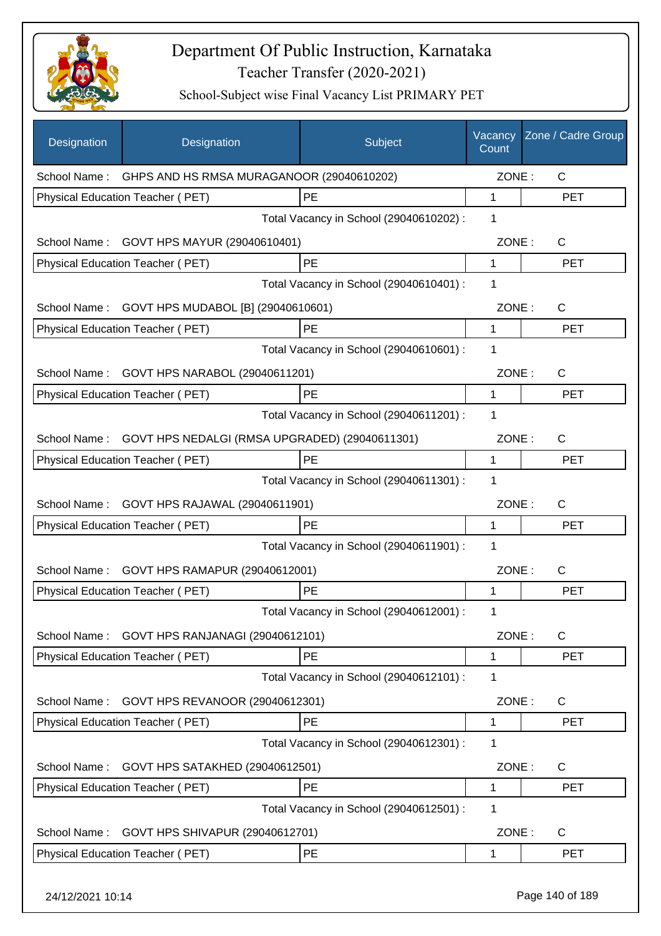

| Designation      | Designation                                            | Subject                                 | Vacancy<br>Count | Zone / Cadre Group |
|------------------|--------------------------------------------------------|-----------------------------------------|------------------|--------------------|
|                  | School Name: GHPS AND HS RMSA MURAGANOOR (29040610202) |                                         | ZONE:            | $\mathsf{C}$       |
|                  | Physical Education Teacher (PET)                       | PE                                      | 1                | <b>PET</b>         |
|                  |                                                        | Total Vacancy in School (29040610202) : | 1                |                    |
| School Name:     | GOVT HPS MAYUR (29040610401)                           |                                         | ZONE:            | $\mathsf{C}$       |
|                  | Physical Education Teacher (PET)                       | PE                                      | $\mathbf{1}$     | <b>PET</b>         |
|                  |                                                        | Total Vacancy in School (29040610401) : | 1                |                    |
| School Name:     | GOVT HPS MUDABOL [B] (29040610601)                     |                                         | ZONE:            | C                  |
|                  | Physical Education Teacher (PET)                       | PE                                      | 1                | <b>PET</b>         |
|                  |                                                        | Total Vacancy in School (29040610601) : | 1                |                    |
| School Name:     | GOVT HPS NARABOL (29040611201)                         |                                         | ZONE:            | C                  |
|                  | Physical Education Teacher (PET)                       | <b>PE</b>                               | 1                | PET                |
|                  |                                                        | Total Vacancy in School (29040611201) : | 1                |                    |
| School Name:     | GOVT HPS NEDALGI (RMSA UPGRADED) (29040611301)         |                                         | ZONE:            | C                  |
|                  | Physical Education Teacher (PET)                       | PE                                      | 1                | <b>PET</b>         |
|                  |                                                        | Total Vacancy in School (29040611301) : | 1                |                    |
| School Name:     | GOVT HPS RAJAWAL (29040611901)                         |                                         | ZONE:            | C                  |
|                  | Physical Education Teacher (PET)                       | PE                                      | 1                | <b>PET</b>         |
|                  |                                                        | Total Vacancy in School (29040611901) : | 1                |                    |
| School Name:     | GOVT HPS RAMAPUR (29040612001)                         |                                         | ZONE:            | C                  |
|                  | Physical Education Teacher (PET)                       | PE                                      | 1                | <b>PET</b>         |
|                  |                                                        | Total Vacancy in School (29040612001) : | 1                |                    |
| School Name:     | GOVT HPS RANJANAGI (29040612101)                       |                                         | ZONE:            | $\mathsf{C}$       |
|                  | Physical Education Teacher (PET)                       | PE                                      | 1                | <b>PET</b>         |
|                  |                                                        | Total Vacancy in School (29040612101) : | 1                |                    |
| School Name:     | GOVT HPS REVANOOR (29040612301)                        |                                         | ZONE:            | C                  |
|                  | Physical Education Teacher (PET)                       | PE                                      | 1                | <b>PET</b>         |
|                  |                                                        | Total Vacancy in School (29040612301) : | 1                |                    |
| School Name:     | GOVT HPS SATAKHED (29040612501)                        |                                         | ZONE:            | C                  |
|                  | Physical Education Teacher (PET)                       | <b>PE</b>                               | 1                | PET                |
|                  |                                                        | Total Vacancy in School (29040612501) : | 1                |                    |
| School Name:     | GOVT HPS SHIVAPUR (29040612701)                        |                                         | ZONE:            | C                  |
|                  | Physical Education Teacher (PET)                       | PE                                      | 1                | <b>PET</b>         |
| 24/12/2021 10:14 |                                                        |                                         |                  | Page 140 of 189    |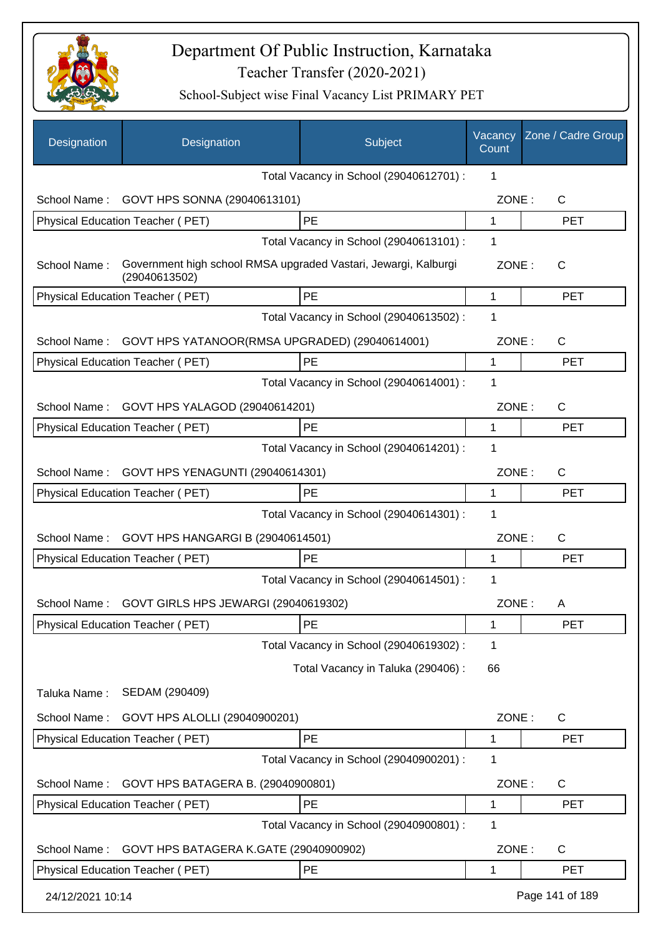

| Designation      | Designation                                                                      | Subject                                 | Vacancy<br>Count | Zone / Cadre Group |
|------------------|----------------------------------------------------------------------------------|-----------------------------------------|------------------|--------------------|
|                  |                                                                                  | Total Vacancy in School (29040612701) : | 1                |                    |
| School Name:     | GOVT HPS SONNA (29040613101)                                                     |                                         | ZONE:            | $\mathsf{C}$       |
|                  | Physical Education Teacher (PET)                                                 | PE                                      | 1                | <b>PET</b>         |
|                  |                                                                                  | Total Vacancy in School (29040613101) : | 1                |                    |
| School Name:     | Government high school RMSA upgraded Vastari, Jewargi, Kalburgi<br>(29040613502) |                                         | ZONE:            | $\mathsf{C}$       |
|                  | Physical Education Teacher (PET)                                                 | PE                                      | 1                | <b>PET</b>         |
|                  |                                                                                  | Total Vacancy in School (29040613502) : | 1                |                    |
| School Name:     | GOVT HPS YATANOOR(RMSA UPGRADED) (29040614001)                                   |                                         | ZONE:            | $\mathsf{C}$       |
|                  | Physical Education Teacher (PET)                                                 | PE                                      | 1                | <b>PET</b>         |
|                  |                                                                                  | Total Vacancy in School (29040614001) : | 1                |                    |
| School Name:     | GOVT HPS YALAGOD (29040614201)                                                   |                                         | ZONE:            | $\mathsf{C}$       |
|                  | Physical Education Teacher (PET)                                                 | PE                                      | 1                | <b>PET</b>         |
|                  |                                                                                  | Total Vacancy in School (29040614201) : | 1                |                    |
| School Name:     | GOVT HPS YENAGUNTI (29040614301)                                                 |                                         | ZONE:            | $\mathsf{C}$       |
|                  | Physical Education Teacher (PET)                                                 | <b>PE</b>                               | 1                | <b>PET</b>         |
|                  |                                                                                  | Total Vacancy in School (29040614301) : | 1                |                    |
| School Name:     | GOVT HPS HANGARGI B (29040614501)                                                |                                         | ZONE:            | C                  |
|                  | <b>Physical Education Teacher (PET)</b>                                          | <b>PE</b>                               | 1                | <b>PET</b>         |
|                  |                                                                                  | Total Vacancy in School (29040614501) : | 1                |                    |
| School Name:     | GOVT GIRLS HPS JEWARGI (29040619302)                                             |                                         | ZONE:            | A                  |
|                  | Physical Education Teacher (PET)                                                 | PE                                      | 1                | <b>PET</b>         |
|                  |                                                                                  | Total Vacancy in School (29040619302) : | 1                |                    |
|                  |                                                                                  | Total Vacancy in Taluka (290406) :      | 66               |                    |
| Taluka Name:     | SEDAM (290409)                                                                   |                                         |                  |                    |
| School Name:     | GOVT HPS ALOLLI (29040900201)                                                    |                                         | ZONE:            | $\mathsf{C}$       |
|                  | Physical Education Teacher (PET)                                                 | PE                                      | 1                | <b>PET</b>         |
|                  |                                                                                  | Total Vacancy in School (29040900201) : | 1                |                    |
| School Name:     | GOVT HPS BATAGERA B. (29040900801)                                               |                                         | ZONE:            | $\mathsf{C}$       |
|                  | Physical Education Teacher (PET)                                                 | PE                                      | 1                | <b>PET</b>         |
|                  |                                                                                  | Total Vacancy in School (29040900801) : | 1                |                    |
| School Name:     | GOVT HPS BATAGERA K.GATE (29040900902)                                           |                                         | ZONE:            | C                  |
|                  | Physical Education Teacher (PET)                                                 | PE                                      | 1                | <b>PET</b>         |
| 24/12/2021 10:14 |                                                                                  |                                         |                  | Page 141 of 189    |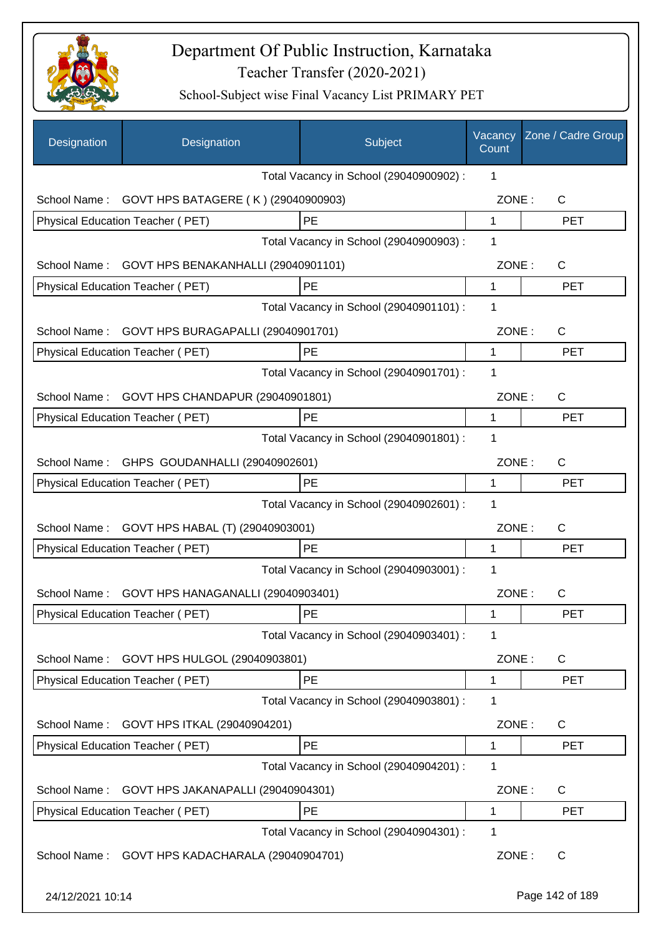

| Designation      | Designation                                   | Subject                                 | Vacancy<br>Count | Zone / Cadre Group |
|------------------|-----------------------------------------------|-----------------------------------------|------------------|--------------------|
|                  |                                               | Total Vacancy in School (29040900902) : | 1                |                    |
| School Name:     | GOVT HPS BATAGERE (K) (29040900903)           |                                         | ZONE:            | $\mathsf{C}$       |
|                  | Physical Education Teacher (PET)              | PE                                      | 1                | <b>PET</b>         |
|                  |                                               | Total Vacancy in School (29040900903) : | 1                |                    |
| School Name:     | GOVT HPS BENAKANHALLI (29040901101)           |                                         | ZONE:            | C                  |
|                  | Physical Education Teacher (PET)              | PE                                      | 1                | <b>PET</b>         |
|                  |                                               | Total Vacancy in School (29040901101) : | $\mathbf 1$      |                    |
| School Name:     | GOVT HPS BURAGAPALLI (29040901701)            |                                         | ZONE:            | $\mathsf{C}$       |
|                  | Physical Education Teacher (PET)              | PE                                      | 1                | <b>PET</b>         |
|                  |                                               | Total Vacancy in School (29040901701) : | 1                |                    |
| School Name:     | GOVT HPS CHANDAPUR (29040901801)              |                                         | ZONE:            | $\mathsf{C}$       |
|                  | <b>Physical Education Teacher (PET)</b>       | PE                                      | 1                | <b>PET</b>         |
|                  |                                               | Total Vacancy in School (29040901801) : | 1                |                    |
| School Name:     | GHPS GOUDANHALLI (29040902601)                |                                         | ZONE:            | $\mathsf{C}$       |
|                  | Physical Education Teacher (PET)              | PE                                      | 1                | <b>PET</b>         |
|                  |                                               | Total Vacancy in School (29040902601) : | 1                |                    |
|                  | School Name: GOVT HPS HABAL (T) (29040903001) |                                         | ZONE:            | $\mathsf{C}$       |
|                  | Physical Education Teacher (PET)              | PE                                      | 1                | <b>PET</b>         |
|                  |                                               | Total Vacancy in School (29040903001) : | 1                |                    |
| School Name:     | GOVT HPS HANAGANALLI (29040903401)            |                                         | ZONE:            | $\mathsf{C}$       |
|                  | Physical Education Teacher (PET)              | PE                                      | 1                | PET                |
|                  |                                               | Total Vacancy in School (29040903401) : | 1                |                    |
| School Name:     | GOVT HPS HULGOL (29040903801)                 |                                         | ZONE:            | C                  |
|                  | Physical Education Teacher (PET)              | PE                                      | 1                | <b>PET</b>         |
|                  |                                               | Total Vacancy in School (29040903801) : | 1                |                    |
| School Name:     | GOVT HPS ITKAL (29040904201)                  |                                         | ZONE:            | $\mathsf{C}$       |
|                  | Physical Education Teacher (PET)              | PE                                      | 1                | <b>PET</b>         |
|                  |                                               | Total Vacancy in School (29040904201) : | 1                |                    |
| School Name:     | GOVT HPS JAKANAPALLI (29040904301)            |                                         | ZONE:            | C                  |
|                  | Physical Education Teacher (PET)              | PE                                      | 1                | PET                |
|                  |                                               | Total Vacancy in School (29040904301) : | 1                |                    |
| School Name:     | GOVT HPS KADACHARALA (29040904701)            |                                         | ZONE:            | C                  |
| 24/12/2021 10:14 |                                               |                                         |                  | Page 142 of 189    |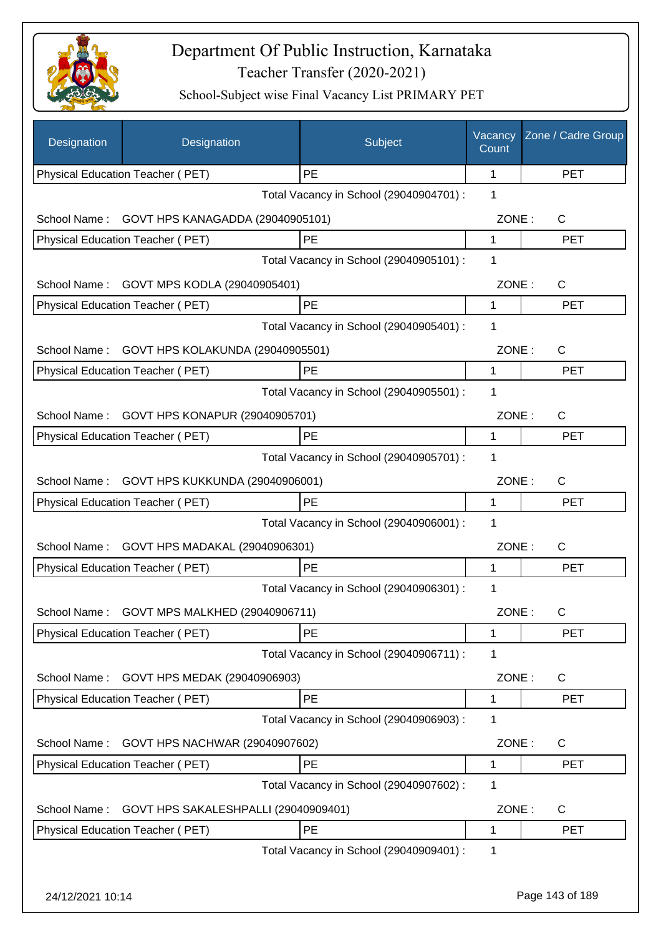

| Designation      | Designation                          | Subject                                 | Vacancy<br>Count | Zone / Cadre Group |
|------------------|--------------------------------------|-----------------------------------------|------------------|--------------------|
|                  | Physical Education Teacher (PET)     | PE                                      | 1                | <b>PET</b>         |
|                  |                                      | Total Vacancy in School (29040904701) : | 1                |                    |
| School Name:     | GOVT HPS KANAGADDA (29040905101)     |                                         | ZONE:            | $\mathsf{C}$       |
|                  | Physical Education Teacher (PET)     | PE                                      | 1                | <b>PET</b>         |
|                  |                                      | Total Vacancy in School (29040905101) : | 1                |                    |
| School Name:     | GOVT MPS KODLA (29040905401)         |                                         | ZONE:            | $\mathsf{C}$       |
|                  | Physical Education Teacher (PET)     | PE                                      | 1                | <b>PET</b>         |
|                  |                                      | Total Vacancy in School (29040905401) : | 1                |                    |
| School Name:     | GOVT HPS KOLAKUNDA (29040905501)     |                                         | ZONE:            | $\mathsf{C}$       |
|                  | Physical Education Teacher (PET)     | PE                                      | 1                | <b>PET</b>         |
|                  |                                      | Total Vacancy in School (29040905501) : | 1                |                    |
| School Name:     | GOVT HPS KONAPUR (29040905701)       |                                         | ZONE:            | $\mathsf{C}$       |
|                  | Physical Education Teacher (PET)     | PE                                      | 1                | <b>PET</b>         |
|                  |                                      | Total Vacancy in School (29040905701) : | 1                |                    |
| School Name:     | GOVT HPS KUKKUNDA (29040906001)      |                                         | ZONE:            | $\mathsf{C}$       |
|                  | Physical Education Teacher (PET)     | PE                                      | 1                | <b>PET</b>         |
|                  |                                      | Total Vacancy in School (29040906001) : | 1                |                    |
| School Name:     | GOVT HPS MADAKAL (29040906301)       |                                         | ZONE:            | $\mathsf{C}$       |
|                  | Physical Education Teacher (PET)     | PE                                      | 1                | <b>PET</b>         |
|                  |                                      | Total Vacancy in School (29040906301) : | 1                |                    |
|                  |                                      |                                         | ZONE:            |                    |
| School Name : .  | GOVT MPS MALKHED (29040906711)       | PE                                      |                  | C.<br><b>PET</b>   |
|                  | Physical Education Teacher (PET)     | Total Vacancy in School (29040906711) : | 1<br>1           |                    |
|                  |                                      |                                         |                  |                    |
| School Name:     | GOVT HPS MEDAK (29040906903)         |                                         | ZONE:            | C                  |
|                  | Physical Education Teacher (PET)     | PE                                      | 1                | <b>PET</b>         |
|                  |                                      | Total Vacancy in School (29040906903) : | 1                |                    |
| School Name:     | GOVT HPS NACHWAR (29040907602)       |                                         | ZONE:            | C                  |
|                  | Physical Education Teacher (PET)     | PE                                      | 1                | <b>PET</b>         |
|                  |                                      | Total Vacancy in School (29040907602) : | 1                |                    |
| School Name:     | GOVT HPS SAKALESHPALLI (29040909401) |                                         | ZONE:            | C                  |
|                  | Physical Education Teacher (PET)     | PE                                      | 1                | <b>PET</b>         |
|                  |                                      | Total Vacancy in School (29040909401) : | 1                |                    |
|                  |                                      |                                         |                  |                    |
| 24/12/2021 10:14 |                                      |                                         |                  | Page 143 of 189    |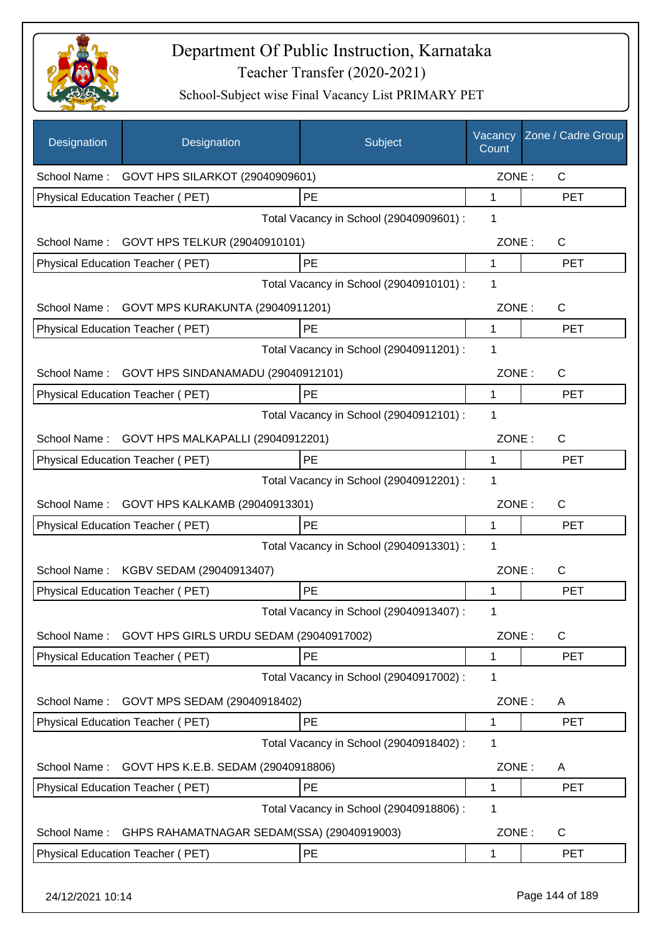

| Designation  | Designation                                    | Subject                                 | Vacancy<br>Count | Zone / Cadre Group |
|--------------|------------------------------------------------|-----------------------------------------|------------------|--------------------|
|              | School Name: GOVT HPS SILARKOT (29040909601)   |                                         | ZONE:            | $\mathsf{C}$       |
|              | Physical Education Teacher (PET)               | PE                                      | 1                | <b>PET</b>         |
|              |                                                | Total Vacancy in School (29040909601) : | 1                |                    |
|              | School Name: GOVT HPS TELKUR (29040910101)     |                                         | ZONE:            | C                  |
|              | Physical Education Teacher (PET)               | PE                                      | 1                | <b>PET</b>         |
|              |                                                | Total Vacancy in School (29040910101) : | 1                |                    |
| School Name: | GOVT MPS KURAKUNTA (29040911201)               |                                         | ZONE:            | $\mathsf{C}$       |
|              | Physical Education Teacher (PET)               | PE                                      | $\mathbf{1}$     | <b>PET</b>         |
|              |                                                | Total Vacancy in School (29040911201) : | 1                |                    |
| School Name: | GOVT HPS SINDANAMADU (29040912101)             |                                         | ZONE:            | C                  |
|              | Physical Education Teacher (PET)               | PE                                      | $\mathbf 1$      | <b>PET</b>         |
|              |                                                | Total Vacancy in School (29040912101) : | 1                |                    |
|              | School Name: GOVT HPS MALKAPALLI (29040912201) |                                         | ZONE:            | C                  |
|              | Physical Education Teacher (PET)               | PE                                      | 1                | PET                |
|              |                                                | Total Vacancy in School (29040912201) : | 1                |                    |
| School Name: | GOVT HPS KALKAMB (29040913301)                 |                                         | ZONE:            | C                  |
|              | Physical Education Teacher (PET)               | PE                                      | 1                | <b>PET</b>         |
|              |                                                | Total Vacancy in School (29040913301) : | 1                |                    |
| School Name: | KGBV SEDAM (29040913407)                       |                                         | ZONE:            | C                  |
|              | <b>Physical Education Teacher (PET)</b>        | PE                                      | 1                | <b>PET</b>         |
|              |                                                | Total Vacancy in School (29040913407) : | 1                |                    |
| School Name: | GOVT HPS GIRLS URDU SEDAM (29040917002)        |                                         | ZONE:            | C                  |
|              | <b>Physical Education Teacher (PET)</b>        | PE                                      | 1                | <b>PET</b>         |
|              |                                                | Total Vacancy in School (29040917002) : | 1                |                    |
| School Name: | GOVT MPS SEDAM (29040918402)                   |                                         | ZONE:            | A                  |
|              | Physical Education Teacher (PET)               | PE                                      | 1                | <b>PET</b>         |
|              |                                                | Total Vacancy in School (29040918402) : | 1                |                    |
| School Name: | GOVT HPS K.E.B. SEDAM (29040918806)            |                                         | ZONE:            | A                  |
|              | Physical Education Teacher (PET)               | PE                                      | 1                | <b>PET</b>         |
|              |                                                | Total Vacancy in School (29040918806) : | 1                |                    |
| School Name: | GHPS RAHAMATNAGAR SEDAM(SSA) (29040919003)     |                                         | ZONE:            | C                  |
|              | Physical Education Teacher (PET)               | PE                                      | 1                | <b>PET</b>         |
|              |                                                |                                         |                  |                    |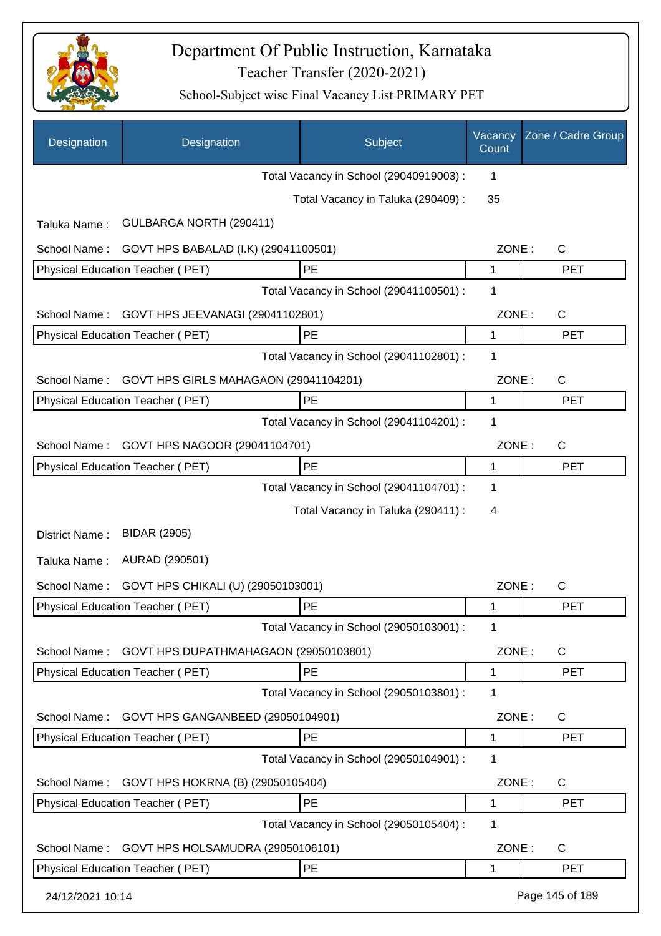

| Designation                                      | Designation                           | Subject                                 | Vacancy<br>Count | Zone / Cadre Group |
|--------------------------------------------------|---------------------------------------|-----------------------------------------|------------------|--------------------|
|                                                  |                                       | Total Vacancy in School (29040919003) : | 1                |                    |
|                                                  |                                       | Total Vacancy in Taluka (290409) :      | 35               |                    |
| Taluka Name:                                     | GULBARGA NORTH (290411)               |                                         |                  |                    |
| School Name:                                     | GOVT HPS BABALAD (I.K) (29041100501)  |                                         | ZONE:            | $\mathsf{C}$       |
|                                                  | Physical Education Teacher (PET)      | PE                                      | 1                | <b>PET</b>         |
|                                                  |                                       | Total Vacancy in School (29041100501) : | 1                |                    |
| GOVT HPS JEEVANAGI (29041102801)<br>School Name: |                                       |                                         | ZONE:            | $\mathsf{C}$       |
|                                                  | Physical Education Teacher (PET)      | PE                                      | 1                | <b>PET</b>         |
|                                                  |                                       | Total Vacancy in School (29041102801) : | 1                |                    |
| School Name:                                     | GOVT HPS GIRLS MAHAGAON (29041104201) |                                         | ZONE:            | C                  |
|                                                  | Physical Education Teacher (PET)      | PE                                      | 1                | <b>PET</b>         |
|                                                  |                                       | Total Vacancy in School (29041104201) : | 1                |                    |
| School Name:                                     | GOVT HPS NAGOOR (29041104701)         |                                         | ZONE:            | $\mathsf{C}$       |
|                                                  | Physical Education Teacher (PET)      | PE                                      | 1                | <b>PET</b>         |
|                                                  |                                       | Total Vacancy in School (29041104701) : | 1                |                    |
|                                                  |                                       | Total Vacancy in Taluka (290411) :      | 4                |                    |
| District Name:                                   | <b>BIDAR (2905)</b>                   |                                         |                  |                    |
| Taluka Name:                                     | AURAD (290501)                        |                                         |                  |                    |
| School Name:                                     | GOVT HPS CHIKALI (U) (29050103001)    |                                         | ZONE:            | C                  |
|                                                  | Physical Education Teacher (PET)      | PE                                      | 1                | <b>PET</b>         |
|                                                  |                                       | Total Vacancy in School (29050103001) : | 1                |                    |
| School Name:                                     | GOVT HPS DUPATHMAHAGAON (29050103801) |                                         | ZONE:            | C                  |
|                                                  | Physical Education Teacher (PET)      | PE                                      | 1                | <b>PET</b>         |
|                                                  |                                       | Total Vacancy in School (29050103801) : | 1                |                    |
| School Name:                                     | GOVT HPS GANGANBEED (29050104901)     |                                         | ZONE:            | C                  |
|                                                  | Physical Education Teacher (PET)      | PE                                      | 1                | <b>PET</b>         |
|                                                  |                                       | Total Vacancy in School (29050104901) : | 1                |                    |
| School Name:                                     | GOVT HPS HOKRNA (B) (29050105404)     |                                         | ZONE:            | C                  |
|                                                  | Physical Education Teacher (PET)      | PE                                      | 1                | <b>PET</b>         |
|                                                  |                                       | Total Vacancy in School (29050105404) : | 1                |                    |
| School Name:                                     | GOVT HPS HOLSAMUDRA (29050106101)     |                                         | ZONE:            | C                  |
|                                                  | Physical Education Teacher (PET)      | PE                                      | 1                | <b>PET</b>         |
| 24/12/2021 10:14                                 |                                       |                                         |                  | Page 145 of 189    |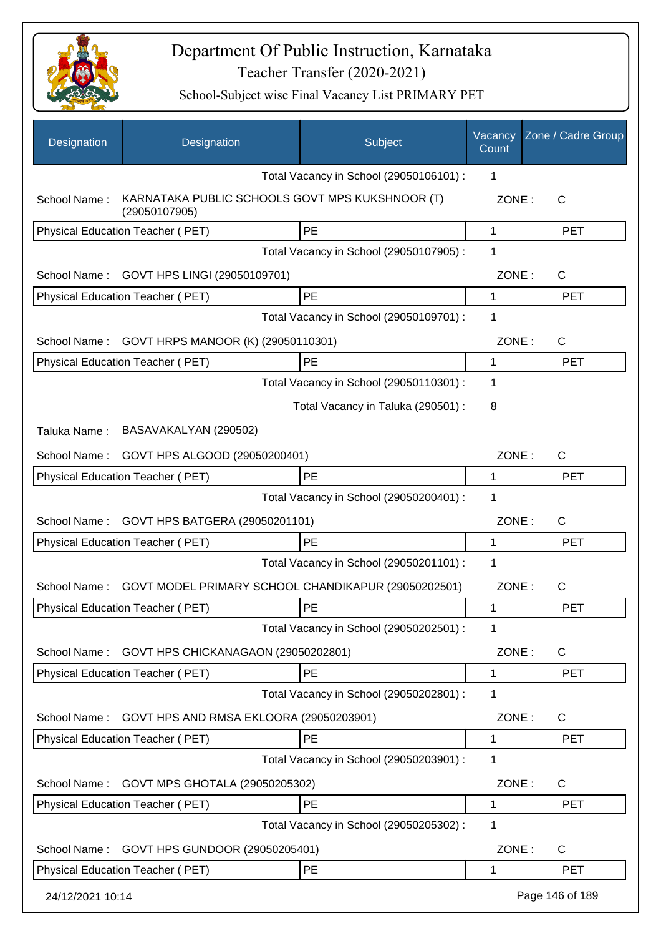

| Designation      | Designation                                                      | Subject                                             | Vacancy<br>Count | Zone / Cadre Group |
|------------------|------------------------------------------------------------------|-----------------------------------------------------|------------------|--------------------|
|                  |                                                                  | Total Vacancy in School (29050106101) :             | 1                |                    |
| School Name:     | KARNATAKA PUBLIC SCHOOLS GOVT MPS KUKSHNOOR (T)<br>(29050107905) |                                                     | ZONE:            | $\mathsf{C}$       |
|                  | Physical Education Teacher (PET)                                 | PE                                                  | 1                | <b>PET</b>         |
|                  |                                                                  | Total Vacancy in School (29050107905) :             | 1                |                    |
| School Name:     | GOVT HPS LINGI (29050109701)                                     |                                                     | ZONE:            | C                  |
|                  | Physical Education Teacher (PET)                                 | PE                                                  | 1                | <b>PET</b>         |
|                  |                                                                  | Total Vacancy in School (29050109701) :             | 1                |                    |
| School Name:     | GOVT HRPS MANOOR (K) (29050110301)                               |                                                     | ZONE:            | $\mathsf{C}$       |
|                  | <b>Physical Education Teacher (PET)</b>                          | PE                                                  | 1                | <b>PET</b>         |
|                  |                                                                  | Total Vacancy in School (29050110301) :             | 1                |                    |
|                  |                                                                  | Total Vacancy in Taluka (290501) :                  | 8                |                    |
| Taluka Name:     | BASAVAKALYAN (290502)                                            |                                                     |                  |                    |
| School Name:     | GOVT HPS ALGOOD (29050200401)                                    |                                                     | ZONE:            | C                  |
|                  | Physical Education Teacher (PET)                                 | PE                                                  | 1                | <b>PET</b>         |
|                  |                                                                  | Total Vacancy in School (29050200401) :             | 1                |                    |
| School Name:     | GOVT HPS BATGERA (29050201101)                                   |                                                     | ZONE:            | $\mathsf{C}$       |
|                  | Physical Education Teacher (PET)                                 | PE                                                  | 1                | <b>PET</b>         |
|                  |                                                                  | Total Vacancy in School (29050201101) :             | 1                |                    |
| School Name:     |                                                                  | GOVT MODEL PRIMARY SCHOOL CHANDIKAPUR (29050202501) | ZONE:            | $\mathsf{C}$       |
|                  | Physical Education Teacher (PET)                                 | PE                                                  | 1                | <b>PET</b>         |
|                  |                                                                  | Total Vacancy in School (29050202501) :             | 1                |                    |
| School Name:     | GOVT HPS CHICKANAGAON (29050202801)                              |                                                     | ZONE:            | C                  |
|                  | Physical Education Teacher (PET)                                 | PE                                                  | 1                | <b>PET</b>         |
|                  |                                                                  | Total Vacancy in School (29050202801) :             | 1                |                    |
| School Name:     | GOVT HPS AND RMSA EKLOORA (29050203901)                          |                                                     | ZONE:            | C                  |
|                  | <b>Physical Education Teacher (PET)</b>                          | PE                                                  | 1                | <b>PET</b>         |
|                  |                                                                  | Total Vacancy in School (29050203901) :             | 1                |                    |
| School Name:     | GOVT MPS GHOTALA (29050205302)                                   |                                                     | ZONE:            | С                  |
|                  | Physical Education Teacher (PET)                                 | PE                                                  | 1                | <b>PET</b>         |
|                  |                                                                  | Total Vacancy in School (29050205302) :             | 1                |                    |
| School Name:     | GOVT HPS GUNDOOR (29050205401)                                   |                                                     | ZONE:            | C                  |
|                  | Physical Education Teacher (PET)                                 | PE                                                  | 1                | <b>PET</b>         |
| 24/12/2021 10:14 |                                                                  |                                                     |                  | Page 146 of 189    |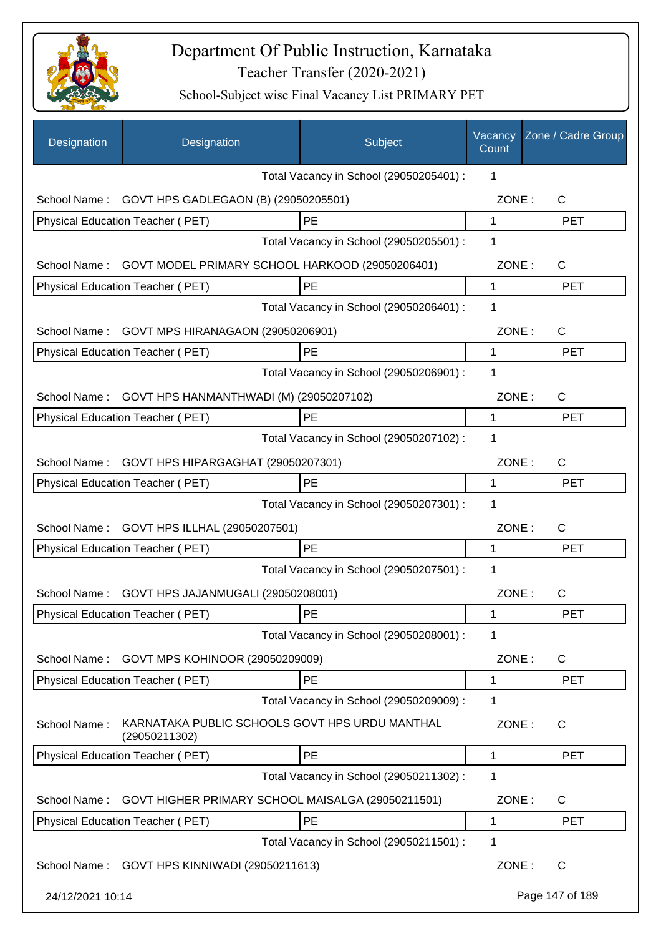

| Designation      | Designation                                                     | Subject                                 | Vacancy<br>Count | Zone / Cadre Group |
|------------------|-----------------------------------------------------------------|-----------------------------------------|------------------|--------------------|
|                  |                                                                 | Total Vacancy in School (29050205401) : | 1                |                    |
| School Name:     | GOVT HPS GADLEGAON (B) (29050205501)                            |                                         | ZONE:            | C                  |
|                  | Physical Education Teacher (PET)                                | PE                                      | 1                | <b>PET</b>         |
|                  |                                                                 | Total Vacancy in School (29050205501) : | 1                |                    |
| School Name:     | GOVT MODEL PRIMARY SCHOOL HARKOOD (29050206401)                 |                                         | ZONE:            | C                  |
|                  | Physical Education Teacher (PET)                                | PE                                      | 1                | <b>PET</b>         |
|                  |                                                                 | Total Vacancy in School (29050206401) : | 1                |                    |
| School Name:     | GOVT MPS HIRANAGAON (29050206901)                               |                                         | ZONE:            | C                  |
|                  | Physical Education Teacher (PET)                                | PE                                      | 1                | <b>PET</b>         |
|                  |                                                                 | Total Vacancy in School (29050206901) : | 1                |                    |
| School Name:     | GOVT HPS HANMANTHWADI (M) (29050207102)                         |                                         | ZONE:            | $\mathsf C$        |
|                  | <b>Physical Education Teacher (PET)</b>                         | <b>PE</b>                               | 1                | <b>PET</b>         |
|                  |                                                                 | Total Vacancy in School (29050207102) : | 1                |                    |
| School Name:     | GOVT HPS HIPARGAGHAT (29050207301)                              |                                         | ZONE:            | $\mathsf C$        |
|                  | Physical Education Teacher (PET)                                | PE                                      | 1                | <b>PET</b>         |
|                  |                                                                 | Total Vacancy in School (29050207301) : | 1                |                    |
| School Name:     | GOVT HPS ILLHAL (29050207501)                                   |                                         | ZONE:            | C                  |
|                  | Physical Education Teacher (PET)                                | PE                                      | 1                | <b>PET</b>         |
|                  |                                                                 | Total Vacancy in School (29050207501) : | 1                |                    |
| School Name:     | GOVT HPS JAJANMUGALI (29050208001)                              |                                         | ZONE:            | C                  |
|                  | Physical Education Teacher (PET)                                | PE                                      | 1                | PET                |
|                  |                                                                 | Total Vacancy in School (29050208001) : | 1                |                    |
| School Name:     | GOVT MPS KOHINOOR (29050209009)                                 |                                         | ZONE:            | C                  |
|                  | Physical Education Teacher (PET)                                | PE                                      | 1                | <b>PET</b>         |
|                  |                                                                 | Total Vacancy in School (29050209009) : | 1                |                    |
| School Name:     | KARNATAKA PUBLIC SCHOOLS GOVT HPS URDU MANTHAL<br>(29050211302) |                                         | ZONE:            | C                  |
|                  | Physical Education Teacher (PET)                                | PE                                      | 1                | <b>PET</b>         |
|                  |                                                                 | Total Vacancy in School (29050211302) : | 1                |                    |
| School Name:     | GOVT HIGHER PRIMARY SCHOOL MAISALGA (29050211501)               |                                         | ZONE:            | C                  |
|                  | Physical Education Teacher (PET)                                | PE                                      | 1                | <b>PET</b>         |
|                  |                                                                 | Total Vacancy in School (29050211501) : | 1                |                    |
| School Name:     | GOVT HPS KINNIWADI (29050211613)                                |                                         | ZONE:            | C                  |
| 24/12/2021 10:14 |                                                                 |                                         |                  | Page 147 of 189    |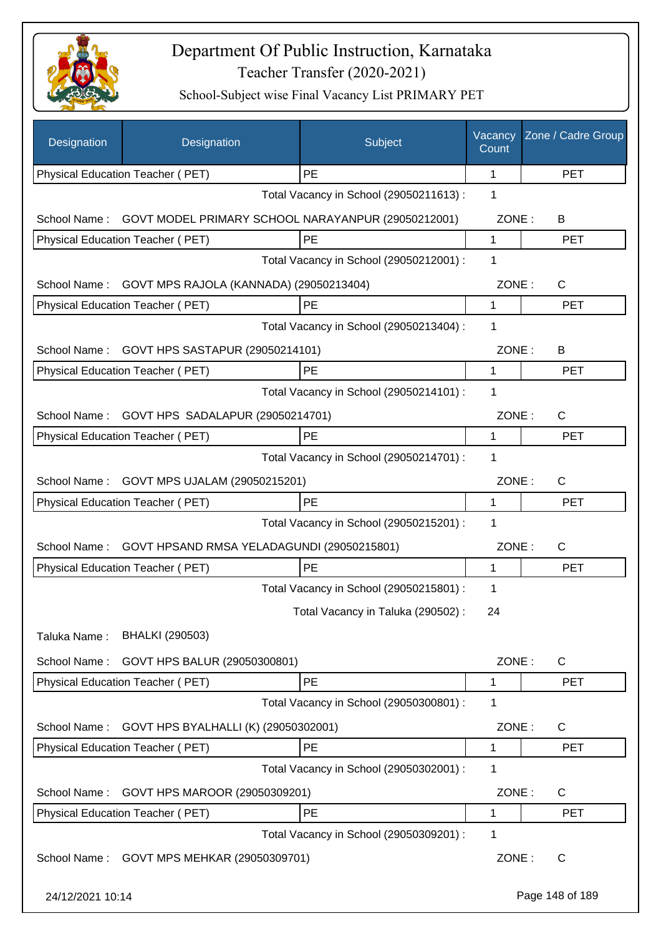

| Designation      | Designation                                        | Subject                                 | Vacancy<br>Count | Zone / Cadre Group |
|------------------|----------------------------------------------------|-----------------------------------------|------------------|--------------------|
|                  | Physical Education Teacher (PET)                   | PE                                      | 1                | <b>PET</b>         |
|                  |                                                    | Total Vacancy in School (29050211613) : | 1                |                    |
| School Name:     | GOVT MODEL PRIMARY SCHOOL NARAYANPUR (29050212001) |                                         | ZONE:            | B                  |
|                  | Physical Education Teacher (PET)                   | PE                                      | 1                | <b>PET</b>         |
|                  |                                                    | Total Vacancy in School (29050212001) : | 1                |                    |
| School Name:     | GOVT MPS RAJOLA (KANNADA) (29050213404)            |                                         | ZONE:            | C                  |
|                  | Physical Education Teacher (PET)                   | PE                                      | 1                | <b>PET</b>         |
|                  |                                                    | Total Vacancy in School (29050213404) : | 1                |                    |
|                  | School Name: GOVT HPS SASTAPUR (29050214101)       |                                         | ZONE:            | B                  |
|                  | Physical Education Teacher (PET)                   | PE                                      | 1                | <b>PET</b>         |
|                  |                                                    | Total Vacancy in School (29050214101) : | 1                |                    |
| School Name:     | GOVT HPS SADALAPUR (29050214701)                   |                                         | ZONE:            | C                  |
|                  | Physical Education Teacher (PET)                   | PE                                      | 1                | <b>PET</b>         |
|                  |                                                    | Total Vacancy in School (29050214701) : | 1                |                    |
| School Name:     | GOVT MPS UJALAM (29050215201)                      |                                         | ZONE:            | C                  |
|                  | Physical Education Teacher (PET)                   | <b>PE</b>                               | 1                | <b>PET</b>         |
|                  |                                                    | Total Vacancy in School (29050215201) : | 1                |                    |
| School Name:     | GOVT HPSAND RMSA YELADAGUNDI (29050215801)         |                                         | ZONE:            | C                  |
|                  | Physical Education Teacher (PET)                   | PE                                      | 1                | <b>PET</b>         |
|                  |                                                    | Total Vacancy in School (29050215801) : | 1                |                    |
|                  |                                                    | Total Vacancy in Taluka (290502) :      | 24               |                    |
| Taluka Name:     | <b>BHALKI (290503)</b>                             |                                         |                  |                    |
| School Name:     | GOVT HPS BALUR (29050300801)                       |                                         | ZONE:            | C                  |
|                  | Physical Education Teacher (PET)                   | PE                                      | 1                | <b>PET</b>         |
|                  |                                                    | Total Vacancy in School (29050300801) : | 1                |                    |
| School Name:     | GOVT HPS BYALHALLI (K) (29050302001)               |                                         | ZONE:            | C                  |
|                  | Physical Education Teacher (PET)                   | PE                                      | 1                | <b>PET</b>         |
|                  |                                                    | Total Vacancy in School (29050302001) : | 1                |                    |
| School Name:     | GOVT HPS MAROOR (29050309201)                      |                                         | ZONE:            | C                  |
|                  | Physical Education Teacher (PET)                   | PE                                      | 1                | <b>PET</b>         |
|                  |                                                    | Total Vacancy in School (29050309201) : | 1                |                    |
| School Name:     | GOVT MPS MEHKAR (29050309701)                      |                                         | ZONE:            | $\mathsf C$        |
| 24/12/2021 10:14 |                                                    |                                         |                  | Page 148 of 189    |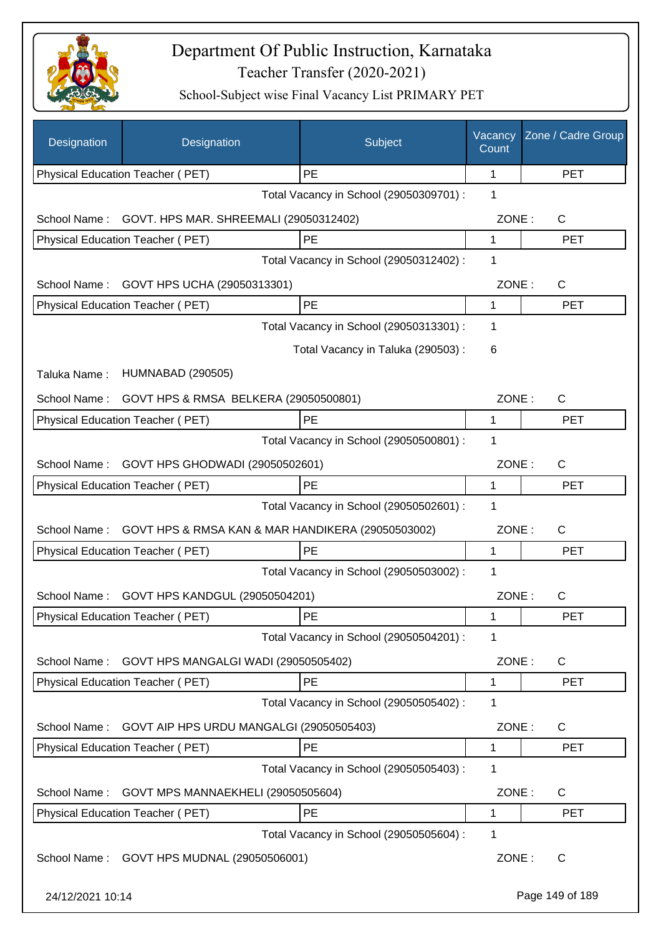

| Designation      | Designation                                       | Subject                                 | Vacancy<br>Count | Zone / Cadre Group |
|------------------|---------------------------------------------------|-----------------------------------------|------------------|--------------------|
|                  | Physical Education Teacher (PET)                  | PE                                      | 1                | <b>PET</b>         |
|                  |                                                   | Total Vacancy in School (29050309701) : | 1                |                    |
| School Name:     | GOVT. HPS MAR. SHREEMALI (29050312402)            |                                         | ZONE:            | C                  |
|                  | Physical Education Teacher (PET)                  | PE                                      | 1                | <b>PET</b>         |
|                  |                                                   | Total Vacancy in School (29050312402) : | 1                |                    |
| School Name:     | GOVT HPS UCHA (29050313301)                       |                                         | ZONE:            | C                  |
|                  | Physical Education Teacher (PET)                  | PE                                      | 1                | <b>PET</b>         |
|                  |                                                   | Total Vacancy in School (29050313301) : | 1                |                    |
|                  |                                                   | Total Vacancy in Taluka (290503) :      | 6                |                    |
| Taluka Name:     | <b>HUMNABAD (290505)</b>                          |                                         |                  |                    |
| School Name:     | GOVT HPS & RMSA BELKERA (29050500801)             |                                         | ZONE:            | C                  |
|                  | Physical Education Teacher (PET)                  | PE                                      | 1                | <b>PET</b>         |
|                  |                                                   | Total Vacancy in School (29050500801) : | 1                |                    |
| School Name:     | GOVT HPS GHODWADI (29050502601)                   |                                         | ZONE:            | C                  |
|                  | Physical Education Teacher (PET)                  | PE                                      | 1                | <b>PET</b>         |
|                  |                                                   | Total Vacancy in School (29050502601) : | 1                |                    |
| School Name:     | GOVT HPS & RMSA KAN & MAR HANDIKERA (29050503002) |                                         | ZONE:            | C                  |
|                  | Physical Education Teacher (PET)                  | PE                                      | 1                | <b>PET</b>         |
|                  |                                                   | Total Vacancy in School (29050503002) : | 1                |                    |
| School Name:     | GOVT HPS KANDGUL (29050504201)                    |                                         | ZONE:            | $\mathsf C$        |
|                  | Physical Education Teacher (PET)                  | PE                                      | 1                | PE I               |
|                  |                                                   | Total Vacancy in School (29050504201) : | 1                |                    |
| School Name:     | GOVT HPS MANGALGI WADI (29050505402)              |                                         | ZONE:            | $\mathsf{C}$       |
|                  | Physical Education Teacher (PET)                  | PE                                      | 1                | <b>PET</b>         |
|                  |                                                   | Total Vacancy in School (29050505402) : | 1                |                    |
| School Name:     | GOVT AIP HPS URDU MANGALGI (29050505403)          |                                         | ZONE:            | C                  |
|                  | Physical Education Teacher (PET)                  | PE                                      | 1                | <b>PET</b>         |
|                  |                                                   | Total Vacancy in School (29050505403) : | 1                |                    |
| School Name:     | GOVT MPS MANNAEKHELI (29050505604)                |                                         | ZONE:            | C                  |
|                  | Physical Education Teacher (PET)                  | PE                                      | 1                | <b>PET</b>         |
|                  |                                                   | Total Vacancy in School (29050505604) : | 1                |                    |
| School Name:     | GOVT HPS MUDNAL (29050506001)                     |                                         | ZONE:            | C                  |
| 24/12/2021 10:14 |                                                   |                                         |                  | Page 149 of 189    |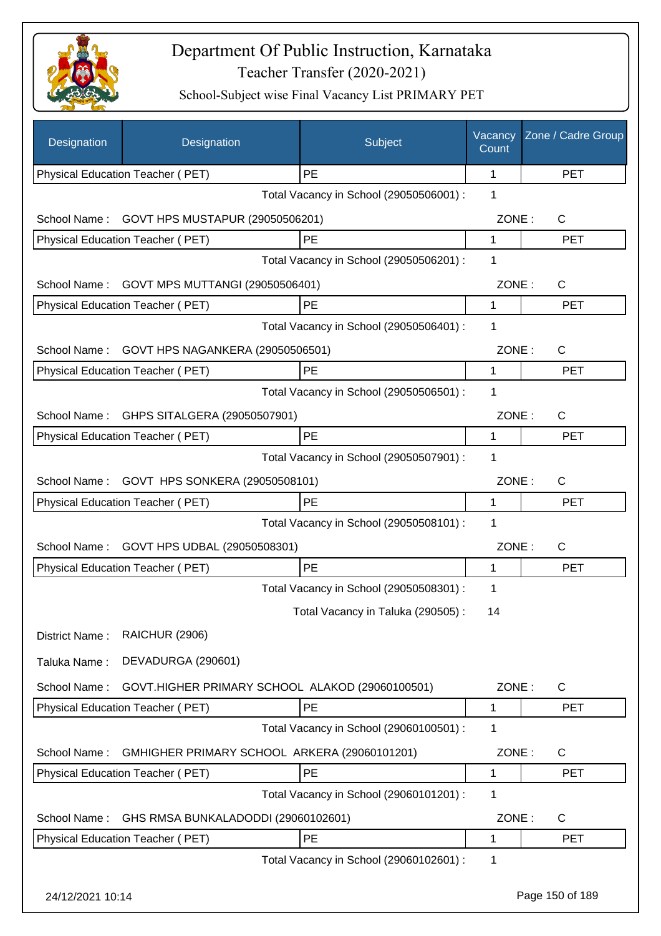

| Designation      | Designation                                     | Subject                                 | Vacancy<br>Count | Zone / Cadre Group |
|------------------|-------------------------------------------------|-----------------------------------------|------------------|--------------------|
|                  | Physical Education Teacher (PET)                | PE                                      | 1                | <b>PET</b>         |
|                  |                                                 | Total Vacancy in School (29050506001) : | 1                |                    |
| School Name:     | GOVT HPS MUSTAPUR (29050506201)                 |                                         | ZONE:            | C                  |
|                  | Physical Education Teacher (PET)                | PE                                      | 1                | <b>PET</b>         |
|                  |                                                 | Total Vacancy in School (29050506201) : | 1                |                    |
| School Name:     | GOVT MPS MUTTANGI (29050506401)                 |                                         | ZONE:            | C                  |
|                  | Physical Education Teacher (PET)                | PE                                      | 1                | <b>PET</b>         |
|                  |                                                 | Total Vacancy in School (29050506401) : | 1                |                    |
| School Name:     | GOVT HPS NAGANKERA (29050506501)                |                                         | ZONE:            | C                  |
|                  | Physical Education Teacher (PET)                | PE                                      | 1                | <b>PET</b>         |
|                  |                                                 | Total Vacancy in School (29050506501) : | 1                |                    |
| School Name:     | GHPS SITALGERA (29050507901)                    |                                         | ZONE:            | $\mathsf{C}$       |
|                  | Physical Education Teacher (PET)                | PE                                      | 1                | <b>PET</b>         |
|                  |                                                 | Total Vacancy in School (29050507901) : | 1                |                    |
| School Name:     | GOVT HPS SONKERA (29050508101)                  |                                         | ZONE:            | C                  |
|                  | Physical Education Teacher (PET)                | PE                                      | 1                | <b>PET</b>         |
|                  |                                                 | Total Vacancy in School (29050508101) : | 1                |                    |
| School Name:     | GOVT HPS UDBAL (29050508301)                    |                                         | ZONE:            | C                  |
|                  | Physical Education Teacher (PET)                | <b>PE</b>                               | 1                | <b>PET</b>         |
|                  |                                                 | Total Vacancy in School (29050508301) : | 1                |                    |
|                  |                                                 | Total Vacancy in Taluka (290505):       | 14               |                    |
| District Name:   | <b>RAICHUR (2906)</b>                           |                                         |                  |                    |
| Taluka Name:     | DEVADURGA (290601)                              |                                         |                  |                    |
| School Name:     | GOVT.HIGHER PRIMARY SCHOOL ALAKOD (29060100501) |                                         | ZONE:            | C                  |
|                  | Physical Education Teacher (PET)                | PE                                      | 1                | <b>PET</b>         |
|                  |                                                 | Total Vacancy in School (29060100501) : | 1                |                    |
| School Name:     | GMHIGHER PRIMARY SCHOOL ARKERA (29060101201)    |                                         | ZONE:            | C                  |
|                  | Physical Education Teacher (PET)                | PE                                      | 1                | <b>PET</b>         |
|                  |                                                 | Total Vacancy in School (29060101201) : | 1                |                    |
| School Name:     | GHS RMSA BUNKALADODDI (29060102601)             |                                         | ZONE:            | C                  |
|                  | Physical Education Teacher (PET)                | PE                                      | 1                | <b>PET</b>         |
|                  |                                                 | Total Vacancy in School (29060102601) : | 1                |                    |
| 24/12/2021 10:14 |                                                 |                                         |                  | Page 150 of 189    |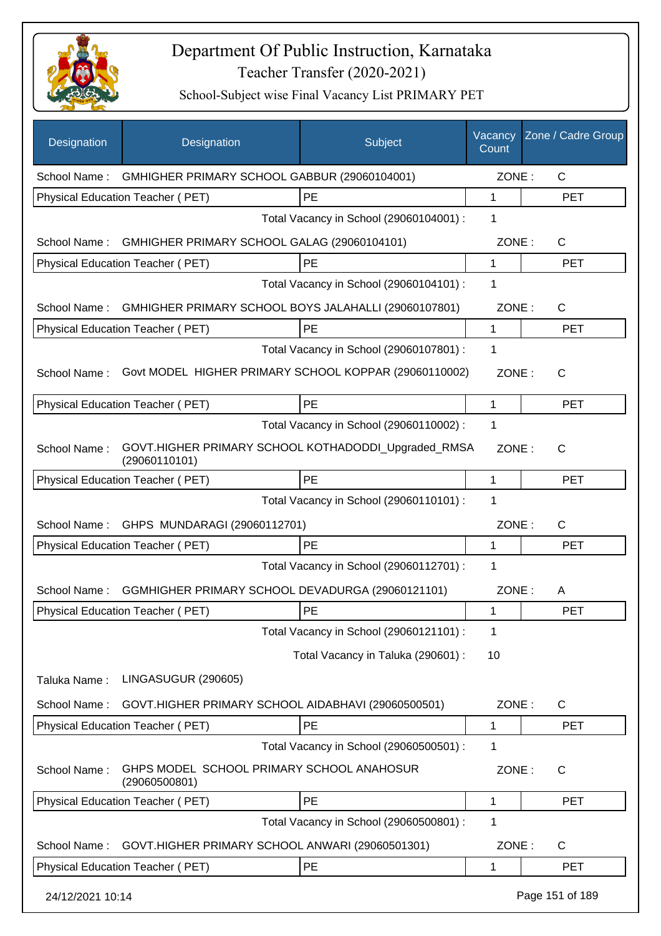

| Designation      | Designation                                                          | Subject                                 | Vacancy<br>Count | Zone / Cadre Group |
|------------------|----------------------------------------------------------------------|-----------------------------------------|------------------|--------------------|
| School Name:     | GMHIGHER PRIMARY SCHOOL GABBUR (29060104001)                         |                                         | ZONE:            | $\mathsf{C}$       |
|                  | Physical Education Teacher (PET)                                     | PE                                      | $\mathbf{1}$     | <b>PET</b>         |
|                  |                                                                      | Total Vacancy in School (29060104001) : | 1                |                    |
| School Name:     | GMHIGHER PRIMARY SCHOOL GALAG (29060104101)                          |                                         | ZONE:            | C                  |
|                  | Physical Education Teacher (PET)                                     | <b>PE</b>                               | 1                | <b>PET</b>         |
|                  |                                                                      | Total Vacancy in School (29060104101) : | 1                |                    |
| School Name:     | GMHIGHER PRIMARY SCHOOL BOYS JALAHALLI (29060107801)                 |                                         | ZONE:            | C                  |
|                  | Physical Education Teacher (PET)                                     | PE                                      | 1                | <b>PET</b>         |
|                  |                                                                      | Total Vacancy in School (29060107801) : | 1                |                    |
| School Name:     | Govt MODEL HIGHER PRIMARY SCHOOL KOPPAR (29060110002)                |                                         | ZONE:            | $\mathsf{C}$       |
|                  | Physical Education Teacher (PET)                                     | <b>PE</b>                               | 1                | <b>PET</b>         |
|                  |                                                                      | Total Vacancy in School (29060110002) : | 1                |                    |
| School Name:     | GOVT.HIGHER PRIMARY SCHOOL KOTHADODDI_Upgraded_RMSA<br>(29060110101) |                                         | ZONE:            | C                  |
|                  | Physical Education Teacher (PET)                                     | PE                                      | 1                | <b>PET</b>         |
|                  |                                                                      | Total Vacancy in School (29060110101) : | 1                |                    |
|                  | School Name: GHPS MUNDARAGI (29060112701)                            |                                         | ZONE:            | $\mathsf{C}$       |
|                  | Physical Education Teacher (PET)                                     | PE                                      | $\mathbf{1}$     | <b>PET</b>         |
|                  |                                                                      | Total Vacancy in School (29060112701) : | 1                |                    |
| School Name:     | GGMHIGHER PRIMARY SCHOOL DEVADURGA (29060121101)                     |                                         | ZONE:            | A                  |
|                  | Physical Education Teacher (PET)                                     | PE                                      | 1                | <b>PET</b>         |
|                  |                                                                      | Total Vacancy in School (29060121101) : | 1                |                    |
|                  |                                                                      | Total Vacancy in Taluka (290601) :      | 10               |                    |
| Taluka Name:     | LINGASUGUR (290605)                                                  |                                         |                  |                    |
| School Name:     | GOVT.HIGHER PRIMARY SCHOOL AIDABHAVI (29060500501)                   |                                         | ZONE:            | C                  |
|                  | Physical Education Teacher (PET)                                     | PE                                      | 1                | <b>PET</b>         |
|                  |                                                                      | Total Vacancy in School (29060500501) : | 1                |                    |
| School Name:     | GHPS MODEL SCHOOL PRIMARY SCHOOL ANAHOSUR<br>(29060500801)           |                                         | ZONE:            | $\mathsf C$        |
|                  | Physical Education Teacher (PET)                                     | PE                                      | 1                | <b>PET</b>         |
|                  |                                                                      | Total Vacancy in School (29060500801) : | 1                |                    |
| School Name:     | GOVT.HIGHER PRIMARY SCHOOL ANWARI (29060501301)                      |                                         | ZONE:            | C                  |
|                  | Physical Education Teacher (PET)                                     | PE                                      | 1                | <b>PET</b>         |
| 24/12/2021 10:14 |                                                                      |                                         |                  | Page 151 of 189    |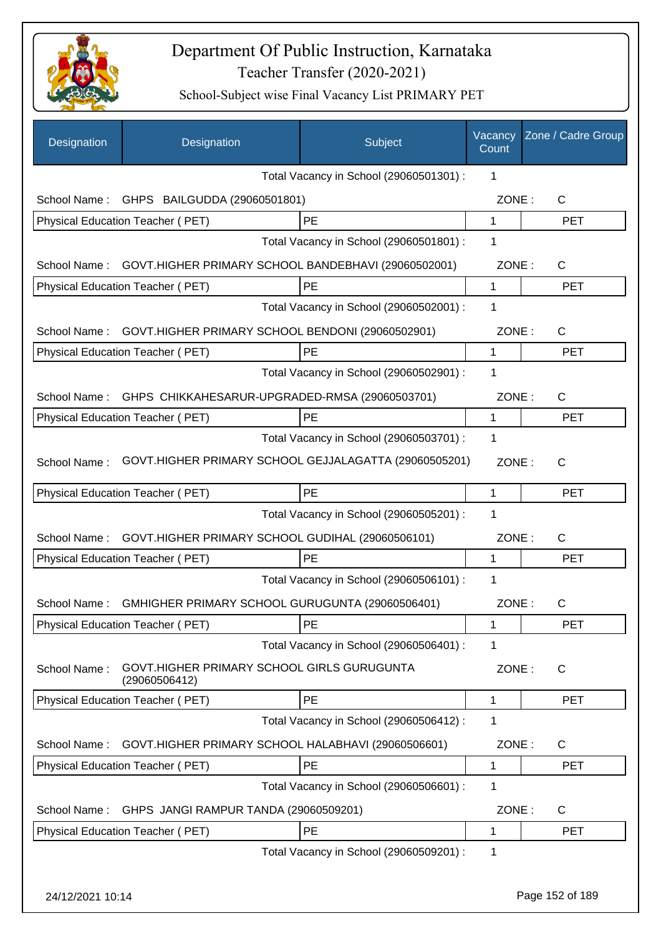

| Designation  | Designation                                                 | Subject                                 | Vacancy<br>Count | Zone / Cadre Group |
|--------------|-------------------------------------------------------------|-----------------------------------------|------------------|--------------------|
|              |                                                             | Total Vacancy in School (29060501301) : | 1                |                    |
| School Name: | GHPS BAILGUDDA (29060501801)                                |                                         | ZONE:            | C                  |
|              | Physical Education Teacher (PET)                            | <b>PE</b>                               | $\mathbf{1}$     | <b>PET</b>         |
|              |                                                             | Total Vacancy in School (29060501801) : | 1                |                    |
| School Name: | GOVT.HIGHER PRIMARY SCHOOL BANDEBHAVI (29060502001)         |                                         | ZONE:            | C                  |
|              | Physical Education Teacher (PET)                            | PE                                      | 1                | <b>PET</b>         |
|              |                                                             | Total Vacancy in School (29060502001) : | 1                |                    |
| School Name: | GOVT.HIGHER PRIMARY SCHOOL BENDONI (29060502901)            |                                         | ZONE:            | $\mathsf{C}$       |
|              | Physical Education Teacher (PET)                            | <b>PE</b>                               | 1                | <b>PET</b>         |
|              |                                                             | Total Vacancy in School (29060502901) : | 1                |                    |
| School Name: | GHPS CHIKKAHESARUR-UPGRADED-RMSA (29060503701)              |                                         | ZONE:            | $\mathsf{C}$       |
|              | Physical Education Teacher (PET)                            | PE                                      | 1                | <b>PET</b>         |
|              |                                                             | Total Vacancy in School (29060503701) : | 1                |                    |
| School Name: | GOVT.HIGHER PRIMARY SCHOOL GEJJALAGATTA (29060505201)       |                                         | ZONE:            | $\mathsf{C}$       |
|              | <b>Physical Education Teacher (PET)</b>                     | PE                                      | 1                | <b>PET</b>         |
|              |                                                             | Total Vacancy in School (29060505201) : | 1                |                    |
| School Name: | GOVT.HIGHER PRIMARY SCHOOL GUDIHAL (29060506101)            |                                         | ZONE:            | C                  |
|              | Physical Education Teacher (PET)                            | PE                                      | 1                | <b>PET</b>         |
|              |                                                             | Total Vacancy in School (29060506101) : | 1                |                    |
| School Name: | GMHIGHER PRIMARY SCHOOL GURUGUNTA (29060506401)             |                                         | ZONE:            | С                  |
|              | <b>Physical Education Teacher (PET)</b>                     | PE                                      | 1                | <b>PET</b>         |
|              |                                                             | Total Vacancy in School (29060506401) : | 1                |                    |
| School Name: | GOVT.HIGHER PRIMARY SCHOOL GIRLS GURUGUNTA<br>(29060506412) |                                         | ZONE:            | $\mathsf{C}$       |
|              | Physical Education Teacher (PET)                            | PE                                      | 1                | <b>PET</b>         |
|              |                                                             | Total Vacancy in School (29060506412) : | 1                |                    |
| School Name: | GOVT.HIGHER PRIMARY SCHOOL HALABHAVI (29060506601)          |                                         | ZONE:            | C                  |
|              | Physical Education Teacher (PET)                            | PE                                      | 1                | <b>PET</b>         |
|              |                                                             | Total Vacancy in School (29060506601) : | 1                |                    |
| School Name: | GHPS JANGI RAMPUR TANDA (29060509201)                       |                                         | ZONE:            | C                  |
|              | Physical Education Teacher (PET)                            | PE                                      | 1                | <b>PET</b>         |
|              |                                                             | Total Vacancy in School (29060509201) : | 1                |                    |
|              |                                                             |                                         |                  |                    |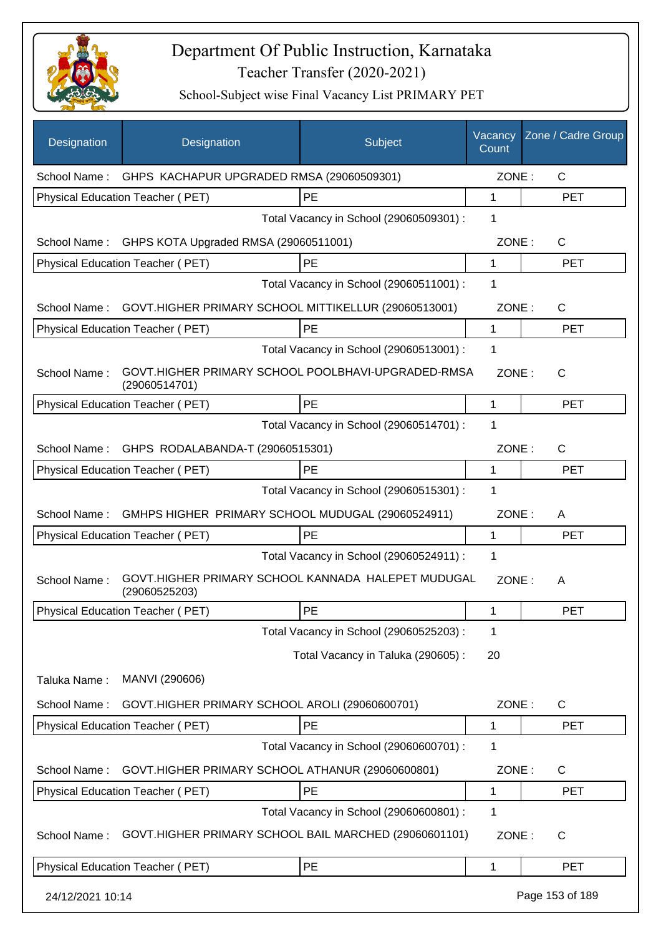

| Designation      | Designation                                                         | Subject                                 | Vacancy<br>Count | Zone / Cadre Group |
|------------------|---------------------------------------------------------------------|-----------------------------------------|------------------|--------------------|
|                  | School Name: GHPS KACHAPUR UPGRADED RMSA (29060509301)              |                                         | ZONE:            | $\mathsf{C}$       |
|                  | Physical Education Teacher (PET)                                    | PE                                      | $\mathbf{1}$     | <b>PET</b>         |
|                  |                                                                     | Total Vacancy in School (29060509301) : | 1                |                    |
| School Name:     | GHPS KOTA Upgraded RMSA (29060511001)                               |                                         | ZONE:            | C                  |
|                  | Physical Education Teacher (PET)                                    | PE                                      | 1                | <b>PET</b>         |
|                  |                                                                     | Total Vacancy in School (29060511001) : | 1                |                    |
| School Name:     | GOVT.HIGHER PRIMARY SCHOOL MITTIKELLUR (29060513001)                |                                         | ZONE:            | C                  |
|                  | Physical Education Teacher (PET)                                    | PE                                      | $\mathbf 1$      | <b>PET</b>         |
|                  |                                                                     | Total Vacancy in School (29060513001) : | 1                |                    |
| School Name:     | GOVT.HIGHER PRIMARY SCHOOL POOLBHAVI-UPGRADED-RMSA<br>(29060514701) |                                         | ZONE:            | $\mathsf{C}$       |
|                  | Physical Education Teacher (PET)                                    | PE                                      | 1                | <b>PET</b>         |
|                  |                                                                     | Total Vacancy in School (29060514701) : | 1                |                    |
| School Name:     | GHPS RODALABANDA-T (29060515301)                                    |                                         | ZONE:            | C                  |
|                  | Physical Education Teacher (PET)                                    | PE                                      | 1                | <b>PET</b>         |
|                  |                                                                     | Total Vacancy in School (29060515301) : | 1                |                    |
| School Name:     | GMHPS HIGHER PRIMARY SCHOOL MUDUGAL (29060524911)                   |                                         | ZONE:            | A                  |
|                  | Physical Education Teacher (PET)                                    | PE                                      | 1                | <b>PET</b>         |
|                  |                                                                     | Total Vacancy in School (29060524911) : | 1                |                    |
| School Name:     | GOVT.HIGHER PRIMARY SCHOOL KANNADA HALEPET MUDUGAL<br>(29060525203) |                                         | ZONE:            | A                  |
|                  | <b>Physical Education Teacher (PET)</b>                             | PE                                      | 1                | <b>PET</b>         |
|                  |                                                                     | Total Vacancy in School (29060525203) : | 1                |                    |
|                  |                                                                     | Total Vacancy in Taluka (290605):       | 20               |                    |
| Taluka Name:     | MANVI (290606)                                                      |                                         |                  |                    |
| School Name:     | GOVT.HIGHER PRIMARY SCHOOL AROLI (29060600701)                      |                                         | ZONE:            | C                  |
|                  | Physical Education Teacher (PET)                                    | PE                                      | 1                | <b>PET</b>         |
|                  |                                                                     | Total Vacancy in School (29060600701) : | 1                |                    |
| School Name:     | GOVT.HIGHER PRIMARY SCHOOL ATHANUR (29060600801)                    |                                         | ZONE:            | C                  |
|                  | Physical Education Teacher (PET)                                    | PE                                      | 1                | <b>PET</b>         |
|                  |                                                                     | Total Vacancy in School (29060600801) : | 1                |                    |
| School Name:     | GOVT.HIGHER PRIMARY SCHOOL BAIL MARCHED (29060601101)               |                                         | ZONE:            | C                  |
|                  | Physical Education Teacher (PET)                                    | PE                                      | 1                | <b>PET</b>         |
| 24/12/2021 10:14 |                                                                     |                                         |                  | Page 153 of 189    |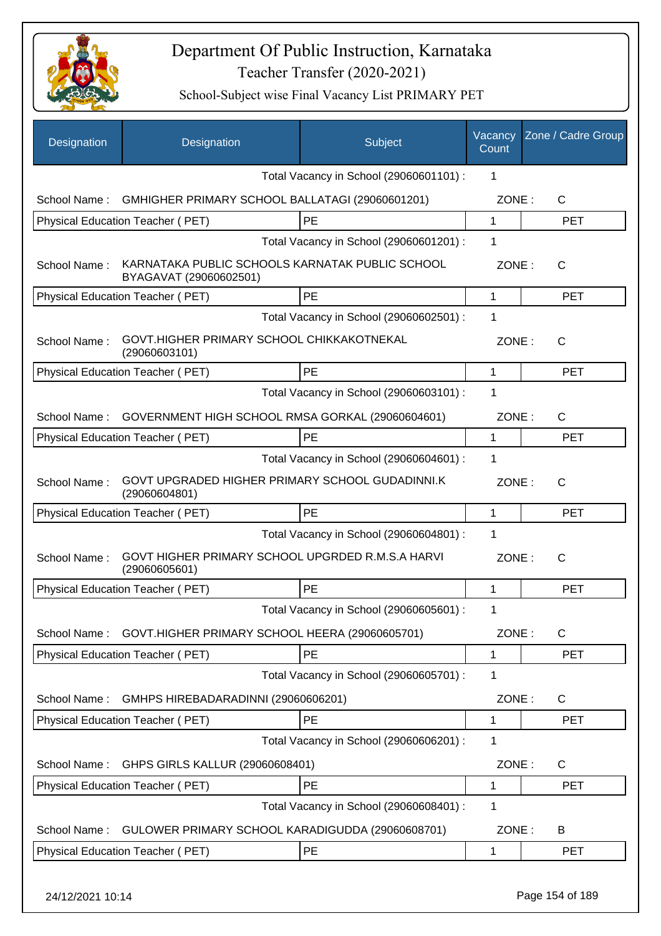

| Designation  | Designation                                                               | Subject                                 | Vacancy<br>Count | Zone / Cadre Group |
|--------------|---------------------------------------------------------------------------|-----------------------------------------|------------------|--------------------|
|              |                                                                           | Total Vacancy in School (29060601101) : | 1                |                    |
| School Name: | GMHIGHER PRIMARY SCHOOL BALLATAGI (29060601201)                           |                                         | ZONE:            | С                  |
|              | Physical Education Teacher (PET)                                          | <b>PE</b>                               | $\mathbf{1}$     | <b>PET</b>         |
|              |                                                                           | Total Vacancy in School (29060601201) : | 1                |                    |
| School Name: | KARNATAKA PUBLIC SCHOOLS KARNATAK PUBLIC SCHOOL<br>BYAGAVAT (29060602501) |                                         | ZONE:            | $\mathsf{C}$       |
|              | Physical Education Teacher (PET)                                          | <b>PE</b>                               | $\mathbf{1}$     | <b>PET</b>         |
|              |                                                                           | Total Vacancy in School (29060602501) : | 1                |                    |
| School Name: | GOVT.HIGHER PRIMARY SCHOOL CHIKKAKOTNEKAL<br>(29060603101)                |                                         | ZONE:            | $\mathsf{C}$       |
|              | Physical Education Teacher (PET)                                          | <b>PE</b>                               | $\mathbf{1}$     | <b>PET</b>         |
|              |                                                                           | Total Vacancy in School (29060603101) : | 1                |                    |
| School Name: | GOVERNMENT HIGH SCHOOL RMSA GORKAL (29060604601)                          |                                         | ZONE:            | $\mathsf{C}$       |
|              | Physical Education Teacher (PET)                                          | PE                                      | 1                | <b>PET</b>         |
|              |                                                                           | Total Vacancy in School (29060604601) : | 1                |                    |
| School Name: | GOVT UPGRADED HIGHER PRIMARY SCHOOL GUDADINNI.K<br>(29060604801)          |                                         | ZONE:            | $\mathsf{C}$       |
|              | Physical Education Teacher (PET)                                          | <b>PE</b>                               | $\mathbf{1}$     | <b>PET</b>         |
|              |                                                                           | Total Vacancy in School (29060604801) : | 1                |                    |
| School Name: | GOVT HIGHER PRIMARY SCHOOL UPGRDED R.M.S.A HARVI<br>(29060605601)         |                                         | ZONE:            | $\mathsf{C}$       |
|              | Physical Education Teacher (PET)                                          | PE                                      | 1                | <b>PET</b>         |
|              |                                                                           | Total Vacancy in School (29060605601) : | 1                |                    |
| School Name: | GOVT.HIGHER PRIMARY SCHOOL HEERA (29060605701)                            |                                         | ZONE:            | $\mathsf{C}$       |
|              | Physical Education Teacher (PET)                                          | <b>PE</b>                               | 1                | <b>PET</b>         |
|              |                                                                           | Total Vacancy in School (29060605701) : | 1                |                    |
| School Name: | GMHPS HIREBADARADINNI (29060606201)                                       |                                         | ZONE:            | C                  |
|              | Physical Education Teacher (PET)                                          | PE                                      | 1                | <b>PET</b>         |
|              |                                                                           | Total Vacancy in School (29060606201) : | 1                |                    |
| School Name: | GHPS GIRLS KALLUR (29060608401)                                           |                                         | ZONE:            | C                  |
|              | Physical Education Teacher (PET)                                          | <b>PE</b>                               | 1                | <b>PET</b>         |
|              |                                                                           | Total Vacancy in School (29060608401) : | 1                |                    |
| School Name: | GULOWER PRIMARY SCHOOL KARADIGUDDA (29060608701)                          |                                         | ZONE:            | B                  |
|              | Physical Education Teacher (PET)                                          | <b>PE</b>                               | 1                | <b>PET</b>         |
|              |                                                                           |                                         |                  |                    |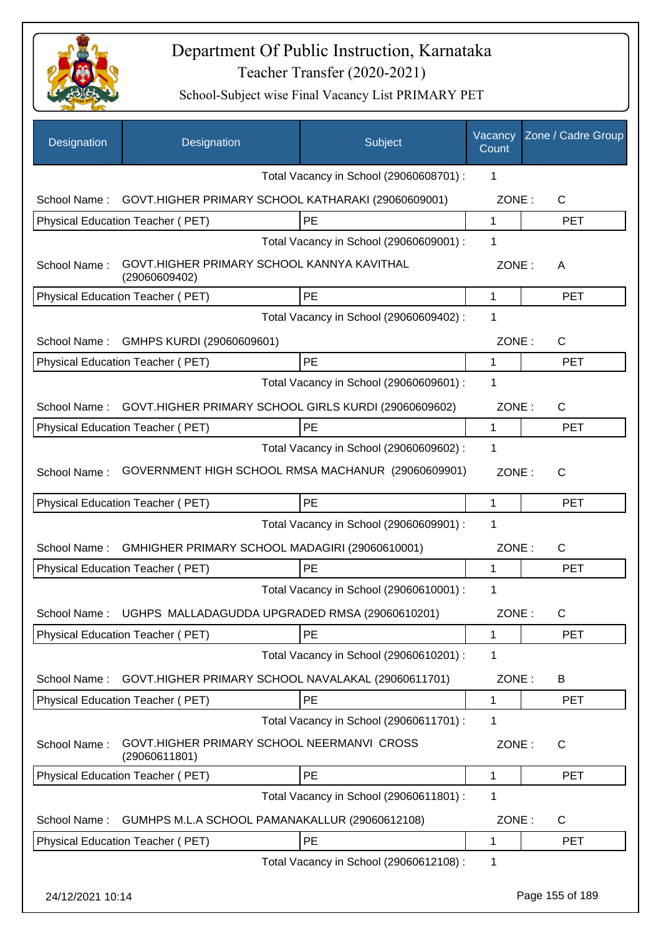

| Designation      | Designation                                                 | Subject                                 | Vacancy<br>Count | Zone / Cadre Group |
|------------------|-------------------------------------------------------------|-----------------------------------------|------------------|--------------------|
|                  |                                                             | Total Vacancy in School (29060608701) : | 1                |                    |
| School Name:     | GOVT.HIGHER PRIMARY SCHOOL KATHARAKI (29060609001)          |                                         | ZONE:            | C                  |
|                  | Physical Education Teacher (PET)                            | PE                                      | 1                | <b>PET</b>         |
|                  |                                                             | Total Vacancy in School (29060609001) : | 1                |                    |
| School Name:     | GOVT.HIGHER PRIMARY SCHOOL KANNYA KAVITHAL<br>(29060609402) |                                         | ZONE:            | A                  |
|                  | Physical Education Teacher (PET)                            | PE                                      | 1                | <b>PET</b>         |
|                  |                                                             | Total Vacancy in School (29060609402) : | 1                |                    |
| School Name:     | GMHPS KURDI (29060609601)                                   |                                         | ZONE:            | C                  |
|                  | Physical Education Teacher (PET)                            | PE                                      | 1                | <b>PET</b>         |
|                  |                                                             | Total Vacancy in School (29060609601) : | 1                |                    |
| School Name:     | GOVT.HIGHER PRIMARY SCHOOL GIRLS KURDI (29060609602)        |                                         | ZONE:            | C                  |
|                  | Physical Education Teacher (PET)                            | PE                                      | 1                | <b>PET</b>         |
|                  |                                                             | Total Vacancy in School (29060609602) : | 1                |                    |
| School Name:     | GOVERNMENT HIGH SCHOOL RMSA MACHANUR (29060609901)          |                                         | ZONE:            | C                  |
|                  | Physical Education Teacher (PET)                            | PE                                      | 1                | <b>PET</b>         |
|                  |                                                             | Total Vacancy in School (29060609901) : | 1                |                    |
| School Name:     | GMHIGHER PRIMARY SCHOOL MADAGIRI (29060610001)              |                                         | ZONE:            | C                  |
|                  | Physical Education Teacher (PET)                            | PE                                      | 1                | <b>PET</b>         |
|                  |                                                             | Total Vacancy in School (29060610001) : | 1                |                    |
| School Name:     | UGHPS MALLADAGUDDA UPGRADED RMSA (29060610201)              |                                         | ZONE:            | C                  |
|                  | Physical Education Teacher (PET)                            | PE                                      | 1                | <b>PET</b>         |
|                  |                                                             | Total Vacancy in School (29060610201) : | 1                |                    |
| School Name:     | GOVT.HIGHER PRIMARY SCHOOL NAVALAKAL (29060611701)          |                                         | ZONE:            | B                  |
|                  | <b>Physical Education Teacher (PET)</b>                     | PE                                      | 1                | <b>PET</b>         |
|                  |                                                             | Total Vacancy in School (29060611701) : | 1                |                    |
| School Name:     | GOVT.HIGHER PRIMARY SCHOOL NEERMANVI CROSS<br>(29060611801) |                                         | ZONE:            | C                  |
|                  | Physical Education Teacher (PET)                            | <b>PE</b>                               | 1                | <b>PET</b>         |
|                  |                                                             | Total Vacancy in School (29060611801) : | 1                |                    |
| School Name:     | GUMHPS M.L.A SCHOOL PAMANAKALLUR (29060612108)              |                                         | ZONE:            | C                  |
|                  | Physical Education Teacher (PET)                            | PE                                      | 1                | <b>PET</b>         |
|                  |                                                             | Total Vacancy in School (29060612108) : | 1                |                    |
| 24/12/2021 10:14 |                                                             |                                         |                  | Page 155 of 189    |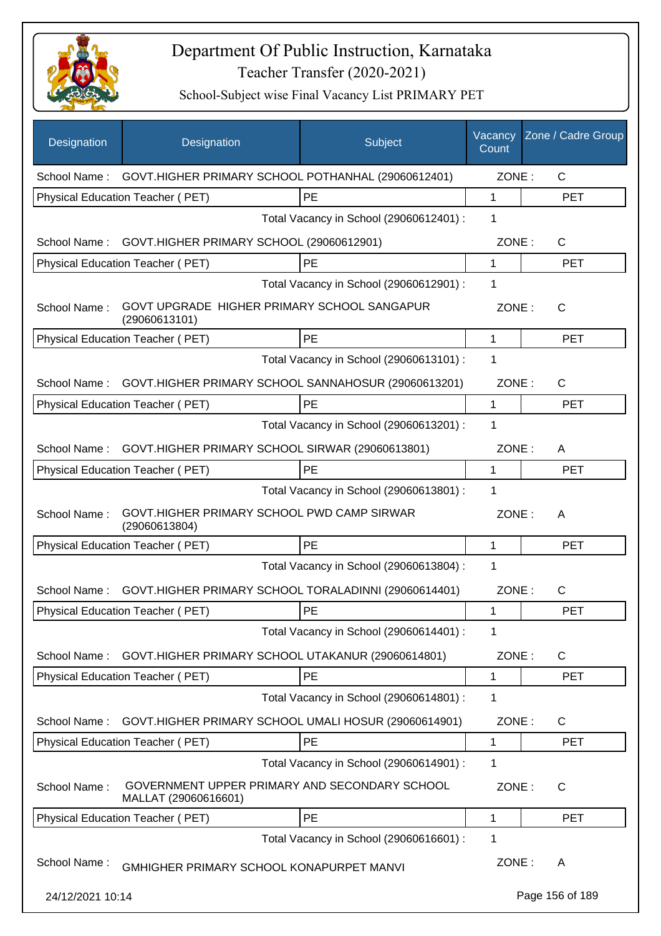

| Designation      | Designation                                                           | Subject                                 | Vacancy<br>Count | Zone / Cadre Group |
|------------------|-----------------------------------------------------------------------|-----------------------------------------|------------------|--------------------|
| School Name:     | GOVT.HIGHER PRIMARY SCHOOL POTHANHAL (29060612401)                    |                                         | ZONE:            | $\mathsf{C}$       |
|                  | Physical Education Teacher (PET)                                      | PE                                      | $\mathbf{1}$     | <b>PET</b>         |
|                  |                                                                       | Total Vacancy in School (29060612401) : | 1                |                    |
| School Name:     | GOVT.HIGHER PRIMARY SCHOOL (29060612901)                              |                                         | ZONE:            | C                  |
|                  | Physical Education Teacher (PET)                                      | PE                                      | 1                | <b>PET</b>         |
|                  |                                                                       | Total Vacancy in School (29060612901) : | 1                |                    |
| School Name:     | GOVT UPGRADE HIGHER PRIMARY SCHOOL SANGAPUR<br>(29060613101)          |                                         | ZONE:            | $\mathsf{C}$       |
|                  | Physical Education Teacher (PET)                                      | PE                                      | 1                | <b>PET</b>         |
|                  |                                                                       | Total Vacancy in School (29060613101) : | 1                |                    |
| School Name:     | GOVT.HIGHER PRIMARY SCHOOL SANNAHOSUR (29060613201)                   |                                         | ZONE:            | C                  |
|                  | <b>Physical Education Teacher (PET)</b>                               | PE                                      | $\mathbf{1}$     | <b>PET</b>         |
|                  |                                                                       | Total Vacancy in School (29060613201) : | 1                |                    |
| School Name:     | GOVT.HIGHER PRIMARY SCHOOL SIRWAR (29060613801)                       |                                         | ZONE:            | A                  |
|                  | Physical Education Teacher (PET)                                      | PE                                      | 1                | <b>PET</b>         |
|                  |                                                                       | Total Vacancy in School (29060613801) : | 1                |                    |
| School Name:     | GOVT.HIGHER PRIMARY SCHOOL PWD CAMP SIRWAR<br>(29060613804)           |                                         | ZONE:            | A                  |
|                  | Physical Education Teacher (PET)                                      | PE                                      | 1                | <b>PET</b>         |
|                  |                                                                       | Total Vacancy in School (29060613804) : | 1                |                    |
| School Name:     | GOVT.HIGHER PRIMARY SCHOOL TORALADINNI (29060614401)                  |                                         | ZONE:            | C                  |
|                  | Physical Education Teacher (PET)                                      | PE                                      | 1                | <b>PET</b>         |
|                  |                                                                       | Total Vacancy in School (29060614401) : | 1                |                    |
| School Name:     | GOVT.HIGHER PRIMARY SCHOOL UTAKANUR (29060614801)                     |                                         | ZONE:            | C                  |
|                  | Physical Education Teacher (PET)                                      | PE                                      | 1                | <b>PET</b>         |
|                  |                                                                       | Total Vacancy in School (29060614801) : | 1                |                    |
| School Name:     | GOVT.HIGHER PRIMARY SCHOOL UMALI HOSUR (29060614901)                  |                                         | ZONE:            | C                  |
|                  | Physical Education Teacher (PET)                                      | PE                                      | 1                | <b>PET</b>         |
|                  |                                                                       | Total Vacancy in School (29060614901) : | 1                |                    |
| School Name:     | GOVERNMENT UPPER PRIMARY AND SECONDARY SCHOOL<br>MALLAT (29060616601) |                                         | ZONE:            | C                  |
|                  | Physical Education Teacher (PET)                                      | PE                                      | 1                | <b>PET</b>         |
|                  |                                                                       | Total Vacancy in School (29060616601) : | 1                |                    |
| School Name:     | GMHIGHER PRIMARY SCHOOL KONAPURPET MANVI                              |                                         | ZONE:            | A                  |
| 24/12/2021 10:14 |                                                                       |                                         |                  | Page 156 of 189    |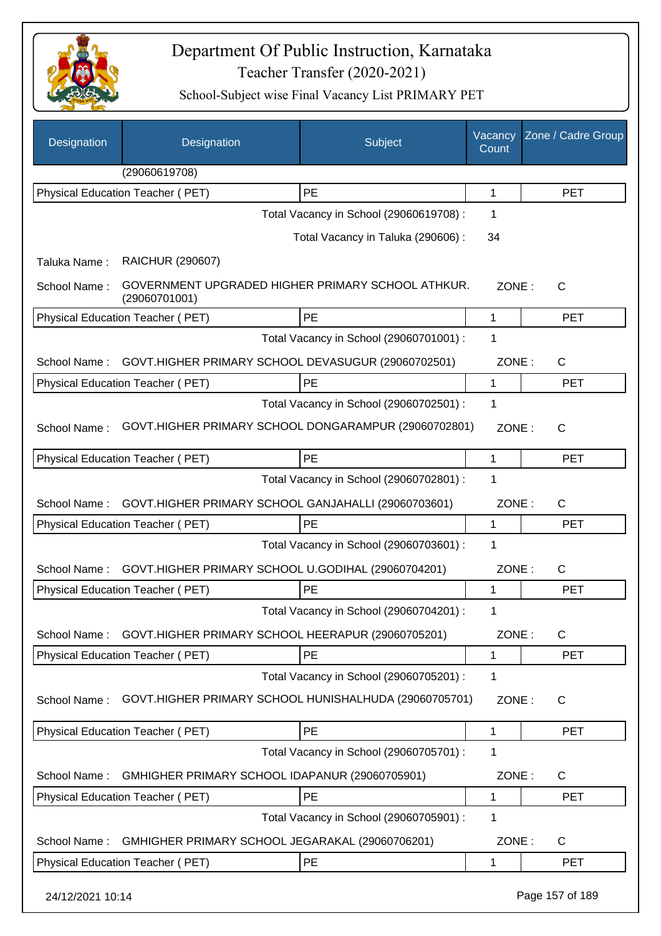

| Designation      | Designation                                                        | <b>Subject</b>                          | Vacancy<br>Count | Zone / Cadre Group |
|------------------|--------------------------------------------------------------------|-----------------------------------------|------------------|--------------------|
|                  | (29060619708)                                                      |                                         |                  |                    |
|                  | <b>Physical Education Teacher (PET)</b>                            | PE                                      | 1                | <b>PET</b>         |
|                  |                                                                    | Total Vacancy in School (29060619708) : | 1                |                    |
|                  |                                                                    | Total Vacancy in Taluka (290606) :      | 34               |                    |
| Taluka Name:     | <b>RAICHUR (290607)</b>                                            |                                         |                  |                    |
| School Name:     | GOVERNMENT UPGRADED HIGHER PRIMARY SCHOOL ATHKUR.<br>(29060701001) |                                         | ZONE:            | $\mathsf{C}$       |
|                  | Physical Education Teacher (PET)                                   | PE                                      | 1                | <b>PET</b>         |
|                  |                                                                    | Total Vacancy in School (29060701001) : | 1                |                    |
| School Name:     | GOVT.HIGHER PRIMARY SCHOOL DEVASUGUR (29060702501)                 |                                         | ZONE:            | C                  |
|                  | Physical Education Teacher (PET)                                   | PE                                      | 1                | <b>PET</b>         |
|                  |                                                                    | Total Vacancy in School (29060702501) : | 1                |                    |
| School Name:     | GOVT.HIGHER PRIMARY SCHOOL DONGARAMPUR (29060702801)               |                                         | ZONE:            | C                  |
|                  | Physical Education Teacher (PET)                                   | <b>PE</b>                               | 1                | <b>PET</b>         |
|                  |                                                                    | Total Vacancy in School (29060702801) : | 1                |                    |
| School Name:     | GOVT.HIGHER PRIMARY SCHOOL GANJAHALLI (29060703601)                |                                         | ZONE:            | $\mathsf{C}$       |
|                  | Physical Education Teacher (PET)                                   | PE                                      | 1                | <b>PET</b>         |
|                  |                                                                    | Total Vacancy in School (29060703601) : | 1                |                    |
| School Name:     | GOVT.HIGHER PRIMARY SCHOOL U.GODIHAL (29060704201)                 |                                         | ZONE:            | C                  |
|                  | Physical Education Teacher (PET)                                   | PE                                      | 1                | <b>PET</b>         |
|                  |                                                                    | Total Vacancy in School (29060704201) : | 1                |                    |
| School Name:     | GOVT.HIGHER PRIMARY SCHOOL HEERAPUR (29060705201)                  |                                         | ZONE:            | C                  |
|                  | Physical Education Teacher (PET)                                   | PE                                      | 1                | <b>PET</b>         |
|                  |                                                                    | Total Vacancy in School (29060705201) : | 1                |                    |
| School Name:     | GOVT.HIGHER PRIMARY SCHOOL HUNISHALHUDA (29060705701)              |                                         | ZONE:            | $\mathsf{C}$       |
|                  | Physical Education Teacher (PET)                                   | PE                                      | 1                | <b>PET</b>         |
|                  |                                                                    | Total Vacancy in School (29060705701) : | 1                |                    |
| School Name:     | GMHIGHER PRIMARY SCHOOL IDAPANUR (29060705901)                     |                                         | ZONE:            | C                  |
|                  | Physical Education Teacher (PET)                                   | PE                                      | 1                | <b>PET</b>         |
|                  |                                                                    | Total Vacancy in School (29060705901) : | 1                |                    |
| School Name:     | GMHIGHER PRIMARY SCHOOL JEGARAKAL (29060706201)                    |                                         | ZONE:            | C                  |
|                  | Physical Education Teacher (PET)                                   | PE                                      | 1                | <b>PET</b>         |
| 24/12/2021 10:14 |                                                                    |                                         |                  | Page 157 of 189    |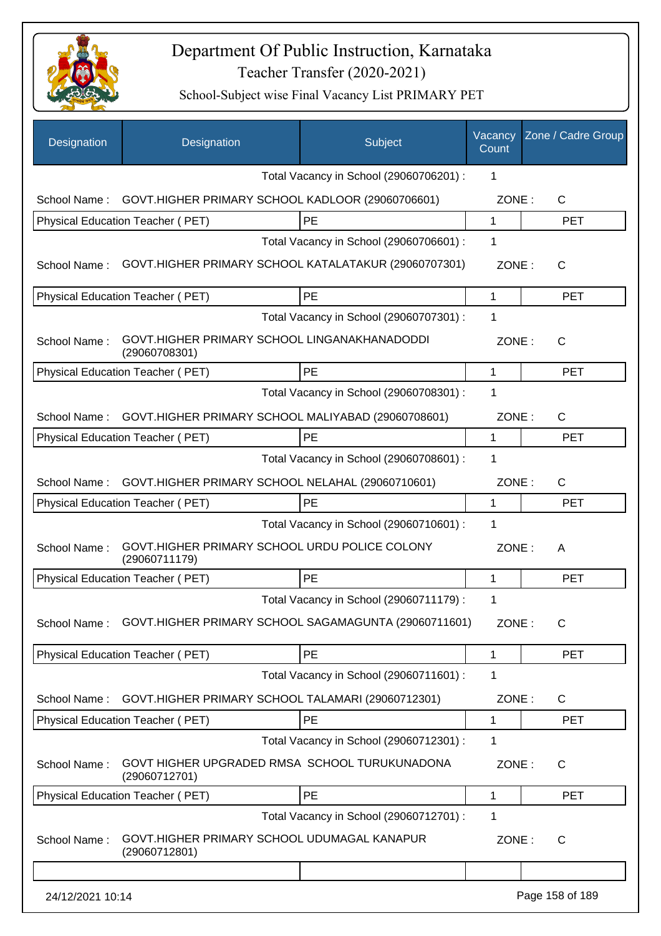

| Designation      | Designation                                                    | Subject                                 | Vacancy<br>Count | Zone / Cadre Group |
|------------------|----------------------------------------------------------------|-----------------------------------------|------------------|--------------------|
|                  |                                                                | Total Vacancy in School (29060706201) : | 1                |                    |
| School Name:     | GOVT.HIGHER PRIMARY SCHOOL KADLOOR (29060706601)               |                                         | ZONE:            | C                  |
|                  | Physical Education Teacher (PET)                               | PE                                      | 1                | <b>PET</b>         |
|                  |                                                                | Total Vacancy in School (29060706601) : | 1                |                    |
| School Name:     | GOVT.HIGHER PRIMARY SCHOOL KATALATAKUR (29060707301)           |                                         | ZONE:            | C                  |
|                  | Physical Education Teacher (PET)                               | PE                                      | 1                | <b>PET</b>         |
|                  |                                                                | Total Vacancy in School (29060707301) : | 1                |                    |
| School Name:     | GOVT.HIGHER PRIMARY SCHOOL LINGANAKHANADODDI<br>(29060708301)  |                                         | ZONE:            | C                  |
|                  | Physical Education Teacher (PET)                               | PE                                      | 1                | <b>PET</b>         |
|                  |                                                                | Total Vacancy in School (29060708301) : | 1                |                    |
| School Name:     | GOVT.HIGHER PRIMARY SCHOOL MALIYABAD (29060708601)             |                                         | ZONE:            | C                  |
|                  | Physical Education Teacher (PET)                               | PE                                      | 1                | <b>PET</b>         |
|                  |                                                                | Total Vacancy in School (29060708601) : | 1                |                    |
| School Name:     | GOVT.HIGHER PRIMARY SCHOOL NELAHAL (29060710601)               |                                         | ZONE:            | $\mathsf{C}$       |
|                  | Physical Education Teacher (PET)                               | PE                                      | 1                | <b>PET</b>         |
|                  |                                                                | Total Vacancy in School (29060710601) : | 1                |                    |
| School Name:     | GOVT.HIGHER PRIMARY SCHOOL URDU POLICE COLONY<br>(29060711179) |                                         | ZONE:            | A                  |
|                  | Physical Education Teacher (PET)                               | PE                                      | 1                | <b>PET</b>         |
|                  |                                                                | Total Vacancy in School (29060711179) : | 1                |                    |
| School Name:     | GOVT.HIGHER PRIMARY SCHOOL SAGAMAGUNTA (29060711601)           |                                         | ZONE:            | C                  |
|                  | Physical Education Teacher (PET)                               | PE                                      | 1                | <b>PET</b>         |
|                  |                                                                | Total Vacancy in School (29060711601) : | 1                |                    |
| School Name:     | GOVT.HIGHER PRIMARY SCHOOL TALAMARI (29060712301)              |                                         | ZONE:            | C                  |
|                  | Physical Education Teacher (PET)                               | PE                                      | 1                | <b>PET</b>         |
|                  |                                                                | Total Vacancy in School (29060712301) : | 1                |                    |
| School Name:     | GOVT HIGHER UPGRADED RMSA SCHOOL TURUKUNADONA<br>(29060712701) |                                         | ZONE:            | $\mathsf{C}$       |
|                  | Physical Education Teacher (PET)                               | PE                                      | 1                | <b>PET</b>         |
|                  |                                                                | Total Vacancy in School (29060712701) : | 1                |                    |
| School Name:     | GOVT.HIGHER PRIMARY SCHOOL UDUMAGAL KANAPUR<br>(29060712801)   |                                         | ZONE:            | C                  |
|                  |                                                                |                                         |                  |                    |
| 24/12/2021 10:14 |                                                                |                                         |                  | Page 158 of 189    |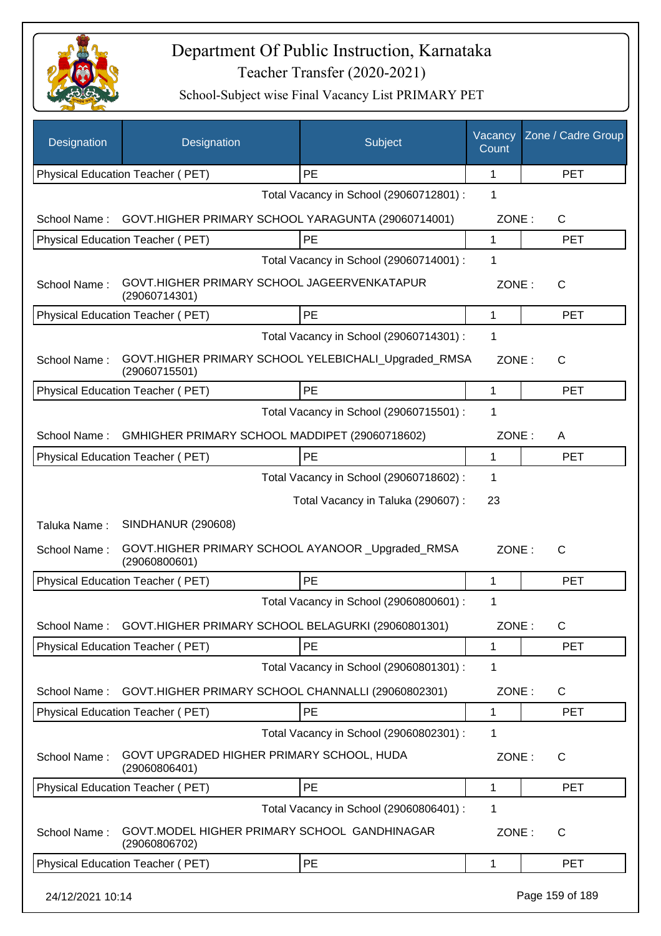

| Designation      | Designation                                                           | Subject                                 | Vacancy<br>Count | Zone / Cadre Group |
|------------------|-----------------------------------------------------------------------|-----------------------------------------|------------------|--------------------|
|                  | Physical Education Teacher (PET)                                      | PE                                      | 1                | <b>PET</b>         |
|                  |                                                                       | Total Vacancy in School (29060712801) : | 1                |                    |
| School Name:     | GOVT.HIGHER PRIMARY SCHOOL YARAGUNTA (29060714001)                    |                                         | ZONE:            | C                  |
|                  | Physical Education Teacher (PET)                                      | PE                                      | 1                | <b>PET</b>         |
|                  |                                                                       | Total Vacancy in School (29060714001) : | 1                |                    |
| School Name:     | GOVT.HIGHER PRIMARY SCHOOL JAGEERVENKATAPUR<br>(29060714301)          |                                         | ZONE:            | C                  |
|                  | Physical Education Teacher (PET)                                      | <b>PE</b>                               | 1                | <b>PET</b>         |
|                  |                                                                       | Total Vacancy in School (29060714301) : | 1                |                    |
| School Name:     | GOVT.HIGHER PRIMARY SCHOOL YELEBICHALI_Upgraded_RMSA<br>(29060715501) |                                         | ZONE:            | $\mathsf{C}$       |
|                  | Physical Education Teacher (PET)                                      | PE                                      | 1                | <b>PET</b>         |
|                  |                                                                       | Total Vacancy in School (29060715501) : | 1                |                    |
| School Name:     | GMHIGHER PRIMARY SCHOOL MADDIPET (29060718602)                        |                                         | ZONE:            | A                  |
|                  | Physical Education Teacher (PET)                                      | PE                                      | 1                | <b>PET</b>         |
|                  |                                                                       | Total Vacancy in School (29060718602) : | 1                |                    |
|                  |                                                                       | Total Vacancy in Taluka (290607) :      | 23               |                    |
| Taluka Name:     | <b>SINDHANUR (290608)</b>                                             |                                         |                  |                    |
| School Name:     | GOVT.HIGHER PRIMARY SCHOOL AYANOOR _Upgraded_RMSA<br>(29060800601)    |                                         | ZONE:            | C                  |
|                  | Physical Education Teacher (PET)                                      | PE                                      | 1                | <b>PET</b>         |
|                  |                                                                       | Total Vacancy in School (29060800601) : | 1                |                    |
| School Name:     | GOVT.HIGHER PRIMARY SCHOOL BELAGURKI (29060801301)                    |                                         | ZONE:            | $\mathsf C$        |
|                  | Physical Education Teacher (PET)                                      | PE                                      | 1                | <b>PET</b>         |
|                  |                                                                       | Total Vacancy in School (29060801301) : | 1                |                    |
| School Name:     | GOVT.HIGHER PRIMARY SCHOOL CHANNALLI (29060802301)                    |                                         | ZONE:            | C                  |
|                  | Physical Education Teacher (PET)                                      | PE                                      | 1                | <b>PET</b>         |
|                  |                                                                       | Total Vacancy in School (29060802301) : | 1                |                    |
| School Name:     | GOVT UPGRADED HIGHER PRIMARY SCHOOL, HUDA<br>(29060806401)            |                                         | ZONE:            | $\mathsf{C}$       |
|                  | <b>Physical Education Teacher (PET)</b>                               | PE                                      | 1                | <b>PET</b>         |
|                  |                                                                       | Total Vacancy in School (29060806401) : | 1                |                    |
| School Name:     | GOVT. MODEL HIGHER PRIMARY SCHOOL GANDHINAGAR<br>(29060806702)        |                                         | ZONE:            | $\mathsf C$        |
|                  | Physical Education Teacher (PET)                                      | PE                                      | 1                | <b>PET</b>         |
| 24/12/2021 10:14 |                                                                       |                                         |                  | Page 159 of 189    |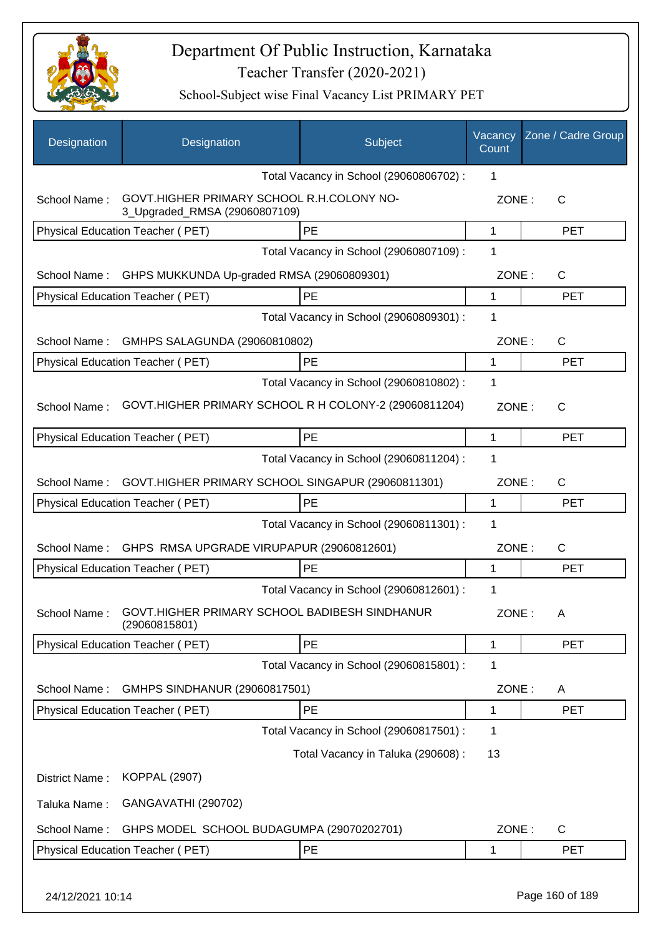

| Designation      | Designation                                                                | Subject                                 | Vacancy<br>Count | Zone / Cadre Group |
|------------------|----------------------------------------------------------------------------|-----------------------------------------|------------------|--------------------|
|                  |                                                                            | Total Vacancy in School (29060806702) : | 1                |                    |
| School Name:     | GOVT.HIGHER PRIMARY SCHOOL R.H.COLONY NO-<br>3_Upgraded_RMSA (29060807109) |                                         | ZONE:            | $\mathsf{C}$       |
|                  | <b>Physical Education Teacher (PET)</b>                                    | <b>PE</b>                               | 1                | <b>PET</b>         |
|                  |                                                                            | Total Vacancy in School (29060807109) : | 1                |                    |
| School Name:     | GHPS MUKKUNDA Up-graded RMSA (29060809301)                                 |                                         | ZONE:            | $\mathsf{C}$       |
|                  | Physical Education Teacher (PET)                                           | PE                                      | 1                | <b>PET</b>         |
|                  |                                                                            | Total Vacancy in School (29060809301) : | 1                |                    |
| School Name:     | GMHPS SALAGUNDA (29060810802)                                              |                                         | ZONE:            | $\mathsf{C}$       |
|                  | Physical Education Teacher (PET)                                           | <b>PE</b>                               | 1                | <b>PET</b>         |
|                  |                                                                            | Total Vacancy in School (29060810802) : | 1                |                    |
| School Name:     | GOVT.HIGHER PRIMARY SCHOOL R H COLONY-2 (29060811204)                      |                                         | ZONE:            | $\mathsf{C}$       |
|                  | Physical Education Teacher (PET)                                           | PE                                      | 1                | <b>PET</b>         |
|                  |                                                                            | Total Vacancy in School (29060811204) : | 1                |                    |
| School Name:     | GOVT.HIGHER PRIMARY SCHOOL SINGAPUR (29060811301)                          |                                         | ZONE:            | C                  |
|                  | Physical Education Teacher (PET)                                           | PE                                      | 1                | <b>PET</b>         |
|                  |                                                                            | Total Vacancy in School (29060811301) : | 1                |                    |
| School Name:     | GHPS RMSA UPGRADE VIRUPAPUR (29060812601)                                  |                                         | ZONE:            | C                  |
|                  | Physical Education Teacher (PET)                                           | PE                                      | 1                | <b>PET</b>         |
|                  |                                                                            | Total Vacancy in School (29060812601) : | 1                |                    |
| School Name:     | GOVT.HIGHER PRIMARY SCHOOL BADIBESH SINDHANUR<br>(29060815801)             |                                         | ZONE:            | A                  |
|                  | <b>Physical Education Teacher (PET)</b>                                    | PE                                      | 1                | <b>PET</b>         |
|                  |                                                                            | Total Vacancy in School (29060815801) : | 1                |                    |
| School Name:     | GMHPS SINDHANUR (29060817501)                                              |                                         | ZONE:            | A                  |
|                  | Physical Education Teacher (PET)                                           | PE                                      | 1                | <b>PET</b>         |
|                  |                                                                            | Total Vacancy in School (29060817501) : | 1                |                    |
|                  |                                                                            | Total Vacancy in Taluka (290608) :      | 13               |                    |
| District Name:   | <b>KOPPAL (2907)</b>                                                       |                                         |                  |                    |
| Taluka Name:     | GANGAVATHI (290702)                                                        |                                         |                  |                    |
| School Name:     | GHPS MODEL SCHOOL BUDAGUMPA (29070202701)                                  |                                         | ZONE:            | $\mathsf{C}$       |
|                  | Physical Education Teacher (PET)                                           | PE                                      | 1                | <b>PET</b>         |
| 24/12/2021 10:14 |                                                                            |                                         |                  | Page 160 of 189    |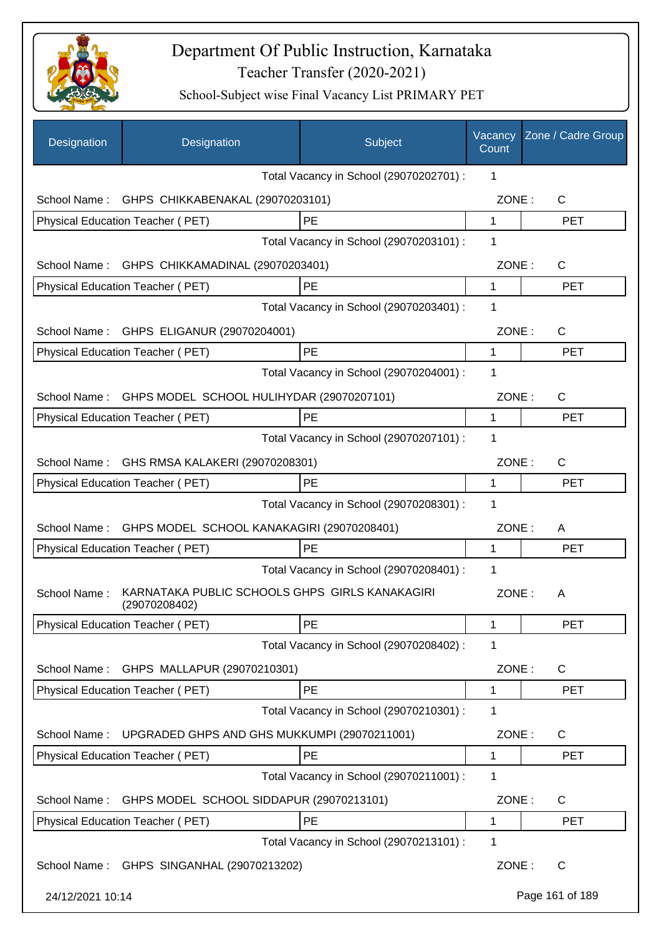

| Designation      | Designation                                                     | Subject                                 | Vacancy<br>Count | Zone / Cadre Group |
|------------------|-----------------------------------------------------------------|-----------------------------------------|------------------|--------------------|
|                  |                                                                 | Total Vacancy in School (29070202701) : | 1                |                    |
| School Name:     | GHPS CHIKKABENAKAL (29070203101)                                |                                         | ZONE:            | $\mathsf{C}$       |
|                  | Physical Education Teacher (PET)                                | PE                                      | $\mathbf{1}$     | <b>PET</b>         |
|                  |                                                                 | Total Vacancy in School (29070203101) : | 1                |                    |
|                  | School Name: GHPS CHIKKAMADINAL (29070203401)                   |                                         | ZONE:            | C                  |
|                  | Physical Education Teacher (PET)                                | PE                                      | $\mathbf 1$      | <b>PET</b>         |
|                  |                                                                 | Total Vacancy in School (29070203401) : | 1                |                    |
|                  | School Name: GHPS ELIGANUR (29070204001)                        |                                         | ZONE:            | C                  |
|                  | Physical Education Teacher (PET)                                | <b>PE</b>                               | 1                | <b>PET</b>         |
|                  |                                                                 | Total Vacancy in School (29070204001) : | 1                |                    |
| School Name:     | GHPS MODEL SCHOOL HULIHYDAR (29070207101)                       |                                         | ZONE:            | C                  |
|                  | Physical Education Teacher (PET)                                | PE                                      | 1                | <b>PET</b>         |
|                  |                                                                 | Total Vacancy in School (29070207101) : | 1                |                    |
| School Name:     | GHS RMSA KALAKERI (29070208301)                                 |                                         | ZONE:            | C                  |
|                  | Physical Education Teacher (PET)                                | PE                                      | 1                | <b>PET</b>         |
|                  |                                                                 | Total Vacancy in School (29070208301) : | $\mathbf 1$      |                    |
| School Name:     | GHPS MODEL SCHOOL KANAKAGIRI (29070208401)                      |                                         | ZONE:            | A                  |
|                  | Physical Education Teacher (PET)                                | PE                                      | 1                | <b>PET</b>         |
|                  |                                                                 | Total Vacancy in School (29070208401) : | 1                |                    |
| School Name:     | KARNATAKA PUBLIC SCHOOLS GHPS GIRLS KANAKAGIRI<br>(29070208402) |                                         | ZONE:            | A                  |
|                  | Physical Education Teacher (PET)                                | PE                                      | 1                | <b>PET</b>         |
|                  |                                                                 | Total Vacancy in School (29070208402) : | 1                |                    |
| School Name:     | GHPS MALLAPUR (29070210301)                                     |                                         | ZONE:            | C                  |
|                  | Physical Education Teacher (PET)                                | PE                                      | 1                | <b>PET</b>         |
|                  |                                                                 | Total Vacancy in School (29070210301) : | 1                |                    |
| School Name:     | UPGRADED GHPS AND GHS MUKKUMPI (29070211001)                    |                                         | ZONE:            | C                  |
|                  | Physical Education Teacher (PET)                                | PE                                      | 1                | <b>PET</b>         |
|                  |                                                                 | Total Vacancy in School (29070211001) : | 1                |                    |
| School Name:     | GHPS MODEL SCHOOL SIDDAPUR (29070213101)                        |                                         | ZONE:            | $\mathsf{C}$       |
|                  | Physical Education Teacher (PET)                                | PE                                      | 1                | <b>PET</b>         |
|                  |                                                                 | Total Vacancy in School (29070213101) : | 1                |                    |
|                  | School Name: GHPS SINGANHAL (29070213202)                       |                                         | ZONE:            | $\mathsf{C}$       |
| 24/12/2021 10:14 |                                                                 |                                         |                  | Page 161 of 189    |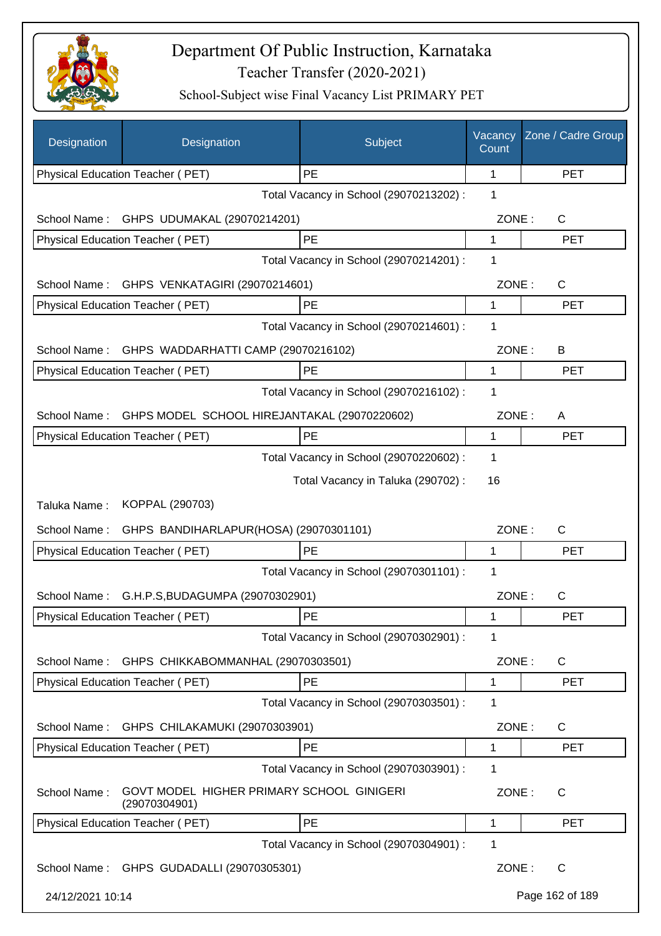

| Designation      | Designation                                                | Subject                                 | Vacancy<br>Count | Zone / Cadre Group |
|------------------|------------------------------------------------------------|-----------------------------------------|------------------|--------------------|
|                  | Physical Education Teacher (PET)                           | PE                                      | 1                | <b>PET</b>         |
|                  |                                                            | Total Vacancy in School (29070213202) : | 1                |                    |
| School Name:     | GHPS UDUMAKAL (29070214201)                                |                                         | ZONE:            | C                  |
|                  | Physical Education Teacher (PET)                           | PE                                      | 1                | <b>PET</b>         |
|                  |                                                            | Total Vacancy in School (29070214201) : | 1                |                    |
| School Name:     | GHPS VENKATAGIRI (29070214601)                             |                                         | ZONE:            | $\mathsf C$        |
|                  | Physical Education Teacher (PET)                           | PE                                      | 1                | <b>PET</b>         |
|                  |                                                            | Total Vacancy in School (29070214601) : | 1                |                    |
| School Name:     | GHPS WADDARHATTI CAMP (29070216102)                        |                                         | ZONE:            | B                  |
|                  | Physical Education Teacher (PET)                           | PE                                      | 1                | <b>PET</b>         |
|                  |                                                            | Total Vacancy in School (29070216102) : | 1                |                    |
| School Name:     | GHPS MODEL SCHOOL HIREJANTAKAL (29070220602)               |                                         | ZONE:            | A                  |
|                  | Physical Education Teacher (PET)                           | PE                                      | 1                | <b>PET</b>         |
|                  |                                                            | Total Vacancy in School (29070220602) : | 1                |                    |
|                  |                                                            | Total Vacancy in Taluka (290702) :      | 16               |                    |
| Taluka Name:     | KOPPAL (290703)                                            |                                         |                  |                    |
| School Name:     | GHPS BANDIHARLAPUR(HOSA) (29070301101)                     |                                         | ZONE:            | C                  |
|                  | Physical Education Teacher (PET)                           | PE                                      | 1                | <b>PET</b>         |
|                  |                                                            | Total Vacancy in School (29070301101) : | 1                |                    |
| School Name:     | G.H.P.S, BUDAGUMPA (29070302901)                           |                                         | ZONE:            | $\mathsf C$        |
|                  | Physical Education Teacher (PET)                           | PE                                      | 1                | <b>PET</b>         |
|                  |                                                            | Total Vacancy in School (29070302901) : | 1                |                    |
| School Name:     | GHPS CHIKKABOMMANHAL (29070303501)                         |                                         | ZONE:            | C                  |
|                  | Physical Education Teacher (PET)                           | PE                                      | 1                | <b>PET</b>         |
|                  |                                                            | Total Vacancy in School (29070303501) : | 1                |                    |
| School Name:     | GHPS CHILAKAMUKI (29070303901)                             |                                         | ZONE:            | C                  |
|                  | Physical Education Teacher (PET)                           | PE                                      | 1                | <b>PET</b>         |
|                  |                                                            | Total Vacancy in School (29070303901) : | 1                |                    |
| School Name:     | GOVT MODEL HIGHER PRIMARY SCHOOL GINIGERI<br>(29070304901) |                                         | ZONE:            | C                  |
|                  | Physical Education Teacher (PET)                           | PE                                      | 1                | <b>PET</b>         |
|                  |                                                            | Total Vacancy in School (29070304901) : | 1                |                    |
|                  | School Name: GHPS GUDADALLI (29070305301)                  |                                         | ZONE:            | $\mathsf{C}$       |
| 24/12/2021 10:14 |                                                            |                                         |                  | Page 162 of 189    |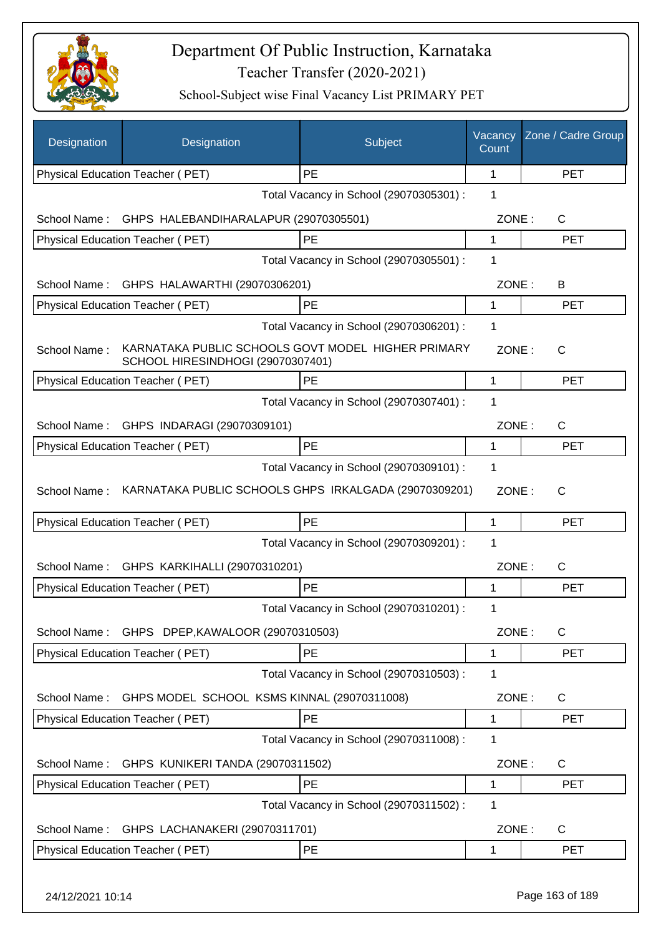

| <b>Designation</b> | Designation                                 | Subject                                               | Vacancy<br>Count | Zone / Cadre Group |
|--------------------|---------------------------------------------|-------------------------------------------------------|------------------|--------------------|
|                    | Physical Education Teacher (PET)            | <b>PE</b>                                             | 1                | <b>PET</b>         |
|                    |                                             | Total Vacancy in School (29070305301) :               | 1                |                    |
| School Name:       | GHPS HALEBANDIHARALAPUR (29070305501)       |                                                       | ZONE:            | $\mathsf{C}$       |
|                    | <b>Physical Education Teacher (PET)</b>     | PE                                                    | 1                | <b>PET</b>         |
|                    |                                             | Total Vacancy in School (29070305501) :               | 1                |                    |
| School Name:       | GHPS HALAWARTHI (29070306201)               |                                                       | ZONE:            | В                  |
|                    | Physical Education Teacher (PET)            | PE                                                    | 1                | <b>PET</b>         |
|                    |                                             | Total Vacancy in School (29070306201) :               | 1                |                    |
| School Name:       | SCHOOL HIRESINDHOGI (29070307401)           | KARNATAKA PUBLIC SCHOOLS GOVT MODEL HIGHER PRIMARY    | ZONE:            | C                  |
|                    | Physical Education Teacher (PET)            | PE                                                    | $\mathbf{1}$     | <b>PET</b>         |
|                    |                                             | Total Vacancy in School (29070307401) :               | 1                |                    |
|                    | School Name: GHPS INDARAGI (29070309101)    |                                                       | ZONE:            | $\mathsf{C}$       |
|                    | Physical Education Teacher (PET)            | PE                                                    | 1                | <b>PET</b>         |
|                    |                                             | Total Vacancy in School (29070309101) :               | 1                |                    |
| School Name:       |                                             | KARNATAKA PUBLIC SCHOOLS GHPS IRKALGADA (29070309201) | ZONE:            | $\mathsf{C}$       |
|                    | Physical Education Teacher (PET)            | PE                                                    | $\mathbf{1}$     | <b>PET</b>         |
|                    |                                             | Total Vacancy in School (29070309201) :               | 1                |                    |
| School Name:       | GHPS KARKIHALLI (29070310201)               |                                                       | ZONE:            | C                  |
|                    | Physical Education Teacher (PET)            | <b>PE</b>                                             | 1                | <b>PET</b>         |
|                    |                                             | Total Vacancy in School (29070310201) :               | 1                |                    |
| School Name:       | GHPS DPEP, KAWALOOR (29070310503)           |                                                       | ZONE:            | $\mathsf{C}$       |
|                    | <b>Physical Education Teacher (PET)</b>     | PE                                                    | 1                | <b>PET</b>         |
|                    |                                             | Total Vacancy in School (29070310503) :               | 1                |                    |
| School Name:       | GHPS MODEL SCHOOL KSMS KINNAL (29070311008) |                                                       | ZONE:            | C                  |
|                    | Physical Education Teacher (PET)            | PE                                                    | 1                | <b>PET</b>         |
|                    |                                             | Total Vacancy in School (29070311008) :               | 1                |                    |
| School Name:       | GHPS KUNIKERI TANDA (29070311502)           |                                                       | ZONE:            | C                  |
|                    | Physical Education Teacher (PET)            | PE                                                    | 1                | <b>PET</b>         |
|                    |                                             | Total Vacancy in School (29070311502) :               | 1                |                    |
| School Name:       | GHPS LACHANAKERI (29070311701)              |                                                       | ZONE:            | $\mathsf{C}$       |
|                    | <b>Physical Education Teacher (PET)</b>     | PE                                                    | 1                | <b>PET</b>         |
| 24/12/2021 10:14   |                                             |                                                       |                  | Page 163 of 189    |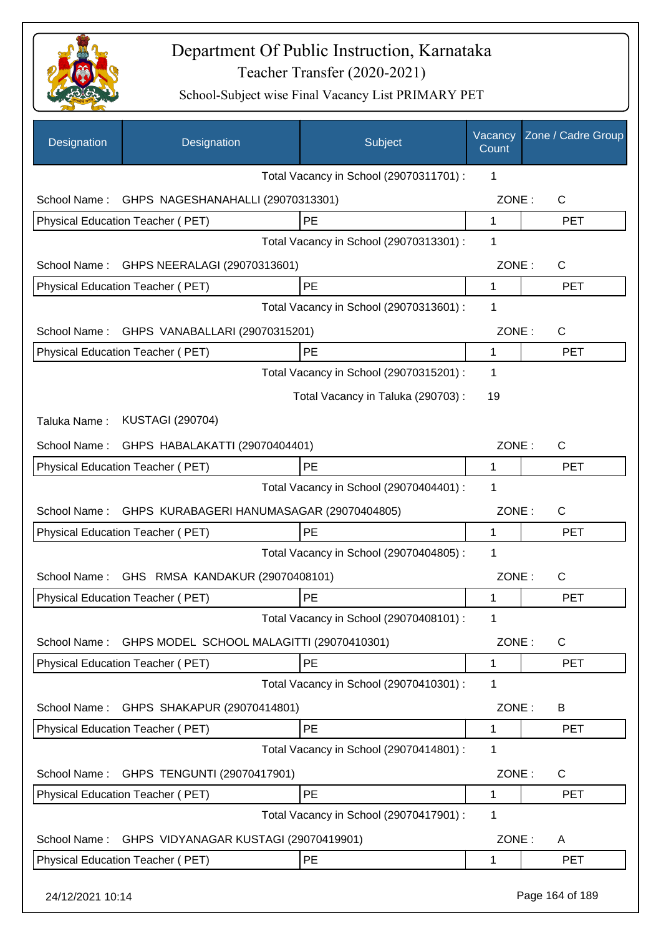

| Designation      | Designation                                    | Subject                                 | Vacancy<br>Count | Zone / Cadre Group |
|------------------|------------------------------------------------|-----------------------------------------|------------------|--------------------|
|                  |                                                | Total Vacancy in School (29070311701) : | 1                |                    |
|                  | School Name: GHPS NAGESHANAHALLI (29070313301) |                                         | ZONE:            | $\mathsf{C}$       |
|                  | Physical Education Teacher (PET)               | PE                                      | 1                | <b>PET</b>         |
|                  |                                                | Total Vacancy in School (29070313301) : | 1                |                    |
| School Name:     | GHPS NEERALAGI (29070313601)                   |                                         | ZONE:            | $\mathsf{C}$       |
|                  | Physical Education Teacher (PET)               | <b>PE</b>                               | 1                | <b>PET</b>         |
|                  |                                                | Total Vacancy in School (29070313601) : | 1                |                    |
| School Name:     | GHPS VANABALLARI (29070315201)                 |                                         | ZONE:            | $\mathsf{C}$       |
|                  | Physical Education Teacher (PET)               | <b>PE</b>                               | $\mathbf 1$      | <b>PET</b>         |
|                  |                                                | Total Vacancy in School (29070315201) : | 1                |                    |
|                  |                                                | Total Vacancy in Taluka (290703) :      | 19               |                    |
| Taluka Name:     | <b>KUSTAGI (290704)</b>                        |                                         |                  |                    |
|                  | School Name: GHPS HABALAKATTI (29070404401)    |                                         | ZONE:            | C                  |
|                  | Physical Education Teacher (PET)               | PE                                      | 1                | <b>PET</b>         |
|                  |                                                | Total Vacancy in School (29070404401) : | 1                |                    |
| School Name:     | GHPS KURABAGERI HANUMASAGAR (29070404805)      |                                         | ZONE:            | C                  |
|                  | Physical Education Teacher (PET)               | <b>PE</b>                               | 1                | <b>PET</b>         |
|                  |                                                | Total Vacancy in School (29070404805) : | 1                |                    |
| School Name:     | GHS RMSA KANDAKUR (29070408101)                |                                         | ZONE:            | C                  |
|                  | Physical Education Teacher (PET)               | PE                                      | 1                | <b>PET</b>         |
|                  |                                                | Total Vacancy in School (29070408101) : | 1                |                    |
| School Name:     | GHPS MODEL SCHOOL MALAGITTI (29070410301)      |                                         | ZONE:            | $\mathsf{C}$       |
|                  | Physical Education Teacher (PET)               | PE                                      | 1                | <b>PET</b>         |
|                  |                                                | Total Vacancy in School (29070410301) : | 1                |                    |
| School Name:     | GHPS SHAKAPUR (29070414801)                    |                                         | ZONE:            | B                  |
|                  | Physical Education Teacher (PET)               | PE                                      | 1                | <b>PET</b>         |
|                  |                                                | Total Vacancy in School (29070414801) : | 1                |                    |
| School Name:     | GHPS TENGUNTI (29070417901)                    |                                         | ZONE:            | C                  |
|                  | Physical Education Teacher (PET)               | PE                                      | 1                | <b>PET</b>         |
|                  |                                                | Total Vacancy in School (29070417901) : | 1                |                    |
| School Name:     | GHPS VIDYANAGAR KUSTAGI (29070419901)          |                                         | ZONE:            | A                  |
|                  | Physical Education Teacher (PET)               | PE                                      | 1                | <b>PET</b>         |
| 24/12/2021 10:14 |                                                |                                         |                  | Page 164 of 189    |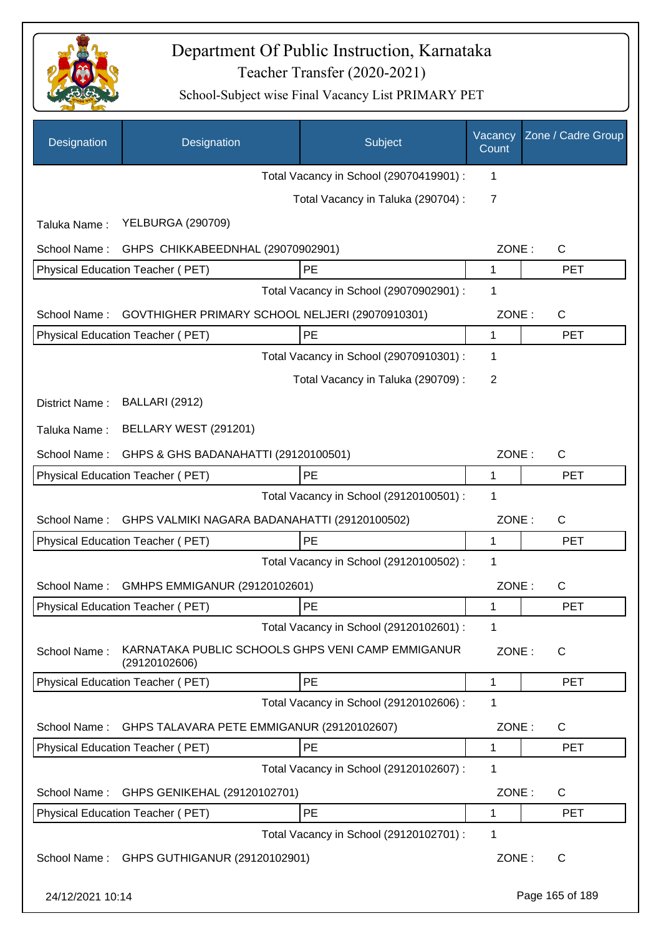

| Designation      | Designation                                                        | Subject                                 | Vacancy<br>Count | Zone / Cadre Group |
|------------------|--------------------------------------------------------------------|-----------------------------------------|------------------|--------------------|
|                  |                                                                    | Total Vacancy in School (29070419901) : | 1                |                    |
|                  |                                                                    | Total Vacancy in Taluka (290704) :      | 7                |                    |
| Taluka Name:     | <b>YELBURGA (290709)</b>                                           |                                         |                  |                    |
| School Name:     | GHPS CHIKKABEEDNHAL (29070902901)                                  |                                         | ZONE:            | C                  |
|                  | Physical Education Teacher (PET)                                   | PE                                      | 1                | <b>PET</b>         |
|                  |                                                                    | Total Vacancy in School (29070902901) : | 1                |                    |
| School Name:     | GOVTHIGHER PRIMARY SCHOOL NELJERI (29070910301)                    |                                         | ZONE:            | C                  |
|                  | Physical Education Teacher (PET)                                   | PE                                      | 1                | <b>PET</b>         |
|                  |                                                                    | Total Vacancy in School (29070910301) : | 1                |                    |
|                  |                                                                    | Total Vacancy in Taluka (290709):       | 2                |                    |
| District Name:   | BALLARI (2912)                                                     |                                         |                  |                    |
| Taluka Name:     | BELLARY WEST (291201)                                              |                                         |                  |                    |
| School Name:     | GHPS & GHS BADANAHATTI (29120100501)                               |                                         | ZONE:            | $\mathsf{C}$       |
|                  | Physical Education Teacher (PET)                                   | PE                                      | 1                | <b>PET</b>         |
|                  |                                                                    | Total Vacancy in School (29120100501) : | 1                |                    |
| School Name:     | GHPS VALMIKI NAGARA BADANAHATTI (29120100502)                      |                                         | ZONE:            | $\mathsf{C}$       |
|                  | Physical Education Teacher (PET)                                   | PE                                      | 1                | <b>PET</b>         |
|                  |                                                                    | Total Vacancy in School (29120100502) : | 1                |                    |
| School Name:     | GMHPS EMMIGANUR (29120102601)                                      |                                         | ZONE:            | C                  |
|                  | Physical Education Teacher (PET)                                   | PE                                      | 1                | <b>PET</b>         |
|                  |                                                                    | Total Vacancy in School (29120102601) : | 1                |                    |
| School Name:     | KARNATAKA PUBLIC SCHOOLS GHPS VENI CAMP EMMIGANUR<br>(29120102606) |                                         | ZONE:            | C                  |
|                  | Physical Education Teacher (PET)                                   | PE                                      | 1                | <b>PET</b>         |
|                  |                                                                    | Total Vacancy in School (29120102606) : | 1                |                    |
| School Name:     | GHPS TALAVARA PETE EMMIGANUR (29120102607)                         |                                         | ZONE:            | C                  |
|                  | Physical Education Teacher (PET)                                   | PE                                      | 1                | <b>PET</b>         |
|                  |                                                                    | Total Vacancy in School (29120102607) : | 1                |                    |
| School Name:     | GHPS GENIKEHAL (29120102701)                                       |                                         | ZONE:            | C                  |
|                  | Physical Education Teacher (PET)                                   | PE                                      | 1                | <b>PET</b>         |
|                  |                                                                    | Total Vacancy in School (29120102701) : | 1                |                    |
| School Name:     | GHPS GUTHIGANUR (29120102901)                                      |                                         | ZONE:            | C                  |
| 24/12/2021 10:14 |                                                                    |                                         |                  | Page 165 of 189    |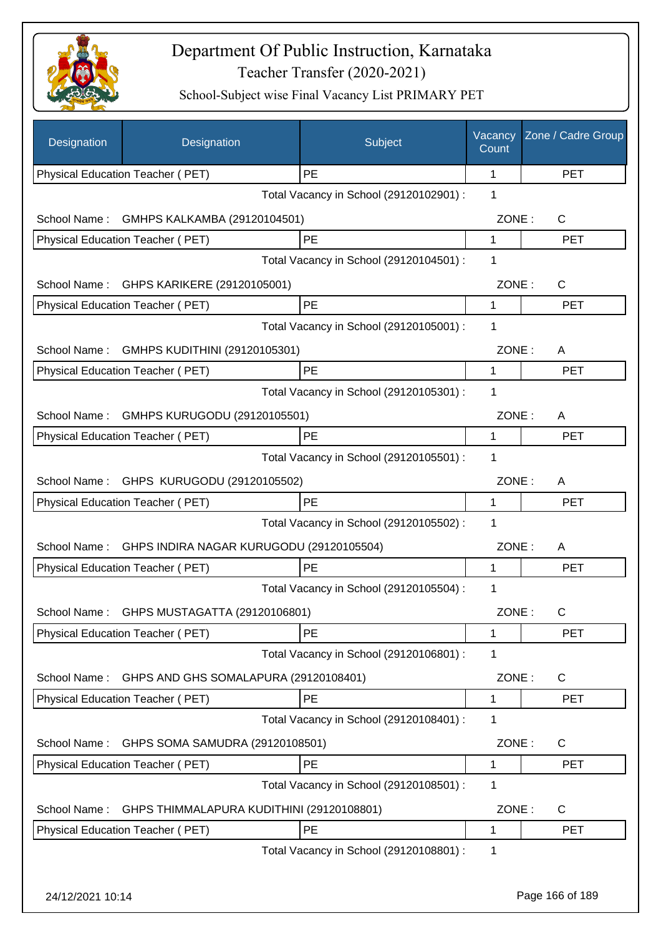

| Designation      | Designation                               | Subject                                 | Vacancy<br>Count | Zone / Cadre Group |
|------------------|-------------------------------------------|-----------------------------------------|------------------|--------------------|
|                  | Physical Education Teacher (PET)          | <b>PE</b>                               | 1                | <b>PET</b>         |
|                  |                                           | Total Vacancy in School (29120102901) : | 1                |                    |
| School Name:     | GMHPS KALKAMBA (29120104501)              |                                         | ZONE:            | C                  |
|                  | Physical Education Teacher (PET)          | PE                                      | 1                | <b>PET</b>         |
|                  |                                           | Total Vacancy in School (29120104501) : | 1                |                    |
| School Name:     | GHPS KARIKERE (29120105001)               |                                         | ZONE:            | $\mathsf C$        |
|                  | Physical Education Teacher (PET)          | PE                                      | 1                | <b>PET</b>         |
|                  |                                           | Total Vacancy in School (29120105001) : | 1                |                    |
| School Name:     | GMHPS KUDITHINI (29120105301)             |                                         | ZONE:            | A                  |
|                  | Physical Education Teacher (PET)          | PE                                      | 1                | <b>PET</b>         |
|                  |                                           | Total Vacancy in School (29120105301) : | 1                |                    |
| School Name:     | GMHPS KURUGODU (29120105501)              |                                         | ZONE:            | A                  |
|                  | Physical Education Teacher (PET)          | PE                                      | 1                | <b>PET</b>         |
|                  |                                           | Total Vacancy in School (29120105501) : | 1                |                    |
|                  | School Name: GHPS KURUGODU (29120105502)  |                                         | ZONE:            | A                  |
|                  | Physical Education Teacher (PET)          | PE                                      | 1                | <b>PET</b>         |
|                  |                                           | Total Vacancy in School (29120105502) : | 1                |                    |
|                  |                                           |                                         |                  |                    |
| School Name:     | GHPS INDIRA NAGAR KURUGODU (29120105504)  | PE                                      | ZONE:            | Α<br><b>PET</b>    |
|                  | Physical Education Teacher (PET)          |                                         | 1<br>1           |                    |
|                  |                                           | Total Vacancy in School (29120105504) : |                  |                    |
| School Name:     | GHPS MUSTAGATTA (29120106801)             |                                         | ZONE:            | C.                 |
|                  | Physical Education Teacher (PET)          | PE                                      | 1                | <b>PET</b>         |
|                  |                                           | Total Vacancy in School (29120106801) : | 1                |                    |
| School Name:     | GHPS AND GHS SOMALAPURA (29120108401)     |                                         | ZONE:            | C                  |
|                  | <b>Physical Education Teacher (PET)</b>   | PE                                      | 1                | <b>PET</b>         |
|                  |                                           | Total Vacancy in School (29120108401) : | 1                |                    |
| School Name:     | GHPS SOMA SAMUDRA (29120108501)           |                                         | ZONE:            | C                  |
|                  | Physical Education Teacher (PET)          | PE                                      | 1                | <b>PET</b>         |
|                  |                                           | Total Vacancy in School (29120108501) : | 1                |                    |
| School Name:     | GHPS THIMMALAPURA KUDITHINI (29120108801) |                                         | ZONE:            | $\mathsf{C}$       |
|                  | Physical Education Teacher (PET)          | PE                                      | 1                | <b>PET</b>         |
|                  |                                           | Total Vacancy in School (29120108801) : | 1                |                    |
|                  |                                           |                                         |                  |                    |
| 24/12/2021 10:14 |                                           |                                         |                  | Page 166 of 189    |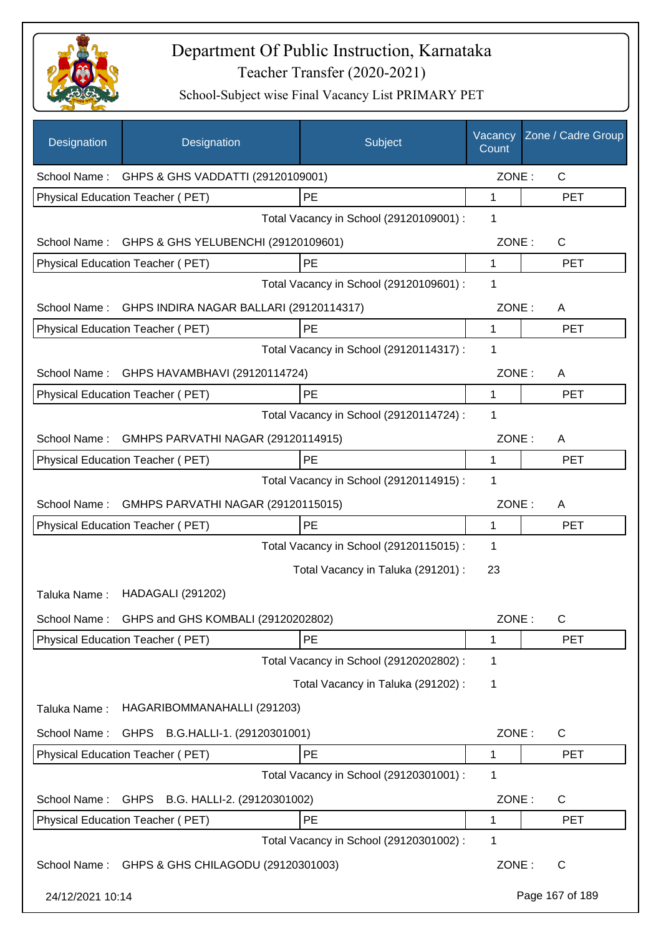

| Designation      | Designation                                      | Subject                                 | Vacancy<br>Count | Zone / Cadre Group |
|------------------|--------------------------------------------------|-----------------------------------------|------------------|--------------------|
|                  | School Name: GHPS & GHS VADDATTI (29120109001)   |                                         | ZONE:            | $\mathsf{C}$       |
|                  | Physical Education Teacher (PET)                 | PE                                      | 1                | <b>PET</b>         |
|                  |                                                  | Total Vacancy in School (29120109001) : | 1                |                    |
|                  | School Name: GHPS & GHS YELUBENCHI (29120109601) |                                         | ZONE:            | $\mathsf{C}$       |
|                  | Physical Education Teacher (PET)                 | PE                                      | 1                | <b>PET</b>         |
|                  |                                                  | Total Vacancy in School (29120109601) : | 1                |                    |
| School Name:     | GHPS INDIRA NAGAR BALLARI (29120114317)          |                                         | ZONE:            | A                  |
|                  | Physical Education Teacher (PET)                 | PE                                      | $\mathbf{1}$     | <b>PET</b>         |
|                  |                                                  | Total Vacancy in School (29120114317) : | 1                |                    |
|                  | School Name: GHPS HAVAMBHAVI (29120114724)       |                                         | ZONE:            | A                  |
|                  | <b>Physical Education Teacher (PET)</b>          | PE                                      | $\mathbf{1}$     | <b>PET</b>         |
|                  |                                                  | Total Vacancy in School (29120114724) : | 1                |                    |
| School Name:     | GMHPS PARVATHI NAGAR (29120114915)               |                                         | ZONE:            | A                  |
|                  | Physical Education Teacher (PET)                 | PE                                      | 1                | <b>PET</b>         |
|                  |                                                  | Total Vacancy in School (29120114915) : | 1                |                    |
| School Name:     | GMHPS PARVATHI NAGAR (29120115015)               |                                         | ZONE:            | A                  |
|                  | Physical Education Teacher (PET)                 | PE                                      | 1                | <b>PET</b>         |
|                  |                                                  | Total Vacancy in School (29120115015) : | 1                |                    |
|                  |                                                  | Total Vacancy in Taluka (291201) :      | 23               |                    |
| Taluka Name:     | <b>HADAGALI (291202)</b>                         |                                         |                  |                    |
| School Name:     | GHPS and GHS KOMBALI (29120202802)               |                                         | ZONE:            | С                  |
|                  | <b>Physical Education Teacher (PET)</b>          | PE                                      | 1                | <b>PET</b>         |
|                  |                                                  | Total Vacancy in School (29120202802) : | 1                |                    |
|                  |                                                  | Total Vacancy in Taluka (291202) :      | 1                |                    |
| Taluka Name:     | HAGARIBOMMANAHALLI (291203)                      |                                         |                  |                    |
| School Name:     | B.G.HALLI-1. (29120301001)<br><b>GHPS</b>        |                                         | ZONE:            | C                  |
|                  | Physical Education Teacher (PET)                 | PE                                      | 1                | <b>PET</b>         |
|                  |                                                  | Total Vacancy in School (29120301001) : | 1                |                    |
| School Name:     | <b>GHPS</b><br>B.G. HALLI-2. (29120301002)       |                                         | ZONE:            | C                  |
|                  | Physical Education Teacher (PET)                 | PE                                      | 1                | <b>PET</b>         |
|                  |                                                  | Total Vacancy in School (29120301002) : | 1                |                    |
| School Name:     | GHPS & GHS CHILAGODU (29120301003)               |                                         | ZONE:            | C                  |
| 24/12/2021 10:14 |                                                  |                                         |                  | Page 167 of 189    |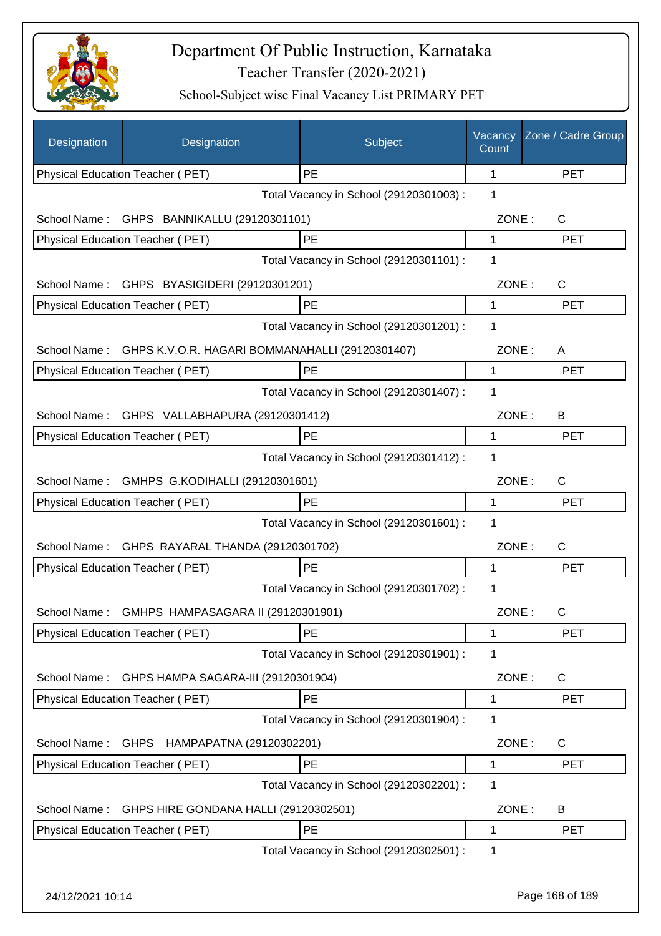

| Designation      | Designation                                     | Subject                                 | Vacancy<br>Count | Zone / Cadre Group |
|------------------|-------------------------------------------------|-----------------------------------------|------------------|--------------------|
|                  | Physical Education Teacher (PET)                | PE                                      | 1                | <b>PET</b>         |
|                  |                                                 | Total Vacancy in School (29120301003) : | 1                |                    |
| School Name:     | GHPS BANNIKALLU (29120301101)                   |                                         | ZONE:            | C                  |
|                  | Physical Education Teacher (PET)                | PE                                      | 1                | <b>PET</b>         |
|                  |                                                 | Total Vacancy in School (29120301101) : | 1                |                    |
|                  | School Name: GHPS BYASIGIDERI (29120301201)     |                                         | ZONE:            | C                  |
|                  | Physical Education Teacher (PET)                | PE                                      | 1                | <b>PET</b>         |
|                  |                                                 | Total Vacancy in School (29120301201) : | 1                |                    |
| School Name:     | GHPS K.V.O.R. HAGARI BOMMANAHALLI (29120301407) |                                         | ZONE:            | A                  |
|                  | Physical Education Teacher (PET)                | PE                                      | 1                | <b>PET</b>         |
|                  |                                                 | Total Vacancy in School (29120301407) : | 1                |                    |
|                  | School Name: GHPS VALLABHAPURA (29120301412)    |                                         | ZONE:            | B                  |
|                  | Physical Education Teacher (PET)                | PE                                      | 1                | <b>PET</b>         |
|                  |                                                 | Total Vacancy in School (29120301412) : | 1                |                    |
| School Name:     | GMHPS G.KODIHALLI (29120301601)                 |                                         | ZONE:            | C                  |
|                  | Physical Education Teacher (PET)                | PE                                      | 1                | PET                |
|                  |                                                 | Total Vacancy in School (29120301601) : | 1                |                    |
| School Name:     | GHPS RAYARAL THANDA (29120301702)               |                                         | ZONE:            | C                  |
|                  | Physical Education Teacher (PET)                | PE                                      | 1                | <b>PET</b>         |
|                  |                                                 | Total Vacancy in School (29120301702) : | 1                |                    |
|                  |                                                 |                                         |                  |                    |
| School Name:     | GMHPS HAMPASAGARA II (29120301901)              |                                         | ZONE:            | С                  |
|                  | Physical Education Teacher (PET)                | PE                                      | 1                | <b>PET</b>         |
|                  |                                                 | Total Vacancy in School (29120301901) : | 1                |                    |
| School Name:     | GHPS HAMPA SAGARA-III (29120301904)             |                                         | ZONE:            | C                  |
|                  | Physical Education Teacher (PET)                | PE                                      | 1                | <b>PET</b>         |
|                  |                                                 | Total Vacancy in School (29120301904) : | 1                |                    |
| School Name:     | GHPS HAMPAPATNA (29120302201)                   |                                         | ZONE:            | $\mathsf{C}$       |
|                  | Physical Education Teacher (PET)                | PE                                      | 1                | <b>PET</b>         |
|                  |                                                 | Total Vacancy in School (29120302201) : | 1                |                    |
| School Name:     | GHPS HIRE GONDANA HALLI (29120302501)           |                                         | ZONE:            | B                  |
|                  | Physical Education Teacher (PET)                | PE                                      | 1                | <b>PET</b>         |
|                  |                                                 | Total Vacancy in School (29120302501) : | 1                |                    |
|                  |                                                 |                                         |                  |                    |
| 24/12/2021 10:14 |                                                 |                                         |                  | Page 168 of 189    |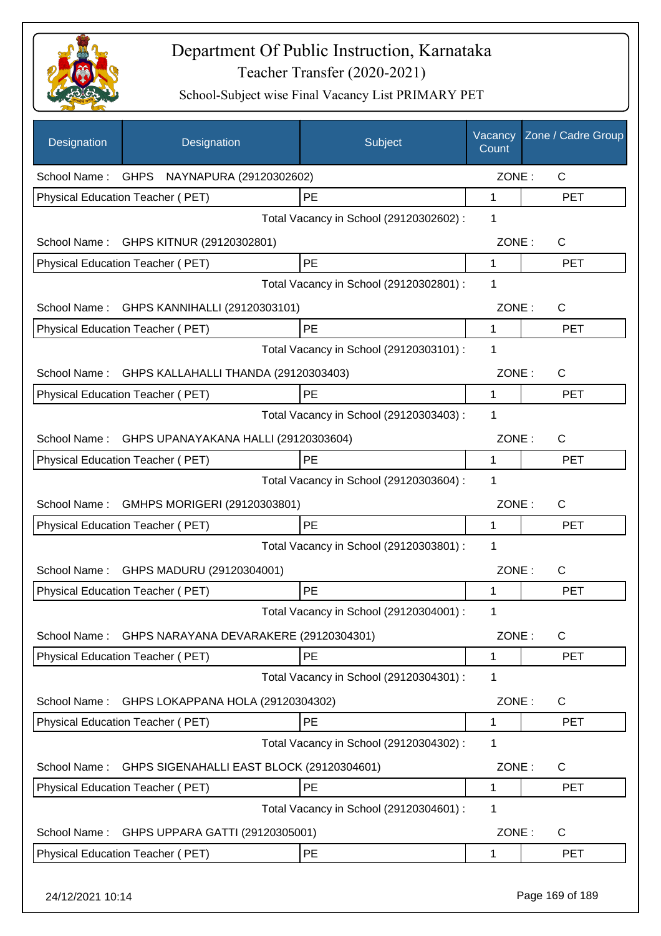

| Designation      | Designation                                | Subject                                 | Vacancy<br>Count | Zone / Cadre Group |
|------------------|--------------------------------------------|-----------------------------------------|------------------|--------------------|
|                  | School Name: GHPS NAYNAPURA (29120302602)  |                                         | ZONE:            | $\mathsf{C}$       |
|                  | Physical Education Teacher (PET)           | PE                                      | 1                | <b>PET</b>         |
|                  |                                            | Total Vacancy in School (29120302602) : | 1                |                    |
| School Name:     | GHPS KITNUR (29120302801)                  |                                         | ZONE:            | $\mathsf{C}$       |
|                  | Physical Education Teacher (PET)           | PE                                      | $\mathbf{1}$     | <b>PET</b>         |
|                  |                                            | Total Vacancy in School (29120302801) : | 1                |                    |
|                  | School Name: GHPS KANNIHALLI (29120303101) |                                         | ZONE:            | C                  |
|                  | Physical Education Teacher (PET)           | PE                                      | 1                | <b>PET</b>         |
|                  |                                            | Total Vacancy in School (29120303101) : | $\mathbf 1$      |                    |
| School Name:     | GHPS KALLAHALLI THANDA (29120303403)       |                                         | ZONE:            | C                  |
|                  | Physical Education Teacher (PET)           | <b>PE</b>                               | 1                | <b>PET</b>         |
|                  |                                            | Total Vacancy in School (29120303403) : | 1                |                    |
| School Name:     | GHPS UPANAYAKANA HALLI (29120303604)       |                                         | ZONE:            | C                  |
|                  | Physical Education Teacher (PET)           | PE                                      | 1                | <b>PET</b>         |
|                  |                                            | Total Vacancy in School (29120303604) : | 1                |                    |
| School Name:     | GMHPS MORIGERI (29120303801)               |                                         | ZONE:            | C                  |
|                  | Physical Education Teacher (PET)           | PE                                      | 1                | <b>PET</b>         |
|                  |                                            | Total Vacancy in School (29120303801) : | 1                |                    |
| School Name:     | GHPS MADURU (29120304001)                  |                                         | ZONE:            | C                  |
|                  | Physical Education Teacher (PET)           | PE                                      | 1                | <b>PET</b>         |
|                  |                                            | Total Vacancy in School (29120304001) : | 1                |                    |
| School Name:     | GHPS NARAYANA DEVARAKERE (29120304301)     |                                         | ZONE:            | $\mathsf{C}$       |
|                  | Physical Education Teacher (PET)           | PE                                      | 1                | <b>PET</b>         |
|                  |                                            | Total Vacancy in School (29120304301) : | 1                |                    |
| School Name:     | GHPS LOKAPPANA HOLA (29120304302)          |                                         | ZONE:            | C                  |
|                  | Physical Education Teacher (PET)           | PE                                      | 1                | <b>PET</b>         |
|                  |                                            | Total Vacancy in School (29120304302) : | 1                |                    |
| School Name:     | GHPS SIGENAHALLI EAST BLOCK (29120304601)  |                                         | ZONE:            | C                  |
|                  | Physical Education Teacher (PET)           | PE                                      | 1                | PET                |
|                  |                                            | Total Vacancy in School (29120304601) : | 1                |                    |
| School Name:     | GHPS UPPARA GATTI (29120305001)            |                                         | ZONE:            | C                  |
|                  | Physical Education Teacher (PET)           | PE                                      | 1                | <b>PET</b>         |
| 24/12/2021 10:14 |                                            |                                         |                  | Page 169 of 189    |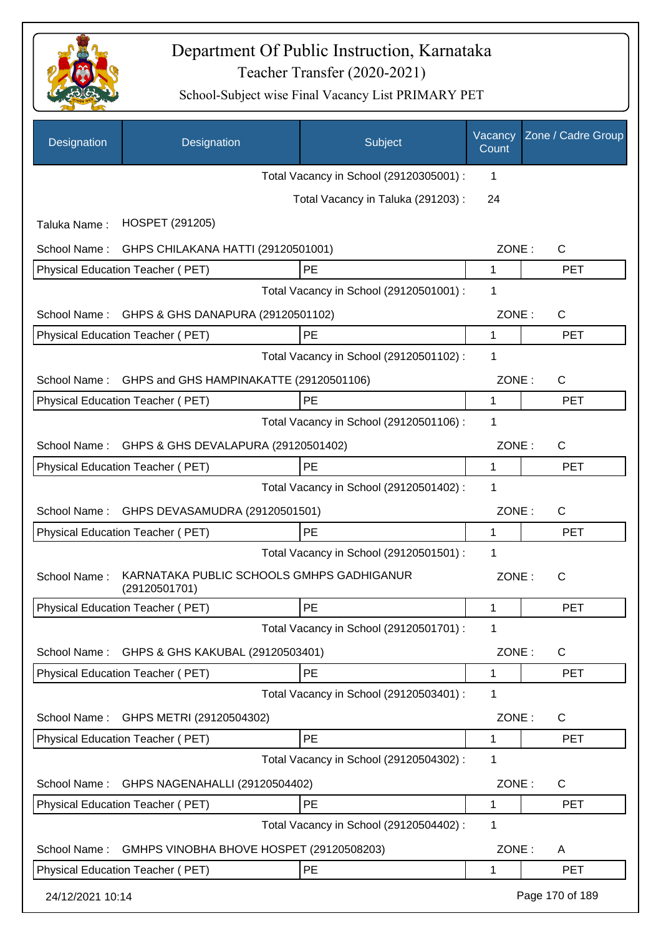

| Designation      | Designation                                                | Subject                                 | Vacancy<br>Count | Zone / Cadre Group |
|------------------|------------------------------------------------------------|-----------------------------------------|------------------|--------------------|
|                  |                                                            | Total Vacancy in School (29120305001) : | 1                |                    |
|                  |                                                            | Total Vacancy in Taluka (291203) :      | 24               |                    |
| Taluka Name:     | HOSPET (291205)                                            |                                         |                  |                    |
| School Name:     | GHPS CHILAKANA HATTI (29120501001)                         |                                         | ZONE:            | $\mathsf{C}$       |
|                  | Physical Education Teacher (PET)                           | PE                                      | 1                | <b>PET</b>         |
|                  |                                                            | Total Vacancy in School (29120501001) : | 1                |                    |
| School Name:     | GHPS & GHS DANAPURA (29120501102)                          |                                         | ZONE:            | $\mathsf{C}$       |
|                  | <b>Physical Education Teacher (PET)</b>                    | PE                                      | 1                | <b>PET</b>         |
|                  |                                                            | Total Vacancy in School (29120501102) : | 1                |                    |
| School Name:     | GHPS and GHS HAMPINAKATTE (29120501106)                    |                                         | ZONE:            | $\mathsf{C}$       |
|                  | Physical Education Teacher (PET)                           | PE                                      | 1                | <b>PET</b>         |
|                  |                                                            | Total Vacancy in School (29120501106) : | 1                |                    |
| School Name:     | GHPS & GHS DEVALAPURA (29120501402)                        |                                         | ZONE:            | $\mathsf{C}$       |
|                  | Physical Education Teacher (PET)                           | PE                                      | 1                | <b>PET</b>         |
|                  |                                                            | Total Vacancy in School (29120501402) : | 1                |                    |
| School Name:     | GHPS DEVASAMUDRA (29120501501)                             |                                         | ZONE:            | $\mathsf{C}$       |
|                  | Physical Education Teacher (PET)                           | PE                                      | 1                | <b>PET</b>         |
|                  |                                                            | Total Vacancy in School (29120501501) : | 1                |                    |
| School Name:     | KARNATAKA PUBLIC SCHOOLS GMHPS GADHIGANUR<br>(29120501701) |                                         | ZONE:            | $\mathsf{C}$       |
|                  | Physical Education Teacher (PET)                           | PE                                      | 1                | <b>PET</b>         |
|                  |                                                            | Total Vacancy in School (29120501701) : | 1                |                    |
| School Name:     | GHPS & GHS KAKUBAL (29120503401)                           |                                         | ZONE:            | C                  |
|                  | Physical Education Teacher (PET)                           | PE                                      | 1                | <b>PET</b>         |
|                  |                                                            | Total Vacancy in School (29120503401) : | 1                |                    |
| School Name:     | GHPS METRI (29120504302)                                   |                                         | ZONE:            | C                  |
|                  | Physical Education Teacher (PET)                           | PE                                      | 1                | <b>PET</b>         |
|                  |                                                            | Total Vacancy in School (29120504302) : | 1                |                    |
| School Name:     | GHPS NAGENAHALLI (29120504402)                             |                                         | ZONE:            | C                  |
|                  | Physical Education Teacher (PET)                           | PE                                      | 1                | <b>PET</b>         |
|                  |                                                            | Total Vacancy in School (29120504402) : | 1                |                    |
| School Name:     | GMHPS VINOBHA BHOVE HOSPET (29120508203)                   |                                         | ZONE:            | A                  |
|                  | Physical Education Teacher (PET)                           | PE                                      | 1                | <b>PET</b>         |
| 24/12/2021 10:14 |                                                            |                                         |                  | Page 170 of 189    |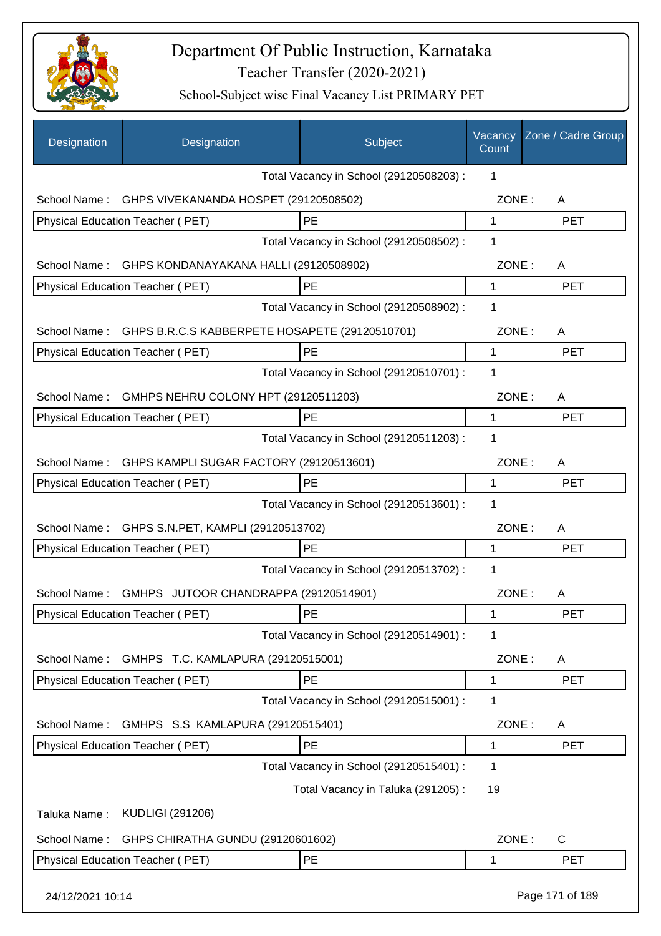

| Designation      | Designation                                    | Subject                                 | Vacancy<br>Count | Zone / Cadre Group |
|------------------|------------------------------------------------|-----------------------------------------|------------------|--------------------|
|                  |                                                | Total Vacancy in School (29120508203) : | 1                |                    |
| School Name:     | GHPS VIVEKANANDA HOSPET (29120508502)          |                                         | ZONE:            | A                  |
|                  | Physical Education Teacher (PET)               | PE                                      | $\mathbf{1}$     | <b>PET</b>         |
|                  |                                                | Total Vacancy in School (29120508502) : | 1                |                    |
| School Name:     | GHPS KONDANAYAKANA HALLI (29120508902)         |                                         | ZONE:            | A                  |
|                  | Physical Education Teacher (PET)               | PE                                      | 1                | <b>PET</b>         |
|                  |                                                | Total Vacancy in School (29120508902) : | 1                |                    |
| School Name:     | GHPS B.R.C.S KABBERPETE HOSAPETE (29120510701) |                                         | ZONE:            | A                  |
|                  | Physical Education Teacher (PET)               | PE                                      | 1                | <b>PET</b>         |
|                  |                                                | Total Vacancy in School (29120510701) : | 1                |                    |
| School Name:     | GMHPS NEHRU COLONY HPT (29120511203)           |                                         | ZONE:            | A                  |
|                  | Physical Education Teacher (PET)               | PE                                      | 1                | <b>PET</b>         |
|                  |                                                | Total Vacancy in School (29120511203) : | 1                |                    |
| School Name:     | GHPS KAMPLI SUGAR FACTORY (29120513601)        |                                         | ZONE:            | A                  |
|                  | Physical Education Teacher (PET)               | PE                                      | 1                | <b>PET</b>         |
|                  |                                                | Total Vacancy in School (29120513601) : | 1                |                    |
| School Name:     | GHPS S.N.PET, KAMPLI (29120513702)             |                                         | ZONE:            | A                  |
|                  | Physical Education Teacher (PET)               | PE                                      | 1                | <b>PET</b>         |
|                  |                                                | Total Vacancy in School (29120513702) : | 1                |                    |
| School Name:     | GMHPS JUTOOR CHANDRAPPA (29120514901)          |                                         | ZONE:            | A                  |
|                  | Physical Education Teacher (PET)               | PE                                      | 1                | PET                |
|                  |                                                | Total Vacancy in School (29120514901) : | 1                |                    |
| School Name:     | GMHPS T.C. KAMLAPURA (29120515001)             |                                         | ZONE:            | A                  |
|                  | Physical Education Teacher (PET)               | PE                                      | 1                | PET                |
|                  |                                                | Total Vacancy in School (29120515001) : | 1                |                    |
| School Name:     | GMHPS S.S KAMLAPURA (29120515401)              |                                         | ZONE:            | A                  |
|                  | Physical Education Teacher (PET)               | PE                                      | 1                | <b>PET</b>         |
|                  |                                                | Total Vacancy in School (29120515401) : | 1                |                    |
|                  |                                                | Total Vacancy in Taluka (291205):       | 19               |                    |
| Taluka Name:     | <b>KUDLIGI (291206)</b>                        |                                         |                  |                    |
| School Name:     | GHPS CHIRATHA GUNDU (29120601602)              |                                         | ZONE:            | C                  |
|                  | Physical Education Teacher (PET)               | PE                                      | 1                | <b>PET</b>         |
|                  |                                                |                                         |                  |                    |
| 24/12/2021 10:14 |                                                |                                         |                  | Page 171 of 189    |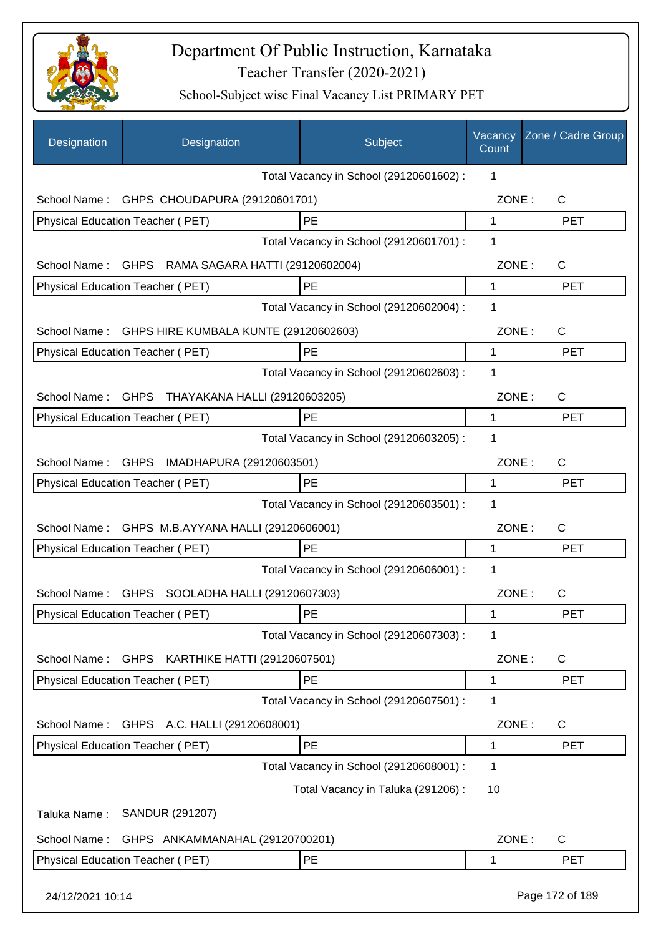

| Designation       | Designation                                       | Subject                                 | Vacancy<br>Count | Zone / Cadre Group |
|-------------------|---------------------------------------------------|-----------------------------------------|------------------|--------------------|
|                   |                                                   | Total Vacancy in School (29120601602) : | 1                |                    |
| School Name:      | GHPS CHOUDAPURA (29120601701)                     |                                         | ZONE:            | C                  |
|                   | Physical Education Teacher (PET)                  | PE                                      | $\mathbf{1}$     | <b>PET</b>         |
|                   |                                                   | Total Vacancy in School (29120601701) : | 1                |                    |
|                   | School Name: GHPS RAMA SAGARA HATTI (29120602004) |                                         | ZONE:            | C                  |
|                   | Physical Education Teacher (PET)                  | PE                                      | $\mathbf 1$      | <b>PET</b>         |
|                   |                                                   | Total Vacancy in School (29120602004) : | 1                |                    |
| School Name:      | GHPS HIRE KUMBALA KUNTE (29120602603)             |                                         | ZONE:            | C                  |
|                   | Physical Education Teacher (PET)                  | PE                                      | 1                | <b>PET</b>         |
|                   |                                                   | Total Vacancy in School (29120602603) : | 1                |                    |
|                   | School Name: GHPS THAYAKANA HALLI (29120603205)   |                                         | ZONE:            | C                  |
|                   | Physical Education Teacher (PET)                  | PE                                      | 1                | <b>PET</b>         |
|                   |                                                   | Total Vacancy in School (29120603205) : | 1                |                    |
| School Name: GHPS | IMADHAPURA (29120603501)                          |                                         | ZONE:            | C                  |
|                   | Physical Education Teacher (PET)                  | PE                                      | 1                | <b>PET</b>         |
|                   |                                                   | Total Vacancy in School (29120603501) : | 1                |                    |
|                   | School Name: GHPS M.B.AYYANA HALLI (29120606001)  |                                         | ZONE:            | C                  |
|                   | <b>Physical Education Teacher (PET)</b>           | PE                                      | 1                | <b>PET</b>         |
|                   |                                                   | Total Vacancy in School (29120606001) : | 1                |                    |
| School Name:      | GHPS SOOLADHA HALLI (29120607303)                 |                                         | ZONE:            | C                  |
|                   | Physical Education Teacher (PET)                  | PE                                      | 1                | <b>PET</b>         |
|                   |                                                   | Total Vacancy in School (29120607303) : | 1                |                    |
|                   |                                                   |                                         |                  |                    |
| School Name:      | GHPS KARTHIKE HATTI (29120607501)                 |                                         | ZONE:            | C                  |
|                   | Physical Education Teacher (PET)                  | PE                                      | 1                | <b>PET</b>         |
|                   |                                                   | Total Vacancy in School (29120607501) : | 1                |                    |
| School Name:      | GHPS A.C. HALLI (29120608001)                     |                                         | ZONE:            | C                  |
|                   | Physical Education Teacher (PET)                  | <b>PE</b>                               | 1                | <b>PET</b>         |
|                   |                                                   | Total Vacancy in School (29120608001) : | 1                |                    |
|                   |                                                   | Total Vacancy in Taluka (291206):       | 10               |                    |
| Taluka Name:      | SANDUR (291207)                                   |                                         |                  |                    |
| School Name:      | GHPS ANKAMMANAHAL (29120700201)                   |                                         | ZONE:            | C                  |
|                   | Physical Education Teacher (PET)                  | PE                                      | 1                | <b>PET</b>         |
| 24/12/2021 10:14  |                                                   |                                         |                  | Page 172 of 189    |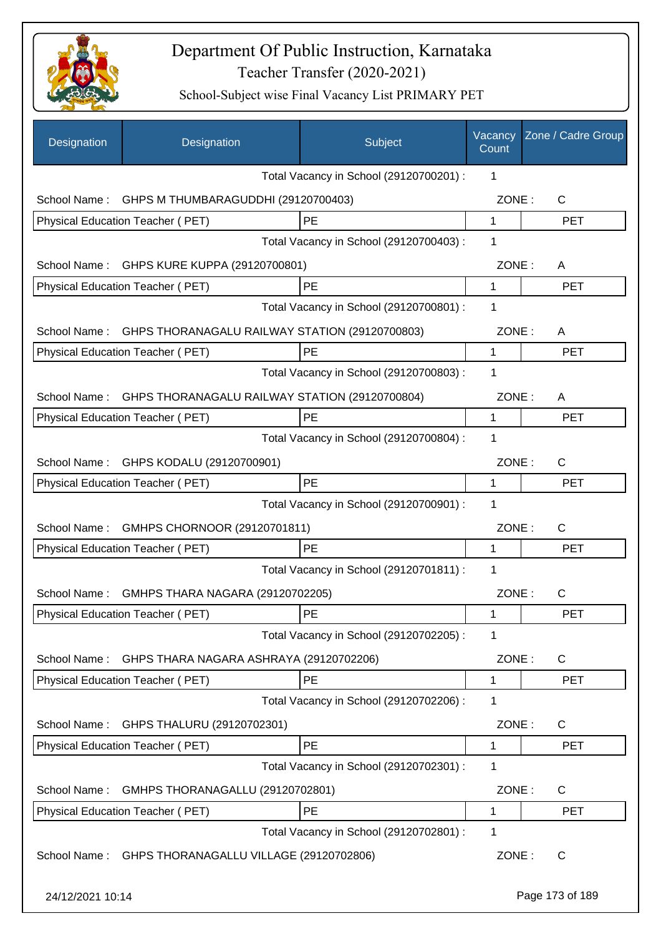

| Designation      | Designation                                          | Subject                                 | Vacancy<br>Count | Zone / Cadre Group |
|------------------|------------------------------------------------------|-----------------------------------------|------------------|--------------------|
|                  |                                                      | Total Vacancy in School (29120700201) : | 1                |                    |
| School Name:     | GHPS M THUMBARAGUDDHI (29120700403)                  |                                         | ZONE:            | C                  |
|                  | Physical Education Teacher (PET)                     | PE                                      | $\mathbf 1$      | <b>PET</b>         |
|                  |                                                      | Total Vacancy in School (29120700403) : | 1                |                    |
|                  | School Name: GHPS KURE KUPPA (29120700801)           |                                         | ZONE:            | A                  |
|                  | Physical Education Teacher (PET)                     | PE                                      | 1                | <b>PET</b>         |
|                  |                                                      | Total Vacancy in School (29120700801) : | 1                |                    |
| School Name:     | GHPS THORANAGALU RAILWAY STATION (29120700803)       |                                         | ZONE:            | A                  |
|                  | Physical Education Teacher (PET)                     | PE                                      | 1                | <b>PET</b>         |
|                  |                                                      | Total Vacancy in School (29120700803) : | 1                |                    |
| School Name:     | GHPS THORANAGALU RAILWAY STATION (29120700804)       |                                         | ZONE:            | A                  |
|                  | Physical Education Teacher (PET)                     | PE                                      | 1                | <b>PET</b>         |
|                  |                                                      | Total Vacancy in School (29120700804) : | 1                |                    |
|                  | School Name: GHPS KODALU (29120700901)               |                                         | ZONE:            | $\mathsf{C}$       |
|                  | Physical Education Teacher (PET)                     | PE                                      | 1                | <b>PET</b>         |
|                  |                                                      | Total Vacancy in School (29120700901) : | 1                |                    |
| School Name:     | GMHPS CHORNOOR (29120701811)                         |                                         | ZONE:            | $\mathsf{C}$       |
|                  | Physical Education Teacher (PET)                     | <b>PE</b>                               | 1                | <b>PET</b>         |
|                  |                                                      | Total Vacancy in School (29120701811) : | 1                |                    |
| School Name:     | GMHPS THARA NAGARA (29120702205)                     |                                         | ZONE:            | С                  |
|                  | Physical Education Teacher (PET)                     | $\mathsf{PE}$                           | 1                | <b>PET</b>         |
|                  |                                                      | Total Vacancy in School (29120702205) : | 1                |                    |
| School Name:     | GHPS THARA NAGARA ASHRAYA (29120702206)              |                                         | ZONE:            | C                  |
|                  | Physical Education Teacher (PET)                     | PE                                      | 1                | <b>PET</b>         |
|                  |                                                      | Total Vacancy in School (29120702206) : | 1                |                    |
| School Name:     | GHPS THALURU (29120702301)                           |                                         | ZONE:            | C                  |
|                  | Physical Education Teacher (PET)                     | PE                                      | 1                | <b>PET</b>         |
|                  |                                                      | Total Vacancy in School (29120702301) : | 1                |                    |
| School Name:     | GMHPS THORANAGALLU (29120702801)                     |                                         | ZONE:            | C                  |
|                  | Physical Education Teacher (PET)                     | PE                                      | 1                | <b>PET</b>         |
|                  |                                                      | Total Vacancy in School (29120702801) : | 1                |                    |
|                  | School Name: GHPS THORANAGALLU VILLAGE (29120702806) |                                         | ZONE:            | $\mathsf{C}$       |
| 24/12/2021 10:14 |                                                      |                                         |                  | Page 173 of 189    |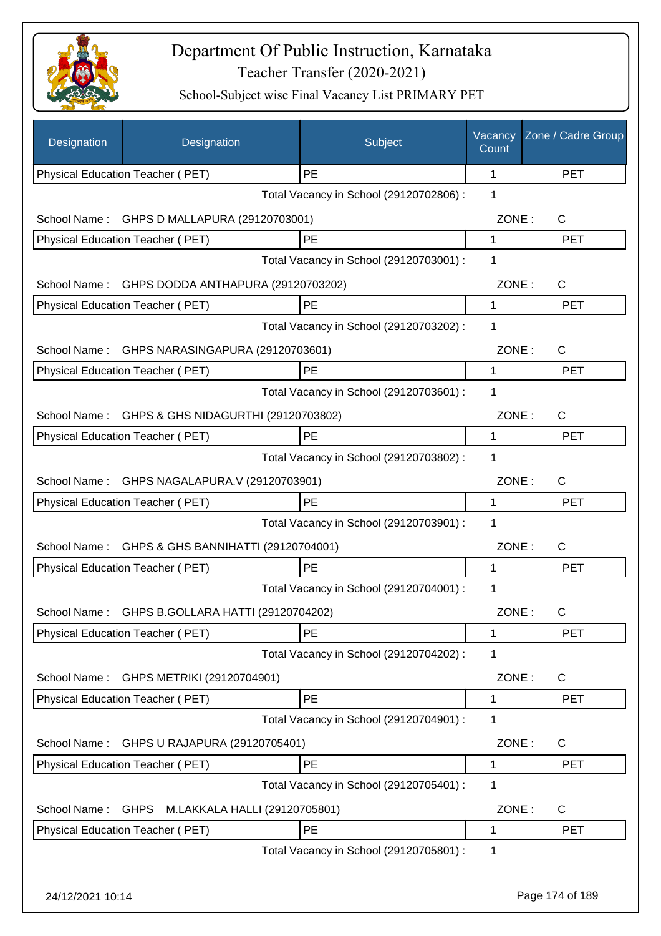

| Designation      | Designation                                  | Subject                                 | Vacancy<br>Count | Zone / Cadre Group |
|------------------|----------------------------------------------|-----------------------------------------|------------------|--------------------|
|                  | Physical Education Teacher (PET)             | PE                                      | 1                | <b>PET</b>         |
|                  |                                              | Total Vacancy in School (29120702806) : | 1                |                    |
| School Name:     | GHPS D MALLAPURA (29120703001)               |                                         | ZONE:            | C                  |
|                  | Physical Education Teacher (PET)             | PE                                      | 1                | <b>PET</b>         |
|                  |                                              | Total Vacancy in School (29120703001) : | 1                |                    |
| School Name:     | GHPS DODDA ANTHAPURA (29120703202)           |                                         | ZONE:            | C                  |
|                  | Physical Education Teacher (PET)             | PE                                      | 1                | <b>PET</b>         |
|                  |                                              | Total Vacancy in School (29120703202) : | 1                |                    |
| School Name:     | GHPS NARASINGAPURA (29120703601)             |                                         | ZONE:            | $\mathsf{C}$       |
|                  | Physical Education Teacher (PET)             | PE                                      | 1                | <b>PET</b>         |
|                  |                                              | Total Vacancy in School (29120703601) : | 1                |                    |
| School Name:     | GHPS & GHS NIDAGURTHI (29120703802)          |                                         | ZONE:            | C                  |
|                  | Physical Education Teacher (PET)             | PE                                      | 1                | <b>PET</b>         |
|                  |                                              | Total Vacancy in School (29120703802) : | 1                |                    |
| School Name:     | GHPS NAGALAPURA.V (29120703901)              |                                         | ZONE:            | C                  |
|                  | Physical Education Teacher (PET)             | <b>PE</b>                               | 1                | <b>PET</b>         |
|                  |                                              | Total Vacancy in School (29120703901) : | 1                |                    |
| School Name:     | GHPS & GHS BANNIHATTI (29120704001)          |                                         | ZONE:            | $\mathsf{C}$       |
|                  | Physical Education Teacher (PET)             | PE                                      | 1                | <b>PET</b>         |
|                  |                                              | Total Vacancy in School (29120704001) : | 1                |                    |
| School Name:     | GHPS B.GOLLARA HATTI (29120704202)           |                                         | ZONE:            | C.                 |
|                  | Physical Education Teacher (PET)             | <b>PE</b>                               | 1                | <b>PET</b>         |
|                  |                                              | Total Vacancy in School (29120704202) : | 1                |                    |
| School Name:     | GHPS METRIKI (29120704901)                   |                                         | ZONE:            | C                  |
|                  | Physical Education Teacher (PET)             | PE                                      | 1                | <b>PET</b>         |
|                  |                                              | Total Vacancy in School (29120704901) : | 1                |                    |
| School Name:     | GHPS U RAJAPURA (29120705401)                |                                         | ZONE:            | C                  |
|                  | Physical Education Teacher (PET)             | PE                                      | 1                | <b>PET</b>         |
|                  |                                              | Total Vacancy in School (29120705401) : | 1                |                    |
| School Name:     | <b>GHPS</b><br>M.LAKKALA HALLI (29120705801) |                                         | ZONE:            | C                  |
|                  | Physical Education Teacher (PET)             | PE                                      | 1                | <b>PET</b>         |
|                  |                                              | Total Vacancy in School (29120705801) : | 1                |                    |
|                  |                                              |                                         |                  |                    |
| 24/12/2021 10:14 |                                              |                                         |                  | Page 174 of 189    |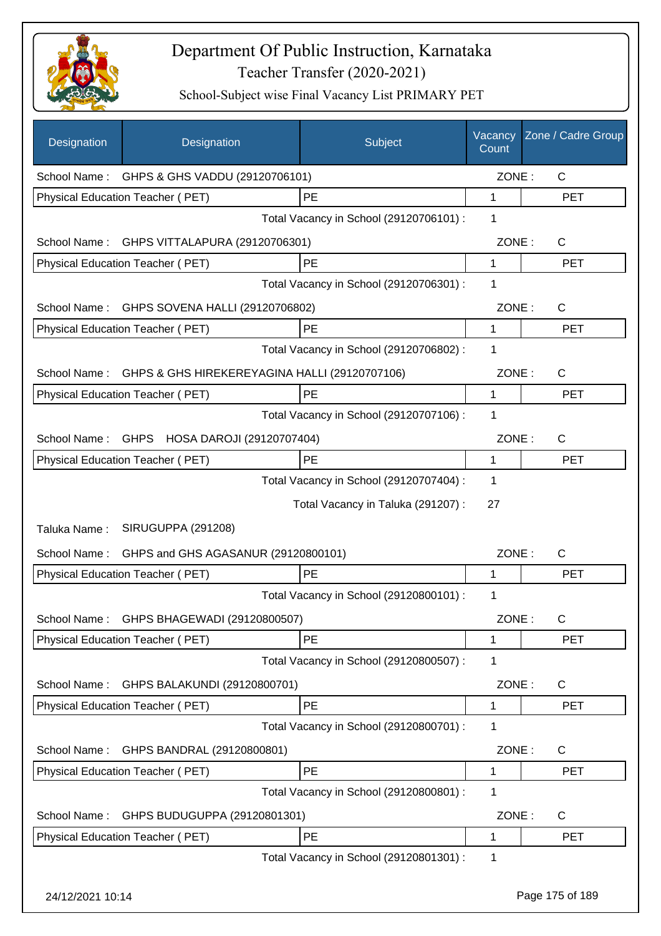

| Designation  | Designation                                   | Subject                                 | Vacancy<br>Count | Zone / Cadre Group |
|--------------|-----------------------------------------------|-----------------------------------------|------------------|--------------------|
|              | School Name: GHPS & GHS VADDU (29120706101)   |                                         | ZONE:            | $\mathsf{C}$       |
|              | Physical Education Teacher (PET)              | PE                                      | 1                | <b>PET</b>         |
|              |                                               | Total Vacancy in School (29120706101) : | 1                |                    |
|              | School Name: GHPS VITTALAPURA (29120706301)   |                                         | ZONE:            | $\mathsf{C}$       |
|              | Physical Education Teacher (PET)              | PE                                      | $\mathbf{1}$     | <b>PET</b>         |
|              |                                               | Total Vacancy in School (29120706301) : | 1                |                    |
|              | School Name: GHPS SOVENA HALLI (29120706802)  |                                         | ZONE:            | $\mathsf{C}$       |
|              | Physical Education Teacher (PET)              | PE                                      | 1                | <b>PET</b>         |
|              |                                               | Total Vacancy in School (29120706802) : | 1                |                    |
| School Name: | GHPS & GHS HIREKEREYAGINA HALLI (29120707106) |                                         | ZONE:            | $\mathsf{C}$       |
|              | Physical Education Teacher (PET)              | PE                                      | 1                | <b>PET</b>         |
|              |                                               | Total Vacancy in School (29120707106) : | 1                |                    |
| School Name: | GHPS HOSA DAROJI (29120707404)                |                                         | ZONE:            | C                  |
|              | Physical Education Teacher (PET)              | PE                                      | 1                | <b>PET</b>         |
|              |                                               | Total Vacancy in School (29120707404) : | 1                |                    |
|              |                                               | Total Vacancy in Taluka (291207) :      | 27               |                    |
| Taluka Name: | SIRUGUPPA (291208)                            |                                         |                  |                    |
| School Name: | GHPS and GHS AGASANUR (29120800101)           |                                         | ZONE:            | C                  |
|              | Physical Education Teacher (PET)              | <b>PE</b>                               | 1                | <b>PET</b>         |
|              |                                               | Total Vacancy in School (29120800101) : | 1                |                    |
|              | School Name: GHPS BHAGEWADI (29120800507)     |                                         | ZONE:            | $\mathsf C$        |
|              | Physical Education Teacher (PET)              | PE                                      | 1                | <b>PET</b>         |
|              |                                               | Total Vacancy in School (29120800507) : | 1                |                    |
| School Name: | GHPS BALAKUNDI (29120800701)                  |                                         | ZONE:            | C                  |
|              | Physical Education Teacher (PET)              | PE                                      | 1                | PET                |
|              |                                               | Total Vacancy in School (29120800701) : | 1                |                    |
| School Name: | GHPS BANDRAL (29120800801)                    |                                         | ZONE:            | C                  |
|              | Physical Education Teacher (PET)              | <b>PE</b>                               | 1                | <b>PET</b>         |
|              |                                               | Total Vacancy in School (29120800801) : | 1                |                    |
| School Name: | GHPS BUDUGUPPA (29120801301)                  |                                         | ZONE:            | C                  |
|              | Physical Education Teacher (PET)              | PE                                      | 1                | <b>PET</b>         |
|              |                                               | Total Vacancy in School (29120801301) : | 1                |                    |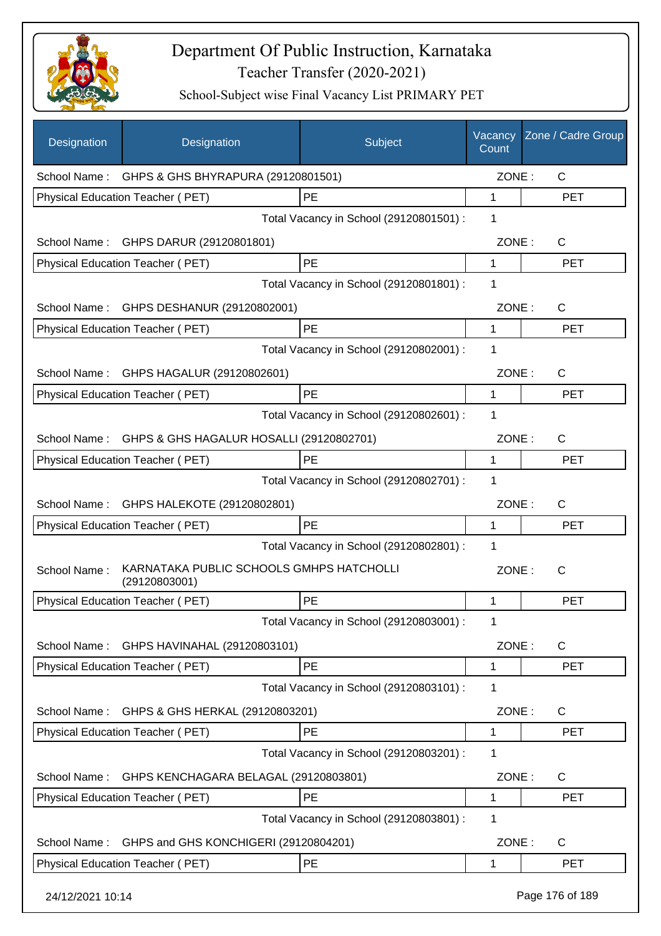

| Designation      | Designation                                               | Subject                                 | Vacancy<br>Count | Zone / Cadre Group |
|------------------|-----------------------------------------------------------|-----------------------------------------|------------------|--------------------|
|                  | School Name: GHPS & GHS BHYRAPURA (29120801501)           |                                         | ZONE:            | $\mathsf{C}$       |
|                  | Physical Education Teacher (PET)                          | PE                                      | 1                | <b>PET</b>         |
|                  |                                                           | Total Vacancy in School (29120801501) : | 1                |                    |
|                  | School Name: GHPS DARUR (29120801801)                     |                                         | ZONE:            | $\mathsf{C}$       |
|                  | Physical Education Teacher (PET)                          | PE                                      | $\mathbf{1}$     | <b>PET</b>         |
|                  |                                                           | Total Vacancy in School (29120801801) : | 1                |                    |
|                  | School Name: GHPS DESHANUR (29120802001)                  |                                         | ZONE:            | C                  |
|                  | Physical Education Teacher (PET)                          | PE                                      | 1                | <b>PET</b>         |
|                  |                                                           | Total Vacancy in School (29120802001) : | 1                |                    |
|                  | School Name: GHPS HAGALUR (29120802601)                   |                                         | ZONE:            | C                  |
|                  | Physical Education Teacher (PET)                          | PE                                      | 1                | <b>PET</b>         |
|                  |                                                           | Total Vacancy in School (29120802601) : | 1                |                    |
|                  | School Name: GHPS & GHS HAGALUR HOSALLI (29120802701)     |                                         | ZONE:            | C                  |
|                  | Physical Education Teacher (PET)                          | <b>PE</b>                               | 1                | <b>PET</b>         |
|                  |                                                           | Total Vacancy in School (29120802701) : | 1                |                    |
|                  | School Name: GHPS HALEKOTE (29120802801)                  |                                         | ZONE:            | C                  |
|                  | Physical Education Teacher (PET)                          | PE                                      | 1                | <b>PET</b>         |
|                  |                                                           | Total Vacancy in School (29120802801) : | 1                |                    |
| School Name:     | KARNATAKA PUBLIC SCHOOLS GMHPS HATCHOLLI<br>(29120803001) |                                         | ZONE:            | С                  |
|                  | Physical Education Teacher (PET)                          | PE                                      | 1                | <b>PET</b>         |
|                  |                                                           | Total Vacancy in School (29120803001) : | 1                |                    |
| School Name:     | GHPS HAVINAHAL (29120803101)                              |                                         | ZONE:            | $\mathsf{C}$       |
|                  | Physical Education Teacher (PET)                          | PE                                      | 1                | <b>PET</b>         |
|                  |                                                           | Total Vacancy in School (29120803101) : | 1                |                    |
| School Name:     | GHPS & GHS HERKAL (29120803201)                           |                                         | ZONE:            | C                  |
|                  | Physical Education Teacher (PET)                          | PE                                      | 1                | <b>PET</b>         |
|                  |                                                           | Total Vacancy in School (29120803201) : | 1                |                    |
| School Name:     | GHPS KENCHAGARA BELAGAL (29120803801)                     |                                         | ZONE:            | C                  |
|                  | Physical Education Teacher (PET)                          | PE                                      | 1                | <b>PET</b>         |
|                  |                                                           | Total Vacancy in School (29120803801) : | 1                |                    |
| School Name:     | GHPS and GHS KONCHIGERI (29120804201)                     |                                         | ZONE:            | $\mathsf{C}$       |
|                  | Physical Education Teacher (PET)                          | PE                                      | 1                | <b>PET</b>         |
| 24/12/2021 10:14 |                                                           |                                         |                  | Page 176 of 189    |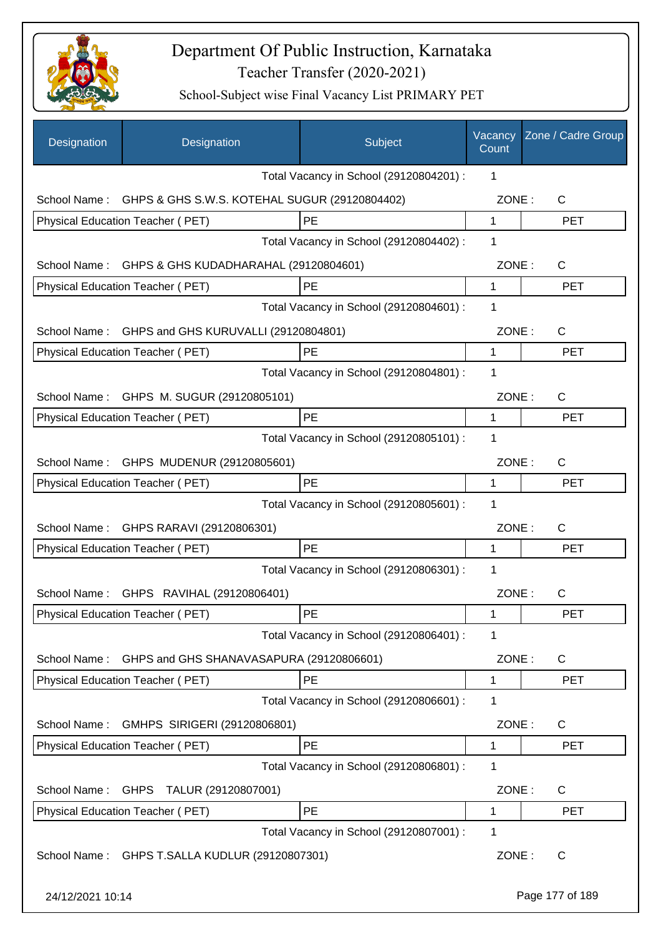

| Designation      | Designation                                    | Subject                                 | Vacancy<br>Count | Zone / Cadre Group |
|------------------|------------------------------------------------|-----------------------------------------|------------------|--------------------|
|                  |                                                | Total Vacancy in School (29120804201) : | 1                |                    |
| School Name:     | GHPS & GHS S.W.S. KOTEHAL SUGUR (29120804402)  |                                         | ZONE:            | C                  |
|                  | Physical Education Teacher (PET)               | PE                                      | $\mathbf 1$      | <b>PET</b>         |
|                  |                                                | Total Vacancy in School (29120804402) : | 1                |                    |
| School Name:     | GHPS & GHS KUDADHARAHAL (29120804601)          |                                         | ZONE:            | $\mathsf{C}$       |
|                  | Physical Education Teacher (PET)               | PE                                      | 1                | <b>PET</b>         |
|                  |                                                | Total Vacancy in School (29120804601) : | 1                |                    |
| School Name:     | GHPS and GHS KURUVALLI (29120804801)           |                                         | ZONE:            | $\mathsf{C}$       |
|                  | Physical Education Teacher (PET)               | PE                                      | 1                | <b>PET</b>         |
|                  |                                                | Total Vacancy in School (29120804801) : | 1                |                    |
|                  | School Name: GHPS M. SUGUR (29120805101)       |                                         | ZONE:            | $\mathsf{C}$       |
|                  | Physical Education Teacher (PET)               | PE                                      | 1                | <b>PET</b>         |
|                  |                                                | Total Vacancy in School (29120805101) : | 1                |                    |
|                  | School Name: GHPS MUDENUR (29120805601)        |                                         | ZONE:            | $\mathsf{C}$       |
|                  | Physical Education Teacher (PET)               | PE                                      | 1                | <b>PET</b>         |
|                  |                                                | Total Vacancy in School (29120805601) : | 1                |                    |
|                  | School Name: GHPS RARAVI (29120806301)         |                                         | ZONE:            | $\mathsf{C}$       |
|                  | Physical Education Teacher (PET)               | PE                                      | 1                | <b>PET</b>         |
|                  |                                                | Total Vacancy in School (29120806301) : | 1                |                    |
| School Name:     | GHPS RAVIHAL (29120806401)                     |                                         | ZONE:            | С                  |
|                  | Physical Education Teacher (PET)               | PE                                      | 1                | <b>PET</b>         |
|                  |                                                | Total Vacancy in School (29120806401) : | 1                |                    |
| School Name:     | GHPS and GHS SHANAVASAPURA (29120806601)       |                                         | ZONE:            | C                  |
|                  | Physical Education Teacher (PET)               | PE                                      | 1                | <b>PET</b>         |
|                  |                                                | Total Vacancy in School (29120806601) : | 1                |                    |
| School Name:     | GMHPS SIRIGERI (29120806801)                   |                                         | ZONE:            | C                  |
|                  | Physical Education Teacher (PET)               | PE                                      | 1                | <b>PET</b>         |
|                  |                                                | Total Vacancy in School (29120806801) : | 1                |                    |
| School Name:     | GHPS TALUR (29120807001)                       |                                         | ZONE:            | C                  |
|                  | Physical Education Teacher (PET)               | PE                                      | 1                | <b>PET</b>         |
|                  |                                                | Total Vacancy in School (29120807001) : | 1                |                    |
|                  | School Name: GHPS T.SALLA KUDLUR (29120807301) |                                         | ZONE:            | $\mathsf{C}$       |
| 24/12/2021 10:14 |                                                |                                         |                  | Page 177 of 189    |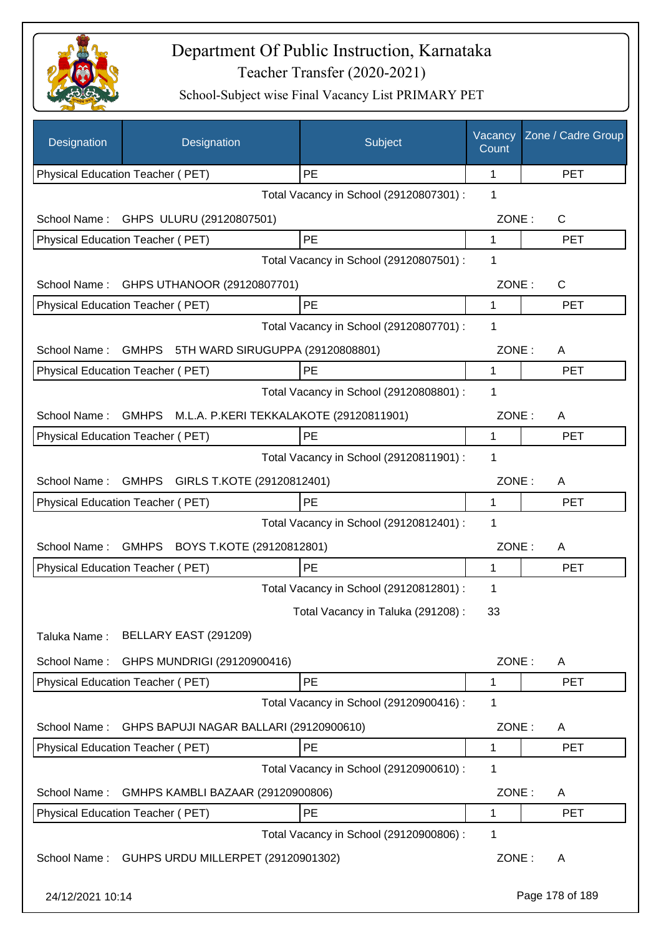

| Designation      | Designation                                      | Subject                                 | Vacancy<br>Count | Zone / Cadre Group |
|------------------|--------------------------------------------------|-----------------------------------------|------------------|--------------------|
|                  | Physical Education Teacher (PET)                 | PE                                      | 1                | <b>PET</b>         |
|                  |                                                  | Total Vacancy in School (29120807301) : | 1                |                    |
| School Name:     | GHPS ULURU (29120807501)                         |                                         | ZONE:            | C                  |
|                  | Physical Education Teacher (PET)                 | PE                                      | 1                | <b>PET</b>         |
|                  |                                                  | Total Vacancy in School (29120807501) : | 1                |                    |
| School Name:     | GHPS UTHANOOR (29120807701)                      |                                         | ZONE:            | C                  |
|                  | Physical Education Teacher (PET)                 | PE                                      | 1                | <b>PET</b>         |
|                  |                                                  | Total Vacancy in School (29120807701) : | 1                |                    |
| School Name:     | <b>GMHPS</b><br>5TH WARD SIRUGUPPA (29120808801) |                                         | ZONE:            | A                  |
|                  | Physical Education Teacher (PET)                 | PE                                      | 1                | <b>PET</b>         |
|                  |                                                  | Total Vacancy in School (29120808801) : | 1                |                    |
| School Name:     | GMHPS M.L.A. P.KERI TEKKALAKOTE (29120811901)    |                                         | ZONE:            | A                  |
|                  | Physical Education Teacher (PET)                 | PE                                      | 1                | <b>PET</b>         |
|                  |                                                  | Total Vacancy in School (29120811901) : | 1                |                    |
| School Name:     | GMHPS GIRLS T.KOTE (29120812401)                 |                                         | ZONE:            | A                  |
|                  | Physical Education Teacher (PET)                 | PE                                      | 1                | <b>PET</b>         |
|                  |                                                  | Total Vacancy in School (29120812401) : | 1                |                    |
| School Name:     | GMHPS BOYS T.KOTE (29120812801)                  |                                         | ZONE:            | A                  |
|                  | Physical Education Teacher (PET)                 | PE                                      | 1                | <b>PET</b>         |
|                  |                                                  | Total Vacancy in School (29120812801) : | 1                |                    |
|                  |                                                  | Total Vacancy in Taluka (291208):       | 33               |                    |
| Taluka Name:     | BELLARY EAST (291209)                            |                                         |                  |                    |
| School Name:     | GHPS MUNDRIGI (29120900416)                      |                                         | ZONE:            | A                  |
|                  | Physical Education Teacher (PET)                 | PE                                      | 1                | <b>PET</b>         |
|                  |                                                  | Total Vacancy in School (29120900416) : | 1                |                    |
| School Name:     | GHPS BAPUJI NAGAR BALLARI (29120900610)          |                                         | ZONE:            | A                  |
|                  | Physical Education Teacher (PET)                 | PE                                      | 1                | <b>PET</b>         |
|                  |                                                  | Total Vacancy in School (29120900610) : | 1                |                    |
| School Name:     | GMHPS KAMBLI BAZAAR (29120900806)                |                                         | ZONE:            | A                  |
|                  | Physical Education Teacher (PET)                 | PE                                      | 1                | <b>PET</b>         |
|                  |                                                  | Total Vacancy in School (29120900806) : | 1                |                    |
| School Name:     | GUHPS URDU MILLERPET (29120901302)               |                                         | ZONE:            | A                  |
| 24/12/2021 10:14 |                                                  |                                         |                  | Page 178 of 189    |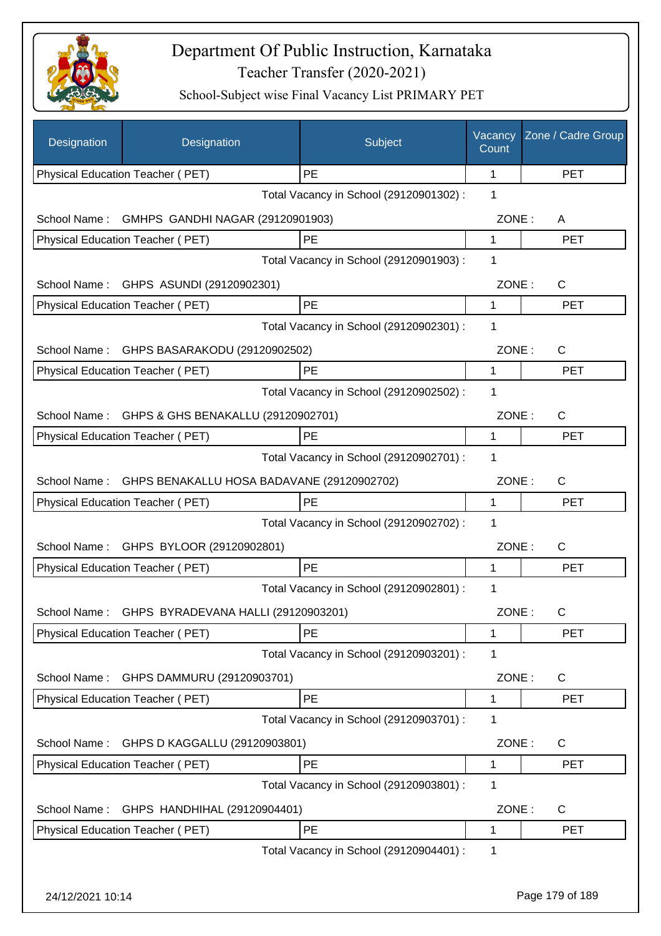

| Designation      | Designation                                      | Subject                                 | Vacancy<br>Count | Zone / Cadre Group |
|------------------|--------------------------------------------------|-----------------------------------------|------------------|--------------------|
|                  | Physical Education Teacher (PET)                 | PE                                      | 1                | <b>PET</b>         |
|                  |                                                  | Total Vacancy in School (29120901302) : | 1                |                    |
| School Name:     | GMHPS GANDHI NAGAR (29120901903)                 |                                         | ZONE:            | A                  |
|                  | Physical Education Teacher (PET)                 | PE                                      | 1                | <b>PET</b>         |
|                  |                                                  | Total Vacancy in School (29120901903) : | 1                |                    |
| School Name:     | GHPS ASUNDI (29120902301)                        |                                         | ZONE:            | $\mathsf{C}$       |
|                  | Physical Education Teacher (PET)                 | PE                                      | 1                | <b>PET</b>         |
|                  |                                                  | Total Vacancy in School (29120902301) : | 1                |                    |
| School Name:     | GHPS BASARAKODU (29120902502)                    |                                         | ZONE:            | $\mathsf{C}$       |
|                  | Physical Education Teacher (PET)                 | PE                                      | 1                | <b>PET</b>         |
|                  |                                                  | Total Vacancy in School (29120902502) : | 1                |                    |
| School Name:     | GHPS & GHS BENAKALLU (29120902701)               |                                         | ZONE:            | $\mathsf{C}$       |
|                  | Physical Education Teacher (PET)                 | PE                                      | 1                | <b>PET</b>         |
|                  |                                                  | Total Vacancy in School (29120902701) : | 1                |                    |
| School Name:     | GHPS BENAKALLU HOSA BADAVANE (29120902702)       |                                         | ZONE:            | $\mathsf{C}$       |
|                  | Physical Education Teacher (PET)                 | PE                                      | 1                | <b>PET</b>         |
|                  |                                                  | Total Vacancy in School (29120902702) : | 1                |                    |
|                  | School Name: GHPS BYLOOR (29120902801)           |                                         | ZONE:            | $\mathsf{C}$       |
|                  | Physical Education Teacher (PET)                 | <b>PE</b>                               | 1                | <b>PET</b>         |
|                  |                                                  | Total Vacancy in School (29120902801) : | 1                |                    |
|                  | School Name: GHPS BYRADEVANA HALLI (29120903201) |                                         | ZONE:            | C                  |
|                  | Physical Education Teacher (PET)                 | <b>PE</b>                               | 1                | <b>PET</b>         |
|                  |                                                  | Total Vacancy in School (29120903201) : | 1                |                    |
| School Name:     | GHPS DAMMURU (29120903701)                       |                                         | ZONE:            | $\mathsf{C}$       |
|                  | Physical Education Teacher (PET)                 | PE                                      | 1                | <b>PET</b>         |
|                  |                                                  | Total Vacancy in School (29120903701) : | 1                |                    |
| School Name:     | GHPS D KAGGALLU (29120903801)                    |                                         | ZONE:            | $\mathsf{C}$       |
|                  | Physical Education Teacher (PET)                 | PE                                      | 1                | <b>PET</b>         |
|                  |                                                  | Total Vacancy in School (29120903801) : | 1                |                    |
| School Name:     | GHPS HANDHIHAL (29120904401)                     |                                         | ZONE:            | $\mathsf{C}$       |
|                  | Physical Education Teacher (PET)                 | PE                                      | 1                | <b>PET</b>         |
|                  |                                                  | Total Vacancy in School (29120904401) : | 1                |                    |
|                  |                                                  |                                         |                  |                    |
| 24/12/2021 10:14 |                                                  |                                         |                  | Page 179 of 189    |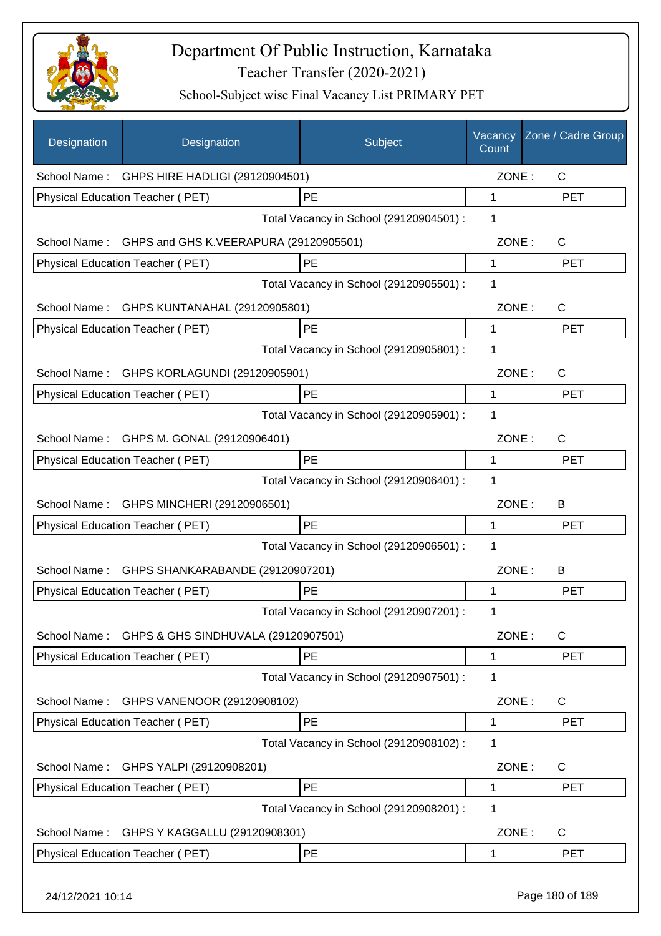

| Designation      | Designation                                         | Subject                                 | Vacancy<br>Count | Zone / Cadre Group |
|------------------|-----------------------------------------------------|-----------------------------------------|------------------|--------------------|
|                  | School Name: GHPS HIRE HADLIGI (29120904501)        |                                         | ZONE:            | $\mathsf{C}$       |
|                  | Physical Education Teacher (PET)                    | PE                                      | 1                | <b>PET</b>         |
|                  |                                                     | Total Vacancy in School (29120904501) : | 1                |                    |
|                  | School Name: GHPS and GHS K.VEERAPURA (29120905501) |                                         | ZONE:            | C                  |
|                  | Physical Education Teacher (PET)                    | PE                                      | $\mathbf{1}$     | <b>PET</b>         |
|                  |                                                     | Total Vacancy in School (29120905501) : | 1                |                    |
| School Name:     | GHPS KUNTANAHAL (29120905801)                       |                                         | ZONE:            | C                  |
|                  | Physical Education Teacher (PET)                    | <b>PE</b>                               | 1                | <b>PET</b>         |
|                  |                                                     | Total Vacancy in School (29120905801) : | 1                |                    |
| School Name:     | GHPS KORLAGUNDI (29120905901)                       |                                         | ZONE:            | C                  |
|                  | Physical Education Teacher (PET)                    | PE                                      | 1                | <b>PET</b>         |
|                  |                                                     | Total Vacancy in School (29120905901) : | 1                |                    |
|                  | School Name: GHPS M. GONAL (29120906401)            |                                         | ZONE:            | C                  |
|                  | Physical Education Teacher (PET)                    | PE                                      | 1                | <b>PET</b>         |
|                  |                                                     | Total Vacancy in School (29120906401) : | 1                |                    |
|                  | School Name: GHPS MINCHERI (29120906501)            |                                         | ZONE:            | B                  |
|                  | Physical Education Teacher (PET)                    | PE                                      | 1                | <b>PET</b>         |
|                  |                                                     | Total Vacancy in School (29120906501) : | 1                |                    |
| School Name:     | GHPS SHANKARABANDE (29120907201)                    |                                         | ZONE:            | B                  |
|                  | Physical Education Teacher (PET)                    | PE                                      | 1                | <b>PET</b>         |
|                  |                                                     | Total Vacancy in School (29120907201) : | 1                |                    |
| School Name:     | GHPS & GHS SINDHUVALA (29120907501)                 |                                         | ZONE:            | $\mathsf{C}$       |
|                  | Physical Education Teacher (PET)                    | PE                                      | 1                | <b>PET</b>         |
|                  |                                                     | Total Vacancy in School (29120907501) : | 1                |                    |
| School Name:     | GHPS VANENOOR (29120908102)                         |                                         | ZONE:            | C                  |
|                  | Physical Education Teacher (PET)                    | PE                                      | 1                | <b>PET</b>         |
|                  |                                                     | Total Vacancy in School (29120908102) : | 1                |                    |
| School Name:     | GHPS YALPI (29120908201)                            |                                         | ZONE:            | C                  |
|                  | Physical Education Teacher (PET)                    | PE                                      | 1                | <b>PET</b>         |
|                  |                                                     | Total Vacancy in School (29120908201) : | 1                |                    |
| School Name:     | GHPS Y KAGGALLU (29120908301)                       |                                         | ZONE:            | C                  |
|                  | Physical Education Teacher (PET)                    | PE                                      | 1                | <b>PET</b>         |
| 24/12/2021 10:14 |                                                     |                                         |                  | Page 180 of 189    |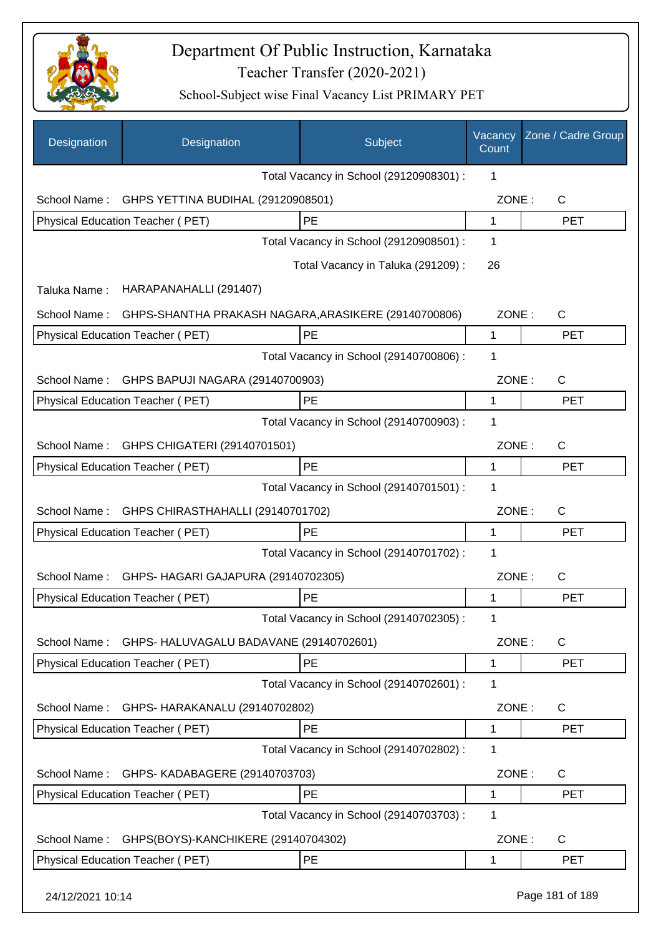

| Designation      | Designation                                          | Subject                                 | Vacancy<br>Count | Zone / Cadre Group |
|------------------|------------------------------------------------------|-----------------------------------------|------------------|--------------------|
|                  |                                                      | Total Vacancy in School (29120908301) : | 1                |                    |
| School Name:     | GHPS YETTINA BUDIHAL (29120908501)                   |                                         | ZONE:            | $\mathsf{C}$       |
|                  | Physical Education Teacher (PET)                     | PE                                      | 1                | <b>PET</b>         |
|                  |                                                      | Total Vacancy in School (29120908501) : | 1                |                    |
|                  |                                                      | Total Vacancy in Taluka (291209):       | 26               |                    |
| Taluka Name:     | HARAPANAHALLI (291407)                               |                                         |                  |                    |
| School Name:     | GHPS-SHANTHA PRAKASH NAGARA, ARASIKERE (29140700806) |                                         | ZONE:            | $\mathsf{C}$       |
|                  | Physical Education Teacher (PET)                     | <b>PE</b>                               | 1                | <b>PET</b>         |
|                  |                                                      | Total Vacancy in School (29140700806) : | 1                |                    |
| School Name:     | GHPS BAPUJI NAGARA (29140700903)                     |                                         | ZONE:            | $\mathsf{C}$       |
|                  | Physical Education Teacher (PET)                     | PE                                      | 1                | <b>PET</b>         |
|                  |                                                      | Total Vacancy in School (29140700903) : | 1                |                    |
| School Name:     | GHPS CHIGATERI (29140701501)                         |                                         | ZONE:            | $\mathsf{C}$       |
|                  | Physical Education Teacher (PET)                     | <b>PE</b>                               | 1                | <b>PET</b>         |
|                  |                                                      | Total Vacancy in School (29140701501) : | 1                |                    |
| School Name:     | GHPS CHIRASTHAHALLI (29140701702)                    |                                         | ZONE:            | C                  |
|                  | Physical Education Teacher (PET)                     | PE                                      | 1                | <b>PET</b>         |
|                  |                                                      | Total Vacancy in School (29140701702) : | 1                |                    |
| School Name:     | GHPS- HAGARI GAJAPURA (29140702305)                  |                                         | ZONE:            | C                  |
|                  | <b>Physical Education Teacher (PET)</b>              | PE                                      | 1                | <b>PET</b>         |
|                  |                                                      | Total Vacancy in School (29140702305) : | 1                |                    |
| School Name:     | GHPS- HALUVAGALU BADAVANE (29140702601)              |                                         | ZONE:            | C                  |
|                  | Physical Education Teacher (PET)                     | PE                                      | 1                | <b>PET</b>         |
|                  |                                                      | Total Vacancy in School (29140702601) : | 1                |                    |
| School Name:     | GHPS- HARAKANALU (29140702802)                       |                                         | ZONE:            | $\mathsf{C}$       |
|                  | Physical Education Teacher (PET)                     | PE                                      | 1                | <b>PET</b>         |
|                  |                                                      | Total Vacancy in School (29140702802) : | 1                |                    |
| School Name:     | GHPS- KADABAGERE (29140703703)                       |                                         | ZONE:            | $\mathsf{C}$       |
|                  | Physical Education Teacher (PET)                     | PE                                      | 1                | <b>PET</b>         |
|                  |                                                      | Total Vacancy in School (29140703703) : | 1                |                    |
| School Name:     | GHPS(BOYS)-KANCHIKERE (29140704302)                  |                                         | ZONE:            | C                  |
|                  | Physical Education Teacher (PET)                     | PE                                      | 1                | <b>PET</b>         |
| 24/12/2021 10:14 |                                                      |                                         |                  | Page 181 of 189    |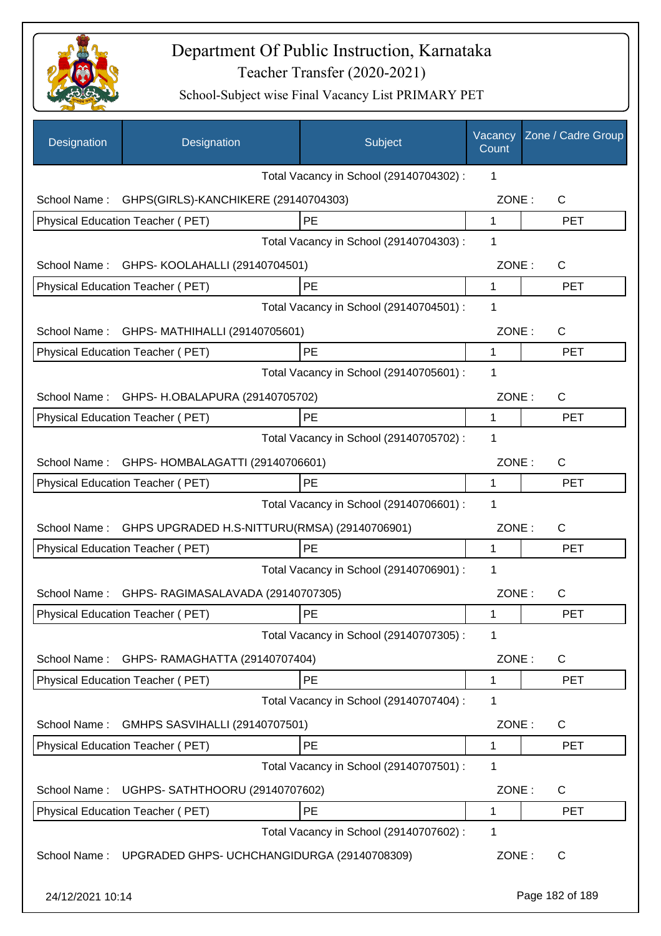

| Designation      | Designation                                    | Subject                                 | Vacancy<br>Count | Zone / Cadre Group |
|------------------|------------------------------------------------|-----------------------------------------|------------------|--------------------|
|                  |                                                | Total Vacancy in School (29140704302) : | 1                |                    |
| School Name:     | GHPS(GIRLS)-KANCHIKERE (29140704303)           |                                         | ZONE:            | $\mathsf{C}$       |
|                  | Physical Education Teacher (PET)               | PE                                      | $\mathbf{1}$     | <b>PET</b>         |
|                  |                                                | Total Vacancy in School (29140704303) : | 1                |                    |
| School Name:     | GHPS- KOOLAHALLI (29140704501)                 |                                         | ZONE:            | C                  |
|                  | Physical Education Teacher (PET)               | PE                                      | 1                | <b>PET</b>         |
|                  |                                                | Total Vacancy in School (29140704501) : | 1                |                    |
| School Name:     | GHPS- MATHIHALLI (29140705601)                 |                                         | ZONE:            | $\mathsf{C}$       |
|                  | Physical Education Teacher (PET)               | PE                                      | 1                | <b>PET</b>         |
|                  |                                                | Total Vacancy in School (29140705601) : | 1                |                    |
| School Name:     | GHPS- H.OBALAPURA (29140705702)                |                                         | ZONE:            | C                  |
|                  | <b>Physical Education Teacher (PET)</b>        | PE                                      | 1                | <b>PET</b>         |
|                  |                                                | Total Vacancy in School (29140705702) : | 1                |                    |
|                  | School Name: GHPS-HOMBALAGATTI (29140706601)   |                                         | ZONE:            | C                  |
|                  | Physical Education Teacher (PET)               | PE                                      | 1                | <b>PET</b>         |
|                  |                                                | Total Vacancy in School (29140706601) : | 1                |                    |
| School Name:     | GHPS UPGRADED H.S-NITTURU(RMSA) (29140706901)  |                                         | ZONE:            | $\mathsf{C}$       |
|                  | <b>Physical Education Teacher (PET)</b>        | <b>PE</b>                               | 1                | <b>PET</b>         |
|                  |                                                | Total Vacancy in School (29140706901) : | 1                |                    |
|                  | School Name: GHPS-RAGIMASALAVADA (29140707305) |                                         | ZONE:            | $\mathsf{C}$       |
|                  | Physical Education Teacher (PET)               | PE                                      | 1                | PET                |
|                  |                                                | Total Vacancy in School (29140707305) : | 1                |                    |
| School Name:     | GHPS- RAMAGHATTA (29140707404)                 |                                         | ZONE:            | C                  |
|                  | Physical Education Teacher (PET)               | PE                                      | 1                | PET                |
|                  |                                                | Total Vacancy in School (29140707404) : | 1                |                    |
| School Name:     | GMHPS SASVIHALLI (29140707501)                 |                                         | ZONE:            | C                  |
|                  | Physical Education Teacher (PET)               | PE                                      | 1                | <b>PET</b>         |
|                  |                                                | Total Vacancy in School (29140707501) : | 1                |                    |
| School Name:     | UGHPS- SATHTHOORU (29140707602)                |                                         | ZONE:            | C                  |
|                  | Physical Education Teacher (PET)               | PE                                      | 1                | <b>PET</b>         |
|                  |                                                | Total Vacancy in School (29140707602) : | 1                |                    |
| School Name:     | UPGRADED GHPS- UCHCHANGIDURGA (29140708309)    |                                         | ZONE:            | C                  |
| 24/12/2021 10:14 |                                                |                                         |                  | Page 182 of 189    |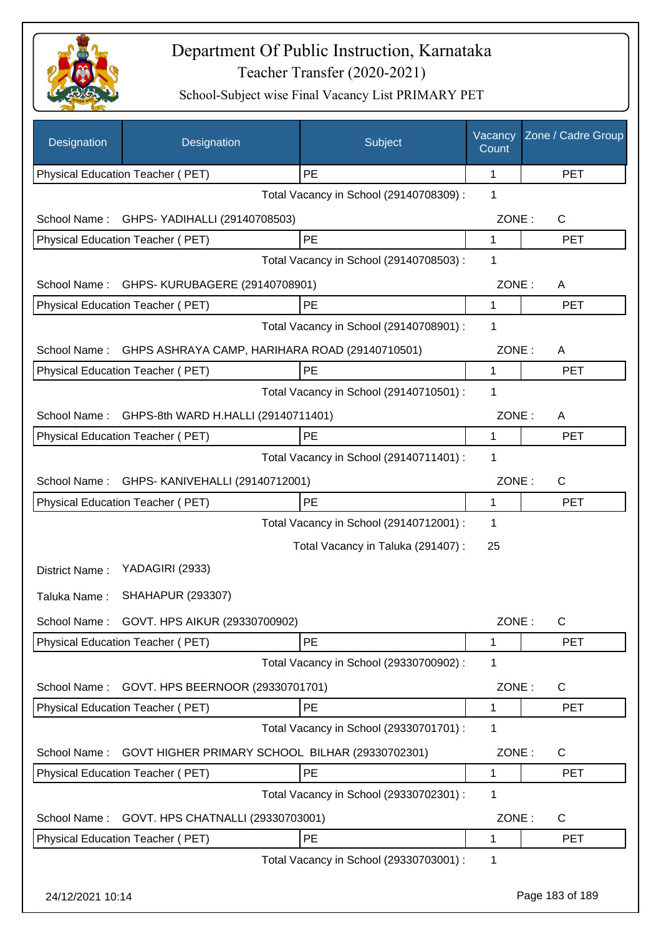

| Designation      | Designation                                     | Subject                                 | Vacancy<br>Count | Zone / Cadre Group |
|------------------|-------------------------------------------------|-----------------------------------------|------------------|--------------------|
|                  | Physical Education Teacher (PET)                | PE                                      | 1                | <b>PET</b>         |
|                  |                                                 | Total Vacancy in School (29140708309) : | 1                |                    |
| School Name:     | GHPS- YADIHALLI (29140708503)                   |                                         | ZONE:            | $\mathsf{C}$       |
|                  | Physical Education Teacher (PET)                | PE                                      | 1                | <b>PET</b>         |
|                  |                                                 | Total Vacancy in School (29140708503) : | 1                |                    |
| School Name:     | GHPS- KURUBAGERE (29140708901)                  |                                         | ZONE:            | A                  |
|                  | Physical Education Teacher (PET)                | PE                                      | 1                | <b>PET</b>         |
|                  |                                                 | Total Vacancy in School (29140708901) : | 1                |                    |
| School Name:     | GHPS ASHRAYA CAMP, HARIHARA ROAD (29140710501)  |                                         | ZONE:            | A                  |
|                  | Physical Education Teacher (PET)                | PE                                      | 1                | <b>PET</b>         |
|                  |                                                 | Total Vacancy in School (29140710501) : | 1                |                    |
| School Name:     | GHPS-8th WARD H.HALLI (29140711401)             |                                         | ZONE:            | A                  |
|                  | Physical Education Teacher (PET)                | PE                                      | $\mathbf{1}$     | <b>PET</b>         |
|                  |                                                 | Total Vacancy in School (29140711401) : | 1                |                    |
| School Name:     | GHPS- KANIVEHALLI (29140712001)                 |                                         | ZONE:            | $\mathsf{C}$       |
|                  | Physical Education Teacher (PET)                | <b>PE</b>                               | 1                | <b>PET</b>         |
|                  |                                                 | Total Vacancy in School (29140712001) : | 1                |                    |
|                  |                                                 | Total Vacancy in Taluka (291407) :      | 25               |                    |
| District Name:   | YADAGIRI (2933)                                 |                                         |                  |                    |
| Taluka Name:     | <b>SHAHAPUR (293307)</b>                        |                                         |                  |                    |
| School Name:     | GOVT. HPS AIKUR (29330700902)                   |                                         | ZONE:            | C                  |
|                  | <b>Physical Education Teacher (PET)</b>         | PE                                      | 1                | <b>PET</b>         |
|                  |                                                 | Total Vacancy in School (29330700902) : | 1                |                    |
| School Name:     | GOVT. HPS BEERNOOR (29330701701)                |                                         | ZONE:            | C                  |
|                  | Physical Education Teacher (PET)                | PE                                      | 1                | <b>PET</b>         |
|                  |                                                 | Total Vacancy in School (29330701701) : | 1                |                    |
| School Name:     | GOVT HIGHER PRIMARY SCHOOL BILHAR (29330702301) |                                         | ZONE:            | C                  |
|                  | Physical Education Teacher (PET)                | PE                                      | 1                | <b>PET</b>         |
|                  |                                                 | Total Vacancy in School (29330702301) : | 1                |                    |
| School Name:     | GOVT. HPS CHATNALLI (29330703001)               |                                         | ZONE:            | C                  |
|                  | Physical Education Teacher (PET)                | PE                                      | 1                | <b>PET</b>         |
|                  |                                                 | Total Vacancy in School (29330703001) : | 1                |                    |
| 24/12/2021 10:14 |                                                 |                                         |                  | Page 183 of 189    |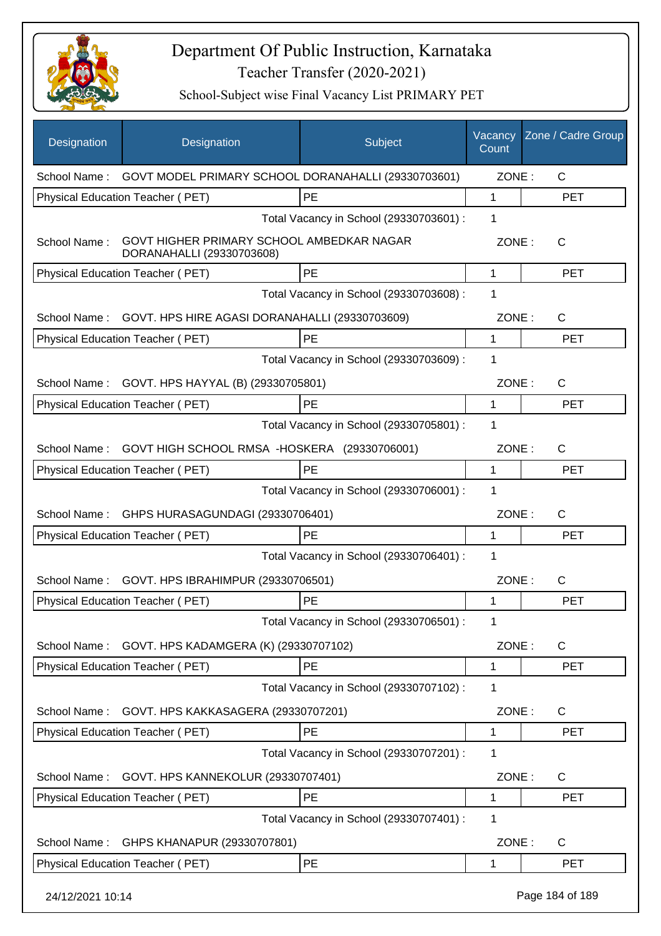

| <b>Designation</b>                           | Designation                                                            | Subject                                 | Vacancy<br>Count | Zone / Cadre Group |
|----------------------------------------------|------------------------------------------------------------------------|-----------------------------------------|------------------|--------------------|
|                                              | School Name: GOVT MODEL PRIMARY SCHOOL DORANAHALLI (29330703601)       |                                         | ZONE:            | C                  |
|                                              | Physical Education Teacher (PET)                                       | PE                                      | 1                | <b>PET</b>         |
|                                              |                                                                        | Total Vacancy in School (29330703601) : | 1                |                    |
| School Name:                                 | GOVT HIGHER PRIMARY SCHOOL AMBEDKAR NAGAR<br>DORANAHALLI (29330703608) |                                         | ZONE:            | C                  |
|                                              | Physical Education Teacher (PET)                                       | PE                                      | 1                | <b>PET</b>         |
|                                              |                                                                        | Total Vacancy in School (29330703608) : | 1                |                    |
| School Name:                                 | GOVT. HPS HIRE AGASI DORANAHALLI (29330703609)                         |                                         | ZONE:            | C                  |
|                                              | Physical Education Teacher (PET)                                       | PE                                      | 1                | <b>PET</b>         |
|                                              |                                                                        | Total Vacancy in School (29330703609) : | 1                |                    |
|                                              | School Name: GOVT. HPS HAYYAL (B) (29330705801)                        |                                         | ZONE:            | C                  |
|                                              | Physical Education Teacher (PET)                                       | <b>PE</b>                               | 1                | <b>PET</b>         |
|                                              |                                                                        | Total Vacancy in School (29330705801) : | 1                |                    |
| School Name:                                 | GOVT HIGH SCHOOL RMSA -HOSKERA (29330706001)                           |                                         | ZONE:            | C                  |
|                                              | Physical Education Teacher (PET)                                       | <b>PE</b>                               | 1                | <b>PET</b>         |
|                                              |                                                                        | Total Vacancy in School (29330706001) : | 1                |                    |
| School Name:                                 | GHPS HURASAGUNDAGI (29330706401)                                       |                                         | ZONE:            | C                  |
|                                              | Physical Education Teacher (PET)                                       | PE                                      | 1                | <b>PET</b>         |
| Total Vacancy in School (29330706401) :<br>1 |                                                                        |                                         |                  |                    |
| School Name:                                 | GOVT. HPS IBRAHIMPUR (29330706501)                                     |                                         | ZONE:            | C                  |
|                                              | Physical Education Teacher (PET)                                       | PE                                      | 1                | <b>PET</b>         |
|                                              |                                                                        | Total Vacancy in School (29330706501) : | 1                |                    |
| School Name:                                 | GOVT. HPS KADAMGERA (K) (29330707102)                                  |                                         | ZONE:            | $\mathsf C$        |
|                                              | Physical Education Teacher (PET)                                       | PE                                      | 1                | <b>PET</b>         |
|                                              |                                                                        | Total Vacancy in School (29330707102) : | 1                |                    |
| School Name:                                 | GOVT. HPS KAKKASAGERA (29330707201)                                    |                                         | ZONE:            | $\mathsf{C}$       |
|                                              | Physical Education Teacher (PET)                                       | PE                                      | 1                | <b>PET</b>         |
|                                              |                                                                        | Total Vacancy in School (29330707201) : | 1                |                    |
| School Name:                                 | GOVT. HPS KANNEKOLUR (29330707401)                                     |                                         | ZONE:            | C                  |
|                                              | Physical Education Teacher (PET)                                       | PE                                      | 1                | <b>PET</b>         |
|                                              |                                                                        | Total Vacancy in School (29330707401) : | 1                |                    |
| School Name:                                 | GHPS KHANAPUR (29330707801)                                            |                                         | ZONE:            | C                  |
|                                              | Physical Education Teacher (PET)                                       | <b>PE</b>                               | 1                | <b>PET</b>         |
| 24/12/2021 10:14                             |                                                                        |                                         |                  | Page 184 of 189    |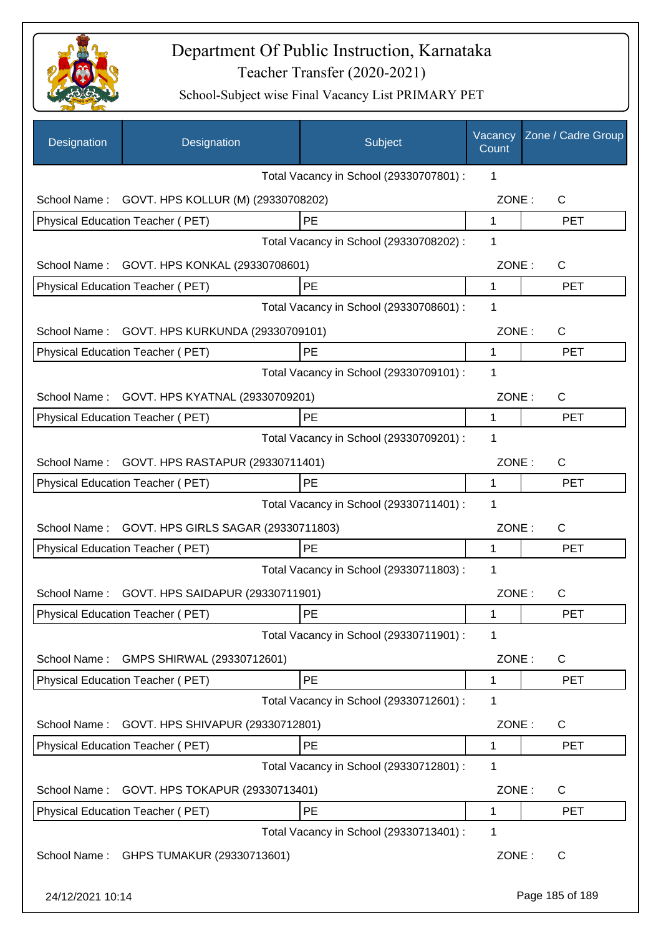

| Designation      | Designation                                   | Subject                                 | Vacancy<br>Count | Zone / Cadre Group |
|------------------|-----------------------------------------------|-----------------------------------------|------------------|--------------------|
|                  |                                               | Total Vacancy in School (29330707801) : | 1                |                    |
| School Name:     | GOVT. HPS KOLLUR (M) (29330708202)            |                                         | ZONE:            | C                  |
|                  | Physical Education Teacher (PET)              | PE                                      | 1                | <b>PET</b>         |
|                  |                                               | Total Vacancy in School (29330708202) : | 1                |                    |
| School Name:     | GOVT. HPS KONKAL (29330708601)                |                                         | ZONE:            | C                  |
|                  | Physical Education Teacher (PET)              | PE                                      | 1                | <b>PET</b>         |
|                  |                                               | Total Vacancy in School (29330708601) : | 1                |                    |
| School Name:     | GOVT. HPS KURKUNDA (29330709101)              |                                         | ZONE:            | $\mathsf{C}$       |
|                  | Physical Education Teacher (PET)              | PE                                      | 1                | <b>PET</b>         |
|                  |                                               | Total Vacancy in School (29330709101) : | 1                |                    |
| School Name:     | GOVT. HPS KYATNAL (29330709201)               |                                         | ZONE:            | C                  |
|                  | Physical Education Teacher (PET)              | PE                                      | 1                | <b>PET</b>         |
|                  |                                               | Total Vacancy in School (29330709201) : | 1                |                    |
| School Name:     | GOVT. HPS RASTAPUR (29330711401)              |                                         | ZONE:            | C                  |
|                  | Physical Education Teacher (PET)              | PE                                      | 1                | <b>PET</b>         |
|                  |                                               | Total Vacancy in School (29330711401) : | 1                |                    |
| School Name:     | GOVT. HPS GIRLS SAGAR (29330711803)           |                                         | ZONE:            | $\mathsf{C}$       |
|                  | Physical Education Teacher (PET)              | PE                                      | 1                | <b>PET</b>         |
|                  |                                               | Total Vacancy in School (29330711803) : | 1                |                    |
|                  | School Name: GOVT. HPS SAIDAPUR (29330711901) |                                         | ZONE:            | $\mathsf{C}$       |
|                  | <b>Physical Education Teacher (PET)</b>       | PE                                      | 1                | PET                |
|                  |                                               | Total Vacancy in School (29330711901) : | 1                |                    |
| School Name:     | GMPS SHIRWAL (29330712601)                    |                                         | ZONE:            | C                  |
|                  | Physical Education Teacher (PET)              | PE                                      | 1                | <b>PET</b>         |
|                  |                                               | Total Vacancy in School (29330712601) : | 1                |                    |
| School Name:     | GOVT. HPS SHIVAPUR (29330712801)              |                                         | ZONE:            | $\mathsf{C}$       |
|                  | Physical Education Teacher (PET)              | PE                                      | 1                | <b>PET</b>         |
|                  |                                               | Total Vacancy in School (29330712801) : | 1                |                    |
| School Name:     | GOVT. HPS TOKAPUR (29330713401)               |                                         | ZONE:            | C                  |
|                  | Physical Education Teacher (PET)              | PE                                      | 1                | <b>PET</b>         |
|                  |                                               | Total Vacancy in School (29330713401) : | 1                |                    |
| School Name:     | GHPS TUMAKUR (29330713601)                    |                                         | ZONE:            | C                  |
| 24/12/2021 10:14 |                                               |                                         |                  | Page 185 of 189    |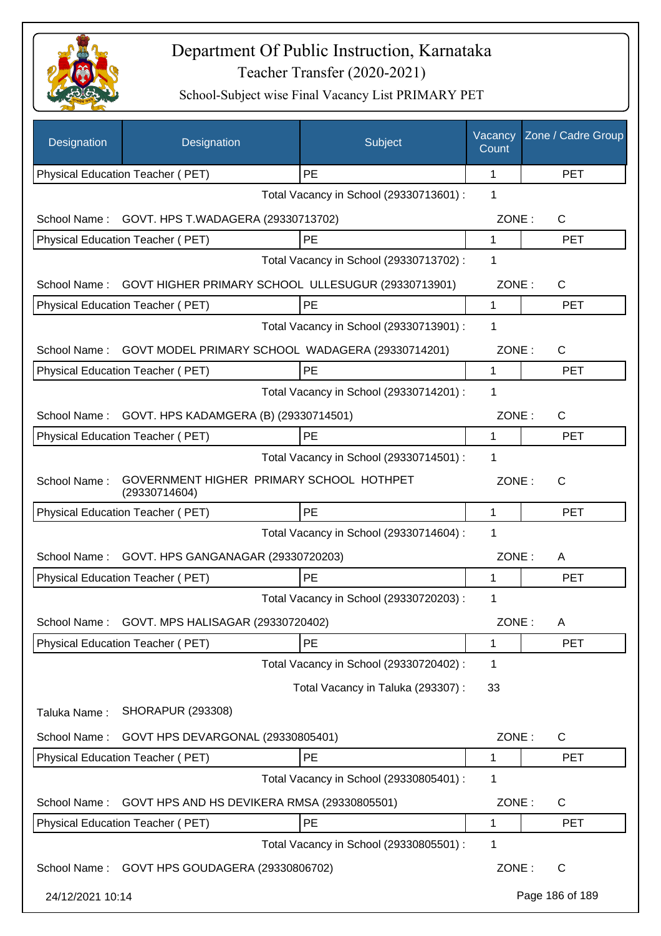

| Designation      | Designation                                               | Subject                                 | Vacancy<br>Count | Zone / Cadre Group |
|------------------|-----------------------------------------------------------|-----------------------------------------|------------------|--------------------|
|                  | Physical Education Teacher (PET)                          | PE                                      | 1                | <b>PET</b>         |
|                  |                                                           | Total Vacancy in School (29330713601) : | 1                |                    |
| School Name:     | GOVT. HPS T.WADAGERA (29330713702)                        |                                         | ZONE:            | C                  |
|                  | Physical Education Teacher (PET)                          | PE                                      | 1                | <b>PET</b>         |
|                  |                                                           | Total Vacancy in School (29330713702) : | 1                |                    |
| School Name:     | GOVT HIGHER PRIMARY SCHOOL ULLESUGUR (29330713901)        |                                         | ZONE:            | C                  |
|                  | Physical Education Teacher (PET)                          | PE                                      | 1                | <b>PET</b>         |
|                  |                                                           | Total Vacancy in School (29330713901) : | 1                |                    |
| School Name:     | GOVT MODEL PRIMARY SCHOOL WADAGERA (29330714201)          |                                         | ZONE:            | C                  |
|                  | Physical Education Teacher (PET)                          | PE                                      | 1                | <b>PET</b>         |
|                  |                                                           | Total Vacancy in School (29330714201) : | 1                |                    |
| School Name:     | GOVT. HPS KADAMGERA (B) (29330714501)                     |                                         | ZONE:            | C                  |
|                  | Physical Education Teacher (PET)                          | PE                                      | 1                | <b>PET</b>         |
|                  |                                                           | Total Vacancy in School (29330714501) : | 1                |                    |
| School Name:     | GOVERNMENT HIGHER PRIMARY SCHOOL HOTHPET<br>(29330714604) |                                         | ZONE:            | C                  |
|                  | Physical Education Teacher (PET)                          | PE                                      | 1                | <b>PET</b>         |
|                  |                                                           | Total Vacancy in School (29330714604) : | 1                |                    |
| School Name:     | GOVT. HPS GANGANAGAR (29330720203)                        |                                         | ZONE:            | A                  |
|                  | Physical Education Teacher (PET)                          | PE                                      | 1                | <b>PET</b>         |
|                  |                                                           | Total Vacancy in School (29330720203) : | 1                |                    |
| School Name:     | GOVT. MPS HALISAGAR (29330720402)                         |                                         | ZONE:            | Α                  |
|                  | Physical Education Teacher (PET)                          | PE                                      | 1                | <b>PET</b>         |
|                  |                                                           | Total Vacancy in School (29330720402) : | 1                |                    |
|                  |                                                           | Total Vacancy in Taluka (293307) :      | 33               |                    |
| Taluka Name:     | <b>SHORAPUR (293308)</b>                                  |                                         |                  |                    |
| School Name:     | GOVT HPS DEVARGONAL (29330805401)                         |                                         | ZONE:            | $\mathsf{C}$       |
|                  | Physical Education Teacher (PET)                          | PE                                      | 1                | <b>PET</b>         |
|                  |                                                           | Total Vacancy in School (29330805401) : | 1                |                    |
| School Name:     | GOVT HPS AND HS DEVIKERA RMSA (29330805501)               |                                         | ZONE:            | C                  |
|                  | Physical Education Teacher (PET)                          | PE                                      | 1                | <b>PET</b>         |
|                  |                                                           | Total Vacancy in School (29330805501) : | 1                |                    |
|                  | School Name: GOVT HPS GOUDAGERA (29330806702)             |                                         | ZONE:            | C                  |
| 24/12/2021 10:14 |                                                           |                                         |                  | Page 186 of 189    |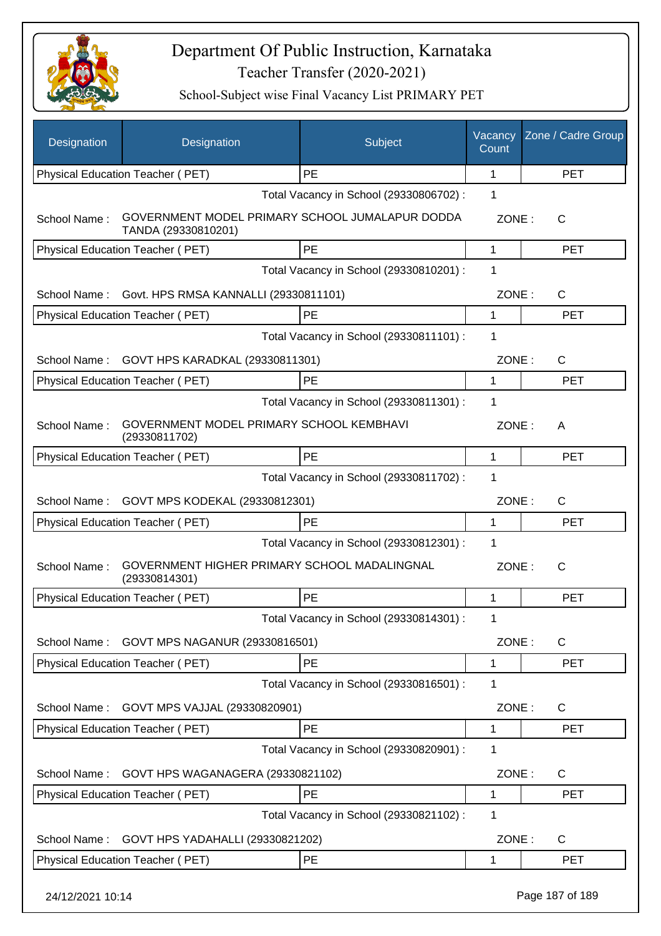

| Designation      | Designation                                                            | Subject                                 | Vacancy<br>Count | Zone / Cadre Group |
|------------------|------------------------------------------------------------------------|-----------------------------------------|------------------|--------------------|
|                  | Physical Education Teacher (PET)                                       | PE                                      | 1                | <b>PET</b>         |
|                  |                                                                        | Total Vacancy in School (29330806702) : | 1                |                    |
| School Name:     | GOVERNMENT MODEL PRIMARY SCHOOL JUMALAPUR DODDA<br>TANDA (29330810201) |                                         | ZONE:            | C                  |
|                  | <b>Physical Education Teacher (PET)</b>                                | PE                                      | 1                | <b>PET</b>         |
|                  |                                                                        | Total Vacancy in School (29330810201) : | 1                |                    |
| School Name:     | Govt. HPS RMSA KANNALLI (29330811101)                                  |                                         | ZONE:            | $\mathsf{C}$       |
|                  | Physical Education Teacher (PET)                                       | PE                                      | 1                | <b>PET</b>         |
|                  |                                                                        | Total Vacancy in School (29330811101) : | 1                |                    |
| School Name:     | GOVT HPS KARADKAL (29330811301)                                        |                                         | ZONE:            | $\mathsf{C}$       |
|                  | Physical Education Teacher (PET)                                       | PE                                      | 1                | <b>PET</b>         |
|                  |                                                                        | Total Vacancy in School (29330811301) : | 1                |                    |
| School Name:     | GOVERNMENT MODEL PRIMARY SCHOOL KEMBHAVI<br>(29330811702)              |                                         | ZONE:            | A                  |
|                  | Physical Education Teacher (PET)                                       | PE                                      | 1                | <b>PET</b>         |
|                  |                                                                        | Total Vacancy in School (29330811702) : | 1                |                    |
| School Name:     | GOVT MPS KODEKAL (29330812301)                                         |                                         | ZONE:            | $\mathsf{C}$       |
|                  | Physical Education Teacher (PET)                                       | PE                                      | 1                | <b>PET</b>         |
|                  |                                                                        | Total Vacancy in School (29330812301) : | 1                |                    |
| School Name:     | GOVERNMENT HIGHER PRIMARY SCHOOL MADALINGNAL<br>(29330814301)          |                                         | ZONE:            | $\mathsf{C}$       |
|                  | <b>Physical Education Teacher (PET)</b>                                | PE                                      | 1                | <b>PET</b>         |
|                  |                                                                        | Total Vacancy in School (29330814301) : | 1                |                    |
| School Name:     | GOVT MPS NAGANUR (29330816501)                                         |                                         | ZONE:            | $\mathsf{C}$       |
|                  | Physical Education Teacher (PET)                                       | PE                                      | 1                | <b>PET</b>         |
|                  |                                                                        | Total Vacancy in School (29330816501) : | 1                |                    |
| School Name:     | GOVT MPS VAJJAL (29330820901)                                          |                                         | ZONE:            | $\mathsf{C}$       |
|                  | Physical Education Teacher (PET)                                       | PE                                      | 1                | <b>PET</b>         |
|                  |                                                                        | Total Vacancy in School (29330820901) : | 1                |                    |
| School Name:     | GOVT HPS WAGANAGERA (29330821102)                                      |                                         | ZONE:            | $\mathsf{C}$       |
|                  | Physical Education Teacher (PET)                                       | <b>PE</b>                               | 1                | <b>PET</b>         |
|                  |                                                                        | Total Vacancy in School (29330821102) : | 1                |                    |
| School Name:     | GOVT HPS YADAHALLI (29330821202)                                       |                                         | ZONE:            | C                  |
|                  | Physical Education Teacher (PET)                                       | <b>PE</b>                               | 1                | <b>PET</b>         |
| 24/12/2021 10:14 |                                                                        |                                         |                  | Page 187 of 189    |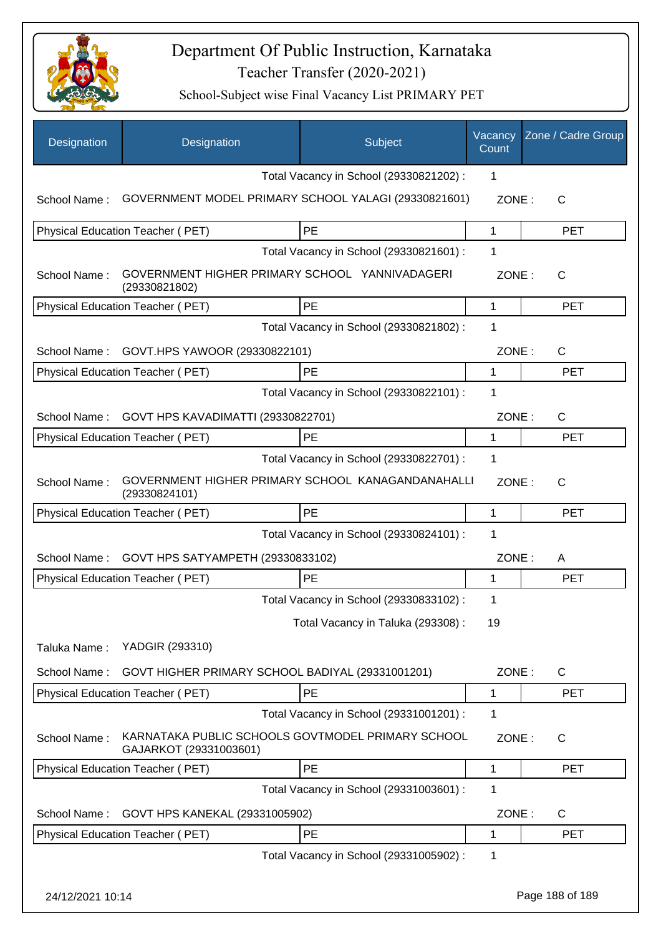

| Designation      | Designation                                                                 | Subject                                 | Vacancy<br>Count | Zone / Cadre Group |
|------------------|-----------------------------------------------------------------------------|-----------------------------------------|------------------|--------------------|
|                  |                                                                             | Total Vacancy in School (29330821202) : | 1                |                    |
| School Name:     | GOVERNMENT MODEL PRIMARY SCHOOL YALAGI (29330821601)                        |                                         | ZONE:            | C                  |
|                  | Physical Education Teacher (PET)                                            | PE                                      | 1                | <b>PET</b>         |
|                  |                                                                             | Total Vacancy in School (29330821601) : | 1                |                    |
| School Name:     | GOVERNMENT HIGHER PRIMARY SCHOOL YANNIVADAGERI<br>(29330821802)             |                                         | ZONE:            | C                  |
|                  | Physical Education Teacher (PET)                                            | <b>PE</b>                               | $\mathbf{1}$     | <b>PET</b>         |
|                  |                                                                             | Total Vacancy in School (29330821802) : | 1                |                    |
| School Name:     | GOVT.HPS YAWOOR (29330822101)                                               |                                         | ZONE:            | $\mathsf{C}$       |
|                  | <b>Physical Education Teacher (PET)</b>                                     | <b>PE</b>                               | 1                | <b>PET</b>         |
|                  |                                                                             | Total Vacancy in School (29330822101) : | 1                |                    |
| School Name:     | GOVT HPS KAVADIMATTI (29330822701)                                          |                                         | ZONE:            | $\mathsf{C}$       |
|                  | Physical Education Teacher (PET)                                            | PE                                      | 1                | <b>PET</b>         |
|                  |                                                                             | Total Vacancy in School (29330822701) : | 1                |                    |
| School Name:     | GOVERNMENT HIGHER PRIMARY SCHOOL KANAGANDANAHALLI<br>(29330824101)          |                                         | ZONE:            | C                  |
|                  | Physical Education Teacher (PET)                                            | <b>PE</b>                               | $\mathbf{1}$     | <b>PET</b>         |
|                  |                                                                             | Total Vacancy in School (29330824101) : | 1                |                    |
| School Name:     | GOVT HPS SATYAMPETH (29330833102)                                           |                                         | ZONE:            | A                  |
|                  | Physical Education Teacher (PET)                                            | PE                                      | 1                | <b>PET</b>         |
|                  |                                                                             | Total Vacancy in School (29330833102) : | 1                |                    |
|                  |                                                                             | Total Vacancy in Taluka (293308) :      | 19               |                    |
| Taluka Name:     | YADGIR (293310)                                                             |                                         |                  |                    |
| School Name:     | GOVT HIGHER PRIMARY SCHOOL BADIYAL (29331001201)                            |                                         | ZONE:            | C                  |
|                  | Physical Education Teacher (PET)                                            | PE                                      | $\mathbf 1$      | <b>PET</b>         |
|                  |                                                                             | Total Vacancy in School (29331001201) : | 1                |                    |
| School Name:     | KARNATAKA PUBLIC SCHOOLS GOVTMODEL PRIMARY SCHOOL<br>GAJARKOT (29331003601) |                                         | ZONE:            | $\mathsf{C}$       |
|                  | Physical Education Teacher (PET)                                            | PE                                      | 1                | <b>PET</b>         |
|                  |                                                                             | Total Vacancy in School (29331003601) : | 1                |                    |
| School Name:     | GOVT HPS KANEKAL (29331005902)                                              |                                         | ZONE:            | $\mathsf{C}$       |
|                  | Physical Education Teacher (PET)                                            | PE                                      | 1                | <b>PET</b>         |
|                  |                                                                             | Total Vacancy in School (29331005902) : | 1                |                    |
| 24/12/2021 10:14 |                                                                             |                                         |                  | Page 188 of 189    |